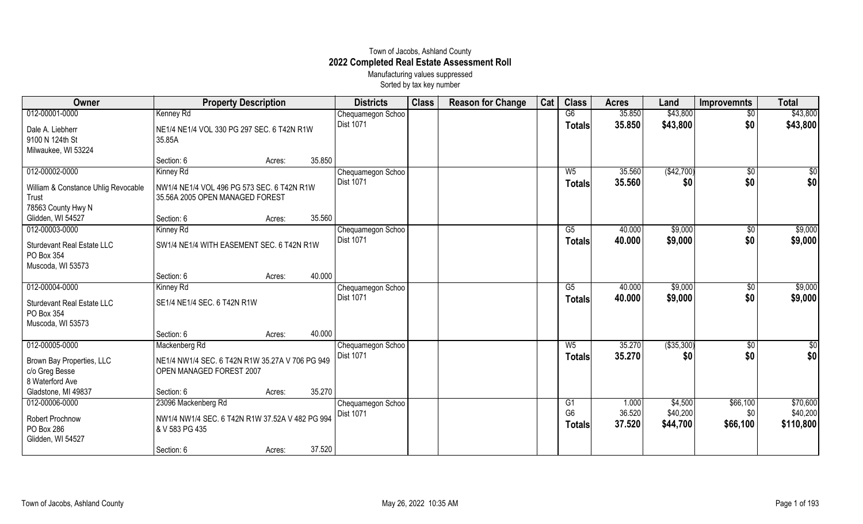## Town of Jacobs, Ashland County **2022 Completed Real Estate Assessment Roll** Manufacturing values suppressed

Sorted by tax key number

| Owner                                                                | <b>Property Description</b>                                                   |                  | <b>Districts</b>  | <b>Class</b> | <b>Reason for Change</b> | Cat | <b>Class</b>                    | <b>Acres</b>     | Land                 | <b>Improvemnts</b> | <b>Total</b>          |
|----------------------------------------------------------------------|-------------------------------------------------------------------------------|------------------|-------------------|--------------|--------------------------|-----|---------------------------------|------------------|----------------------|--------------------|-----------------------|
| 012-00001-0000                                                       | Kenney Rd                                                                     |                  | Chequamegon Schoo |              |                          |     | G6                              | 35.850           | \$43,800             | \$0                | \$43,800              |
| Dale A. Liebherr                                                     | NE1/4 NE1/4 VOL 330 PG 297 SEC. 6 T42N R1W                                    |                  | Dist 1071         |              |                          |     | <b>Totals</b>                   | 35.850           | \$43,800             | \$0                | \$43,800              |
| 9100 N 124th St                                                      | 35.85A                                                                        |                  |                   |              |                          |     |                                 |                  |                      |                    |                       |
| Milwaukee, WI 53224                                                  |                                                                               |                  |                   |              |                          |     |                                 |                  |                      |                    |                       |
|                                                                      | Section: 6                                                                    | 35.850<br>Acres: |                   |              |                          |     |                                 |                  |                      |                    |                       |
| 012-00002-0000                                                       | Kinney Rd                                                                     |                  | Chequamegon Schoo |              |                          |     | $W_5$                           | 35.560           | (\$42,700)           | \$0                | $\overline{50}$       |
| William & Constance Uhlig Revocable<br>Trust<br>78563 County Hwy N   | NW1/4 NE1/4 VOL 496 PG 573 SEC. 6 T42N R1W<br>35.56A 2005 OPEN MANAGED FOREST |                  | Dist 1071         |              |                          |     | <b>Totals</b>                   | 35.560           | \$0                  | \$0                | \$0                   |
| Glidden, WI 54527                                                    | Section: 6                                                                    | 35.560<br>Acres: |                   |              |                          |     |                                 |                  |                      |                    |                       |
| 012-00003-0000                                                       | Kinney Rd                                                                     |                  | Chequamegon Schoo |              |                          |     | G5                              | 40.000           | \$9,000              | $\sqrt{6}$         | \$9,000               |
| <b>Sturdevant Real Estate LLC</b><br>PO Box 354                      | SW1/4 NE1/4 WITH EASEMENT SEC. 6 T42N R1W                                     |                  | Dist 1071         |              |                          |     | <b>Totals</b>                   | 40.000           | \$9,000              | \$0                | \$9,000               |
| Muscoda, WI 53573                                                    |                                                                               |                  |                   |              |                          |     |                                 |                  |                      |                    |                       |
|                                                                      | Section: 6                                                                    | 40.000<br>Acres: |                   |              |                          |     |                                 |                  |                      |                    |                       |
| 012-00004-0000                                                       | Kinney Rd                                                                     |                  | Chequamegon Schoo |              |                          |     | G5                              | 40.000           | \$9,000              | $\sqrt[6]{}$       | \$9,000               |
| <b>Sturdevant Real Estate LLC</b><br>PO Box 354<br>Muscoda, WI 53573 | SE1/4 NE1/4 SEC. 6 T42N R1W                                                   |                  | Dist 1071         |              |                          |     | <b>Totals</b>                   | 40.000           | \$9,000              | \$0                | \$9,000               |
|                                                                      | Section: 6                                                                    | 40.000<br>Acres: |                   |              |                          |     |                                 |                  |                      |                    |                       |
| 012-00005-0000                                                       | Mackenberg Rd                                                                 |                  | Chequamegon Schoo |              |                          |     | $W_5$                           | 35.270           | ( \$35, 300)         | \$0                | $\overline{50}$       |
| Brown Bay Properties, LLC<br>c/o Greg Besse<br>8 Waterford Ave       | NE1/4 NW1/4 SEC. 6 T42N R1W 35.27A V 706 PG 949<br>OPEN MANAGED FOREST 2007   |                  | Dist 1071         |              |                          |     | <b>Totals</b>                   | 35.270           | \$0                  | \$0                | \$0                   |
| Gladstone, MI 49837                                                  | Section: 6                                                                    | 35.270<br>Acres: |                   |              |                          |     |                                 |                  |                      |                    |                       |
| 012-00006-0000                                                       | 23096 Mackenberg Rd                                                           |                  | Chequamegon Schoo |              |                          |     | G1                              | 1.000            | \$4,500              | \$66,100           | \$70,600              |
| Robert Prochnow<br>PO Box 286<br>Glidden, WI 54527                   | NW1/4 NW1/4 SEC. 6 T42N R1W 37.52A V 482 PG 994<br>& V 583 PG 435             |                  | Dist 1071         |              |                          |     | G <sub>6</sub><br><b>Totals</b> | 36.520<br>37.520 | \$40,200<br>\$44,700 | \$0<br>\$66,100    | \$40,200<br>\$110,800 |
|                                                                      | Section: 6                                                                    | 37.520<br>Acres: |                   |              |                          |     |                                 |                  |                      |                    |                       |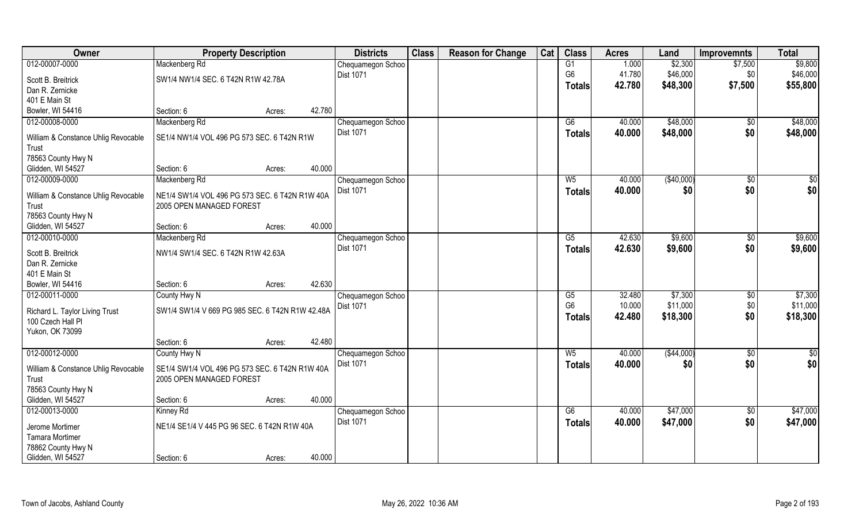| Owner                               | <b>Property Description</b>                     |        |        | <b>Districts</b>  | <b>Class</b> | <b>Reason for Change</b> | Cat | <b>Class</b>           | <b>Acres</b> | Land        | <b>Improvemnts</b> | <b>Total</b>    |
|-------------------------------------|-------------------------------------------------|--------|--------|-------------------|--------------|--------------------------|-----|------------------------|--------------|-------------|--------------------|-----------------|
| 012-00007-0000                      | Mackenberg Rd                                   |        |        | Chequamegon Schoo |              |                          |     | G1                     | 1.000        | \$2,300     | \$7,500            | \$9,800         |
| Scott B. Breitrick                  | SW1/4 NW1/4 SEC. 6 T42N R1W 42.78A              |        |        | Dist 1071         |              |                          |     | G <sub>6</sub>         | 41.780       | \$46,000    | \$0                | \$46,000        |
| Dan R. Zernicke                     |                                                 |        |        |                   |              |                          |     | <b>Totals</b>          | 42.780       | \$48,300    | \$7,500            | \$55,800        |
| 401 E Main St                       |                                                 |        |        |                   |              |                          |     |                        |              |             |                    |                 |
| Bowler, WI 54416                    | Section: 6                                      | Acres: | 42.780 |                   |              |                          |     |                        |              |             |                    |                 |
| 012-00008-0000                      | Mackenberg Rd                                   |        |        | Chequamegon Schoo |              |                          |     | G6                     | 40,000       | \$48,000    | $\sqrt{6}$         | \$48,000        |
| William & Constance Uhlig Revocable | SE1/4 NW1/4 VOL 496 PG 573 SEC. 6 T42N R1W      |        |        | <b>Dist 1071</b>  |              |                          |     | <b>Totals</b>          | 40.000       | \$48,000    | \$0                | \$48,000        |
| Trust                               |                                                 |        |        |                   |              |                          |     |                        |              |             |                    |                 |
| 78563 County Hwy N                  |                                                 |        |        |                   |              |                          |     |                        |              |             |                    |                 |
| Glidden, WI 54527                   | Section: 6                                      | Acres: | 40.000 |                   |              |                          |     |                        |              |             |                    |                 |
| 012-00009-0000                      | Mackenberg Rd                                   |        |        | Chequamegon Schoo |              |                          |     | W <sub>5</sub>         | 40.000       | ( \$40,000) | \$0                | \$0             |
| William & Constance Uhlig Revocable | NE1/4 SW1/4 VOL 496 PG 573 SEC. 6 T42N R1W 40A  |        |        | Dist 1071         |              |                          |     | <b>Totals</b>          | 40.000       | \$0         | \$0                | \$0             |
| Trust                               | 2005 OPEN MANAGED FOREST                        |        |        |                   |              |                          |     |                        |              |             |                    |                 |
| 78563 County Hwy N                  |                                                 |        |        |                   |              |                          |     |                        |              |             |                    |                 |
| Glidden, WI 54527                   | Section: 6                                      | Acres: | 40.000 |                   |              |                          |     |                        |              |             |                    |                 |
| 012-00010-0000                      | Mackenberg Rd                                   |        |        | Chequamegon Schoo |              |                          |     | G5                     | 42.630       | \$9,600     | \$0                | \$9,600         |
| Scott B. Breitrick                  | NW1/4 SW1/4 SEC. 6 T42N R1W 42.63A              |        |        | <b>Dist 1071</b>  |              |                          |     | <b>Totals</b>          | 42.630       | \$9,600     | \$0                | \$9,600         |
| Dan R. Zernicke                     |                                                 |        |        |                   |              |                          |     |                        |              |             |                    |                 |
| 401 E Main St                       |                                                 |        |        |                   |              |                          |     |                        |              |             |                    |                 |
| Bowler, WI 54416                    | Section: 6                                      | Acres: | 42.630 |                   |              |                          |     |                        |              |             |                    |                 |
| 012-00011-0000                      | County Hwy N                                    |        |        | Chequamegon Schoo |              |                          |     | $\overline{\text{G5}}$ | 32.480       | \$7,300     | $\overline{50}$    | \$7,300         |
| Richard L. Taylor Living Trust      | SW1/4 SW1/4 V 669 PG 985 SEC. 6 T42N R1W 42.48A |        |        | <b>Dist 1071</b>  |              |                          |     | G <sub>6</sub>         | 10.000       | \$11,000    | \$0                | \$11,000        |
| 100 Czech Hall Pl                   |                                                 |        |        |                   |              |                          |     | <b>Totals</b>          | 42.480       | \$18,300    | \$0                | \$18,300        |
| Yukon, OK 73099                     |                                                 |        |        |                   |              |                          |     |                        |              |             |                    |                 |
|                                     | Section: 6                                      | Acres: | 42.480 |                   |              |                          |     |                        |              |             |                    |                 |
| 012-00012-0000                      | County Hwy N                                    |        |        | Chequamegon Schoo |              |                          |     | $W_5$                  | 40.000       | ( \$44,000) | $\overline{50}$    | $\overline{50}$ |
| William & Constance Uhlig Revocable | SE1/4 SW1/4 VOL 496 PG 573 SEC. 6 T42N R1W 40A  |        |        | <b>Dist 1071</b>  |              |                          |     | <b>Totals</b>          | 40.000       | \$0         | \$0                | \$0             |
| Trust                               | 2005 OPEN MANAGED FOREST                        |        |        |                   |              |                          |     |                        |              |             |                    |                 |
| 78563 County Hwy N                  |                                                 |        |        |                   |              |                          |     |                        |              |             |                    |                 |
| Glidden, WI 54527                   | Section: 6                                      | Acres: | 40.000 |                   |              |                          |     |                        |              |             |                    |                 |
| 012-00013-0000                      | Kinney Rd                                       |        |        | Chequamegon Schoo |              |                          |     | G6                     | 40.000       | \$47,000    | $\overline{50}$    | \$47,000        |
| Jerome Mortimer                     | NE1/4 SE1/4 V 445 PG 96 SEC. 6 T42N R1W 40A     |        |        | <b>Dist 1071</b>  |              |                          |     | <b>Totals</b>          | 40.000       | \$47,000    | \$0                | \$47,000        |
| <b>Tamara Mortimer</b>              |                                                 |        |        |                   |              |                          |     |                        |              |             |                    |                 |
| 78862 County Hwy N                  |                                                 |        |        |                   |              |                          |     |                        |              |             |                    |                 |
| Glidden, WI 54527                   | Section: 6                                      | Acres: | 40.000 |                   |              |                          |     |                        |              |             |                    |                 |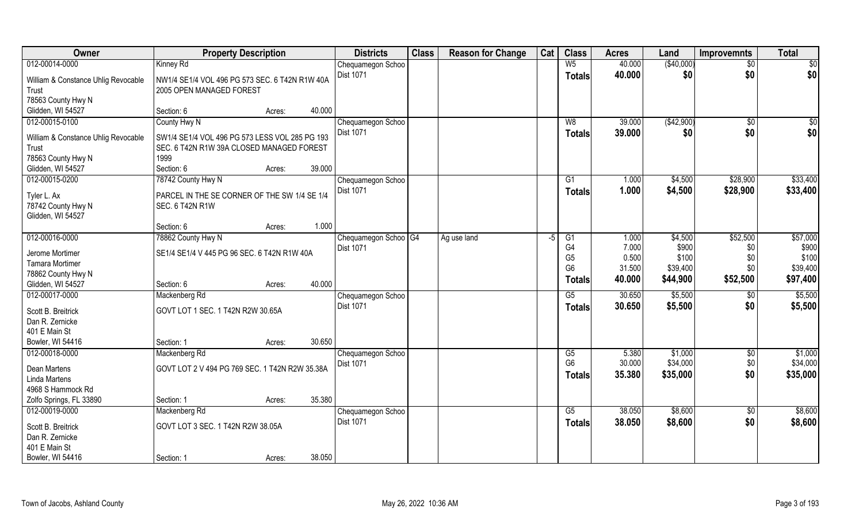| Owner                                                           | <b>Property Description</b>                                                |        |        | <b>Districts</b>                  | <b>Class</b> | <b>Reason for Change</b> | Cat | <b>Class</b>                                       | <b>Acres</b>             | Land                       | <b>Improvemnts</b> | <b>Total</b>               |
|-----------------------------------------------------------------|----------------------------------------------------------------------------|--------|--------|-----------------------------------|--------------|--------------------------|-----|----------------------------------------------------|--------------------------|----------------------------|--------------------|----------------------------|
| 012-00014-0000                                                  | Kinney Rd                                                                  |        |        | Chequamegon Schoo                 |              |                          |     | W <sub>5</sub>                                     | 40.000                   | (\$40,000)                 | $\sqrt{50}$        | \$0                        |
| William & Constance Uhlig Revocable<br>Trust                    | NW1/4 SE1/4 VOL 496 PG 573 SEC, 6 T42N R1W 40A<br>2005 OPEN MANAGED FOREST |        |        | <b>Dist 1071</b>                  |              |                          |     | <b>Totals</b>                                      | 40.000                   | \$0                        | \$0                | \$0                        |
| 78563 County Hwy N                                              |                                                                            |        |        |                                   |              |                          |     |                                                    |                          |                            |                    |                            |
| Glidden, WI 54527                                               | Section: 6                                                                 | Acres: | 40.000 |                                   |              |                          |     |                                                    |                          |                            |                    |                            |
| 012-00015-0100                                                  | County Hwy N                                                               |        |        | Chequamegon Schoo                 |              |                          |     | W8                                                 | 39.000                   | (\$42,900)                 | \$0                | \$0                        |
| William & Constance Uhlig Revocable                             | SW1/4 SE1/4 VOL 496 PG 573 LESS VOL 285 PG 193                             |        |        | <b>Dist 1071</b>                  |              |                          |     | <b>Totals</b>                                      | 39.000                   | \$0                        | \$0                | \$0                        |
| Trust                                                           | SEC. 6 T42N R1W 39A CLOSED MANAGED FOREST                                  |        |        |                                   |              |                          |     |                                                    |                          |                            |                    |                            |
| 78563 County Hwy N                                              | 1999                                                                       |        |        |                                   |              |                          |     |                                                    |                          |                            |                    |                            |
| Glidden, WI 54527                                               | Section: 6                                                                 | Acres: | 39.000 |                                   |              |                          |     |                                                    |                          |                            |                    |                            |
| 012-00015-0200                                                  | 78742 County Hwy N                                                         |        |        | Chequamegon Schoo                 |              |                          |     | G1                                                 | 1.000                    | \$4,500                    | \$28,900           | \$33,400                   |
| Tyler L. Ax<br>78742 County Hwy N<br>Glidden, WI 54527          | PARCEL IN THE SE CORNER OF THE SW 1/4 SE 1/4<br><b>SEC. 6 T42N R1W</b>     |        |        | Dist 1071                         |              |                          |     | <b>Totals</b>                                      | 1.000                    | \$4,500                    | \$28,900           | \$33,400                   |
|                                                                 | Section: 6                                                                 | Acres: | 1.000  |                                   |              |                          |     |                                                    |                          |                            |                    |                            |
| 012-00016-0000                                                  | 78862 County Hwy N                                                         |        |        | Chequamegon Schoo <sup>1</sup> G4 |              | Ag use land              | -5  | G1                                                 | 1.000                    | \$4,500                    | \$52,500           | \$57,000                   |
| Jerome Mortimer<br><b>Tamara Mortimer</b><br>78862 County Hwy N | SE1/4 SE1/4 V 445 PG 96 SEC. 6 T42N R1W 40A                                |        |        | <b>Dist 1071</b>                  |              |                          |     | G <sub>4</sub><br>G <sub>5</sub><br>G <sub>6</sub> | 7.000<br>0.500<br>31.500 | \$900<br>\$100<br>\$39,400 | \$0<br>\$0<br>\$0  | \$900<br>\$100<br>\$39,400 |
| Glidden, WI 54527                                               | Section: 6                                                                 | Acres: | 40.000 |                                   |              |                          |     | Totals                                             | 40.000                   | \$44,900                   | \$52,500           | \$97,400                   |
| 012-00017-0000                                                  | Mackenberg Rd                                                              |        |        | Chequamegon Schoo                 |              |                          |     | $\overline{G5}$                                    | 30.650                   | \$5,500                    | $\overline{50}$    | \$5,500                    |
| Scott B. Breitrick                                              | GOVT LOT 1 SEC. 1 T42N R2W 30.65A                                          |        |        | Dist 1071                         |              |                          |     | <b>Totals</b>                                      | 30.650                   | \$5,500                    | \$0                | \$5,500                    |
| Dan R. Zernicke<br>401 E Main St                                |                                                                            |        |        |                                   |              |                          |     |                                                    |                          |                            |                    |                            |
| Bowler, WI 54416                                                | Section: 1                                                                 | Acres: | 30.650 |                                   |              |                          |     |                                                    |                          |                            |                    |                            |
| 012-00018-0000                                                  | Mackenberg Rd                                                              |        |        | Chequamegon Schoo                 |              |                          |     | G5                                                 | 5.380                    | \$1,000                    | $\sqrt{6}$         | \$1,000                    |
| Dean Martens<br><b>Linda Martens</b>                            | GOVT LOT 2 V 494 PG 769 SEC. 1 T42N R2W 35.38A                             |        |        | Dist 1071                         |              |                          |     | G <sub>6</sub><br><b>Totals</b>                    | 30.000<br>35.380         | \$34,000<br>\$35,000       | $$0$$<br>\$0       | \$34,000<br>\$35,000       |
| 4968 S Hammock Rd                                               |                                                                            |        |        |                                   |              |                          |     |                                                    |                          |                            |                    |                            |
| Zolfo Springs, FL 33890                                         | Section: 1                                                                 | Acres: | 35.380 |                                   |              |                          |     |                                                    |                          |                            |                    |                            |
| 012-00019-0000                                                  | Mackenberg Rd                                                              |        |        | Chequamegon Schoo                 |              |                          |     | G5                                                 | 38.050                   | \$8,600                    | $\overline{50}$    | \$8,600                    |
| Scott B. Breitrick<br>Dan R. Zernicke<br>401 E Main St          | GOVT LOT 3 SEC. 1 T42N R2W 38.05A                                          |        |        | Dist 1071                         |              |                          |     | <b>Totals</b>                                      | 38.050                   | \$8,600                    | \$0                | \$8,600                    |
| Bowler, WI 54416                                                | Section: 1                                                                 | Acres: | 38.050 |                                   |              |                          |     |                                                    |                          |                            |                    |                            |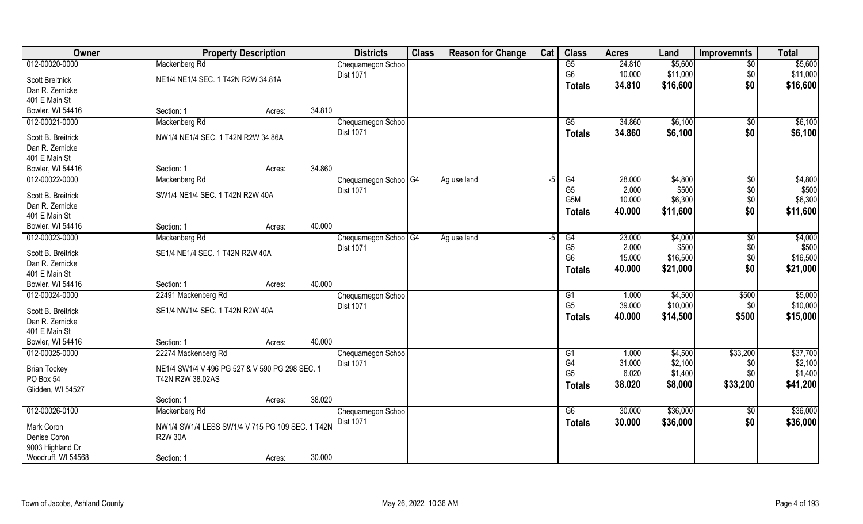| Owner                            |                                                                    | <b>Property Description</b> |        | <b>Districts</b>       | <b>Class</b> | <b>Reason for Change</b> | Cat  | <b>Class</b>     | <b>Acres</b> | Land     | <b>Improvemnts</b> | <b>Total</b> |
|----------------------------------|--------------------------------------------------------------------|-----------------------------|--------|------------------------|--------------|--------------------------|------|------------------|--------------|----------|--------------------|--------------|
| 012-00020-0000                   | Mackenberg Rd                                                      |                             |        | Chequamegon Schoo      |              |                          |      | G5               | 24.810       | \$5,600  | $\sqrt{6}$         | \$5,600      |
| <b>Scott Breitnick</b>           | NE1/4 NE1/4 SEC. 1 T42N R2W 34.81A                                 |                             |        | Dist 1071              |              |                          |      | G <sub>6</sub>   | 10.000       | \$11,000 | \$0                | \$11,000     |
| Dan R. Zernicke                  |                                                                    |                             |        |                        |              |                          |      | Totals           | 34.810       | \$16,600 | \$0                | \$16,600     |
| 401 E Main St                    |                                                                    |                             |        |                        |              |                          |      |                  |              |          |                    |              |
| Bowler, WI 54416                 | Section: 1                                                         | Acres:                      | 34.810 |                        |              |                          |      |                  |              |          |                    |              |
| 012-00021-0000                   | Mackenberg Rd                                                      |                             |        | Chequamegon Schoo      |              |                          |      | $\overline{G5}$  | 34.860       | \$6,100  | \$0                | \$6,100      |
| Scott B. Breitrick               | NW1/4 NE1/4 SEC. 1 T42N R2W 34.86A                                 |                             |        | Dist 1071              |              |                          |      | Totals           | 34.860       | \$6,100  | \$0                | \$6,100      |
| Dan R. Zernicke                  |                                                                    |                             |        |                        |              |                          |      |                  |              |          |                    |              |
| 401 E Main St                    |                                                                    |                             |        |                        |              |                          |      |                  |              |          |                    |              |
| Bowler, WI 54416                 | Section: 1                                                         | Acres:                      | 34.860 |                        |              |                          |      |                  |              |          |                    |              |
| 012-00022-0000                   | Mackenberg Rd                                                      |                             |        | Chequamegon Schoo G4   |              | Ag use land              | $-5$ | G4               | 28.000       | \$4,800  | $\sqrt[6]{3}$      | \$4,800      |
| Scott B. Breitrick               | SW1/4 NE1/4 SEC. 1 T42N R2W 40A                                    |                             |        | Dist 1071              |              |                          |      | G <sub>5</sub>   | 2.000        | \$500    | \$0                | \$500        |
| Dan R. Zernicke                  |                                                                    |                             |        |                        |              |                          |      | G <sub>5</sub> M | 10.000       | \$6,300  | \$0                | \$6,300      |
| 401 E Main St                    |                                                                    |                             |        |                        |              |                          |      | <b>Totals</b>    | 40.000       | \$11,600 | \$0                | \$11,600     |
| Bowler, WI 54416                 | Section: 1                                                         | Acres:                      | 40.000 |                        |              |                          |      |                  |              |          |                    |              |
| 012-00023-0000                   | Mackenberg Rd                                                      |                             |        | Chequamegon Schoo   G4 |              | Ag use land              | -5   | G4               | 23.000       | \$4,000  | \$0                | \$4,000      |
| Scott B. Breitrick               | SE1/4 NE1/4 SEC. 1 T42N R2W 40A                                    |                             |        | Dist 1071              |              |                          |      | G <sub>5</sub>   | 2.000        | \$500    | \$0                | \$500        |
| Dan R. Zernicke                  |                                                                    |                             |        |                        |              |                          |      | G <sub>6</sub>   | 15.000       | \$16,500 | \$0                | \$16,500     |
| 401 E Main St                    |                                                                    |                             |        |                        |              |                          |      | Totals           | 40.000       | \$21,000 | \$0                | \$21,000     |
| Bowler, WI 54416                 | Section: 1                                                         | Acres:                      | 40.000 |                        |              |                          |      |                  |              |          |                    |              |
| 012-00024-0000                   | 22491 Mackenberg Rd                                                |                             |        | Chequamegon Schoo      |              |                          |      | G1               | 1.000        | \$4,500  | \$500              | \$5,000      |
| Scott B. Breitrick               | SE1/4 NW1/4 SEC. 1 T42N R2W 40A                                    |                             |        | Dist 1071              |              |                          |      | G <sub>5</sub>   | 39.000       | \$10,000 | \$0                | \$10,000     |
| Dan R. Zernicke                  |                                                                    |                             |        |                        |              |                          |      | <b>Totals</b>    | 40.000       | \$14,500 | \$500              | \$15,000     |
| 401 E Main St                    |                                                                    |                             |        |                        |              |                          |      |                  |              |          |                    |              |
| Bowler, WI 54416                 | Section: 1                                                         | Acres:                      | 40.000 |                        |              |                          |      |                  |              |          |                    |              |
| 012-00025-0000                   | 22274 Mackenberg Rd                                                |                             |        | Chequamegon Schoo      |              |                          |      | G1               | 1.000        | \$4,500  | \$33,200           | \$37,700     |
|                                  |                                                                    |                             |        | <b>Dist 1071</b>       |              |                          |      | G4               | 31.000       | \$2,100  | \$0                | \$2,100      |
| <b>Brian Tockey</b><br>PO Box 54 | NE1/4 SW1/4 V 496 PG 527 & V 590 PG 298 SEC. 1<br>T42N R2W 38.02AS |                             |        |                        |              |                          |      | G <sub>5</sub>   | 6.020        | \$1,400  | \$0                | \$1,400      |
| Glidden, WI 54527                |                                                                    |                             |        |                        |              |                          |      | <b>Totals</b>    | 38.020       | \$8,000  | \$33,200           | \$41,200     |
|                                  | Section: 1                                                         | Acres:                      | 38.020 |                        |              |                          |      |                  |              |          |                    |              |
| 012-00026-0100                   | Mackenberg Rd                                                      |                             |        | Chequamegon Schoo      |              |                          |      | G6               | 30.000       | \$36,000 | $\sqrt{$0}$        | \$36,000     |
| Mark Coron                       | NW1/4 SW1/4 LESS SW1/4 V 715 PG 109 SEC. 1 T42N                    |                             |        | Dist 1071              |              |                          |      | <b>Totals</b>    | 30.000       | \$36,000 | \$0                | \$36,000     |
| Denise Coron                     | <b>R2W 30A</b>                                                     |                             |        |                        |              |                          |      |                  |              |          |                    |              |
| 9003 Highland Dr                 |                                                                    |                             |        |                        |              |                          |      |                  |              |          |                    |              |
| Woodruff, WI 54568               | Section: 1                                                         | Acres:                      | 30.000 |                        |              |                          |      |                  |              |          |                    |              |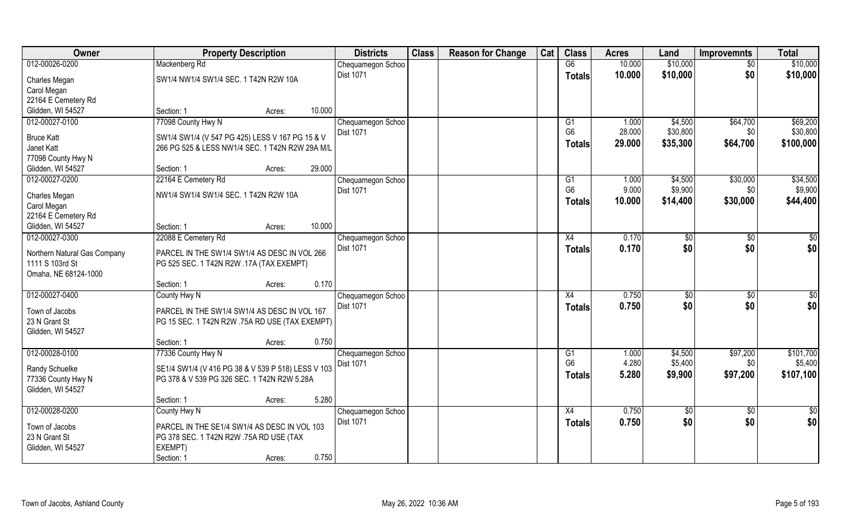| Owner                                    | <b>Property Description</b>                                                                        | <b>Districts</b>  | <b>Class</b> | <b>Reason for Change</b> | Cat | <b>Class</b>    | <b>Acres</b> | Land          | <b>Improvemnts</b> | <b>Total</b>  |
|------------------------------------------|----------------------------------------------------------------------------------------------------|-------------------|--------------|--------------------------|-----|-----------------|--------------|---------------|--------------------|---------------|
| 012-00026-0200                           | Mackenberg Rd                                                                                      | Chequamegon Schoo |              |                          |     | G6              | 10.000       | \$10,000      | \$0                | \$10,000      |
| Charles Megan                            | SW1/4 NW1/4 SW1/4 SEC. 1 T42N R2W 10A                                                              | Dist 1071         |              |                          |     | <b>Totals</b>   | 10.000       | \$10,000      | \$0                | \$10,000      |
| Carol Megan                              |                                                                                                    |                   |              |                          |     |                 |              |               |                    |               |
| 22164 E Cemetery Rd                      |                                                                                                    |                   |              |                          |     |                 |              |               |                    |               |
| Glidden, WI 54527                        | Section: 1<br>Acres:                                                                               | 10.000            |              |                          |     |                 |              |               |                    |               |
| 012-00027-0100                           | 77098 County Hwy N                                                                                 | Chequamegon Schoo |              |                          |     | G1              | 1.000        | \$4,500       | \$64,700           | \$69,200      |
|                                          |                                                                                                    | <b>Dist 1071</b>  |              |                          |     | G <sub>6</sub>  | 28.000       | \$30,800      | \$0                | \$30,800      |
| <b>Bruce Katt</b><br>Janet Katt          | SW1/4 SW1/4 (V 547 PG 425) LESS V 167 PG 15 & V<br>266 PG 525 & LESS NW1/4 SEC. 1 T42N R2W 29A M/L |                   |              |                          |     | <b>Totals</b>   | 29.000       | \$35,300      | \$64,700           | \$100,000     |
| 77098 County Hwy N                       |                                                                                                    |                   |              |                          |     |                 |              |               |                    |               |
| Glidden, WI 54527                        | Section: 1<br>Acres:                                                                               | 29.000            |              |                          |     |                 |              |               |                    |               |
| 012-00027-0200                           | 22164 E Cemetery Rd                                                                                | Chequamegon Schoo |              |                          |     | G1              | 1.000        | \$4,500       | \$30,000           | \$34,500      |
|                                          |                                                                                                    | Dist 1071         |              |                          |     | G <sub>6</sub>  | 9.000        | \$9,900       | \$0                | \$9,900       |
| Charles Megan                            | NW1/4 SW1/4 SW1/4 SEC. 1 T42N R2W 10A                                                              |                   |              |                          |     | Totals          | 10.000       | \$14,400      | \$30,000           | \$44,400      |
| Carol Megan                              |                                                                                                    |                   |              |                          |     |                 |              |               |                    |               |
| 22164 E Cemetery Rd<br>Glidden, WI 54527 | Section: 1<br>Acres:                                                                               | 10.000            |              |                          |     |                 |              |               |                    |               |
| 012-00027-0300                           | 22088 E Cemetery Rd                                                                                | Chequamegon Schoo |              |                          |     | X4              | 0.170        | \$0           | \$0                | \$0           |
|                                          |                                                                                                    | <b>Dist 1071</b>  |              |                          |     | <b>Totals</b>   | 0.170        | \$0           | \$0                | \$0           |
| Northern Natural Gas Company             | PARCEL IN THE SW1/4 SW1/4 AS DESC IN VOL 266                                                       |                   |              |                          |     |                 |              |               |                    |               |
| 1111 S 103rd St                          | PG 525 SEC. 1 T42N R2W .17A (TAX EXEMPT)                                                           |                   |              |                          |     |                 |              |               |                    |               |
| Omaha, NE 68124-1000                     |                                                                                                    |                   |              |                          |     |                 |              |               |                    |               |
|                                          | Section: 1<br>Acres:                                                                               | 0.170             |              |                          |     |                 |              |               |                    |               |
| 012-00027-0400                           | County Hwy N                                                                                       | Chequamegon Schoo |              |                          |     | X4              | 0.750        | $\sqrt[6]{3}$ | $\overline{50}$    | \$0           |
| Town of Jacobs                           | PARCEL IN THE SW1/4 SW1/4 AS DESC IN VOL 167                                                       | <b>Dist 1071</b>  |              |                          |     | <b>Totals</b>   | 0.750        | \$0           | \$0                | \$0           |
| 23 N Grant St                            | PG 15 SEC. 1 T42N R2W .75A RD USE (TAX EXEMPT)                                                     |                   |              |                          |     |                 |              |               |                    |               |
| Glidden, WI 54527                        |                                                                                                    |                   |              |                          |     |                 |              |               |                    |               |
|                                          | Section: 1<br>Acres:                                                                               | 0.750             |              |                          |     |                 |              |               |                    |               |
| 012-00028-0100                           | 77336 County Hwy N                                                                                 | Chequamegon Schoo |              |                          |     | G1              | 1.000        | \$4,500       | \$97,200           | \$101,700     |
| Randy Schuelke                           | SE1/4 SW1/4 (V 416 PG 38 & V 539 P 518) LESS V 103                                                 | Dist 1071         |              |                          |     | G <sub>6</sub>  | 4.280        | \$5,400       | \$0                | \$5,400       |
| 77336 County Hwy N                       | PG 378 & V 539 PG 326 SEC. 1 T42N R2W 5.28A                                                        |                   |              |                          |     | <b>Totals</b>   | 5.280        | \$9,900       | \$97,200           | \$107,100     |
| Glidden, WI 54527                        |                                                                                                    |                   |              |                          |     |                 |              |               |                    |               |
|                                          | Section: 1<br>Acres:                                                                               | 5.280             |              |                          |     |                 |              |               |                    |               |
| 012-00028-0200                           | County Hwy N                                                                                       | Chequamegon Schoo |              |                          |     | $\overline{X4}$ | 0.750        | \$0           | $\overline{50}$    | $\frac{1}{2}$ |
| Town of Jacobs                           | PARCEL IN THE SE1/4 SW1/4 AS DESC IN VOL 103                                                       | <b>Dist 1071</b>  |              |                          |     | <b>Totals</b>   | 0.750        | \$0           | \$0                | \$0           |
| 23 N Grant St                            | PG 378 SEC. 1 T42N R2W .75A RD USE (TAX                                                            |                   |              |                          |     |                 |              |               |                    |               |
| Glidden, WI 54527                        | EXEMPT)                                                                                            |                   |              |                          |     |                 |              |               |                    |               |
|                                          | Section: 1<br>Acres:                                                                               | 0.750             |              |                          |     |                 |              |               |                    |               |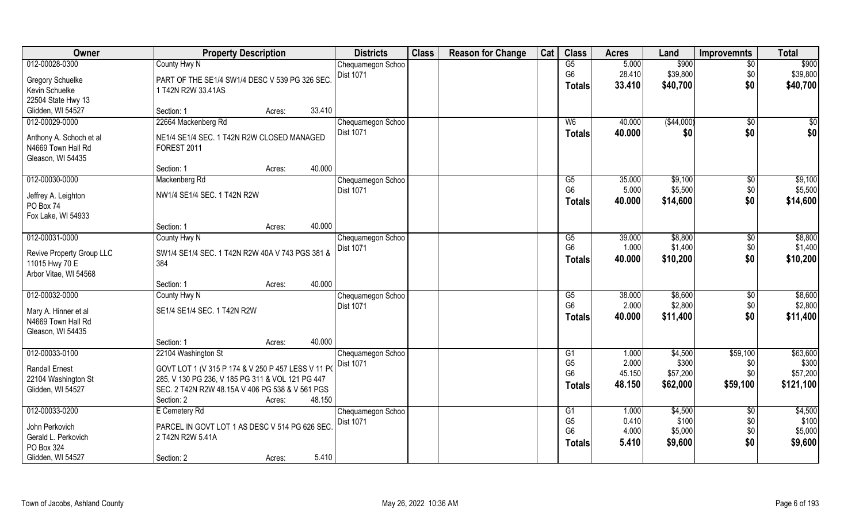| Owner                     | <b>Property Description</b>                        |                  | <b>Districts</b>  | <b>Class</b> | <b>Reason for Change</b> | Cat | <b>Class</b>           | <b>Acres</b>   | Land             | <b>Improvemnts</b>     | <b>Total</b>     |
|---------------------------|----------------------------------------------------|------------------|-------------------|--------------|--------------------------|-----|------------------------|----------------|------------------|------------------------|------------------|
| 012-00028-0300            | County Hwy N                                       |                  | Chequamegon Schoo |              |                          |     | G5                     | 5.000          | \$900            | $\overline{30}$        | \$900            |
| <b>Gregory Schuelke</b>   | PART OF THE SE1/4 SW1/4 DESC V 539 PG 326 SEC      |                  | <b>Dist 1071</b>  |              |                          |     | G <sub>6</sub>         | 28.410         | \$39,800         | \$0                    | \$39,800         |
| Kevin Schuelke            | 1 T42N R2W 33.41AS                                 |                  |                   |              |                          |     | <b>Totals</b>          | 33.410         | \$40,700         | \$0                    | \$40,700         |
| 22504 State Hwy 13        |                                                    |                  |                   |              |                          |     |                        |                |                  |                        |                  |
| Glidden, WI 54527         | Section: 1                                         | 33.410<br>Acres: |                   |              |                          |     |                        |                |                  |                        |                  |
| 012-00029-0000            | 22664 Mackenberg Rd                                |                  | Chequamegon Schoo |              |                          |     | W <sub>6</sub>         | 40.000         | (\$44,000)       | $\overline{50}$        | \$0              |
|                           |                                                    |                  | <b>Dist 1071</b>  |              |                          |     | <b>Totals</b>          | 40.000         | \$0              | \$0                    | \$0              |
| Anthony A. Schoch et al   | NE1/4 SE1/4 SEC. 1 T42N R2W CLOSED MANAGED         |                  |                   |              |                          |     |                        |                |                  |                        |                  |
| N4669 Town Hall Rd        | FOREST 2011                                        |                  |                   |              |                          |     |                        |                |                  |                        |                  |
| Gleason, WI 54435         |                                                    |                  |                   |              |                          |     |                        |                |                  |                        |                  |
|                           | Section: 1                                         | 40.000<br>Acres: |                   |              |                          |     |                        |                |                  |                        |                  |
| 012-00030-0000            | Mackenberg Rd                                      |                  | Chequamegon Schoo |              |                          |     | G5                     | 35.000         | \$9,100          | $\sqrt[6]{}$           | \$9,100          |
| Jeffrey A. Leighton       | NW1/4 SE1/4 SEC. 1 T42N R2W                        |                  | Dist 1071         |              |                          |     | G <sub>6</sub>         | 5.000          | \$5,500          | \$0                    | \$5,500          |
| PO Box 74                 |                                                    |                  |                   |              |                          |     | <b>Totals</b>          | 40.000         | \$14,600         | \$0                    | \$14,600         |
| Fox Lake, WI 54933        |                                                    |                  |                   |              |                          |     |                        |                |                  |                        |                  |
|                           | Section: 1                                         | 40.000<br>Acres: |                   |              |                          |     |                        |                |                  |                        |                  |
| 012-00031-0000            | County Hwy N                                       |                  | Chequamegon Schoo |              |                          |     | G5                     | 39.000         | \$8,800          | $\sqrt[6]{}$           | \$8,800          |
|                           |                                                    |                  | <b>Dist 1071</b>  |              |                          |     | G <sub>6</sub>         | 1.000          | \$1,400          | \$0                    | \$1,400          |
| Revive Property Group LLC | SW1/4 SE1/4 SEC. 1 T42N R2W 40A V 743 PGS 381 &    |                  |                   |              |                          |     | <b>Totals</b>          | 40.000         | \$10,200         | \$0                    | \$10,200         |
| 11015 Hwy 70 E            | 384                                                |                  |                   |              |                          |     |                        |                |                  |                        |                  |
| Arbor Vitae, WI 54568     |                                                    |                  |                   |              |                          |     |                        |                |                  |                        |                  |
|                           | Section: 1                                         | 40.000<br>Acres: |                   |              |                          |     |                        |                |                  |                        |                  |
| 012-00032-0000            | County Hwy N                                       |                  | Chequamegon Schoo |              |                          |     | $\overline{\text{G5}}$ | 38.000         | \$8,600          | \$0                    | \$8,600          |
| Mary A. Hinner et al      | SE1/4 SE1/4 SEC. 1 T42N R2W                        |                  | Dist 1071         |              |                          |     | G <sub>6</sub>         | 2.000          | \$2,800          | \$0                    | \$2,800          |
| N4669 Town Hall Rd        |                                                    |                  |                   |              |                          |     | <b>Totals</b>          | 40.000         | \$11,400         | \$0                    | \$11,400         |
| Gleason, WI 54435         |                                                    |                  |                   |              |                          |     |                        |                |                  |                        |                  |
|                           | Section: 1                                         | 40.000<br>Acres: |                   |              |                          |     |                        |                |                  |                        |                  |
| 012-00033-0100            | 22104 Washington St                                |                  | Chequamegon Schoo |              |                          |     | G1                     | 1.000          | \$4,500          | \$59,100               | \$63,600         |
|                           |                                                    |                  | Dist 1071         |              |                          |     | G <sub>5</sub>         | 2.000          | \$300            | \$0                    | \$300            |
| <b>Randall Ernest</b>     | GOVT LOT 1 (V 315 P 174 & V 250 P 457 LESS V 11 P( |                  |                   |              |                          |     | G <sub>6</sub>         | 45.150         | \$57,200         | \$0                    | \$57,200         |
| 22104 Washington St       | 285, V 130 PG 236, V 185 PG 311 & VOL 121 PG 447   |                  |                   |              |                          |     | Totals                 | 48.150         | \$62,000         | \$59,100               | \$121,100        |
| Glidden, WI 54527         | SEC. 2 T42N R2W 48.15A V 406 PG 538 & V 561 PGS    |                  |                   |              |                          |     |                        |                |                  |                        |                  |
|                           | Section: 2                                         | 48.150<br>Acres: |                   |              |                          |     |                        |                |                  |                        |                  |
| 012-00033-0200            | E Cemetery Rd                                      |                  | Chequamegon Schoo |              |                          |     | G1<br>G <sub>5</sub>   | 1.000<br>0.410 | \$4,500<br>\$100 | $\overline{50}$<br>\$0 | \$4,500<br>\$100 |
| John Perkovich            | PARCEL IN GOVT LOT 1 AS DESC V 514 PG 626 SEC      |                  | <b>Dist 1071</b>  |              |                          |     | G <sub>6</sub>         | 4.000          | \$5,000          | \$0                    | \$5,000          |
| Gerald L. Perkovich       | 2 T42N R2W 5.41A                                   |                  |                   |              |                          |     |                        | 5.410          |                  | \$0                    |                  |
| PO Box 324                |                                                    |                  |                   |              |                          |     | <b>Totals</b>          |                | \$9,600          |                        | \$9,600          |
| Glidden, WI 54527         | Section: 2                                         | 5.410<br>Acres:  |                   |              |                          |     |                        |                |                  |                        |                  |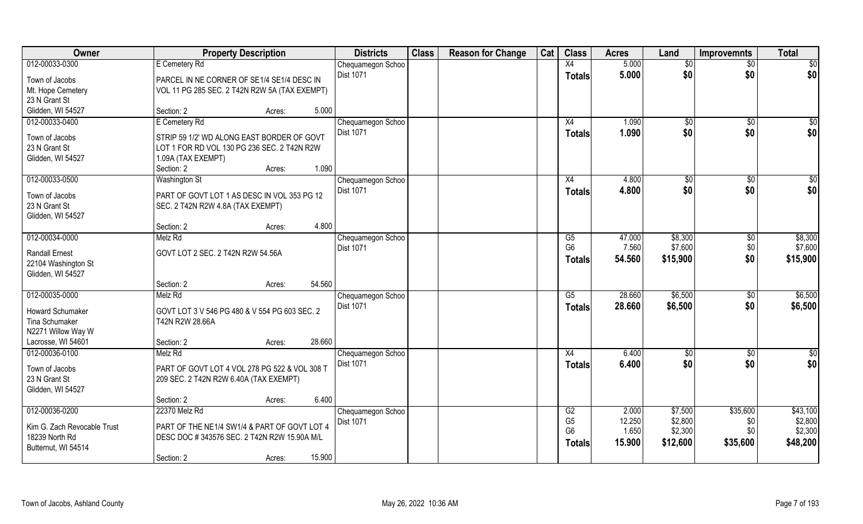| Owner                       | <b>Property Description</b>                   |                  | <b>Districts</b>  | <b>Class</b> | <b>Reason for Change</b> | Cat | <b>Class</b>    | <b>Acres</b> | Land         | <b>Improvemnts</b> | <b>Total</b>  |
|-----------------------------|-----------------------------------------------|------------------|-------------------|--------------|--------------------------|-----|-----------------|--------------|--------------|--------------------|---------------|
| 012-00033-0300              | E Cemetery Rd                                 |                  | Chequamegon Schoo |              |                          |     | X4              | 5.000        | \$0          | $\overline{50}$    | \$0           |
| Town of Jacobs              | PARCEL IN NE CORNER OF SE1/4 SE1/4 DESC IN    |                  | <b>Dist 1071</b>  |              |                          |     | <b>Totals</b>   | 5.000        | \$0          | \$0                | \$0           |
| Mt. Hope Cemetery           | VOL 11 PG 285 SEC. 2 T42N R2W 5A (TAX EXEMPT) |                  |                   |              |                          |     |                 |              |              |                    |               |
| 23 N Grant St               |                                               |                  |                   |              |                          |     |                 |              |              |                    |               |
| Glidden, WI 54527           | Section: 2                                    | 5.000<br>Acres:  |                   |              |                          |     |                 |              |              |                    |               |
| 012-00033-0400              | E Cemetery Rd                                 |                  | Chequamegon Schoo |              |                          |     | X4              | 1.090        | $\sqrt[6]{}$ | $\overline{50}$    | \$0           |
| Town of Jacobs              | STRIP 59 1/2' WD ALONG EAST BORDER OF GOVT    |                  | Dist 1071         |              |                          |     | Totals          | 1.090        | \$0          | \$0                | \$0           |
| 23 N Grant St               | LOT 1 FOR RD VOL 130 PG 236 SEC. 2 T42N R2W   |                  |                   |              |                          |     |                 |              |              |                    |               |
| Glidden, WI 54527           | 1.09A (TAX EXEMPT)                            |                  |                   |              |                          |     |                 |              |              |                    |               |
|                             | Section: 2                                    | 1.090<br>Acres:  |                   |              |                          |     |                 |              |              |                    |               |
| 012-00033-0500              | <b>Washington St</b>                          |                  | Chequamegon Schoo |              |                          |     | X4              | 4.800        | $\sqrt[6]{}$ | $\sqrt[6]{30}$     | \$0           |
| Town of Jacobs              | PART OF GOVT LOT 1 AS DESC IN VOL 353 PG 12   |                  | Dist 1071         |              |                          |     | <b>Totals</b>   | 4.800        | \$0          | \$0                | \$0           |
| 23 N Grant St               | SEC. 2 T42N R2W 4.8A (TAX EXEMPT)             |                  |                   |              |                          |     |                 |              |              |                    |               |
| Glidden, WI 54527           |                                               |                  |                   |              |                          |     |                 |              |              |                    |               |
|                             | Section: 2                                    | 4.800<br>Acres:  |                   |              |                          |     |                 |              |              |                    |               |
| 012-00034-0000              | Melz Rd                                       |                  | Chequamegon Schoo |              |                          |     | G5              | 47.000       | \$8,300      | \$0                | \$8,300       |
| <b>Randall Ernest</b>       | GOVT LOT 2 SEC. 2 T42N R2W 54.56A             |                  | <b>Dist 1071</b>  |              |                          |     | G <sub>6</sub>  | 7.560        | \$7,600      | \$0                | \$7,600       |
| 22104 Washington St         |                                               |                  |                   |              |                          |     | <b>Totals</b>   | 54.560       | \$15,900     | \$0                | \$15,900      |
| Glidden, WI 54527           |                                               |                  |                   |              |                          |     |                 |              |              |                    |               |
|                             | Section: 2                                    | 54.560<br>Acres: |                   |              |                          |     |                 |              |              |                    |               |
| 012-00035-0000              | Melz Rd                                       |                  | Chequamegon Schoo |              |                          |     | $\overline{G5}$ | 28.660       | \$6,500      | $\sqrt[6]{30}$     | \$6,500       |
| <b>Howard Schumaker</b>     | GOVT LOT 3 V 546 PG 480 & V 554 PG 603 SEC. 2 |                  | Dist 1071         |              |                          |     | <b>Totals</b>   | 28.660       | \$6,500      | \$0                | \$6,500       |
| Tina Schumaker              | T42N R2W 28.66A                               |                  |                   |              |                          |     |                 |              |              |                    |               |
| N2271 Willow Way W          |                                               |                  |                   |              |                          |     |                 |              |              |                    |               |
| Lacrosse, WI 54601          | Section: 2                                    | 28.660<br>Acres: |                   |              |                          |     |                 |              |              |                    |               |
| 012-00036-0100              | Melz Rd                                       |                  | Chequamegon Schoo |              |                          |     | X4              | 6.400        | \$0          | \$0                | $\frac{6}{3}$ |
| Town of Jacobs              | PART OF GOVT LOT 4 VOL 278 PG 522 & VOL 308 T |                  | Dist 1071         |              |                          |     | <b>Totals</b>   | 6.400        | \$0          | \$0                | \$0           |
| 23 N Grant St               | 209 SEC. 2 T42N R2W 6.40A (TAX EXEMPT)        |                  |                   |              |                          |     |                 |              |              |                    |               |
| Glidden, WI 54527           |                                               |                  |                   |              |                          |     |                 |              |              |                    |               |
|                             | Section: 2                                    | 6.400<br>Acres:  |                   |              |                          |     |                 |              |              |                    |               |
| 012-00036-0200              | 22370 Melz Rd                                 |                  | Chequamegon Schoo |              |                          |     | G2              | 2.000        | \$7,500      | \$35,600           | \$43,100      |
| Kim G. Zach Revocable Trust | PART OF THE NE1/4 SW1/4 & PART OF GOVT LOT 4  |                  | Dist 1071         |              |                          |     | G <sub>5</sub>  | 12.250       | \$2,800      | \$0                | \$2,800       |
| 18239 North Rd              | DESC DOC #343576 SEC. 2 T42N R2W 15.90A M/L   |                  |                   |              |                          |     | G <sub>6</sub>  | 1.650        | \$2,300      | \$0                | \$2,300       |
| Butternut, WI 54514         |                                               |                  |                   |              |                          |     | <b>Totals</b>   | 15.900       | \$12,600     | \$35,600           | \$48,200      |
|                             | Section: 2                                    | 15.900<br>Acres: |                   |              |                          |     |                 |              |              |                    |               |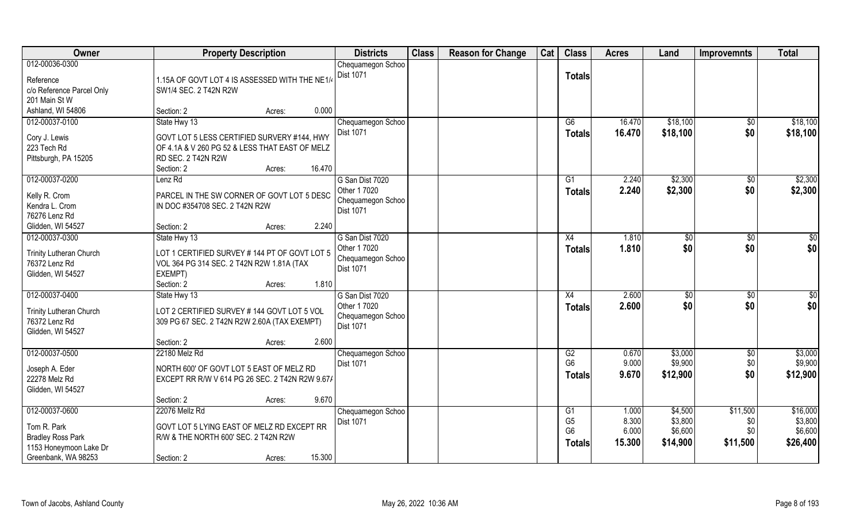| Owner                          | <b>Property Description</b>                     |                  | <b>Districts</b>               | <b>Class</b> | <b>Reason for Change</b> | Cat | <b>Class</b>   | <b>Acres</b> | Land     | <b>Improvemnts</b> | <b>Total</b>    |
|--------------------------------|-------------------------------------------------|------------------|--------------------------------|--------------|--------------------------|-----|----------------|--------------|----------|--------------------|-----------------|
| 012-00036-0300                 |                                                 |                  | Chequamegon Schoo              |              |                          |     |                |              |          |                    |                 |
| Reference                      | 1.15A OF GOVT LOT 4 IS ASSESSED WITH THE NE1/4  |                  | Dist 1071                      |              |                          |     | <b>Totals</b>  |              |          |                    |                 |
| c/o Reference Parcel Only      | SW1/4 SEC. 2 T42N R2W                           |                  |                                |              |                          |     |                |              |          |                    |                 |
| 201 Main St W                  |                                                 |                  |                                |              |                          |     |                |              |          |                    |                 |
| Ashland, WI 54806              | Section: 2                                      | 0.000<br>Acres:  |                                |              |                          |     |                |              |          |                    |                 |
| 012-00037-0100                 | State Hwy 13                                    |                  | Chequamegon Schoo              |              |                          |     | G6             | 16.470       | \$18,100 | $\sqrt{$0}$        | \$18,100        |
| Cory J. Lewis                  | GOVT LOT 5 LESS CERTIFIED SURVERY #144, HWY     |                  | Dist 1071                      |              |                          |     | <b>Totals</b>  | 16.470       | \$18,100 | \$0                | \$18,100        |
| 223 Tech Rd                    | OF 4.1A & V 260 PG 52 & LESS THAT EAST OF MELZ  |                  |                                |              |                          |     |                |              |          |                    |                 |
| Pittsburgh, PA 15205           | RD SEC. 2 T42N R2W                              |                  |                                |              |                          |     |                |              |          |                    |                 |
|                                | Section: 2                                      | 16.470<br>Acres: |                                |              |                          |     |                |              |          |                    |                 |
| 012-00037-0200                 | Lenz Rd                                         |                  | G San Dist 7020                |              |                          |     | G1             | 2.240        | \$2,300  | $\sqrt{50}$        | \$2,300         |
|                                |                                                 |                  | Other 1 7020                   |              |                          |     | <b>Totals</b>  | 2.240        | \$2,300  | \$0                | \$2,300         |
| Kelly R. Crom                  | PARCEL IN THE SW CORNER OF GOVT LOT 5 DESC      |                  | Chequamegon Schoo              |              |                          |     |                |              |          |                    |                 |
| Kendra L. Crom                 | IN DOC #354708 SEC. 2 T42N R2W                  |                  | <b>Dist 1071</b>               |              |                          |     |                |              |          |                    |                 |
| 76276 Lenz Rd                  |                                                 |                  |                                |              |                          |     |                |              |          |                    |                 |
| Glidden, WI 54527              | Section: 2                                      | 2.240<br>Acres:  |                                |              |                          |     |                |              |          |                    |                 |
| 012-00037-0300                 | State Hwy 13                                    |                  | G San Dist 7020                |              |                          |     | X4             | 1.810        | \$0      | $\sqrt[6]{3}$      | \$0             |
| <b>Trinity Lutheran Church</b> | LOT 1 CERTIFIED SURVEY # 144 PT OF GOVT LOT 5   |                  | Other 1 7020                   |              |                          |     | <b>Totals</b>  | 1.810        | \$0      | \$0                | \$0             |
| 76372 Lenz Rd                  | VOL 364 PG 314 SEC. 2 T42N R2W 1.81A (TAX       |                  | Chequamegon Schoo<br>Dist 1071 |              |                          |     |                |              |          |                    |                 |
| Glidden, WI 54527              | EXEMPT)                                         |                  |                                |              |                          |     |                |              |          |                    |                 |
|                                | Section: 2                                      | 1.810<br>Acres:  |                                |              |                          |     |                |              |          |                    |                 |
| 012-00037-0400                 | State Hwy 13                                    |                  | G San Dist 7020                |              |                          |     | X4             | 2.600        | \$0      | \$0                | $\overline{50}$ |
| Trinity Lutheran Church        | LOT 2 CERTIFIED SURVEY # 144 GOVT LOT 5 VOL     |                  | Other 1 7020                   |              |                          |     | <b>Totals</b>  | 2.600        | \$0      | \$0                | \$0             |
| 76372 Lenz Rd                  | 309 PG 67 SEC. 2 T42N R2W 2.60A (TAX EXEMPT)    |                  | Chequamegon Schoo              |              |                          |     |                |              |          |                    |                 |
| Glidden, WI 54527              |                                                 |                  | <b>Dist 1071</b>               |              |                          |     |                |              |          |                    |                 |
|                                | Section: 2                                      | 2.600<br>Acres:  |                                |              |                          |     |                |              |          |                    |                 |
| 012-00037-0500                 | 22180 Melz Rd                                   |                  | Chequamegon Schoo              |              |                          |     | G2             | 0.670        | \$3,000  | \$0                | \$3,000         |
|                                |                                                 |                  | <b>Dist 1071</b>               |              |                          |     | G <sub>6</sub> | 9.000        | \$9,900  | \$0                | \$9,900         |
| Joseph A. Eder                 | NORTH 600' OF GOVT LOT 5 EAST OF MELZ RD        |                  |                                |              |                          |     | <b>Totals</b>  | 9.670        | \$12,900 | \$0                | \$12,900        |
| 22278 Melz Rd                  | EXCEPT RR R/W V 614 PG 26 SEC. 2 T42N R2W 9.67/ |                  |                                |              |                          |     |                |              |          |                    |                 |
| Glidden, WI 54527              | Section: 2                                      | 9.670<br>Acres:  |                                |              |                          |     |                |              |          |                    |                 |
| 012-00037-0600                 | 22076 Mellz Rd                                  |                  | Chequamegon Schoo              |              |                          |     | G1             | 1.000        | \$4,500  | \$11,500           | \$16,000        |
|                                |                                                 |                  | Dist 1071                      |              |                          |     | G <sub>5</sub> | 8.300        | \$3,800  | \$0                | \$3,800         |
| Tom R. Park                    | GOVT LOT 5 LYING EAST OF MELZ RD EXCEPT RR      |                  |                                |              |                          |     | G <sub>6</sub> | 6.000        | \$6,600  | \$0                | \$6,600         |
| <b>Bradley Ross Park</b>       | R/W & THE NORTH 600' SEC. 2 T42N R2W            |                  |                                |              |                          |     | <b>Totals</b>  | 15.300       | \$14,900 | \$11,500           | \$26,400        |
| 1153 Honeymoon Lake Dr         |                                                 |                  |                                |              |                          |     |                |              |          |                    |                 |
| Greenbank, WA 98253            | Section: 2                                      | 15.300<br>Acres: |                                |              |                          |     |                |              |          |                    |                 |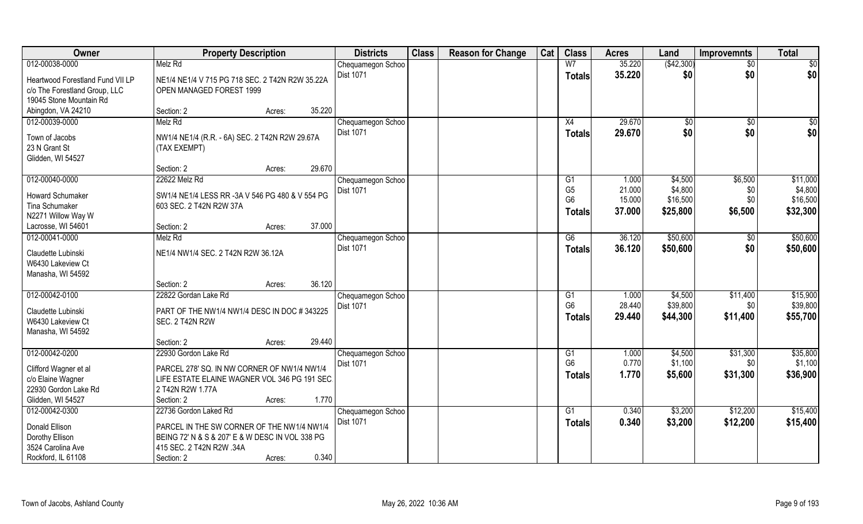| Owner                                     | <b>Property Description</b>                     |        | <b>Districts</b>               | <b>Class</b> | <b>Reason for Change</b> | Cat | <b>Class</b>    | <b>Acres</b> | Land       | <b>Improvemnts</b> | <b>Total</b>    |
|-------------------------------------------|-------------------------------------------------|--------|--------------------------------|--------------|--------------------------|-----|-----------------|--------------|------------|--------------------|-----------------|
| 012-00038-0000                            | Melz Rd                                         |        | Chequamegon Schoo              |              |                          |     | W <sub>7</sub>  | 35.220       | (\$42,300) | $\sqrt{6}$         | $\overline{50}$ |
| Heartwood Forestland Fund VII LP          | NE1/4 NE1/4 V 715 PG 718 SEC. 2 T42N R2W 35.22A |        | <b>Dist 1071</b>               |              |                          |     | <b>Totals</b>   | 35.220       | \$0        | \$0                | \$0             |
| c/o The Forestland Group, LLC             | OPEN MANAGED FOREST 1999                        |        |                                |              |                          |     |                 |              |            |                    |                 |
| 19045 Stone Mountain Rd                   |                                                 |        |                                |              |                          |     |                 |              |            |                    |                 |
| Abingdon, VA 24210                        | Section: 2<br>Acres:                            | 35.220 |                                |              |                          |     |                 |              |            |                    |                 |
| 012-00039-0000                            | Melz Rd                                         |        | Chequamegon Schoo              |              |                          |     | $\overline{X4}$ | 29.670       | \$0        | \$0                | \$0             |
|                                           |                                                 |        | <b>Dist 1071</b>               |              |                          |     | Totals          | 29.670       | \$0        | \$0                | \$0             |
| Town of Jacobs                            | NW1/4 NE1/4 (R.R. - 6A) SEC. 2 T42N R2W 29.67A  |        |                                |              |                          |     |                 |              |            |                    |                 |
| 23 N Grant St                             | (TAX EXEMPT)                                    |        |                                |              |                          |     |                 |              |            |                    |                 |
| Glidden, WI 54527                         |                                                 |        |                                |              |                          |     |                 |              |            |                    |                 |
|                                           | Section: 2<br>Acres:                            | 29.670 |                                |              |                          |     |                 |              |            |                    |                 |
| 012-00040-0000                            | 22622 Melz Rd                                   |        | Chequamegon Schoo              |              |                          |     | G1              | 1.000        | \$4,500    | \$6,500            | \$11,000        |
| Howard Schumaker                          | SW1/4 NE1/4 LESS RR -3A V 546 PG 480 & V 554 PG |        | Dist 1071                      |              |                          |     | G <sub>5</sub>  | 21.000       | \$4,800    | \$0                | \$4,800         |
| Tina Schumaker                            | 603 SEC. 2 T42N R2W 37A                         |        |                                |              |                          |     | G <sub>6</sub>  | 15.000       | \$16,500   | \$0                | \$16,500        |
| N2271 Willow Way W                        |                                                 |        |                                |              |                          |     | Totals          | 37.000       | \$25,800   | \$6,500            | \$32,300        |
| Lacrosse, WI 54601                        | Section: 2<br>Acres:                            | 37.000 |                                |              |                          |     |                 |              |            |                    |                 |
| 012-00041-0000                            | Melz Rd                                         |        | Chequamegon Schoo              |              |                          |     | G6              | 36.120       | \$50,600   | $\sqrt[6]{3}$      | \$50,600        |
|                                           |                                                 |        | <b>Dist 1071</b>               |              |                          |     | <b>Totals</b>   | 36.120       | \$50,600   | \$0                | \$50,600        |
| Claudette Lubinski                        | NE1/4 NW1/4 SEC. 2 T42N R2W 36.12A              |        |                                |              |                          |     |                 |              |            |                    |                 |
| W6430 Lakeview Ct                         |                                                 |        |                                |              |                          |     |                 |              |            |                    |                 |
| Manasha, WI 54592                         |                                                 |        |                                |              |                          |     |                 |              |            |                    |                 |
|                                           | Section: 2<br>Acres:                            | 36.120 |                                |              |                          |     |                 |              |            |                    |                 |
| 012-00042-0100                            | 22822 Gordan Lake Rd                            |        | Chequamegon Schoo              |              |                          |     | $\overline{G1}$ | 1.000        | \$4,500    | \$11,400           | \$15,900        |
| Claudette Lubinski                        | PART OF THE NW1/4 NW1/4 DESC IN DOC #343225     |        | Dist 1071                      |              |                          |     | G <sub>6</sub>  | 28.440       | \$39,800   | \$0\$              | \$39,800        |
| W6430 Lakeview Ct                         | <b>SEC. 2 T42N R2W</b>                          |        |                                |              |                          |     | Totals          | 29.440       | \$44,300   | \$11,400           | \$55,700        |
| Manasha, WI 54592                         |                                                 |        |                                |              |                          |     |                 |              |            |                    |                 |
|                                           | Section: 2<br>Acres:                            | 29.440 |                                |              |                          |     |                 |              |            |                    |                 |
| 012-00042-0200                            | 22930 Gordon Lake Rd                            |        | Chequamegon Schoo              |              |                          |     | G1              | 1.000        | \$4,500    | \$31,300           | \$35,800        |
|                                           |                                                 |        | Dist 1071                      |              |                          |     | G <sub>6</sub>  | 0.770        | \$1,100    | \$0\$              | \$1,100         |
| Clifford Wagner et al                     | PARCEL 278' SQ. IN NW CORNER OF NW1/4 NW1/4     |        |                                |              |                          |     | <b>Totals</b>   | 1.770        | \$5,600    | \$31,300           | \$36,900        |
| c/o Elaine Wagner<br>22930 Gordon Lake Rd | LIFE ESTATE ELAINE WAGNER VOL 346 PG 191 SEC.   |        |                                |              |                          |     |                 |              |            |                    |                 |
| Glidden, WI 54527                         | 2 T42N R2W 1.77A                                | 1.770  |                                |              |                          |     |                 |              |            |                    |                 |
|                                           | Section: 2<br>Acres:                            |        |                                |              |                          |     |                 |              |            |                    |                 |
| 012-00042-0300                            | 22736 Gordon Laked Rd                           |        | Chequamegon Schoo<br>Dist 1071 |              |                          |     | G1              | 0.340        | \$3,200    | \$12,200           | \$15,400        |
| Donald Ellison                            | PARCEL IN THE SW CORNER OF THE NW1/4 NW1/4      |        |                                |              |                          |     | Totals          | 0.340        | \$3,200    | \$12,200           | \$15,400        |
| Dorothy Ellison                           | BEING 72' N & S & 207' E & W DESC IN VOL 338 PG |        |                                |              |                          |     |                 |              |            |                    |                 |
| 3524 Carolina Ave                         | 415 SEC. 2 T42N R2W .34A                        |        |                                |              |                          |     |                 |              |            |                    |                 |
| Rockford, IL 61108                        | Section: 2<br>Acres:                            | 0.340  |                                |              |                          |     |                 |              |            |                    |                 |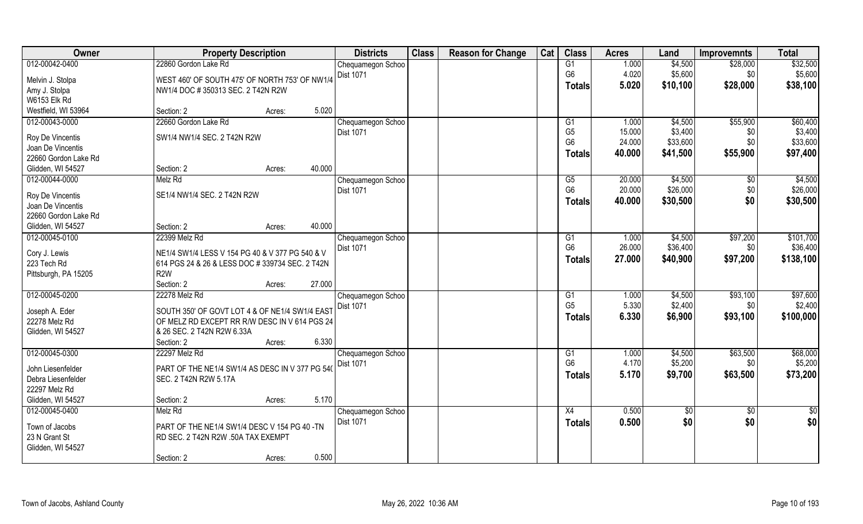| <b>Owner</b>                 | <b>Property Description</b>                     | <b>Districts</b>  | <b>Class</b> | <b>Reason for Change</b> | Cat | <b>Class</b>   | <b>Acres</b> | Land            | <b>Improvemnts</b> | <b>Total</b>    |
|------------------------------|-------------------------------------------------|-------------------|--------------|--------------------------|-----|----------------|--------------|-----------------|--------------------|-----------------|
| 012-00042-0400               | 22860 Gordon Lake Rd                            | Chequamegon Schoo |              |                          |     | G1             | 1.000        | \$4,500         | \$28,000           | \$32,500        |
| Melvin J. Stolpa             | WEST 460' OF SOUTH 475' OF NORTH 753' OF NW1/4  | Dist 1071         |              |                          |     | G <sub>6</sub> | 4.020        | \$5,600         | \$0                | \$5,600         |
| Amy J. Stolpa                | NW1/4 DOC #350313 SEC. 2 T42N R2W               |                   |              |                          |     | <b>Totals</b>  | 5.020        | \$10,100        | \$28,000           | \$38,100        |
| W6153 Elk Rd                 |                                                 |                   |              |                          |     |                |              |                 |                    |                 |
| Westfield, WI 53964          | 5.020<br>Section: 2<br>Acres:                   |                   |              |                          |     |                |              |                 |                    |                 |
| 012-00043-0000               | 22660 Gordon Lake Rd                            | Chequamegon Schoo |              |                          |     | G <sub>1</sub> | 1.000        | \$4,500         | \$55,900           | \$60,400        |
|                              |                                                 | Dist 1071         |              |                          |     | G <sub>5</sub> | 15.000       | \$3,400         | \$0                | \$3,400         |
| Roy De Vincentis             | SW1/4 NW1/4 SEC. 2 T42N R2W                     |                   |              |                          |     | G <sub>6</sub> | 24.000       | \$33,600        | \$0                | \$33,600        |
| Joan De Vincentis            |                                                 |                   |              |                          |     | <b>Totals</b>  | 40.000       | \$41,500        | \$55,900           | \$97,400        |
| 22660 Gordon Lake Rd         |                                                 |                   |              |                          |     |                |              |                 |                    |                 |
| Glidden, WI 54527            | 40.000<br>Section: 2<br>Acres:                  |                   |              |                          |     |                |              |                 |                    |                 |
| 012-00044-0000               | Melz Rd                                         | Chequamegon Schoo |              |                          |     | G5             | 20.000       | \$4,500         | \$0                | \$4,500         |
| Roy De Vincentis             | SE1/4 NW1/4 SEC. 2 T42N R2W                     | Dist 1071         |              |                          |     | G <sub>6</sub> | 20.000       | \$26,000        | \$0                | \$26,000        |
| Joan De Vincentis            |                                                 |                   |              |                          |     | <b>Totals</b>  | 40.000       | \$30,500        | \$0                | \$30,500        |
| 22660 Gordon Lake Rd         |                                                 |                   |              |                          |     |                |              |                 |                    |                 |
| Glidden, WI 54527            | 40.000<br>Section: 2<br>Acres:                  |                   |              |                          |     |                |              |                 |                    |                 |
| 012-00045-0100               | 22399 Melz Rd                                   | Chequamegon Schoo |              |                          |     | G1             | 1.000        | \$4,500         | \$97,200           | \$101,700       |
|                              | NE1/4 SW1/4 LESS V 154 PG 40 & V 377 PG 540 & V | Dist 1071         |              |                          |     | G <sub>6</sub> | 26.000       | \$36,400        | \$0                | \$36,400        |
| Cory J. Lewis<br>223 Tech Rd | 614 PGS 24 & 26 & LESS DOC # 339734 SEC. 2 T42N |                   |              |                          |     | <b>Totals</b>  | 27.000       | \$40,900        | \$97,200           | \$138,100       |
| Pittsburgh, PA 15205         | R2W                                             |                   |              |                          |     |                |              |                 |                    |                 |
|                              | 27.000<br>Section: 2<br>Acres:                  |                   |              |                          |     |                |              |                 |                    |                 |
| 012-00045-0200               | 22278 Melz Rd                                   | Chequamegon Schoo |              |                          |     | G1             | 1.000        | \$4,500         | \$93,100           | \$97,600        |
|                              |                                                 | Dist 1071         |              |                          |     | G <sub>5</sub> | 5.330        | \$2,400         | \$0                | \$2,400         |
| Joseph A. Eder               | SOUTH 350' OF GOVT LOT 4 & OF NE1/4 SW1/4 EAS'  |                   |              |                          |     | <b>Totals</b>  | 6.330        | \$6,900         | \$93,100           | \$100,000       |
| 22278 Melz Rd                | OF MELZ RD EXCEPT RR R/W DESC IN V 614 PGS 24   |                   |              |                          |     |                |              |                 |                    |                 |
| Glidden, WI 54527            | & 26 SEC. 2 T42N R2W 6.33A                      |                   |              |                          |     |                |              |                 |                    |                 |
|                              | 6.330<br>Section: 2<br>Acres:                   |                   |              |                          |     |                |              |                 |                    |                 |
| 012-00045-0300               | 22297 Melz Rd                                   | Chequamegon Schoo |              |                          |     | G1             | 1.000        | \$4,500         | \$63,500           | \$68,000        |
| John Liesenfelder            | PART OF THE NE1/4 SW1/4 AS DESC IN V 377 PG 540 | Dist 1071         |              |                          |     | G <sub>6</sub> | 4.170        | \$5,200         | \$0                | \$5,200         |
| Debra Liesenfelder           | SEC. 2 T42N R2W 5.17A                           |                   |              |                          |     | <b>Totals</b>  | 5.170        | \$9,700         | \$63,500           | \$73,200        |
| 22297 Melz Rd                |                                                 |                   |              |                          |     |                |              |                 |                    |                 |
| Glidden, WI 54527            | 5.170<br>Section: 2<br>Acres:                   |                   |              |                          |     |                |              |                 |                    |                 |
| 012-00045-0400               | Melz Rd                                         | Chequamegon Schoo |              |                          |     | X4             | 0.500        | $\overline{50}$ | $\overline{50}$    | $\overline{50}$ |
|                              |                                                 | <b>Dist 1071</b>  |              |                          |     | <b>Totals</b>  | 0.500        | \$0             | \$0                | \$0             |
| Town of Jacobs               | PART OF THE NE1/4 SW1/4 DESC V 154 PG 40 -TN    |                   |              |                          |     |                |              |                 |                    |                 |
| 23 N Grant St                | RD SEC. 2 T42N R2W .50A TAX EXEMPT              |                   |              |                          |     |                |              |                 |                    |                 |
| Glidden, WI 54527            | 0.500                                           |                   |              |                          |     |                |              |                 |                    |                 |
|                              | Section: 2<br>Acres:                            |                   |              |                          |     |                |              |                 |                    |                 |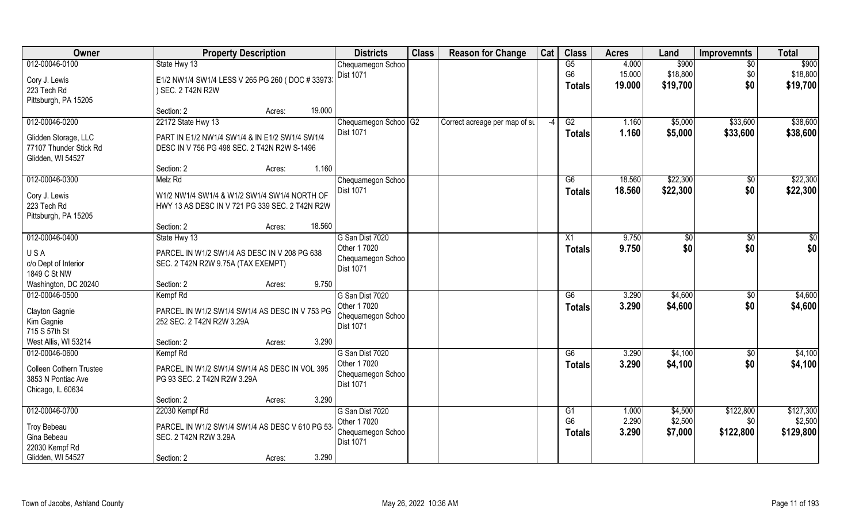| Owner                          | <b>Property Description</b>                      | <b>Districts</b>     | <b>Class</b> | <b>Reason for Change</b>      | Cat | <b>Class</b>    | <b>Acres</b> | Land     | <b>Improvemnts</b> | <b>Total</b>  |
|--------------------------------|--------------------------------------------------|----------------------|--------------|-------------------------------|-----|-----------------|--------------|----------|--------------------|---------------|
| 012-00046-0100                 | State Hwy 13                                     | Chequamegon Schoo    |              |                               |     | G5              | 4.000        | \$900    | $\frac{1}{30}$     | \$900         |
| Cory J. Lewis                  | E1/2 NW1/4 SW1/4 LESS V 265 PG 260 (DOC # 33973) | Dist 1071            |              |                               |     | G <sub>6</sub>  | 15.000       | \$18,800 | \$0                | \$18,800      |
| 223 Tech Rd                    | SEC. 2 T42N R2W                                  |                      |              |                               |     | <b>Totals</b>   | 19.000       | \$19,700 | \$0                | \$19,700      |
| Pittsburgh, PA 15205           |                                                  |                      |              |                               |     |                 |              |          |                    |               |
|                                | 19.000<br>Section: 2<br>Acres:                   |                      |              |                               |     |                 |              |          |                    |               |
| 012-00046-0200                 | 22172 State Hwy 13                               | Chequamegon Schoo G2 |              | Correct acreage per map of su | -4  | G2              | 1.160        | \$5,000  | \$33,600           | \$38,600      |
| Glidden Storage, LLC           | PART IN E1/2 NW1/4 SW1/4 & IN E1/2 SW1/4 SW1/4   | Dist 1071            |              |                               |     | <b>Totals</b>   | 1.160        | \$5,000  | \$33,600           | \$38,600      |
| 77107 Thunder Stick Rd         | DESC IN V 756 PG 498 SEC. 2 T42N R2W S-1496      |                      |              |                               |     |                 |              |          |                    |               |
| Glidden, WI 54527              |                                                  |                      |              |                               |     |                 |              |          |                    |               |
|                                | 1.160<br>Section: 2<br>Acres:                    |                      |              |                               |     |                 |              |          |                    |               |
| 012-00046-0300                 | Melz Rd                                          | Chequamegon Schoo    |              |                               |     | G6              | 18.560       | \$22,300 | \$0                | \$22,300      |
| Cory J. Lewis                  | W1/2 NW1/4 SW1/4 & W1/2 SW1/4 SW1/4 NORTH OF     | Dist 1071            |              |                               |     | <b>Totals</b>   | 18.560       | \$22,300 | \$0                | \$22,300      |
| 223 Tech Rd                    | HWY 13 AS DESC IN V 721 PG 339 SEC. 2 T42N R2W   |                      |              |                               |     |                 |              |          |                    |               |
| Pittsburgh, PA 15205           |                                                  |                      |              |                               |     |                 |              |          |                    |               |
|                                | 18.560<br>Section: 2<br>Acres:                   |                      |              |                               |     |                 |              |          |                    |               |
| 012-00046-0400                 | State Hwy 13                                     | G San Dist 7020      |              |                               |     | X1              | 9.750        | \$0      | \$                 | $\frac{6}{3}$ |
| USA                            | PARCEL IN W1/2 SW1/4 AS DESC IN V 208 PG 638     | Other 1 7020         |              |                               |     | <b>Totals</b>   | 9.750        | \$0      | \$0                | \$0           |
| c/o Dept of Interior           | SEC. 2 T42N R2W 9.75A (TAX EXEMPT)               | Chequamegon Schoo    |              |                               |     |                 |              |          |                    |               |
| 1849 C St NW                   |                                                  | Dist 1071            |              |                               |     |                 |              |          |                    |               |
| Washington, DC 20240           | 9.750<br>Section: 2<br>Acres:                    |                      |              |                               |     |                 |              |          |                    |               |
| 012-00046-0500                 | Kempf Rd                                         | G San Dist 7020      |              |                               |     | $\overline{G6}$ | 3.290        | \$4,600  | \$0                | \$4,600       |
| Clayton Gagnie                 | PARCEL IN W1/2 SW1/4 SW1/4 AS DESC IN V 753 PG   | Other 1 7020         |              |                               |     | <b>Totals</b>   | 3.290        | \$4,600  | \$0                | \$4,600       |
| Kim Gagnie                     | 252 SEC. 2 T42N R2W 3.29A                        | Chequamegon Schoo    |              |                               |     |                 |              |          |                    |               |
| 715 S 57th St                  |                                                  | Dist 1071            |              |                               |     |                 |              |          |                    |               |
| West Allis, WI 53214           | 3.290<br>Section: 2<br>Acres:                    |                      |              |                               |     |                 |              |          |                    |               |
| 012-00046-0600                 | Kempf Rd                                         | G San Dist 7020      |              |                               |     | G6              | 3.290        | \$4,100  | \$0                | \$4,100       |
| <b>Colleen Cothern Trustee</b> | PARCEL IN W1/2 SW1/4 SW1/4 AS DESC IN VOL 395    | Other 1 7020         |              |                               |     | <b>Totals</b>   | 3.290        | \$4,100  | \$0                | \$4,100       |
| 3853 N Pontiac Ave             | PG 93 SEC. 2 T42N R2W 3.29A                      | Chequamegon Schoo    |              |                               |     |                 |              |          |                    |               |
| Chicago, IL 60634              |                                                  | Dist 1071            |              |                               |     |                 |              |          |                    |               |
|                                | 3.290<br>Section: 2<br>Acres:                    |                      |              |                               |     |                 |              |          |                    |               |
| 012-00046-0700                 | 22030 Kempf Rd                                   | G San Dist 7020      |              |                               |     | G1              | 1.000        | \$4,500  | \$122,800          | \$127,300     |
| <b>Troy Bebeau</b>             | PARCEL IN W1/2 SW1/4 SW1/4 AS DESC V 610 PG 53   | Other 1 7020         |              |                               |     | G <sub>6</sub>  | 2.290        | \$2,500  | \$0 <sub>2</sub>   | \$2,500       |
| Gina Bebeau                    | SEC. 2 T42N R2W 3.29A                            | Chequamegon Schoo    |              |                               |     | Totals          | 3.290        | \$7,000  | \$122,800          | \$129,800     |
| 22030 Kempf Rd                 |                                                  | <b>Dist 1071</b>     |              |                               |     |                 |              |          |                    |               |
| Glidden, WI 54527              | 3.290<br>Section: 2<br>Acres:                    |                      |              |                               |     |                 |              |          |                    |               |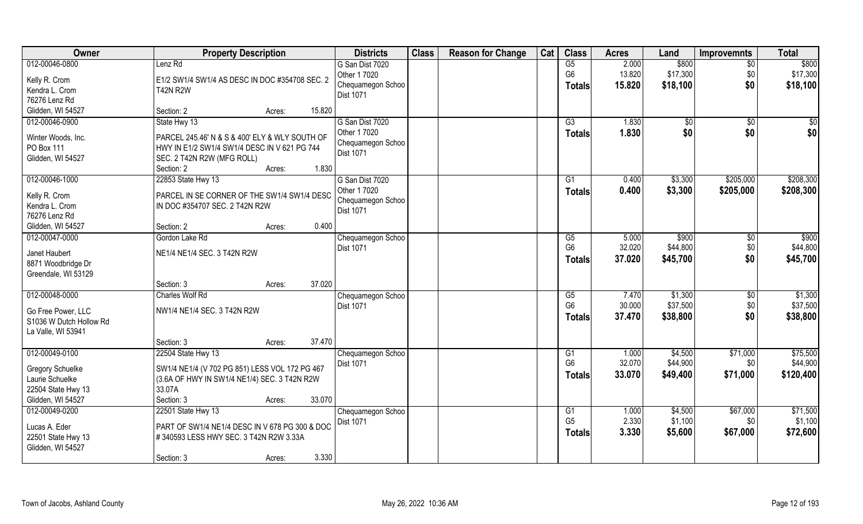| Owner                                                                                 | <b>Property Description</b>                                                                                                      |        | <b>Districts</b>                                     | <b>Class</b> | <b>Reason for Change</b> | Cat | <b>Class</b>                                       | <b>Acres</b>              | Land                            | <b>Improvemnts</b>           | <b>Total</b>                    |
|---------------------------------------------------------------------------------------|----------------------------------------------------------------------------------------------------------------------------------|--------|------------------------------------------------------|--------------|--------------------------|-----|----------------------------------------------------|---------------------------|---------------------------------|------------------------------|---------------------------------|
| 012-00046-0800<br>Kelly R. Crom<br>Kendra L. Crom                                     | Lenz Rd<br>E1/2 SW1/4 SW1/4 AS DESC IN DOC #354708 SEC. 2<br><b>T42N R2W</b>                                                     |        | G San Dist 7020<br>Other 1 7020<br>Chequamegon Schoo |              |                          |     | G5<br>G <sub>6</sub><br>Totals                     | 2.000<br>13.820<br>15.820 | \$800<br>\$17,300<br>\$18,100   | $\sqrt{6}$<br>\$0<br>\$0     | \$800<br>\$17,300<br>\$18,100   |
| 76276 Lenz Rd                                                                         |                                                                                                                                  |        | Dist 1071                                            |              |                          |     |                                                    |                           |                                 |                              |                                 |
| Glidden, WI 54527                                                                     | Section: 2<br>Acres:                                                                                                             | 15.820 |                                                      |              |                          |     |                                                    |                           |                                 |                              |                                 |
| 012-00046-0900                                                                        | State Hwy 13                                                                                                                     |        | G San Dist 7020<br>Other 1 7020                      |              |                          |     | $\overline{G3}$<br>Totals                          | 1.830<br>1.830            | \$0<br>\$0                      | \$0<br>\$0                   | $\sqrt{50}$<br>\$0              |
| Winter Woods, Inc.<br>PO Box 111                                                      | PARCEL 245.46' N & S & 400' ELY & WLY SOUTH OF<br>HWY IN E1/2 SW1/4 SW1/4 DESC IN V 621 PG 744                                   |        | Chequamegon Schoo<br><b>Dist 1071</b>                |              |                          |     |                                                    |                           |                                 |                              |                                 |
| Glidden, WI 54527                                                                     | SEC. 2 T42N R2W (MFG ROLL)<br>Section: 2<br>Acres:                                                                               | 1.830  |                                                      |              |                          |     |                                                    |                           |                                 |                              |                                 |
| 012-00046-1000                                                                        | 22853 State Hwy 13                                                                                                               |        | G San Dist 7020                                      |              |                          |     | G1                                                 | 0.400                     | \$3,300                         | \$205,000                    | \$208,300                       |
| Kelly R. Crom<br>Kendra L. Crom<br>76276 Lenz Rd                                      | PARCEL IN SE CORNER OF THE SW1/4 SW1/4 DESC<br>IN DOC #354707 SEC. 2 T42N R2W                                                    |        | Other 1 7020<br>Chequamegon Schoo<br>Dist 1071       |              |                          |     | <b>Totals</b>                                      | 0.400                     | \$3,300                         | \$205,000                    | \$208,300                       |
| Glidden, WI 54527                                                                     | Section: 2<br>Acres:                                                                                                             | 0.400  |                                                      |              |                          |     |                                                    |                           |                                 |                              |                                 |
| 012-00047-0000                                                                        | Gordon Lake Rd                                                                                                                   |        | Chequamegon Schoo                                    |              |                          |     | G5                                                 | 5.000                     | \$900                           | $\sqrt[6]{3}$                | $\overline{$900}$               |
| Janet Haubert<br>8871 Woodbridge Dr<br>Greendale, WI 53129                            | NE1/4 NE1/4 SEC. 3 T42N R2W                                                                                                      |        | Dist 1071                                            |              |                          |     | G <sub>6</sub><br>Totals                           | 32.020<br>37.020          | \$44,800<br>\$45,700            | \$0<br>\$0                   | \$44,800<br>\$45,700            |
|                                                                                       | Section: 3<br>Acres:                                                                                                             | 37.020 |                                                      |              |                          |     |                                                    |                           |                                 |                              |                                 |
| 012-00048-0000<br>Go Free Power, LLC<br>S1036 W Dutch Hollow Rd                       | <b>Charles Wolf Rd</b><br>NW1/4 NE1/4 SEC. 3 T42N R2W                                                                            |        | Chequamegon Schoo<br>Dist 1071                       |              |                          |     | $\overline{\text{G5}}$<br>G <sub>6</sub><br>Totals | 7.470<br>30.000<br>37.470 | \$1,300<br>\$37,500<br>\$38,800 | $\sqrt[6]{30}$<br>\$0<br>\$0 | \$1,300<br>\$37,500<br>\$38,800 |
| La Valle, WI 53941                                                                    |                                                                                                                                  |        |                                                      |              |                          |     |                                                    |                           |                                 |                              |                                 |
|                                                                                       | Section: 3<br>Acres:                                                                                                             | 37.470 |                                                      |              |                          |     |                                                    |                           |                                 |                              |                                 |
| 012-00049-0100                                                                        | 22504 State Hwy 13                                                                                                               |        | Chequamegon Schoo                                    |              |                          |     | G1                                                 | 1.000                     | \$4,500                         | \$71,000                     | \$75,500                        |
| <b>Gregory Schuelke</b><br>Laurie Schuelke<br>22504 State Hwy 13<br>Glidden, WI 54527 | SW1/4 NE1/4 (V 702 PG 851) LESS VOL 172 PG 467<br>(3.6A OF HWY IN SW1/4 NE1/4) SEC. 3 T42N R2W<br>33.07A<br>Section: 3<br>Acres: | 33.070 | <b>Dist 1071</b>                                     |              |                          |     | G <sub>6</sub><br><b>Totals</b>                    | 32.070<br>33.070          | \$44,900<br>\$49,400            | \$0<br>\$71,000              | \$44,900<br>\$120,400           |
| 012-00049-0200                                                                        | 22501 State Hwy 13                                                                                                               |        | Chequamegon Schoo                                    |              |                          |     | G1                                                 | 1.000                     | \$4,500                         | \$67,000                     | \$71,500                        |
| Lucas A. Eder<br>22501 State Hwy 13<br>Glidden, WI 54527                              | PART OF SW1/4 NE1/4 DESC IN V 678 PG 300 & DOC<br>#340593 LESS HWY SEC. 3 T42N R2W 3.33A<br>Section: 3<br>Acres:                 | 3.330  | <b>Dist 1071</b>                                     |              |                          |     | G <sub>5</sub><br><b>Totals</b>                    | 2.330<br>3.330            | \$1,100<br>\$5,600              | \$0<br>\$67,000              | \$1,100<br>\$72,600             |
|                                                                                       |                                                                                                                                  |        |                                                      |              |                          |     |                                                    |                           |                                 |                              |                                 |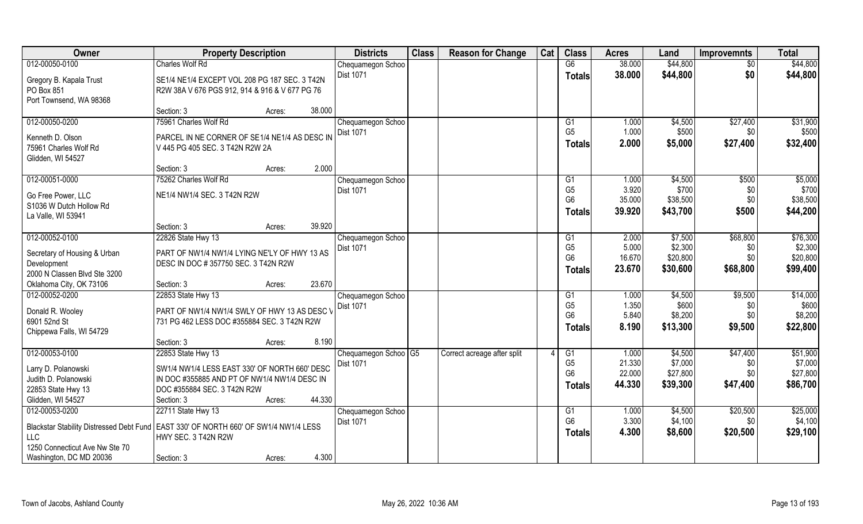| Owner                                                                                                                                                                               | <b>Property Description</b>                                                                                                                        |        |        | <b>Districts</b>                               | <b>Class</b> | <b>Reason for Change</b>    | Cat | <b>Class</b>                                      | <b>Acres</b>                        | Land                                       | <b>Improvemnts</b>                 | <b>Total</b>                                |
|-------------------------------------------------------------------------------------------------------------------------------------------------------------------------------------|----------------------------------------------------------------------------------------------------------------------------------------------------|--------|--------|------------------------------------------------|--------------|-----------------------------|-----|---------------------------------------------------|-------------------------------------|--------------------------------------------|------------------------------------|---------------------------------------------|
| 012-00050-0100                                                                                                                                                                      | <b>Charles Wolf Rd</b>                                                                                                                             |        |        | Chequamegon Schoo                              |              |                             |     | G6                                                | 38.000                              | \$44,800                                   | \$0                                | \$44,800                                    |
| Gregory B. Kapala Trust<br>PO Box 851<br>Port Townsend, WA 98368                                                                                                                    | SE1/4 NE1/4 EXCEPT VOL 208 PG 187 SEC. 3 T42N<br>R2W 38A V 676 PGS 912, 914 & 916 & V 677 PG 76                                                    |        |        | <b>Dist 1071</b>                               |              |                             |     | <b>Totals</b>                                     | 38.000                              | \$44,800                                   | \$0                                | \$44,800                                    |
|                                                                                                                                                                                     | Section: 3                                                                                                                                         | Acres: | 38.000 |                                                |              |                             |     |                                                   |                                     |                                            |                                    |                                             |
| 012-00050-0200                                                                                                                                                                      | 75961 Charles Wolf Rd                                                                                                                              |        |        | Chequamegon Schoo                              |              |                             |     | G1                                                | 1.000                               | \$4,500                                    | \$27,400                           | \$31,900                                    |
| Kenneth D. Olson<br>75961 Charles Wolf Rd<br>Glidden, WI 54527                                                                                                                      | PARCEL IN NE CORNER OF SE1/4 NE1/4 AS DESC IN<br>V 445 PG 405 SEC. 3 T42N R2W 2A                                                                   |        |        | Dist 1071                                      |              |                             |     | G <sub>5</sub><br><b>Totals</b>                   | 1.000<br>2.000                      | \$500<br>\$5,000                           | \$0<br>\$27,400                    | \$500<br>\$32,400                           |
|                                                                                                                                                                                     | Section: 3                                                                                                                                         | Acres: | 2.000  |                                                |              |                             |     |                                                   |                                     |                                            |                                    |                                             |
| 012-00051-0000                                                                                                                                                                      | 75262 Charles Wolf Rd                                                                                                                              |        |        | Chequamegon Schoo                              |              |                             |     | G1                                                | 1.000                               | \$4,500                                    | \$500                              | \$5,000                                     |
| Go Free Power, LLC<br>S1036 W Dutch Hollow Rd<br>La Valle, WI 53941                                                                                                                 | NE1/4 NW1/4 SEC. 3 T42N R2W                                                                                                                        |        |        | Dist 1071                                      |              |                             |     | G <sub>5</sub><br>G <sub>6</sub><br>Totals        | 3.920<br>35.000<br>39.920           | \$700<br>\$38,500<br>\$43,700              | \$0<br>\$0<br>\$500                | \$700<br>\$38,500<br>\$44,200               |
|                                                                                                                                                                                     | Section: 3                                                                                                                                         | Acres: | 39.920 |                                                |              |                             |     |                                                   |                                     |                                            |                                    |                                             |
| 012-00052-0100                                                                                                                                                                      | 22826 State Hwy 13                                                                                                                                 |        |        | Chequamegon Schoo                              |              |                             |     | G1                                                | 2.000                               | \$7,500                                    | \$68,800                           | \$76,300                                    |
| Secretary of Housing & Urban<br>Development<br>2000 N Classen Blvd Ste 3200                                                                                                         | PART OF NW1/4 NW1/4 LYING NE'LY OF HWY 13 AS<br>DESC IN DOC # 357750 SEC. 3 T42N R2W                                                               |        |        | Dist 1071                                      |              |                             |     | G <sub>5</sub><br>G <sub>6</sub><br><b>Totals</b> | 5.000<br>16.670<br>23.670           | \$2,300<br>\$20,800<br>\$30,600            | \$0<br>\$0<br>\$68,800             | \$2,300<br>\$20,800<br>\$99,400             |
| Oklahoma City, OK 73106                                                                                                                                                             | Section: 3                                                                                                                                         | Acres: | 23.670 |                                                |              |                             |     |                                                   |                                     |                                            |                                    |                                             |
| 012-00052-0200                                                                                                                                                                      | 22853 State Hwy 13                                                                                                                                 |        |        | Chequamegon Schoo                              |              |                             |     | G1                                                | 1.000                               | \$4,500                                    | \$9,500                            | \$14,000                                    |
| Donald R. Wooley<br>6901 52nd St<br>Chippewa Falls, WI 54729                                                                                                                        | PART OF NW1/4 NW1/4 SWLY OF HWY 13 AS DESC V<br>731 PG 462 LESS DOC #355884 SEC. 3 T42N R2W                                                        |        |        | Dist 1071                                      |              |                             |     | G <sub>5</sub><br>G <sub>6</sub><br><b>Totals</b> | 1.350<br>5.840<br>8.190             | \$600<br>\$8,200<br>\$13,300               | \$0<br>\$0<br>\$9,500              | \$600<br>\$8,200<br>\$22,800                |
|                                                                                                                                                                                     | Section: 3                                                                                                                                         | Acres: | 8.190  |                                                |              |                             |     |                                                   |                                     |                                            |                                    |                                             |
| 012-00053-0100<br>Larry D. Polanowski<br>Judith D. Polanowski<br>22853 State Hwy 13                                                                                                 | 22853 State Hwy 13<br>SW1/4 NW1/4 LESS EAST 330' OF NORTH 660' DESC<br>IN DOC #355885 AND PT OF NW1/4 NW1/4 DESC IN<br>DOC #355884 SEC. 3 T42N R2W |        |        | Chequamegon Schoo <sup>1</sup> G5<br>Dist 1071 |              | Correct acreage after split |     | G1<br>G <sub>5</sub><br>G <sub>6</sub><br>Totals  | 1.000<br>21.330<br>22.000<br>44.330 | \$4,500<br>\$7,000<br>\$27,800<br>\$39,300 | \$47,400<br>\$0<br>\$0<br>\$47,400 | \$51,900<br>\$7,000<br>\$27,800<br>\$86,700 |
| Glidden, WI 54527                                                                                                                                                                   | Section: 3                                                                                                                                         | Acres: | 44.330 |                                                |              |                             |     |                                                   |                                     |                                            |                                    |                                             |
| 012-00053-0200<br>Blackstar Stability Distressed Debt Fund   EAST 330' OF NORTH 660' OF SW1/4 NW1/4 LESS<br><b>LLC</b><br>1250 Connecticut Ave Nw Ste 70<br>Washington, DC MD 20036 | 22711 State Hwy 13<br>HWY SEC. 3 T42N R2W                                                                                                          |        | 4.300  | Chequamegon Schoo<br>Dist 1071                 |              |                             |     | G1<br>G <sub>6</sub><br><b>Totals</b>             | 1.000<br>3.300<br>4.300             | \$4,500<br>\$4,100<br>\$8,600              | \$20,500<br>\$0<br>\$20,500        | \$25,000<br>\$4,100<br>\$29,100             |
|                                                                                                                                                                                     | Section: 3                                                                                                                                         | Acres: |        |                                                |              |                             |     |                                                   |                                     |                                            |                                    |                                             |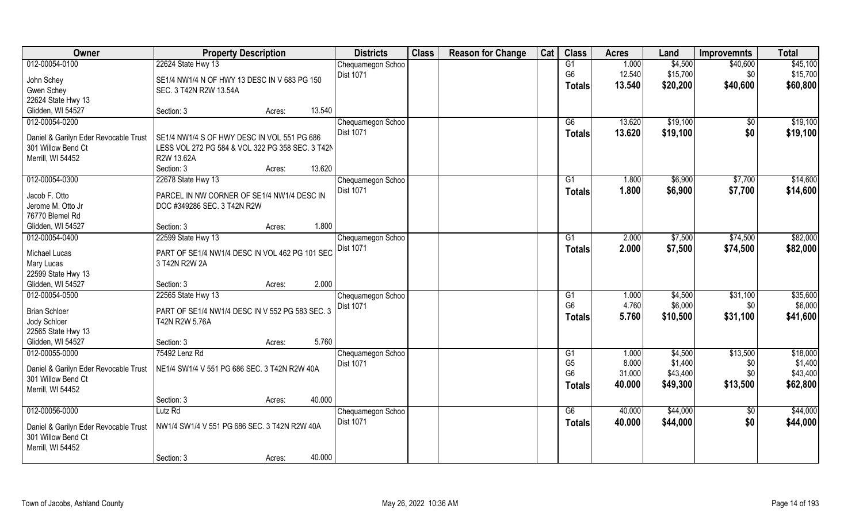| Owner                                 | <b>Property Description</b>                      |        |        | <b>Districts</b>  | <b>Class</b> | <b>Reason for Change</b> | Cat | <b>Class</b>         | <b>Acres</b>   | Land                | <b>Improvemnts</b> | <b>Total</b>        |
|---------------------------------------|--------------------------------------------------|--------|--------|-------------------|--------------|--------------------------|-----|----------------------|----------------|---------------------|--------------------|---------------------|
| 012-00054-0100                        | 22624 State Hwy 13                               |        |        | Chequamegon Schoo |              |                          |     | G1                   | 1.000          | \$4,500             | \$40,600           | \$45,100            |
| John Schey                            | SE1/4 NW1/4 N OF HWY 13 DESC IN V 683 PG 150     |        |        | <b>Dist 1071</b>  |              |                          |     | G <sub>6</sub>       | 12.540         | \$15,700            | \$0                | \$15,700            |
| Gwen Schey                            | SEC. 3 T42N R2W 13.54A                           |        |        |                   |              |                          |     | <b>Totals</b>        | 13.540         | \$20,200            | \$40,600           | \$60,800            |
| 22624 State Hwy 13                    |                                                  |        |        |                   |              |                          |     |                      |                |                     |                    |                     |
| Glidden, WI 54527                     | Section: 3                                       | Acres: | 13.540 |                   |              |                          |     |                      |                |                     |                    |                     |
| 012-00054-0200                        |                                                  |        |        | Chequamegon Schoo |              |                          |     | G6                   | 13.620         | \$19,100            | $\sqrt{6}$         | \$19,100            |
| Daniel & Garilyn Eder Revocable Trust | SE1/4 NW1/4 S OF HWY DESC IN VOL 551 PG 686      |        |        | <b>Dist 1071</b>  |              |                          |     | Totals               | 13.620         | \$19,100            | \$0                | \$19,100            |
| 301 Willow Bend Ct                    | LESS VOL 272 PG 584 & VOL 322 PG 358 SEC. 3 T42N |        |        |                   |              |                          |     |                      |                |                     |                    |                     |
| Merrill, WI 54452                     | R2W 13.62A                                       |        |        |                   |              |                          |     |                      |                |                     |                    |                     |
|                                       | Section: 3                                       | Acres: | 13.620 |                   |              |                          |     |                      |                |                     |                    |                     |
| 012-00054-0300                        | 22678 State Hwy 13                               |        |        | Chequamegon Schoo |              |                          |     | G1                   | 1.800          | \$6,900             | \$7,700            | \$14,600            |
|                                       |                                                  |        |        | Dist 1071         |              |                          |     | <b>Totals</b>        | 1.800          | \$6,900             | \$7,700            | \$14,600            |
| Jacob F. Otto                         | PARCEL IN NW CORNER OF SE1/4 NW1/4 DESC IN       |        |        |                   |              |                          |     |                      |                |                     |                    |                     |
| Jerome M. Otto Jr<br>76770 Blemel Rd  | DOC #349286 SEC. 3 T42N R2W                      |        |        |                   |              |                          |     |                      |                |                     |                    |                     |
| Glidden, WI 54527                     | Section: 3                                       | Acres: | 1.800  |                   |              |                          |     |                      |                |                     |                    |                     |
| 012-00054-0400                        | 22599 State Hwy 13                               |        |        | Chequamegon Schoo |              |                          |     | G1                   | 2.000          | \$7,500             | \$74,500           | \$82,000            |
|                                       |                                                  |        |        | Dist 1071         |              |                          |     | Totals               | 2.000          | \$7,500             | \$74,500           | \$82,000            |
| Michael Lucas                         | PART OF SE1/4 NW1/4 DESC IN VOL 462 PG 101 SEC   |        |        |                   |              |                          |     |                      |                |                     |                    |                     |
| Mary Lucas                            | 3 T42N R2W 2A                                    |        |        |                   |              |                          |     |                      |                |                     |                    |                     |
| 22599 State Hwy 13                    |                                                  |        |        |                   |              |                          |     |                      |                |                     |                    |                     |
| Glidden, WI 54527                     | Section: 3                                       | Acres: | 2.000  |                   |              |                          |     |                      |                |                     |                    |                     |
| 012-00054-0500                        | 22565 State Hwy 13                               |        |        | Chequamegon Schoo |              |                          |     | G1<br>G <sub>6</sub> | 1.000          | \$4,500             | \$31,100           | \$35,600            |
| <b>Brian Schloer</b>                  | PART OF SE1/4 NW1/4 DESC IN V 552 PG 583 SEC. 3  |        |        | <b>Dist 1071</b>  |              |                          |     |                      | 4.760<br>5.760 | \$6,000<br>\$10,500 | \$0                | \$6,000<br>\$41,600 |
| Jody Schloer                          | T42N R2W 5.76A                                   |        |        |                   |              |                          |     | Totals               |                |                     | \$31,100           |                     |
| 22565 State Hwy 13                    |                                                  |        |        |                   |              |                          |     |                      |                |                     |                    |                     |
| Glidden, WI 54527                     | Section: 3                                       | Acres: | 5.760  |                   |              |                          |     |                      |                |                     |                    |                     |
| 012-00055-0000                        | 75492 Lenz Rd                                    |        |        | Chequamegon Schoo |              |                          |     | G1                   | 1.000          | \$4,500             | \$13,500           | \$18,000            |
| Daniel & Garilyn Eder Revocable Trust | NE1/4 SW1/4 V 551 PG 686 SEC. 3 T42N R2W 40A     |        |        | Dist 1071         |              |                          |     | G <sub>5</sub>       | 8.000          | \$1,400             | \$0                | \$1,400             |
| 301 Willow Bend Ct                    |                                                  |        |        |                   |              |                          |     | G <sub>6</sub>       | 31.000         | \$43,400            | \$0\$              | \$43,400            |
| Merrill, WI 54452                     |                                                  |        |        |                   |              |                          |     | <b>Totals</b>        | 40.000         | \$49,300            | \$13,500           | \$62,800            |
|                                       | Section: 3                                       | Acres: | 40.000 |                   |              |                          |     |                      |                |                     |                    |                     |
| 012-00056-0000                        | Lutz Rd                                          |        |        | Chequamegon Schoo |              |                          |     | G6                   | 40.000         | \$44,000            | $\sqrt{6}$         | \$44,000            |
| Daniel & Garilyn Eder Revocable Trust | NW1/4 SW1/4 V 551 PG 686 SEC. 3 T42N R2W 40A     |        |        | <b>Dist 1071</b>  |              |                          |     | <b>Totals</b>        | 40.000         | \$44,000            | \$0                | \$44,000            |
| 301 Willow Bend Ct                    |                                                  |        |        |                   |              |                          |     |                      |                |                     |                    |                     |
| Merrill, WI 54452                     |                                                  |        |        |                   |              |                          |     |                      |                |                     |                    |                     |
|                                       | Section: 3                                       | Acres: | 40.000 |                   |              |                          |     |                      |                |                     |                    |                     |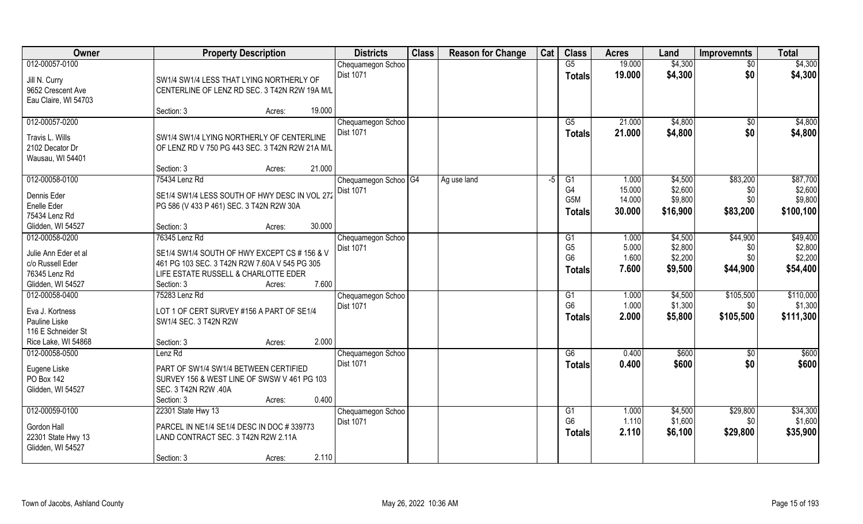| Owner                                                                                           | <b>Property Description</b>                                                                                                                                            | <b>Districts</b>                           | <b>Class</b> | <b>Reason for Change</b> | Cat | <b>Class</b>                                              | <b>Acres</b>                        | Land                                      | <b>Improvemnts</b>                 | <b>Total</b>                                |
|-------------------------------------------------------------------------------------------------|------------------------------------------------------------------------------------------------------------------------------------------------------------------------|--------------------------------------------|--------------|--------------------------|-----|-----------------------------------------------------------|-------------------------------------|-------------------------------------------|------------------------------------|---------------------------------------------|
| 012-00057-0100                                                                                  |                                                                                                                                                                        | Chequamegon Schoo                          |              |                          |     | G5                                                        | 19.000                              | \$4,300                                   | $\overline{50}$                    | \$4,300                                     |
| Jill N. Curry<br>9652 Crescent Ave<br>Eau Claire, WI 54703                                      | SW1/4 SW1/4 LESS THAT LYING NORTHERLY OF<br>CENTERLINE OF LENZ RD SEC. 3 T42N R2W 19A M/L                                                                              | <b>Dist 1071</b>                           |              |                          |     | <b>Totals</b>                                             | 19.000                              | \$4,300                                   | \$0                                | \$4,300                                     |
|                                                                                                 | 19.000<br>Section: 3<br>Acres:                                                                                                                                         |                                            |              |                          |     |                                                           |                                     |                                           |                                    |                                             |
| 012-00057-0200<br>Travis L. Wills<br>2102 Decator Dr<br>Wausau, WI 54401                        | SW1/4 SW1/4 LYING NORTHERLY OF CENTERLINE<br>OF LENZ RD V 750 PG 443 SEC. 3 T42N R2W 21A M/L                                                                           | Chequamegon Schoo<br><b>Dist 1071</b>      |              |                          |     | G5<br><b>Totals</b>                                       | 21.000<br>21.000                    | \$4,800<br>\$4,800                        | $\overline{50}$<br>\$0             | \$4,800<br>\$4,800                          |
|                                                                                                 | 21.000<br>Section: 3<br>Acres:                                                                                                                                         |                                            |              |                          |     |                                                           |                                     |                                           |                                    |                                             |
| 012-00058-0100<br>Dennis Eder<br>Enelle Eder<br>75434 Lenz Rd<br>Glidden, WI 54527              | 75434 Lenz Rd<br>SE1/4 SW1/4 LESS SOUTH OF HWY DESC IN VOL 272<br>PG 586 (V 433 P 461) SEC. 3 T42N R2W 30A<br>30.000<br>Section: 3<br>Acres:                           | Chequamegon Schoo   G4<br><b>Dist 1071</b> |              | Ag use land              | -5  | G1<br>G <sub>4</sub><br>G <sub>5</sub> M<br><b>Totals</b> | 1.000<br>15.000<br>14.000<br>30.000 | \$4,500<br>\$2,600<br>\$9,800<br>\$16,900 | \$83,200<br>\$0<br>\$0<br>\$83,200 | \$87,700<br>\$2,600<br>\$9,800<br>\$100,100 |
| 012-00058-0200                                                                                  | 76345 Lenz Rd                                                                                                                                                          | Chequamegon Schoo                          |              |                          |     | G1                                                        | 1.000                               | \$4,500                                   | \$44,900                           | \$49,400                                    |
| Julie Ann Eder et al<br>c/o Russell Eder<br>76345 Lenz Rd<br>Glidden, WI 54527                  | SE1/4 SW1/4 SOUTH OF HWY EXCEPT CS # 156 & V<br>461 PG 103 SEC. 3 T42N R2W 7.60A V 545 PG 305<br>LIFE ESTATE RUSSELL & CHARLOTTE EDER<br>7.600<br>Section: 3<br>Acres: | Dist 1071                                  |              |                          |     | G <sub>5</sub><br>G <sub>6</sub><br><b>Totals</b>         | 5.000<br>1.600<br>7.600             | \$2,800<br>\$2,200<br>\$9,500             | \$0<br>\$0<br>\$44,900             | \$2,800<br>\$2,200<br>\$54,400              |
| 012-00058-0400<br>Eva J. Kortness<br>Pauline Liske<br>116 E Schneider St<br>Rice Lake, WI 54868 | 75283 Lenz Rd<br>LOT 1 OF CERT SURVEY #156 A PART OF SE1/4<br>SW1/4 SEC. 3 T42N R2W<br>2.000<br>Section: 3<br>Acres:                                                   | Chequamegon Schoo<br>Dist 1071             |              |                          |     | G1<br>G <sub>6</sub><br><b>Totals</b>                     | 1.000<br>1.000<br>2.000             | \$4,500<br>\$1,300<br>\$5,800             | \$105,500<br>\$0<br>\$105,500      | \$110,000<br>\$1,300<br>\$111,300           |
| 012-00058-0500                                                                                  | Lenz Rd                                                                                                                                                                | Chequamegon Schoo                          |              |                          |     | G6                                                        | 0.400                               | \$600                                     | \$0                                | \$600                                       |
| Eugene Liske<br>PO Box 142<br>Glidden, WI 54527                                                 | PART OF SW1/4 SW1/4 BETWEEN CERTIFIED<br>SURVEY 156 & WEST LINE OF SWSW V 461 PG 103<br>SEC. 3 T42N R2W .40A<br>0.400<br>Section: 3<br>Acres:                          | Dist 1071                                  |              |                          |     | <b>Totals</b>                                             | 0.400                               | \$600                                     | \$0                                | \$600                                       |
| 012-00059-0100<br>Gordon Hall<br>22301 State Hwy 13<br>Glidden, WI 54527                        | 22301 State Hwy 13<br>PARCEL IN NE1/4 SE1/4 DESC IN DOC #339773<br>LAND CONTRACT SEC. 3 T42N R2W 2.11A                                                                 | Chequamegon Schoo<br><b>Dist 1071</b>      |              |                          |     | G1<br>G <sub>6</sub><br><b>Totals</b>                     | 1.000<br>1.110<br>2.110             | \$4,500<br>\$1,600<br>\$6,100             | \$29,800<br>\$0<br>\$29,800        | \$34,300<br>\$1,600<br>\$35,900             |
|                                                                                                 | 2.110<br>Section: 3<br>Acres:                                                                                                                                          |                                            |              |                          |     |                                                           |                                     |                                           |                                    |                                             |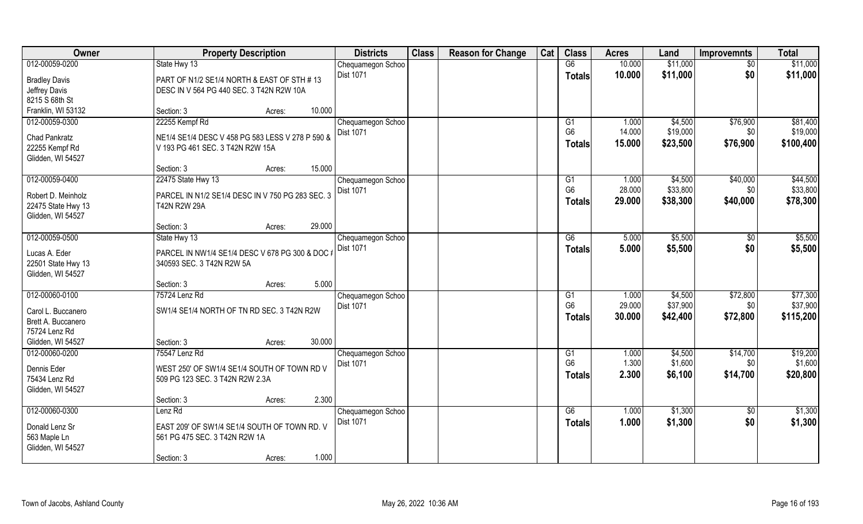| Owner                                   |                                                  | <b>Property Description</b> |        | <b>Districts</b>  | <b>Class</b> | <b>Reason for Change</b> | Cat | <b>Class</b>    | <b>Acres</b> | Land     | <b>Improvemnts</b> | <b>Total</b> |
|-----------------------------------------|--------------------------------------------------|-----------------------------|--------|-------------------|--------------|--------------------------|-----|-----------------|--------------|----------|--------------------|--------------|
| 012-00059-0200                          | State Hwy 13                                     |                             |        | Chequamegon Schoo |              |                          |     | G6              | 10.000       | \$11,000 | $\sqrt{$0}$        | \$11,000     |
| <b>Bradley Davis</b>                    | PART OF N1/2 SE1/4 NORTH & EAST OF STH #13       |                             |        | <b>Dist 1071</b>  |              |                          |     | <b>Totals</b>   | 10.000       | \$11,000 | \$0                | \$11,000     |
| Jeffrey Davis                           | DESC IN V 564 PG 440 SEC. 3 T42N R2W 10A         |                             |        |                   |              |                          |     |                 |              |          |                    |              |
| 8215 S 68th St                          |                                                  |                             |        |                   |              |                          |     |                 |              |          |                    |              |
| Franklin, WI 53132                      | Section: 3                                       | Acres:                      | 10.000 |                   |              |                          |     |                 |              |          |                    |              |
| 012-00059-0300                          | 22255 Kempf Rd                                   |                             |        | Chequamegon Schoo |              |                          |     | G1              | 1.000        | \$4,500  | \$76,900           | \$81,400     |
| Chad Pankratz                           | NE1/4 SE1/4 DESC V 458 PG 583 LESS V 278 P 590 & |                             |        | <b>Dist 1071</b>  |              |                          |     | G <sub>6</sub>  | 14.000       | \$19,000 | \$0                | \$19,000     |
| 22255 Kempf Rd                          | V 193 PG 461 SEC. 3 T42N R2W 15A                 |                             |        |                   |              |                          |     | <b>Totals</b>   | 15.000       | \$23,500 | \$76,900           | \$100,400    |
| Glidden, WI 54527                       |                                                  |                             |        |                   |              |                          |     |                 |              |          |                    |              |
|                                         | Section: 3                                       | Acres:                      | 15.000 |                   |              |                          |     |                 |              |          |                    |              |
| 012-00059-0400                          | 22475 State Hwy 13                               |                             |        | Chequamegon Schoo |              |                          |     | G1              | 1.000        | \$4,500  | \$40,000           | \$44,500     |
| Robert D. Meinholz                      | PARCEL IN N1/2 SE1/4 DESC IN V 750 PG 283 SEC. 3 |                             |        | Dist 1071         |              |                          |     | G <sub>6</sub>  | 28.000       | \$33,800 | \$0                | \$33,800     |
| 22475 State Hwy 13                      | T42N R2W 29A                                     |                             |        |                   |              |                          |     | <b>Totals</b>   | 29.000       | \$38,300 | \$40,000           | \$78,300     |
| Glidden, WI 54527                       |                                                  |                             |        |                   |              |                          |     |                 |              |          |                    |              |
|                                         | Section: 3                                       | Acres:                      | 29.000 |                   |              |                          |     |                 |              |          |                    |              |
| 012-00059-0500                          | State Hwy 13                                     |                             |        | Chequamegon Schoo |              |                          |     | G6              | 5.000        | \$5,500  | \$0                | \$5,500      |
|                                         |                                                  |                             |        | <b>Dist 1071</b>  |              |                          |     | <b>Totals</b>   | 5.000        | \$5,500  | \$0                | \$5,500      |
| Lucas A. Eder                           | PARCEL IN NW1/4 SE1/4 DESC V 678 PG 300 & DOC #  |                             |        |                   |              |                          |     |                 |              |          |                    |              |
| 22501 State Hwy 13<br>Glidden, WI 54527 | 340593 SEC. 3 T42N R2W 5A                        |                             |        |                   |              |                          |     |                 |              |          |                    |              |
|                                         | Section: 3                                       | Acres:                      | 5.000  |                   |              |                          |     |                 |              |          |                    |              |
| 012-00060-0100                          | 75724 Lenz Rd                                    |                             |        | Chequamegon Schoo |              |                          |     | $\overline{G1}$ | 1.000        | \$4,500  | \$72,800           | \$77,300     |
|                                         |                                                  |                             |        | <b>Dist 1071</b>  |              |                          |     | G <sub>6</sub>  | 29.000       | \$37,900 | \$0                | \$37,900     |
| Carol L. Buccanero                      | SW1/4 SE1/4 NORTH OF TN RD SEC. 3 T42N R2W       |                             |        |                   |              |                          |     | Totals          | 30.000       | \$42,400 | \$72,800           | \$115,200    |
| Brett A. Buccanero                      |                                                  |                             |        |                   |              |                          |     |                 |              |          |                    |              |
| 75724 Lenz Rd                           |                                                  |                             |        |                   |              |                          |     |                 |              |          |                    |              |
| Glidden, WI 54527                       | Section: 3                                       | Acres:                      | 30.000 |                   |              |                          |     |                 |              |          |                    |              |
| 012-00060-0200                          | 75547 Lenz Rd                                    |                             |        | Chequamegon Schoo |              |                          |     | G1              | 1.000        | \$4,500  | \$14,700           | \$19,200     |
| Dennis Eder                             | WEST 250' OF SW1/4 SE1/4 SOUTH OF TOWN RD V      |                             |        | Dist 1071         |              |                          |     | G <sub>6</sub>  | 1.300        | \$1,600  | \$0                | \$1,600      |
| 75434 Lenz Rd                           | 509 PG 123 SEC. 3 T42N R2W 2.3A                  |                             |        |                   |              |                          |     | <b>Totals</b>   | 2.300        | \$6,100  | \$14,700           | \$20,800     |
| Glidden, WI 54527                       |                                                  |                             |        |                   |              |                          |     |                 |              |          |                    |              |
|                                         | Section: 3                                       | Acres:                      | 2.300  |                   |              |                          |     |                 |              |          |                    |              |
| 012-00060-0300                          | Lenz Rd                                          |                             |        | Chequamegon Schoo |              |                          |     | G6              | 1.000        | \$1,300  | $\sqrt{$0}$        | \$1,300      |
| Donald Lenz Sr                          | EAST 209' OF SW1/4 SE1/4 SOUTH OF TOWN RD. V     |                             |        | <b>Dist 1071</b>  |              |                          |     | <b>Totals</b>   | 1.000        | \$1,300  | \$0                | \$1,300      |
| 563 Maple Ln                            | 561 PG 475 SEC. 3 T42N R2W 1A                    |                             |        |                   |              |                          |     |                 |              |          |                    |              |
| Glidden, WI 54527                       |                                                  |                             |        |                   |              |                          |     |                 |              |          |                    |              |
|                                         | Section: 3                                       | Acres:                      | 1.000  |                   |              |                          |     |                 |              |          |                    |              |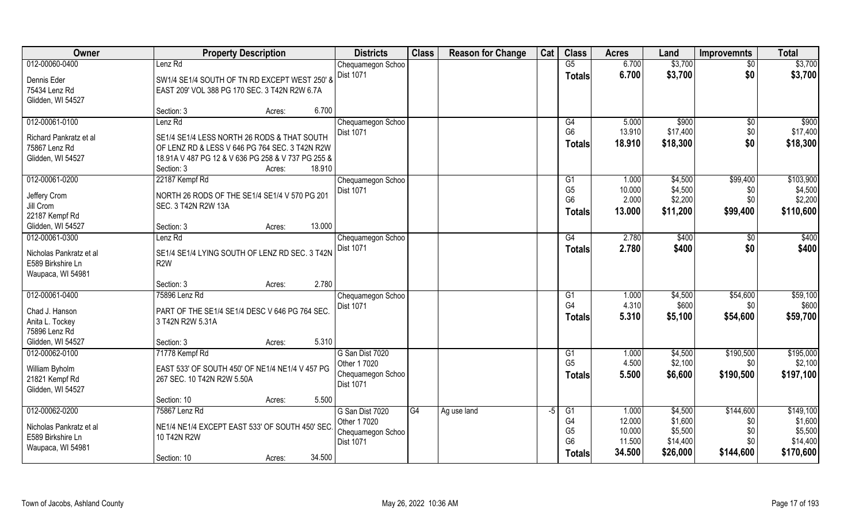| \$3,700<br>Lenz Rd<br>G5<br>6.700<br>\$3,700<br>Chequamegon Schoo<br>$\overline{50}$<br>Dist 1071<br>6.700<br>\$0<br>\$3,700<br>\$3,700<br><b>Totals</b><br>Dennis Eder<br>SW1/4 SE1/4 SOUTH OF TN RD EXCEPT WEST 250' &<br>75434 Lenz Rd<br>EAST 209' VOL 388 PG 170 SEC. 3 T42N R2W 6.7A<br>Glidden, WI 54527<br>6.700<br>Section: 3<br>Acres:<br>Lenz Rd<br>\$900<br>Chequamegon Schoo<br>G4<br>5.000<br>\$900<br>$\overline{50}$<br>G <sub>6</sub><br>13.910<br>\$17,400<br>\$0<br>Dist 1071<br>SE1/4 SE1/4 LESS NORTH 26 RODS & THAT SOUTH<br>Richard Pankratz et al<br>\$0<br>18.910<br>\$18,300<br>\$18,300<br><b>Totals</b><br>75867 Lenz Rd<br>OF LENZ RD & LESS V 646 PG 764 SEC. 3 T42N R2W<br>Glidden, WI 54527<br>18.91A V 487 PG 12 & V 636 PG 258 & V 737 PG 255 &<br>18.910<br>Section: 3<br>Acres:<br>\$99,400<br>\$103,900<br>22187 Kempf Rd<br>1.000<br>\$4,500<br>Chequamegon Schoo<br>G <sub>1</sub><br>G <sub>5</sub><br>10.000<br>\$4,500<br>\$4,500<br>Dist 1071<br>\$0<br>NORTH 26 RODS OF THE SE1/4 SE1/4 V 570 PG 201<br>Jeffery Crom<br>G <sub>6</sub><br>2.000<br>\$0<br>\$2,200<br>\$2,200<br>Jill Crom<br>SEC. 3 T42N R2W 13A<br>\$99,400<br>\$110,600<br>13.000<br>\$11,200<br><b>Totals</b><br>22187 Kempf Rd<br>13.000<br>Glidden, WI 54527<br>Section: 3<br>Acres:<br>\$400<br>Lenz Rd<br>G4<br>2.780<br>\$400<br>Chequamegon Schoo<br>\$0<br>Dist 1071<br>2.780<br>\$400<br>\$0<br>\$400<br><b>Totals</b><br>SE1/4 SE1/4 LYING SOUTH OF LENZ RD SEC. 3 T42N<br>Nicholas Pankratz et al<br>E589 Birkshire Ln<br>R <sub>2</sub> W<br>Waupaca, WI 54981<br>2.780<br>Section: 3<br>Acres:<br>\$54,600<br>\$59,100<br>75896 Lenz Rd<br>1.000<br>\$4,500<br>G1<br>Chequamegon Schoo<br>G <sub>4</sub><br>\$600<br>4.310<br>\$600<br><b>Dist 1071</b><br>\$0<br>Chad J. Hanson<br>PART OF THE SE1/4 SE1/4 DESC V 646 PG 764 SEC.<br>5.310<br>\$5,100<br>\$54,600<br>\$59,700<br><b>Totals</b><br>Anita L. Tockey<br>3 T42N R2W 5.31A<br>75896 Lenz Rd<br>5.310<br>Glidden, WI 54527<br>Section: 3<br>Acres:<br>\$195,000<br>012-00062-0100<br>71778 Kempf Rd<br>G San Dist 7020<br>$\overline{G1}$<br>1.000<br>\$4,500<br>\$190,500<br>G <sub>5</sub><br>4.500<br>\$2,100<br>\$2,100<br>\$0<br>Other 1 7020<br>EAST 533' OF SOUTH 450' OF NE1/4 NE1/4 V 457 PG<br>William Byholm<br>5.500<br>\$190,500<br>\$197,100<br>Chequamegon Schoo<br>\$6,600<br><b>Totals</b><br>21821 Kempf Rd<br>267 SEC. 10 T42N R2W 5.50A<br>Dist 1071<br>Glidden, WI 54527<br>5.500<br>Section: 10<br>Acres:<br>012-00062-0200<br>\$144,600<br>\$149,100<br>75867 Lenz Rd<br>G San Dist 7020<br>G4<br>1.000<br>\$4,500<br>Ag use land<br>-5<br>G <sub>1</sub><br>G <sub>4</sub><br>12.000<br>\$1,600<br>\$1,600<br>\$0<br>Other 1 7020<br>NE1/4 NE1/4 EXCEPT EAST 533' OF SOUTH 450' SEC<br>Nicholas Pankratz et al<br>G <sub>5</sub><br>10.000<br>\$5,500<br>\$5,500<br>\$0<br>Chequamegon Schoo<br>E589 Birkshire Ln<br>10 T42N R2W<br>G <sub>6</sub><br>11.500<br>\$0<br>\$14,400<br>\$14,400<br>Dist 1071<br>Waupaca, WI 54981 | Owner          | <b>Property Description</b>     | <b>Districts</b> | <b>Class</b> | <b>Reason for Change</b> | Cat | <b>Class</b>  | <b>Acres</b> | Land     | <b>Improvemnts</b> | <b>Total</b> |
|---------------------------------------------------------------------------------------------------------------------------------------------------------------------------------------------------------------------------------------------------------------------------------------------------------------------------------------------------------------------------------------------------------------------------------------------------------------------------------------------------------------------------------------------------------------------------------------------------------------------------------------------------------------------------------------------------------------------------------------------------------------------------------------------------------------------------------------------------------------------------------------------------------------------------------------------------------------------------------------------------------------------------------------------------------------------------------------------------------------------------------------------------------------------------------------------------------------------------------------------------------------------------------------------------------------------------------------------------------------------------------------------------------------------------------------------------------------------------------------------------------------------------------------------------------------------------------------------------------------------------------------------------------------------------------------------------------------------------------------------------------------------------------------------------------------------------------------------------------------------------------------------------------------------------------------------------------------------------------------------------------------------------------------------------------------------------------------------------------------------------------------------------------------------------------------------------------------------------------------------------------------------------------------------------------------------------------------------------------------------------------------------------------------------------------------------------------------------------------------------------------------------------------------------------------------------------------------------------------------------------------------------------------------------------------------------------------------------------------------------------------------------------------------------------------------------------------------------------------------------------------------------------------------------------------------------------------------------------------------------------------------------------------------------|----------------|---------------------------------|------------------|--------------|--------------------------|-----|---------------|--------------|----------|--------------------|--------------|
|                                                                                                                                                                                                                                                                                                                                                                                                                                                                                                                                                                                                                                                                                                                                                                                                                                                                                                                                                                                                                                                                                                                                                                                                                                                                                                                                                                                                                                                                                                                                                                                                                                                                                                                                                                                                                                                                                                                                                                                                                                                                                                                                                                                                                                                                                                                                                                                                                                                                                                                                                                                                                                                                                                                                                                                                                                                                                                                                                                                                                                             | 012-00060-0400 |                                 |                  |              |                          |     |               |              |          |                    |              |
|                                                                                                                                                                                                                                                                                                                                                                                                                                                                                                                                                                                                                                                                                                                                                                                                                                                                                                                                                                                                                                                                                                                                                                                                                                                                                                                                                                                                                                                                                                                                                                                                                                                                                                                                                                                                                                                                                                                                                                                                                                                                                                                                                                                                                                                                                                                                                                                                                                                                                                                                                                                                                                                                                                                                                                                                                                                                                                                                                                                                                                             |                |                                 |                  |              |                          |     |               |              |          |                    |              |
|                                                                                                                                                                                                                                                                                                                                                                                                                                                                                                                                                                                                                                                                                                                                                                                                                                                                                                                                                                                                                                                                                                                                                                                                                                                                                                                                                                                                                                                                                                                                                                                                                                                                                                                                                                                                                                                                                                                                                                                                                                                                                                                                                                                                                                                                                                                                                                                                                                                                                                                                                                                                                                                                                                                                                                                                                                                                                                                                                                                                                                             |                |                                 |                  |              |                          |     |               |              |          |                    |              |
|                                                                                                                                                                                                                                                                                                                                                                                                                                                                                                                                                                                                                                                                                                                                                                                                                                                                                                                                                                                                                                                                                                                                                                                                                                                                                                                                                                                                                                                                                                                                                                                                                                                                                                                                                                                                                                                                                                                                                                                                                                                                                                                                                                                                                                                                                                                                                                                                                                                                                                                                                                                                                                                                                                                                                                                                                                                                                                                                                                                                                                             |                |                                 |                  |              |                          |     |               |              |          |                    |              |
| \$17,400                                                                                                                                                                                                                                                                                                                                                                                                                                                                                                                                                                                                                                                                                                                                                                                                                                                                                                                                                                                                                                                                                                                                                                                                                                                                                                                                                                                                                                                                                                                                                                                                                                                                                                                                                                                                                                                                                                                                                                                                                                                                                                                                                                                                                                                                                                                                                                                                                                                                                                                                                                                                                                                                                                                                                                                                                                                                                                                                                                                                                                    |                |                                 |                  |              |                          |     |               |              |          |                    |              |
|                                                                                                                                                                                                                                                                                                                                                                                                                                                                                                                                                                                                                                                                                                                                                                                                                                                                                                                                                                                                                                                                                                                                                                                                                                                                                                                                                                                                                                                                                                                                                                                                                                                                                                                                                                                                                                                                                                                                                                                                                                                                                                                                                                                                                                                                                                                                                                                                                                                                                                                                                                                                                                                                                                                                                                                                                                                                                                                                                                                                                                             | 012-00061-0100 |                                 |                  |              |                          |     |               |              |          |                    |              |
|                                                                                                                                                                                                                                                                                                                                                                                                                                                                                                                                                                                                                                                                                                                                                                                                                                                                                                                                                                                                                                                                                                                                                                                                                                                                                                                                                                                                                                                                                                                                                                                                                                                                                                                                                                                                                                                                                                                                                                                                                                                                                                                                                                                                                                                                                                                                                                                                                                                                                                                                                                                                                                                                                                                                                                                                                                                                                                                                                                                                                                             |                |                                 |                  |              |                          |     |               |              |          |                    |              |
|                                                                                                                                                                                                                                                                                                                                                                                                                                                                                                                                                                                                                                                                                                                                                                                                                                                                                                                                                                                                                                                                                                                                                                                                                                                                                                                                                                                                                                                                                                                                                                                                                                                                                                                                                                                                                                                                                                                                                                                                                                                                                                                                                                                                                                                                                                                                                                                                                                                                                                                                                                                                                                                                                                                                                                                                                                                                                                                                                                                                                                             |                |                                 |                  |              |                          |     |               |              |          |                    |              |
|                                                                                                                                                                                                                                                                                                                                                                                                                                                                                                                                                                                                                                                                                                                                                                                                                                                                                                                                                                                                                                                                                                                                                                                                                                                                                                                                                                                                                                                                                                                                                                                                                                                                                                                                                                                                                                                                                                                                                                                                                                                                                                                                                                                                                                                                                                                                                                                                                                                                                                                                                                                                                                                                                                                                                                                                                                                                                                                                                                                                                                             |                |                                 |                  |              |                          |     |               |              |          |                    |              |
|                                                                                                                                                                                                                                                                                                                                                                                                                                                                                                                                                                                                                                                                                                                                                                                                                                                                                                                                                                                                                                                                                                                                                                                                                                                                                                                                                                                                                                                                                                                                                                                                                                                                                                                                                                                                                                                                                                                                                                                                                                                                                                                                                                                                                                                                                                                                                                                                                                                                                                                                                                                                                                                                                                                                                                                                                                                                                                                                                                                                                                             |                |                                 |                  |              |                          |     |               |              |          |                    |              |
|                                                                                                                                                                                                                                                                                                                                                                                                                                                                                                                                                                                                                                                                                                                                                                                                                                                                                                                                                                                                                                                                                                                                                                                                                                                                                                                                                                                                                                                                                                                                                                                                                                                                                                                                                                                                                                                                                                                                                                                                                                                                                                                                                                                                                                                                                                                                                                                                                                                                                                                                                                                                                                                                                                                                                                                                                                                                                                                                                                                                                                             | 012-00061-0200 |                                 |                  |              |                          |     |               |              |          |                    |              |
|                                                                                                                                                                                                                                                                                                                                                                                                                                                                                                                                                                                                                                                                                                                                                                                                                                                                                                                                                                                                                                                                                                                                                                                                                                                                                                                                                                                                                                                                                                                                                                                                                                                                                                                                                                                                                                                                                                                                                                                                                                                                                                                                                                                                                                                                                                                                                                                                                                                                                                                                                                                                                                                                                                                                                                                                                                                                                                                                                                                                                                             |                |                                 |                  |              |                          |     |               |              |          |                    |              |
|                                                                                                                                                                                                                                                                                                                                                                                                                                                                                                                                                                                                                                                                                                                                                                                                                                                                                                                                                                                                                                                                                                                                                                                                                                                                                                                                                                                                                                                                                                                                                                                                                                                                                                                                                                                                                                                                                                                                                                                                                                                                                                                                                                                                                                                                                                                                                                                                                                                                                                                                                                                                                                                                                                                                                                                                                                                                                                                                                                                                                                             |                |                                 |                  |              |                          |     |               |              |          |                    |              |
|                                                                                                                                                                                                                                                                                                                                                                                                                                                                                                                                                                                                                                                                                                                                                                                                                                                                                                                                                                                                                                                                                                                                                                                                                                                                                                                                                                                                                                                                                                                                                                                                                                                                                                                                                                                                                                                                                                                                                                                                                                                                                                                                                                                                                                                                                                                                                                                                                                                                                                                                                                                                                                                                                                                                                                                                                                                                                                                                                                                                                                             |                |                                 |                  |              |                          |     |               |              |          |                    |              |
|                                                                                                                                                                                                                                                                                                                                                                                                                                                                                                                                                                                                                                                                                                                                                                                                                                                                                                                                                                                                                                                                                                                                                                                                                                                                                                                                                                                                                                                                                                                                                                                                                                                                                                                                                                                                                                                                                                                                                                                                                                                                                                                                                                                                                                                                                                                                                                                                                                                                                                                                                                                                                                                                                                                                                                                                                                                                                                                                                                                                                                             |                |                                 |                  |              |                          |     |               |              |          |                    |              |
|                                                                                                                                                                                                                                                                                                                                                                                                                                                                                                                                                                                                                                                                                                                                                                                                                                                                                                                                                                                                                                                                                                                                                                                                                                                                                                                                                                                                                                                                                                                                                                                                                                                                                                                                                                                                                                                                                                                                                                                                                                                                                                                                                                                                                                                                                                                                                                                                                                                                                                                                                                                                                                                                                                                                                                                                                                                                                                                                                                                                                                             | 012-00061-0300 |                                 |                  |              |                          |     |               |              |          |                    |              |
|                                                                                                                                                                                                                                                                                                                                                                                                                                                                                                                                                                                                                                                                                                                                                                                                                                                                                                                                                                                                                                                                                                                                                                                                                                                                                                                                                                                                                                                                                                                                                                                                                                                                                                                                                                                                                                                                                                                                                                                                                                                                                                                                                                                                                                                                                                                                                                                                                                                                                                                                                                                                                                                                                                                                                                                                                                                                                                                                                                                                                                             |                |                                 |                  |              |                          |     |               |              |          |                    |              |
|                                                                                                                                                                                                                                                                                                                                                                                                                                                                                                                                                                                                                                                                                                                                                                                                                                                                                                                                                                                                                                                                                                                                                                                                                                                                                                                                                                                                                                                                                                                                                                                                                                                                                                                                                                                                                                                                                                                                                                                                                                                                                                                                                                                                                                                                                                                                                                                                                                                                                                                                                                                                                                                                                                                                                                                                                                                                                                                                                                                                                                             |                |                                 |                  |              |                          |     |               |              |          |                    |              |
|                                                                                                                                                                                                                                                                                                                                                                                                                                                                                                                                                                                                                                                                                                                                                                                                                                                                                                                                                                                                                                                                                                                                                                                                                                                                                                                                                                                                                                                                                                                                                                                                                                                                                                                                                                                                                                                                                                                                                                                                                                                                                                                                                                                                                                                                                                                                                                                                                                                                                                                                                                                                                                                                                                                                                                                                                                                                                                                                                                                                                                             |                |                                 |                  |              |                          |     |               |              |          |                    |              |
|                                                                                                                                                                                                                                                                                                                                                                                                                                                                                                                                                                                                                                                                                                                                                                                                                                                                                                                                                                                                                                                                                                                                                                                                                                                                                                                                                                                                                                                                                                                                                                                                                                                                                                                                                                                                                                                                                                                                                                                                                                                                                                                                                                                                                                                                                                                                                                                                                                                                                                                                                                                                                                                                                                                                                                                                                                                                                                                                                                                                                                             |                |                                 |                  |              |                          |     |               |              |          |                    |              |
|                                                                                                                                                                                                                                                                                                                                                                                                                                                                                                                                                                                                                                                                                                                                                                                                                                                                                                                                                                                                                                                                                                                                                                                                                                                                                                                                                                                                                                                                                                                                                                                                                                                                                                                                                                                                                                                                                                                                                                                                                                                                                                                                                                                                                                                                                                                                                                                                                                                                                                                                                                                                                                                                                                                                                                                                                                                                                                                                                                                                                                             | 012-00061-0400 |                                 |                  |              |                          |     |               |              |          |                    |              |
|                                                                                                                                                                                                                                                                                                                                                                                                                                                                                                                                                                                                                                                                                                                                                                                                                                                                                                                                                                                                                                                                                                                                                                                                                                                                                                                                                                                                                                                                                                                                                                                                                                                                                                                                                                                                                                                                                                                                                                                                                                                                                                                                                                                                                                                                                                                                                                                                                                                                                                                                                                                                                                                                                                                                                                                                                                                                                                                                                                                                                                             |                |                                 |                  |              |                          |     |               |              |          |                    |              |
|                                                                                                                                                                                                                                                                                                                                                                                                                                                                                                                                                                                                                                                                                                                                                                                                                                                                                                                                                                                                                                                                                                                                                                                                                                                                                                                                                                                                                                                                                                                                                                                                                                                                                                                                                                                                                                                                                                                                                                                                                                                                                                                                                                                                                                                                                                                                                                                                                                                                                                                                                                                                                                                                                                                                                                                                                                                                                                                                                                                                                                             |                |                                 |                  |              |                          |     |               |              |          |                    |              |
|                                                                                                                                                                                                                                                                                                                                                                                                                                                                                                                                                                                                                                                                                                                                                                                                                                                                                                                                                                                                                                                                                                                                                                                                                                                                                                                                                                                                                                                                                                                                                                                                                                                                                                                                                                                                                                                                                                                                                                                                                                                                                                                                                                                                                                                                                                                                                                                                                                                                                                                                                                                                                                                                                                                                                                                                                                                                                                                                                                                                                                             |                |                                 |                  |              |                          |     |               |              |          |                    |              |
|                                                                                                                                                                                                                                                                                                                                                                                                                                                                                                                                                                                                                                                                                                                                                                                                                                                                                                                                                                                                                                                                                                                                                                                                                                                                                                                                                                                                                                                                                                                                                                                                                                                                                                                                                                                                                                                                                                                                                                                                                                                                                                                                                                                                                                                                                                                                                                                                                                                                                                                                                                                                                                                                                                                                                                                                                                                                                                                                                                                                                                             |                |                                 |                  |              |                          |     |               |              |          |                    |              |
|                                                                                                                                                                                                                                                                                                                                                                                                                                                                                                                                                                                                                                                                                                                                                                                                                                                                                                                                                                                                                                                                                                                                                                                                                                                                                                                                                                                                                                                                                                                                                                                                                                                                                                                                                                                                                                                                                                                                                                                                                                                                                                                                                                                                                                                                                                                                                                                                                                                                                                                                                                                                                                                                                                                                                                                                                                                                                                                                                                                                                                             |                |                                 |                  |              |                          |     |               |              |          |                    |              |
|                                                                                                                                                                                                                                                                                                                                                                                                                                                                                                                                                                                                                                                                                                                                                                                                                                                                                                                                                                                                                                                                                                                                                                                                                                                                                                                                                                                                                                                                                                                                                                                                                                                                                                                                                                                                                                                                                                                                                                                                                                                                                                                                                                                                                                                                                                                                                                                                                                                                                                                                                                                                                                                                                                                                                                                                                                                                                                                                                                                                                                             |                |                                 |                  |              |                          |     |               |              |          |                    |              |
|                                                                                                                                                                                                                                                                                                                                                                                                                                                                                                                                                                                                                                                                                                                                                                                                                                                                                                                                                                                                                                                                                                                                                                                                                                                                                                                                                                                                                                                                                                                                                                                                                                                                                                                                                                                                                                                                                                                                                                                                                                                                                                                                                                                                                                                                                                                                                                                                                                                                                                                                                                                                                                                                                                                                                                                                                                                                                                                                                                                                                                             |                |                                 |                  |              |                          |     |               |              |          |                    |              |
|                                                                                                                                                                                                                                                                                                                                                                                                                                                                                                                                                                                                                                                                                                                                                                                                                                                                                                                                                                                                                                                                                                                                                                                                                                                                                                                                                                                                                                                                                                                                                                                                                                                                                                                                                                                                                                                                                                                                                                                                                                                                                                                                                                                                                                                                                                                                                                                                                                                                                                                                                                                                                                                                                                                                                                                                                                                                                                                                                                                                                                             |                |                                 |                  |              |                          |     |               |              |          |                    |              |
|                                                                                                                                                                                                                                                                                                                                                                                                                                                                                                                                                                                                                                                                                                                                                                                                                                                                                                                                                                                                                                                                                                                                                                                                                                                                                                                                                                                                                                                                                                                                                                                                                                                                                                                                                                                                                                                                                                                                                                                                                                                                                                                                                                                                                                                                                                                                                                                                                                                                                                                                                                                                                                                                                                                                                                                                                                                                                                                                                                                                                                             |                |                                 |                  |              |                          |     |               |              |          |                    |              |
|                                                                                                                                                                                                                                                                                                                                                                                                                                                                                                                                                                                                                                                                                                                                                                                                                                                                                                                                                                                                                                                                                                                                                                                                                                                                                                                                                                                                                                                                                                                                                                                                                                                                                                                                                                                                                                                                                                                                                                                                                                                                                                                                                                                                                                                                                                                                                                                                                                                                                                                                                                                                                                                                                                                                                                                                                                                                                                                                                                                                                                             |                |                                 |                  |              |                          |     |               |              |          |                    |              |
|                                                                                                                                                                                                                                                                                                                                                                                                                                                                                                                                                                                                                                                                                                                                                                                                                                                                                                                                                                                                                                                                                                                                                                                                                                                                                                                                                                                                                                                                                                                                                                                                                                                                                                                                                                                                                                                                                                                                                                                                                                                                                                                                                                                                                                                                                                                                                                                                                                                                                                                                                                                                                                                                                                                                                                                                                                                                                                                                                                                                                                             |                |                                 |                  |              |                          |     |               |              |          |                    |              |
|                                                                                                                                                                                                                                                                                                                                                                                                                                                                                                                                                                                                                                                                                                                                                                                                                                                                                                                                                                                                                                                                                                                                                                                                                                                                                                                                                                                                                                                                                                                                                                                                                                                                                                                                                                                                                                                                                                                                                                                                                                                                                                                                                                                                                                                                                                                                                                                                                                                                                                                                                                                                                                                                                                                                                                                                                                                                                                                                                                                                                                             |                |                                 |                  |              |                          |     |               |              |          |                    |              |
|                                                                                                                                                                                                                                                                                                                                                                                                                                                                                                                                                                                                                                                                                                                                                                                                                                                                                                                                                                                                                                                                                                                                                                                                                                                                                                                                                                                                                                                                                                                                                                                                                                                                                                                                                                                                                                                                                                                                                                                                                                                                                                                                                                                                                                                                                                                                                                                                                                                                                                                                                                                                                                                                                                                                                                                                                                                                                                                                                                                                                                             |                |                                 |                  |              |                          |     |               |              |          |                    |              |
|                                                                                                                                                                                                                                                                                                                                                                                                                                                                                                                                                                                                                                                                                                                                                                                                                                                                                                                                                                                                                                                                                                                                                                                                                                                                                                                                                                                                                                                                                                                                                                                                                                                                                                                                                                                                                                                                                                                                                                                                                                                                                                                                                                                                                                                                                                                                                                                                                                                                                                                                                                                                                                                                                                                                                                                                                                                                                                                                                                                                                                             |                | 34.500<br>Section: 10<br>Acres: |                  |              |                          |     | <b>Totals</b> | 34.500       | \$26,000 | \$144,600          | \$170,600    |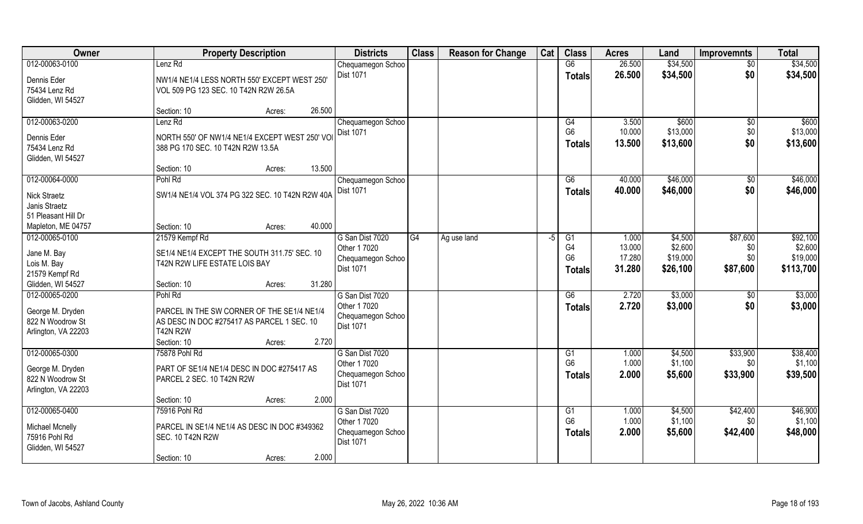| Owner                  | <b>Property Description</b>                     | <b>Districts</b>                      | <b>Class</b> | <b>Reason for Change</b> | Cat | <b>Class</b>         | <b>Acres</b>     | Land                | <b>Improvemnts</b> | <b>Total</b>        |
|------------------------|-------------------------------------------------|---------------------------------------|--------------|--------------------------|-----|----------------------|------------------|---------------------|--------------------|---------------------|
| 012-00063-0100         | Lenz Rd                                         | Chequamegon Schoo                     |              |                          |     | G6                   | 26.500           | \$34,500            | $\overline{50}$    | \$34,500            |
| Dennis Eder            | NW1/4 NE1/4 LESS NORTH 550' EXCEPT WEST 250'    | Dist 1071                             |              |                          |     | <b>Totals</b>        | 26.500           | \$34,500            | \$0                | \$34,500            |
| 75434 Lenz Rd          | VOL 509 PG 123 SEC. 10 T42N R2W 26.5A           |                                       |              |                          |     |                      |                  |                     |                    |                     |
| Glidden, WI 54527      |                                                 |                                       |              |                          |     |                      |                  |                     |                    |                     |
|                        | 26.500<br>Section: 10<br>Acres:                 |                                       |              |                          |     |                      |                  |                     |                    |                     |
| 012-00063-0200         | Lenz <sub>Rd</sub>                              | Chequamegon Schoo                     |              |                          |     | G4                   | 3.500            | \$600               | \$0                | \$600               |
| Dennis Eder            | NORTH 550' OF NW1/4 NE1/4 EXCEPT WEST 250' VO   | Dist 1071                             |              |                          |     | G <sub>6</sub>       | 10.000           | \$13,000            | \$0                | \$13,000            |
| 75434 Lenz Rd          | 388 PG 170 SEC. 10 T42N R2W 13.5A               |                                       |              |                          |     | <b>Totals</b>        | 13.500           | \$13,600            | \$0                | \$13,600            |
| Glidden, WI 54527      |                                                 |                                       |              |                          |     |                      |                  |                     |                    |                     |
|                        | 13.500<br>Section: 10<br>Acres:                 |                                       |              |                          |     |                      |                  |                     |                    |                     |
| 012-00064-0000         | Pohl Rd                                         | Chequamegon Schoo                     |              |                          |     | G6                   | 40.000           | \$46,000            | \$0                | \$46,000            |
| <b>Nick Straetz</b>    | SW1/4 NE1/4 VOL 374 PG 322 SEC. 10 T42N R2W 40A | <b>Dist 1071</b>                      |              |                          |     | <b>Totals</b>        | 40.000           | \$46,000            | \$0                | \$46,000            |
| Janis Straetz          |                                                 |                                       |              |                          |     |                      |                  |                     |                    |                     |
| 51 Pleasant Hill Dr    |                                                 |                                       |              |                          |     |                      |                  |                     |                    |                     |
| Mapleton, ME 04757     | 40.000<br>Section: 10<br>Acres:                 |                                       |              |                          |     |                      |                  |                     |                    |                     |
| 012-00065-0100         | 21579 Kempf Rd                                  | G San Dist 7020                       | G4           | Ag use land              | -5  | G1                   | 1.000            | \$4,500             | \$87,600           | \$92,100            |
| Jane M. Bay            | SE1/4 NE1/4 EXCEPT THE SOUTH 311.75' SEC. 10    | Other 1 7020                          |              |                          |     | G4<br>G <sub>6</sub> | 13.000<br>17.280 | \$2,600<br>\$19,000 | \$0<br>\$0         | \$2,600<br>\$19,000 |
| Lois M. Bay            | T42N R2W LIFE ESTATE LOIS BAY                   | Chequamegon Schoo<br><b>Dist 1071</b> |              |                          |     | <b>Totals</b>        | 31.280           | \$26,100            | \$87,600           | \$113,700           |
| 21579 Kempf Rd         |                                                 |                                       |              |                          |     |                      |                  |                     |                    |                     |
| Glidden, WI 54527      | 31.280<br>Section: 10<br>Acres:                 |                                       |              |                          |     |                      |                  |                     |                    |                     |
| 012-00065-0200         | Pohl Rd                                         | G San Dist 7020                       |              |                          |     | G6                   | 2.720            | \$3,000             | \$0                | \$3,000             |
| George M. Dryden       | PARCEL IN THE SW CORNER OF THE SE1/4 NE1/4      | Other 1 7020                          |              |                          |     | <b>Totals</b>        | 2.720            | \$3,000             | \$0                | \$3,000             |
| 822 N Woodrow St       | AS DESC IN DOC #275417 AS PARCEL 1 SEC. 10      | Chequamegon Schoo<br><b>Dist 1071</b> |              |                          |     |                      |                  |                     |                    |                     |
| Arlington, VA 22203    | <b>T42N R2W</b>                                 |                                       |              |                          |     |                      |                  |                     |                    |                     |
|                        | Section: 10<br>2.720<br>Acres:                  |                                       |              |                          |     |                      |                  |                     |                    |                     |
| 012-00065-0300         | 75878 Pohl Rd                                   | G San Dist 7020                       |              |                          |     | G1<br>G <sub>6</sub> | 1.000<br>1.000   | \$4,500<br>\$1,100  | \$33,900           | \$38,400<br>\$1,100 |
| George M. Dryden       | PART OF SE1/4 NE1/4 DESC IN DOC #275417 AS      | Other 1 7020<br>Chequamegon Schoo     |              |                          |     |                      | 2.000            |                     | \$0<br>\$33,900    |                     |
| 822 N Woodrow St       | PARCEL 2 SEC. 10 T42N R2W                       | <b>Dist 1071</b>                      |              |                          |     | <b>Totals</b>        |                  | \$5,600             |                    | \$39,500            |
| Arlington, VA 22203    |                                                 |                                       |              |                          |     |                      |                  |                     |                    |                     |
|                        | 2.000<br>Section: 10<br>Acres:                  |                                       |              |                          |     |                      |                  |                     |                    |                     |
| 012-00065-0400         | 75916 Pohl Rd                                   | G San Dist 7020                       |              |                          |     | G1<br>G <sub>6</sub> | 1.000<br>1.000   | \$4,500             | \$42,400           | \$46,900            |
| <b>Michael Mcnelly</b> | PARCEL IN SE1/4 NE1/4 AS DESC IN DOC #349362    | Other 1 7020<br>Chequamegon Schoo     |              |                          |     |                      | 2.000            | \$1,100             | \$0                | \$1,100             |
| 75916 Pohl Rd          | <b>SEC. 10 T42N R2W</b>                         | <b>Dist 1071</b>                      |              |                          |     | <b>Totals</b>        |                  | \$5,600             | \$42,400           | \$48,000            |
| Glidden, WI 54527      |                                                 |                                       |              |                          |     |                      |                  |                     |                    |                     |
|                        | 2.000<br>Section: 10<br>Acres:                  |                                       |              |                          |     |                      |                  |                     |                    |                     |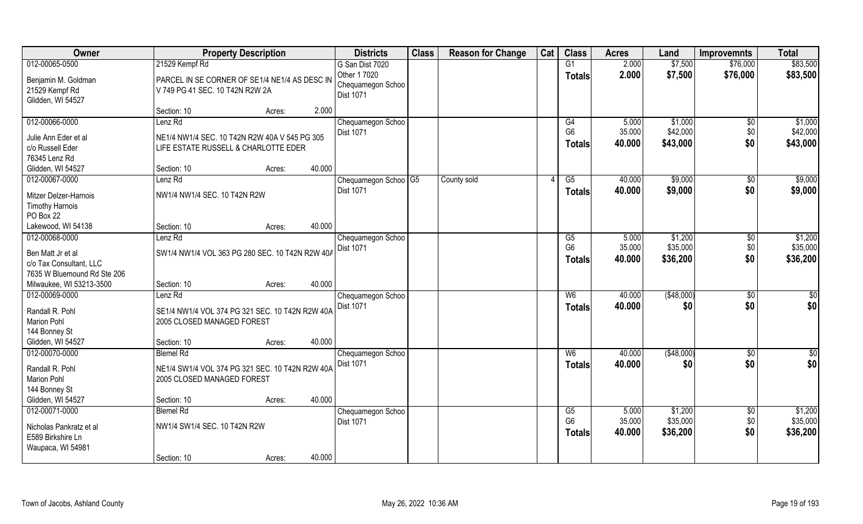| Owner                                                                               | <b>Property Description</b>                                                           | <b>Districts</b>                                      | <b>Class</b> | <b>Reason for Change</b> | Cat | <b>Class</b>                                       | <b>Acres</b>              | Land                            | <b>Improvemnts</b>            | <b>Total</b>                    |
|-------------------------------------------------------------------------------------|---------------------------------------------------------------------------------------|-------------------------------------------------------|--------------|--------------------------|-----|----------------------------------------------------|---------------------------|---------------------------------|-------------------------------|---------------------------------|
| 012-00065-0500                                                                      | 21529 Kempf Rd                                                                        | G San Dist 7020                                       |              |                          |     | G1                                                 | 2.000                     | \$7,500                         | \$76,000                      | \$83,500                        |
| Benjamin M. Goldman<br>21529 Kempf Rd<br>Glidden, WI 54527                          | PARCEL IN SE CORNER OF SE1/4 NE1/4 AS DESC IN<br>V 749 PG 41 SEC. 10 T42N R2W 2A      | Other 1 7020<br>Chequamegon Schoo<br><b>Dist 1071</b> |              |                          |     | <b>Totals</b>                                      | 2.000                     | \$7,500                         | \$76,000                      | \$83,500                        |
|                                                                                     | Section: 10<br>Acres:                                                                 | 2.000                                                 |              |                          |     |                                                    |                           |                                 |                               |                                 |
| 012-00066-0000                                                                      | Lenz Rd                                                                               | Chequamegon Schoo                                     |              |                          |     | G4                                                 | 5.000                     | \$1,000                         | $\overline{50}$               | \$1,000                         |
| Julie Ann Eder et al<br>c/o Russell Eder<br>76345 Lenz Rd                           | NE1/4 NW1/4 SEC. 10 T42N R2W 40A V 545 PG 305<br>LIFE ESTATE RUSSELL & CHARLOTTE EDER | <b>Dist 1071</b>                                      |              |                          |     | G <sub>6</sub><br><b>Totals</b>                    | 35.000<br>40.000          | \$42,000<br>\$43,000            | \$0<br>\$0                    | \$42,000<br>\$43,000            |
| Glidden, WI 54527                                                                   | Section: 10<br>Acres:                                                                 | 40.000                                                |              |                          |     |                                                    |                           |                                 |                               |                                 |
| 012-00067-0000                                                                      | Lenz Rd                                                                               | Chequamegon Schoo G5                                  |              | County sold              | Δ   | G5                                                 | 40.000                    | \$9,000                         | $\sqrt[6]{30}$                | \$9,000                         |
| Mitzer Delzer-Harnois<br><b>Timothy Harnois</b><br>PO Box 22                        | NW1/4 NW1/4 SEC. 10 T42N R2W                                                          | <b>Dist 1071</b>                                      |              |                          |     | <b>Totals</b>                                      | 40.000                    | \$9,000                         | \$0                           | \$9,000                         |
| Lakewood, WI 54138                                                                  | Section: 10<br>Acres:                                                                 | 40.000                                                |              |                          |     |                                                    |                           |                                 |                               |                                 |
| 012-00068-0000                                                                      | Lenz Rd                                                                               | Chequamegon Schoo                                     |              |                          |     | G5                                                 | 5.000                     | \$1,200                         | \$0                           | \$1,200                         |
| Ben Matt Jr et al<br>c/o Tax Consultant, LLC<br>7635 W Bluemound Rd Ste 206         | SW1/4 NW1/4 VOL 363 PG 280 SEC. 10 T42N R2W 40A                                       | <b>Dist 1071</b>                                      |              |                          |     | G <sub>6</sub><br><b>Totals</b>                    | 35.000<br>40.000          | \$35,000<br>\$36,200            | \$0<br>\$0                    | \$35,000<br>\$36,200            |
| Milwaukee, WI 53213-3500                                                            | Section: 10<br>Acres:                                                                 | 40.000                                                |              |                          |     |                                                    |                           |                                 |                               |                                 |
| 012-00069-0000                                                                      | Lenz Rd                                                                               | Chequamegon Schoo<br>Dist 1071                        |              |                          |     | W6<br><b>Totals</b>                                | 40.000<br>40.000          | (\$48,000)<br>\$0               | $\sqrt[6]{30}$<br>\$0         | \$0<br>\$0                      |
| Randall R. Pohl<br><b>Marion Pohl</b><br>144 Bonney St                              | SE1/4 NW1/4 VOL 374 PG 321 SEC. 10 T42N R2W 40A<br>2005 CLOSED MANAGED FOREST         |                                                       |              |                          |     |                                                    |                           |                                 |                               |                                 |
| Glidden, WI 54527                                                                   | Section: 10<br>Acres:                                                                 | 40.000                                                |              |                          |     |                                                    |                           |                                 |                               |                                 |
| 012-00070-0000                                                                      | <b>Blemel Rd</b>                                                                      | Chequamegon Schoo                                     |              |                          |     | W <sub>6</sub>                                     | 40.000                    | (\$48,000)                      | \$0                           | \$0                             |
| Randall R. Pohl<br><b>Marion Pohl</b><br>144 Bonney St                              | NE1/4 SW1/4 VOL 374 PG 321 SEC. 10 T42N R2W 40A<br>2005 CLOSED MANAGED FOREST         | Dist 1071                                             |              |                          |     | <b>Totals</b>                                      | 40.000                    | \$0                             | \$0                           | \$0                             |
| Glidden, WI 54527                                                                   | Section: 10<br>Acres:                                                                 | 40.000                                                |              |                          |     |                                                    |                           |                                 |                               |                                 |
| 012-00071-0000<br>Nicholas Pankratz et al<br>E589 Birkshire Ln<br>Waupaca, WI 54981 | <b>Blemel Rd</b><br>NW1/4 SW1/4 SEC. 10 T42N R2W                                      | Chequamegon Schoo<br>Dist 1071                        |              |                          |     | $\overline{G5}$<br>G <sub>6</sub><br><b>Totals</b> | 5.000<br>35.000<br>40.000 | \$1,200<br>\$35,000<br>\$36,200 | $\overline{50}$<br>\$0<br>\$0 | \$1,200<br>\$35,000<br>\$36,200 |
|                                                                                     | Section: 10<br>Acres:                                                                 | 40.000                                                |              |                          |     |                                                    |                           |                                 |                               |                                 |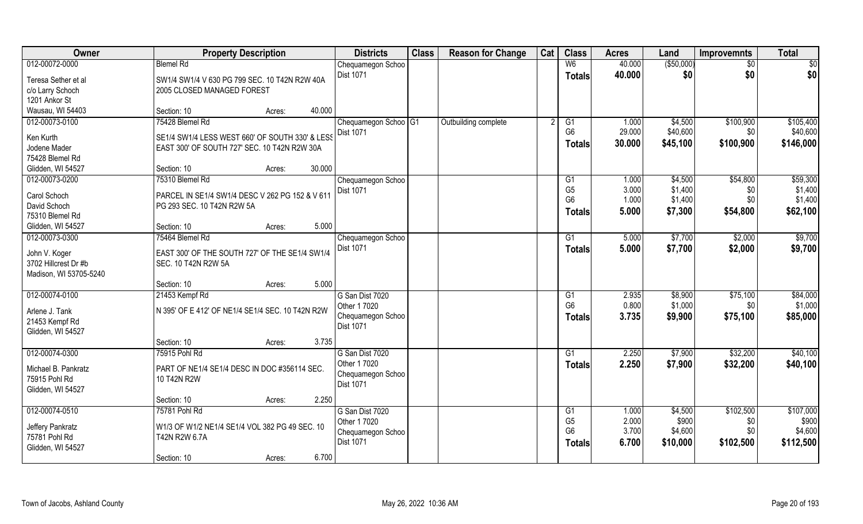| <b>Owner</b>           | <b>Property Description</b>                      |                  | <b>Districts</b>                 | <b>Class</b> | <b>Reason for Change</b> | Cat | <b>Class</b>   | <b>Acres</b> | Land        | <b>Improvemnts</b> | <b>Total</b> |
|------------------------|--------------------------------------------------|------------------|----------------------------------|--------------|--------------------------|-----|----------------|--------------|-------------|--------------------|--------------|
| 012-00072-0000         | <b>Blemel Rd</b>                                 |                  | Chequamegon Schoo                |              |                          |     | W <sub>6</sub> | 40.000       | ( \$50,000) | $\frac{1}{30}$     | \$0          |
| Teresa Sether et al    | SW1/4 SW1/4 V 630 PG 799 SEC. 10 T42N R2W 40A    |                  | Dist 1071                        |              |                          |     | <b>Totals</b>  | 40.000       | \$0         | \$0                | \$0          |
| c/o Larry Schoch       | 2005 CLOSED MANAGED FOREST                       |                  |                                  |              |                          |     |                |              |             |                    |              |
| 1201 Ankor St          |                                                  |                  |                                  |              |                          |     |                |              |             |                    |              |
| Wausau, WI 54403       | Section: 10                                      | 40.000<br>Acres: |                                  |              |                          |     |                |              |             |                    |              |
| 012-00073-0100         | 75428 Blemel Rd                                  |                  | Chequamegon Schoo <sup>OG1</sup> |              | Outbuilding complete     |     | G1             | 1.000        | \$4,500     | \$100,900          | \$105,400    |
| Ken Kurth              | SE1/4 SW1/4 LESS WEST 660' OF SOUTH 330' & LESS  |                  | Dist 1071                        |              |                          |     | G <sub>6</sub> | 29.000       | \$40,600    | \$0 <sub>1</sub>   | \$40,600     |
| Jodene Mader           | EAST 300' OF SOUTH 727' SEC. 10 T42N R2W 30A     |                  |                                  |              |                          |     | <b>Totals</b>  | 30.000       | \$45,100    | \$100,900          | \$146,000    |
| 75428 Blemel Rd        |                                                  |                  |                                  |              |                          |     |                |              |             |                    |              |
| Glidden, WI 54527      | Section: 10                                      | 30.000<br>Acres: |                                  |              |                          |     |                |              |             |                    |              |
| 012-00073-0200         | 75310 Blemel Rd                                  |                  | Chequamegon Schoo                |              |                          |     | G1             | 1.000        | \$4,500     | \$54,800           | \$59,300     |
|                        |                                                  |                  | Dist 1071                        |              |                          |     | G <sub>5</sub> | 3.000        | \$1,400     | \$0                | \$1,400      |
| Carol Schoch           | PARCEL IN SE1/4 SW1/4 DESC V 262 PG 152 & V 611  |                  |                                  |              |                          |     | G <sub>6</sub> | 1.000        | \$1,400     | \$0                | \$1,400      |
| David Schoch           | PG 293 SEC. 10 T42N R2W 5A                       |                  |                                  |              |                          |     | Totals         | 5.000        | \$7,300     | \$54,800           | \$62,100     |
| 75310 Blemel Rd        |                                                  |                  |                                  |              |                          |     |                |              |             |                    |              |
| Glidden, WI 54527      | Section: 10                                      | 5.000<br>Acres:  |                                  |              |                          |     |                |              |             |                    |              |
| 012-00073-0300         | 75464 Blemel Rd                                  |                  | Chequamegon Schoo                |              |                          |     | G1             | 5.000        | \$7,700     | \$2,000            | \$9,700      |
| John V. Koger          | EAST 300' OF THE SOUTH 727' OF THE SE1/4 SW1/4   |                  | Dist 1071                        |              |                          |     | <b>Totals</b>  | 5.000        | \$7,700     | \$2,000            | \$9,700      |
| 3702 Hillcrest Dr #b   | SEC. 10 T42N R2W 5A                              |                  |                                  |              |                          |     |                |              |             |                    |              |
| Madison, WI 53705-5240 |                                                  |                  |                                  |              |                          |     |                |              |             |                    |              |
|                        | Section: 10                                      | 5.000<br>Acres:  |                                  |              |                          |     |                |              |             |                    |              |
| 012-00074-0100         | 21453 Kempf Rd                                   |                  | G San Dist 7020                  |              |                          |     | G1             | 2.935        | \$8,900     | \$75,100           | \$84,000     |
| Arlene J. Tank         | N 395' OF E 412' OF NE1/4 SE1/4 SEC. 10 T42N R2W |                  | Other 1 7020                     |              |                          |     | G <sub>6</sub> | 0.800        | \$1,000     | \$0                | \$1,000      |
| 21453 Kempf Rd         |                                                  |                  | Chequamegon Schoo                |              |                          |     | <b>Totals</b>  | 3.735        | \$9,900     | \$75,100           | \$85,000     |
| Glidden, WI 54527      |                                                  |                  | Dist 1071                        |              |                          |     |                |              |             |                    |              |
|                        | Section: 10                                      | 3.735<br>Acres:  |                                  |              |                          |     |                |              |             |                    |              |
| 012-00074-0300         | 75915 Pohl Rd                                    |                  | G San Dist 7020                  |              |                          |     | G1             | 2.250        | \$7,900     | \$32,200           | \$40,100     |
|                        |                                                  |                  | Other 1 7020                     |              |                          |     | <b>Totals</b>  | 2.250        | \$7,900     | \$32,200           | \$40,100     |
| Michael B. Pankratz    | PART OF NE1/4 SE1/4 DESC IN DOC #356114 SEC.     |                  | Chequamegon Schoo                |              |                          |     |                |              |             |                    |              |
| 75915 Pohl Rd          | 10 T42N R2W                                      |                  | Dist 1071                        |              |                          |     |                |              |             |                    |              |
| Glidden, WI 54527      |                                                  |                  |                                  |              |                          |     |                |              |             |                    |              |
|                        | Section: 10                                      | 2.250<br>Acres:  |                                  |              |                          |     |                |              |             |                    |              |
| 012-00074-0510         | 75781 Pohl Rd                                    |                  | G San Dist 7020                  |              |                          |     | G1             | 1.000        | \$4,500     | \$102,500          | \$107,000    |
| Jeffery Pankratz       | W1/3 OF W1/2 NE1/4 SE1/4 VOL 382 PG 49 SEC. 10   |                  | Other 1 7020                     |              |                          |     | G <sub>5</sub> | 2.000        | \$900       | \$0                | \$900        |
| 75781 Pohl Rd          | T42N R2W 6.7A                                    |                  | Chequamegon Schoo                |              |                          |     | G <sub>6</sub> | 3.700        | \$4,600     | \$0                | \$4,600      |
| Glidden, WI 54527      |                                                  |                  | Dist 1071                        |              |                          |     | Totals         | 6.700        | \$10,000    | \$102,500          | \$112,500    |
|                        | Section: 10                                      | 6.700<br>Acres:  |                                  |              |                          |     |                |              |             |                    |              |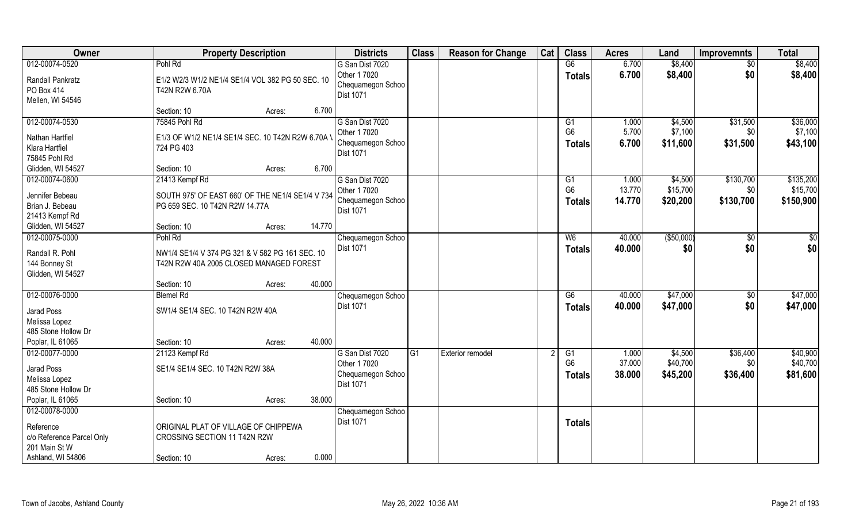| Owner                     | <b>Property Description</b>                       |                  | <b>Districts</b>               | <b>Class</b> | <b>Reason for Change</b> | Cat | <b>Class</b>    | <b>Acres</b> | Land        | <b>Improvemnts</b> | <b>Total</b> |
|---------------------------|---------------------------------------------------|------------------|--------------------------------|--------------|--------------------------|-----|-----------------|--------------|-------------|--------------------|--------------|
| 012-00074-0520            | Pohl Rd                                           |                  | G San Dist 7020                |              |                          |     | G6              | 6.700        | \$8,400     | $\sqrt{$0}$        | \$8,400      |
| Randall Pankratz          | E1/2 W2/3 W1/2 NE1/4 SE1/4 VOL 382 PG 50 SEC. 10  |                  | Other 1 7020                   |              |                          |     | <b>Totals</b>   | 6.700        | \$8,400     | \$0                | \$8,400      |
| PO Box 414                | T42N R2W 6.70A                                    |                  | Chequamegon Schoo<br>Dist 1071 |              |                          |     |                 |              |             |                    |              |
| Mellen, WI 54546          |                                                   |                  |                                |              |                          |     |                 |              |             |                    |              |
|                           | Section: 10                                       | 6.700<br>Acres:  |                                |              |                          |     |                 |              |             |                    |              |
| 012-00074-0530            | 75845 Pohl Rd                                     |                  | G San Dist 7020                |              |                          |     | G1              | 1.000        | \$4,500     | \$31,500           | \$36,000     |
| Nathan Hartfiel           | E1/3 OF W1/2 NE1/4 SE1/4 SEC. 10 T42N R2W 6.70A \ |                  | Other 1 7020                   |              |                          |     | G <sub>6</sub>  | 5.700        | \$7,100     | \$0                | \$7,100      |
| Klara Hartfiel            | 724 PG 403                                        |                  | Chequamegon Schoo              |              |                          |     | Totals          | 6.700        | \$11,600    | \$31,500           | \$43,100     |
| 75845 Pohl Rd             |                                                   |                  | Dist 1071                      |              |                          |     |                 |              |             |                    |              |
| Glidden, WI 54527         | Section: 10                                       | 6.700<br>Acres:  |                                |              |                          |     |                 |              |             |                    |              |
| 012-00074-0600            | 21413 Kempf Rd                                    |                  | G San Dist 7020                |              |                          |     | G1              | 1.000        | \$4,500     | \$130,700          | \$135,200    |
| Jennifer Bebeau           | SOUTH 975' OF EAST 660' OF THE NE1/4 SE1/4 V 734  |                  | Other 1 7020                   |              |                          |     | G <sub>6</sub>  | 13.770       | \$15,700    | \$0                | \$15,700     |
| Brian J. Bebeau           | PG 659 SEC. 10 T42N R2W 14.77A                    |                  | Chequamegon Schoo              |              |                          |     | Totals          | 14.770       | \$20,200    | \$130,700          | \$150,900    |
| 21413 Kempf Rd            |                                                   |                  | Dist 1071                      |              |                          |     |                 |              |             |                    |              |
| Glidden, WI 54527         | Section: 10                                       | 14.770<br>Acres: |                                |              |                          |     |                 |              |             |                    |              |
| 012-00075-0000            | Pohl Rd                                           |                  | Chequamegon Schoo              |              |                          |     | W <sub>6</sub>  | 40.000       | ( \$50,000) | $\sqrt[6]{3}$      | $\sqrt{50}$  |
|                           |                                                   |                  | <b>Dist 1071</b>               |              |                          |     | <b>Totals</b>   | 40.000       | \$0         | \$0                | \$0          |
| Randall R. Pohl           | NW1/4 SE1/4 V 374 PG 321 & V 582 PG 161 SEC. 10   |                  |                                |              |                          |     |                 |              |             |                    |              |
| 144 Bonney St             | T42N R2W 40A 2005 CLOSED MANAGED FOREST           |                  |                                |              |                          |     |                 |              |             |                    |              |
| Glidden, WI 54527         |                                                   |                  |                                |              |                          |     |                 |              |             |                    |              |
|                           | Section: 10                                       | 40.000<br>Acres: |                                |              |                          |     |                 |              |             |                    |              |
| 012-00076-0000            | <b>Blemel Rd</b>                                  |                  | Chequamegon Schoo              |              |                          |     | $\overline{G6}$ | 40.000       | \$47,000    | $\sqrt[6]{30}$     | \$47,000     |
| Jarad Poss                | SW1/4 SE1/4 SEC. 10 T42N R2W 40A                  |                  | Dist 1071                      |              |                          |     | Totals          | 40.000       | \$47,000    | \$0                | \$47,000     |
| Melissa Lopez             |                                                   |                  |                                |              |                          |     |                 |              |             |                    |              |
| 485 Stone Hollow Dr       |                                                   |                  |                                |              |                          |     |                 |              |             |                    |              |
| Poplar, IL 61065          | Section: 10                                       | 40.000<br>Acres: |                                |              |                          |     |                 |              |             |                    |              |
| 012-00077-0000            | 21123 Kempf Rd                                    |                  | G San Dist 7020                | G1           | Exterior remodel         |     | G1              | 1.000        | \$4,500     | \$36,400           | \$40,900     |
| Jarad Poss                | SE1/4 SE1/4 SEC. 10 T42N R2W 38A                  |                  | Other 1 7020                   |              |                          |     | G <sub>6</sub>  | 37.000       | \$40,700    | \$0                | \$40,700     |
| Melissa Lopez             |                                                   |                  | Chequamegon Schoo              |              |                          |     | <b>Totals</b>   | 38.000       | \$45,200    | \$36,400           | \$81,600     |
| 485 Stone Hollow Dr       |                                                   |                  | <b>Dist 1071</b>               |              |                          |     |                 |              |             |                    |              |
| Poplar, IL 61065          | Section: 10                                       | 38.000<br>Acres: |                                |              |                          |     |                 |              |             |                    |              |
| 012-00078-0000            |                                                   |                  | Chequamegon Schoo              |              |                          |     |                 |              |             |                    |              |
| Reference                 | ORIGINAL PLAT OF VILLAGE OF CHIPPEWA              |                  | Dist 1071                      |              |                          |     | <b>Totals</b>   |              |             |                    |              |
| c/o Reference Parcel Only | CROSSING SECTION 11 T42N R2W                      |                  |                                |              |                          |     |                 |              |             |                    |              |
| 201 Main St W             |                                                   |                  |                                |              |                          |     |                 |              |             |                    |              |
| Ashland, WI 54806         | Section: 10                                       | 0.000<br>Acres:  |                                |              |                          |     |                 |              |             |                    |              |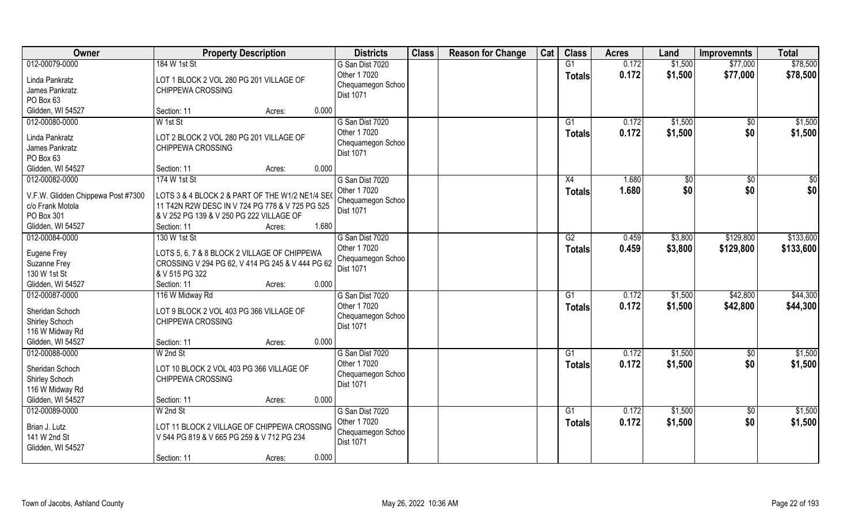| Owner                                                                                                       | <b>Property Description</b>                                                                                                                                                   |        |       | <b>Districts</b>                                                         | <b>Class</b> | <b>Reason for Change</b> | Cat | <b>Class</b>        | <b>Acres</b>   | Land               | <b>Improvemnts</b>     | <b>Total</b>         |
|-------------------------------------------------------------------------------------------------------------|-------------------------------------------------------------------------------------------------------------------------------------------------------------------------------|--------|-------|--------------------------------------------------------------------------|--------------|--------------------------|-----|---------------------|----------------|--------------------|------------------------|----------------------|
| 012-00079-0000                                                                                              | 184 W 1st St                                                                                                                                                                  |        |       | G San Dist 7020                                                          |              |                          |     | G1                  | 0.172          | \$1,500            | \$77,000               | \$78,500             |
| Linda Pankratz<br>James Pankratz<br>PO Box 63                                                               | LOT 1 BLOCK 2 VOL 280 PG 201 VILLAGE OF<br>CHIPPEWA CROSSING                                                                                                                  |        |       | Other 1 7020<br>Chequamegon Schoo<br><b>Dist 1071</b>                    |              |                          |     | <b>Totals</b>       | 0.172          | \$1,500            | \$77,000               | \$78,500             |
| Glidden, WI 54527                                                                                           | Section: 11                                                                                                                                                                   | Acres: | 0.000 |                                                                          |              |                          |     |                     |                |                    |                        |                      |
| 012-00080-0000<br>Linda Pankratz<br>James Pankratz<br>PO Box 63                                             | W 1st St<br>LOT 2 BLOCK 2 VOL 280 PG 201 VILLAGE OF<br>CHIPPEWA CROSSING                                                                                                      |        |       | G San Dist 7020<br>Other 1 7020<br>Chequamegon Schoo<br><b>Dist 1071</b> |              |                          |     | G1<br>Totals        | 0.172<br>0.172 | \$1,500<br>\$1,500 | \$0<br>\$0             | \$1,500<br>\$1,500   |
| Glidden, WI 54527                                                                                           | Section: 11                                                                                                                                                                   | Acres: | 0.000 |                                                                          |              |                          |     |                     |                |                    |                        |                      |
| 012-00082-0000<br>V.F.W. Glidden Chippewa Post #7300<br>c/o Frank Motola<br>PO Box 301<br>Glidden, WI 54527 | 174 W 1st St<br>LOTS 3 & 4 BLOCK 2 & PART OF THE W1/2 NE1/4 SEO<br>11 T42N R2W DESC IN V 724 PG 778 & V 725 PG 525<br>& V 252 PG 139 & V 250 PG 222 VILLAGE OF<br>Section: 11 | Acres: | 1.680 | G San Dist 7020<br>Other 1 7020<br>Chequamegon Schoo<br><b>Dist 1071</b> |              |                          |     | X4<br><b>Totals</b> | 1.680<br>1.680 | \$0<br>\$0         | $\sqrt[6]{3}$<br>\$0   | \$0<br>\$0           |
| 012-00084-0000                                                                                              | 130 W 1st St                                                                                                                                                                  |        |       | G San Dist 7020                                                          |              |                          |     | G2                  | 0.459          | \$3,800            | \$129,800              | \$133,600            |
| Eugene Frey<br>Suzanne Frey<br>130 W 1st St                                                                 | LOTS 5, 6, 7 & 8 BLOCK 2 VILLAGE OF CHIPPEWA<br>CROSSING V 294 PG 62, V 414 PG 245 & V 444 PG 62<br>& V 515 PG 322                                                            |        |       | Other 1 7020<br>Chequamegon Schoo<br>Dist 1071                           |              |                          |     | <b>Totals</b>       | 0.459          | \$3,800            | \$129,800              | \$133,600            |
| Glidden, WI 54527                                                                                           | Section: 11                                                                                                                                                                   | Acres: | 0.000 |                                                                          |              |                          |     |                     |                |                    |                        |                      |
| 012-00087-0000<br>Sheridan Schoch<br>Shirley Schoch<br>116 W Midway Rd                                      | 116 W Midway Rd<br>LOT 9 BLOCK 2 VOL 403 PG 366 VILLAGE OF<br>CHIPPEWA CROSSING                                                                                               |        |       | G San Dist 7020<br>Other 1 7020<br>Chequamegon Schoo<br><b>Dist 1071</b> |              |                          |     | G1<br><b>Totals</b> | 0.172<br>0.172 | \$1,500<br>\$1,500 | \$42,800<br>\$42,800   | \$44,300<br>\$44,300 |
| Glidden, WI 54527                                                                                           | Section: 11                                                                                                                                                                   | Acres: | 0.000 |                                                                          |              |                          |     |                     |                |                    |                        |                      |
| 012-00088-0000                                                                                              | W 2nd St                                                                                                                                                                      |        |       | G San Dist 7020                                                          |              |                          |     | G1                  | 0.172          | \$1,500            | $\overline{60}$        | \$1,500              |
| Sheridan Schoch<br>Shirley Schoch<br>116 W Midway Rd                                                        | LOT 10 BLOCK 2 VOL 403 PG 366 VILLAGE OF<br>CHIPPEWA CROSSING                                                                                                                 |        |       | Other 1 7020<br>Chequamegon Schoo<br><b>Dist 1071</b>                    |              |                          |     | Totals              | 0.172          | \$1,500            | \$0                    | \$1,500              |
| Glidden, WI 54527                                                                                           | Section: 11                                                                                                                                                                   | Acres: | 0.000 |                                                                          |              |                          |     |                     |                |                    |                        |                      |
| 012-00089-0000<br>Brian J. Lutz<br>141 W 2nd St<br>Glidden, WI 54527                                        | $W$ 2nd St<br>LOT 11 BLOCK 2 VILLAGE OF CHIPPEWA CROSSING<br>V 544 PG 819 & V 665 PG 259 & V 712 PG 234<br>Section: 11                                                        | Acres: | 0.000 | G San Dist 7020<br>Other 1 7020<br>Chequamegon Schoo<br>Dist 1071        |              |                          |     | G1<br><b>Totals</b> | 0.172<br>0.172 | \$1,500<br>\$1,500 | $\overline{50}$<br>\$0 | \$1,500<br>\$1,500   |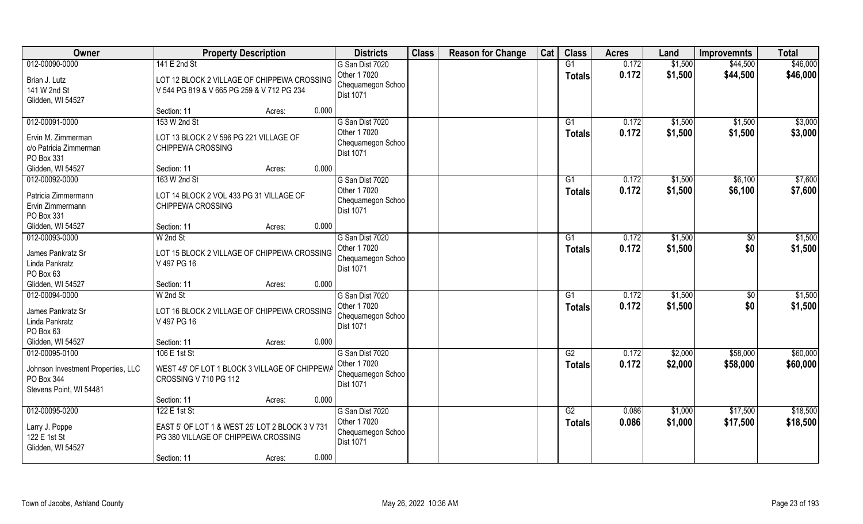| Owner                                                                        | <b>Property Description</b>                                                               |        |       | <b>Districts</b>                                                  | <b>Class</b> | <b>Reason for Change</b> | Cat | <b>Class</b>              | <b>Acres</b>   | Land               | <b>Improvemnts</b> | <b>Total</b>       |
|------------------------------------------------------------------------------|-------------------------------------------------------------------------------------------|--------|-------|-------------------------------------------------------------------|--------------|--------------------------|-----|---------------------------|----------------|--------------------|--------------------|--------------------|
| 012-00090-0000                                                               | 141 E 2nd St                                                                              |        |       | G San Dist 7020                                                   |              |                          |     | G1                        | 0.172          | \$1,500            | \$44,500           | \$46,000           |
| Brian J. Lutz<br>141 W 2nd St<br>Glidden, WI 54527                           | LOT 12 BLOCK 2 VILLAGE OF CHIPPEWA CROSSING<br>V 544 PG 819 & V 665 PG 259 & V 712 PG 234 |        |       | Other 1 7020<br>Chequamegon Schoo<br>Dist 1071                    |              |                          |     | <b>Totals</b>             | 0.172          | \$1,500            | \$44,500           | \$46,000           |
|                                                                              | Section: 11                                                                               | Acres: | 0.000 |                                                                   |              |                          |     |                           |                |                    |                    |                    |
| 012-00091-0000<br>Ervin M. Zimmerman<br>c/o Patricia Zimmerman<br>PO Box 331 | 153 W 2nd St<br>LOT 13 BLOCK 2 V 596 PG 221 VILLAGE OF<br>CHIPPEWA CROSSING               |        |       | G San Dist 7020<br>Other 1 7020<br>Chequamegon Schoo<br>Dist 1071 |              |                          |     | $\overline{G1}$<br>Totals | 0.172<br>0.172 | \$1,500<br>\$1,500 | \$1,500<br>\$1,500 | \$3,000<br>\$3,000 |
| Glidden, WI 54527                                                            | Section: 11                                                                               | Acres: | 0.000 |                                                                   |              |                          |     |                           |                |                    |                    |                    |
| 012-00092-0000                                                               | 163 W 2nd St                                                                              |        |       | G San Dist 7020                                                   |              |                          |     | G1                        | 0.172          | \$1,500            | \$6,100            | \$7,600            |
| Patricia Zimmermann<br>Ervin Zimmermann<br>PO Box 331                        | LOT 14 BLOCK 2 VOL 433 PG 31 VILLAGE OF<br>CHIPPEWA CROSSING                              |        |       | Other 1 7020<br>Chequamegon Schoo<br>Dist 1071                    |              |                          |     | <b>Totals</b>             | 0.172          | \$1,500            | \$6,100            | \$7,600            |
| Glidden, WI 54527                                                            | Section: 11                                                                               | Acres: | 0.000 |                                                                   |              |                          |     |                           |                |                    |                    |                    |
| 012-00093-0000<br>James Pankratz Sr                                          | W 2nd St<br>LOT 15 BLOCK 2 VILLAGE OF CHIPPEWA CROSSING                                   |        |       | G San Dist 7020<br>Other 1 7020<br>Chequamegon Schoo              |              |                          |     | G1<br><b>Totals</b>       | 0.172<br>0.172 | \$1,500<br>\$1,500 | \$0<br>\$0         | \$1,500<br>\$1,500 |
| Linda Pankratz<br>PO Box 63                                                  | V 497 PG 16                                                                               |        |       | Dist 1071                                                         |              |                          |     |                           |                |                    |                    |                    |
| Glidden, WI 54527                                                            | Section: 11                                                                               | Acres: | 0.000 |                                                                   |              |                          |     |                           |                |                    |                    |                    |
| 012-00094-0000                                                               | W 2nd St                                                                                  |        |       | G San Dist 7020                                                   |              |                          |     | G1                        | 0.172          | \$1,500            | $\sqrt[6]{30}$     | \$1,500            |
| James Pankratz Sr<br>Linda Pankratz<br>PO Box 63                             | LOT 16 BLOCK 2 VILLAGE OF CHIPPEWA CROSSING<br>V 497 PG 16                                |        |       | Other 1 7020<br>Chequamegon Schoo<br>Dist 1071                    |              |                          |     | <b>Totals</b>             | 0.172          | \$1,500            | \$0                | \$1,500            |
| Glidden, WI 54527                                                            | Section: 11                                                                               | Acres: | 0.000 |                                                                   |              |                          |     |                           |                |                    |                    |                    |
| 012-00095-0100                                                               | 106 E 1st St                                                                              |        |       | G San Dist 7020                                                   |              |                          |     | G2                        | 0.172          | \$2,000            | \$58,000           | \$60,000           |
| Johnson Investment Properties, LLC<br>PO Box 344<br>Stevens Point, WI 54481  | WEST 45' OF LOT 1 BLOCK 3 VILLAGE OF CHIPPEWA<br>CROSSING V 710 PG 112                    |        |       | Other 1 7020<br>Chequamegon Schoo<br>Dist 1071                    |              |                          |     | <b>Totals</b>             | 0.172          | \$2,000            | \$58,000           | \$60,000           |
|                                                                              | Section: 11                                                                               | Acres: | 0.000 |                                                                   |              |                          |     |                           |                |                    |                    |                    |
| 012-00095-0200                                                               | 122 E 1st St                                                                              |        |       | G San Dist 7020                                                   |              |                          |     | G2                        | 0.086          | \$1,000            | \$17,500           | \$18,500           |
| Larry J. Poppe<br>122 E 1st St<br>Glidden, WI 54527                          | EAST 5' OF LOT 1 & WEST 25' LOT 2 BLOCK 3 V 731<br>PG 380 VILLAGE OF CHIPPEWA CROSSING    |        |       | Other 1 7020<br>Chequamegon Schoo<br>Dist 1071                    |              |                          |     | <b>Totals</b>             | 0.086          | \$1,000            | \$17,500           | \$18,500           |
|                                                                              | Section: 11                                                                               | Acres: | 0.000 |                                                                   |              |                          |     |                           |                |                    |                    |                    |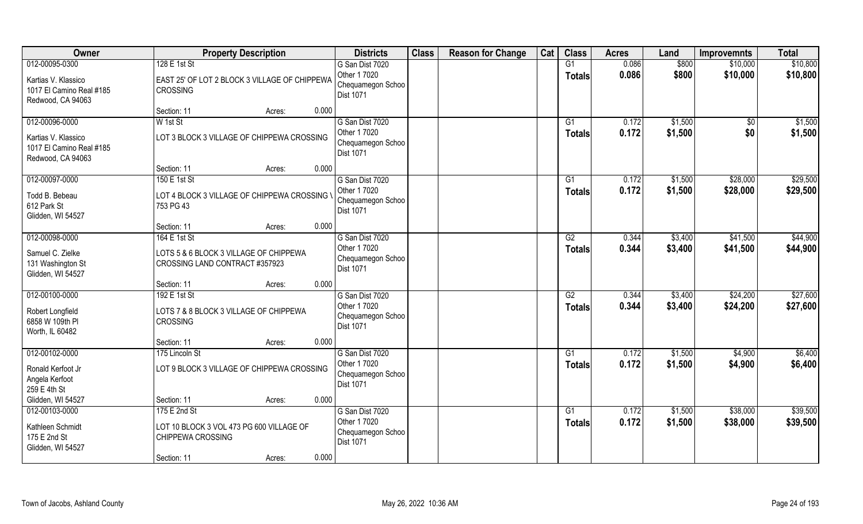| Owner                                                                                  | <b>Property Description</b>                                                                     | <b>Districts</b>                                                         | <b>Class</b> | <b>Reason for Change</b> | Cat | <b>Class</b>                     | <b>Acres</b>   | Land               | <b>Improvemnts</b>   | <b>Total</b>         |
|----------------------------------------------------------------------------------------|-------------------------------------------------------------------------------------------------|--------------------------------------------------------------------------|--------------|--------------------------|-----|----------------------------------|----------------|--------------------|----------------------|----------------------|
| 012-00095-0300<br>Kartias V. Klassico                                                  | 128 E 1st St<br>EAST 25' OF LOT 2 BLOCK 3 VILLAGE OF CHIPPEWA                                   | G San Dist 7020<br>Other 1 7020<br>Chequamegon Schoo                     |              |                          |     | G1<br><b>Totals</b>              | 0.086<br>0.086 | \$800<br>\$800     | \$10,000<br>\$10,000 | \$10,800<br>\$10,800 |
| 1017 El Camino Real #185<br>Redwood, CA 94063                                          | CROSSING                                                                                        | <b>Dist 1071</b>                                                         |              |                          |     |                                  |                |                    |                      |                      |
|                                                                                        | 0.000<br>Section: 11<br>Acres:                                                                  |                                                                          |              |                          |     |                                  |                |                    |                      |                      |
| 012-00096-0000<br>Kartias V. Klassico<br>1017 El Camino Real #185<br>Redwood, CA 94063 | W 1st St<br>LOT 3 BLOCK 3 VILLAGE OF CHIPPEWA CROSSING                                          | G San Dist 7020<br>Other 1 7020<br>Chequamegon Schoo<br><b>Dist 1071</b> |              |                          |     | G1<br><b>Totals</b>              | 0.172<br>0.172 | \$1,500<br>\$1,500 | $\sqrt{6}$<br>\$0    | \$1,500<br>\$1,500   |
|                                                                                        | 0.000<br>Section: 11<br>Acres:                                                                  |                                                                          |              |                          |     |                                  |                |                    |                      |                      |
| 012-00097-0000                                                                         | 150 E 1st St                                                                                    | G San Dist 7020                                                          |              |                          |     | G1                               | 0.172          | \$1,500            | \$28,000             | \$29,500             |
| Todd B. Bebeau<br>612 Park St<br>Glidden, WI 54527                                     | LOT 4 BLOCK 3 VILLAGE OF CHIPPEWA CROSSING \<br>753 PG 43                                       | Other 1 7020<br>Chequamegon Schoo<br><b>Dist 1071</b>                    |              |                          |     | <b>Totals</b>                    | 0.172          | \$1,500            | \$28,000             | \$29,500             |
|                                                                                        | 0.000<br>Section: 11<br>Acres:                                                                  |                                                                          |              |                          |     |                                  |                |                    |                      |                      |
| 012-00098-0000                                                                         | 164 E 1st St                                                                                    | G San Dist 7020                                                          |              |                          |     | G2                               | 0.344          | \$3,400            | \$41,500             | \$44,900             |
| Samuel C. Zielke<br>131 Washington St<br>Glidden, WI 54527                             | LOTS 5 & 6 BLOCK 3 VILLAGE OF CHIPPEWA<br>CROSSING LAND CONTRACT #357923                        | Other 1 7020<br>Chequamegon Schoo<br>Dist 1071                           |              |                          |     | <b>Totals</b>                    | 0.344          | \$3,400            | \$41,500             | \$44,900             |
|                                                                                        | 0.000<br>Section: 11<br>Acres:                                                                  |                                                                          |              |                          |     |                                  |                |                    |                      |                      |
| 012-00100-0000<br>Robert Longfield<br>6858 W 109th PI                                  | 192 E 1st St<br>LOTS 7 & 8 BLOCK 3 VILLAGE OF CHIPPEWA<br><b>CROSSING</b>                       | G San Dist 7020<br>Other 1 7020<br>Chequamegon Schoo<br>Dist 1071        |              |                          |     | $\overline{G2}$<br><b>Totals</b> | 0.344<br>0.344 | \$3,400<br>\$3,400 | \$24,200<br>\$24,200 | \$27,600<br>\$27,600 |
| Worth, IL 60482                                                                        |                                                                                                 |                                                                          |              |                          |     |                                  |                |                    |                      |                      |
| 012-00102-0000                                                                         | 0.000<br>Section: 11<br>Acres:<br>175 Lincoln St                                                | G San Dist 7020                                                          |              |                          |     | G1                               | 0.172          | \$1,500            | \$4,900              | \$6,400              |
| Ronald Kerfoot Jr<br>Angela Kerfoot<br>259 E 4th St                                    | LOT 9 BLOCK 3 VILLAGE OF CHIPPEWA CROSSING                                                      | Other 1 7020<br>Chequamegon Schoo<br><b>Dist 1071</b>                    |              |                          |     | <b>Totals</b>                    | 0.172          | \$1,500            | \$4,900              | \$6,400              |
| Glidden, WI 54527                                                                      | 0.000<br>Section: 11<br>Acres:                                                                  |                                                                          |              |                          |     |                                  |                |                    |                      |                      |
| 012-00103-0000                                                                         | 175 E 2nd St                                                                                    | G San Dist 7020                                                          |              |                          |     | G1                               | 0.172          | \$1,500            | \$38,000             | \$39,500             |
| Kathleen Schmidt<br>175 E 2nd St<br>Glidden, WI 54527                                  | LOT 10 BLOCK 3 VOL 473 PG 600 VILLAGE OF<br>CHIPPEWA CROSSING<br>0.000<br>Section: 11<br>Acres: | Other 1 7020<br>Chequamegon Schoo<br><b>Dist 1071</b>                    |              |                          |     | <b>Totals</b>                    | 0.172          | \$1,500            | \$38,000             | \$39,500             |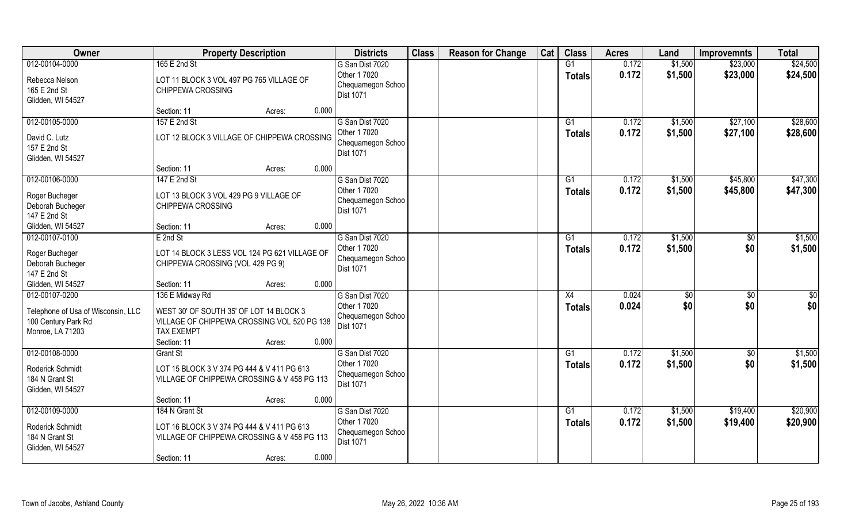| Owner                                                                                           | <b>Property Description</b>                                                                                                                                      | <b>Districts</b>                                                  | <b>Class</b> | <b>Reason for Change</b> | Cat | <b>Class</b>              | <b>Acres</b>   | Land               | <b>Improvemnts</b>     | <b>Total</b>         |
|-------------------------------------------------------------------------------------------------|------------------------------------------------------------------------------------------------------------------------------------------------------------------|-------------------------------------------------------------------|--------------|--------------------------|-----|---------------------------|----------------|--------------------|------------------------|----------------------|
| 012-00104-0000                                                                                  | 165 E 2nd St                                                                                                                                                     | G San Dist 7020                                                   |              |                          |     | G1                        | 0.172          | \$1,500            | \$23,000               | \$24,500             |
| Rebecca Nelson<br>165 E 2nd St<br>Glidden, WI 54527                                             | LOT 11 BLOCK 3 VOL 497 PG 765 VILLAGE OF<br>CHIPPEWA CROSSING                                                                                                    | Other 1 7020<br>Chequamegon Schoo<br>Dist 1071                    |              |                          |     | <b>Totals</b>             | 0.172          | \$1,500            | \$23,000               | \$24,500             |
|                                                                                                 | Section: 11<br>0.000<br>Acres:                                                                                                                                   |                                                                   |              |                          |     |                           |                |                    |                        |                      |
| 012-00105-0000                                                                                  | 157 E 2nd St                                                                                                                                                     | G San Dist 7020                                                   |              |                          |     | G1                        | 0.172          | \$1,500            | \$27,100               | \$28,600             |
| David C. Lutz<br>157 E 2nd St<br>Glidden, WI 54527                                              | LOT 12 BLOCK 3 VILLAGE OF CHIPPEWA CROSSING                                                                                                                      | Other 1 7020<br>Chequamegon Schoo<br><b>Dist 1071</b>             |              |                          |     | Totals                    | 0.172          | \$1,500            | \$27,100               | \$28,600             |
|                                                                                                 | 0.000<br>Section: 11<br>Acres:                                                                                                                                   |                                                                   |              |                          |     |                           |                |                    |                        |                      |
| 012-00106-0000                                                                                  | 147 E 2nd St                                                                                                                                                     | G San Dist 7020                                                   |              |                          |     | G1                        | 0.172          | \$1,500            | \$45,800               | \$47,300             |
| Roger Bucheger<br>Deborah Bucheger<br>147 E 2nd St                                              | LOT 13 BLOCK 3 VOL 429 PG 9 VILLAGE OF<br>CHIPPEWA CROSSING                                                                                                      | Other 1 7020<br>Chequamegon Schoo<br>Dist 1071                    |              |                          |     | <b>Totals</b>             | 0.172          | \$1,500            | \$45,800               | \$47,300             |
| Glidden, WI 54527                                                                               | 0.000<br>Section: 11<br>Acres:                                                                                                                                   |                                                                   |              |                          |     |                           |                |                    |                        |                      |
| 012-00107-0100                                                                                  | E 2nd St                                                                                                                                                         | G San Dist 7020                                                   |              |                          |     | G1                        | 0.172          | \$1,500            | $\frac{6}{5}$          | \$1,500              |
| Roger Bucheger<br>Deborah Bucheger<br>147 E 2nd St                                              | LOT 14 BLOCK 3 LESS VOL 124 PG 621 VILLAGE OF<br>CHIPPEWA CROSSING (VOL 429 PG 9)                                                                                | Other 1 7020<br>Chequamegon Schoo<br>Dist 1071                    |              |                          |     | <b>Totals</b>             | 0.172          | \$1,500            | \$0                    | \$1,500              |
| Glidden, WI 54527                                                                               | 0.000<br>Section: 11<br>Acres:                                                                                                                                   |                                                                   |              |                          |     |                           |                |                    |                        |                      |
| 012-00107-0200<br>Telephone of Usa of Wisconsin, LLC<br>100 Century Park Rd<br>Monroe, LA 71203 | 136 E Midway Rd<br>WEST 30' OF SOUTH 35' OF LOT 14 BLOCK 3<br>VILLAGE OF CHIPPEWA CROSSING VOL 520 PG 138<br><b>TAX EXEMPT</b><br>0.000<br>Section: 11<br>Acres: | G San Dist 7020<br>Other 1 7020<br>Chequamegon Schoo<br>Dist 1071 |              |                          |     | X4<br><b>Totals</b>       | 0.024<br>0.024 | \$0<br>\$0         | $\overline{50}$<br>\$0 | \$0<br>\$0           |
| 012-00108-0000                                                                                  | <b>Grant St</b>                                                                                                                                                  | G San Dist 7020                                                   |              |                          |     | G1                        | 0.172          | \$1,500            | \$0                    | \$1,500              |
| Roderick Schmidt<br>184 N Grant St<br>Glidden, WI 54527                                         | LOT 15 BLOCK 3 V 374 PG 444 & V 411 PG 613<br>VILLAGE OF CHIPPEWA CROSSING & V 458 PG 113                                                                        | Other 1 7020<br>Chequamegon Schoo<br>Dist 1071                    |              |                          |     | <b>Totals</b>             | 0.172          | \$1,500            | \$0                    | \$1,500              |
|                                                                                                 | 0.000<br>Section: 11<br>Acres:                                                                                                                                   |                                                                   |              |                          |     |                           |                |                    |                        |                      |
| 012-00109-0000<br>Roderick Schmidt<br>184 N Grant St<br>Glidden, WI 54527                       | 184 N Grant St<br>LOT 16 BLOCK 3 V 374 PG 444 & V 411 PG 613<br>VILLAGE OF CHIPPEWA CROSSING & V 458 PG 113<br>0.000<br>Section: 11<br>Acres:                    | G San Dist 7020<br>Other 1 7020<br>Chequamegon Schoo<br>Dist 1071 |              |                          |     | $\overline{G1}$<br>Totals | 0.172<br>0.172 | \$1,500<br>\$1,500 | \$19,400<br>\$19,400   | \$20,900<br>\$20,900 |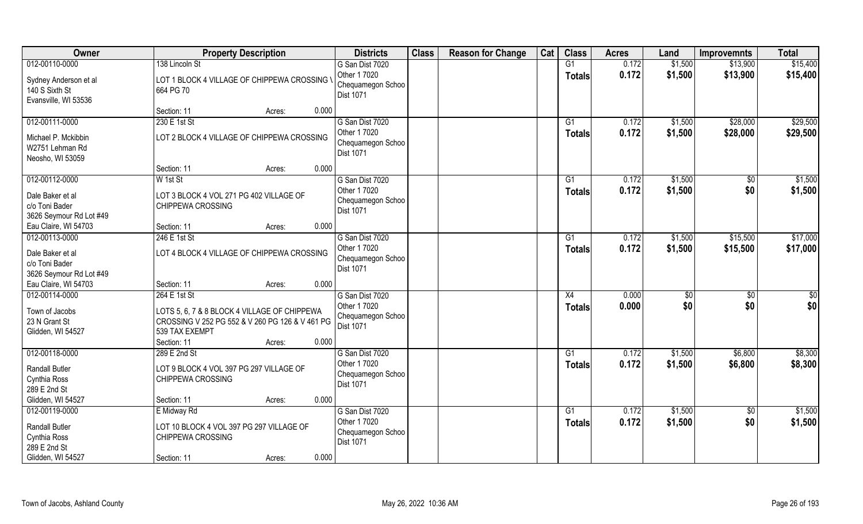| Owner                                                                                        | <b>Property Description</b>                                                                                                       |       | <b>Districts</b>                                                         | <b>Class</b> | <b>Reason for Change</b> | Cat | <b>Class</b>        | <b>Acres</b>   | Land               | <b>Improvemnts</b>     | <b>Total</b>         |
|----------------------------------------------------------------------------------------------|-----------------------------------------------------------------------------------------------------------------------------------|-------|--------------------------------------------------------------------------|--------------|--------------------------|-----|---------------------|----------------|--------------------|------------------------|----------------------|
| 012-00110-0000<br>Sydney Anderson et al<br>140 S Sixth St<br>Evansville, WI 53536            | 138 Lincoln St<br>LOT 1 BLOCK 4 VILLAGE OF CHIPPEWA CROSSING \<br>664 PG 70                                                       |       | G San Dist 7020<br>Other 1 7020<br>Chequamegon Schoo<br>Dist 1071        |              |                          |     | G1<br><b>Totals</b> | 0.172<br>0.172 | \$1,500<br>\$1,500 | \$13,900<br>\$13,900   | \$15,400<br>\$15,400 |
|                                                                                              | Section: 11<br>Acres:                                                                                                             | 0.000 |                                                                          |              |                          |     |                     |                |                    |                        |                      |
| 012-00111-0000<br>Michael P. Mckibbin<br>W2751 Lehman Rd<br>Neosho, WI 53059                 | 230 E 1st St<br>LOT 2 BLOCK 4 VILLAGE OF CHIPPEWA CROSSING                                                                        |       | G San Dist 7020<br>Other 1 7020<br>Chequamegon Schoo<br>Dist 1071        |              |                          |     | G1<br>Totals        | 0.172<br>0.172 | \$1,500<br>\$1,500 | \$28,000<br>\$28,000   | \$29,500<br>\$29,500 |
|                                                                                              | Section: 11<br>Acres:                                                                                                             | 0.000 |                                                                          |              |                          |     |                     |                |                    |                        |                      |
| 012-00112-0000<br>Dale Baker et al<br>c/o Toni Bader<br>3626 Seymour Rd Lot #49              | W 1st St<br>LOT 3 BLOCK 4 VOL 271 PG 402 VILLAGE OF<br>CHIPPEWA CROSSING                                                          |       | G San Dist 7020<br>Other 1 7020<br>Chequamegon Schoo<br>Dist 1071        |              |                          |     | G1<br><b>Totals</b> | 0.172<br>0.172 | \$1,500<br>\$1,500 | $\sqrt[6]{}$<br>\$0    | \$1,500<br>\$1,500   |
| Eau Claire, WI 54703                                                                         | Section: 11<br>Acres:                                                                                                             | 0.000 |                                                                          |              |                          |     |                     |                |                    |                        |                      |
| 012-00113-0000<br>Dale Baker et al<br>c/o Toni Bader<br>3626 Seymour Rd Lot #49              | 246 E 1st St<br>LOT 4 BLOCK 4 VILLAGE OF CHIPPEWA CROSSING                                                                        |       | G San Dist 7020<br>Other 1 7020<br>Chequamegon Schoo<br><b>Dist 1071</b> |              |                          |     | G1<br><b>Totals</b> | 0.172<br>0.172 | \$1,500<br>\$1,500 | \$15,500<br>\$15,500   | \$17,000<br>\$17,000 |
| Eau Claire, WI 54703                                                                         | Section: 11<br>Acres:                                                                                                             | 0.000 |                                                                          |              |                          |     |                     |                |                    |                        |                      |
| 012-00114-0000<br>Town of Jacobs<br>23 N Grant St<br>Glidden, WI 54527                       | 264 E 1st St<br>LOTS 5, 6, 7 & 8 BLOCK 4 VILLAGE OF CHIPPEWA<br>CROSSING V 252 PG 552 & V 260 PG 126 & V 461 PG<br>539 TAX EXEMPT |       | G San Dist 7020<br>Other 1 7020<br>Chequamegon Schoo<br>Dist 1071        |              |                          |     | X4<br><b>Totals</b> | 0.000<br>0.000 | \$0<br>\$0         | $\overline{50}$<br>\$0 | \$0<br>\$0           |
|                                                                                              | Section: 11<br>Acres:                                                                                                             | 0.000 |                                                                          |              |                          |     |                     |                |                    |                        |                      |
| 012-00118-0000<br><b>Randall Butler</b><br>Cynthia Ross<br>289 E 2nd St                      | 289 E 2nd St<br>LOT 9 BLOCK 4 VOL 397 PG 297 VILLAGE OF<br>CHIPPEWA CROSSING                                                      |       | G San Dist 7020<br>Other 1 7020<br>Chequamegon Schoo<br>Dist 1071        |              |                          |     | G1<br><b>Totals</b> | 0.172<br>0.172 | \$1,500<br>\$1,500 | \$6,800<br>\$6,800     | \$8,300<br>\$8,300   |
| Glidden, WI 54527                                                                            | Section: 11<br>Acres:                                                                                                             | 0.000 |                                                                          |              |                          |     |                     |                |                    |                        |                      |
| 012-00119-0000<br><b>Randall Butler</b><br>Cynthia Ross<br>289 E 2nd St<br>Glidden, WI 54527 | E Midway Rd<br>LOT 10 BLOCK 4 VOL 397 PG 297 VILLAGE OF<br>CHIPPEWA CROSSING<br>Section: 11<br>Acres:                             | 0.000 | G San Dist 7020<br>Other 1 7020<br>Chequamegon Schoo<br>Dist 1071        |              |                          |     | G1<br>Totals        | 0.172<br>0.172 | \$1,500<br>\$1,500 | $\sqrt{6}$<br>\$0      | \$1,500<br>\$1,500   |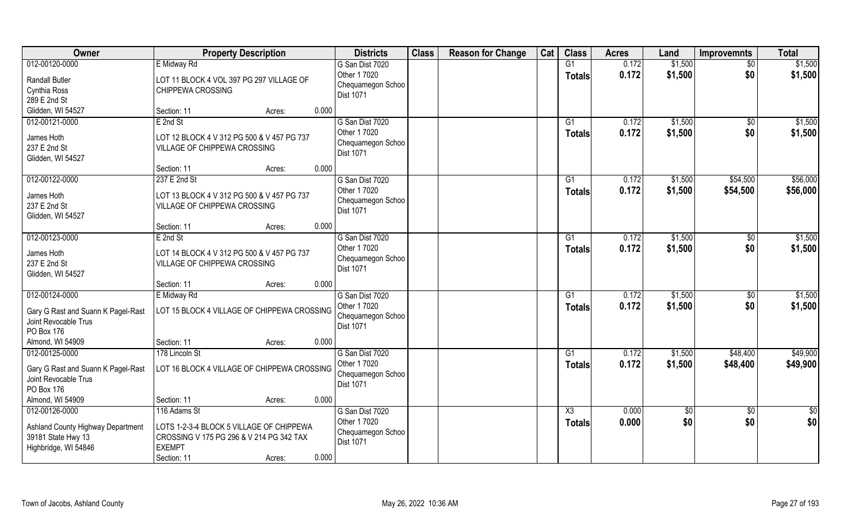| Owner                                                                                             | <b>Property Description</b>                                                                                                                             | <b>Districts</b>                                                         | <b>Class</b> | <b>Reason for Change</b> | Cat | <b>Class</b>        | <b>Acres</b>   | Land               | <b>Improvemnts</b>     | <b>Total</b>       |
|---------------------------------------------------------------------------------------------------|---------------------------------------------------------------------------------------------------------------------------------------------------------|--------------------------------------------------------------------------|--------------|--------------------------|-----|---------------------|----------------|--------------------|------------------------|--------------------|
| 012-00120-0000                                                                                    | E Midway Rd                                                                                                                                             | G San Dist 7020                                                          |              |                          |     | G1                  | 0.172          | \$1,500            | $\sqrt{6}$             | \$1,500            |
| <b>Randall Butler</b><br>Cynthia Ross<br>289 E 2nd St                                             | LOT 11 BLOCK 4 VOL 397 PG 297 VILLAGE OF<br>CHIPPEWA CROSSING                                                                                           | Other 1 7020<br>Chequamegon Schoo<br>Dist 1071                           |              |                          |     | <b>Totals</b>       | 0.172          | \$1,500            | \$0                    | \$1,500            |
| Glidden, WI 54527                                                                                 | 0.000<br>Section: 11<br>Acres:                                                                                                                          |                                                                          |              |                          |     |                     |                |                    |                        |                    |
| 012-00121-0000<br>James Hoth<br>237 E 2nd St<br>Glidden, WI 54527                                 | E 2nd St<br>LOT 12 BLOCK 4 V 312 PG 500 & V 457 PG 737<br>VILLAGE OF CHIPPEWA CROSSING                                                                  | G San Dist 7020<br>Other 1 7020<br>Chequamegon Schoo<br><b>Dist 1071</b> |              |                          |     | G1<br>Totals        | 0.172<br>0.172 | \$1,500<br>\$1,500 | $\overline{50}$<br>\$0 | \$1,500<br>\$1,500 |
| 012-00122-0000                                                                                    | 0.000<br>Section: 11<br>Acres:<br>237 E 2nd St                                                                                                          | G San Dist 7020                                                          |              |                          |     | G1                  | 0.172          | \$1,500            | \$54,500               | \$56,000           |
| James Hoth<br>237 E 2nd St<br>Glidden, WI 54527                                                   | LOT 13 BLOCK 4 V 312 PG 500 & V 457 PG 737<br>VILLAGE OF CHIPPEWA CROSSING                                                                              | Other 1 7020<br>Chequamegon Schoo<br>Dist 1071                           |              |                          |     | <b>Totals</b>       | 0.172          | \$1,500            | \$54,500               | \$56,000           |
|                                                                                                   | 0.000<br>Section: 11<br>Acres:                                                                                                                          |                                                                          |              |                          |     |                     |                |                    |                        |                    |
| 012-00123-0000                                                                                    | E 2nd St                                                                                                                                                | G San Dist 7020                                                          |              |                          |     | G1                  | 0.172          | \$1,500            | \$0                    | \$1,500            |
| James Hoth<br>237 E 2nd St<br>Glidden, WI 54527                                                   | LOT 14 BLOCK 4 V 312 PG 500 & V 457 PG 737<br>VILLAGE OF CHIPPEWA CROSSING                                                                              | Other 1 7020<br>Chequamegon Schoo<br>Dist 1071                           |              |                          |     | <b>Totals</b>       | 0.172          | \$1,500            | \$0                    | \$1,500            |
|                                                                                                   | 0.000<br>Section: 11<br>Acres:                                                                                                                          |                                                                          |              |                          |     |                     |                |                    |                        |                    |
| 012-00124-0000<br>Gary G Rast and Suann K Pagel-Rast<br>Joint Revocable Trus<br>PO Box 176        | E Midway Rd<br>LOT 15 BLOCK 4 VILLAGE OF CHIPPEWA CROSSING                                                                                              | G San Dist 7020<br>Other 1 7020<br>Chequamegon Schoo<br>Dist 1071        |              |                          |     | G1<br><b>Totals</b> | 0.172<br>0.172 | \$1,500<br>\$1,500 | \$0<br>\$0             | \$1,500<br>\$1,500 |
| Almond, WI 54909                                                                                  | 0.000<br>Section: 11<br>Acres:                                                                                                                          |                                                                          |              |                          |     |                     |                |                    |                        |                    |
| 012-00125-0000                                                                                    | 178 Lincoln St                                                                                                                                          | G San Dist 7020                                                          |              |                          |     | G1                  | 0.172          | \$1,500            | \$48,400               | \$49,900           |
| Gary G Rast and Suann K Pagel-Rast<br>Joint Revocable Trus<br>PO Box 176                          | LOT 16 BLOCK 4 VILLAGE OF CHIPPEWA CROSSING                                                                                                             | Other 1 7020<br>Chequamegon Schoo<br><b>Dist 1071</b>                    |              |                          |     | <b>Totals</b>       | 0.172          | \$1,500            | \$48,400               | \$49,900           |
| Almond, WI 54909                                                                                  | 0.000<br>Section: 11<br>Acres:                                                                                                                          |                                                                          |              |                          |     |                     |                |                    |                        |                    |
| 012-00126-0000<br>Ashland County Highway Department<br>39181 State Hwy 13<br>Highbridge, WI 54846 | 116 Adams St<br>LOTS 1-2-3-4 BLOCK 5 VILLAGE OF CHIPPEWA<br>CROSSING V 175 PG 296 & V 214 PG 342 TAX<br><b>EXEMPT</b><br>0.000<br>Section: 11<br>Acres: | G San Dist 7020<br>Other 1 7020<br>Chequamegon Schoo<br><b>Dist 1071</b> |              |                          |     | X3<br><b>Totals</b> | 0.000<br>0.000 | \$0<br>\$0         | $\sqrt{6}$<br>\$0      | \$0<br>\$0         |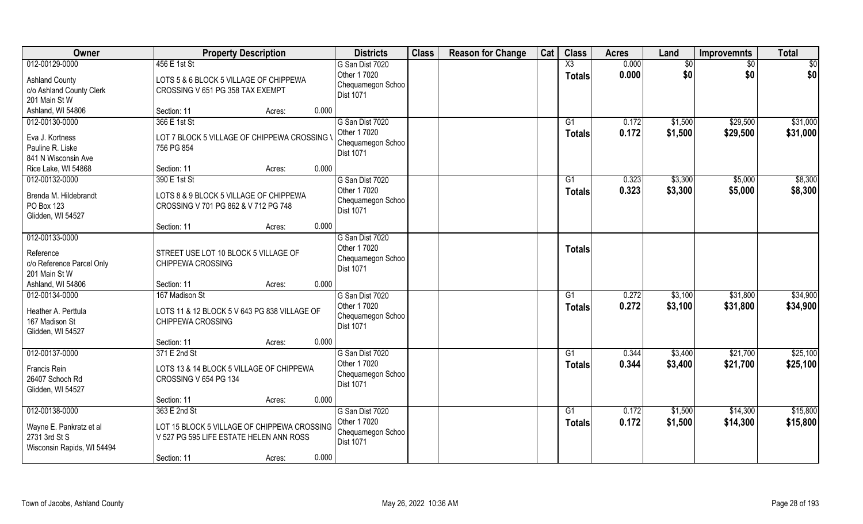| Owner                                                                                | <b>Property Description</b>                                                                |        |       | <b>Districts</b>                                                         | <b>Class</b> | <b>Reason for Change</b> | Cat | <b>Class</b>                     | <b>Acres</b>   | Land               | <b>Improvemnts</b>   | <b>Total</b>         |
|--------------------------------------------------------------------------------------|--------------------------------------------------------------------------------------------|--------|-------|--------------------------------------------------------------------------|--------------|--------------------------|-----|----------------------------------|----------------|--------------------|----------------------|----------------------|
| 012-00129-0000<br><b>Ashland County</b><br>c/o Ashland County Clerk<br>201 Main St W | 456 E 1st St<br>LOTS 5 & 6 BLOCK 5 VILLAGE OF CHIPPEWA<br>CROSSING V 651 PG 358 TAX EXEMPT |        |       | G San Dist 7020<br>Other 1 7020<br>Chequamegon Schoo<br>Dist 1071        |              |                          |     | X3<br><b>Totals</b>              | 0.000<br>0.000 | \$0<br>\$0         | $\sqrt{6}$<br>\$0    | \$0<br>\$0           |
| Ashland, WI 54806                                                                    | Section: 11                                                                                | Acres: | 0.000 |                                                                          |              |                          |     |                                  |                |                    |                      |                      |
| 012-00130-0000<br>Eva J. Kortness<br>Pauline R. Liske<br>841 N Wisconsin Ave         | 366 E 1st St<br>LOT 7 BLOCK 5 VILLAGE OF CHIPPEWA CROSSING \<br>756 PG 854                 |        |       | G San Dist 7020<br>Other 1 7020<br>Chequamegon Schoo<br>Dist 1071        |              |                          |     | G1<br>Totals                     | 0.172<br>0.172 | \$1,500<br>\$1,500 | \$29,500<br>\$29,500 | \$31,000<br>\$31,000 |
| Rice Lake, WI 54868<br>012-00132-0000                                                | Section: 11<br>390 E 1st St                                                                | Acres: | 0.000 | G San Dist 7020                                                          |              |                          |     | G1                               | 0.323          | \$3,300            | \$5,000              | \$8,300              |
| Brenda M. Hildebrandt<br>PO Box 123<br>Glidden, WI 54527                             | LOTS 8 & 9 BLOCK 5 VILLAGE OF CHIPPEWA<br>CROSSING V 701 PG 862 & V 712 PG 748             |        |       | Other 1 7020<br>Chequamegon Schoo<br>Dist 1071                           |              |                          |     | <b>Totals</b>                    | 0.323          | \$3,300            | \$5,000              | \$8,300              |
|                                                                                      | Section: 11                                                                                | Acres: | 0.000 |                                                                          |              |                          |     |                                  |                |                    |                      |                      |
| 012-00133-0000<br>Reference<br>c/o Reference Parcel Only<br>201 Main St W            | STREET USE LOT 10 BLOCK 5 VILLAGE OF<br>CHIPPEWA CROSSING                                  |        |       | G San Dist 7020<br>Other 1 7020<br>Chequamegon Schoo<br><b>Dist 1071</b> |              |                          |     | <b>Totals</b>                    |                |                    |                      |                      |
| Ashland, WI 54806                                                                    | Section: 11                                                                                | Acres: | 0.000 |                                                                          |              |                          |     |                                  |                |                    |                      |                      |
| 012-00134-0000<br>Heather A. Perttula<br>167 Madison St<br>Glidden, WI 54527         | 167 Madison St<br>LOTS 11 & 12 BLOCK 5 V 643 PG 838 VILLAGE OF<br>CHIPPEWA CROSSING        |        |       | G San Dist 7020<br>Other 1 7020<br>Chequamegon Schoo<br>Dist 1071        |              |                          |     | $\overline{G1}$<br><b>Totals</b> | 0.272<br>0.272 | \$3,100<br>\$3,100 | \$31,800<br>\$31,800 | \$34,900<br>\$34,900 |
|                                                                                      | Section: 11                                                                                | Acres: | 0.000 |                                                                          |              |                          |     |                                  |                |                    |                      |                      |
| 012-00137-0000                                                                       | 371 E 2nd St                                                                               |        |       | G San Dist 7020                                                          |              |                          |     | G1                               | 0.344          | \$3,400            | \$21,700             | \$25,100             |
| Francis Rein<br>26407 Schoch Rd<br>Glidden, WI 54527                                 | LOTS 13 & 14 BLOCK 5 VILLAGE OF CHIPPEWA<br>CROSSING V 654 PG 134                          |        |       | Other 1 7020<br>Chequamegon Schoo<br>Dist 1071                           |              |                          |     | <b>Totals</b>                    | 0.344          | \$3,400            | \$21,700             | \$25,100             |
|                                                                                      | Section: 11                                                                                | Acres: | 0.000 |                                                                          |              |                          |     |                                  |                |                    |                      |                      |
| 012-00138-0000                                                                       | 363 E 2nd St                                                                               |        |       | G San Dist 7020                                                          |              |                          |     | $\overline{G1}$                  | 0.172          | \$1,500            | \$14,300             | \$15,800             |
| Wayne E. Pankratz et al<br>2731 3rd St S<br>Wisconsin Rapids, WI 54494               | LOT 15 BLOCK 5 VILLAGE OF CHIPPEWA CROSSING<br>V 527 PG 595 LIFE ESTATE HELEN ANN ROSS     |        |       | Other 1 7020<br>Chequamegon Schoo<br>Dist 1071                           |              |                          |     | <b>Totals</b>                    | 0.172          | \$1,500            | \$14,300             | \$15,800             |
|                                                                                      | Section: 11                                                                                | Acres: | 0.000 |                                                                          |              |                          |     |                                  |                |                    |                      |                      |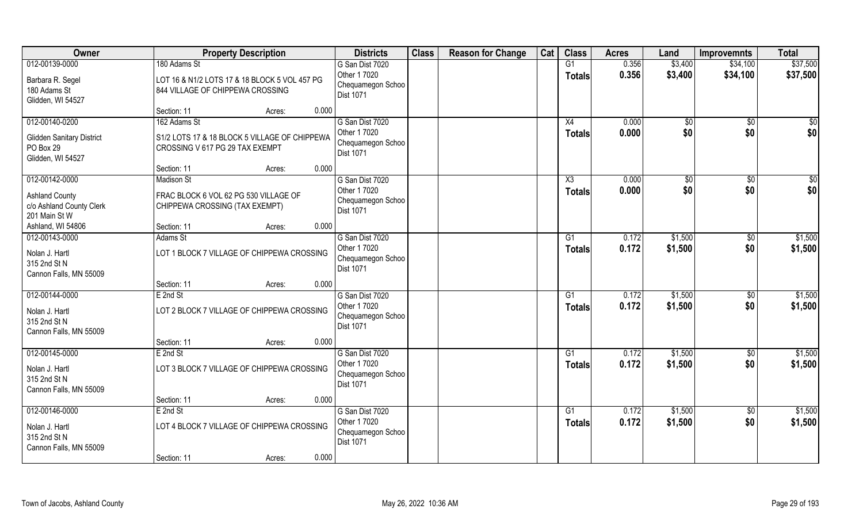| Owner                                                                                | <b>Property Description</b>                                                                      | <b>Districts</b>                                                         | <b>Class</b> | <b>Reason for Change</b> | Cat | <b>Class</b>        | <b>Acres</b>   | Land                | <b>Improvemnts</b>     | <b>Total</b>         |
|--------------------------------------------------------------------------------------|--------------------------------------------------------------------------------------------------|--------------------------------------------------------------------------|--------------|--------------------------|-----|---------------------|----------------|---------------------|------------------------|----------------------|
| 012-00139-0000                                                                       | 180 Adams St                                                                                     | G San Dist 7020<br>Other 1 7020                                          |              |                          |     | G1                  | 0.356<br>0.356 | \$3,400<br>\$3,400  | \$34,100<br>\$34,100   | \$37,500<br>\$37,500 |
| Barbara R. Segel<br>180 Adams St<br>Glidden, WI 54527                                | LOT 16 & N1/2 LOTS 17 & 18 BLOCK 5 VOL 457 PG<br>844 VILLAGE OF CHIPPEWA CROSSING                | Chequamegon Schoo<br>Dist 1071                                           |              |                          |     | <b>Totals</b>       |                |                     |                        |                      |
|                                                                                      | 0.000<br>Section: 11<br>Acres:                                                                   |                                                                          |              |                          |     |                     |                |                     |                        |                      |
| 012-00140-0200<br><b>Glidden Sanitary District</b><br>PO Box 29<br>Glidden, WI 54527 | 162 Adams St<br>S1/2 LOTS 17 & 18 BLOCK 5 VILLAGE OF CHIPPEWA<br>CROSSING V 617 PG 29 TAX EXEMPT | G San Dist 7020<br>Other 1 7020<br>Chequamegon Schoo<br>Dist 1071        |              |                          |     | X4<br><b>Totals</b> | 0.000<br>0.000 | $\sqrt[6]{}$<br>\$0 | $\overline{50}$<br>\$0 | $\sqrt{50}$<br>\$0   |
|                                                                                      | 0.000<br>Section: 11<br>Acres:                                                                   |                                                                          |              |                          |     |                     |                |                     |                        |                      |
| 012-00142-0000                                                                       | <b>Madison St</b>                                                                                | G San Dist 7020                                                          |              |                          |     | X3                  | 0.000          | $\sqrt[6]{3}$       | $\sqrt[6]{30}$         | \$0                  |
| <b>Ashland County</b><br>c/o Ashland County Clerk<br>201 Main St W                   | FRAC BLOCK 6 VOL 62 PG 530 VILLAGE OF<br>CHIPPEWA CROSSING (TAX EXEMPT)                          | Other 1 7020<br>Chequamegon Schoo<br><b>Dist 1071</b>                    |              |                          |     | <b>Totals</b>       | 0.000          | \$0                 | \$0                    | \$0                  |
| Ashland, WI 54806                                                                    | 0.000<br>Section: 11<br>Acres:                                                                   |                                                                          |              |                          |     |                     |                |                     |                        |                      |
| 012-00143-0000<br>Nolan J. Hartl<br>315 2nd St N<br>Cannon Falls, MN 55009           | <b>Adams St</b><br>LOT 1 BLOCK 7 VILLAGE OF CHIPPEWA CROSSING                                    | G San Dist 7020<br>Other 1 7020<br>Chequamegon Schoo<br><b>Dist 1071</b> |              |                          |     | G1<br><b>Totals</b> | 0.172<br>0.172 | \$1,500<br>\$1,500  | \$0<br>\$0             | \$1,500<br>\$1,500   |
|                                                                                      | 0.000<br>Section: 11<br>Acres:                                                                   |                                                                          |              |                          |     |                     |                |                     |                        |                      |
| 012-00144-0000<br>Nolan J. Hartl<br>315 2nd St N<br>Cannon Falls, MN 55009           | E 2nd St<br>LOT 2 BLOCK 7 VILLAGE OF CHIPPEWA CROSSING                                           | G San Dist 7020<br>Other 1 7020<br>Chequamegon Schoo<br><b>Dist 1071</b> |              |                          |     | G1<br><b>Totals</b> | 0.172<br>0.172 | \$1,500<br>\$1,500  | $\sqrt[6]{30}$<br>\$0  | \$1,500<br>\$1,500   |
|                                                                                      | 0.000<br>Section: 11<br>Acres:                                                                   |                                                                          |              |                          |     |                     |                |                     |                        |                      |
| 012-00145-0000                                                                       | E 2nd St                                                                                         | G San Dist 7020                                                          |              |                          |     | G1                  | 0.172          | \$1,500             | \$0                    | \$1,500              |
| Nolan J. Hartl<br>315 2nd St N<br>Cannon Falls, MN 55009                             | LOT 3 BLOCK 7 VILLAGE OF CHIPPEWA CROSSING                                                       | Other 1 7020<br>Chequamegon Schoo<br><b>Dist 1071</b>                    |              |                          |     | <b>Totals</b>       | 0.172          | \$1,500             | \$0                    | \$1,500              |
|                                                                                      | 0.000<br>Section: 11<br>Acres:                                                                   |                                                                          |              |                          |     |                     |                |                     |                        |                      |
| 012-00146-0000<br>Nolan J. Hartl<br>315 2nd St N<br>Cannon Falls, MN 55009           | E 2nd St<br>LOT 4 BLOCK 7 VILLAGE OF CHIPPEWA CROSSING<br>0.000<br>Section: 11<br>Acres:         | G San Dist 7020<br>Other 1 7020<br>Chequamegon Schoo<br><b>Dist 1071</b> |              |                          |     | G1<br><b>Totals</b> | 0.172<br>0.172 | \$1,500<br>\$1,500  | $\overline{50}$<br>\$0 | \$1,500<br>\$1,500   |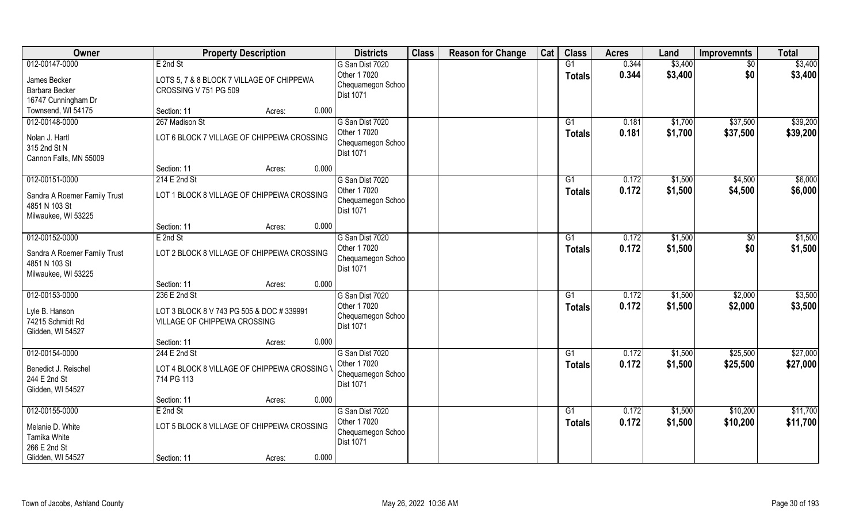| Owner                                                                | <b>Property Description</b>                                               | <b>Districts</b>                                      | <b>Class</b> | <b>Reason for Change</b> | Cat | <b>Class</b>        | <b>Acres</b>   | Land               | <b>Improvemnts</b> | <b>Total</b>       |
|----------------------------------------------------------------------|---------------------------------------------------------------------------|-------------------------------------------------------|--------------|--------------------------|-----|---------------------|----------------|--------------------|--------------------|--------------------|
| 012-00147-0000<br>James Becker                                       | E 2nd St<br>LOTS 5, 7 & 8 BLOCK 7 VILLAGE OF CHIPPEWA                     | G San Dist 7020<br>Other 1 7020                       |              |                          |     | G1<br><b>Totals</b> | 0.344<br>0.344 | \$3,400<br>\$3,400 | $\sqrt{6}$<br>\$0  | \$3,400<br>\$3,400 |
| Barbara Becker                                                       | CROSSING V 751 PG 509                                                     | Chequamegon Schoo                                     |              |                          |     |                     |                |                    |                    |                    |
| 16747 Cunningham Dr                                                  |                                                                           | <b>Dist 1071</b>                                      |              |                          |     |                     |                |                    |                    |                    |
| Townsend, WI 54175                                                   | Section: 11<br>0.000<br>Acres:                                            |                                                       |              |                          |     |                     |                |                    |                    |                    |
| 012-00148-0000                                                       | 267 Madison St                                                            | G San Dist 7020                                       |              |                          |     | G1                  | 0.181          | \$1,700            | \$37,500           | \$39,200           |
| Nolan J. Hartl<br>315 2nd St N                                       | LOT 6 BLOCK 7 VILLAGE OF CHIPPEWA CROSSING                                | Other 1 7020<br>Chequamegon Schoo<br><b>Dist 1071</b> |              |                          |     | Totals              | 0.181          | \$1,700            | \$37,500           | \$39,200           |
| Cannon Falls, MN 55009                                               |                                                                           |                                                       |              |                          |     |                     |                |                    |                    |                    |
|                                                                      | 0.000<br>Section: 11<br>Acres:<br>214 E 2nd St                            | G San Dist 7020                                       |              |                          |     |                     | 0.172          |                    |                    |                    |
| 012-00151-0000                                                       |                                                                           | Other 1 7020                                          |              |                          |     | G1                  |                | \$1,500            | \$4,500            | \$6,000            |
| Sandra A Roemer Family Trust<br>4851 N 103 St<br>Milwaukee, WI 53225 | LOT 1 BLOCK 8 VILLAGE OF CHIPPEWA CROSSING                                | Chequamegon Schoo<br>Dist 1071                        |              |                          |     | <b>Totals</b>       | 0.172          | \$1,500            | \$4,500            | \$6,000            |
|                                                                      | 0.000<br>Section: 11<br>Acres:                                            |                                                       |              |                          |     |                     |                |                    |                    |                    |
| 012-00152-0000                                                       | E 2nd St                                                                  | G San Dist 7020                                       |              |                          |     | G1                  | 0.172          | \$1,500            | \$0                | \$1,500            |
| Sandra A Roemer Family Trust<br>4851 N 103 St<br>Milwaukee, WI 53225 | LOT 2 BLOCK 8 VILLAGE OF CHIPPEWA CROSSING                                | Other 1 7020<br>Chequamegon Schoo<br><b>Dist 1071</b> |              |                          |     | <b>Totals</b>       | 0.172          | \$1,500            | \$0                | \$1,500            |
|                                                                      | 0.000<br>Section: 11<br>Acres:                                            |                                                       |              |                          |     |                     |                |                    |                    |                    |
| 012-00153-0000                                                       | 236 E 2nd St                                                              | G San Dist 7020                                       |              |                          |     | G1                  | 0.172          | \$1,500            | \$2,000            | \$3,500            |
| Lyle B. Hanson<br>74215 Schmidt Rd<br>Glidden, WI 54527              | LOT 3 BLOCK 8 V 743 PG 505 & DOC # 339991<br>VILLAGE OF CHIPPEWA CROSSING | Other 1 7020<br>Chequamegon Schoo<br>Dist 1071        |              |                          |     | <b>Totals</b>       | 0.172          | \$1,500            | \$2,000            | \$3,500            |
|                                                                      | 0.000<br>Section: 11<br>Acres:                                            |                                                       |              |                          |     |                     |                |                    |                    |                    |
| 012-00154-0000                                                       | 244 E 2nd St                                                              | G San Dist 7020                                       |              |                          |     | G1                  | 0.172          | \$1,500            | \$25,500           | \$27,000           |
| Benedict J. Reischel<br>244 E 2nd St<br>Glidden, WI 54527            | LOT 4 BLOCK 8 VILLAGE OF CHIPPEWA CROSSING \<br>714 PG 113                | Other 1 7020<br>Chequamegon Schoo<br>Dist 1071        |              |                          |     | <b>Totals</b>       | 0.172          | \$1,500            | \$25,500           | \$27,000           |
|                                                                      | 0.000<br>Section: 11<br>Acres:                                            |                                                       |              |                          |     |                     |                |                    |                    |                    |
| 012-00155-0000                                                       | E 2nd St                                                                  | G San Dist 7020                                       |              |                          |     | $\overline{G1}$     | 0.172          | \$1,500            | \$10,200           | \$11,700           |
| Melanie D. White<br>Tamika White<br>266 E 2nd St                     | LOT 5 BLOCK 8 VILLAGE OF CHIPPEWA CROSSING                                | Other 1 7020<br>Chequamegon Schoo<br><b>Dist 1071</b> |              |                          |     | <b>Totals</b>       | 0.172          | \$1,500            | \$10,200           | \$11,700           |
| Glidden, WI 54527                                                    | 0.000<br>Section: 11<br>Acres:                                            |                                                       |              |                          |     |                     |                |                    |                    |                    |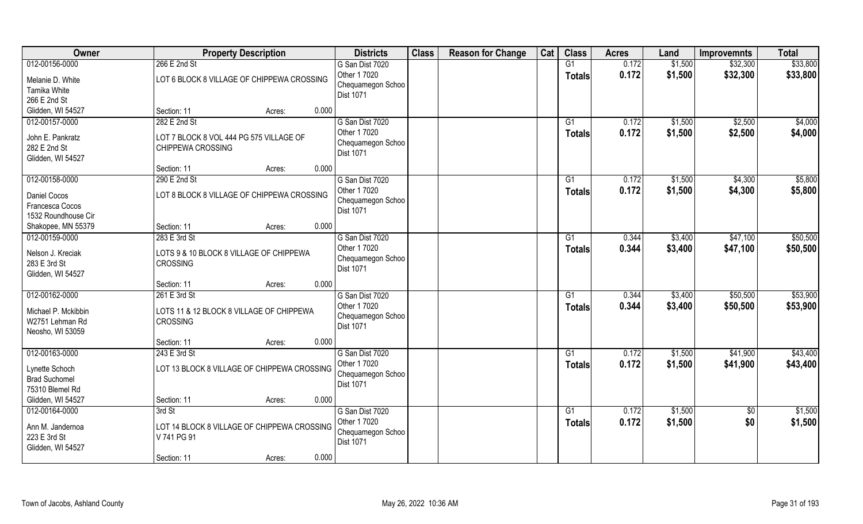| 012-00156-0000<br>266 E 2nd St<br>G1<br>0.172<br>\$1,500<br>\$32,300<br>G San Dist 7020                                         | \$33,800 |
|---------------------------------------------------------------------------------------------------------------------------------|----------|
|                                                                                                                                 |          |
| 0.172<br>Other 1 7020<br>\$1,500<br>\$32,300<br><b>Totals</b><br>LOT 6 BLOCK 8 VILLAGE OF CHIPPEWA CROSSING<br>Melanie D. White | \$33,800 |
| Chequamegon Schoo<br>Tamika White<br>Dist 1071                                                                                  |          |
| 266 E 2nd St                                                                                                                    |          |
| Glidden, WI 54527<br>Section: 11<br>0.000<br>Acres:                                                                             |          |
| \$2,500<br>012-00157-0000<br>282 E 2nd St<br>G San Dist 7020<br>$\overline{G1}$<br>0.172<br>\$1,500                             | \$4,000  |
| Other 1 7020<br>0.172<br>\$1,500<br>\$2,500<br>Totals<br>John E. Pankratz<br>LOT 7 BLOCK 8 VOL 444 PG 575 VILLAGE OF            | \$4,000  |
| Chequamegon Schoo<br>282 E 2nd St<br><b>CHIPPEWA CROSSING</b>                                                                   |          |
| Dist 1071<br>Glidden, WI 54527                                                                                                  |          |
| 0.000<br>Section: 11<br>Acres:                                                                                                  |          |
| 012-00158-0000<br>290 E 2nd St<br>G San Dist 7020<br>0.172<br>\$1,500<br>\$4,300<br>G1                                          | \$5,800  |
| Other 1 7020<br>0.172<br>\$1,500<br>\$4,300<br><b>Totals</b><br>Daniel Cocos<br>LOT 8 BLOCK 8 VILLAGE OF CHIPPEWA CROSSING      | \$5,800  |
| Chequamegon Schoo<br>Francesca Cocos                                                                                            |          |
| Dist 1071<br>1532 Roundhouse Cir                                                                                                |          |
| 0.000<br>Shakopee, MN 55379<br>Section: 11<br>Acres:                                                                            |          |
| \$47,100<br>012-00159-0000<br>283 E 3rd St<br>G San Dist 7020<br>\$3,400<br>G1<br>0.344                                         | \$50,500 |
| Other 1 7020<br>0.344<br>\$3,400<br>\$47,100<br><b>Totals</b><br>Nelson J. Kreciak<br>LOTS 9 & 10 BLOCK 8 VILLAGE OF CHIPPEWA   | \$50,500 |
| Chequamegon Schoo<br>283 E 3rd St<br>CROSSING                                                                                   |          |
| Dist 1071<br>Glidden, WI 54527                                                                                                  |          |
| 0.000<br>Section: 11<br>Acres:                                                                                                  |          |
| 012-00162-0000<br>0.344<br>\$50,500<br>261 E 3rd St<br>$\overline{G1}$<br>\$3,400<br>G San Dist 7020                            | \$53,900 |
| Other 1 7020<br>0.344<br>\$3,400<br>\$50,500<br>Totals<br>Michael P. Mckibbin<br>LOTS 11 & 12 BLOCK 8 VILLAGE OF CHIPPEWA       | \$53,900 |
| Chequamegon Schoo<br>W2751 Lehman Rd<br><b>CROSSING</b>                                                                         |          |
| Dist 1071<br>Neosho, WI 53059                                                                                                   |          |
| 0.000<br>Section: 11<br>Acres:                                                                                                  |          |
| 012-00163-0000<br>243 E 3rd St<br>G San Dist 7020<br>G1<br>0.172<br>\$1,500<br>\$41,900                                         | \$43,400 |
| Other 1 7020<br>0.172<br>\$1,500<br>\$41,900<br><b>Totals</b><br>Lynette Schoch<br>LOT 13 BLOCK 8 VILLAGE OF CHIPPEWA CROSSING  | \$43,400 |
| Chequamegon Schoo<br><b>Brad Suchomel</b>                                                                                       |          |
| Dist 1071<br>75310 Blemel Rd                                                                                                    |          |
| Glidden, WI 54527<br>0.000<br>Section: 11<br>Acres:                                                                             |          |
| 012-00164-0000<br>3rd St<br>G San Dist 7020<br>G1<br>0.172<br>\$1,500<br>$\overline{50}$                                        | \$1,500  |
| \$0<br>Other 1 7020<br>0.172<br>\$1,500<br><b>Totals</b>                                                                        | \$1,500  |
| Ann M. Jandernoa<br>LOT 14 BLOCK 8 VILLAGE OF CHIPPEWA CROSSING<br>Chequamegon Schoo<br>223 E 3rd St<br>V 741 PG 91             |          |
| Dist 1071<br>Glidden, WI 54527                                                                                                  |          |
| 0.000<br>Section: 11<br>Acres:                                                                                                  |          |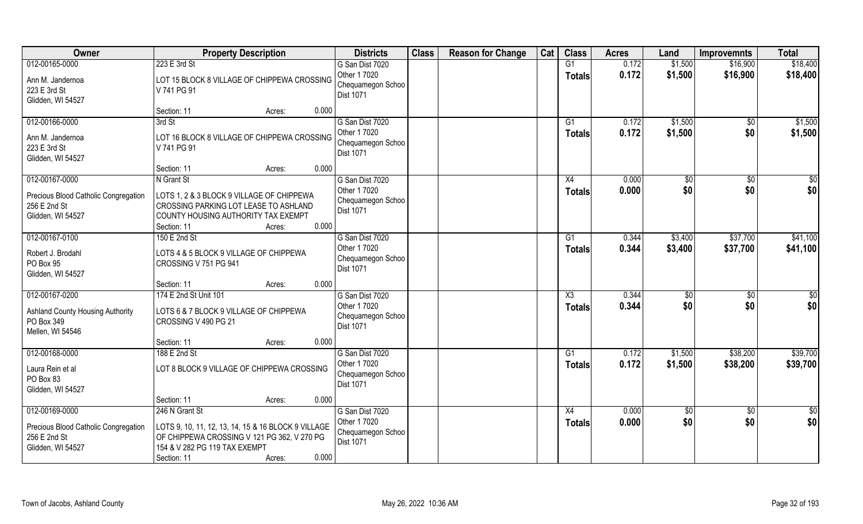| Owner                                                                                       | <b>Property Description</b>                                                                                                                                                             | <b>Districts</b>                                                         | <b>Class</b> | <b>Reason for Change</b> | Cat | <b>Class</b>                         | <b>Acres</b>   | Land                | <b>Improvemnts</b>     | <b>Total</b>           |
|---------------------------------------------------------------------------------------------|-----------------------------------------------------------------------------------------------------------------------------------------------------------------------------------------|--------------------------------------------------------------------------|--------------|--------------------------|-----|--------------------------------------|----------------|---------------------|------------------------|------------------------|
| 012-00165-0000<br>Ann M. Jandernoa<br>223 E 3rd St<br>Glidden, WI 54527                     | 223 E 3rd St<br>LOT 15 BLOCK 8 VILLAGE OF CHIPPEWA CROSSING<br>V 741 PG 91                                                                                                              | G San Dist 7020<br>Other 1 7020<br>Chequamegon Schoo<br><b>Dist 1071</b> |              |                          |     | G1<br><b>Totals</b>                  | 0.172<br>0.172 | \$1,500<br>\$1,500  | \$16,900<br>\$16,900   | \$18,400<br>\$18,400   |
|                                                                                             | 0.000<br>Section: 11<br>Acres:                                                                                                                                                          |                                                                          |              |                          |     |                                      |                |                     |                        |                        |
| 012-00166-0000<br>Ann M. Jandernoa<br>223 E 3rd St<br>Glidden, WI 54527                     | 3rd St<br>LOT 16 BLOCK 8 VILLAGE OF CHIPPEWA CROSSING<br>V 741 PG 91                                                                                                                    | G San Dist 7020<br>Other 1 7020<br>Chequamegon Schoo<br>Dist 1071        |              |                          |     | G1<br>Totals                         | 0.172<br>0.172 | \$1,500<br>\$1,500  | \$0<br>\$0             | \$1,500<br>\$1,500     |
|                                                                                             | 0.000<br>Section: 11<br>Acres:                                                                                                                                                          |                                                                          |              |                          |     |                                      |                |                     |                        |                        |
| 012-00167-0000<br>Precious Blood Catholic Congregation<br>256 E 2nd St<br>Glidden, WI 54527 | N Grant St<br>LOTS 1, 2 & 3 BLOCK 9 VILLAGE OF CHIPPEWA<br>CROSSING PARKING LOT LEASE TO ASHLAND<br>COUNTY HOUSING AUTHORITY TAX EXEMPT<br>0.000<br>Section: 11<br>Acres:               | G San Dist 7020<br>Other 1 7020<br>Chequamegon Schoo<br>Dist 1071        |              |                          |     | X4<br><b>Totals</b>                  | 0.000<br>0.000 | $\sqrt[6]{}$<br>\$0 | $\overline{50}$<br>\$0 | $\overline{50}$<br>\$0 |
| 012-00167-0100                                                                              | 150 E 2nd St                                                                                                                                                                            | G San Dist 7020                                                          |              |                          |     | G1                                   | 0.344          | \$3,400             | \$37,700               | \$41,100               |
| Robert J. Brodahl<br>PO Box 95<br>Glidden, WI 54527                                         | LOTS 4 & 5 BLOCK 9 VILLAGE OF CHIPPEWA<br>CROSSING V 751 PG 941                                                                                                                         | Other 1 7020<br>Chequamegon Schoo<br>Dist 1071                           |              |                          |     | <b>Totals</b>                        | 0.344          | \$3,400             | \$37,700               | \$41,100               |
|                                                                                             | 0.000<br>Section: 11<br>Acres:                                                                                                                                                          |                                                                          |              |                          |     |                                      |                |                     |                        |                        |
| 012-00167-0200<br><b>Ashland County Housing Authority</b><br>PO Box 349<br>Mellen, WI 54546 | 174 E 2nd St Unit 101<br>LOTS 6 & 7 BLOCK 9 VILLAGE OF CHIPPEWA<br>CROSSING V 490 PG 21                                                                                                 | G San Dist 7020<br>Other 1 7020<br>Chequamegon Schoo<br><b>Dist 1071</b> |              |                          |     | $\overline{\chi_3}$<br><b>Totals</b> | 0.344<br>0.344 | \$0<br>\$0          | $\overline{50}$<br>\$0 | \$0<br>\$0             |
|                                                                                             | Section: 11<br>0.000<br>Acres:                                                                                                                                                          |                                                                          |              |                          |     |                                      |                |                     |                        |                        |
| 012-00168-0000                                                                              | 188 E 2nd St                                                                                                                                                                            | G San Dist 7020                                                          |              |                          |     | G1                                   | 0.172          | \$1,500             | \$38,200               | \$39,700               |
| Laura Rein et al<br>PO Box 83<br>Glidden, WI 54527                                          | LOT 8 BLOCK 9 VILLAGE OF CHIPPEWA CROSSING                                                                                                                                              | Other 1 7020<br>Chequamegon Schoo<br><b>Dist 1071</b>                    |              |                          |     | <b>Totals</b>                        | 0.172          | \$1,500             | \$38,200               | \$39,700               |
|                                                                                             | 0.000<br>Section: 11<br>Acres:                                                                                                                                                          |                                                                          |              |                          |     |                                      |                |                     |                        |                        |
| 012-00169-0000<br>Precious Blood Catholic Congregation<br>256 E 2nd St<br>Glidden, WI 54527 | 246 N Grant St<br>LOTS 9, 10, 11, 12, 13, 14, 15 & 16 BLOCK 9 VILLAGE<br>OF CHIPPEWA CROSSING V 121 PG 362, V 270 PG<br>154 & V 282 PG 119 TAX EXEMPT<br>0.000<br>Section: 11<br>Acres: | G San Dist 7020<br>Other 1 7020<br>Chequamegon Schoo<br>Dist 1071        |              |                          |     | X4<br><b>Totals</b>                  | 0.000<br>0.000 | $\sqrt{6}$<br>\$0   | $\sqrt{6}$<br>\$0      | $\frac{1}{2}$<br>\$0   |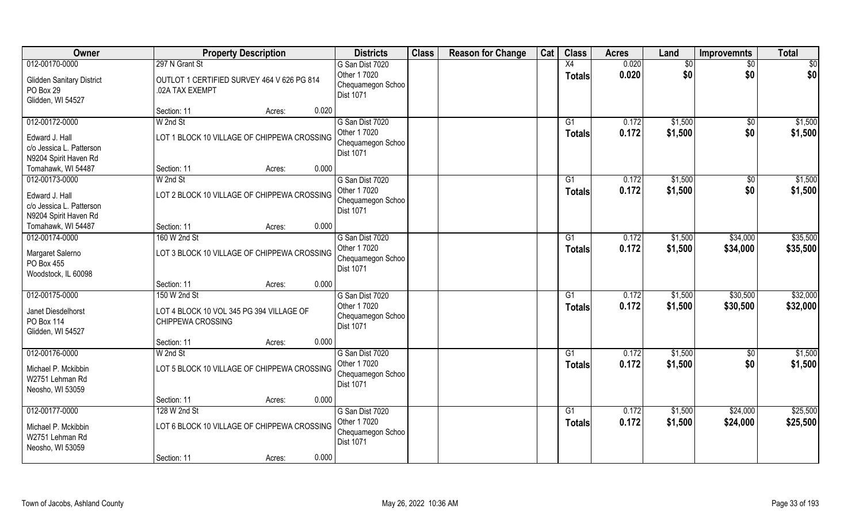| Owner                                                               |                                                                               | <b>Property Description</b> |       | <b>Districts</b>                                                  | <b>Class</b> | <b>Reason for Change</b> | Cat | <b>Class</b>                     | <b>Acres</b>   | Land               | <b>Improvemnts</b>   | <b>Total</b>         |
|---------------------------------------------------------------------|-------------------------------------------------------------------------------|-----------------------------|-------|-------------------------------------------------------------------|--------------|--------------------------|-----|----------------------------------|----------------|--------------------|----------------------|----------------------|
| 012-00170-0000                                                      | 297 N Grant St                                                                |                             |       | G San Dist 7020                                                   |              |                          |     | X4                               | 0.020          | \$0                | $\sqrt{50}$          | \$0                  |
| <b>Glidden Sanitary District</b><br>PO Box 29<br>Glidden, WI 54527  | OUTLOT 1 CERTIFIED SURVEY 464 V 626 PG 814<br>.02A TAX EXEMPT                 |                             |       | Other 1 7020<br>Chequamegon Schoo<br>Dist 1071                    |              |                          |     | <b>Totals</b>                    | 0.020          | \$0                | \$0                  | \$0                  |
|                                                                     | Section: 11                                                                   | Acres:                      | 0.020 |                                                                   |              |                          |     |                                  |                |                    |                      |                      |
| 012-00172-0000<br>Edward J. Hall<br>c/o Jessica L. Patterson        | W 2nd St<br>LOT 1 BLOCK 10 VILLAGE OF CHIPPEWA CROSSING                       |                             |       | G San Dist 7020<br>Other 1 7020<br>Chequamegon Schoo<br>Dist 1071 |              |                          |     | G1<br>Totals                     | 0.172<br>0.172 | \$1,500<br>\$1,500 | \$0<br>\$0           | \$1,500<br>\$1,500   |
| N9204 Spirit Haven Rd<br>Tomahawk, WI 54487                         | Section: 11                                                                   | Acres:                      | 0.000 |                                                                   |              |                          |     |                                  |                |                    |                      |                      |
| 012-00173-0000                                                      | W 2nd St                                                                      |                             |       | G San Dist 7020                                                   |              |                          |     | G1                               | 0.172          | \$1,500            | $\sqrt{50}$          | \$1,500              |
| Edward J. Hall<br>c/o Jessica L. Patterson<br>N9204 Spirit Haven Rd | LOT 2 BLOCK 10 VILLAGE OF CHIPPEWA CROSSING                                   |                             |       | Other 1 7020<br>Chequamegon Schoo<br>Dist 1071                    |              |                          |     | <b>Totals</b>                    | 0.172          | \$1,500            | \$0                  | \$1,500              |
| Tomahawk, WI 54487                                                  | Section: 11                                                                   | Acres:                      | 0.000 |                                                                   |              |                          |     |                                  |                |                    |                      |                      |
| 012-00174-0000                                                      | 160 W 2nd St                                                                  |                             |       | G San Dist 7020                                                   |              |                          |     | G1                               | 0.172          | \$1,500            | \$34,000             | \$35,500             |
| Margaret Salerno<br>PO Box 455<br>Woodstock, IL 60098               | LOT 3 BLOCK 10 VILLAGE OF CHIPPEWA CROSSING                                   |                             |       | Other 1 7020<br>Chequamegon Schoo<br>Dist 1071                    |              |                          |     | Totals                           | 0.172          | \$1,500            | \$34,000             | \$35,500             |
|                                                                     | Section: 11                                                                   | Acres:                      | 0.000 |                                                                   |              |                          |     |                                  |                |                    |                      |                      |
| 012-00175-0000<br>Janet Diesdelhorst<br>PO Box 114                  | 150 W 2nd St<br>LOT 4 BLOCK 10 VOL 345 PG 394 VILLAGE OF<br>CHIPPEWA CROSSING |                             |       | G San Dist 7020<br>Other 1 7020<br>Chequamegon Schoo              |              |                          |     | $\overline{G1}$<br><b>Totals</b> | 0.172<br>0.172 | \$1,500<br>\$1,500 | \$30,500<br>\$30,500 | \$32,000<br>\$32,000 |
| Glidden, WI 54527                                                   |                                                                               |                             |       | <b>Dist 1071</b>                                                  |              |                          |     |                                  |                |                    |                      |                      |
|                                                                     | Section: 11                                                                   | Acres:                      | 0.000 |                                                                   |              |                          |     |                                  |                |                    |                      |                      |
| 012-00176-0000                                                      | W 2nd St                                                                      |                             |       | G San Dist 7020                                                   |              |                          |     | G1                               | 0.172          | \$1,500            | \$0                  | \$1,500              |
| Michael P. Mckibbin<br>W2751 Lehman Rd<br>Neosho, WI 53059          | LOT 5 BLOCK 10 VILLAGE OF CHIPPEWA CROSSING                                   |                             |       | Other 1 7020<br>Chequamegon Schoo<br>Dist 1071                    |              |                          |     | <b>Totals</b>                    | 0.172          | \$1,500            | \$0                  | \$1,500              |
|                                                                     | Section: 11                                                                   | Acres:                      | 0.000 |                                                                   |              |                          |     |                                  |                |                    |                      |                      |
| 012-00177-0000                                                      | 128 W 2nd St                                                                  |                             |       | G San Dist 7020                                                   |              |                          |     | $\overline{G1}$                  | 0.172          | \$1,500            | \$24,000             | \$25,500             |
| Michael P. Mckibbin<br>W2751 Lehman Rd<br>Neosho, WI 53059          | LOT 6 BLOCK 10 VILLAGE OF CHIPPEWA CROSSING                                   |                             |       | Other 1 7020<br>Chequamegon Schoo<br>Dist 1071                    |              |                          |     | Totals                           | 0.172          | \$1,500            | \$24,000             | \$25,500             |
|                                                                     | Section: 11                                                                   | Acres:                      | 0.000 |                                                                   |              |                          |     |                                  |                |                    |                      |                      |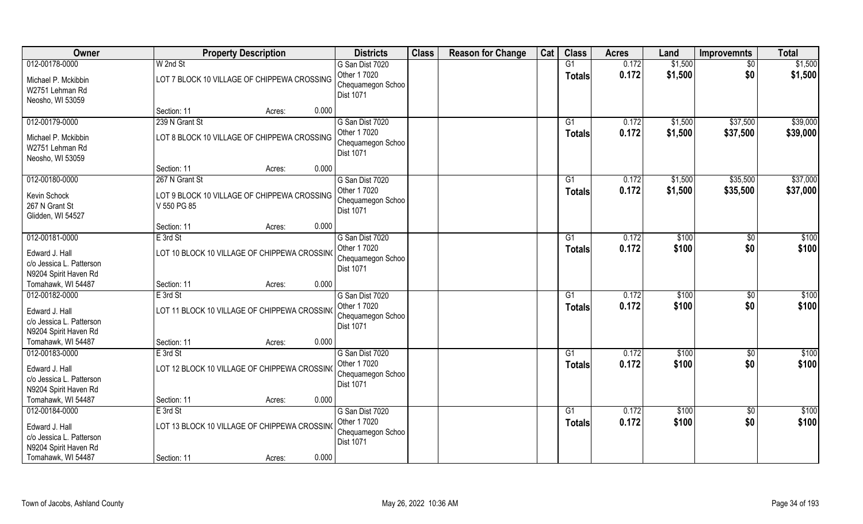| Owner                                                                                                       | <b>Property Description</b>                                                  |        |       | <b>Districts</b>                                                         | <b>Class</b> | <b>Reason for Change</b> | Cat | <b>Class</b>                     | <b>Acres</b>   | Land               | <b>Improvemnts</b>     | <b>Total</b>         |
|-------------------------------------------------------------------------------------------------------------|------------------------------------------------------------------------------|--------|-------|--------------------------------------------------------------------------|--------------|--------------------------|-----|----------------------------------|----------------|--------------------|------------------------|----------------------|
| 012-00178-0000                                                                                              | W 2nd St                                                                     |        |       | G San Dist 7020                                                          |              |                          |     | G1                               | 0.172          | \$1,500            | $\sqrt{6}$             | \$1,500              |
| Michael P. Mckibbin<br>W2751 Lehman Rd<br>Neosho, WI 53059                                                  | LOT 7 BLOCK 10 VILLAGE OF CHIPPEWA CROSSING                                  |        |       | Other 1 7020<br>Chequamegon Schoo<br>Dist 1071                           |              |                          |     | <b>Totals</b>                    | 0.172          | \$1,500            | \$0                    | \$1,500              |
|                                                                                                             | Section: 11                                                                  | Acres: | 0.000 |                                                                          |              |                          |     |                                  |                |                    |                        |                      |
| 012-00179-0000<br>Michael P. Mckibbin<br>W2751 Lehman Rd<br>Neosho, WI 53059                                | 239 N Grant St<br>LOT 8 BLOCK 10 VILLAGE OF CHIPPEWA CROSSING                |        |       | G San Dist 7020<br>Other 1 7020<br>Chequamegon Schoo<br><b>Dist 1071</b> |              |                          |     | G1<br>Totals                     | 0.172<br>0.172 | \$1,500<br>\$1,500 | \$37,500<br>\$37,500   | \$39,000<br>\$39,000 |
|                                                                                                             | Section: 11                                                                  | Acres: | 0.000 |                                                                          |              |                          |     |                                  |                |                    |                        |                      |
| 012-00180-0000<br>Kevin Schock<br>267 N Grant St<br>Glidden, WI 54527                                       | 267 N Grant St<br>LOT 9 BLOCK 10 VILLAGE OF CHIPPEWA CROSSING<br>V 550 PG 85 |        |       | G San Dist 7020<br>Other 1 7020<br>Chequamegon Schoo<br><b>Dist 1071</b> |              |                          |     | G1<br><b>Totals</b>              | 0.172<br>0.172 | \$1,500<br>\$1,500 | \$35,500<br>\$35,500   | \$37,000<br>\$37,000 |
|                                                                                                             | Section: 11                                                                  | Acres: | 0.000 |                                                                          |              |                          |     |                                  |                |                    |                        |                      |
| 012-00181-0000<br>Edward J. Hall<br>c/o Jessica L. Patterson                                                | E 3rd St<br>LOT 10 BLOCK 10 VILLAGE OF CHIPPEWA CROSSING                     |        |       | G San Dist 7020<br>Other 1 7020<br>Chequamegon Schoo                     |              |                          |     | G1<br><b>Totals</b>              | 0.172<br>0.172 | \$100<br>\$100     | \$0<br>\$0             | \$100<br>\$100       |
| N9204 Spirit Haven Rd<br>Tomahawk, WI 54487                                                                 | Section: 11                                                                  | Acres: | 0.000 | <b>Dist 1071</b>                                                         |              |                          |     |                                  |                |                    |                        |                      |
| 012-00182-0000<br>Edward J. Hall<br>c/o Jessica L. Patterson<br>N9204 Spirit Haven Rd                       | $E$ 3rd St<br>LOT 11 BLOCK 10 VILLAGE OF CHIPPEWA CROSSING                   |        |       | G San Dist 7020<br>Other 1 7020<br>Chequamegon Schoo<br><b>Dist 1071</b> |              |                          |     | G1<br>Totals                     | 0.172<br>0.172 | \$100<br>\$100     | $\overline{50}$<br>\$0 | \$100<br>\$100       |
| Tomahawk, WI 54487                                                                                          | Section: 11                                                                  | Acres: | 0.000 |                                                                          |              |                          |     |                                  |                |                    |                        |                      |
| 012-00183-0000                                                                                              | E 3rd St                                                                     |        |       | G San Dist 7020                                                          |              |                          |     | G1                               | 0.172          | \$100              | \$0                    | \$100                |
| Edward J. Hall<br>c/o Jessica L. Patterson<br>N9204 Spirit Haven Rd                                         | LOT 12 BLOCK 10 VILLAGE OF CHIPPEWA CROSSINO                                 |        |       | Other 1 7020<br>Chequamegon Schoo<br>Dist 1071                           |              |                          |     | <b>Totals</b>                    | 0.172          | \$100              | \$0                    | \$100                |
| Tomahawk, WI 54487                                                                                          | Section: 11                                                                  | Acres: | 0.000 |                                                                          |              |                          |     |                                  |                |                    |                        |                      |
| 012-00184-0000<br>Edward J. Hall<br>c/o Jessica L. Patterson<br>N9204 Spirit Haven Rd<br>Tomahawk, WI 54487 | E 3rd St<br>LOT 13 BLOCK 10 VILLAGE OF CHIPPEWA CROSSING<br>Section: 11      | Acres: | 0.000 | G San Dist 7020<br>Other 1 7020<br>Chequamegon Schoo<br><b>Dist 1071</b> |              |                          |     | $\overline{G1}$<br><b>Totals</b> | 0.172<br>0.172 | \$100<br>\$100     | $\overline{50}$<br>\$0 | \$100<br>\$100       |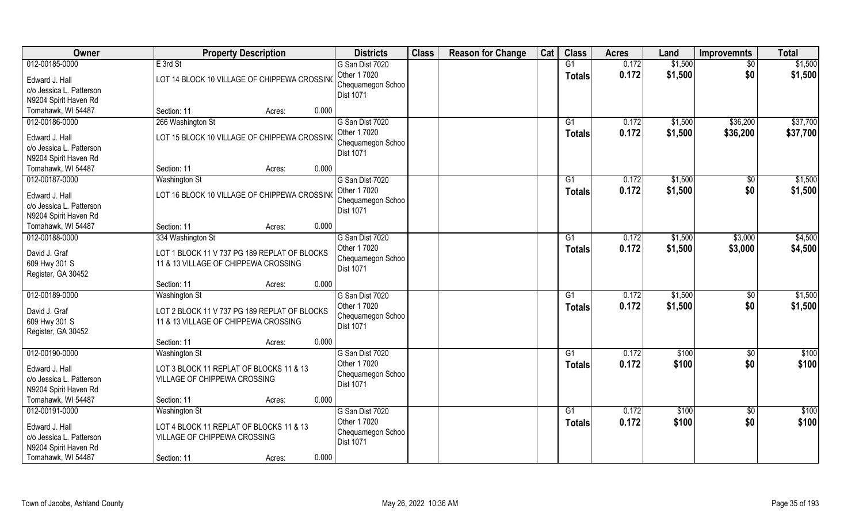| Owner                                                                                                       | <b>Property Description</b>                                                                                                | <b>Districts</b>                                                         | <b>Class</b> | <b>Reason for Change</b> | Cat | <b>Class</b>              | <b>Acres</b>   | Land               | <b>Improvemnts</b>    | <b>Total</b>         |
|-------------------------------------------------------------------------------------------------------------|----------------------------------------------------------------------------------------------------------------------------|--------------------------------------------------------------------------|--------------|--------------------------|-----|---------------------------|----------------|--------------------|-----------------------|----------------------|
| 012-00185-0000<br>Edward J. Hall<br>c/o Jessica L. Patterson<br>N9204 Spirit Haven Rd                       | E 3rd St<br>LOT 14 BLOCK 10 VILLAGE OF CHIPPEWA CROSSING                                                                   | G San Dist 7020<br>Other 1 7020<br>Chequamegon Schoo<br>Dist 1071        |              |                          |     | G1<br><b>Totals</b>       | 0.172<br>0.172 | \$1,500<br>\$1,500 | $\sqrt{$0}$<br>\$0    | \$1,500<br>\$1,500   |
| Tomahawk, WI 54487                                                                                          | 0.000<br>Section: 11<br>Acres:                                                                                             |                                                                          |              |                          |     |                           |                |                    |                       |                      |
| 012-00186-0000<br>Edward J. Hall<br>c/o Jessica L. Patterson<br>N9204 Spirit Haven Rd                       | 266 Washington St<br>LOT 15 BLOCK 10 VILLAGE OF CHIPPEWA CROSSING                                                          | G San Dist 7020<br>Other 1 7020<br>Chequamegon Schoo<br>Dist 1071        |              |                          |     | $\overline{G1}$<br>Totals | 0.172<br>0.172 | \$1,500<br>\$1,500 | \$36,200<br>\$36,200  | \$37,700<br>\$37,700 |
| Tomahawk, WI 54487                                                                                          | 0.000<br>Section: 11<br>Acres:                                                                                             |                                                                          |              |                          |     |                           |                |                    |                       |                      |
| 012-00187-0000<br>Edward J. Hall<br>c/o Jessica L. Patterson<br>N9204 Spirit Haven Rd                       | Washington St<br>LOT 16 BLOCK 10 VILLAGE OF CHIPPEWA CROSSING                                                              | G San Dist 7020<br>Other 1 7020<br>Chequamegon Schoo<br>Dist 1071        |              |                          |     | G1<br><b>Totals</b>       | 0.172<br>0.172 | \$1,500<br>\$1,500 | \$0<br>\$0            | \$1,500<br>\$1,500   |
| Tomahawk, WI 54487                                                                                          | 0.000<br>Section: 11<br>Acres:                                                                                             |                                                                          |              |                          |     |                           |                |                    |                       |                      |
| 012-00188-0000<br>David J. Graf<br>609 Hwy 301 S<br>Register, GA 30452                                      | 334 Washington St<br>LOT 1 BLOCK 11 V 737 PG 189 REPLAT OF BLOCKS<br>11 & 13 VILLAGE OF CHIPPEWA CROSSING                  | G San Dist 7020<br>Other 1 7020<br>Chequamegon Schoo<br><b>Dist 1071</b> |              |                          |     | G1<br><b>Totals</b>       | 0.172<br>0.172 | \$1,500<br>\$1,500 | \$3,000<br>\$3,000    | \$4,500<br>\$4,500   |
|                                                                                                             | 0.000<br>Section: 11<br>Acres:                                                                                             |                                                                          |              |                          |     |                           |                |                    |                       |                      |
| 012-00189-0000<br>David J. Graf<br>609 Hwy 301 S<br>Register, GA 30452                                      | <b>Washington St</b><br>LOT 2 BLOCK 11 V 737 PG 189 REPLAT OF BLOCKS<br>11 & 13 VILLAGE OF CHIPPEWA CROSSING               | G San Dist 7020<br>Other 1 7020<br>Chequamegon Schoo<br>Dist 1071        |              |                          |     | $\overline{G1}$<br>Totals | 0.172<br>0.172 | \$1,500<br>\$1,500 | $\sqrt[6]{30}$<br>\$0 | \$1,500<br>\$1,500   |
|                                                                                                             | 0.000<br>Section: 11<br>Acres:                                                                                             |                                                                          |              |                          |     |                           |                |                    |                       |                      |
| 012-00190-0000                                                                                              | Washington St                                                                                                              | G San Dist 7020                                                          |              |                          |     | G1                        | 0.172          | \$100              | $\overline{30}$       | \$100                |
| Edward J. Hall<br>c/o Jessica L. Patterson<br>N9204 Spirit Haven Rd                                         | LOT 3 BLOCK 11 REPLAT OF BLOCKS 11 & 13<br>VILLAGE OF CHIPPEWA CROSSING                                                    | Other 1 7020<br>Chequamegon Schoo<br><b>Dist 1071</b>                    |              |                          |     | <b>Totals</b>             | 0.172          | \$100              | \$0                   | \$100                |
| Tomahawk, WI 54487                                                                                          | 0.000<br>Section: 11<br>Acres:                                                                                             |                                                                          |              |                          |     |                           |                |                    |                       |                      |
| 012-00191-0000<br>Edward J. Hall<br>c/o Jessica L. Patterson<br>N9204 Spirit Haven Rd<br>Tomahawk, WI 54487 | Washington St<br>LOT 4 BLOCK 11 REPLAT OF BLOCKS 11 & 13<br>VILLAGE OF CHIPPEWA CROSSING<br>0.000<br>Section: 11<br>Acres: | G San Dist 7020<br>Other 1 7020<br>Chequamegon Schoo<br>Dist 1071        |              |                          |     | G1<br><b>Totals</b>       | 0.172<br>0.172 | \$100<br>\$100     | $\sqrt{$0}$<br>\$0    | \$100<br>\$100       |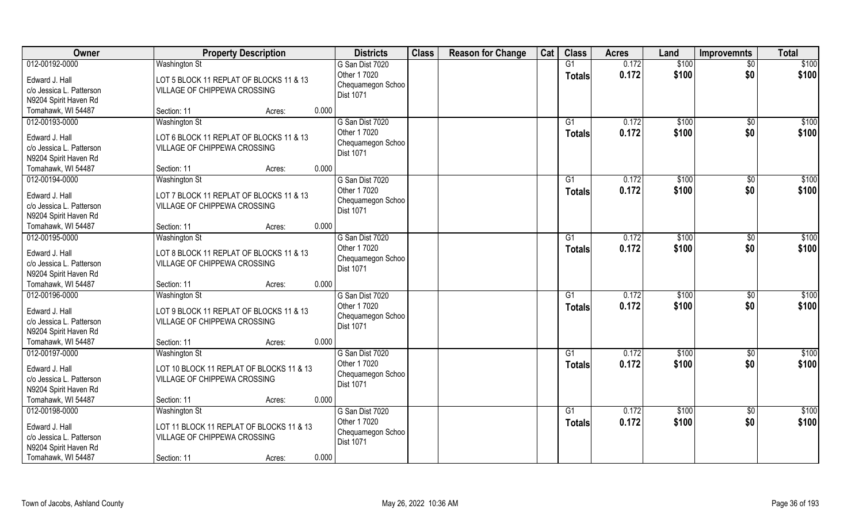| Owner                                                                                 | <b>Property Description</b>                                                                      | <b>Districts</b>                                                         | <b>Class</b> | <b>Reason for Change</b> | Cat | <b>Class</b>        | <b>Acres</b>   | Land           | <b>Improvemnts</b>     | <b>Total</b>   |
|---------------------------------------------------------------------------------------|--------------------------------------------------------------------------------------------------|--------------------------------------------------------------------------|--------------|--------------------------|-----|---------------------|----------------|----------------|------------------------|----------------|
| 012-00192-0000                                                                        | <b>Washington St</b>                                                                             | G San Dist 7020                                                          |              |                          |     | G1                  | 0.172          | \$100          | $\overline{30}$        | \$100          |
| Edward J. Hall<br>c/o Jessica L. Patterson<br>N9204 Spirit Haven Rd                   | LOT 5 BLOCK 11 REPLAT OF BLOCKS 11 & 13<br>VILLAGE OF CHIPPEWA CROSSING                          | Other 1 7020<br>Chequamegon Schoo<br>Dist 1071                           |              |                          |     | <b>Totals</b>       | 0.172          | \$100          | \$0                    | \$100          |
| Tomahawk, WI 54487                                                                    | 0.000<br>Section: 11<br>Acres:                                                                   |                                                                          |              |                          |     |                     |                |                |                        |                |
| 012-00193-0000<br>Edward J. Hall                                                      | <b>Washington St</b><br>LOT 6 BLOCK 11 REPLAT OF BLOCKS 11 & 13                                  | G San Dist 7020<br>Other 1 7020                                          |              |                          |     | G1<br>Totals        | 0.172<br>0.172 | \$100<br>\$100 | $\overline{50}$<br>\$0 | \$100<br>\$100 |
| c/o Jessica L. Patterson<br>N9204 Spirit Haven Rd                                     | VILLAGE OF CHIPPEWA CROSSING                                                                     | Chequamegon Schoo<br>Dist 1071                                           |              |                          |     |                     |                |                |                        |                |
| Tomahawk, WI 54487                                                                    | 0.000<br>Section: 11<br>Acres:                                                                   |                                                                          |              |                          |     |                     |                |                |                        |                |
| 012-00194-0000<br>Edward J. Hall<br>c/o Jessica L. Patterson<br>N9204 Spirit Haven Rd | <b>Washington St</b><br>LOT 7 BLOCK 11 REPLAT OF BLOCKS 11 & 13<br>VILLAGE OF CHIPPEWA CROSSING  | G San Dist 7020<br>Other 1 7020<br>Chequamegon Schoo<br>Dist 1071        |              |                          |     | G1<br><b>Totals</b> | 0.172<br>0.172 | \$100<br>\$100 | $\sqrt[6]{30}$<br>\$0  | \$100<br>\$100 |
| Tomahawk, WI 54487                                                                    | 0.000<br>Section: 11<br>Acres:                                                                   |                                                                          |              |                          |     |                     |                |                |                        |                |
| 012-00195-0000                                                                        | Washington St                                                                                    | G San Dist 7020                                                          |              |                          |     | G <sub>1</sub>      | 0.172          | \$100          | \$0                    | \$100          |
| Edward J. Hall<br>c/o Jessica L. Patterson<br>N9204 Spirit Haven Rd                   | LOT 8 BLOCK 11 REPLAT OF BLOCKS 11 & 13<br>VILLAGE OF CHIPPEWA CROSSING                          | Other 1 7020<br>Chequamegon Schoo<br>Dist 1071                           |              |                          |     | <b>Totals</b>       | 0.172          | \$100          | \$0                    | \$100          |
| Tomahawk, WI 54487                                                                    | 0.000<br>Section: 11<br>Acres:                                                                   |                                                                          |              |                          |     |                     |                |                |                        |                |
| 012-00196-0000<br>Edward J. Hall<br>c/o Jessica L. Patterson<br>N9204 Spirit Haven Rd | <b>Washington St</b><br>LOT 9 BLOCK 11 REPLAT OF BLOCKS 11 & 13<br>VILLAGE OF CHIPPEWA CROSSING  | G San Dist 7020<br>Other 1 7020<br>Chequamegon Schoo<br>Dist 1071        |              |                          |     | G1<br><b>Totals</b> | 0.172<br>0.172 | \$100<br>\$100 | \$0<br>\$0             | \$100<br>\$100 |
| Tomahawk, WI 54487                                                                    | 0.000<br>Section: 11<br>Acres:                                                                   |                                                                          |              |                          |     |                     |                |                |                        |                |
| 012-00197-0000                                                                        | <b>Washington St</b>                                                                             | G San Dist 7020                                                          |              |                          |     | G1                  | 0.172          | \$100          | \$0                    | \$100          |
| Edward J. Hall<br>c/o Jessica L. Patterson<br>N9204 Spirit Haven Rd                   | LOT 10 BLOCK 11 REPLAT OF BLOCKS 11 & 13<br>VILLAGE OF CHIPPEWA CROSSING                         | Other 1 7020<br>Chequamegon Schoo<br><b>Dist 1071</b>                    |              |                          |     | <b>Totals</b>       | 0.172          | \$100          | \$0                    | \$100          |
| Tomahawk, WI 54487                                                                    | 0.000<br>Section: 11<br>Acres:                                                                   |                                                                          |              |                          |     |                     |                |                |                        |                |
| 012-00198-0000<br>Edward J. Hall<br>c/o Jessica L. Patterson<br>N9204 Spirit Haven Rd | <b>Washington St</b><br>LOT 11 BLOCK 11 REPLAT OF BLOCKS 11 & 13<br>VILLAGE OF CHIPPEWA CROSSING | G San Dist 7020<br>Other 1 7020<br>Chequamegon Schoo<br><b>Dist 1071</b> |              |                          |     | G1<br><b>Totals</b> | 0.172<br>0.172 | \$100<br>\$100 | $\sqrt{$0}$<br>\$0     | \$100<br>\$100 |
| Tomahawk, WI 54487                                                                    | 0.000<br>Section: 11<br>Acres:                                                                   |                                                                          |              |                          |     |                     |                |                |                        |                |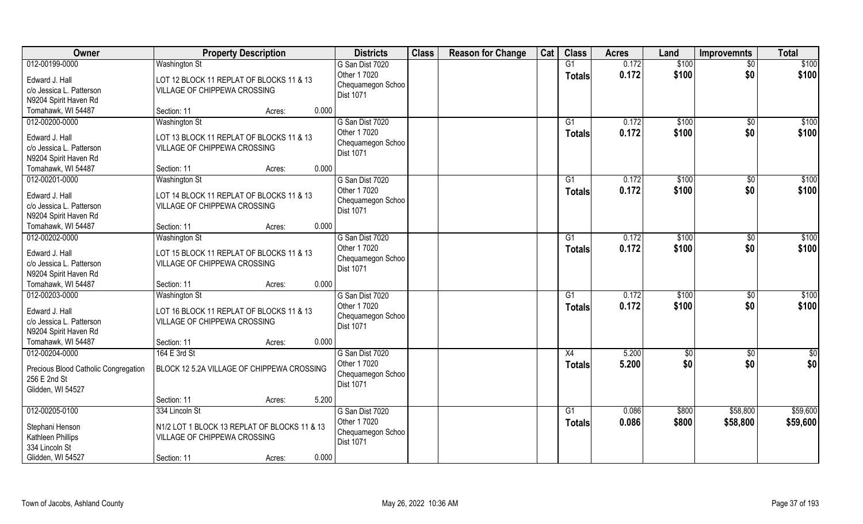| Owner                                                                                 | <b>Property Description</b>                                                                      | <b>Districts</b>                                                  | <b>Class</b> | <b>Reason for Change</b> | Cat | <b>Class</b>        | <b>Acres</b>   | Land           | <b>Improvemnts</b>    | <b>Total</b>               |
|---------------------------------------------------------------------------------------|--------------------------------------------------------------------------------------------------|-------------------------------------------------------------------|--------------|--------------------------|-----|---------------------|----------------|----------------|-----------------------|----------------------------|
| 012-00199-0000                                                                        | <b>Washington St</b>                                                                             | G San Dist 7020                                                   |              |                          |     | G1                  | 0.172          | \$100          | $\overline{50}$       | \$100                      |
| Edward J. Hall<br>c/o Jessica L. Patterson                                            | LOT 12 BLOCK 11 REPLAT OF BLOCKS 11 & 13<br>VILLAGE OF CHIPPEWA CROSSING                         | Other 1 7020<br>Chequamegon Schoo                                 |              |                          |     | <b>Totals</b>       | 0.172          | \$100          | \$0                   | \$100                      |
| N9204 Spirit Haven Rd                                                                 |                                                                                                  | Dist 1071                                                         |              |                          |     |                     |                |                |                       |                            |
| Tomahawk, WI 54487                                                                    | 0.000<br>Section: 11<br>Acres:                                                                   |                                                                   |              |                          |     |                     |                |                |                       |                            |
| 012-00200-0000                                                                        | <b>Washington St</b>                                                                             | G San Dist 7020                                                   |              |                          |     | G1                  | 0.172          | \$100          | $\overline{50}$       | \$100                      |
| Edward J. Hall<br>c/o Jessica L. Patterson<br>N9204 Spirit Haven Rd                   | LOT 13 BLOCK 11 REPLAT OF BLOCKS 11 & 13<br>VILLAGE OF CHIPPEWA CROSSING                         | Other 1 7020<br>Chequamegon Schoo<br><b>Dist 1071</b>             |              |                          |     | <b>Totals</b>       | 0.172          | \$100          | \$0                   | \$100                      |
| Tomahawk, WI 54487                                                                    | 0.000<br>Section: 11<br>Acres:                                                                   |                                                                   |              |                          |     |                     |                |                |                       |                            |
| 012-00201-0000                                                                        | <b>Washington St</b>                                                                             | G San Dist 7020                                                   |              |                          |     | G1                  | 0.172          | \$100          | $\sqrt[6]{30}$        | \$100                      |
| Edward J. Hall<br>c/o Jessica L. Patterson<br>N9204 Spirit Haven Rd                   | LOT 14 BLOCK 11 REPLAT OF BLOCKS 11 & 13<br>VILLAGE OF CHIPPEWA CROSSING                         | Other 1 7020<br>Chequamegon Schoo<br><b>Dist 1071</b>             |              |                          |     | <b>Totals</b>       | 0.172          | \$100          | \$0                   | \$100                      |
| Tomahawk, WI 54487                                                                    | 0.000<br>Section: 11<br>Acres:                                                                   |                                                                   |              |                          |     |                     |                |                |                       |                            |
| 012-00202-0000                                                                        | <b>Washington St</b>                                                                             | G San Dist 7020                                                   |              |                          |     | G1                  | 0.172          | \$100          | $\sqrt[6]{3}$         | \$100                      |
| Edward J. Hall<br>c/o Jessica L. Patterson<br>N9204 Spirit Haven Rd                   | LOT 15 BLOCK 11 REPLAT OF BLOCKS 11 & 13<br>VILLAGE OF CHIPPEWA CROSSING                         | Other 1 7020<br>Chequamegon Schoo<br><b>Dist 1071</b>             |              |                          |     | <b>Totals</b>       | 0.172          | \$100          | \$0                   | \$100                      |
| Tomahawk, WI 54487                                                                    | 0.000<br>Section: 11<br>Acres:                                                                   |                                                                   |              |                          |     |                     |                |                |                       |                            |
| 012-00203-0000<br>Edward J. Hall<br>c/o Jessica L. Patterson<br>N9204 Spirit Haven Rd | <b>Washington St</b><br>LOT 16 BLOCK 11 REPLAT OF BLOCKS 11 & 13<br>VILLAGE OF CHIPPEWA CROSSING | G San Dist 7020<br>Other 1 7020<br>Chequamegon Schoo<br>Dist 1071 |              |                          |     | G1<br><b>Totals</b> | 0.172<br>0.172 | \$100<br>\$100 | $\sqrt[6]{30}$<br>\$0 | $\overline{$100}$<br>\$100 |
| Tomahawk, WI 54487                                                                    | 0.000<br>Section: 11<br>Acres:                                                                   |                                                                   |              |                          |     |                     |                |                |                       |                            |
| 012-00204-0000                                                                        | 164 E 3rd St                                                                                     | G San Dist 7020                                                   |              |                          |     | X4                  | 5.200          | \$0            | \$0                   | $\frac{6}{3}$              |
| Precious Blood Catholic Congregation<br>256 E 2nd St<br>Glidden, WI 54527             | BLOCK 12 5.2A VILLAGE OF CHIPPEWA CROSSING                                                       | Other 1 7020<br>Chequamegon Schoo<br><b>Dist 1071</b>             |              |                          |     | <b>Totals</b>       | 5.200          | \$0            | \$0                   | \$0                        |
|                                                                                       | 5.200<br>Section: 11<br>Acres:                                                                   |                                                                   |              |                          |     |                     |                |                |                       |                            |
| 012-00205-0100                                                                        | 334 Lincoln St                                                                                   | G San Dist 7020                                                   |              |                          |     | G1                  | 0.086          | \$800          | \$58,800              | \$59,600                   |
| Stephani Henson<br>Kathleen Phillips<br>334 Lincoln St                                | N1/2 LOT 1 BLOCK 13 REPLAT OF BLOCKS 11 & 13<br>VILLAGE OF CHIPPEWA CROSSING                     | Other 1 7020<br>Chequamegon Schoo<br><b>Dist 1071</b>             |              |                          |     | <b>Totals</b>       | 0.086          | \$800          | \$58,800              | \$59,600                   |
| Glidden, WI 54527                                                                     | 0.000<br>Section: 11<br>Acres:                                                                   |                                                                   |              |                          |     |                     |                |                |                       |                            |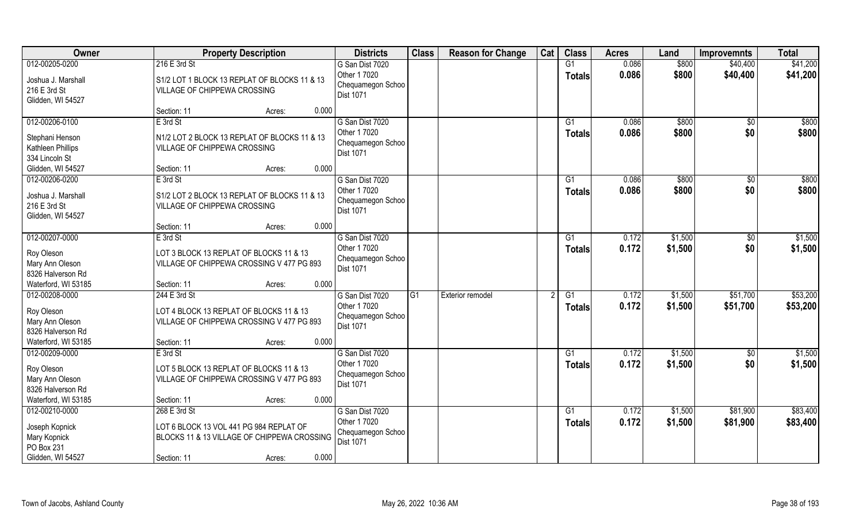| Owner                                                   | <b>Property Description</b>                                                            | <b>Districts</b>                                      | <b>Class</b> | <b>Reason for Change</b> | Cat | <b>Class</b>                     | <b>Acres</b>   | Land               | <b>Improvemnts</b>   | <b>Total</b>         |
|---------------------------------------------------------|----------------------------------------------------------------------------------------|-------------------------------------------------------|--------------|--------------------------|-----|----------------------------------|----------------|--------------------|----------------------|----------------------|
| 012-00205-0200                                          | 216 E 3rd St                                                                           | G San Dist 7020                                       |              |                          |     | G1                               | 0.086          | \$800              | \$40,400             | \$41,200             |
| Joshua J. Marshall<br>216 E 3rd St                      | S1/2 LOT 1 BLOCK 13 REPLAT OF BLOCKS 11 & 13<br><b>VILLAGE OF CHIPPEWA CROSSING</b>    | Other 1 7020<br>Chequamegon Schoo<br>Dist 1071        |              |                          |     | <b>Totals</b>                    | 0.086          | \$800              | \$40,400             | \$41,200             |
| Glidden, WI 54527                                       |                                                                                        |                                                       |              |                          |     |                                  |                |                    |                      |                      |
|                                                         | 0.000<br>Section: 11<br>Acres:                                                         |                                                       |              |                          |     |                                  |                |                    |                      |                      |
| 012-00206-0100                                          | E 3rd St                                                                               | G San Dist 7020                                       |              |                          |     | G1                               | 0.086          | \$800              | \$0                  | \$800                |
| Stephani Henson<br>Kathleen Phillips                    | N1/2 LOT 2 BLOCK 13 REPLAT OF BLOCKS 11 & 13<br>VILLAGE OF CHIPPEWA CROSSING           | Other 1 7020<br>Chequamegon Schoo<br><b>Dist 1071</b> |              |                          |     | Totals                           | 0.086          | \$800              | \$0                  | \$800                |
| 334 Lincoln St<br>Glidden, WI 54527                     | 0.000<br>Section: 11<br>Acres:                                                         |                                                       |              |                          |     |                                  |                |                    |                      |                      |
| 012-00206-0200                                          | E 3rd St                                                                               | G San Dist 7020                                       |              |                          |     | G1                               | 0.086          | \$800              | $\sqrt{50}$          | \$800                |
| Joshua J. Marshall<br>216 E 3rd St<br>Glidden, WI 54527 | S1/2 LOT 2 BLOCK 13 REPLAT OF BLOCKS 11 & 13<br><b>VILLAGE OF CHIPPEWA CROSSING</b>    | Other 1 7020<br>Chequamegon Schoo<br><b>Dist 1071</b> |              |                          |     | <b>Totals</b>                    | 0.086          | \$800              | \$0                  | \$800                |
|                                                         | 0.000<br>Section: 11<br>Acres:                                                         |                                                       |              |                          |     |                                  |                |                    |                      |                      |
| 012-00207-0000                                          | E 3rd St                                                                               | G San Dist 7020                                       |              |                          |     | G1                               | 0.172          | \$1,500            | $\sqrt[6]{}$         | \$1,500              |
| Roy Oleson<br>Mary Ann Oleson<br>8326 Halverson Rd      | LOT 3 BLOCK 13 REPLAT OF BLOCKS 11 & 13<br>VILLAGE OF CHIPPEWA CROSSING V 477 PG 893   | Other 1 7020<br>Chequamegon Schoo<br><b>Dist 1071</b> |              |                          |     | <b>Totals</b>                    | 0.172          | \$1,500            | \$0                  | \$1,500              |
| Waterford, WI 53185                                     | 0.000<br>Section: 11<br>Acres:                                                         |                                                       |              |                          |     |                                  |                |                    |                      |                      |
| 012-00208-0000                                          | 244 E 3rd St                                                                           | G San Dist 7020<br>Other 1 7020                       | G1           | Exterior remodel         |     | $\overline{G1}$<br><b>Totals</b> | 0.172<br>0.172 | \$1,500<br>\$1,500 | \$51,700<br>\$51,700 | \$53,200<br>\$53,200 |
| Roy Oleson<br>Mary Ann Oleson<br>8326 Halverson Rd      | LOT 4 BLOCK 13 REPLAT OF BLOCKS 11 & 13<br>VILLAGE OF CHIPPEWA CROSSING V 477 PG 893   | Chequamegon Schoo<br>Dist 1071                        |              |                          |     |                                  |                |                    |                      |                      |
| Waterford, WI 53185                                     | 0.000<br>Section: 11<br>Acres:                                                         |                                                       |              |                          |     |                                  |                |                    |                      |                      |
| 012-00209-0000                                          | E 3rd St                                                                               | G San Dist 7020                                       |              |                          |     | G1                               | 0.172          | \$1,500            | \$0                  | \$1,500              |
| Roy Oleson<br>Mary Ann Oleson<br>8326 Halverson Rd      | LOT 5 BLOCK 13 REPLAT OF BLOCKS 11 & 13<br>VILLAGE OF CHIPPEWA CROSSING V 477 PG 893   | Other 1 7020<br>Chequamegon Schoo<br><b>Dist 1071</b> |              |                          |     | <b>Totals</b>                    | 0.172          | \$1,500            | \$0                  | \$1,500              |
| Waterford, WI 53185                                     | 0.000<br>Section: 11<br>Acres:                                                         |                                                       |              |                          |     |                                  |                |                    |                      |                      |
| 012-00210-0000                                          | 268 E 3rd St                                                                           | G San Dist 7020                                       |              |                          |     | G1                               | 0.172          | \$1,500            | \$81,900             | \$83,400             |
| Joseph Kopnick<br>Mary Kopnick<br>PO Box 231            | LOT 6 BLOCK 13 VOL 441 PG 984 REPLAT OF<br>BLOCKS 11 & 13 VILLAGE OF CHIPPEWA CROSSING | Other 1 7020<br>Chequamegon Schoo<br>Dist 1071        |              |                          |     | Totals                           | 0.172          | \$1,500            | \$81,900             | \$83,400             |
| Glidden, WI 54527                                       | 0.000<br>Section: 11<br>Acres:                                                         |                                                       |              |                          |     |                                  |                |                    |                      |                      |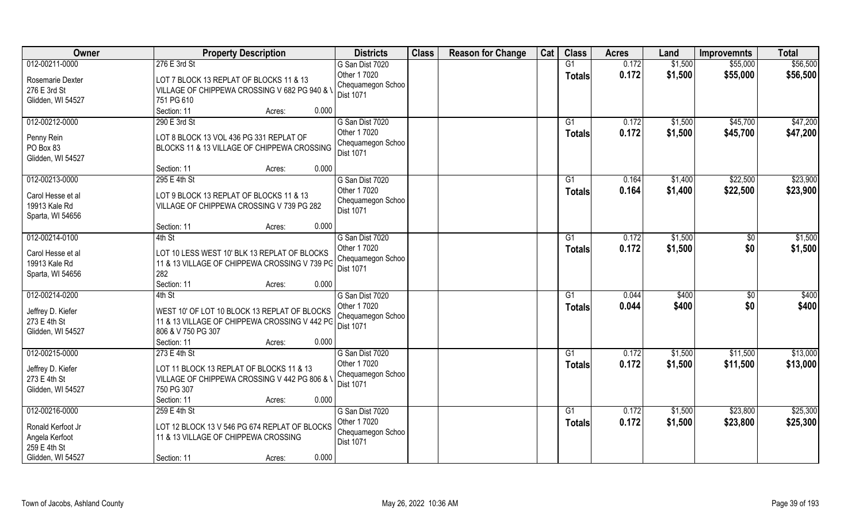| Owner             | <b>Property Description</b>                   | <b>Districts</b>                  | <b>Class</b> | <b>Reason for Change</b> | Cat | <b>Class</b>    | <b>Acres</b> | Land    | <b>Improvemnts</b> | <b>Total</b> |
|-------------------|-----------------------------------------------|-----------------------------------|--------------|--------------------------|-----|-----------------|--------------|---------|--------------------|--------------|
| 012-00211-0000    | 276 E 3rd St                                  | G San Dist 7020                   |              |                          |     | G1              | 0.172        | \$1,500 | \$55,000           | \$56,500     |
| Rosemarie Dexter  | LOT 7 BLOCK 13 REPLAT OF BLOCKS 11 & 13       | Other 1 7020<br>Chequamegon Schoo |              |                          |     | <b>Totals</b>   | 0.172        | \$1,500 | \$55,000           | \$56,500     |
| 276 E 3rd St      | VILLAGE OF CHIPPEWA CROSSING V 682 PG 940 & \ | <b>Dist 1071</b>                  |              |                          |     |                 |              |         |                    |              |
| Glidden, WI 54527 | 751 PG 610                                    |                                   |              |                          |     |                 |              |         |                    |              |
|                   | 0.000<br>Section: 11<br>Acres:                |                                   |              |                          |     |                 |              |         |                    |              |
| 012-00212-0000    | 290 E 3rd St                                  | G San Dist 7020                   |              |                          |     | G1              | 0.172        | \$1,500 | \$45,700           | \$47,200     |
| Penny Rein        | LOT 8 BLOCK 13 VOL 436 PG 331 REPLAT OF       | Other 1 7020                      |              |                          |     | Totals          | 0.172        | \$1,500 | \$45,700           | \$47,200     |
| PO Box 83         | BLOCKS 11 & 13 VILLAGE OF CHIPPEWA CROSSING   | Chequamegon Schoo                 |              |                          |     |                 |              |         |                    |              |
| Glidden, WI 54527 |                                               | Dist 1071                         |              |                          |     |                 |              |         |                    |              |
|                   | 0.000<br>Section: 11<br>Acres:                |                                   |              |                          |     |                 |              |         |                    |              |
| 012-00213-0000    | 295 E 4th St                                  | G San Dist 7020                   |              |                          |     | G1              | 0.164        | \$1,400 | \$22,500           | \$23,900     |
|                   |                                               | Other 1 7020                      |              |                          |     | <b>Totals</b>   | 0.164        | \$1,400 | \$22,500           | \$23,900     |
| Carol Hesse et al | LOT 9 BLOCK 13 REPLAT OF BLOCKS 11 & 13       | Chequamegon Schoo                 |              |                          |     |                 |              |         |                    |              |
| 19913 Kale Rd     | VILLAGE OF CHIPPEWA CROSSING V 739 PG 282     | Dist 1071                         |              |                          |     |                 |              |         |                    |              |
| Sparta, WI 54656  | 0.000                                         |                                   |              |                          |     |                 |              |         |                    |              |
|                   | Section: 11<br>Acres:                         |                                   |              |                          |     |                 |              |         |                    |              |
| 012-00214-0100    | 4th St                                        | G San Dist 7020                   |              |                          |     | G1              | 0.172        | \$1,500 | $\sqrt[6]{}$       | \$1,500      |
| Carol Hesse et al | LOT 10 LESS WEST 10' BLK 13 REPLAT OF BLOCKS  | Other 1 7020                      |              |                          |     | <b>Totals</b>   | 0.172        | \$1,500 | \$0                | \$1,500      |
| 19913 Kale Rd     | 11 & 13 VILLAGE OF CHIPPEWA CROSSING V 739 PG | Chequamegon Schoo                 |              |                          |     |                 |              |         |                    |              |
| Sparta, WI 54656  | 282                                           | Dist 1071                         |              |                          |     |                 |              |         |                    |              |
|                   | 0.000<br>Section: 11<br>Acres:                |                                   |              |                          |     |                 |              |         |                    |              |
| 012-00214-0200    | $4th$ St                                      | G San Dist 7020                   |              |                          |     | $\overline{G1}$ | 0.044        | \$400   | $\overline{50}$    | \$400        |
|                   |                                               | Other 1 7020                      |              |                          |     | <b>Totals</b>   | 0.044        | \$400   | \$0                | \$400        |
| Jeffrey D. Kiefer | WEST 10' OF LOT 10 BLOCK 13 REPLAT OF BLOCKS  | Chequamegon Schoo                 |              |                          |     |                 |              |         |                    |              |
| 273 E 4th St      | 11 & 13 VILLAGE OF CHIPPEWA CROSSING V 442 PG | Dist 1071                         |              |                          |     |                 |              |         |                    |              |
| Glidden, WI 54527 | 806 & V 750 PG 307                            |                                   |              |                          |     |                 |              |         |                    |              |
|                   | Section: 11<br>0.000<br>Acres:                |                                   |              |                          |     |                 |              |         |                    |              |
| 012-00215-0000    | 273 E 4th St                                  | G San Dist 7020                   |              |                          |     | G1              | 0.172        | \$1,500 | \$11,500           | \$13,000     |
| Jeffrey D. Kiefer | LOT 11 BLOCK 13 REPLAT OF BLOCKS 11 & 13      | Other 1 7020                      |              |                          |     | <b>Totals</b>   | 0.172        | \$1,500 | \$11,500           | \$13,000     |
| 273 E 4th St      | VILLAGE OF CHIPPEWA CROSSING V 442 PG 806 & \ | Chequamegon Schoo                 |              |                          |     |                 |              |         |                    |              |
| Glidden, WI 54527 | 750 PG 307                                    | <b>Dist 1071</b>                  |              |                          |     |                 |              |         |                    |              |
|                   | 0.000<br>Section: 11<br>Acres:                |                                   |              |                          |     |                 |              |         |                    |              |
| 012-00216-0000    | 259 E 4th St                                  | G San Dist 7020                   |              |                          |     | G1              | 0.172        | \$1,500 | \$23,800           | \$25,300     |
|                   |                                               | Other 1 7020                      |              |                          |     | Totals          | 0.172        | \$1,500 | \$23,800           | \$25,300     |
| Ronald Kerfoot Jr | LOT 12 BLOCK 13 V 546 PG 674 REPLAT OF BLOCKS | Chequamegon Schoo                 |              |                          |     |                 |              |         |                    |              |
| Angela Kerfoot    | 11 & 13 VILLAGE OF CHIPPEWA CROSSING          | Dist 1071                         |              |                          |     |                 |              |         |                    |              |
| 259 E 4th St      |                                               |                                   |              |                          |     |                 |              |         |                    |              |
| Glidden, WI 54527 | 0.000<br>Section: 11<br>Acres:                |                                   |              |                          |     |                 |              |         |                    |              |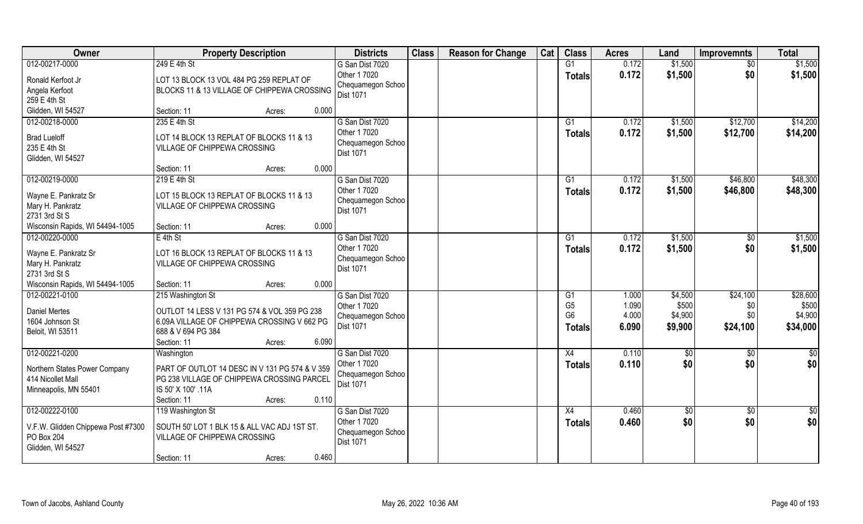| Owner                                                                                          | <b>Property Description</b>                                                                                                                                              | <b>Districts</b>                                                         | <b>Class</b> | <b>Reason for Change</b> | Cat | <b>Class</b>                                            | <b>Acres</b>                     | Land                                   | <b>Improvemnts</b>                 | <b>Total</b>                             |
|------------------------------------------------------------------------------------------------|--------------------------------------------------------------------------------------------------------------------------------------------------------------------------|--------------------------------------------------------------------------|--------------|--------------------------|-----|---------------------------------------------------------|----------------------------------|----------------------------------------|------------------------------------|------------------------------------------|
| 012-00217-0000                                                                                 | 249 E 4th St                                                                                                                                                             | G San Dist 7020                                                          |              |                          |     | G1                                                      | 0.172                            | \$1,500                                | $\sqrt{6}$                         | \$1,500                                  |
| Ronald Kerfoot Jr<br>Angela Kerfoot<br>259 E 4th St                                            | LOT 13 BLOCK 13 VOL 484 PG 259 REPLAT OF<br>BLOCKS 11 & 13 VILLAGE OF CHIPPEWA CROSSING                                                                                  | Other 1 7020<br>Chequamegon Schoo<br><b>Dist 1071</b>                    |              |                          |     | <b>Totals</b>                                           | 0.172                            | \$1,500                                | \$0                                | \$1,500                                  |
| Glidden, WI 54527                                                                              | 0.000<br>Section: 11<br>Acres:                                                                                                                                           |                                                                          |              |                          |     |                                                         |                                  |                                        |                                    |                                          |
| 012-00218-0000<br><b>Brad Lueloff</b><br>235 E 4th St<br>Glidden, WI 54527                     | 235 E 4th St<br>LOT 14 BLOCK 13 REPLAT OF BLOCKS 11 & 13<br>VILLAGE OF CHIPPEWA CROSSING                                                                                 | G San Dist 7020<br>Other 1 7020<br>Chequamegon Schoo<br>Dist 1071        |              |                          |     | G1<br><b>Totals</b>                                     | 0.172<br>0.172                   | \$1,500<br>\$1,500                     | \$12,700<br>\$12,700               | \$14,200<br>\$14,200                     |
|                                                                                                | 0.000<br>Section: 11<br>Acres:                                                                                                                                           |                                                                          |              |                          |     |                                                         |                                  |                                        |                                    |                                          |
| 012-00219-0000<br>Wayne E. Pankratz Sr<br>Mary H. Pankratz<br>2731 3rd St S                    | $219E4th$ St<br>LOT 15 BLOCK 13 REPLAT OF BLOCKS 11 & 13<br>VILLAGE OF CHIPPEWA CROSSING                                                                                 | G San Dist 7020<br>Other 1 7020<br>Chequamegon Schoo<br><b>Dist 1071</b> |              |                          |     | G1<br><b>Totals</b>                                     | 0.172<br>0.172                   | \$1,500<br>\$1,500                     | \$46,800<br>\$46,800               | \$48,300<br>\$48,300                     |
| Wisconsin Rapids, WI 54494-1005                                                                | 0.000<br>Section: 11<br>Acres:                                                                                                                                           |                                                                          |              |                          |     |                                                         |                                  |                                        |                                    |                                          |
| 012-00220-0000<br>Wayne E. Pankratz Sr<br>Mary H. Pankratz<br>2731 3rd St S                    | E 4th St<br>LOT 16 BLOCK 13 REPLAT OF BLOCKS 11 & 13<br>VILLAGE OF CHIPPEWA CROSSING                                                                                     | G San Dist 7020<br>Other 1 7020<br>Chequamegon Schoo<br><b>Dist 1071</b> |              |                          |     | G1<br><b>Totals</b>                                     | 0.172<br>0.172                   | \$1,500<br>\$1,500                     | \$0<br>\$0                         | \$1,500<br>\$1,500                       |
| Wisconsin Rapids, WI 54494-1005                                                                | 0.000<br>Section: 11<br>Acres:                                                                                                                                           |                                                                          |              |                          |     |                                                         |                                  |                                        |                                    |                                          |
| 012-00221-0100<br><b>Daniel Mertes</b><br>1604 Johnson St<br>Beloit, WI 53511                  | 215 Washington St<br>OUTLOT 14 LESS V 131 PG 574 & VOL 359 PG 238<br>6.09A VILLAGE OF CHIPPEWA CROSSING V 662 PG<br>688 & V 694 PG 384<br>6.090<br>Section: 11<br>Acres: | G San Dist 7020<br>Other 1 7020<br>Chequamegon Schoo<br>Dist 1071        |              |                          |     | G1<br>G <sub>5</sub><br>G <sub>6</sub><br><b>Totals</b> | 1.000<br>1.090<br>4.000<br>6.090 | \$4,500<br>\$500<br>\$4,900<br>\$9,900 | \$24,100<br>\$0<br>\$0<br>\$24,100 | \$28,600<br>\$500<br>\$4,900<br>\$34,000 |
| 012-00221-0200                                                                                 | Washington                                                                                                                                                               | G San Dist 7020                                                          |              |                          |     | X4                                                      | 0.110                            | \$0                                    | \$0                                | $\frac{1}{30}$                           |
| Northern States Power Company<br>414 Nicollet Mall<br>Minneapolis, MN 55401                    | PART OF OUTLOT 14 DESC IN V 131 PG 574 & V 359<br>PG 238 VILLAGE OF CHIPPEWA CROSSING PARCEL<br>IS 50' X 100' .11A<br>Section: 11<br>0.110<br>Acres:                     | Other 1 7020<br>Chequamegon Schoo<br>Dist 1071                           |              |                          |     | <b>Totals</b>                                           | 0.110                            | \$0                                    | \$0                                | \$0                                      |
| 012-00222-0100<br>V.F.W. Glidden Chippewa Post #7300<br><b>PO Box 204</b><br>Glidden, WI 54527 | 119 Washington St<br>SOUTH 50' LOT 1 BLK 15 & ALL VAC ADJ 1ST ST.<br>VILLAGE OF CHIPPEWA CROSSING<br>0.460<br>Section: 11<br>Acres:                                      | G San Dist 7020<br>Other 1 7020<br>Chequamegon Schoo<br><b>Dist 1071</b> |              |                          |     | $\overline{X4}$<br><b>Totals</b>                        | 0.460<br>0.460                   | \$0<br>\$0                             | \$0<br>\$0                         | $rac{1}{2}$<br>\$0                       |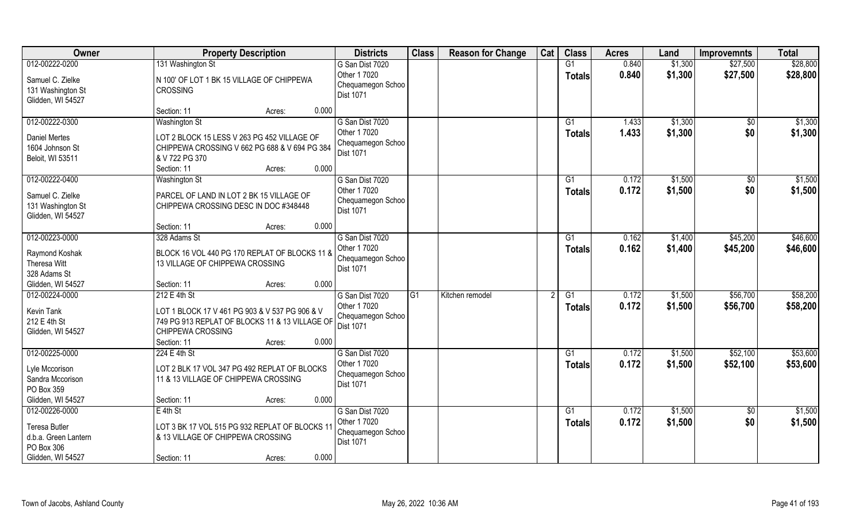| Owner                                                                                             | <b>Property Description</b>                                                                                                            | <b>Districts</b>                                                         | <b>Class</b> | <b>Reason for Change</b> | Cat | <b>Class</b>        | <b>Acres</b>   | Land               | <b>Improvemnts</b>     | <b>Total</b>         |
|---------------------------------------------------------------------------------------------------|----------------------------------------------------------------------------------------------------------------------------------------|--------------------------------------------------------------------------|--------------|--------------------------|-----|---------------------|----------------|--------------------|------------------------|----------------------|
| 012-00222-0200<br>Samuel C. Zielke<br>131 Washington St                                           | 131 Washington St<br>N 100' OF LOT 1 BK 15 VILLAGE OF CHIPPEWA<br><b>CROSSING</b>                                                      | G San Dist 7020<br>Other 1 7020<br>Chequamegon Schoo<br><b>Dist 1071</b> |              |                          |     | G1<br><b>Totals</b> | 0.840<br>0.840 | \$1,300<br>\$1,300 | \$27,500<br>\$27,500   | \$28,800<br>\$28,800 |
| Glidden, WI 54527                                                                                 | 0.000<br>Section: 11<br>Acres:                                                                                                         |                                                                          |              |                          |     |                     |                |                    |                        |                      |
| 012-00222-0300<br><b>Daniel Mertes</b><br>1604 Johnson St<br>Beloit, WI 53511                     | <b>Washington St</b><br>LOT 2 BLOCK 15 LESS V 263 PG 452 VILLAGE OF<br>CHIPPEWA CROSSING V 662 PG 688 & V 694 PG 384<br>& V 722 PG 370 | G San Dist 7020<br>Other 1 7020<br>Chequamegon Schoo<br><b>Dist 1071</b> |              |                          |     | G1<br>Totals        | 1.433<br>1.433 | \$1,300<br>\$1,300 | $\overline{50}$<br>\$0 | \$1,300<br>\$1,300   |
|                                                                                                   | 0.000<br>Section: 11<br>Acres:                                                                                                         |                                                                          |              |                          |     |                     |                |                    |                        |                      |
| 012-00222-0400<br>Samuel C. Zielke<br>131 Washington St<br>Glidden, WI 54527                      | <b>Washington St</b><br>PARCEL OF LAND IN LOT 2 BK 15 VILLAGE OF<br>CHIPPEWA CROSSING DESC IN DOC #348448                              | G San Dist 7020<br>Other 1 7020<br>Chequamegon Schoo<br>Dist 1071        |              |                          |     | G1<br><b>Totals</b> | 0.172<br>0.172 | \$1,500<br>\$1,500 | $\sqrt[6]{}$<br>\$0    | \$1,500<br>\$1,500   |
|                                                                                                   | 0.000<br>Section: 11<br>Acres:                                                                                                         |                                                                          |              |                          |     |                     |                |                    |                        |                      |
| 012-00223-0000<br>Raymond Koshak<br>Theresa Witt                                                  | 328 Adams St<br>BLOCK 16 VOL 440 PG 170 REPLAT OF BLOCKS 11 &<br>13 VILLAGE OF CHIPPEWA CROSSING                                       | G San Dist 7020<br>Other 1 7020<br>Chequamegon Schoo<br>Dist 1071        |              |                          |     | G1<br><b>Totals</b> | 0.162<br>0.162 | \$1,400<br>\$1,400 | \$45,200<br>\$45,200   | \$46,600<br>\$46,600 |
| 328 Adams St<br>Glidden, WI 54527                                                                 | 0.000<br>Section: 11<br>Acres:                                                                                                         |                                                                          |              |                          |     |                     |                |                    |                        |                      |
| 012-00224-0000<br>Kevin Tank<br>212 E 4th St<br>Glidden, WI 54527                                 | 212 E 4th St<br>LOT 1 BLOCK 17 V 461 PG 903 & V 537 PG 906 & V<br>749 PG 913 REPLAT OF BLOCKS 11 & 13 VILLAGE OF<br>CHIPPEWA CROSSING  | G San Dist 7020<br>Other 1 7020<br>Chequamegon Schoo<br>Dist 1071        | G1           | Kitchen remodel          |     | G1<br><b>Totals</b> | 0.172<br>0.172 | \$1,500<br>\$1,500 | \$56,700<br>\$56,700   | \$58,200<br>\$58,200 |
|                                                                                                   | 0.000<br>Section: 11<br>Acres:                                                                                                         |                                                                          |              |                          |     |                     |                |                    |                        |                      |
| 012-00225-0000<br>Lyle Mccorison<br>Sandra Mccorison<br>PO Box 359                                | 224 E 4th St<br>LOT 2 BLK 17 VOL 347 PG 492 REPLAT OF BLOCKS<br>11 & 13 VILLAGE OF CHIPPEWA CROSSING                                   | G San Dist 7020<br>Other 1 7020<br>Chequamegon Schoo<br><b>Dist 1071</b> |              |                          |     | G1<br><b>Totals</b> | 0.172<br>0.172 | \$1,500<br>\$1,500 | \$52,100<br>\$52,100   | \$53,600<br>\$53,600 |
| Glidden, WI 54527                                                                                 | 0.000<br>Section: 11<br>Acres:                                                                                                         |                                                                          |              |                          |     |                     |                |                    |                        |                      |
| 012-00226-0000<br><b>Teresa Butler</b><br>d.b.a. Green Lantern<br>PO Box 306<br>Glidden, WI 54527 | $E$ 4th St<br>LOT 3 BK 17 VOL 515 PG 932 REPLAT OF BLOCKS 11<br>& 13 VILLAGE OF CHIPPEWA CROSSING<br>0.000<br>Section: 11<br>Acres:    | G San Dist 7020<br>Other 1 7020<br>Chequamegon Schoo<br><b>Dist 1071</b> |              |                          |     | G1<br><b>Totals</b> | 0.172<br>0.172 | \$1,500<br>\$1,500 | $\sqrt{6}$<br>\$0      | \$1,500<br>\$1,500   |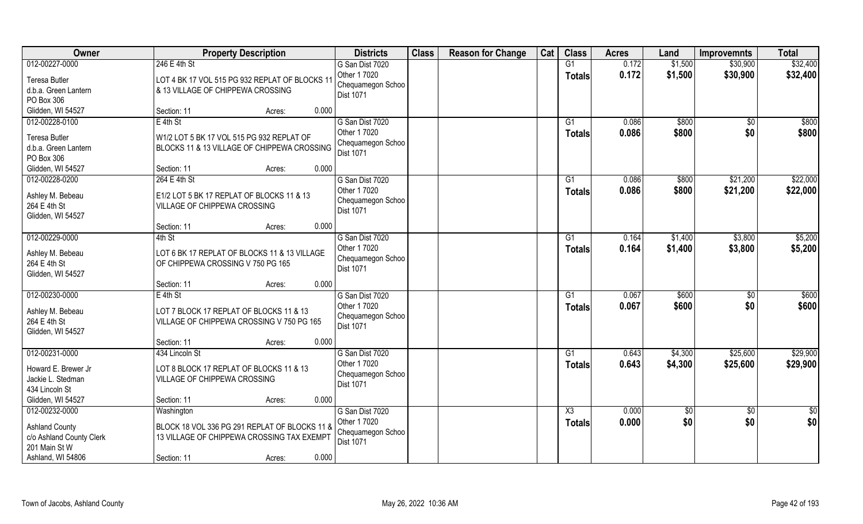| Owner                             | <b>Property Description</b>                    | <b>Districts</b>  | <b>Class</b> | <b>Reason for Change</b> | Cat | <b>Class</b>    | <b>Acres</b> | Land    | <b>Improvemnts</b> | <b>Total</b>  |
|-----------------------------------|------------------------------------------------|-------------------|--------------|--------------------------|-----|-----------------|--------------|---------|--------------------|---------------|
| 012-00227-0000                    | 246 E 4th St                                   | G San Dist 7020   |              |                          |     | G1              | 0.172        | \$1,500 | \$30,900           | \$32,400      |
| <b>Teresa Butler</b>              | LOT 4 BK 17 VOL 515 PG 932 REPLAT OF BLOCKS 11 | Other 1 7020      |              |                          |     | <b>Totals</b>   | 0.172        | \$1,500 | \$30,900           | \$32,400      |
| d.b.a. Green Lantern              | & 13 VILLAGE OF CHIPPEWA CROSSING              | Chequamegon Schoo |              |                          |     |                 |              |         |                    |               |
| PO Box 306                        |                                                | Dist 1071         |              |                          |     |                 |              |         |                    |               |
| Glidden, WI 54527                 | 0.000<br>Section: 11<br>Acres:                 |                   |              |                          |     |                 |              |         |                    |               |
| 012-00228-0100                    | $E$ 4th St                                     | G San Dist 7020   |              |                          |     | $\overline{G1}$ | 0.086        | \$800   | $\overline{50}$    | \$800         |
|                                   |                                                | Other 1 7020      |              |                          |     | <b>Totals</b>   | 0.086        | \$800   | \$0                | \$800         |
| <b>Teresa Butler</b>              | W1/2 LOT 5 BK 17 VOL 515 PG 932 REPLAT OF      | Chequamegon Schoo |              |                          |     |                 |              |         |                    |               |
| d.b.a. Green Lantern              | BLOCKS 11 & 13 VILLAGE OF CHIPPEWA CROSSING    | Dist 1071         |              |                          |     |                 |              |         |                    |               |
| PO Box 306                        |                                                |                   |              |                          |     |                 |              |         |                    |               |
| Glidden, WI 54527                 | 0.000<br>Section: 11<br>Acres:                 |                   |              |                          |     |                 |              |         |                    |               |
| 012-00228-0200                    | 264 E 4th St                                   | G San Dist 7020   |              |                          |     | G1              | 0.086        | \$800   | \$21,200           | \$22,000      |
| Ashley M. Bebeau                  | E1/2 LOT 5 BK 17 REPLAT OF BLOCKS 11 & 13      | Other 1 7020      |              |                          |     | Totals          | 0.086        | \$800   | \$21,200           | \$22,000      |
| 264 E 4th St                      | VILLAGE OF CHIPPEWA CROSSING                   | Chequamegon Schoo |              |                          |     |                 |              |         |                    |               |
| Glidden, WI 54527                 |                                                | Dist 1071         |              |                          |     |                 |              |         |                    |               |
|                                   | 0.000<br>Section: 11<br>Acres:                 |                   |              |                          |     |                 |              |         |                    |               |
| 012-00229-0000                    | 4th St                                         | G San Dist 7020   |              |                          |     | G1              | 0.164        | \$1,400 | \$3,800            | \$5,200       |
|                                   |                                                | Other 1 7020      |              |                          |     | <b>Totals</b>   | 0.164        | \$1,400 | \$3,800            | \$5,200       |
| Ashley M. Bebeau                  | LOT 6 BK 17 REPLAT OF BLOCKS 11 & 13 VILLAGE   | Chequamegon Schoo |              |                          |     |                 |              |         |                    |               |
| 264 E 4th St<br>Glidden, WI 54527 | OF CHIPPEWA CROSSING V 750 PG 165              | Dist 1071         |              |                          |     |                 |              |         |                    |               |
|                                   | 0.000<br>Section: 11<br>Acres:                 |                   |              |                          |     |                 |              |         |                    |               |
| 012-00230-0000                    | $E$ 4th St                                     | G San Dist 7020   |              |                          |     | $\overline{G1}$ | 0.067        | \$600   | \$0                | \$600         |
|                                   |                                                | Other 1 7020      |              |                          |     |                 | 0.067        | \$600   | \$0                | \$600         |
| Ashley M. Bebeau                  | LOT 7 BLOCK 17 REPLAT OF BLOCKS 11 & 13        | Chequamegon Schoo |              |                          |     | Totals          |              |         |                    |               |
| 264 E 4th St                      | VILLAGE OF CHIPPEWA CROSSING V 750 PG 165      | Dist 1071         |              |                          |     |                 |              |         |                    |               |
| Glidden, WI 54527                 |                                                |                   |              |                          |     |                 |              |         |                    |               |
|                                   | Section: 11<br>0.000<br>Acres:                 |                   |              |                          |     |                 |              |         |                    |               |
| 012-00231-0000                    | 434 Lincoln St                                 | G San Dist 7020   |              |                          |     | G1              | 0.643        | \$4,300 | \$25,600           | \$29,900      |
| Howard E. Brewer Jr               | LOT 8 BLOCK 17 REPLAT OF BLOCKS 11 & 13        | Other 1 7020      |              |                          |     | <b>Totals</b>   | 0.643        | \$4,300 | \$25,600           | \$29,900      |
| Jackie L. Stedman                 | VILLAGE OF CHIPPEWA CROSSING                   | Chequamegon Schoo |              |                          |     |                 |              |         |                    |               |
| 434 Lincoln St                    |                                                | <b>Dist 1071</b>  |              |                          |     |                 |              |         |                    |               |
| Glidden, WI 54527                 | 0.000<br>Section: 11<br>Acres:                 |                   |              |                          |     |                 |              |         |                    |               |
| 012-00232-0000                    | Washington                                     | G San Dist 7020   |              |                          |     | X3              | 0.000        | \$0     | $\sqrt{6}$         | $\frac{1}{2}$ |
|                                   |                                                | Other 1 7020      |              |                          |     | <b>Totals</b>   | 0.000        | \$0     | \$0                | \$0           |
| <b>Ashland County</b>             | BLOCK 18 VOL 336 PG 291 REPLAT OF BLOCKS 11 &  | Chequamegon Schoo |              |                          |     |                 |              |         |                    |               |
| c/o Ashland County Clerk          | 13 VILLAGE OF CHIPPEWA CROSSING TAX EXEMPT     | Dist 1071         |              |                          |     |                 |              |         |                    |               |
| 201 Main St W                     |                                                |                   |              |                          |     |                 |              |         |                    |               |
| Ashland, WI 54806                 | 0.000<br>Section: 11<br>Acres:                 |                   |              |                          |     |                 |              |         |                    |               |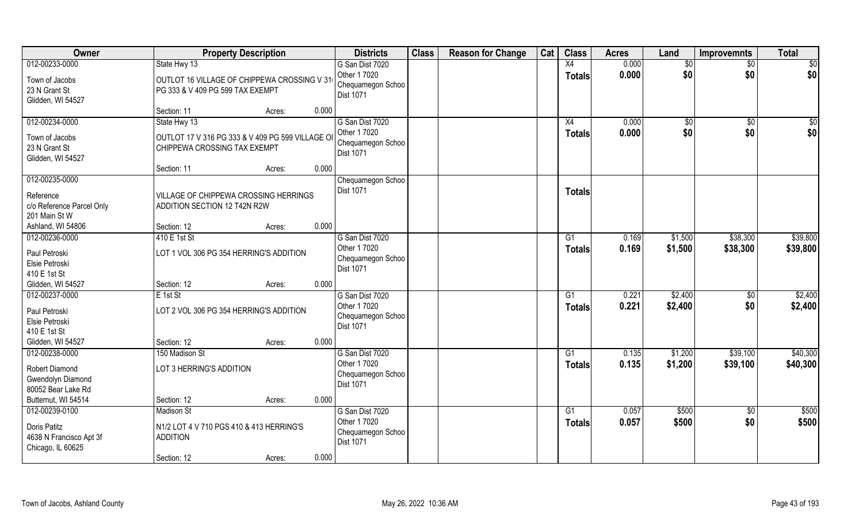| Owner                                                                          | <b>Property Description</b>                                                                                               | <b>Districts</b>                                                                  | <b>Class</b> | <b>Reason for Change</b> | Cat | <b>Class</b>        | <b>Acres</b>   | Land               | <b>Improvemnts</b>     | <b>Total</b>         |
|--------------------------------------------------------------------------------|---------------------------------------------------------------------------------------------------------------------------|-----------------------------------------------------------------------------------|--------------|--------------------------|-----|---------------------|----------------|--------------------|------------------------|----------------------|
| 012-00233-0000<br>Town of Jacobs<br>23 N Grant St<br>Glidden, WI 54527         | State Hwy 13<br>OUTLOT 16 VILLAGE OF CHIPPEWA CROSSING V 31<br>PG 333 & V 409 PG 599 TAX EXEMPT                           | G San Dist 7020<br>Other 1 7020<br>Chequamegon Schoo<br>Dist 1071                 |              |                          |     | X4<br><b>Totals</b> | 0.000<br>0.000 | $\sqrt{$0}$<br>\$0 | $\overline{50}$<br>\$0 | \$0<br>\$0           |
|                                                                                | Section: 11<br>Acres:                                                                                                     | 0.000                                                                             |              |                          |     |                     |                |                    |                        |                      |
| 012-00234-0000<br>Town of Jacobs<br>23 N Grant St<br>Glidden, WI 54527         | State Hwy 13<br>OUTLOT 17 V 316 PG 333 & V 409 PG 599 VILLAGE OI<br>CHIPPEWA CROSSING TAX EXEMPT<br>Section: 11<br>Acres: | G San Dist 7020<br>Other 1 7020<br>Chequamegon Schoo<br><b>Dist 1071</b><br>0.000 |              |                          |     | X4<br>Totals        | 0.000<br>0.000 | $\sqrt{50}$<br>\$0 | $\overline{50}$<br>\$0 | \$0<br>\$0           |
| 012-00235-0000                                                                 |                                                                                                                           | Chequamegon Schoo                                                                 |              |                          |     |                     |                |                    |                        |                      |
| Reference<br>c/o Reference Parcel Only<br>201 Main St W                        | VILLAGE OF CHIPPEWA CROSSING HERRINGS<br>ADDITION SECTION 12 T42N R2W                                                     | Dist 1071                                                                         |              |                          |     | <b>Totals</b>       |                |                    |                        |                      |
| Ashland, WI 54806                                                              | Section: 12<br>Acres:                                                                                                     | 0.000                                                                             |              |                          |     |                     |                |                    |                        |                      |
| 012-00236-0000<br>Paul Petroski<br>Elsie Petroski<br>410 E 1st St              | 410 E 1st St<br>LOT 1 VOL 306 PG 354 HERRING'S ADDITION                                                                   | G San Dist 7020<br>Other 1 7020<br>Chequamegon Schoo<br>Dist 1071                 |              |                          |     | G1<br><b>Totals</b> | 0.169<br>0.169 | \$1,500<br>\$1,500 | \$38,300<br>\$38,300   | \$39,800<br>\$39,800 |
| Glidden, WI 54527                                                              | Section: 12<br>Acres:                                                                                                     | 0.000                                                                             |              |                          |     |                     |                |                    |                        |                      |
| 012-00237-0000<br>Paul Petroski<br>Elsie Petroski<br>410 E 1st St              | E 1st St<br>LOT 2 VOL 306 PG 354 HERRING'S ADDITION                                                                       | G San Dist 7020<br>Other 1 7020<br>Chequamegon Schoo<br>Dist 1071                 |              |                          |     | G1<br><b>Totals</b> | 0.221<br>0.221 | \$2,400<br>\$2,400 | \$0<br>\$0             | \$2,400<br>\$2,400   |
| Glidden, WI 54527                                                              | Section: 12<br>Acres:                                                                                                     | 0.000                                                                             |              |                          |     |                     |                |                    |                        |                      |
| 012-00238-0000                                                                 | 150 Madison St                                                                                                            | G San Dist 7020                                                                   |              |                          |     | G1                  | 0.135          | \$1,200            | \$39,100               | \$40,300             |
| <b>Robert Diamond</b><br>Gwendolyn Diamond<br>80052 Bear Lake Rd               | LOT 3 HERRING'S ADDITION                                                                                                  | Other 1 7020<br>Chequamegon Schoo<br>Dist 1071                                    |              |                          |     | <b>Totals</b>       | 0.135          | \$1,200            | \$39,100               | \$40,300             |
| Butternut, WI 54514                                                            | Section: 12<br>Acres:                                                                                                     | 0.000                                                                             |              |                          |     |                     |                |                    |                        |                      |
| 012-00239-0100<br>Doris Patitz<br>4638 N Francisco Apt 3f<br>Chicago, IL 60625 | <b>Madison St</b><br>N1/2 LOT 4 V 710 PGS 410 & 413 HERRING'S<br><b>ADDITION</b><br>Section: 12<br>Acres:                 | G San Dist 7020<br>Other 1 7020<br>Chequamegon Schoo<br><b>Dist 1071</b><br>0.000 |              |                          |     | G1<br><b>Totals</b> | 0.057<br>0.057 | \$500<br>\$500     | $\sqrt{6}$<br>\$0      | \$500<br>\$500       |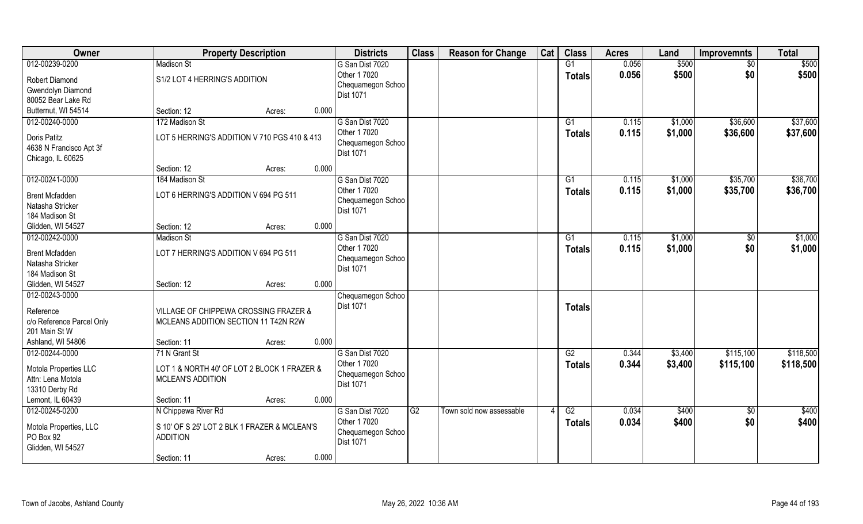| Owner                                                                                          | <b>Property Description</b>                                                                           |        |       | <b>Districts</b>                                                         | <b>Class</b> | <b>Reason for Change</b> | Cat | <b>Class</b>              | <b>Acres</b>   | Land               | <b>Improvemnts</b>   | <b>Total</b>         |
|------------------------------------------------------------------------------------------------|-------------------------------------------------------------------------------------------------------|--------|-------|--------------------------------------------------------------------------|--------------|--------------------------|-----|---------------------------|----------------|--------------------|----------------------|----------------------|
| 012-00239-0200                                                                                 | <b>Madison St</b>                                                                                     |        |       | G San Dist 7020                                                          |              |                          |     | G1                        | 0.056          | \$500              | $\sqrt{6}$           | \$500                |
| <b>Robert Diamond</b><br>Gwendolyn Diamond<br>80052 Bear Lake Rd                               | S1/2 LOT 4 HERRING'S ADDITION                                                                         |        |       | Other 1 7020<br>Chequamegon Schoo<br><b>Dist 1071</b>                    |              |                          |     | <b>Totals</b>             | 0.056          | \$500              | \$0                  | \$500                |
| Butternut, WI 54514                                                                            | Section: 12                                                                                           | Acres: | 0.000 |                                                                          |              |                          |     |                           |                |                    |                      |                      |
| 012-00240-0000<br>Doris Patitz<br>4638 N Francisco Apt 3f<br>Chicago, IL 60625                 | 172 Madison St<br>LOT 5 HERRING'S ADDITION V 710 PGS 410 & 413                                        |        |       | G San Dist 7020<br>Other 1 7020<br>Chequamegon Schoo<br><b>Dist 1071</b> |              |                          |     | $\overline{G1}$<br>Totals | 0.115<br>0.115 | \$1,000<br>\$1,000 | \$36,600<br>\$36,600 | \$37,600<br>\$37,600 |
|                                                                                                | Section: 12                                                                                           | Acres: | 0.000 |                                                                          |              |                          |     |                           |                |                    |                      |                      |
| 012-00241-0000                                                                                 | 184 Madison St                                                                                        |        |       | G San Dist 7020                                                          |              |                          |     | G1                        | 0.115          | \$1,000            | \$35,700             | \$36,700             |
| <b>Brent Mcfadden</b><br>Natasha Stricker<br>184 Madison St                                    | LOT 6 HERRING'S ADDITION V 694 PG 511                                                                 |        |       | Other 1 7020<br>Chequamegon Schoo<br>Dist 1071                           |              |                          |     | <b>Totals</b>             | 0.115          | \$1,000            | \$35,700             | \$36,700             |
| Glidden, WI 54527                                                                              | Section: 12                                                                                           | Acres: | 0.000 |                                                                          |              |                          |     |                           |                |                    |                      |                      |
| 012-00242-0000                                                                                 | <b>Madison St</b>                                                                                     |        |       | G San Dist 7020                                                          |              |                          |     | G1                        | 0.115          | \$1,000            | $\sqrt[6]{30}$       | \$1,000              |
| <b>Brent Mcfadden</b><br>Natasha Stricker<br>184 Madison St                                    | LOT 7 HERRING'S ADDITION V 694 PG 511                                                                 |        |       | Other 1 7020<br>Chequamegon Schoo<br><b>Dist 1071</b>                    |              |                          |     | <b>Totals</b>             | 0.115          | \$1,000            | \$0                  | \$1,000              |
| Glidden, WI 54527                                                                              | Section: 12                                                                                           | Acres: | 0.000 |                                                                          |              |                          |     |                           |                |                    |                      |                      |
| 012-00243-0000<br>Reference<br>c/o Reference Parcel Only<br>201 Main St W<br>Ashland, WI 54806 | VILLAGE OF CHIPPEWA CROSSING FRAZER &<br>MCLEANS ADDITION SECTION 11 T42N R2W<br>Section: 11          | Acres: | 0.000 | Chequamegon Schoo<br>Dist 1071                                           |              |                          |     | <b>Totals</b>             |                |                    |                      |                      |
| 012-00244-0000                                                                                 | 71 N Grant St                                                                                         |        |       | G San Dist 7020                                                          |              |                          |     | G2                        | 0.344          | \$3,400            | \$115,100            | \$118,500            |
| Motola Properties LLC<br>Attn: Lena Motola<br>13310 Derby Rd                                   | LOT 1 & NORTH 40' OF LOT 2 BLOCK 1 FRAZER &<br><b>MCLEAN'S ADDITION</b>                               |        |       | Other 1 7020<br>Chequamegon Schoo<br>Dist 1071                           |              |                          |     | <b>Totals</b>             | 0.344          | \$3,400            | \$115,100            | \$118,500            |
| Lemont, IL 60439                                                                               | Section: 11                                                                                           | Acres: | 0.000 |                                                                          |              |                          |     |                           |                |                    |                      |                      |
| 012-00245-0200<br>Motola Properties, LLC<br>PO Box 92<br>Glidden, WI 54527                     | N Chippewa River Rd<br>S 10' OF S 25' LOT 2 BLK 1 FRAZER & MCLEAN'S<br><b>ADDITION</b><br>Section: 11 | Acres: | 0.000 | G San Dist 7020<br>Other 1 7020<br>Chequamegon Schoo<br>Dist 1071        | G2           | Town sold now assessable |     | G2<br><b>Totals</b>       | 0.034<br>0.034 | \$400<br>\$400     | $\sqrt[6]{}$<br>\$0  | \$400<br>\$400       |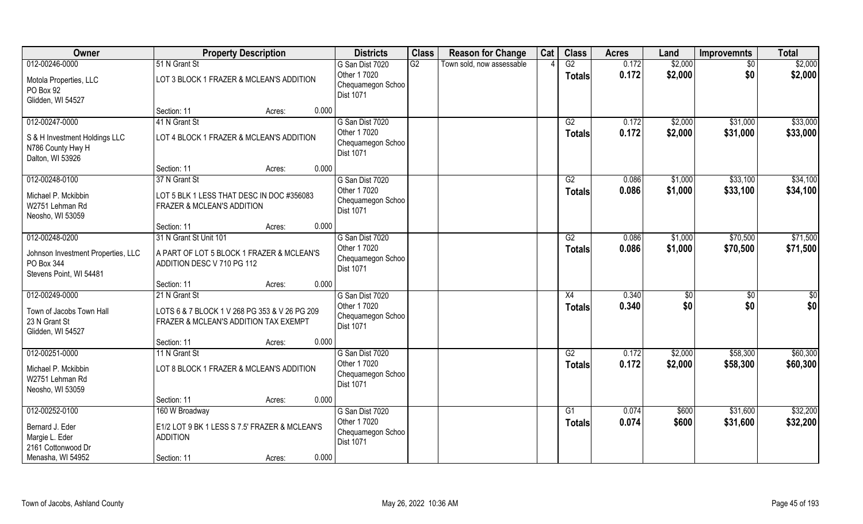| Owner                                  | <b>Property Description</b>                                      | <b>Districts</b>                  | <b>Class</b> | <b>Reason for Change</b>  | Cat | <b>Class</b>    | <b>Acres</b>   | Land               | <b>Improvemnts</b> | <b>Total</b> |
|----------------------------------------|------------------------------------------------------------------|-----------------------------------|--------------|---------------------------|-----|-----------------|----------------|--------------------|--------------------|--------------|
| 012-00246-0000                         | 51 N Grant St                                                    | G San Dist 7020                   | G2           | Town sold, now assessable |     | $\overline{G2}$ | 0.172          | \$2,000            | $\sqrt{6}$         | \$2,000      |
| Motola Properties, LLC                 | LOT 3 BLOCK 1 FRAZER & MCLEAN'S ADDITION                         | Other 1 7020                      |              |                           |     | <b>Totals</b>   | 0.172          | \$2,000            | \$0                | \$2,000      |
| PO Box 92                              |                                                                  | Chequamegon Schoo<br>Dist 1071    |              |                           |     |                 |                |                    |                    |              |
| Glidden, WI 54527                      |                                                                  |                                   |              |                           |     |                 |                |                    |                    |              |
|                                        | 0.000<br>Section: 11<br>Acres:                                   |                                   |              |                           |     |                 |                |                    |                    |              |
| 012-00247-0000                         | 41 N Grant St                                                    | G San Dist 7020                   |              |                           |     | G2              | 0.172          | \$2,000            | \$31,000           | \$33,000     |
| S & H Investment Holdings LLC          | LOT 4 BLOCK 1 FRAZER & MCLEAN'S ADDITION                         | Other 1 7020<br>Chequamegon Schoo |              |                           |     | <b>Totals</b>   | 0.172          | \$2,000            | \$31,000           | \$33,000     |
| N786 County Hwy H                      |                                                                  | <b>Dist 1071</b>                  |              |                           |     |                 |                |                    |                    |              |
| Dalton, WI 53926                       |                                                                  |                                   |              |                           |     |                 |                |                    |                    |              |
|                                        | 0.000<br>Section: 11<br>Acres:                                   |                                   |              |                           |     |                 |                |                    |                    |              |
| 012-00248-0100                         | 37 N Grant St                                                    | G San Dist 7020                   |              |                           |     | G2              | 0.086          | \$1,000            | \$33,100           | \$34,100     |
| Michael P. Mckibbin                    | LOT 5 BLK 1 LESS THAT DESC IN DOC #356083                        | Other 1 7020<br>Chequamegon Schoo |              |                           |     | <b>Totals</b>   | 0.086          | \$1,000            | \$33,100           | \$34,100     |
| W2751 Lehman Rd                        | FRAZER & MCLEAN'S ADDITION                                       | <b>Dist 1071</b>                  |              |                           |     |                 |                |                    |                    |              |
| Neosho, WI 53059                       |                                                                  |                                   |              |                           |     |                 |                |                    |                    |              |
|                                        | 0.000<br>Section: 11<br>Acres:                                   |                                   |              |                           |     |                 |                |                    |                    |              |
| 012-00248-0200                         | 31 N Grant St Unit 101                                           | G San Dist 7020<br>Other 1 7020   |              |                           |     | G2              | 0.086<br>0.086 | \$1,000<br>\$1,000 | \$70,500           | \$71,500     |
| Johnson Investment Properties, LLC     | A PART OF LOT 5 BLOCK 1 FRAZER & MCLEAN'S                        | Chequamegon Schoo                 |              |                           |     | <b>Totals</b>   |                |                    | \$70,500           | \$71,500     |
| PO Box 344                             | ADDITION DESC V 710 PG 112                                       | Dist 1071                         |              |                           |     |                 |                |                    |                    |              |
| Stevens Point, WI 54481                | 0.000<br>Section: 11                                             |                                   |              |                           |     |                 |                |                    |                    |              |
| 012-00249-0000                         | Acres:<br>21 N Grant St                                          | G San Dist 7020                   |              |                           |     | X4              | 0.340          | \$0                | \$0                | \$0          |
|                                        |                                                                  | Other 1 7020                      |              |                           |     | <b>Totals</b>   | 0.340          | \$0                | \$0                | \$0          |
| Town of Jacobs Town Hall               | LOTS 6 & 7 BLOCK 1 V 268 PG 353 & V 26 PG 209                    | Chequamegon Schoo                 |              |                           |     |                 |                |                    |                    |              |
| 23 N Grant St<br>Glidden, WI 54527     | FRAZER & MCLEAN'S ADDITION TAX EXEMPT                            | Dist 1071                         |              |                           |     |                 |                |                    |                    |              |
|                                        | 0.000<br>Section: 11<br>Acres:                                   |                                   |              |                           |     |                 |                |                    |                    |              |
| 012-00251-0000                         | 11 N Grant St                                                    | G San Dist 7020                   |              |                           |     | G2              | 0.172          | \$2,000            | \$58,300           | \$60,300     |
|                                        |                                                                  | Other 1 7020                      |              |                           |     | <b>Totals</b>   | 0.172          | \$2,000            | \$58,300           | \$60,300     |
| Michael P. Mckibbin<br>W2751 Lehman Rd | LOT 8 BLOCK 1 FRAZER & MCLEAN'S ADDITION                         | Chequamegon Schoo                 |              |                           |     |                 |                |                    |                    |              |
| Neosho, WI 53059                       |                                                                  | Dist 1071                         |              |                           |     |                 |                |                    |                    |              |
|                                        | 0.000<br>Section: 11<br>Acres:                                   |                                   |              |                           |     |                 |                |                    |                    |              |
| 012-00252-0100                         | 160 W Broadway                                                   | G San Dist 7020                   |              |                           |     | G1              | 0.074          | \$600              | \$31,600           | \$32,200     |
|                                        |                                                                  | Other 1 7020                      |              |                           |     | <b>Totals</b>   | 0.074          | \$600              | \$31,600           | \$32,200     |
| Bernard J. Eder<br>Margie L. Eder      | E1/2 LOT 9 BK 1 LESS S 7.5' FRAZER & MCLEAN'S<br><b>ADDITION</b> | Chequamegon Schoo                 |              |                           |     |                 |                |                    |                    |              |
| 2161 Cottonwood Dr                     |                                                                  | <b>Dist 1071</b>                  |              |                           |     |                 |                |                    |                    |              |
| Menasha, WI 54952                      | 0.000<br>Section: 11<br>Acres:                                   |                                   |              |                           |     |                 |                |                    |                    |              |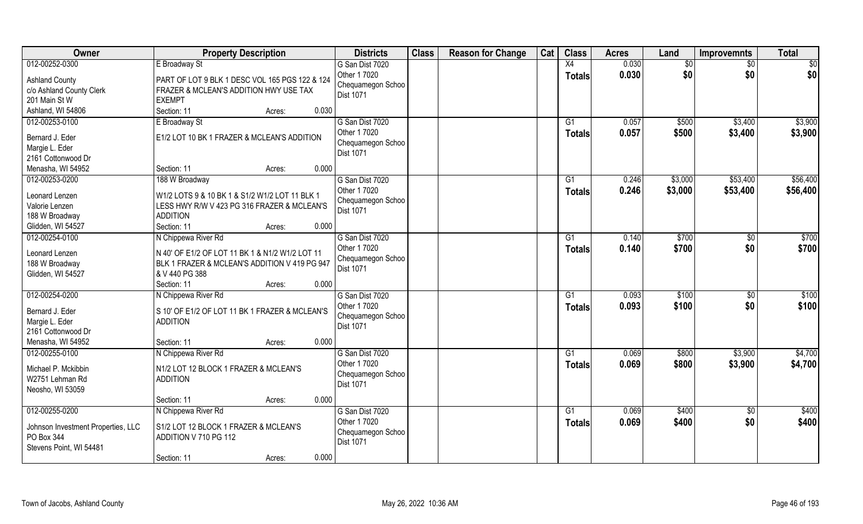| Owner                                                                     | <b>Property Description</b>                                                                                                               | <b>Districts</b>                                                         | <b>Class</b> | <b>Reason for Change</b> | Cat | <b>Class</b>        | <b>Acres</b>   | Land           | <b>Improvemnts</b>     | <b>Total</b>       |
|---------------------------------------------------------------------------|-------------------------------------------------------------------------------------------------------------------------------------------|--------------------------------------------------------------------------|--------------|--------------------------|-----|---------------------|----------------|----------------|------------------------|--------------------|
| 012-00252-0300                                                            | E Broadway St                                                                                                                             | G San Dist 7020                                                          |              |                          |     | X4                  | 0.030          | \$0            | \$0                    | \$0                |
| <b>Ashland County</b><br>c/o Ashland County Clerk<br>201 Main St W        | PART OF LOT 9 BLK 1 DESC VOL 165 PGS 122 & 124<br>FRAZER & MCLEAN'S ADDITION HWY USE TAX<br><b>EXEMPT</b>                                 | Other 1 7020<br>Chequamegon Schoo<br>Dist 1071                           |              |                          |     | <b>Totals</b>       | 0.030          | \$0            | \$0                    | \$0                |
| Ashland, WI 54806                                                         | 0.030<br>Section: 11<br>Acres:                                                                                                            |                                                                          |              |                          |     |                     |                |                |                        |                    |
| 012-00253-0100<br>Bernard J. Eder<br>Margie L. Eder<br>2161 Cottonwood Dr | E Broadway St<br>E1/2 LOT 10 BK 1 FRAZER & MCLEAN'S ADDITION                                                                              | G San Dist 7020<br>Other 1 7020<br>Chequamegon Schoo<br><b>Dist 1071</b> |              |                          |     | G1<br>Totals        | 0.057<br>0.057 | \$500<br>\$500 | \$3,400<br>\$3,400     | \$3,900<br>\$3,900 |
| Menasha, WI 54952                                                         | 0.000<br>Section: 11<br>Acres:                                                                                                            |                                                                          |              |                          |     |                     |                |                |                        |                    |
| 012-00253-0200                                                            | 188 W Broadway                                                                                                                            | G San Dist 7020                                                          |              |                          |     | G1                  | 0.246          | \$3,000        | \$53,400               | \$56,400           |
| Leonard Lenzen<br>Valorie Lenzen<br>188 W Broadway                        | W1/2 LOTS 9 & 10 BK 1 & S1/2 W1/2 LOT 11 BLK 1<br>LESS HWY R/W V 423 PG 316 FRAZER & MCLEAN'S<br><b>ADDITION</b>                          | Other 1 7020<br>Chequamegon Schoo<br><b>Dist 1071</b>                    |              |                          |     | <b>Totals</b>       | 0.246          | \$3,000        | \$53,400               | \$56,400           |
| Glidden, WI 54527                                                         | Section: 11<br>0.000<br>Acres:                                                                                                            |                                                                          |              |                          |     |                     |                |                |                        |                    |
| 012-00254-0100<br>Leonard Lenzen<br>188 W Broadway<br>Glidden, WI 54527   | N Chippewa River Rd<br>N 40' OF E1/2 OF LOT 11 BK 1 & N1/2 W1/2 LOT 11<br>BLK 1 FRAZER & MCLEAN'S ADDITION V 419 PG 947<br>& V 440 PG 388 | G San Dist 7020<br>Other 1 7020<br>Chequamegon Schoo<br><b>Dist 1071</b> |              |                          |     | G1<br><b>Totals</b> | 0.140<br>0.140 | \$700<br>\$700 | $\sqrt{50}$<br>\$0     | \$700<br>\$700     |
|                                                                           | 0.000<br>Section: 11<br>Acres:                                                                                                            |                                                                          |              |                          |     |                     |                |                |                        |                    |
| 012-00254-0200<br>Bernard J. Eder<br>Margie L. Eder<br>2161 Cottonwood Dr | N Chippewa River Rd<br>S 10' OF E1/2 OF LOT 11 BK 1 FRAZER & MCLEAN'S<br><b>ADDITION</b>                                                  | G San Dist 7020<br>Other 1 7020<br>Chequamegon Schoo<br>Dist 1071        |              |                          |     | G1<br><b>Totals</b> | 0.093<br>0.093 | \$100<br>\$100 | \$0<br>\$0             | \$100<br>\$100     |
| Menasha, WI 54952                                                         | 0.000<br>Section: 11<br>Acres:                                                                                                            |                                                                          |              |                          |     |                     |                |                |                        |                    |
| 012-00255-0100                                                            | N Chippewa River Rd                                                                                                                       | G San Dist 7020                                                          |              |                          |     | G1                  | 0.069          | \$800          | \$3,900                | \$4,700            |
| Michael P. Mckibbin<br>W2751 Lehman Rd<br>Neosho, WI 53059                | N1/2 LOT 12 BLOCK 1 FRAZER & MCLEAN'S<br><b>ADDITION</b>                                                                                  | Other 1 7020<br>Chequamegon Schoo<br>Dist 1071                           |              |                          |     | <b>Totals</b>       | 0.069          | \$800          | \$3,900                | \$4,700            |
|                                                                           | 0.000<br>Section: 11<br>Acres:                                                                                                            |                                                                          |              |                          |     |                     |                |                |                        |                    |
| 012-00255-0200<br>Johnson Investment Properties, LLC<br>PO Box 344        | N Chippewa River Rd<br>S1/2 LOT 12 BLOCK 1 FRAZER & MCLEAN'S<br>ADDITION V 710 PG 112                                                     | G San Dist 7020<br>Other 1 7020<br>Chequamegon Schoo<br>Dist 1071        |              |                          |     | G1<br><b>Totals</b> | 0.069<br>0.069 | \$400<br>\$400 | $\overline{60}$<br>\$0 | \$400<br>\$400     |
| Stevens Point, WI 54481                                                   | 0.000<br>Section: 11<br>Acres:                                                                                                            |                                                                          |              |                          |     |                     |                |                |                        |                    |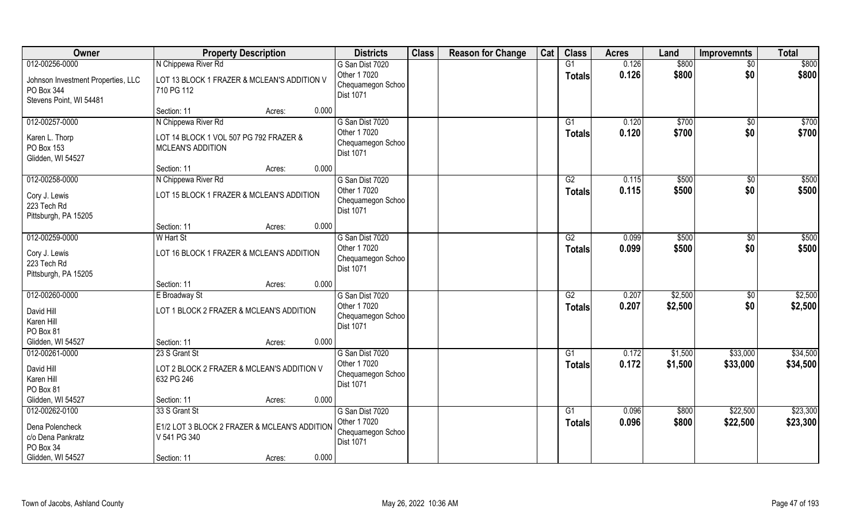| Owner                                                                       | <b>Property Description</b>                                                               | <b>Districts</b>                                                         | <b>Class</b> | <b>Reason for Change</b> | Cat | <b>Class</b>                     | <b>Acres</b>   | Land               | <b>Improvemnts</b>   | <b>Total</b>         |
|-----------------------------------------------------------------------------|-------------------------------------------------------------------------------------------|--------------------------------------------------------------------------|--------------|--------------------------|-----|----------------------------------|----------------|--------------------|----------------------|----------------------|
| 012-00256-0000                                                              | N Chippewa River Rd                                                                       | G San Dist 7020                                                          |              |                          |     | G1                               | 0.126          | \$800              | $\sqrt{6}$           | \$800                |
| Johnson Investment Properties, LLC<br>PO Box 344<br>Stevens Point, WI 54481 | LOT 13 BLOCK 1 FRAZER & MCLEAN'S ADDITION V<br>710 PG 112                                 | Other 1 7020<br>Chequamegon Schoo<br>Dist 1071                           |              |                          |     | <b>Totals</b>                    | 0.126          | \$800              | \$0                  | \$800                |
|                                                                             | Section: 11<br>0.000<br>Acres:                                                            |                                                                          |              |                          |     |                                  |                |                    |                      |                      |
| 012-00257-0000<br>Karen L. Thorp<br>PO Box 153<br>Glidden, WI 54527         | N Chippewa River Rd<br>LOT 14 BLOCK 1 VOL 507 PG 792 FRAZER &<br><b>MCLEAN'S ADDITION</b> | G San Dist 7020<br>Other 1 7020<br>Chequamegon Schoo<br><b>Dist 1071</b> |              |                          |     | G <sub>1</sub><br><b>Totals</b>  | 0.120<br>0.120 | \$700<br>\$700     | \$0<br>\$0           | \$700<br>\$700       |
|                                                                             | 0.000<br>Section: 11<br>Acres:                                                            |                                                                          |              |                          |     |                                  |                |                    |                      |                      |
| 012-00258-0000<br>Cory J. Lewis<br>223 Tech Rd<br>Pittsburgh, PA 15205      | N Chippewa River Rd<br>LOT 15 BLOCK 1 FRAZER & MCLEAN'S ADDITION                          | G San Dist 7020<br>Other 1 7020<br>Chequamegon Schoo<br><b>Dist 1071</b> |              |                          |     | G2<br><b>Totals</b>              | 0.115<br>0.115 | \$500<br>\$500     | $\sqrt{50}$<br>\$0   | \$500<br>\$500       |
|                                                                             | 0.000<br>Section: 11<br>Acres:                                                            |                                                                          |              |                          |     |                                  |                |                    |                      |                      |
| 012-00259-0000<br>Cory J. Lewis<br>223 Tech Rd<br>Pittsburgh, PA 15205      | W Hart St<br>LOT 16 BLOCK 1 FRAZER & MCLEAN'S ADDITION                                    | G San Dist 7020<br>Other 1 7020<br>Chequamegon Schoo<br><b>Dist 1071</b> |              |                          |     | G2<br><b>Totals</b>              | 0.099<br>0.099 | \$500<br>\$500     | $\sqrt[6]{}$<br>\$0  | \$500<br>\$500       |
|                                                                             | 0.000<br>Section: 11<br>Acres:                                                            |                                                                          |              |                          |     |                                  |                |                    |                      |                      |
| 012-00260-0000<br>David Hill<br>Karen Hill<br>PO Box 81                     | E Broadway St<br>LOT 1 BLOCK 2 FRAZER & MCLEAN'S ADDITION                                 | G San Dist 7020<br>Other 1 7020<br>Chequamegon Schoo<br>Dist 1071        |              |                          |     | $\overline{G2}$<br><b>Totals</b> | 0.207<br>0.207 | \$2,500<br>\$2,500 | $\sqrt[6]{}$<br>\$0  | \$2,500<br>\$2,500   |
| Glidden, WI 54527                                                           | Section: 11<br>0.000<br>Acres:                                                            |                                                                          |              |                          |     |                                  |                |                    |                      |                      |
| 012-00261-0000<br>David Hill<br>Karen Hill<br>PO Box 81                     | 23 S Grant St<br>LOT 2 BLOCK 2 FRAZER & MCLEAN'S ADDITION V<br>632 PG 246                 | G San Dist 7020<br>Other 1 7020<br>Chequamegon Schoo<br>Dist 1071        |              |                          |     | $\overline{G1}$<br><b>Totals</b> | 0.172<br>0.172 | \$1,500<br>\$1,500 | \$33,000<br>\$33,000 | \$34,500<br>\$34,500 |
| Glidden, WI 54527                                                           | 0.000<br>Section: 11<br>Acres:                                                            |                                                                          |              |                          |     |                                  |                |                    |                      |                      |
| 012-00262-0100<br>Dena Polencheck<br>c/o Dena Pankratz<br>PO Box 34         | 33 S Grant St<br>E1/2 LOT 3 BLOCK 2 FRAZER & MCLEAN'S ADDITION<br>V 541 PG 340<br>0.000   | G San Dist 7020<br>Other 1 7020<br>Chequamegon Schoo<br>Dist 1071        |              |                          |     | G1<br><b>Totals</b>              | 0.096<br>0.096 | \$800<br>\$800     | \$22,500<br>\$22,500 | \$23,300<br>\$23,300 |
| Glidden, WI 54527                                                           | Section: 11<br>Acres:                                                                     |                                                                          |              |                          |     |                                  |                |                    |                      |                      |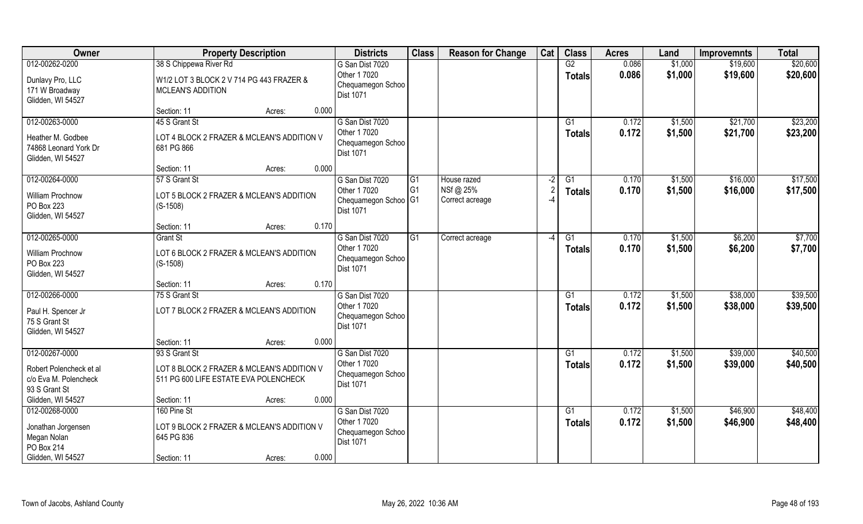| Owner                                                             |                                                                                     | <b>Property Description</b> |       | <b>Districts</b>                                      | <b>Class</b>   | <b>Reason for Change</b>     | Cat                      | <b>Class</b>    | <b>Acres</b> | Land    | <b>Improvemnts</b> | <b>Total</b> |
|-------------------------------------------------------------------|-------------------------------------------------------------------------------------|-----------------------------|-------|-------------------------------------------------------|----------------|------------------------------|--------------------------|-----------------|--------------|---------|--------------------|--------------|
| 012-00262-0200                                                    | 38 S Chippewa River Rd                                                              |                             |       | G San Dist 7020                                       |                |                              |                          | G2              | 0.086        | \$1,000 | \$19,600           | \$20,600     |
| Dunlavy Pro, LLC<br>171 W Broadway<br>Glidden, WI 54527           | W1/2 LOT 3 BLOCK 2 V 714 PG 443 FRAZER &<br><b>MCLEAN'S ADDITION</b>                |                             |       | Other 1 7020<br>Chequamegon Schoo<br><b>Dist 1071</b> |                |                              |                          | <b>Totals</b>   | 0.086        | \$1,000 | \$19,600           | \$20,600     |
|                                                                   | Section: 11                                                                         | Acres:                      | 0.000 |                                                       |                |                              |                          |                 |              |         |                    |              |
| 012-00263-0000                                                    | 45 S Grant St                                                                       |                             |       | G San Dist 7020                                       |                |                              |                          | G1              | 0.172        | \$1,500 | \$21,700           | \$23,200     |
| Heather M. Godbee<br>74868 Leonard York Dr<br>Glidden, WI 54527   | LOT 4 BLOCK 2 FRAZER & MCLEAN'S ADDITION V<br>681 PG 866                            |                             |       | Other 1 7020<br>Chequamegon Schoo<br>Dist 1071        |                |                              |                          | Totals          | 0.172        | \$1,500 | \$21,700           | \$23,200     |
|                                                                   | Section: 11                                                                         | Acres:                      | 0.000 |                                                       |                |                              |                          |                 |              |         |                    |              |
| 012-00264-0000                                                    | 57 S Grant St                                                                       |                             |       | G San Dist 7020                                       | l G1           | House razed                  | $-2$                     | G1              | 0.170        | \$1,500 | \$16,000           | \$17,500     |
| <b>William Prochnow</b><br>PO Box 223<br>Glidden, WI 54527        | LOT 5 BLOCK 2 FRAZER & MCLEAN'S ADDITION<br>$(S-1508)$                              |                             |       | Other 1 7020<br>Chequamegon Schoo   G1<br>Dist 1071   | G <sub>1</sub> | NSf @ 25%<br>Correct acreage |                          | <b>Totals</b>   | 0.170        | \$1,500 | \$16,000           | \$17,500     |
|                                                                   | Section: 11                                                                         | Acres:                      | 0.170 |                                                       |                |                              |                          |                 |              |         |                    |              |
| 012-00265-0000                                                    | <b>Grant St</b>                                                                     |                             |       | G San Dist 7020                                       | G1             | Correct acreage              | $\overline{\phantom{a}}$ | G1              | 0.170        | \$1,500 | \$6,200            | \$7,700      |
| William Prochnow<br>PO Box 223<br>Glidden, WI 54527               | LOT 6 BLOCK 2 FRAZER & MCLEAN'S ADDITION<br>$(S-1508)$                              |                             |       | Other 1 7020<br>Chequamegon Schoo<br><b>Dist 1071</b> |                |                              |                          | <b>Totals</b>   | 0.170        | \$1,500 | \$6,200            | \$7,700      |
|                                                                   | Section: 11                                                                         | Acres:                      | 0.170 |                                                       |                |                              |                          |                 |              |         |                    |              |
| 012-00266-0000                                                    | 75 S Grant St                                                                       |                             |       | G San Dist 7020                                       |                |                              |                          | $\overline{G1}$ | 0.172        | \$1,500 | \$38,000           | \$39,500     |
| Paul H. Spencer Jr<br>75 S Grant St<br>Glidden, WI 54527          | LOT 7 BLOCK 2 FRAZER & MCLEAN'S ADDITION                                            |                             |       | Other 1 7020<br>Chequamegon Schoo<br>Dist 1071        |                |                              |                          | <b>Totals</b>   | 0.172        | \$1,500 | \$38,000           | \$39,500     |
|                                                                   | Section: 11                                                                         | Acres:                      | 0.000 |                                                       |                |                              |                          |                 |              |         |                    |              |
| 012-00267-0000                                                    | 93 S Grant St                                                                       |                             |       | G San Dist 7020                                       |                |                              |                          | G1              | 0.172        | \$1,500 | \$39,000           | \$40,500     |
| Robert Polencheck et al<br>c/o Eva M. Polencheck<br>93 S Grant St | LOT 8 BLOCK 2 FRAZER & MCLEAN'S ADDITION V<br>511 PG 600 LIFE ESTATE EVA POLENCHECK |                             |       | Other 1 7020<br>Chequamegon Schoo<br>Dist 1071        |                |                              |                          | <b>Totals</b>   | 0.172        | \$1,500 | \$39,000           | \$40,500     |
| Glidden, WI 54527                                                 | Section: 11                                                                         | Acres:                      | 0.000 |                                                       |                |                              |                          |                 |              |         |                    |              |
| 012-00268-0000                                                    | 160 Pine St                                                                         |                             |       | G San Dist 7020                                       |                |                              |                          | $\overline{G1}$ | 0.172        | \$1,500 | \$46,900           | \$48,400     |
| Jonathan Jorgensen<br>Megan Nolan<br>PO Box 214                   | LOT 9 BLOCK 2 FRAZER & MCLEAN'S ADDITION V<br>645 PG 836                            |                             |       | Other 1 7020<br>Chequamegon Schoo<br>Dist 1071        |                |                              |                          | <b>Totals</b>   | 0.172        | \$1,500 | \$46,900           | \$48,400     |
| Glidden, WI 54527                                                 | Section: 11                                                                         | Acres:                      | 0.000 |                                                       |                |                              |                          |                 |              |         |                    |              |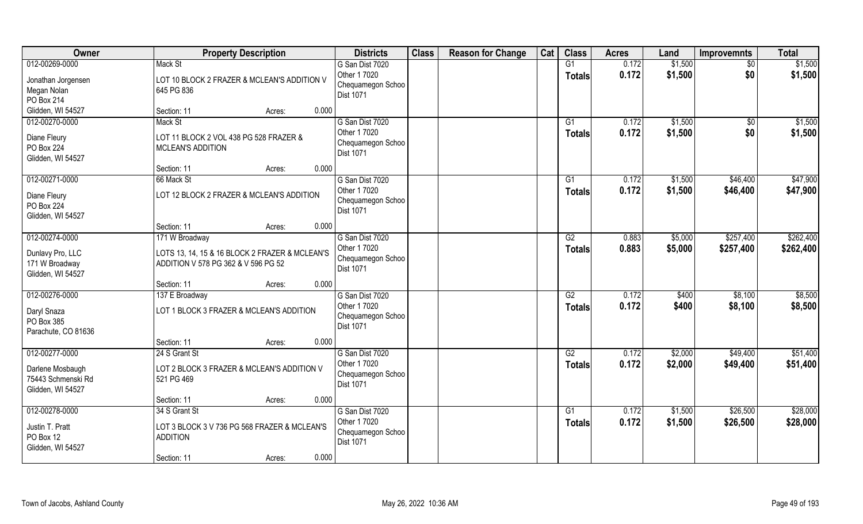| Owner                                                                     | <b>Property Description</b>                                                                             | <b>Districts</b>                                                         | <b>Class</b> | <b>Reason for Change</b> | Cat | <b>Class</b>                     | <b>Acres</b>   | Land               | <b>Improvemnts</b>     | <b>Total</b>           |
|---------------------------------------------------------------------------|---------------------------------------------------------------------------------------------------------|--------------------------------------------------------------------------|--------------|--------------------------|-----|----------------------------------|----------------|--------------------|------------------------|------------------------|
| 012-00269-0000                                                            | Mack St                                                                                                 | G San Dist 7020                                                          |              |                          |     | G1                               | 0.172          | \$1,500            | $\sqrt{6}$             | \$1,500                |
| Jonathan Jorgensen<br>Megan Nolan<br>PO Box 214                           | LOT 10 BLOCK 2 FRAZER & MCLEAN'S ADDITION V<br>645 PG 836                                               | Other 1 7020<br>Chequamegon Schoo<br>Dist 1071                           |              |                          |     | <b>Totals</b>                    | 0.172          | \$1,500            | \$0                    | \$1,500                |
| Glidden, WI 54527                                                         | Section: 11<br>Acres:                                                                                   | 0.000                                                                    |              |                          |     |                                  |                |                    |                        |                        |
| 012-00270-0000<br>Diane Fleury<br>PO Box 224<br>Glidden, WI 54527         | Mack St<br>LOT 11 BLOCK 2 VOL 438 PG 528 FRAZER &<br><b>MCLEAN'S ADDITION</b>                           | G San Dist 7020<br>Other 1 7020<br>Chequamegon Schoo<br><b>Dist 1071</b> |              |                          |     | G1<br>Totals                     | 0.172<br>0.172 | \$1,500<br>\$1,500 | \$0<br>\$0             | \$1,500<br>\$1,500     |
|                                                                           | Section: 11<br>Acres:                                                                                   | 0.000                                                                    |              |                          |     |                                  |                |                    |                        |                        |
| 012-00271-0000<br>Diane Fleury<br>PO Box 224<br>Glidden, WI 54527         | 66 Mack St<br>LOT 12 BLOCK 2 FRAZER & MCLEAN'S ADDITION                                                 | G San Dist 7020<br>Other 1 7020<br>Chequamegon Schoo<br>Dist 1071        |              |                          |     | G1<br><b>Totals</b>              | 0.172<br>0.172 | \$1,500<br>\$1,500 | \$46,400<br>\$46,400   | \$47,900<br>\$47,900   |
|                                                                           | Section: 11<br>Acres:                                                                                   | 0.000                                                                    |              |                          |     |                                  |                |                    |                        |                        |
| 012-00274-0000<br>Dunlavy Pro, LLC<br>171 W Broadway<br>Glidden, WI 54527 | 171 W Broadway<br>LOTS 13, 14, 15 & 16 BLOCK 2 FRAZER & MCLEAN'S<br>ADDITION V 578 PG 362 & V 596 PG 52 | G San Dist 7020<br>Other 1 7020<br>Chequamegon Schoo<br>Dist 1071        |              |                          |     | G2<br><b>Totals</b>              | 0.883<br>0.883 | \$5,000<br>\$5,000 | \$257,400<br>\$257,400 | \$262,400<br>\$262,400 |
|                                                                           | Section: 11<br>Acres:                                                                                   | 0.000                                                                    |              |                          |     |                                  |                |                    |                        |                        |
| 012-00276-0000<br>Daryl Snaza<br>PO Box 385                               | 137 E Broadway<br>LOT 1 BLOCK 3 FRAZER & MCLEAN'S ADDITION                                              | G San Dist 7020<br>Other 1 7020<br>Chequamegon Schoo                     |              |                          |     | $\overline{G2}$<br><b>Totals</b> | 0.172<br>0.172 | \$400<br>\$400     | \$8,100<br>\$8,100     | \$8,500<br>\$8,500     |
| Parachute, CO 81636                                                       |                                                                                                         | <b>Dist 1071</b>                                                         |              |                          |     |                                  |                |                    |                        |                        |
|                                                                           | Section: 11<br>Acres:                                                                                   | 0.000                                                                    |              |                          |     |                                  |                |                    |                        |                        |
| 012-00277-0000                                                            | 24 S Grant St                                                                                           | G San Dist 7020                                                          |              |                          |     | G2                               | 0.172          | \$2,000            | \$49,400               | \$51,400               |
| Darlene Mosbaugh<br>75443 Schmenski Rd<br>Glidden, WI 54527               | LOT 2 BLOCK 3 FRAZER & MCLEAN'S ADDITION V<br>521 PG 469                                                | Other 1 7020<br>Chequamegon Schoo<br>Dist 1071                           |              |                          |     | <b>Totals</b>                    | 0.172          | \$2,000            | \$49,400               | \$51,400               |
|                                                                           | Section: 11<br>Acres:                                                                                   | 0.000                                                                    |              |                          |     |                                  |                |                    |                        |                        |
| 012-00278-0000                                                            | 34 S Grant St                                                                                           | G San Dist 7020                                                          |              |                          |     | G1                               | 0.172          | \$1,500            | \$26,500               | \$28,000               |
| Justin T. Pratt<br>PO Box 12<br>Glidden, WI 54527                         | LOT 3 BLOCK 3 V 736 PG 568 FRAZER & MCLEAN'S<br><b>ADDITION</b>                                         | Other 1 7020<br>Chequamegon Schoo<br>Dist 1071                           |              |                          |     | Totals                           | 0.172          | \$1,500            | \$26,500               | \$28,000               |
|                                                                           | Section: 11<br>Acres:                                                                                   | 0.000                                                                    |              |                          |     |                                  |                |                    |                        |                        |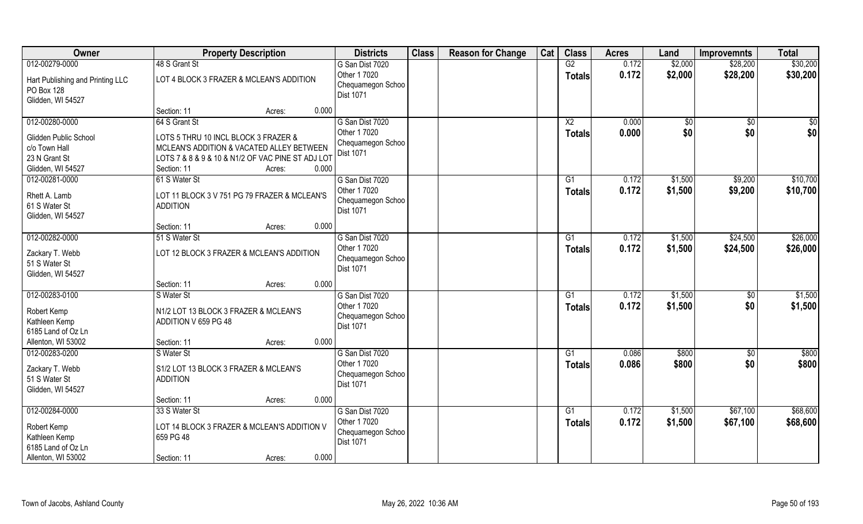| Owner                            | <b>Property Description</b>                       | <b>Districts</b>                  | <b>Class</b> | <b>Reason for Change</b> | Cat | <b>Class</b>   | <b>Acres</b> | Land    | <b>Improvemnts</b> | <b>Total</b> |
|----------------------------------|---------------------------------------------------|-----------------------------------|--------------|--------------------------|-----|----------------|--------------|---------|--------------------|--------------|
| 012-00279-0000                   | 48 S Grant St                                     | G San Dist 7020                   |              |                          |     | G2             | 0.172        | \$2,000 | \$28,200           | \$30,200     |
| Hart Publishing and Printing LLC | LOT 4 BLOCK 3 FRAZER & MCLEAN'S ADDITION          | Other 1 7020<br>Chequamegon Schoo |              |                          |     | <b>Totals</b>  | 0.172        | \$2,000 | \$28,200           | \$30,200     |
| PO Box 128                       |                                                   | <b>Dist 1071</b>                  |              |                          |     |                |              |         |                    |              |
| Glidden, WI 54527                |                                                   |                                   |              |                          |     |                |              |         |                    |              |
|                                  | 0.000<br>Section: 11<br>Acres:                    |                                   |              |                          |     |                |              |         |                    |              |
| 012-00280-0000                   | 64 S Grant St                                     | G San Dist 7020<br>Other 1 7020   |              |                          |     | X <sub>2</sub> | 0.000        | \$0     | $\sqrt{6}$         | \$0          |
| Glidden Public School            | LOTS 5 THRU 10 INCL BLOCK 3 FRAZER &              | Chequamegon Schoo                 |              |                          |     | <b>Totals</b>  | 0.000        | \$0     | \$0                | \$0          |
| c/o Town Hall                    | MCLEAN'S ADDITION & VACATED ALLEY BETWEEN         | Dist 1071                         |              |                          |     |                |              |         |                    |              |
| 23 N Grant St                    | LOTS 7 & 8 & 9 & 10 & N1/2 OF VAC PINE ST ADJ LOT |                                   |              |                          |     |                |              |         |                    |              |
| Glidden, WI 54527                | Section: 11<br>0.000<br>Acres:                    |                                   |              |                          |     |                |              |         |                    |              |
| 012-00281-0000                   | 61 S Water St                                     | G San Dist 7020                   |              |                          |     | G1             | 0.172        | \$1,500 | \$9,200            | \$10,700     |
| Rhett A. Lamb                    | LOT 11 BLOCK 3 V 751 PG 79 FRAZER & MCLEAN'S      | Other 1 7020                      |              |                          |     | <b>Totals</b>  | 0.172        | \$1,500 | \$9,200            | \$10,700     |
| 61 S Water St                    | <b>ADDITION</b>                                   | Chequamegon Schoo                 |              |                          |     |                |              |         |                    |              |
| Glidden, WI 54527                |                                                   | <b>Dist 1071</b>                  |              |                          |     |                |              |         |                    |              |
|                                  | 0.000<br>Section: 11<br>Acres:                    |                                   |              |                          |     |                |              |         |                    |              |
| 012-00282-0000                   | 51 S Water St                                     | G San Dist 7020                   |              |                          |     | G1             | 0.172        | \$1,500 | \$24,500           | \$26,000     |
| Zackary T. Webb                  | LOT 12 BLOCK 3 FRAZER & MCLEAN'S ADDITION         | Other 1 7020                      |              |                          |     | <b>Totals</b>  | 0.172        | \$1,500 | \$24,500           | \$26,000     |
| 51 S Water St                    |                                                   | Chequamegon Schoo                 |              |                          |     |                |              |         |                    |              |
| Glidden, WI 54527                |                                                   | Dist 1071                         |              |                          |     |                |              |         |                    |              |
|                                  | 0.000<br>Section: 11<br>Acres:                    |                                   |              |                          |     |                |              |         |                    |              |
| 012-00283-0100                   | S Water St                                        | G San Dist 7020                   |              |                          |     | G1             | 0.172        | \$1,500 | $\sqrt[6]{}$       | \$1,500      |
|                                  | N1/2 LOT 13 BLOCK 3 FRAZER & MCLEAN'S             | Other 1 7020                      |              |                          |     | <b>Totals</b>  | 0.172        | \$1,500 | \$0                | \$1,500      |
| Robert Kemp<br>Kathleen Kemp     | ADDITION V 659 PG 48                              | Chequamegon Schoo                 |              |                          |     |                |              |         |                    |              |
| 6185 Land of Oz Ln               |                                                   | Dist 1071                         |              |                          |     |                |              |         |                    |              |
| Allenton, WI 53002               | 0.000<br>Section: 11<br>Acres:                    |                                   |              |                          |     |                |              |         |                    |              |
| 012-00283-0200                   | S Water St                                        | G San Dist 7020                   |              |                          |     | G1             | 0.086        | \$800   | \$0                | \$800        |
|                                  |                                                   | Other 1 7020                      |              |                          |     | <b>Totals</b>  | 0.086        | \$800   | \$0                | \$800        |
| Zackary T. Webb                  | S1/2 LOT 13 BLOCK 3 FRAZER & MCLEAN'S             | Chequamegon Schoo                 |              |                          |     |                |              |         |                    |              |
| 51 S Water St                    | <b>ADDITION</b>                                   | <b>Dist 1071</b>                  |              |                          |     |                |              |         |                    |              |
| Glidden, WI 54527                | 0.000                                             |                                   |              |                          |     |                |              |         |                    |              |
| 012-00284-0000                   | Section: 11<br>Acres:<br>33 S Water St            | G San Dist 7020                   |              |                          |     | G1             | 0.172        | \$1,500 | \$67,100           | \$68,600     |
|                                  |                                                   | Other 1 7020                      |              |                          |     |                | 0.172        | \$1,500 | \$67,100           | \$68,600     |
| Robert Kemp                      | LOT 14 BLOCK 3 FRAZER & MCLEAN'S ADDITION V       | Chequamegon Schoo                 |              |                          |     | <b>Totals</b>  |              |         |                    |              |
| Kathleen Kemp                    | 659 PG 48                                         | <b>Dist 1071</b>                  |              |                          |     |                |              |         |                    |              |
| 6185 Land of Oz Ln               |                                                   |                                   |              |                          |     |                |              |         |                    |              |
| Allenton, WI 53002               | 0.000<br>Section: 11<br>Acres:                    |                                   |              |                          |     |                |              |         |                    |              |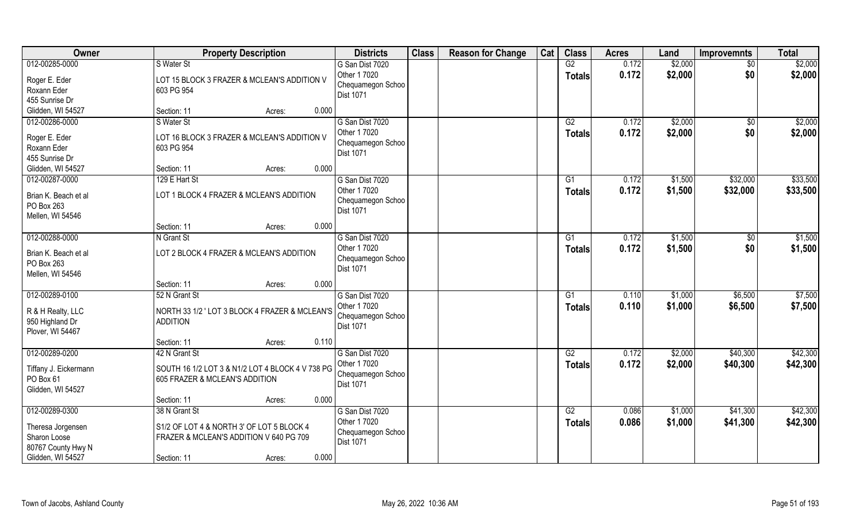| Owner                                                    |                                                                                      | <b>Property Description</b> |       | <b>Districts</b>                                      | <b>Class</b> | <b>Reason for Change</b> | Cat | <b>Class</b>        | <b>Acres</b>   | Land               | <b>Improvemnts</b> | <b>Total</b>       |
|----------------------------------------------------------|--------------------------------------------------------------------------------------|-----------------------------|-------|-------------------------------------------------------|--------------|--------------------------|-----|---------------------|----------------|--------------------|--------------------|--------------------|
| 012-00285-0000                                           | S Water St                                                                           |                             |       | G San Dist 7020                                       |              |                          |     | G2                  | 0.172          | \$2,000            | \$0                | \$2,000            |
| Roger E. Eder<br>Roxann Eder<br>455 Sunrise Dr           | LOT 15 BLOCK 3 FRAZER & MCLEAN'S ADDITION V<br>603 PG 954                            |                             |       | Other 1 7020<br>Chequamegon Schoo<br>Dist 1071        |              |                          |     | <b>Totals</b>       | 0.172          | \$2,000            | \$0                | \$2,000            |
| Glidden, WI 54527                                        | Section: 11                                                                          | Acres:                      | 0.000 |                                                       |              |                          |     |                     |                |                    |                    |                    |
| 012-00286-0000<br>Roger E. Eder                          | S Water St<br>LOT 16 BLOCK 3 FRAZER & MCLEAN'S ADDITION V                            |                             |       | G San Dist 7020<br>Other 1 7020                       |              |                          |     | G2<br><b>Totals</b> | 0.172<br>0.172 | \$2,000<br>\$2,000 | $\sqrt{6}$<br>\$0  | \$2,000<br>\$2,000 |
| Roxann Eder<br>455 Sunrise Dr                            | 603 PG 954                                                                           |                             |       | Chequamegon Schoo<br>Dist 1071                        |              |                          |     |                     |                |                    |                    |                    |
| Glidden, WI 54527                                        | Section: 11                                                                          | Acres:                      | 0.000 |                                                       |              |                          |     |                     |                |                    |                    |                    |
| 012-00287-0000                                           | 129 E Hart St                                                                        |                             |       | G San Dist 7020                                       |              |                          |     | G1                  | 0.172          | \$1,500            | \$32,000           | \$33,500           |
| Brian K. Beach et al<br>PO Box 263<br>Mellen, WI 54546   | LOT 1 BLOCK 4 FRAZER & MCLEAN'S ADDITION                                             |                             |       | Other 1 7020<br>Chequamegon Schoo<br>Dist 1071        |              |                          |     | <b>Totals</b>       | 0.172          | \$1,500            | \$32,000           | \$33,500           |
|                                                          | Section: 11                                                                          | Acres:                      | 0.000 |                                                       |              |                          |     |                     |                |                    |                    |                    |
| 012-00288-0000                                           | N Grant St                                                                           |                             |       | G San Dist 7020                                       |              |                          |     | G1                  | 0.172          | \$1,500            | $\sqrt[6]{}$       | \$1,500            |
| Brian K. Beach et al<br>PO Box 263<br>Mellen, WI 54546   | LOT 2 BLOCK 4 FRAZER & MCLEAN'S ADDITION                                             |                             |       | Other 1 7020<br>Chequamegon Schoo<br><b>Dist 1071</b> |              |                          |     | <b>Totals</b>       | 0.172          | \$1,500            | \$0                | \$1,500            |
|                                                          | Section: 11                                                                          | Acres:                      | 0.000 |                                                       |              |                          |     |                     |                |                    |                    |                    |
| 012-00289-0100                                           | 52 N Grant St                                                                        |                             |       | G San Dist 7020                                       |              |                          |     | G1                  | 0.110          | \$1,000            | \$6,500            | \$7,500            |
| R & H Realty, LLC<br>950 Highland Dr<br>Plover, WI 54467 | NORTH 33 1/2 ' LOT 3 BLOCK 4 FRAZER & MCLEAN'S<br><b>ADDITION</b>                    |                             |       | Other 1 7020<br>Chequamegon Schoo<br>Dist 1071        |              |                          |     | <b>Totals</b>       | 0.110          | \$1,000            | \$6,500            | \$7,500            |
|                                                          | Section: 11                                                                          | Acres:                      | 0.110 |                                                       |              |                          |     |                     |                |                    |                    |                    |
| 012-00289-0200                                           | 42 N Grant St                                                                        |                             |       | G San Dist 7020                                       |              |                          |     | G2                  | 0.172          | \$2,000            | \$40,300           | \$42,300           |
| Tiffany J. Eickermann<br>PO Box 61<br>Glidden, WI 54527  | SOUTH 16 1/2 LOT 3 & N1/2 LOT 4 BLOCK 4 V 738 PG<br>605 FRAZER & MCLEAN'S ADDITION   |                             |       | Other 1 7020<br>Chequamegon Schoo<br>Dist 1071        |              |                          |     | <b>Totals</b>       | 0.172          | \$2,000            | \$40,300           | \$42,300           |
|                                                          | Section: 11                                                                          | Acres:                      | 0.000 |                                                       |              |                          |     |                     |                |                    |                    |                    |
| 012-00289-0300                                           | 38 N Grant St                                                                        |                             |       | G San Dist 7020                                       |              |                          |     | G2                  | 0.086          | \$1,000            | \$41,300           | \$42,300           |
| Theresa Jorgensen<br>Sharon Loose<br>80767 County Hwy N  | S1/2 OF LOT 4 & NORTH 3' OF LOT 5 BLOCK 4<br>FRAZER & MCLEAN'S ADDITION V 640 PG 709 |                             |       | Other 1 7020<br>Chequamegon Schoo<br><b>Dist 1071</b> |              |                          |     | <b>Totals</b>       | 0.086          | \$1,000            | \$41,300           | \$42,300           |
| Glidden, WI 54527                                        | Section: 11                                                                          | Acres:                      | 0.000 |                                                       |              |                          |     |                     |                |                    |                    |                    |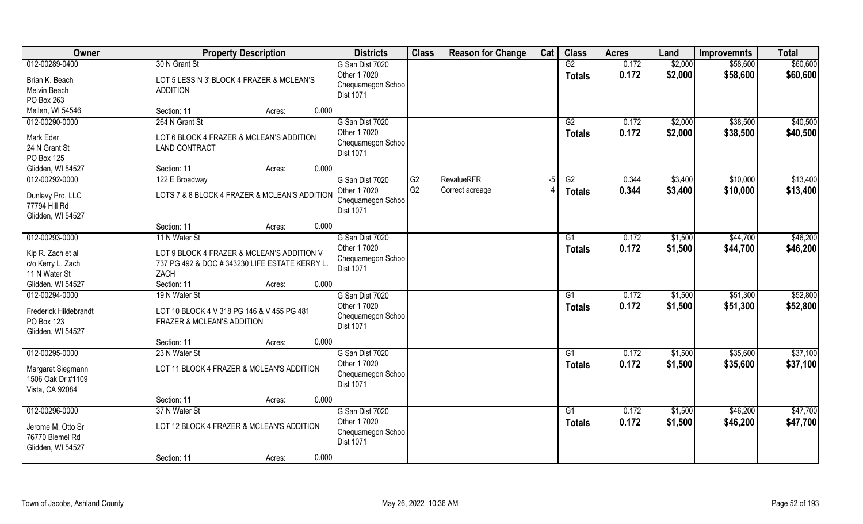| 012-00289-0400<br>G2<br>30 N Grant St<br>0.172<br>\$2,000<br>\$58,600<br>G San Dist 7020<br>0.172<br>Other 1 7020<br>\$2,000<br>\$58,600<br><b>Totals</b><br>Brian K. Beach<br>LOT 5 LESS N 3' BLOCK 4 FRAZER & MCLEAN'S<br>Chequamegon Schoo<br>Melvin Beach<br><b>ADDITION</b><br><b>Dist 1071</b><br>PO Box 263<br>Mellen, WI 54546<br>Section: 11<br>0.000<br>Acres:<br>012-00290-0000<br>264 N Grant St<br>G San Dist 7020<br>G2<br>0.172<br>\$2,000<br>\$38,500<br>Other 1 7020<br>0.172<br>\$2,000<br>\$38,500<br>Totals<br>Mark Eder<br>LOT 6 BLOCK 4 FRAZER & MCLEAN'S ADDITION<br>Chequamegon Schoo<br>24 N Grant St<br><b>LAND CONTRACT</b><br>Dist 1071<br>PO Box 125<br>0.000<br>Glidden, WI 54527<br>Section: 11<br>Acres: | Owner | <b>Property Description</b> | <b>Districts</b> | <b>Class</b> | <b>Reason for Change</b> | Cat | <b>Class</b> | <b>Acres</b> | Land | <b>Improvemnts</b> | <b>Total</b> |
|------------------------------------------------------------------------------------------------------------------------------------------------------------------------------------------------------------------------------------------------------------------------------------------------------------------------------------------------------------------------------------------------------------------------------------------------------------------------------------------------------------------------------------------------------------------------------------------------------------------------------------------------------------------------------------------------------------------------------------------|-------|-----------------------------|------------------|--------------|--------------------------|-----|--------------|--------------|------|--------------------|--------------|
|                                                                                                                                                                                                                                                                                                                                                                                                                                                                                                                                                                                                                                                                                                                                          |       |                             |                  |              |                          |     |              |              |      |                    | \$60,600     |
|                                                                                                                                                                                                                                                                                                                                                                                                                                                                                                                                                                                                                                                                                                                                          |       |                             |                  |              |                          |     |              |              |      |                    | \$60,600     |
|                                                                                                                                                                                                                                                                                                                                                                                                                                                                                                                                                                                                                                                                                                                                          |       |                             |                  |              |                          |     |              |              |      |                    |              |
|                                                                                                                                                                                                                                                                                                                                                                                                                                                                                                                                                                                                                                                                                                                                          |       |                             |                  |              |                          |     |              |              |      |                    |              |
|                                                                                                                                                                                                                                                                                                                                                                                                                                                                                                                                                                                                                                                                                                                                          |       |                             |                  |              |                          |     |              |              |      |                    | \$40,500     |
|                                                                                                                                                                                                                                                                                                                                                                                                                                                                                                                                                                                                                                                                                                                                          |       |                             |                  |              |                          |     |              |              |      |                    | \$40,500     |
|                                                                                                                                                                                                                                                                                                                                                                                                                                                                                                                                                                                                                                                                                                                                          |       |                             |                  |              |                          |     |              |              |      |                    |              |
|                                                                                                                                                                                                                                                                                                                                                                                                                                                                                                                                                                                                                                                                                                                                          |       |                             |                  |              |                          |     |              |              |      |                    |              |
|                                                                                                                                                                                                                                                                                                                                                                                                                                                                                                                                                                                                                                                                                                                                          |       |                             |                  |              |                          |     |              |              |      |                    |              |
| 012-00292-0000<br><b>RevalueRFR</b><br>G San Dist 7020<br>G2<br>G2<br>0.344<br>\$3,400<br>\$10,000<br>122 E Broadway<br>$-5$                                                                                                                                                                                                                                                                                                                                                                                                                                                                                                                                                                                                             |       |                             |                  |              |                          |     |              |              |      |                    | \$13,400     |
| G <sub>2</sub><br>Other 1 7020<br>Correct acreage<br>0.344<br>\$3,400<br>\$10,000                                                                                                                                                                                                                                                                                                                                                                                                                                                                                                                                                                                                                                                        |       |                             |                  |              |                          |     |              |              |      |                    | \$13,400     |
| <b>Totals</b><br>LOTS 7 & 8 BLOCK 4 FRAZER & MCLEAN'S ADDITION<br>Dunlavy Pro, LLC<br>Chequamegon Schoo                                                                                                                                                                                                                                                                                                                                                                                                                                                                                                                                                                                                                                  |       |                             |                  |              |                          |     |              |              |      |                    |              |
| 77794 Hill Rd<br>Dist 1071                                                                                                                                                                                                                                                                                                                                                                                                                                                                                                                                                                                                                                                                                                               |       |                             |                  |              |                          |     |              |              |      |                    |              |
| Glidden, WI 54527                                                                                                                                                                                                                                                                                                                                                                                                                                                                                                                                                                                                                                                                                                                        |       |                             |                  |              |                          |     |              |              |      |                    |              |
| 0.000<br>Section: 11<br>Acres:                                                                                                                                                                                                                                                                                                                                                                                                                                                                                                                                                                                                                                                                                                           |       |                             |                  |              |                          |     |              |              |      |                    |              |
| 012-00293-0000<br>G San Dist 7020<br>\$1,500<br>\$44,700<br>11 N Water St<br>G1<br>0.172                                                                                                                                                                                                                                                                                                                                                                                                                                                                                                                                                                                                                                                 |       |                             |                  |              |                          |     |              |              |      |                    | \$46,200     |
| Other 1 7020<br>0.172<br>\$1,500<br>\$44,700<br>Totals<br>Kip R. Zach et al<br>LOT 9 BLOCK 4 FRAZER & MCLEAN'S ADDITION V                                                                                                                                                                                                                                                                                                                                                                                                                                                                                                                                                                                                                |       |                             |                  |              |                          |     |              |              |      |                    | \$46,200     |
| Chequamegon Schoo<br>c/o Kerry L. Zach<br>737 PG 492 & DOC #343230 LIFE ESTATE KERRY L.                                                                                                                                                                                                                                                                                                                                                                                                                                                                                                                                                                                                                                                  |       |                             |                  |              |                          |     |              |              |      |                    |              |
| Dist 1071<br>11 N Water St<br>ZACH                                                                                                                                                                                                                                                                                                                                                                                                                                                                                                                                                                                                                                                                                                       |       |                             |                  |              |                          |     |              |              |      |                    |              |
| Glidden, WI 54527<br>0.000<br>Section: 11<br>Acres:                                                                                                                                                                                                                                                                                                                                                                                                                                                                                                                                                                                                                                                                                      |       |                             |                  |              |                          |     |              |              |      |                    |              |
| 012-00294-0000<br>19 N Water St<br>G San Dist 7020<br>$\overline{G1}$<br>0.172<br>\$1,500<br>\$51,300                                                                                                                                                                                                                                                                                                                                                                                                                                                                                                                                                                                                                                    |       |                             |                  |              |                          |     |              |              |      |                    | \$52,800     |
| Other 1 7020<br>0.172<br>\$1,500<br>\$51,300<br><b>Totals</b>                                                                                                                                                                                                                                                                                                                                                                                                                                                                                                                                                                                                                                                                            |       |                             |                  |              |                          |     |              |              |      |                    | \$52,800     |
| Frederick Hildebrandt<br>LOT 10 BLOCK 4 V 318 PG 146 & V 455 PG 481<br>Chequamegon Schoo                                                                                                                                                                                                                                                                                                                                                                                                                                                                                                                                                                                                                                                 |       |                             |                  |              |                          |     |              |              |      |                    |              |
| PO Box 123<br><b>FRAZER &amp; MCLEAN'S ADDITION</b><br><b>Dist 1071</b>                                                                                                                                                                                                                                                                                                                                                                                                                                                                                                                                                                                                                                                                  |       |                             |                  |              |                          |     |              |              |      |                    |              |
| Glidden, WI 54527                                                                                                                                                                                                                                                                                                                                                                                                                                                                                                                                                                                                                                                                                                                        |       |                             |                  |              |                          |     |              |              |      |                    |              |
| 0.000<br>Section: 11<br>Acres:                                                                                                                                                                                                                                                                                                                                                                                                                                                                                                                                                                                                                                                                                                           |       |                             |                  |              |                          |     |              |              |      |                    |              |
| 012-00295-0000<br>G San Dist 7020<br>0.172<br>\$1,500<br>\$35,600<br>23 N Water St<br>G1                                                                                                                                                                                                                                                                                                                                                                                                                                                                                                                                                                                                                                                 |       |                             |                  |              |                          |     |              |              |      |                    | \$37,100     |
| Other 1 7020<br>0.172<br>\$1,500<br>\$35,600<br><b>Totals</b><br>LOT 11 BLOCK 4 FRAZER & MCLEAN'S ADDITION<br>Margaret Siegmann                                                                                                                                                                                                                                                                                                                                                                                                                                                                                                                                                                                                          |       |                             |                  |              |                          |     |              |              |      |                    | \$37,100     |
| Chequamegon Schoo<br>1506 Oak Dr #1109                                                                                                                                                                                                                                                                                                                                                                                                                                                                                                                                                                                                                                                                                                   |       |                             |                  |              |                          |     |              |              |      |                    |              |
| Dist 1071<br>Vista, CA 92084                                                                                                                                                                                                                                                                                                                                                                                                                                                                                                                                                                                                                                                                                                             |       |                             |                  |              |                          |     |              |              |      |                    |              |
| 0.000<br>Section: 11<br>Acres:                                                                                                                                                                                                                                                                                                                                                                                                                                                                                                                                                                                                                                                                                                           |       |                             |                  |              |                          |     |              |              |      |                    |              |
| 012-00296-0000<br>37 N Water St<br>G San Dist 7020<br>$\overline{G1}$<br>0.172<br>\$1,500<br>\$46,200                                                                                                                                                                                                                                                                                                                                                                                                                                                                                                                                                                                                                                    |       |                             |                  |              |                          |     |              |              |      |                    | \$47,700     |
| Other 1 7020<br>0.172<br>\$1,500<br>\$46,200<br><b>Totals</b><br>LOT 12 BLOCK 4 FRAZER & MCLEAN'S ADDITION<br>Jerome M. Otto Sr                                                                                                                                                                                                                                                                                                                                                                                                                                                                                                                                                                                                          |       |                             |                  |              |                          |     |              |              |      |                    | \$47,700     |
| Chequamegon Schoo<br>76770 Blemel Rd                                                                                                                                                                                                                                                                                                                                                                                                                                                                                                                                                                                                                                                                                                     |       |                             |                  |              |                          |     |              |              |      |                    |              |
| Dist 1071<br>Glidden, WI 54527                                                                                                                                                                                                                                                                                                                                                                                                                                                                                                                                                                                                                                                                                                           |       |                             |                  |              |                          |     |              |              |      |                    |              |
| 0.000<br>Section: 11<br>Acres:                                                                                                                                                                                                                                                                                                                                                                                                                                                                                                                                                                                                                                                                                                           |       |                             |                  |              |                          |     |              |              |      |                    |              |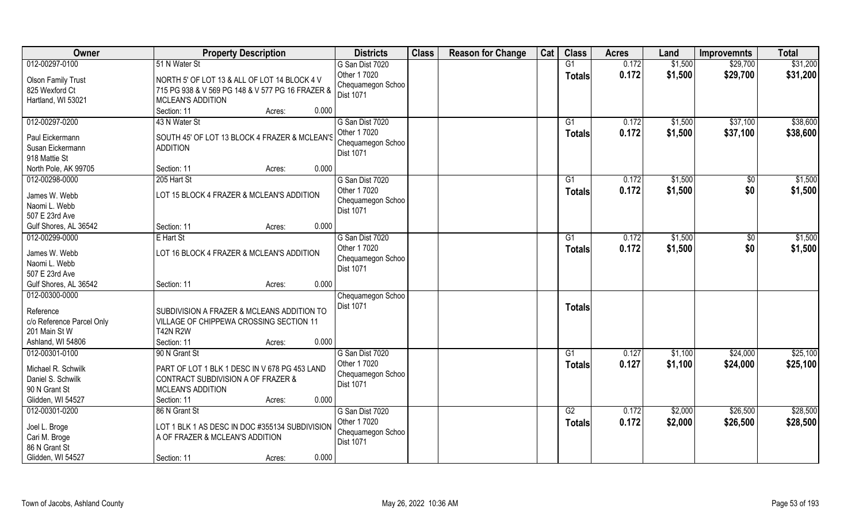| Owner                                   | <b>Property Description</b>                      | <b>Districts</b>                      | <b>Class</b> | <b>Reason for Change</b> | Cat | <b>Class</b>  | <b>Acres</b> | Land    | <b>Improvemnts</b> | <b>Total</b> |
|-----------------------------------------|--------------------------------------------------|---------------------------------------|--------------|--------------------------|-----|---------------|--------------|---------|--------------------|--------------|
| 012-00297-0100                          | 51 N Water St                                    | G San Dist 7020                       |              |                          |     | G1            | 0.172        | \$1,500 | \$29,700           | \$31,200     |
| <b>Olson Family Trust</b>               | NORTH 5' OF LOT 13 & ALL OF LOT 14 BLOCK 4 V     | Other 1 7020                          |              |                          |     | <b>Totals</b> | 0.172        | \$1,500 | \$29,700           | \$31,200     |
| 825 Wexford Ct                          | 715 PG 938 & V 569 PG 148 & V 577 PG 16 FRAZER & | Chequamegon Schoo                     |              |                          |     |               |              |         |                    |              |
| Hartland, WI 53021                      | MCLEAN'S ADDITION                                | Dist 1071                             |              |                          |     |               |              |         |                    |              |
|                                         | Section: 11<br>0.000<br>Acres:                   |                                       |              |                          |     |               |              |         |                    |              |
| 012-00297-0200                          | 43 N Water St                                    | G San Dist 7020                       |              |                          |     | G1            | 0.172        | \$1,500 | \$37,100           | \$38,600     |
| Paul Eickermann                         | SOUTH 45' OF LOT 13 BLOCK 4 FRAZER & MCLEAN'S    | Other 1 7020                          |              |                          |     | Totals        | 0.172        | \$1,500 | \$37,100           | \$38,600     |
| Susan Eickermann                        | <b>ADDITION</b>                                  | Chequamegon Schoo                     |              |                          |     |               |              |         |                    |              |
| 918 Mattie St                           |                                                  | <b>Dist 1071</b>                      |              |                          |     |               |              |         |                    |              |
| North Pole, AK 99705                    | 0.000<br>Section: 11<br>Acres:                   |                                       |              |                          |     |               |              |         |                    |              |
| 012-00298-0000                          | 205 Hart St                                      | G San Dist 7020                       |              |                          |     | G1            | 0.172        | \$1,500 | \$0                | \$1,500      |
| James W. Webb                           | LOT 15 BLOCK 4 FRAZER & MCLEAN'S ADDITION        | Other 1 7020                          |              |                          |     | <b>Totals</b> | 0.172        | \$1,500 | \$0                | \$1,500      |
| Naomi L. Webb                           |                                                  | Chequamegon Schoo                     |              |                          |     |               |              |         |                    |              |
| 507 E 23rd Ave                          |                                                  | Dist 1071                             |              |                          |     |               |              |         |                    |              |
| Gulf Shores, AL 36542                   | 0.000<br>Section: 11<br>Acres:                   |                                       |              |                          |     |               |              |         |                    |              |
| 012-00299-0000                          | E Hart St                                        | G San Dist 7020                       |              |                          |     | G1            | 0.172        | \$1,500 | \$0                | \$1,500      |
|                                         |                                                  | Other 1 7020                          |              |                          |     | <b>Totals</b> | 0.172        | \$1,500 | \$0                | \$1,500      |
| James W. Webb                           | LOT 16 BLOCK 4 FRAZER & MCLEAN'S ADDITION        | Chequamegon Schoo                     |              |                          |     |               |              |         |                    |              |
| Naomi L. Webb                           |                                                  | Dist 1071                             |              |                          |     |               |              |         |                    |              |
| 507 E 23rd Ave<br>Gulf Shores, AL 36542 | 0.000<br>Section: 11                             |                                       |              |                          |     |               |              |         |                    |              |
| 012-00300-0000                          | Acres:                                           |                                       |              |                          |     |               |              |         |                    |              |
|                                         |                                                  | Chequamegon Schoo<br><b>Dist 1071</b> |              |                          |     |               |              |         |                    |              |
| Reference                               | SUBDIVISION A FRAZER & MCLEANS ADDITION TO       |                                       |              |                          |     | <b>Totals</b> |              |         |                    |              |
| c/o Reference Parcel Only               | VILLAGE OF CHIPPEWA CROSSING SECTION 11          |                                       |              |                          |     |               |              |         |                    |              |
| 201 Main St W                           | <b>T42N R2W</b>                                  |                                       |              |                          |     |               |              |         |                    |              |
| Ashland, WI 54806                       | 0.000<br>Section: 11<br>Acres:                   |                                       |              |                          |     |               |              |         |                    |              |
| 012-00301-0100                          | 90 N Grant St                                    | G San Dist 7020                       |              |                          |     | G1            | 0.127        | \$1,100 | \$24,000           | \$25,100     |
| Michael R. Schwilk                      | PART OF LOT 1 BLK 1 DESC IN V 678 PG 453 LAND    | Other 1 7020                          |              |                          |     | <b>Totals</b> | 0.127        | \$1,100 | \$24,000           | \$25,100     |
| Daniel S. Schwilk                       | CONTRACT SUBDIVISION A OF FRAZER &               | Chequamegon Schoo                     |              |                          |     |               |              |         |                    |              |
| 90 N Grant St                           | MCLEAN'S ADDITION                                | <b>Dist 1071</b>                      |              |                          |     |               |              |         |                    |              |
| Glidden, WI 54527                       | 0.000<br>Section: 11<br>Acres:                   |                                       |              |                          |     |               |              |         |                    |              |
| 012-00301-0200                          | 86 N Grant St                                    | G San Dist 7020                       |              |                          |     | G2            | 0.172        | \$2,000 | \$26,500           | \$28,500     |
| Joel L. Broge                           | LOT 1 BLK 1 AS DESC IN DOC #355134 SUBDIVISION   | Other 1 7020                          |              |                          |     | <b>Totals</b> | 0.172        | \$2,000 | \$26,500           | \$28,500     |
| Cari M. Broge                           | A OF FRAZER & MCLEAN'S ADDITION                  | Chequamegon Schoo                     |              |                          |     |               |              |         |                    |              |
| 86 N Grant St                           |                                                  | Dist 1071                             |              |                          |     |               |              |         |                    |              |
| Glidden, WI 54527                       | 0.000<br>Section: 11<br>Acres:                   |                                       |              |                          |     |               |              |         |                    |              |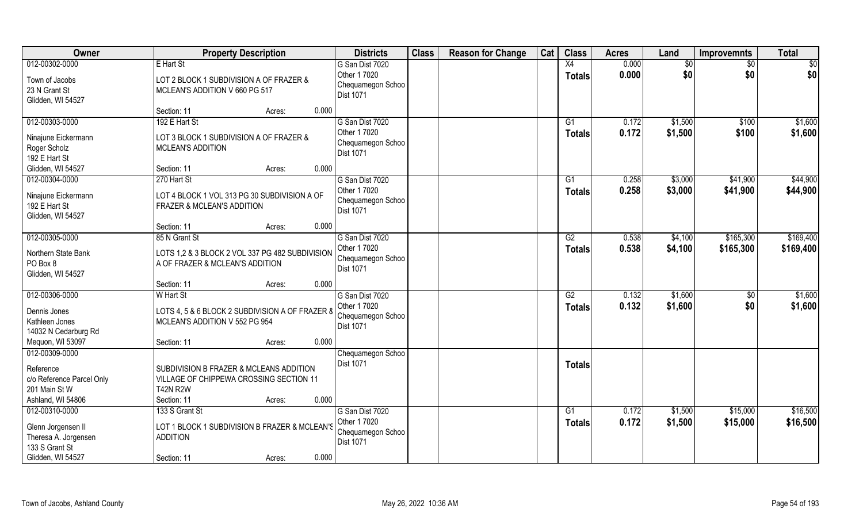| Owner                                                                        | <b>Property Description</b>                                                                                          |        | <b>Districts</b>                                      | <b>Class</b> | <b>Reason for Change</b> | Cat | <b>Class</b>    | <b>Acres</b> | Land    | <b>Improvemnts</b> | <b>Total</b> |
|------------------------------------------------------------------------------|----------------------------------------------------------------------------------------------------------------------|--------|-------------------------------------------------------|--------------|--------------------------|-----|-----------------|--------------|---------|--------------------|--------------|
| 012-00302-0000                                                               | E Hart St                                                                                                            |        | G San Dist 7020                                       |              |                          |     | X4              | 0.000        | \$0     | \$0                | \$0          |
| Town of Jacobs<br>23 N Grant St<br>Glidden, WI 54527                         | LOT 2 BLOCK 1 SUBDIVISION A OF FRAZER &<br>MCLEAN'S ADDITION V 660 PG 517                                            |        | Other 1 7020<br>Chequamegon Schoo<br>Dist 1071        |              |                          |     | <b>Totals</b>   | 0.000        | \$0     | \$0                | \$0          |
|                                                                              | Section: 11                                                                                                          | Acres: | 0.000                                                 |              |                          |     |                 |              |         |                    |              |
| 012-00303-0000                                                               | 192 E Hart St                                                                                                        |        | G San Dist 7020<br>Other 1 7020                       |              |                          |     | G1              | 0.172        | \$1,500 | \$100              | \$1,600      |
| Ninajune Eickermann<br>Roger Scholz<br>192 E Hart St                         | LOT 3 BLOCK 1 SUBDIVISION A OF FRAZER &<br><b>MCLEAN'S ADDITION</b>                                                  |        | Chequamegon Schoo<br><b>Dist 1071</b>                 |              |                          |     | <b>Totals</b>   | 0.172        | \$1,500 | \$100              | \$1,600      |
| Glidden, WI 54527                                                            | Section: 11                                                                                                          | Acres: | 0.000                                                 |              |                          |     |                 |              |         |                    |              |
| 012-00304-0000                                                               | 270 Hart St                                                                                                          |        | G San Dist 7020                                       |              |                          |     | G1              | 0.258        | \$3,000 | \$41,900           | \$44,900     |
| Ninajune Eickermann<br>192 E Hart St<br>Glidden, WI 54527                    | LOT 4 BLOCK 1 VOL 313 PG 30 SUBDIVISION A OF<br>FRAZER & MCLEAN'S ADDITION                                           |        | Other 1 7020<br>Chequamegon Schoo<br>Dist 1071        |              |                          |     | <b>Totals</b>   | 0.258        | \$3,000 | \$41,900           | \$44,900     |
|                                                                              | Section: 11                                                                                                          | Acres: | 0.000                                                 |              |                          |     |                 |              |         |                    |              |
| 012-00305-0000                                                               | 85 N Grant St                                                                                                        |        | G San Dist 7020                                       |              |                          |     | G2              | 0.538        | \$4,100 | \$165,300          | \$169,400    |
| Northern State Bank<br>PO Box 8<br>Glidden, WI 54527                         | LOTS 1,2 & 3 BLOCK 2 VOL 337 PG 482 SUBDIVISION<br>A OF FRAZER & MCLEAN'S ADDITION                                   |        | Other 1 7020<br>Chequamegon Schoo<br>Dist 1071        |              |                          |     | <b>Totals</b>   | 0.538        | \$4,100 | \$165,300          | \$169,400    |
|                                                                              | Section: 11                                                                                                          | Acres: | 0.000                                                 |              |                          |     |                 |              |         |                    |              |
| 012-00306-0000                                                               | W Hart St                                                                                                            |        | G San Dist 7020                                       |              |                          |     | $\overline{G2}$ | 0.132        | \$1,600 | \$0                | \$1,600      |
| Dennis Jones<br>Kathleen Jones<br>14032 N Cedarburg Rd                       | LOTS 4, 5 & 6 BLOCK 2 SUBDIVISION A OF FRAZER 8<br>MCLEAN'S ADDITION V 552 PG 954                                    |        | Other 1 7020<br>Chequamegon Schoo<br><b>Dist 1071</b> |              |                          |     | <b>Totals</b>   | 0.132        | \$1,600 | \$0                | \$1,600      |
| Mequon, WI 53097                                                             | Section: 11                                                                                                          | Acres: | 0.000                                                 |              |                          |     |                 |              |         |                    |              |
| 012-00309-0000                                                               |                                                                                                                      |        | Chequamegon Schoo                                     |              |                          |     |                 |              |         |                    |              |
| Reference<br>c/o Reference Parcel Only<br>201 Main St W<br>Ashland, WI 54806 | SUBDIVISION B FRAZER & MCLEANS ADDITION<br>VILLAGE OF CHIPPEWA CROSSING SECTION 11<br><b>T42N R2W</b><br>Section: 11 | Acres: | Dist 1071<br>0.000                                    |              |                          |     | <b>Totals</b>   |              |         |                    |              |
| 012-00310-0000                                                               | 133 S Grant St                                                                                                       |        | G San Dist 7020                                       |              |                          |     | $\overline{G1}$ | 0.172        | \$1,500 | \$15,000           | \$16,500     |
| Glenn Jorgensen II<br>Theresa A. Jorgensen<br>133 S Grant St                 | LOT 1 BLOCK 1 SUBDIVISION B FRAZER & MCLEAN'S<br><b>ADDITION</b>                                                     |        | Other 1 7020<br>Chequamegon Schoo<br>Dist 1071        |              |                          |     | <b>Totals</b>   | 0.172        | \$1,500 | \$15,000           | \$16,500     |
| Glidden, WI 54527                                                            | Section: 11                                                                                                          | Acres: | 0.000                                                 |              |                          |     |                 |              |         |                    |              |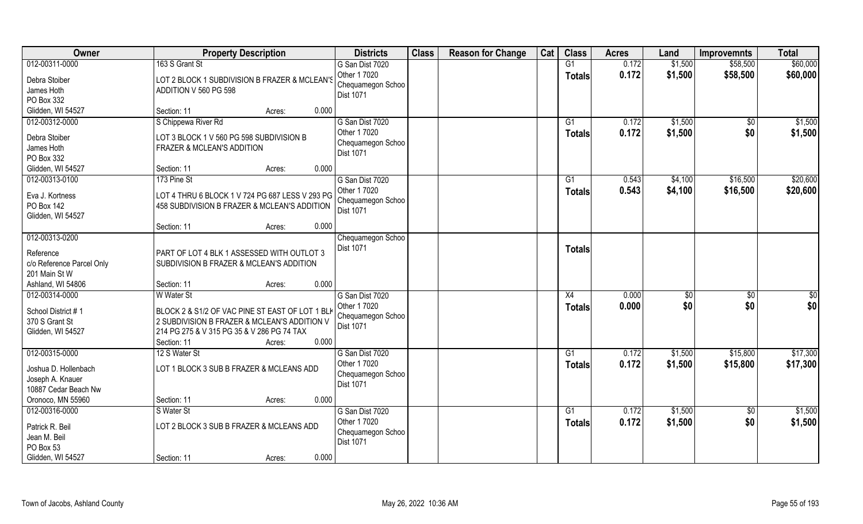| Owner                         | <b>Property Description</b>                                                                     | <b>Districts</b>                | <b>Class</b> | <b>Reason for Change</b> | Cat | <b>Class</b>    | <b>Acres</b> | Land          | <b>Improvemnts</b> | <b>Total</b> |
|-------------------------------|-------------------------------------------------------------------------------------------------|---------------------------------|--------------|--------------------------|-----|-----------------|--------------|---------------|--------------------|--------------|
| 012-00311-0000                | 163 S Grant St                                                                                  | G San Dist 7020                 |              |                          |     | G1              | 0.172        | \$1,500       | \$58,500           | \$60,000     |
| Debra Stoiber                 | LOT 2 BLOCK 1 SUBDIVISION B FRAZER & MCLEAN'S                                                   | Other 1 7020                    |              |                          |     | <b>Totals</b>   | 0.172        | \$1,500       | \$58,500           | \$60,000     |
| James Hoth                    | ADDITION V 560 PG 598                                                                           | Chequamegon Schoo               |              |                          |     |                 |              |               |                    |              |
| PO Box 332                    |                                                                                                 | Dist 1071                       |              |                          |     |                 |              |               |                    |              |
| Glidden, WI 54527             | 0.000<br>Section: 11<br>Acres:                                                                  |                                 |              |                          |     |                 |              |               |                    |              |
| 012-00312-0000                | S Chippewa River Rd                                                                             | G San Dist 7020                 |              |                          |     | G1              | 0.172        | \$1,500       | $\overline{50}$    | \$1,500      |
| Debra Stoiber                 | LOT 3 BLOCK 1 V 560 PG 598 SUBDIVISION B                                                        | Other 1 7020                    |              |                          |     | <b>Totals</b>   | 0.172        | \$1,500       | \$0                | \$1,500      |
| James Hoth                    | FRAZER & MCLEAN'S ADDITION                                                                      | Chequamegon Schoo               |              |                          |     |                 |              |               |                    |              |
| PO Box 332                    |                                                                                                 | Dist 1071                       |              |                          |     |                 |              |               |                    |              |
| Glidden, WI 54527             | 0.000<br>Section: 11<br>Acres:                                                                  |                                 |              |                          |     |                 |              |               |                    |              |
| 012-00313-0100                | 173 Pine St                                                                                     | G San Dist 7020                 |              |                          |     | G1              | 0.543        | \$4,100       | \$16,500           | \$20,600     |
|                               |                                                                                                 | Other 1 7020                    |              |                          |     | <b>Totals</b>   | 0.543        | \$4,100       | \$16,500           | \$20,600     |
| Eva J. Kortness<br>PO Box 142 | LOT 4 THRU 6 BLOCK 1 V 724 PG 687 LESS V 293 PG<br>458 SUBDIVISION B FRAZER & MCLEAN'S ADDITION | Chequamegon Schoo               |              |                          |     |                 |              |               |                    |              |
| Glidden, WI 54527             |                                                                                                 | Dist 1071                       |              |                          |     |                 |              |               |                    |              |
|                               | 0.000<br>Section: 11<br>Acres:                                                                  |                                 |              |                          |     |                 |              |               |                    |              |
| 012-00313-0200                |                                                                                                 | Chequamegon Schoo               |              |                          |     |                 |              |               |                    |              |
|                               |                                                                                                 | <b>Dist 1071</b>                |              |                          |     | <b>Totals</b>   |              |               |                    |              |
| Reference                     | PART OF LOT 4 BLK 1 ASSESSED WITH OUTLOT 3                                                      |                                 |              |                          |     |                 |              |               |                    |              |
| c/o Reference Parcel Only     | SUBDIVISION B FRAZER & MCLEAN'S ADDITION                                                        |                                 |              |                          |     |                 |              |               |                    |              |
| 201 Main St W                 | 0.000                                                                                           |                                 |              |                          |     |                 |              |               |                    |              |
| Ashland, WI 54806             | Section: 11<br>Acres:                                                                           |                                 |              |                          |     |                 |              |               |                    |              |
| 012-00314-0000                | W Water St                                                                                      | G San Dist 7020<br>Other 1 7020 |              |                          |     | X4              | 0.000        | $\sqrt[6]{3}$ | \$0                | \$0          |
| School District #1            | BLOCK 2 & S1/2 OF VAC PINE ST EAST OF LOT 1 BLK                                                 | Chequamegon Schoo               |              |                          |     | <b>Totals</b>   | 0.000        | \$0           | \$0                | \$0          |
| 370 S Grant St                | 2 SUBDIVISION B FRAZER & MCLEAN'S ADDITION V                                                    | Dist 1071                       |              |                          |     |                 |              |               |                    |              |
| Glidden, WI 54527             | 214 PG 275 & V 315 PG 35 & V 286 PG 74 TAX                                                      |                                 |              |                          |     |                 |              |               |                    |              |
|                               | 0.000<br>Section: 11<br>Acres:                                                                  |                                 |              |                          |     |                 |              |               |                    |              |
| 012-00315-0000                | 12 S Water St                                                                                   | G San Dist 7020                 |              |                          |     | G1              | 0.172        | \$1,500       | \$15,800           | \$17,300     |
| Joshua D. Hollenbach          | LOT 1 BLOCK 3 SUB B FRAZER & MCLEANS ADD                                                        | Other 1 7020                    |              |                          |     | <b>Totals</b>   | 0.172        | \$1,500       | \$15,800           | \$17,300     |
| Joseph A. Knauer              |                                                                                                 | Chequamegon Schoo               |              |                          |     |                 |              |               |                    |              |
| 10887 Cedar Beach Nw          |                                                                                                 | <b>Dist 1071</b>                |              |                          |     |                 |              |               |                    |              |
| Oronoco, MN 55960             | 0.000<br>Section: 11<br>Acres:                                                                  |                                 |              |                          |     |                 |              |               |                    |              |
| 012-00316-0000                | S Water St                                                                                      | G San Dist 7020                 |              |                          |     | $\overline{G1}$ | 0.172        | \$1,500       | $\overline{50}$    | \$1,500      |
| Patrick R. Beil               | LOT 2 BLOCK 3 SUB B FRAZER & MCLEANS ADD                                                        | Other 1 7020                    |              |                          |     | <b>Totals</b>   | 0.172        | \$1,500       | \$0                | \$1,500      |
| Jean M. Beil                  |                                                                                                 | Chequamegon Schoo               |              |                          |     |                 |              |               |                    |              |
| PO Box 53                     |                                                                                                 | <b>Dist 1071</b>                |              |                          |     |                 |              |               |                    |              |
| Glidden, WI 54527             | 0.000<br>Section: 11<br>Acres:                                                                  |                                 |              |                          |     |                 |              |               |                    |              |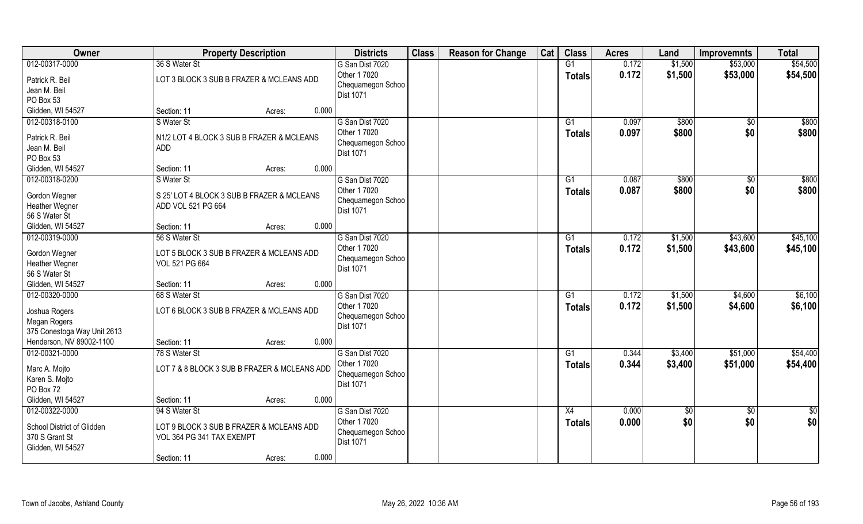| 012-00317-0000<br>36 S Water St<br>G1<br>0.172<br>\$53,000<br>G San Dist 7020<br>\$1,500<br>Other 1 7020<br>0.172<br>\$1,500<br>\$53,000<br><b>Totals</b><br>LOT 3 BLOCK 3 SUB B FRAZER & MCLEANS ADD<br>Patrick R. Beil<br>Chequamegon Schoo<br>Jean M. Beil<br>Dist 1071<br>PO Box 53<br>Glidden, WI 54527<br>0.000<br>Section: 11<br>Acres:<br>012-00318-0100<br>S Water St<br>G San Dist 7020<br>G1<br>0.097<br>\$800<br>$\frac{1}{30}$<br>Other 1 7020<br>0.097<br>\$800<br>\$0<br><b>Totals</b> | <b>Owner</b>    | <b>Property Description</b>               | <b>Districts</b>  | <b>Class</b> | <b>Reason for Change</b> | Cat | <b>Class</b> | <b>Acres</b> | Land | <b>Improvemnts</b> | <b>Total</b> |
|-------------------------------------------------------------------------------------------------------------------------------------------------------------------------------------------------------------------------------------------------------------------------------------------------------------------------------------------------------------------------------------------------------------------------------------------------------------------------------------------------------|-----------------|-------------------------------------------|-------------------|--------------|--------------------------|-----|--------------|--------------|------|--------------------|--------------|
|                                                                                                                                                                                                                                                                                                                                                                                                                                                                                                       |                 |                                           |                   |              |                          |     |              |              |      |                    | \$54,500     |
|                                                                                                                                                                                                                                                                                                                                                                                                                                                                                                       |                 |                                           |                   |              |                          |     |              |              |      |                    | \$54,500     |
|                                                                                                                                                                                                                                                                                                                                                                                                                                                                                                       |                 |                                           |                   |              |                          |     |              |              |      |                    |              |
|                                                                                                                                                                                                                                                                                                                                                                                                                                                                                                       |                 |                                           |                   |              |                          |     |              |              |      |                    |              |
|                                                                                                                                                                                                                                                                                                                                                                                                                                                                                                       |                 |                                           |                   |              |                          |     |              |              |      |                    |              |
|                                                                                                                                                                                                                                                                                                                                                                                                                                                                                                       |                 |                                           |                   |              |                          |     |              |              |      |                    | \$800        |
|                                                                                                                                                                                                                                                                                                                                                                                                                                                                                                       |                 |                                           |                   |              |                          |     |              |              |      |                    | \$800        |
|                                                                                                                                                                                                                                                                                                                                                                                                                                                                                                       | Patrick R. Beil | N1/2 LOT 4 BLOCK 3 SUB B FRAZER & MCLEANS | Chequamegon Schoo |              |                          |     |              |              |      |                    |              |
| Jean M. Beil<br><b>ADD</b><br>Dist 1071                                                                                                                                                                                                                                                                                                                                                                                                                                                               |                 |                                           |                   |              |                          |     |              |              |      |                    |              |
| PO Box 53                                                                                                                                                                                                                                                                                                                                                                                                                                                                                             |                 |                                           |                   |              |                          |     |              |              |      |                    |              |
| 0.000<br>Glidden, WI 54527<br>Section: 11<br>Acres:                                                                                                                                                                                                                                                                                                                                                                                                                                                   |                 |                                           |                   |              |                          |     |              |              |      |                    |              |
| 012-00318-0200<br>G San Dist 7020<br>0.087<br>\$800<br>$\overline{50}$<br>S Water St<br>G1                                                                                                                                                                                                                                                                                                                                                                                                            |                 |                                           |                   |              |                          |     |              |              |      |                    | \$800        |
| \$800<br>\$0<br>Other 1 7020<br>0.087<br><b>Totals</b><br>Gordon Wegner<br>S 25' LOT 4 BLOCK 3 SUB B FRAZER & MCLEANS                                                                                                                                                                                                                                                                                                                                                                                 |                 |                                           |                   |              |                          |     |              |              |      |                    | \$800        |
| Chequamegon Schoo<br><b>Heather Wegner</b><br>ADD VOL 521 PG 664                                                                                                                                                                                                                                                                                                                                                                                                                                      |                 |                                           |                   |              |                          |     |              |              |      |                    |              |
| Dist 1071<br>56 S Water St                                                                                                                                                                                                                                                                                                                                                                                                                                                                            |                 |                                           |                   |              |                          |     |              |              |      |                    |              |
| 0.000<br>Glidden, WI 54527<br>Section: 11<br>Acres:                                                                                                                                                                                                                                                                                                                                                                                                                                                   |                 |                                           |                   |              |                          |     |              |              |      |                    |              |
| 012-00319-0000<br>G San Dist 7020<br>\$43,600<br>56 S Water St<br>0.172<br>\$1,500<br>G1                                                                                                                                                                                                                                                                                                                                                                                                              |                 |                                           |                   |              |                          |     |              |              |      |                    | \$45,100     |
| Other 1 7020<br>0.172<br>\$1,500<br>\$43,600<br><b>Totals</b>                                                                                                                                                                                                                                                                                                                                                                                                                                         |                 |                                           |                   |              |                          |     |              |              |      |                    | \$45,100     |
| Gordon Wegner<br>LOT 5 BLOCK 3 SUB B FRAZER & MCLEANS ADD<br>Chequamegon Schoo                                                                                                                                                                                                                                                                                                                                                                                                                        |                 |                                           |                   |              |                          |     |              |              |      |                    |              |
| Heather Wegner<br>VOL 521 PG 664<br>Dist 1071                                                                                                                                                                                                                                                                                                                                                                                                                                                         |                 |                                           |                   |              |                          |     |              |              |      |                    |              |
| 56 S Water St                                                                                                                                                                                                                                                                                                                                                                                                                                                                                         |                 |                                           |                   |              |                          |     |              |              |      |                    |              |
| 0.000<br>Glidden, WI 54527<br>Section: 11<br>Acres:                                                                                                                                                                                                                                                                                                                                                                                                                                                   |                 |                                           |                   |              |                          |     |              |              |      |                    |              |
| 012-00320-0000<br>68 S Water St<br>G San Dist 7020<br>G1<br>0.172<br>\$1,500<br>\$4,600                                                                                                                                                                                                                                                                                                                                                                                                               |                 |                                           |                   |              |                          |     |              |              |      |                    | \$6,100      |
| Other 1 7020<br>\$1,500<br>0.172<br>\$4,600<br><b>Totals</b><br>LOT 6 BLOCK 3 SUB B FRAZER & MCLEANS ADD<br>Joshua Rogers                                                                                                                                                                                                                                                                                                                                                                             |                 |                                           |                   |              |                          |     |              |              |      |                    | \$6,100      |
| Chequamegon Schoo<br>Megan Rogers                                                                                                                                                                                                                                                                                                                                                                                                                                                                     |                 |                                           |                   |              |                          |     |              |              |      |                    |              |
| Dist 1071<br>375 Conestoga Way Unit 2613                                                                                                                                                                                                                                                                                                                                                                                                                                                              |                 |                                           |                   |              |                          |     |              |              |      |                    |              |
| Henderson, NV 89002-1100<br>0.000<br>Section: 11<br>Acres:                                                                                                                                                                                                                                                                                                                                                                                                                                            |                 |                                           |                   |              |                          |     |              |              |      |                    |              |
| 012-00321-0000<br>78 S Water St<br>G San Dist 7020<br>G1<br>0.344<br>\$3,400<br>\$51,000                                                                                                                                                                                                                                                                                                                                                                                                              |                 |                                           |                   |              |                          |     |              |              |      |                    | \$54,400     |
| Other 1 7020<br>0.344<br>\$51,000<br>\$3,400<br><b>Totals</b>                                                                                                                                                                                                                                                                                                                                                                                                                                         |                 |                                           |                   |              |                          |     |              |              |      |                    | \$54,400     |
| LOT 7 & 8 BLOCK 3 SUB B FRAZER & MCLEANS ADD<br>Marc A. Mojto<br>Chequamegon Schoo                                                                                                                                                                                                                                                                                                                                                                                                                    |                 |                                           |                   |              |                          |     |              |              |      |                    |              |
| Karen S. Mojto<br><b>Dist 1071</b>                                                                                                                                                                                                                                                                                                                                                                                                                                                                    |                 |                                           |                   |              |                          |     |              |              |      |                    |              |
| PO Box 72                                                                                                                                                                                                                                                                                                                                                                                                                                                                                             |                 |                                           |                   |              |                          |     |              |              |      |                    |              |
| Glidden, WI 54527<br>0.000<br>Section: 11<br>Acres:                                                                                                                                                                                                                                                                                                                                                                                                                                                   |                 |                                           |                   |              |                          |     |              |              |      |                    |              |
| 012-00322-0000<br>94 S Water St<br>G San Dist 7020<br>X4<br>0.000<br>\$0<br>\$0                                                                                                                                                                                                                                                                                                                                                                                                                       |                 |                                           |                   |              |                          |     |              |              |      |                    | $rac{1}{2}$  |
| \$0<br>Other 1 7020<br>0.000<br>\$0<br>Totals<br>School District of Glidden<br>LOT 9 BLOCK 3 SUB B FRAZER & MCLEANS ADD                                                                                                                                                                                                                                                                                                                                                                               |                 |                                           |                   |              |                          |     |              |              |      |                    | \$0          |
| Chequamegon Schoo<br>370 S Grant St<br>VOL 364 PG 341 TAX EXEMPT                                                                                                                                                                                                                                                                                                                                                                                                                                      |                 |                                           |                   |              |                          |     |              |              |      |                    |              |
| <b>Dist 1071</b><br>Glidden, WI 54527                                                                                                                                                                                                                                                                                                                                                                                                                                                                 |                 |                                           |                   |              |                          |     |              |              |      |                    |              |
| 0.000<br>Section: 11<br>Acres:                                                                                                                                                                                                                                                                                                                                                                                                                                                                        |                 |                                           |                   |              |                          |     |              |              |      |                    |              |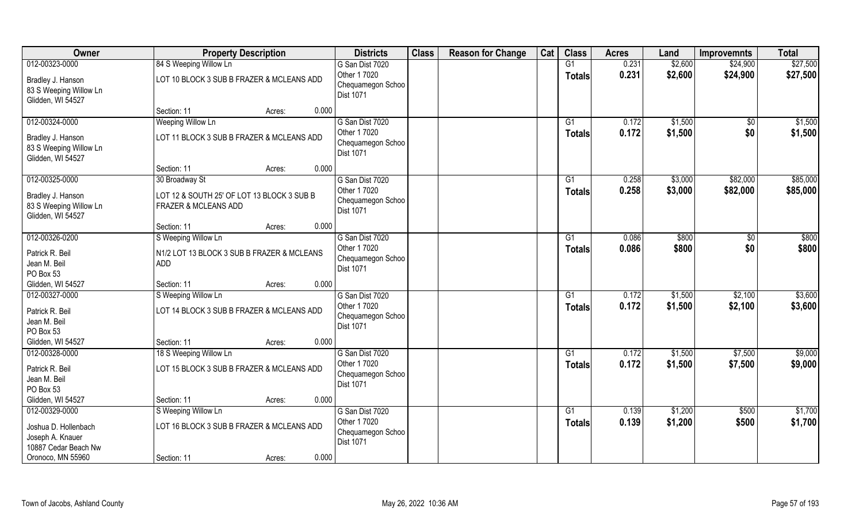| Owner                                                                                 | <b>Property Description</b>                                        |        |       | <b>Districts</b>                                                         | <b>Class</b> | <b>Reason for Change</b> | Cat | <b>Class</b>    | <b>Acres</b>   | Land               | <b>Improvemnts</b>     | <b>Total</b>       |
|---------------------------------------------------------------------------------------|--------------------------------------------------------------------|--------|-------|--------------------------------------------------------------------------|--------------|--------------------------|-----|-----------------|----------------|--------------------|------------------------|--------------------|
| 012-00323-0000                                                                        | 84 S Weeping Willow Ln                                             |        |       | G San Dist 7020                                                          |              |                          |     | G1              | 0.231          | \$2,600            | \$24,900               | \$27,500           |
| Bradley J. Hanson<br>83 S Weeping Willow Ln<br>Glidden, WI 54527                      | LOT 10 BLOCK 3 SUB B FRAZER & MCLEANS ADD                          |        |       | Other 1 7020<br>Chequamegon Schoo<br>Dist 1071                           |              |                          |     | <b>Totals</b>   | 0.231          | \$2,600            | \$24,900               | \$27,500           |
|                                                                                       | Section: 11                                                        | Acres: | 0.000 |                                                                          |              |                          |     |                 |                |                    |                        |                    |
| 012-00324-0000<br>Bradley J. Hanson<br>83 S Weeping Willow Ln<br>Glidden, WI 54527    | Weeping Willow Ln<br>LOT 11 BLOCK 3 SUB B FRAZER & MCLEANS ADD     |        |       | G San Dist 7020<br>Other 1 7020<br>Chequamegon Schoo<br><b>Dist 1071</b> |              |                          |     | G1<br>Totals    | 0.172<br>0.172 | \$1,500<br>\$1,500 | $\overline{50}$<br>\$0 | \$1,500<br>\$1,500 |
|                                                                                       | Section: 11                                                        | Acres: | 0.000 |                                                                          |              |                          |     |                 |                |                    |                        |                    |
| 012-00325-0000                                                                        | 30 Broadway St                                                     |        |       | G San Dist 7020                                                          |              |                          |     | G1              | 0.258          | \$3,000            | \$82,000               | \$85,000           |
| Bradley J. Hanson<br>83 S Weeping Willow Ln<br>Glidden, WI 54527                      | LOT 12 & SOUTH 25' OF LOT 13 BLOCK 3 SUB B<br>FRAZER & MCLEANS ADD |        |       | Other 1 7020<br>Chequamegon Schoo<br>Dist 1071                           |              |                          |     | <b>Totals</b>   | 0.258          | \$3,000            | \$82,000               | \$85,000           |
|                                                                                       | Section: 11                                                        | Acres: | 0.000 |                                                                          |              |                          |     |                 |                |                    |                        |                    |
| 012-00326-0200                                                                        | S Weeping Willow Ln                                                |        |       | G San Dist 7020                                                          |              |                          |     | G1              | 0.086          | \$800              | $\frac{1}{30}$         | \$800              |
| Patrick R. Beil<br>Jean M. Beil<br>PO Box 53                                          | N1/2 LOT 13 BLOCK 3 SUB B FRAZER & MCLEANS<br><b>ADD</b>           |        |       | Other 1 7020<br>Chequamegon Schoo<br>Dist 1071                           |              |                          |     | Totals          | 0.086          | \$800              | \$0                    | \$800              |
| Glidden, WI 54527                                                                     | Section: 11                                                        | Acres: | 0.000 |                                                                          |              |                          |     |                 |                |                    |                        |                    |
| 012-00327-0000                                                                        | S Weeping Willow Ln                                                |        |       | G San Dist 7020                                                          |              |                          |     | $\overline{G1}$ | 0.172          | \$1,500            | \$2,100                | \$3,600            |
| Patrick R. Beil<br>Jean M. Beil<br>PO Box 53                                          | LOT 14 BLOCK 3 SUB B FRAZER & MCLEANS ADD                          |        |       | Other 1 7020<br>Chequamegon Schoo<br>Dist 1071                           |              |                          |     | <b>Totals</b>   | 0.172          | \$1,500            | \$2,100                | \$3,600            |
| Glidden, WI 54527                                                                     | Section: 11                                                        | Acres: | 0.000 |                                                                          |              |                          |     |                 |                |                    |                        |                    |
| 012-00328-0000                                                                        | 18 S Weeping Willow Ln                                             |        |       | G San Dist 7020                                                          |              |                          |     | G1              | 0.172          | \$1,500            | \$7,500                | \$9,000            |
| Patrick R. Beil<br>Jean M. Beil<br>PO Box 53                                          | LOT 15 BLOCK 3 SUB B FRAZER & MCLEANS ADD                          |        |       | Other 1 7020<br>Chequamegon Schoo<br>Dist 1071                           |              |                          |     | <b>Totals</b>   | 0.172          | \$1,500            | \$7,500                | \$9,000            |
| Glidden, WI 54527                                                                     | Section: 11                                                        | Acres: | 0.000 |                                                                          |              |                          |     |                 |                |                    |                        |                    |
| 012-00329-0000                                                                        | S Weeping Willow Ln                                                |        |       | G San Dist 7020                                                          |              |                          |     | $\overline{G1}$ | 0.139          | \$1,200            | \$500                  | \$1,700            |
| Joshua D. Hollenbach<br>Joseph A. Knauer<br>10887 Cedar Beach Nw<br>Oronoco, MN 55960 | LOT 16 BLOCK 3 SUB B FRAZER & MCLEANS ADD<br>Section: 11           | Acres: | 0.000 | Other 1 7020<br>Chequamegon Schoo<br><b>Dist 1071</b>                    |              |                          |     | Totals          | 0.139          | \$1,200            | \$500                  | \$1,700            |
|                                                                                       |                                                                    |        |       |                                                                          |              |                          |     |                 |                |                    |                        |                    |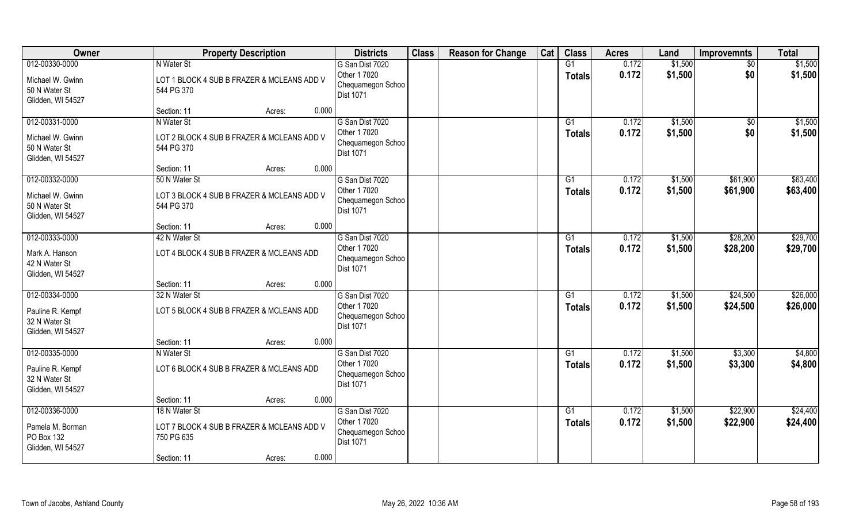| Owner                                                                    | <b>Property Description</b>                                                                                 | <b>Districts</b>                                                         | <b>Class</b> | <b>Reason for Change</b> | Cat | <b>Class</b>        | <b>Acres</b>   | Land               | <b>Improvemnts</b>     | <b>Total</b>         |
|--------------------------------------------------------------------------|-------------------------------------------------------------------------------------------------------------|--------------------------------------------------------------------------|--------------|--------------------------|-----|---------------------|----------------|--------------------|------------------------|----------------------|
| 012-00330-0000<br>Michael W. Gwinn<br>50 N Water St<br>Glidden, WI 54527 | N Water St<br>LOT 1 BLOCK 4 SUB B FRAZER & MCLEANS ADD V<br>544 PG 370                                      | G San Dist 7020<br>Other 1 7020<br>Chequamegon Schoo<br><b>Dist 1071</b> |              |                          |     | G1<br><b>Totals</b> | 0.172<br>0.172 | \$1,500<br>\$1,500 | $\sqrt{50}$<br>\$0     | \$1,500<br>\$1,500   |
|                                                                          | 0.000<br>Section: 11<br>Acres:                                                                              |                                                                          |              |                          |     |                     |                |                    |                        |                      |
| 012-00331-0000<br>Michael W. Gwinn<br>50 N Water St<br>Glidden, WI 54527 | N Water St<br>LOT 2 BLOCK 4 SUB B FRAZER & MCLEANS ADD V<br>544 PG 370                                      | G San Dist 7020<br>Other 1 7020<br>Chequamegon Schoo<br><b>Dist 1071</b> |              |                          |     | G1<br>Totals        | 0.172<br>0.172 | \$1,500<br>\$1,500 | $\overline{50}$<br>\$0 | \$1,500<br>\$1,500   |
|                                                                          | 0.000<br>Section: 11<br>Acres:                                                                              |                                                                          |              |                          |     |                     |                |                    |                        |                      |
| 012-00332-0000<br>Michael W. Gwinn<br>50 N Water St<br>Glidden, WI 54527 | 50 N Water St<br>LOT 3 BLOCK 4 SUB B FRAZER & MCLEANS ADD V<br>544 PG 370                                   | G San Dist 7020<br>Other 1 7020<br>Chequamegon Schoo<br><b>Dist 1071</b> |              |                          |     | G1<br><b>Totals</b> | 0.172<br>0.172 | \$1,500<br>\$1,500 | \$61,900<br>\$61,900   | \$63,400<br>\$63,400 |
|                                                                          | 0.000<br>Section: 11<br>Acres:                                                                              |                                                                          |              |                          |     |                     |                |                    |                        |                      |
| 012-00333-0000<br>Mark A. Hanson<br>42 N Water St<br>Glidden, WI 54527   | 42 N Water St<br>LOT 4 BLOCK 4 SUB B FRAZER & MCLEANS ADD                                                   | G San Dist 7020<br>Other 1 7020<br>Chequamegon Schoo<br><b>Dist 1071</b> |              |                          |     | G1<br><b>Totals</b> | 0.172<br>0.172 | \$1,500<br>\$1,500 | \$28,200<br>\$28,200   | \$29,700<br>\$29,700 |
|                                                                          | 0.000<br>Section: 11<br>Acres:                                                                              |                                                                          |              |                          |     |                     |                |                    |                        |                      |
| 012-00334-0000<br>Pauline R. Kempf<br>32 N Water St<br>Glidden, WI 54527 | 32 N Water St<br>LOT 5 BLOCK 4 SUB B FRAZER & MCLEANS ADD                                                   | G San Dist 7020<br>Other 1 7020<br>Chequamegon Schoo<br><b>Dist 1071</b> |              |                          |     | G1<br><b>Totals</b> | 0.172<br>0.172 | \$1,500<br>\$1,500 | \$24,500<br>\$24,500   | \$26,000<br>\$26,000 |
|                                                                          | 0.000<br>Section: 11<br>Acres:                                                                              |                                                                          |              |                          |     |                     |                |                    |                        |                      |
| 012-00335-0000<br>Pauline R. Kempf<br>32 N Water St<br>Glidden, WI 54527 | N Water St<br>LOT 6 BLOCK 4 SUB B FRAZER & MCLEANS ADD                                                      | G San Dist 7020<br>Other 1 7020<br>Chequamegon Schoo<br><b>Dist 1071</b> |              |                          |     | G1<br><b>Totals</b> | 0.172<br>0.172 | \$1,500<br>\$1,500 | \$3,300<br>\$3,300     | \$4,800<br>\$4,800   |
|                                                                          | 0.000<br>Section: 11<br>Acres:                                                                              |                                                                          |              |                          |     |                     |                |                    |                        |                      |
| 012-00336-0000<br>Pamela M. Borman<br>PO Box 132<br>Glidden, WI 54527    | 18 N Water St<br>LOT 7 BLOCK 4 SUB B FRAZER & MCLEANS ADD V<br>750 PG 635<br>0.000<br>Section: 11<br>Acres: | G San Dist 7020<br>Other 1 7020<br>Chequamegon Schoo<br><b>Dist 1071</b> |              |                          |     | G1<br><b>Totals</b> | 0.172<br>0.172 | \$1,500<br>\$1,500 | \$22,900<br>\$22,900   | \$24,400<br>\$24,400 |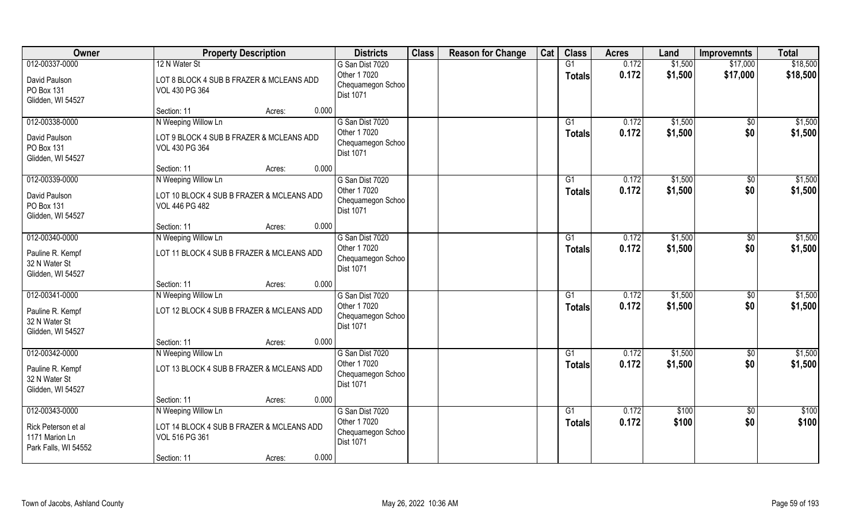| Owner                                                         | <b>Property Description</b>                                        |        |       | <b>Districts</b>                                      | <b>Class</b> | <b>Reason for Change</b> | Cat | <b>Class</b>    | <b>Acres</b> | Land    | <b>Improvemnts</b> | <b>Total</b> |
|---------------------------------------------------------------|--------------------------------------------------------------------|--------|-------|-------------------------------------------------------|--------------|--------------------------|-----|-----------------|--------------|---------|--------------------|--------------|
| 012-00337-0000                                                | 12 N Water St                                                      |        |       | G San Dist 7020                                       |              |                          |     | G1              | 0.172        | \$1,500 | \$17,000           | \$18,500     |
| David Paulson<br>PO Box 131<br>Glidden, WI 54527              | LOT 8 BLOCK 4 SUB B FRAZER & MCLEANS ADD<br>VOL 430 PG 364         |        |       | Other 1 7020<br>Chequamegon Schoo<br>Dist 1071        |              |                          |     | <b>Totals</b>   | 0.172        | \$1,500 | \$17,000           | \$18,500     |
|                                                               | Section: 11                                                        | Acres: | 0.000 |                                                       |              |                          |     |                 |              |         |                    |              |
| 012-00338-0000                                                | N Weeping Willow Ln                                                |        |       | G San Dist 7020                                       |              |                          |     | G1              | 0.172        | \$1,500 | $\overline{50}$    | \$1,500      |
| David Paulson<br>PO Box 131<br>Glidden, WI 54527              | LOT 9 BLOCK 4 SUB B FRAZER & MCLEANS ADD<br>VOL 430 PG 364         |        |       | Other 1 7020<br>Chequamegon Schoo<br><b>Dist 1071</b> |              |                          |     | <b>Totals</b>   | 0.172        | \$1,500 | \$0                | \$1,500      |
|                                                               | Section: 11                                                        | Acres: | 0.000 |                                                       |              |                          |     |                 |              |         |                    |              |
| 012-00339-0000                                                | N Weeping Willow Ln                                                |        |       | G San Dist 7020                                       |              |                          |     | G1              | 0.172        | \$1,500 | $\sqrt[6]{}$       | \$1,500      |
| David Paulson<br>PO Box 131<br>Glidden, WI 54527              | LOT 10 BLOCK 4 SUB B FRAZER & MCLEANS ADD<br><b>VOL 446 PG 482</b> |        |       | Other 1 7020<br>Chequamegon Schoo<br><b>Dist 1071</b> |              |                          |     | <b>Totals</b>   | 0.172        | \$1,500 | \$0                | \$1,500      |
|                                                               | Section: 11                                                        | Acres: | 0.000 |                                                       |              |                          |     |                 |              |         |                    |              |
| 012-00340-0000                                                | N Weeping Willow Ln                                                |        |       | G San Dist 7020                                       |              |                          |     | G1              | 0.172        | \$1,500 | $\sqrt[6]{}$       | \$1,500      |
| Pauline R. Kempf<br>32 N Water St<br>Glidden, WI 54527        | LOT 11 BLOCK 4 SUB B FRAZER & MCLEANS ADD                          |        |       | Other 1 7020<br>Chequamegon Schoo<br><b>Dist 1071</b> |              |                          |     | <b>Totals</b>   | 0.172        | \$1,500 | \$0                | \$1,500      |
|                                                               | Section: 11                                                        | Acres: | 0.000 |                                                       |              |                          |     |                 |              |         |                    |              |
| $012 - 00341 - 0000$                                          | N Weeping Willow Ln                                                |        |       | G San Dist 7020                                       |              |                          |     | G1              | 0.172        | \$1,500 | $\overline{50}$    | \$1,500      |
| Pauline R. Kempf<br>32 N Water St<br>Glidden, WI 54527        | LOT 12 BLOCK 4 SUB B FRAZER & MCLEANS ADD                          |        |       | Other 1 7020<br>Chequamegon Schoo<br><b>Dist 1071</b> |              |                          |     | <b>Totals</b>   | 0.172        | \$1,500 | \$0                | \$1,500      |
|                                                               | Section: 11                                                        | Acres: | 0.000 |                                                       |              |                          |     |                 |              |         |                    |              |
| 012-00342-0000                                                | N Weeping Willow Ln                                                |        |       | G San Dist 7020                                       |              |                          |     | G1              | 0.172        | \$1,500 | \$0                | \$1,500      |
| Pauline R. Kempf<br>32 N Water St<br>Glidden, WI 54527        | LOT 13 BLOCK 4 SUB B FRAZER & MCLEANS ADD                          |        |       | Other 1 7020<br>Chequamegon Schoo<br>Dist 1071        |              |                          |     | <b>Totals</b>   | 0.172        | \$1,500 | \$0                | \$1,500      |
|                                                               | Section: 11                                                        | Acres: | 0.000 |                                                       |              |                          |     |                 |              |         |                    |              |
| 012-00343-0000                                                | N Weeping Willow Ln                                                |        |       | G San Dist 7020                                       |              |                          |     | $\overline{G1}$ | 0.172        | \$100   | $\overline{50}$    | \$100        |
| Rick Peterson et al<br>1171 Marion Ln<br>Park Falls, WI 54552 | LOT 14 BLOCK 4 SUB B FRAZER & MCLEANS ADD<br>VOL 516 PG 361        |        |       | Other 1 7020<br>Chequamegon Schoo<br><b>Dist 1071</b> |              |                          |     | <b>Totals</b>   | 0.172        | \$100   | \$0                | \$100        |
|                                                               | Section: 11                                                        | Acres: | 0.000 |                                                       |              |                          |     |                 |              |         |                    |              |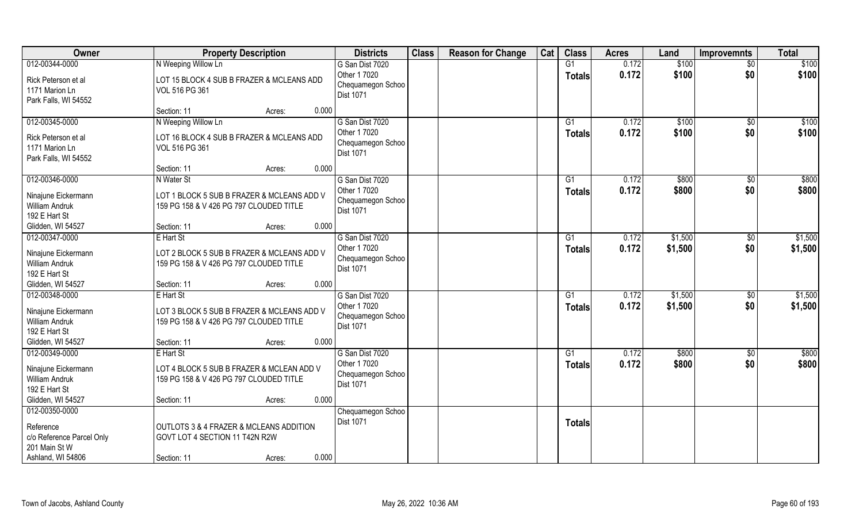| Owner                                                                     |                                                                                       | <b>Property Description</b> |       | <b>Districts</b>                                      | <b>Class</b> | <b>Reason for Change</b> | Cat | <b>Class</b>    | <b>Acres</b> | Land    | <b>Improvemnts</b> | <b>Total</b> |
|---------------------------------------------------------------------------|---------------------------------------------------------------------------------------|-----------------------------|-------|-------------------------------------------------------|--------------|--------------------------|-----|-----------------|--------------|---------|--------------------|--------------|
| 012-00344-0000                                                            | N Weeping Willow Ln                                                                   |                             |       | G San Dist 7020                                       |              |                          |     | G1              | 0.172        | \$100   | $\sqrt{$0}$        | \$100        |
| Rick Peterson et al<br>1171 Marion Ln<br>Park Falls, WI 54552             | LOT 15 BLOCK 4 SUB B FRAZER & MCLEANS ADD<br>VOL 516 PG 361                           |                             |       | Other 1 7020<br>Chequamegon Schoo<br><b>Dist 1071</b> |              |                          |     | <b>Totals</b>   | 0.172        | \$100   | \$0                | \$100        |
|                                                                           | Section: 11                                                                           | Acres:                      | 0.000 |                                                       |              |                          |     |                 |              |         |                    |              |
| 012-00345-0000                                                            | N Weeping Willow Ln                                                                   |                             |       | G San Dist 7020                                       |              |                          |     | $\overline{G1}$ | 0.172        | \$100   | \$0                | \$100        |
| Rick Peterson et al<br>1171 Marion Ln<br>Park Falls, WI 54552             | LOT 16 BLOCK 4 SUB B FRAZER & MCLEANS ADD<br>VOL 516 PG 361                           |                             |       | Other 1 7020<br>Chequamegon Schoo<br>Dist 1071        |              |                          |     | <b>Totals</b>   | 0.172        | \$100   | \$0                | \$100        |
|                                                                           | Section: 11                                                                           | Acres:                      | 0.000 |                                                       |              |                          |     |                 |              |         |                    |              |
| 012-00346-0000                                                            | N Water St                                                                            |                             |       | G San Dist 7020                                       |              |                          |     | G1              | 0.172        | \$800   | \$0                | \$800        |
| Ninajune Eickermann<br><b>William Andruk</b><br>192 E Hart St             | LOT 1 BLOCK 5 SUB B FRAZER & MCLEANS ADD V<br>159 PG 158 & V 426 PG 797 CLOUDED TITLE |                             |       | Other 1 7020<br>Chequamegon Schoo<br>Dist 1071        |              |                          |     | <b>Totals</b>   | 0.172        | \$800   | \$0                | \$800        |
| Glidden, WI 54527                                                         | Section: 11                                                                           | Acres:                      | 0.000 |                                                       |              |                          |     |                 |              |         |                    |              |
| 012-00347-0000                                                            | E Hart St                                                                             |                             |       | G San Dist 7020                                       |              |                          |     | G1              | 0.172        | \$1,500 | \$0                | \$1,500      |
| Ninajune Eickermann<br><b>William Andruk</b><br>192 E Hart St             | LOT 2 BLOCK 5 SUB B FRAZER & MCLEANS ADD V<br>159 PG 158 & V 426 PG 797 CLOUDED TITLE |                             |       | Other 1 7020<br>Chequamegon Schoo<br><b>Dist 1071</b> |              |                          |     | <b>Totals</b>   | 0.172        | \$1,500 | \$0                | \$1,500      |
| Glidden, WI 54527                                                         | Section: 11                                                                           | Acres:                      | 0.000 |                                                       |              |                          |     |                 |              |         |                    |              |
| 012-00348-0000                                                            | E Hart St                                                                             |                             |       | G San Dist 7020                                       |              |                          |     | $\overline{G1}$ | 0.172        | \$1,500 | $\overline{30}$    | \$1,500      |
| Ninajune Eickermann<br><b>William Andruk</b><br>192 E Hart St             | LOT 3 BLOCK 5 SUB B FRAZER & MCLEANS ADD V<br>159 PG 158 & V 426 PG 797 CLOUDED TITLE |                             |       | Other 1 7020<br>Chequamegon Schoo<br>Dist 1071        |              |                          |     | <b>Totals</b>   | 0.172        | \$1,500 | \$0                | \$1,500      |
| Glidden, WI 54527                                                         | Section: 11                                                                           | Acres:                      | 0.000 |                                                       |              |                          |     |                 |              |         |                    |              |
| 012-00349-0000                                                            | E Hart St                                                                             |                             |       | G San Dist 7020                                       |              |                          |     | G1              | 0.172        | \$800   | $\sqrt{$0}$        | \$800        |
| Ninajune Eickermann<br>William Andruk<br>192 E Hart St                    | LOT 4 BLOCK 5 SUB B FRAZER & MCLEAN ADD V<br>159 PG 158 & V 426 PG 797 CLOUDED TITLE  |                             |       | Other 1 7020<br>Chequamegon Schoo<br>Dist 1071        |              |                          |     | <b>Totals</b>   | 0.172        | \$800   | \$0                | \$800        |
| Glidden, WI 54527                                                         | Section: 11                                                                           | Acres:                      | 0.000 |                                                       |              |                          |     |                 |              |         |                    |              |
| 012-00350-0000<br>Reference<br>c/o Reference Parcel Only<br>201 Main St W | OUTLOTS 3 & 4 FRAZER & MCLEANS ADDITION<br>GOVT LOT 4 SECTION 11 T42N R2W             |                             |       | Chequamegon Schoo<br><b>Dist 1071</b>                 |              |                          |     | <b>Totals</b>   |              |         |                    |              |
| Ashland, WI 54806                                                         | Section: 11                                                                           | Acres:                      | 0.000 |                                                       |              |                          |     |                 |              |         |                    |              |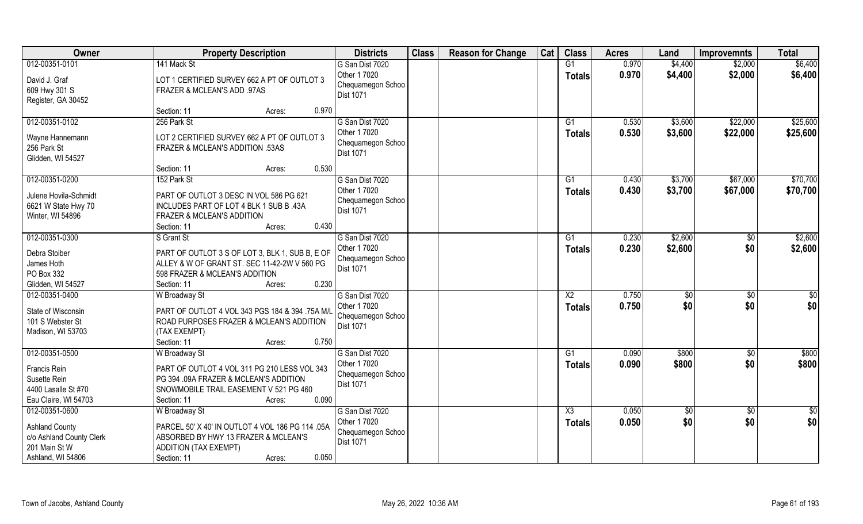| Owner                                                                                                     | <b>Property Description</b>                                                                                                                                                        | <b>Districts</b>                                                         | <b>Class</b> | <b>Reason for Change</b> | Cat | <b>Class</b>                     | <b>Acres</b>   | Land                  | <b>Improvemnts</b>     | <b>Total</b>         |
|-----------------------------------------------------------------------------------------------------------|------------------------------------------------------------------------------------------------------------------------------------------------------------------------------------|--------------------------------------------------------------------------|--------------|--------------------------|-----|----------------------------------|----------------|-----------------------|------------------------|----------------------|
| 012-00351-0101<br>David J. Graf<br>609 Hwy 301 S<br>Register, GA 30452                                    | 141 Mack St<br>LOT 1 CERTIFIED SURVEY 662 A PT OF OUTLOT 3<br>FRAZER & MCLEAN'S ADD .97AS                                                                                          | G San Dist 7020<br>Other 1 7020<br>Chequamegon Schoo<br>Dist 1071        |              |                          |     | G1<br><b>Totals</b>              | 0.970<br>0.970 | \$4,400<br>\$4,400    | \$2,000<br>\$2,000     | \$6,400<br>\$6,400   |
|                                                                                                           | 0.970<br>Section: 11<br>Acres:                                                                                                                                                     |                                                                          |              |                          |     |                                  |                |                       |                        |                      |
| 012-00351-0102<br>Wayne Hannemann<br>256 Park St<br>Glidden, WI 54527                                     | 256 Park St<br>LOT 2 CERTIFIED SURVEY 662 A PT OF OUTLOT 3<br>FRAZER & MCLEAN'S ADDITION .53AS                                                                                     | G San Dist 7020<br>Other 1 7020<br>Chequamegon Schoo<br><b>Dist 1071</b> |              |                          |     | $\overline{G1}$<br>Totals        | 0.530<br>0.530 | \$3,600<br>\$3,600    | \$22,000<br>\$22,000   | \$25,600<br>\$25,600 |
|                                                                                                           | 0.530<br>Section: 11<br>Acres:                                                                                                                                                     |                                                                          |              |                          |     |                                  |                |                       |                        |                      |
| 012-00351-0200<br>Julene Hovila-Schmidt<br>6621 W State Hwy 70<br>Winter, WI 54896                        | 152 Park St<br>PART OF OUTLOT 3 DESC IN VOL 586 PG 621<br>INCLUDES PART OF LOT 4 BLK 1 SUB B .43A<br>FRAZER & MCLEAN'S ADDITION<br>0.430<br>Section: 11<br>Acres:                  | G San Dist 7020<br>Other 1 7020<br>Chequamegon Schoo<br>Dist 1071        |              |                          |     | G1<br><b>Totals</b>              | 0.430<br>0.430 | \$3,700<br>\$3,700    | \$67,000<br>\$67,000   | \$70,700<br>\$70,700 |
| 012-00351-0300                                                                                            | S Grant St                                                                                                                                                                         | G San Dist 7020                                                          |              |                          |     | G1                               | 0.230          | \$2,600               | \$0                    | \$2,600              |
| Debra Stoiber<br>James Hoth<br>PO Box 332<br>Glidden, WI 54527                                            | PART OF OUTLOT 3 S OF LOT 3, BLK 1, SUB B, E OF<br>ALLEY & W OF GRANT ST. SEC 11-42-2W V 560 PG<br>598 FRAZER & MCLEAN'S ADDITION<br>0.230<br>Section: 11<br>Acres:                | Other 1 7020<br>Chequamegon Schoo<br>Dist 1071                           |              |                          |     | <b>Totals</b>                    | 0.230          | \$2,600               | \$0                    | \$2,600              |
| 012-00351-0400<br>State of Wisconsin<br>101 S Webster St<br>Madison, WI 53703                             | W Broadway St<br>PART OF OUTLOT 4 VOL 343 PGS 184 & 394 .75A M/L<br>ROAD PURPOSES FRAZER & MCLEAN'S ADDITION<br>(TAX EXEMPT)<br>0.750                                              | G San Dist 7020<br>Other 1 7020<br>Chequamegon Schoo<br>Dist 1071        |              |                          |     | $\overline{X2}$<br><b>Totals</b> | 0.750<br>0.750 | $\sqrt[6]{30}$<br>\$0 | \$0<br>\$0             | \$0<br>\$0           |
| 012-00351-0500                                                                                            | Section: 11<br>Acres:<br><b>W</b> Broadway St                                                                                                                                      | G San Dist 7020                                                          |              |                          |     | G1                               | 0.090          | \$800                 |                        | \$800                |
| Francis Rein<br>Susette Rein<br>4400 Lasalle St #70<br>Eau Claire, WI 54703                               | PART OF OUTLOT 4 VOL 311 PG 210 LESS VOL 343<br>PG 394 .09A FRAZER & MCLEAN'S ADDITION<br>SNOWMOBILE TRAIL EASEMENT V 521 PG 460<br>0.090<br>Section: 11<br>Acres:                 | Other 1 7020<br>Chequamegon Schoo<br>Dist 1071                           |              |                          |     | <b>Totals</b>                    | 0.090          | \$800                 | $\sqrt{6}$<br>\$0      | \$800                |
| 012-00351-0600<br><b>Ashland County</b><br>c/o Ashland County Clerk<br>201 Main St W<br>Ashland, WI 54806 | <b>W</b> Broadway St<br>PARCEL 50' X 40' IN OUTLOT 4 VOL 186 PG 114 .05A<br>ABSORBED BY HWY 13 FRAZER & MCLEAN'S<br><b>ADDITION (TAX EXEMPT)</b><br>0.050<br>Section: 11<br>Acres: | G San Dist 7020<br>Other 1 7020<br>Chequamegon Schoo<br>Dist 1071        |              |                          |     | X3<br><b>Totals</b>              | 0.050<br>0.050 | \$0<br>\$0            | $\overline{60}$<br>\$0 | \$0<br>\$0           |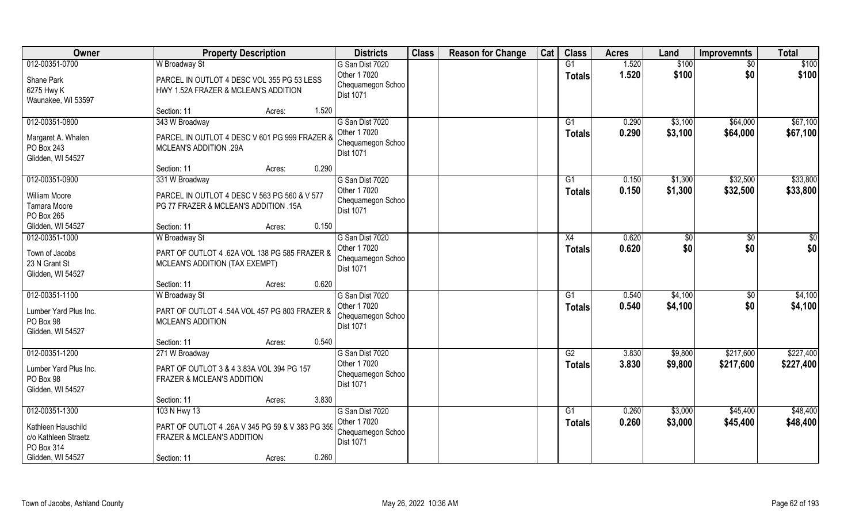| Owner                                                                                           | <b>Property Description</b>                                                                                                                                                 | <b>Districts</b>                                                         | <b>Class</b> | <b>Reason for Change</b> | Cat | <b>Class</b>        | <b>Acres</b>   | Land               | <b>Improvemnts</b>     | <b>Total</b>           |
|-------------------------------------------------------------------------------------------------|-----------------------------------------------------------------------------------------------------------------------------------------------------------------------------|--------------------------------------------------------------------------|--------------|--------------------------|-----|---------------------|----------------|--------------------|------------------------|------------------------|
| 012-00351-0700<br>Shane Park<br>6275 Hwy K<br>Waunakee, WI 53597                                | W Broadway St<br>PARCEL IN OUTLOT 4 DESC VOL 355 PG 53 LESS<br>HWY 1.52A FRAZER & MCLEAN'S ADDITION                                                                         | G San Dist 7020<br>Other 1 7020<br>Chequamegon Schoo<br>Dist 1071        |              |                          |     | G1<br><b>Totals</b> | 1.520<br>1.520 | \$100<br>\$100     | \$0<br>\$0             | \$100<br>\$100         |
| 012-00351-0800<br>Margaret A. Whalen<br>PO Box 243<br>Glidden, WI 54527                         | 1.520<br>Section: 11<br>Acres:<br>343 W Broadway<br>PARCEL IN OUTLOT 4 DESC V 601 PG 999 FRAZER &<br><b>MCLEAN'S ADDITION .29A</b>                                          | G San Dist 7020<br>Other 1 7020<br>Chequamegon Schoo<br><b>Dist 1071</b> |              |                          |     | G1<br>Totals        | 0.290<br>0.290 | \$3,100<br>\$3,100 | \$64,000<br>\$64,000   | \$67,100<br>\$67,100   |
| 012-00351-0900<br><b>William Moore</b><br>Tamara Moore<br>PO Box 265<br>Glidden, WI 54527       | 0.290<br>Section: 11<br>Acres:<br>331 W Broadway<br>PARCEL IN OUTLOT 4 DESC V 563 PG 560 & V 577<br>PG 77 FRAZER & MCLEAN'S ADDITION .15A<br>0.150<br>Section: 11<br>Acres: | G San Dist 7020<br>Other 1 7020<br>Chequamegon Schoo<br><b>Dist 1071</b> |              |                          |     | G1<br><b>Totals</b> | 0.150<br>0.150 | \$1,300<br>\$1,300 | \$32,500<br>\$32,500   | \$33,800<br>\$33,800   |
| 012-00351-1000<br>Town of Jacobs<br>23 N Grant St<br>Glidden, WI 54527                          | W Broadway St<br>PART OF OUTLOT 4 .62A VOL 138 PG 585 FRAZER &<br>MCLEAN'S ADDITION (TAX EXEMPT)<br>0.620<br>Section: 11<br>Acres:                                          | G San Dist 7020<br>Other 1 7020<br>Chequamegon Schoo<br>Dist 1071        |              |                          |     | X4<br><b>Totals</b> | 0.620<br>0.620 | \$0<br>\$0         | \$<br>\$0              | \$0<br>\$0             |
| 012-00351-1100<br>Lumber Yard Plus Inc.<br>PO Box 98<br>Glidden, WI 54527                       | W Broadway St<br>PART OF OUTLOT 4 .54A VOL 457 PG 803 FRAZER &<br><b>MCLEAN'S ADDITION</b><br>0.540<br>Section: 11<br>Acres:                                                | G San Dist 7020<br>Other 1 7020<br>Chequamegon Schoo<br>Dist 1071        |              |                          |     | G1<br><b>Totals</b> | 0.540<br>0.540 | \$4,100<br>\$4,100 | \$0<br>\$0             | \$4,100<br>\$4,100     |
| 012-00351-1200<br>Lumber Yard Plus Inc.<br>PO Box 98<br>Glidden, WI 54527                       | 271 W Broadway<br>PART OF OUTLOT 3 & 4 3.83A VOL 394 PG 157<br>FRAZER & MCLEAN'S ADDITION<br>3.830<br>Section: 11<br>Acres:                                                 | G San Dist 7020<br>Other 1 7020<br>Chequamegon Schoo<br>Dist 1071        |              |                          |     | G2<br><b>Totals</b> | 3.830<br>3.830 | \$9,800<br>\$9,800 | \$217,600<br>\$217,600 | \$227,400<br>\$227,400 |
| 012-00351-1300<br>Kathleen Hauschild<br>c/o Kathleen Straetz<br>PO Box 314<br>Glidden, WI 54527 | 103 N Hwy 13<br>PART OF OUTLOT 4 .26A V 345 PG 59 & V 383 PG 359<br>FRAZER & MCLEAN'S ADDITION<br>0.260<br>Section: 11<br>Acres:                                            | G San Dist 7020<br>Other 1 7020<br>Chequamegon Schoo<br>Dist 1071        |              |                          |     | G1<br><b>Totals</b> | 0.260<br>0.260 | \$3,000<br>\$3,000 | \$45,400<br>\$45,400   | \$48,400<br>\$48,400   |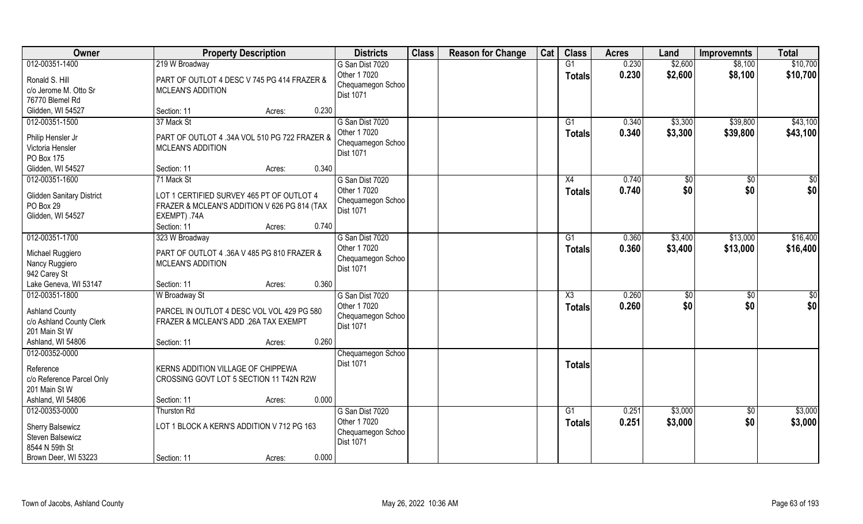| Owner                                                                                                     | <b>Property Description</b>                                                                                                            |        |       | <b>Districts</b>                                                         | <b>Class</b> | <b>Reason for Change</b> | Cat | <b>Class</b>        | <b>Acres</b>   | Land               | <b>Improvemnts</b>   | <b>Total</b>         |
|-----------------------------------------------------------------------------------------------------------|----------------------------------------------------------------------------------------------------------------------------------------|--------|-------|--------------------------------------------------------------------------|--------------|--------------------------|-----|---------------------|----------------|--------------------|----------------------|----------------------|
| 012-00351-1400<br>Ronald S. Hill<br>c/o Jerome M. Otto Sr<br>76770 Blemel Rd                              | 219 W Broadway<br>PART OF OUTLOT 4 DESC V 745 PG 414 FRAZER &<br><b>MCLEAN'S ADDITION</b>                                              |        |       | G San Dist 7020<br>Other 1 7020<br>Chequamegon Schoo<br><b>Dist 1071</b> |              |                          |     | G1<br><b>Totals</b> | 0.230<br>0.230 | \$2,600<br>\$2,600 | \$8,100<br>\$8,100   | \$10,700<br>\$10,700 |
| Glidden, WI 54527                                                                                         | Section: 11                                                                                                                            | Acres: | 0.230 |                                                                          |              |                          |     |                     |                |                    |                      |                      |
| 012-00351-1500<br>Philip Hensler Jr<br>Victoria Hensler<br>PO Box 175                                     | 37 Mack St<br>PART OF OUTLOT 4 .34A VOL 510 PG 722 FRAZER &<br><b>MCLEAN'S ADDITION</b>                                                |        |       | G San Dist 7020<br>Other 1 7020<br>Chequamegon Schoo<br>Dist 1071        |              |                          |     | G1<br>Totals        | 0.340<br>0.340 | \$3,300<br>\$3,300 | \$39,800<br>\$39,800 | \$43,100<br>\$43,100 |
| Glidden, WI 54527                                                                                         | Section: 11                                                                                                                            | Acres: | 0.340 |                                                                          |              |                          |     |                     |                |                    |                      |                      |
| 012-00351-1600<br><b>Glidden Sanitary District</b><br>PO Box 29<br>Glidden, WI 54527                      | 71 Mack St<br>LOT 1 CERTIFIED SURVEY 465 PT OF OUTLOT 4<br>FRAZER & MCLEAN'S ADDITION V 626 PG 814 (TAX<br>EXEMPT) .74A<br>Section: 11 | Acres: | 0.740 | G San Dist 7020<br>Other 1 7020<br>Chequamegon Schoo<br>Dist 1071        |              |                          |     | X4<br><b>Totals</b> | 0.740<br>0.740 | \$0<br>\$0         | $\sqrt{50}$<br>\$0   | $\sqrt{50}$<br>\$0   |
| 012-00351-1700                                                                                            | 323 W Broadway                                                                                                                         |        |       | G San Dist 7020                                                          |              |                          |     | G1                  | 0.360          | \$3,400            | \$13,000             | \$16,400             |
| Michael Ruggiero<br>Nancy Ruggiero<br>942 Carey St                                                        | PART OF OUTLOT 4 .36A V 485 PG 810 FRAZER &<br><b>MCLEAN'S ADDITION</b>                                                                |        |       | Other 1 7020<br>Chequamegon Schoo<br><b>Dist 1071</b>                    |              |                          |     | <b>Totals</b>       | 0.360          | \$3,400            | \$13,000             | \$16,400             |
| Lake Geneva, WI 53147                                                                                     | Section: 11                                                                                                                            | Acres: | 0.360 |                                                                          |              |                          |     |                     |                |                    |                      |                      |
| 012-00351-1800<br><b>Ashland County</b><br>c/o Ashland County Clerk<br>201 Main St W<br>Ashland, WI 54806 | W Broadway St<br>PARCEL IN OUTLOT 4 DESC VOL VOL 429 PG 580<br>FRAZER & MCLEAN'S ADD .26A TAX EXEMPT<br>Section: 11                    | Acres: | 0.260 | G San Dist 7020<br>Other 1 7020<br>Chequamegon Schoo<br>Dist 1071        |              |                          |     | X3<br><b>Totals</b> | 0.260<br>0.260 | \$0<br>\$0         | \$0<br>\$0           | $\sqrt{50}$<br>\$0   |
| 012-00352-0000<br>Reference<br>c/o Reference Parcel Only<br>201 Main St W<br>Ashland, WI 54806            | KERNS ADDITION VILLAGE OF CHIPPEWA<br>CROSSING GOVT LOT 5 SECTION 11 T42N R2W<br>Section: 11                                           | Acres: | 0.000 | Chequamegon Schoo<br>Dist 1071                                           |              |                          |     | Totals              |                |                    |                      |                      |
| 012-00353-0000                                                                                            | Thurston Rd                                                                                                                            |        |       | G San Dist 7020                                                          |              |                          |     | $\overline{G1}$     | 0.251          | \$3,000            | $\sqrt{$0}$          | \$3,000              |
| Sherry Balsewicz<br>Steven Balsewicz<br>8544 N 59th St                                                    | LOT 1 BLOCK A KERN'S ADDITION V 712 PG 163                                                                                             |        |       | Other 1 7020<br>Chequamegon Schoo<br>Dist 1071                           |              |                          |     | Totals              | 0.251          | \$3,000            | \$0                  | \$3,000              |
| Brown Deer, WI 53223                                                                                      | Section: 11                                                                                                                            | Acres: | 0.000 |                                                                          |              |                          |     |                     |                |                    |                      |                      |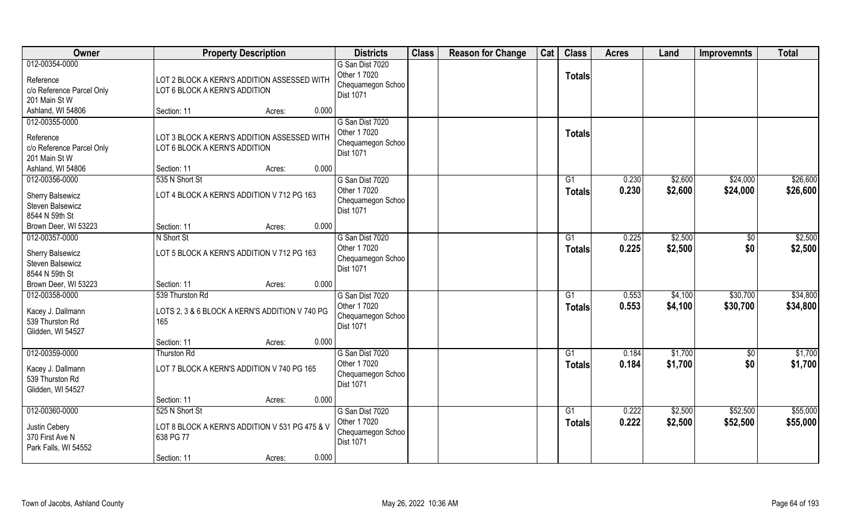| Owner                                                                           | <b>Property Description</b>                                                                                     | <b>Districts</b>                                                         | <b>Class</b> | <b>Reason for Change</b> | Cat | <b>Class</b>                     | <b>Acres</b>   | Land               | <b>Improvemnts</b>   | <b>Total</b>         |
|---------------------------------------------------------------------------------|-----------------------------------------------------------------------------------------------------------------|--------------------------------------------------------------------------|--------------|--------------------------|-----|----------------------------------|----------------|--------------------|----------------------|----------------------|
| 012-00354-0000<br>Reference<br>c/o Reference Parcel Only<br>201 Main St W       | LOT 2 BLOCK A KERN'S ADDITION ASSESSED WITH<br>LOT 6 BLOCK A KERN'S ADDITION                                    | G San Dist 7020<br>Other 1 7020<br>Chequamegon Schoo<br>Dist 1071        |              |                          |     | <b>Totals</b>                    |                |                    |                      |                      |
| Ashland, WI 54806                                                               | 0.000<br>Section: 11<br>Acres:                                                                                  |                                                                          |              |                          |     |                                  |                |                    |                      |                      |
| 012-00355-0000<br>Reference<br>c/o Reference Parcel Only<br>201 Main St W       | LOT 3 BLOCK A KERN'S ADDITION ASSESSED WITH<br>LOT 6 BLOCK A KERN'S ADDITION<br>0.000                           | G San Dist 7020<br>Other 1 7020<br>Chequamegon Schoo<br><b>Dist 1071</b> |              |                          |     | <b>Totals</b>                    |                |                    |                      |                      |
| Ashland, WI 54806                                                               | Section: 11<br>Acres:                                                                                           |                                                                          |              |                          |     |                                  |                |                    |                      |                      |
| 012-00356-0000<br><b>Sherry Balsewicz</b><br>Steven Balsewicz<br>8544 N 59th St | 535 N Short St<br>LOT 4 BLOCK A KERN'S ADDITION V 712 PG 163                                                    | G San Dist 7020<br>Other 1 7020<br>Chequamegon Schoo<br><b>Dist 1071</b> |              |                          |     | G1<br><b>Totals</b>              | 0.230<br>0.230 | \$2,600<br>\$2,600 | \$24,000<br>\$24,000 | \$26,600<br>\$26,600 |
| Brown Deer, WI 53223                                                            | 0.000<br>Section: 11<br>Acres:                                                                                  |                                                                          |              |                          |     |                                  |                |                    |                      |                      |
| 012-00357-0000<br><b>Sherry Balsewicz</b><br>Steven Balsewicz<br>8544 N 59th St | N Short St<br>LOT 5 BLOCK A KERN'S ADDITION V 712 PG 163                                                        | G San Dist 7020<br>Other 1 7020<br>Chequamegon Schoo<br><b>Dist 1071</b> |              |                          |     | G1<br><b>Totals</b>              | 0.225<br>0.225 | \$2,500<br>\$2,500 | \$<br>\$0            | \$2,500<br>\$2,500   |
| Brown Deer, WI 53223                                                            | 0.000<br>Section: 11<br>Acres:                                                                                  |                                                                          |              |                          |     |                                  |                |                    |                      |                      |
| 012-00358-0000<br>Kacey J. Dallmann<br>539 Thurston Rd<br>Glidden, WI 54527     | 539 Thurston Rd<br>LOTS 2, 3 & 6 BLOCK A KERN'S ADDITION V 740 PG<br>165                                        | G San Dist 7020<br>Other 1 7020<br>Chequamegon Schoo<br><b>Dist 1071</b> |              |                          |     | G1<br><b>Totals</b>              | 0.553<br>0.553 | \$4,100<br>\$4,100 | \$30,700<br>\$30,700 | \$34,800<br>\$34,800 |
|                                                                                 | 0.000<br>Section: 11<br>Acres:                                                                                  |                                                                          |              |                          |     |                                  |                |                    |                      |                      |
| 012-00359-0000<br>Kacey J. Dallmann<br>539 Thurston Rd<br>Glidden, WI 54527     | Thurston Rd<br>LOT 7 BLOCK A KERN'S ADDITION V 740 PG 165                                                       | G San Dist 7020<br>Other 1 7020<br>Chequamegon Schoo<br>Dist 1071        |              |                          |     | $\overline{G1}$<br><b>Totals</b> | 0.184<br>0.184 | \$1,700<br>\$1,700 | \$0<br>\$0           | \$1,700<br>\$1,700   |
|                                                                                 | 0.000<br>Section: 11<br>Acres:                                                                                  |                                                                          |              |                          |     |                                  |                |                    |                      |                      |
| 012-00360-0000<br>Justin Cebery<br>370 First Ave N<br>Park Falls, WI 54552      | 525 N Short St<br>LOT 8 BLOCK A KERN'S ADDITION V 531 PG 475 & V<br>638 PG 77<br>0.000<br>Section: 11<br>Acres: | G San Dist 7020<br>Other 1 7020<br>Chequamegon Schoo<br>Dist 1071        |              |                          |     | G1<br><b>Totals</b>              | 0.222<br>0.222 | \$2,500<br>\$2,500 | \$52,500<br>\$52,500 | \$55,000<br>\$55,000 |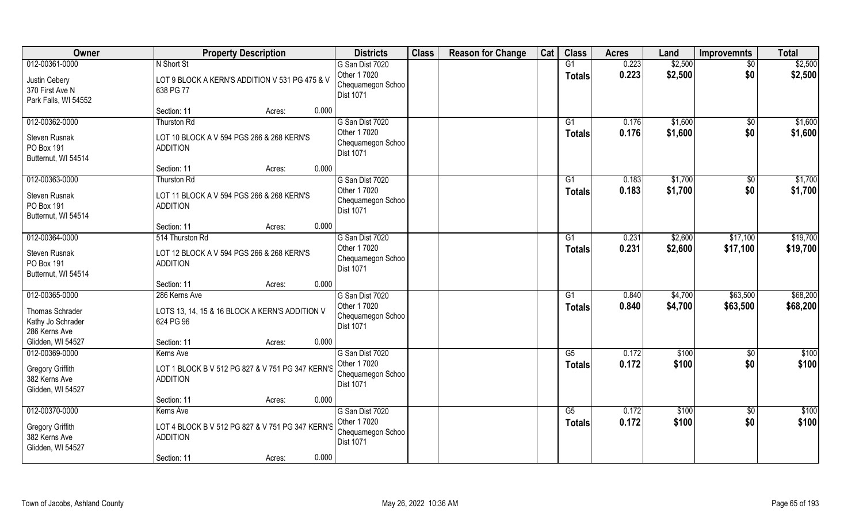| Owner                                                                      | <b>Property Description</b>                                                        | <b>Districts</b>                                                         | <b>Class</b> | <b>Reason for Change</b> | Cat | <b>Class</b>        | <b>Acres</b>   | Land               | <b>Improvemnts</b>     | <b>Total</b>         |
|----------------------------------------------------------------------------|------------------------------------------------------------------------------------|--------------------------------------------------------------------------|--------------|--------------------------|-----|---------------------|----------------|--------------------|------------------------|----------------------|
| 012-00361-0000<br>Justin Cebery<br>370 First Ave N<br>Park Falls, WI 54552 | N Short St<br>LOT 9 BLOCK A KERN'S ADDITION V 531 PG 475 & V<br>638 PG 77          | G San Dist 7020<br>Other 1 7020<br>Chequamegon Schoo<br>Dist 1071        |              |                          |     | G1<br><b>Totals</b> | 0.223<br>0.223 | \$2,500<br>\$2,500 | $\sqrt{6}$<br>\$0      | \$2,500<br>\$2,500   |
|                                                                            | 0.000<br>Section: 11<br>Acres:                                                     |                                                                          |              |                          |     |                     |                |                    |                        |                      |
| 012-00362-0000<br>Steven Rusnak<br>PO Box 191<br>Butternut, WI 54514       | <b>Thurston Rd</b><br>LOT 10 BLOCK A V 594 PGS 266 & 268 KERN'S<br><b>ADDITION</b> | G San Dist 7020<br>Other 1 7020<br>Chequamegon Schoo<br><b>Dist 1071</b> |              |                          |     | G1<br>Totals        | 0.176<br>0.176 | \$1,600<br>\$1,600 | $\overline{50}$<br>\$0 | \$1,600<br>\$1,600   |
|                                                                            | 0.000<br>Section: 11<br>Acres:                                                     |                                                                          |              |                          |     |                     |                |                    |                        |                      |
| 012-00363-0000<br>Steven Rusnak<br>PO Box 191<br>Butternut, WI 54514       | <b>Thurston Rd</b><br>LOT 11 BLOCK A V 594 PGS 266 & 268 KERN'S<br><b>ADDITION</b> | G San Dist 7020<br>Other 1 7020<br>Chequamegon Schoo<br>Dist 1071        |              |                          |     | G1<br><b>Totals</b> | 0.183<br>0.183 | \$1,700<br>\$1,700 | $\sqrt[6]{}$<br>\$0    | \$1,700<br>\$1,700   |
|                                                                            | 0.000<br>Section: 11<br>Acres:                                                     |                                                                          |              |                          |     |                     |                |                    |                        |                      |
| 012-00364-0000                                                             | 514 Thurston Rd                                                                    | G San Dist 7020                                                          |              |                          |     | G1                  | 0.231          | \$2,600            | \$17,100               | \$19,700             |
| Steven Rusnak<br>PO Box 191<br>Butternut, WI 54514                         | LOT 12 BLOCK A V 594 PGS 266 & 268 KERN'S<br><b>ADDITION</b>                       | Other 1 7020<br>Chequamegon Schoo<br><b>Dist 1071</b>                    |              |                          |     | <b>Totals</b>       | 0.231          | \$2,600            | \$17,100               | \$19,700             |
|                                                                            | 0.000<br>Section: 11<br>Acres:                                                     |                                                                          |              |                          |     |                     |                |                    |                        |                      |
| 012-00365-0000<br>Thomas Schrader<br>Kathy Jo Schrader<br>286 Kerns Ave    | 286 Kerns Ave<br>LOTS 13, 14, 15 & 16 BLOCK A KERN'S ADDITION V<br>624 PG 96       | G San Dist 7020<br>Other 1 7020<br>Chequamegon Schoo<br>Dist 1071        |              |                          |     | G1<br><b>Totals</b> | 0.840<br>0.840 | \$4,700<br>\$4,700 | \$63,500<br>\$63,500   | \$68,200<br>\$68,200 |
| Glidden, WI 54527                                                          | 0.000<br>Section: 11<br>Acres:                                                     |                                                                          |              |                          |     |                     |                |                    |                        |                      |
| 012-00369-0000                                                             | Kerns Ave                                                                          | G San Dist 7020                                                          |              |                          |     | G5                  | 0.172          | \$100              | \$0                    | \$100                |
| <b>Gregory Griffith</b><br>382 Kerns Ave<br>Glidden, WI 54527              | LOT 1 BLOCK B V 512 PG 827 & V 751 PG 347 KERN'S<br><b>ADDITION</b>                | Other 1 7020<br>Chequamegon Schoo<br>Dist 1071                           |              |                          |     | <b>Totals</b>       | 0.172          | \$100              | \$0                    | \$100                |
|                                                                            | 0.000<br>Section: 11<br>Acres:                                                     |                                                                          |              |                          |     |                     |                |                    |                        |                      |
| 012-00370-0000                                                             | Kerns Ave                                                                          | G San Dist 7020                                                          |              |                          |     | G5                  | 0.172          | \$100              | $\sqrt{6}$             | \$100                |
| <b>Gregory Griffith</b><br>382 Kerns Ave<br>Glidden, WI 54527              | LOT 4 BLOCK B V 512 PG 827 & V 751 PG 347 KERN'S<br><b>ADDITION</b>                | Other 1 7020<br>Chequamegon Schoo<br>Dist 1071                           |              |                          |     | <b>Totals</b>       | 0.172          | \$100              | \$0                    | \$100                |
|                                                                            | 0.000<br>Section: 11<br>Acres:                                                     |                                                                          |              |                          |     |                     |                |                    |                        |                      |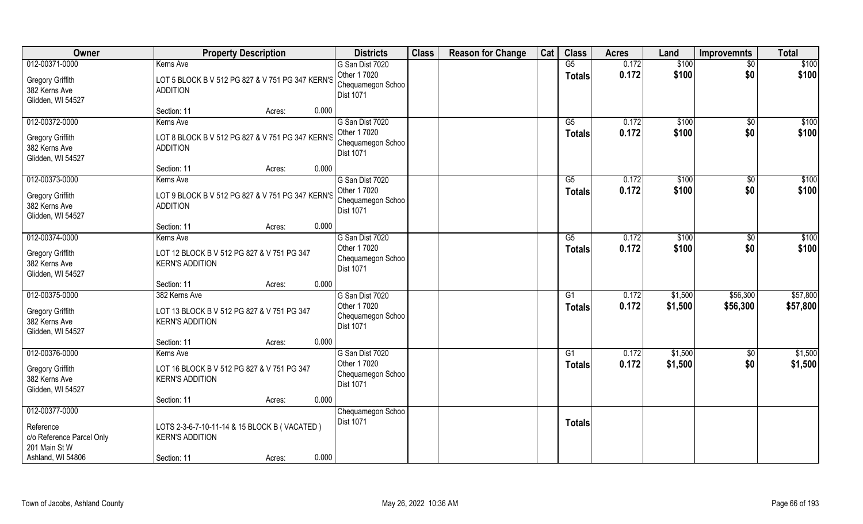| Owner                                                                                          | <b>Property Description</b>                                                                              | <b>Districts</b>                                                         | <b>Class</b> | <b>Reason for Change</b> | Cat | <b>Class</b>        | <b>Acres</b>   | Land               | <b>Improvemnts</b>   | <b>Total</b>         |
|------------------------------------------------------------------------------------------------|----------------------------------------------------------------------------------------------------------|--------------------------------------------------------------------------|--------------|--------------------------|-----|---------------------|----------------|--------------------|----------------------|----------------------|
| 012-00371-0000<br><b>Gregory Griffith</b><br>382 Kerns Ave<br>Glidden, WI 54527                | Kerns Ave<br>LOT 5 BLOCK B V 512 PG 827 & V 751 PG 347 KERN'S<br><b>ADDITION</b>                         | G San Dist 7020<br>Other 1 7020<br>Chequamegon Schoo<br><b>Dist 1071</b> |              |                          |     | G5<br><b>Totals</b> | 0.172<br>0.172 | \$100<br>\$100     | $\sqrt{6}$<br>\$0    | \$100<br>\$100       |
|                                                                                                | Section: 11<br>0.000<br>Acres:                                                                           |                                                                          |              |                          |     |                     |                |                    |                      |                      |
| 012-00372-0000<br><b>Gregory Griffith</b><br>382 Kerns Ave<br>Glidden, WI 54527                | Kerns Ave<br>LOT 8 BLOCK B V 512 PG 827 & V 751 PG 347 KERN'S<br><b>ADDITION</b>                         | G San Dist 7020<br>Other 1 7020<br>Chequamegon Schoo<br><b>Dist 1071</b> |              |                          |     | G5<br>Totals        | 0.172<br>0.172 | \$100<br>\$100     | \$0<br>\$0           | \$100<br>\$100       |
| 012-00373-0000                                                                                 | 0.000<br>Section: 11<br>Acres:<br>Kerns Ave                                                              | G San Dist 7020                                                          |              |                          |     | G5                  | 0.172          | \$100              | \$0                  | \$100                |
| <b>Gregory Griffith</b><br>382 Kerns Ave<br>Glidden, WI 54527                                  | LOT 9 BLOCK B V 512 PG 827 & V 751 PG 347 KERN'S<br><b>ADDITION</b>                                      | Other 1 7020<br>Chequamegon Schoo<br>Dist 1071                           |              |                          |     | <b>Totals</b>       | 0.172          | \$100              | \$0                  | \$100                |
|                                                                                                | 0.000<br>Section: 11<br>Acres:                                                                           |                                                                          |              |                          |     |                     |                |                    |                      |                      |
| 012-00374-0000<br><b>Gregory Griffith</b><br>382 Kerns Ave<br>Glidden, WI 54527                | Kerns Ave<br>LOT 12 BLOCK B V 512 PG 827 & V 751 PG 347<br><b>KERN'S ADDITION</b>                        | G San Dist 7020<br>Other 1 7020<br>Chequamegon Schoo<br>Dist 1071        |              |                          |     | G5<br><b>Totals</b> | 0.172<br>0.172 | \$100<br>\$100     | \$0<br>\$0           | \$100<br>\$100       |
|                                                                                                | 0.000<br>Section: 11<br>Acres:                                                                           |                                                                          |              |                          |     |                     |                |                    |                      |                      |
| 012-00375-0000<br><b>Gregory Griffith</b><br>382 Kerns Ave<br>Glidden, WI 54527                | 382 Kerns Ave<br>LOT 13 BLOCK B V 512 PG 827 & V 751 PG 347<br><b>KERN'S ADDITION</b>                    | G San Dist 7020<br>Other 1 7020<br>Chequamegon Schoo<br>Dist 1071        |              |                          |     | G1<br><b>Totals</b> | 0.172<br>0.172 | \$1,500<br>\$1,500 | \$56,300<br>\$56,300 | \$57,800<br>\$57,800 |
|                                                                                                | 0.000<br>Section: 11<br>Acres:                                                                           |                                                                          |              |                          |     |                     |                |                    |                      |                      |
| 012-00376-0000                                                                                 | Kerns Ave                                                                                                | G San Dist 7020                                                          |              |                          |     | G1                  | 0.172          | \$1,500            | \$0                  | \$1,500              |
| <b>Gregory Griffith</b><br>382 Kerns Ave<br>Glidden, WI 54527                                  | LOT 16 BLOCK B V 512 PG 827 & V 751 PG 347<br><b>KERN'S ADDITION</b>                                     | Other 1 7020<br>Chequamegon Schoo<br>Dist 1071                           |              |                          |     | <b>Totals</b>       | 0.172          | \$1,500            | \$0                  | \$1,500              |
|                                                                                                | 0.000<br>Section: 11<br>Acres:                                                                           |                                                                          |              |                          |     |                     |                |                    |                      |                      |
| 012-00377-0000<br>Reference<br>c/o Reference Parcel Only<br>201 Main St W<br>Ashland, WI 54806 | LOTS 2-3-6-7-10-11-14 & 15 BLOCK B (VACATED)<br><b>KERN'S ADDITION</b><br>0.000<br>Section: 11<br>Acres: | Chequamegon Schoo<br><b>Dist 1071</b>                                    |              |                          |     | <b>Totals</b>       |                |                    |                      |                      |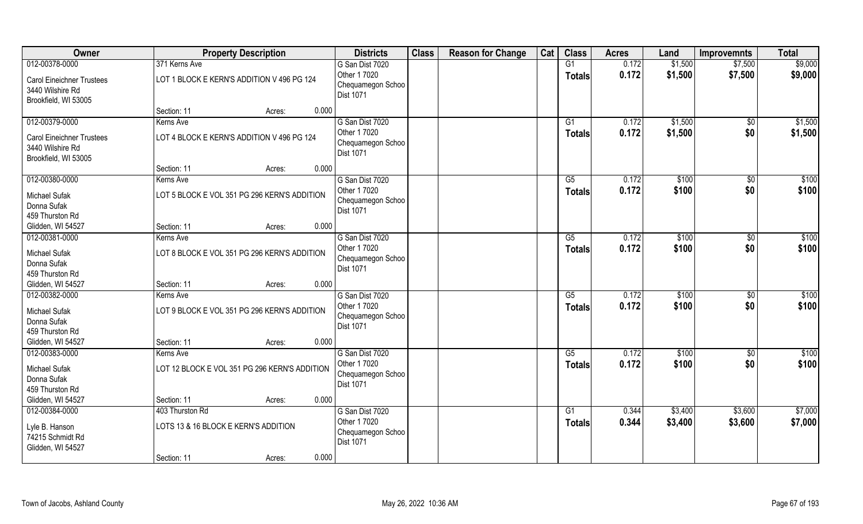| Owner                                                                                          |                                                                        | <b>Property Description</b> |       | <b>Districts</b>                                                         | <b>Class</b> | <b>Reason for Change</b> | Cat | <b>Class</b>                     | <b>Acres</b>   | Land               | <b>Improvemnts</b>     | <b>Total</b>       |
|------------------------------------------------------------------------------------------------|------------------------------------------------------------------------|-----------------------------|-------|--------------------------------------------------------------------------|--------------|--------------------------|-----|----------------------------------|----------------|--------------------|------------------------|--------------------|
| 012-00378-0000<br><b>Carol Eineichner Trustees</b><br>3440 Wilshire Rd<br>Brookfield, WI 53005 | 371 Kerns Ave<br>LOT 1 BLOCK E KERN'S ADDITION V 496 PG 124            |                             |       | G San Dist 7020<br>Other 1 7020<br>Chequamegon Schoo<br><b>Dist 1071</b> |              |                          |     | G1<br><b>Totals</b>              | 0.172<br>0.172 | \$1,500<br>\$1,500 | \$7,500<br>\$7,500     | \$9,000<br>\$9,000 |
|                                                                                                | Section: 11                                                            | Acres:                      | 0.000 |                                                                          |              |                          |     |                                  |                |                    |                        |                    |
| 012-00379-0000<br><b>Carol Eineichner Trustees</b><br>3440 Wilshire Rd<br>Brookfield, WI 53005 | Kerns Ave<br>LOT 4 BLOCK E KERN'S ADDITION V 496 PG 124                |                             |       | G San Dist 7020<br>Other 1 7020<br>Chequamegon Schoo<br>Dist 1071        |              |                          |     | G1<br><b>Totals</b>              | 0.172<br>0.172 | \$1,500<br>\$1,500 | $\sqrt{$0}$<br>\$0     | \$1,500<br>\$1,500 |
|                                                                                                | Section: 11                                                            | Acres:                      | 0.000 |                                                                          |              |                          |     |                                  |                |                    |                        |                    |
| 012-00380-0000<br>Michael Sufak<br>Donna Sufak<br>459 Thurston Rd                              | Kerns Ave<br>LOT 5 BLOCK E VOL 351 PG 296 KERN'S ADDITION              |                             |       | G San Dist 7020<br>Other 1 7020<br>Chequamegon Schoo<br><b>Dist 1071</b> |              |                          |     | G5<br><b>Totals</b>              | 0.172<br>0.172 | \$100<br>\$100     | $\sqrt{50}$<br>\$0     | \$100<br>\$100     |
| Glidden, WI 54527                                                                              | Section: 11                                                            | Acres:                      | 0.000 |                                                                          |              |                          |     |                                  |                |                    |                        |                    |
| 012-00381-0000<br>Michael Sufak<br>Donna Sufak<br>459 Thurston Rd                              | Kerns Ave<br>LOT 8 BLOCK E VOL 351 PG 296 KERN'S ADDITION              |                             |       | G San Dist 7020<br>Other 1 7020<br>Chequamegon Schoo<br><b>Dist 1071</b> |              |                          |     | G5<br><b>Totals</b>              | 0.172<br>0.172 | \$100<br>\$100     | $\sqrt[6]{3}$<br>\$0   | \$100<br>\$100     |
| Glidden, WI 54527                                                                              | Section: 11                                                            | Acres:                      | 0.000 |                                                                          |              |                          |     |                                  |                |                    |                        |                    |
| 012-00382-0000<br><b>Michael Sufak</b><br>Donna Sufak<br>459 Thurston Rd                       | Kerns Ave<br>LOT 9 BLOCK E VOL 351 PG 296 KERN'S ADDITION              |                             |       | G San Dist 7020<br>Other 1 7020<br>Chequamegon Schoo<br><b>Dist 1071</b> |              |                          |     | $\overline{G5}$<br><b>Totals</b> | 0.172<br>0.172 | \$100<br>\$100     | $\overline{50}$<br>\$0 | \$100<br>\$100     |
| Glidden, WI 54527                                                                              | Section: 11                                                            | Acres:                      | 0.000 |                                                                          |              |                          |     |                                  |                |                    |                        |                    |
| 012-00383-0000                                                                                 | Kerns Ave                                                              |                             |       | G San Dist 7020                                                          |              |                          |     | G5                               | 0.172          | \$100              | \$0                    | \$100              |
| Michael Sufak<br>Donna Sufak<br>459 Thurston Rd                                                | LOT 12 BLOCK E VOL 351 PG 296 KERN'S ADDITION                          |                             |       | Other 1 7020<br>Chequamegon Schoo<br>Dist 1071                           |              |                          |     | <b>Totals</b>                    | 0.172          | \$100              | \$0                    | \$100              |
| Glidden, WI 54527                                                                              | Section: 11                                                            | Acres:                      | 0.000 |                                                                          |              |                          |     |                                  |                |                    |                        |                    |
| 012-00384-0000<br>Lyle B. Hanson<br>74215 Schmidt Rd<br>Glidden, WI 54527                      | 403 Thurston Rd<br>LOTS 13 & 16 BLOCK E KERN'S ADDITION<br>Section: 11 | Acres:                      | 0.000 | G San Dist 7020<br>Other 1 7020<br>Chequamegon Schoo<br><b>Dist 1071</b> |              |                          |     | $\overline{G1}$<br><b>Totals</b> | 0.344<br>0.344 | \$3,400<br>\$3,400 | \$3,600<br>\$3,600     | \$7,000<br>\$7,000 |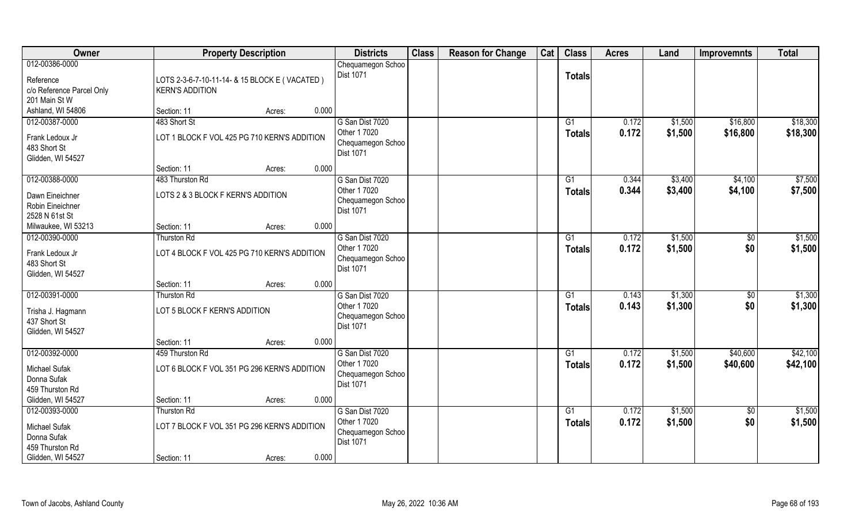| Owner                                                                  | <b>Property Description</b>                                  |        | <b>Districts</b>                                                  | <b>Class</b> | <b>Reason for Change</b> | Cat | <b>Class</b>    | <b>Acres</b>   | Land               | <b>Improvemnts</b>   | <b>Total</b>         |
|------------------------------------------------------------------------|--------------------------------------------------------------|--------|-------------------------------------------------------------------|--------------|--------------------------|-----|-----------------|----------------|--------------------|----------------------|----------------------|
| 012-00386-0000<br>Reference                                            | LOTS 2-3-6-7-10-11-14- & 15 BLOCK E (VACATED)                |        | Chequamegon Schoo<br>Dist 1071                                    |              |                          |     | <b>Totals</b>   |                |                    |                      |                      |
| c/o Reference Parcel Only<br>201 Main St W<br>Ashland, WI 54806        | <b>KERN'S ADDITION</b>                                       |        | 0.000                                                             |              |                          |     |                 |                |                    |                      |                      |
|                                                                        | Section: 11                                                  | Acres: |                                                                   |              |                          |     |                 |                |                    |                      |                      |
| 012-00387-0000<br>Frank Ledoux Jr<br>483 Short St<br>Glidden, WI 54527 | 483 Short St<br>LOT 1 BLOCK F VOL 425 PG 710 KERN'S ADDITION |        | G San Dist 7020<br>Other 1 7020<br>Chequamegon Schoo<br>Dist 1071 |              |                          |     | G1<br>Totals    | 0.172<br>0.172 | \$1,500<br>\$1,500 | \$16,800<br>\$16,800 | \$18,300<br>\$18,300 |
|                                                                        | Section: 11                                                  | Acres: | 0.000                                                             |              |                          |     |                 |                |                    |                      |                      |
| 012-00388-0000                                                         | 483 Thurston Rd                                              |        | G San Dist 7020                                                   |              |                          |     | G1              | 0.344          | \$3,400            | \$4,100              | \$7,500              |
| Dawn Eineichner<br>Robin Eineichner<br>2528 N 61st St                  | LOTS 2 & 3 BLOCK F KERN'S ADDITION                           |        | Other 1 7020<br>Chequamegon Schoo<br>Dist 1071                    |              |                          |     | <b>Totals</b>   | 0.344          | \$3,400            | \$4,100              | \$7,500              |
| Milwaukee, WI 53213                                                    | Section: 11                                                  | Acres: | 0.000                                                             |              |                          |     |                 |                |                    |                      |                      |
| 012-00390-0000                                                         | <b>Thurston Rd</b>                                           |        | G San Dist 7020                                                   |              |                          |     | G1              | 0.172          | \$1,500            | $\frac{6}{5}$        | \$1,500              |
| Frank Ledoux Jr<br>483 Short St<br>Glidden, WI 54527                   | LOT 4 BLOCK F VOL 425 PG 710 KERN'S ADDITION                 |        | Other 1 7020<br>Chequamegon Schoo<br>Dist 1071                    |              |                          |     | Totals          | 0.172          | \$1,500            | \$0                  | \$1,500              |
|                                                                        | Section: 11                                                  | Acres: | 0.000                                                             |              |                          |     |                 |                |                    |                      |                      |
| 012-00391-0000                                                         | Thurston Rd                                                  |        | G San Dist 7020                                                   |              |                          |     | $\overline{G1}$ | 0.143          | \$1,300            | $\overline{50}$      | \$1,300              |
| Trisha J. Hagmann<br>437 Short St<br>Glidden, WI 54527                 | LOT 5 BLOCK F KERN'S ADDITION                                |        | Other 1 7020<br>Chequamegon Schoo<br>Dist 1071                    |              |                          |     | <b>Totals</b>   | 0.143          | \$1,300            | \$0                  | \$1,300              |
|                                                                        | Section: 11                                                  | Acres: | 0.000                                                             |              |                          |     |                 |                |                    |                      |                      |
| 012-00392-0000                                                         | 459 Thurston Rd                                              |        | G San Dist 7020                                                   |              |                          |     | G1              | 0.172          | \$1,500            | \$40,600             | \$42,100             |
| Michael Sufak<br>Donna Sufak<br>459 Thurston Rd                        | LOT 6 BLOCK F VOL 351 PG 296 KERN'S ADDITION                 |        | Other 1 7020<br>Chequamegon Schoo<br>Dist 1071                    |              |                          |     | <b>Totals</b>   | 0.172          | \$1,500            | \$40,600             | \$42,100             |
| Glidden, WI 54527                                                      | Section: 11                                                  | Acres: | 0.000                                                             |              |                          |     |                 |                |                    |                      |                      |
| 012-00393-0000                                                         | Thurston Rd                                                  |        | G San Dist 7020                                                   |              |                          |     | $\overline{G1}$ | 0.172          | \$1,500            | \$0                  | \$1,500              |
| Michael Sufak<br>Donna Sufak<br>459 Thurston Rd                        | LOT 7 BLOCK F VOL 351 PG 296 KERN'S ADDITION                 |        | Other 1 7020<br>Chequamegon Schoo<br><b>Dist 1071</b><br>0.000    |              |                          |     | <b>Totals</b>   | 0.172          | \$1,500            | \$0                  | \$1,500              |
| Glidden, WI 54527                                                      | Section: 11                                                  | Acres: |                                                                   |              |                          |     |                 |                |                    |                      |                      |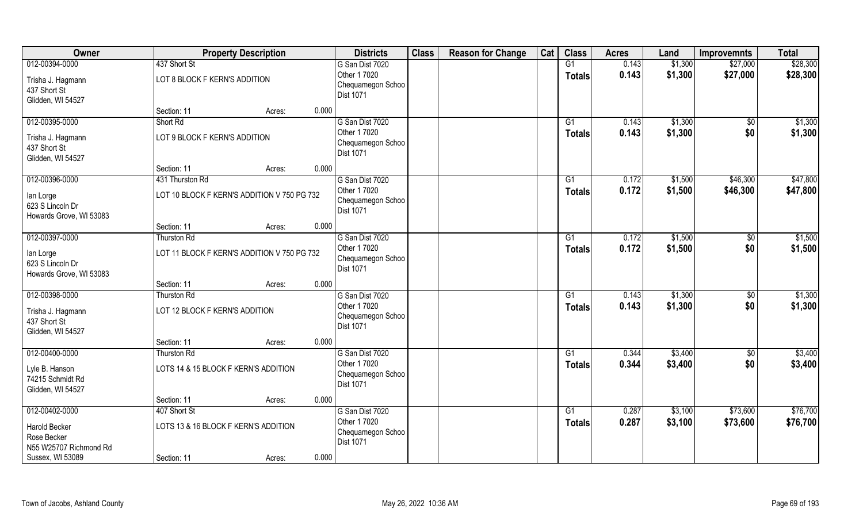| Owner                                                                      |                                                                | <b>Property Description</b> |       | <b>Districts</b>                                                         | <b>Class</b> | <b>Reason for Change</b> | Cat | <b>Class</b>              | <b>Acres</b>   | Land               | <b>Improvemnts</b>     | <b>Total</b>         |
|----------------------------------------------------------------------------|----------------------------------------------------------------|-----------------------------|-------|--------------------------------------------------------------------------|--------------|--------------------------|-----|---------------------------|----------------|--------------------|------------------------|----------------------|
| 012-00394-0000<br>Trisha J. Hagmann<br>437 Short St<br>Glidden, WI 54527   | 437 Short St<br>LOT 8 BLOCK F KERN'S ADDITION                  |                             |       | G San Dist 7020<br>Other 1 7020<br>Chequamegon Schoo<br><b>Dist 1071</b> |              |                          |     | G1<br><b>Totals</b>       | 0.143<br>0.143 | \$1,300<br>\$1,300 | \$27,000<br>\$27,000   | \$28,300<br>\$28,300 |
|                                                                            | Section: 11                                                    | Acres:                      | 0.000 |                                                                          |              |                          |     |                           |                |                    |                        |                      |
| 012-00395-0000<br>Trisha J. Hagmann<br>437 Short St<br>Glidden, WI 54527   | Short Rd<br>LOT 9 BLOCK F KERN'S ADDITION                      |                             |       | G San Dist 7020<br>Other 1 7020<br>Chequamegon Schoo<br><b>Dist 1071</b> |              |                          |     | G1<br>Totals              | 0.143<br>0.143 | \$1,300<br>\$1,300 | $\overline{50}$<br>\$0 | \$1,300<br>\$1,300   |
|                                                                            | Section: 11                                                    | Acres:                      | 0.000 |                                                                          |              |                          |     |                           |                |                    |                        |                      |
| 012-00396-0000<br>lan Lorge<br>623 S Lincoln Dr<br>Howards Grove, WI 53083 | 431 Thurston Rd<br>LOT 10 BLOCK F KERN'S ADDITION V 750 PG 732 |                             |       | G San Dist 7020<br>Other 1 7020<br>Chequamegon Schoo<br>Dist 1071        |              |                          |     | G1<br><b>Totals</b>       | 0.172<br>0.172 | \$1,500<br>\$1,500 | \$46,300<br>\$46,300   | \$47,800<br>\$47,800 |
|                                                                            | Section: 11                                                    | Acres:                      | 0.000 |                                                                          |              |                          |     |                           |                |                    |                        |                      |
| 012-00397-0000<br>lan Lorge                                                | Thurston Rd<br>LOT 11 BLOCK F KERN'S ADDITION V 750 PG 732     |                             |       | G San Dist 7020<br>Other 1 7020                                          |              |                          |     | G1<br><b>Totals</b>       | 0.172<br>0.172 | \$1,500<br>\$1,500 | \$0<br>\$0             | \$1,500<br>\$1,500   |
| 623 S Lincoln Dr<br>Howards Grove, WI 53083                                |                                                                |                             |       | Chequamegon Schoo<br><b>Dist 1071</b>                                    |              |                          |     |                           |                |                    |                        |                      |
|                                                                            | Section: 11                                                    | Acres:                      | 0.000 |                                                                          |              |                          |     |                           |                |                    |                        |                      |
| 012-00398-0000<br>Trisha J. Hagmann<br>437 Short St<br>Glidden, WI 54527   | <b>Thurston Rd</b><br>LOT 12 BLOCK F KERN'S ADDITION           |                             |       | G San Dist 7020<br>Other 1 7020<br>Chequamegon Schoo<br>Dist 1071        |              |                          |     | $\overline{G1}$<br>Totals | 0.143<br>0.143 | \$1,300<br>\$1,300 | $\overline{50}$<br>\$0 | \$1,300<br>\$1,300   |
|                                                                            | Section: 11                                                    | Acres:                      | 0.000 |                                                                          |              |                          |     |                           |                |                    |                        |                      |
| 012-00400-0000                                                             | <b>Thurston Rd</b>                                             |                             |       | G San Dist 7020                                                          |              |                          |     | G1                        | 0.344          | \$3,400            | \$0                    | \$3,400              |
| Lyle B. Hanson<br>74215 Schmidt Rd<br>Glidden, WI 54527                    | LOTS 14 & 15 BLOCK F KERN'S ADDITION                           |                             |       | Other 1 7020<br>Chequamegon Schoo<br>Dist 1071                           |              |                          |     | <b>Totals</b>             | 0.344          | \$3,400            | \$0                    | \$3,400              |
|                                                                            | Section: 11                                                    | Acres:                      | 0.000 |                                                                          |              |                          |     |                           |                |                    |                        |                      |
| 012-00402-0000                                                             | 407 Short St                                                   |                             |       | G San Dist 7020                                                          |              |                          |     | $\overline{G1}$           | 0.287          | \$3,100            | \$73,600               | \$76,700             |
| Harold Becker<br>Rose Becker<br>N55 W25707 Richmond Rd                     | LOTS 13 & 16 BLOCK F KERN'S ADDITION                           |                             |       | Other 1 7020<br>Chequamegon Schoo<br>Dist 1071                           |              |                          |     | Totals                    | 0.287          | \$3,100            | \$73,600               | \$76,700             |
| Sussex, WI 53089                                                           | Section: 11                                                    | Acres:                      | 0.000 |                                                                          |              |                          |     |                           |                |                    |                        |                      |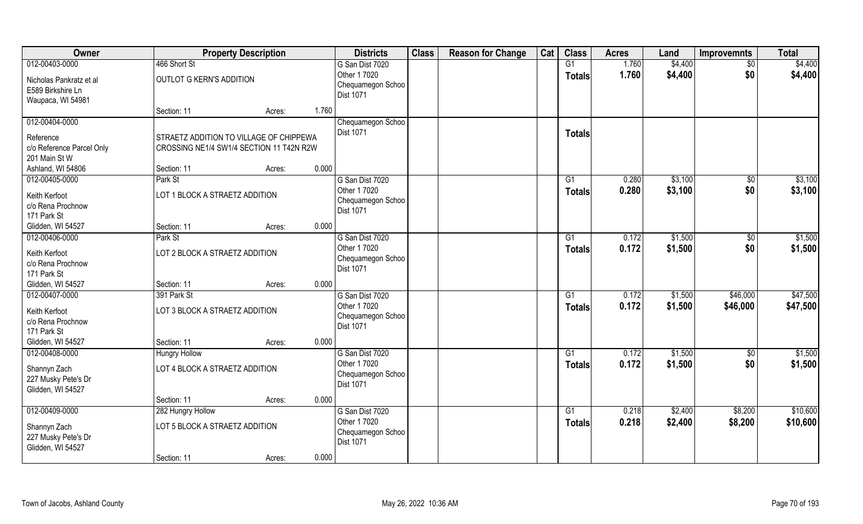| Owner                                                             |                                                                                     | <b>Property Description</b> |       | <b>Districts</b>                                      | <b>Class</b> | <b>Reason for Change</b> | Cat | <b>Class</b>    | <b>Acres</b> | Land    | <b>Improvemnts</b> | <b>Total</b> |
|-------------------------------------------------------------------|-------------------------------------------------------------------------------------|-----------------------------|-------|-------------------------------------------------------|--------------|--------------------------|-----|-----------------|--------------|---------|--------------------|--------------|
| 012-00403-0000                                                    | 466 Short St                                                                        |                             |       | G San Dist 7020                                       |              |                          |     | G1              | 1.760        | \$4,400 | $\overline{50}$    | \$4,400      |
| Nicholas Pankratz et al<br>E589 Birkshire Ln<br>Waupaca, WI 54981 | OUTLOT G KERN'S ADDITION                                                            |                             |       | Other 1 7020<br>Chequamegon Schoo<br>Dist 1071        |              |                          |     | <b>Totals</b>   | 1.760        | \$4,400 | \$0                | \$4,400      |
|                                                                   | Section: 11                                                                         | Acres:                      | 1.760 |                                                       |              |                          |     |                 |              |         |                    |              |
| 012-00404-0000                                                    |                                                                                     |                             |       | Chequamegon Schoo                                     |              |                          |     |                 |              |         |                    |              |
| Reference<br>c/o Reference Parcel Only<br>201 Main St W           | STRAETZ ADDITION TO VILLAGE OF CHIPPEWA<br>CROSSING NE1/4 SW1/4 SECTION 11 T42N R2W |                             |       | <b>Dist 1071</b>                                      |              |                          |     | <b>Totals</b>   |              |         |                    |              |
| Ashland, WI 54806                                                 | Section: 11                                                                         | Acres:                      | 0.000 |                                                       |              |                          |     |                 |              |         |                    |              |
| 012-00405-0000                                                    | Park St                                                                             |                             |       | G San Dist 7020                                       |              |                          |     | G1              | 0.280        | \$3,100 | \$0                | \$3,100      |
| Keith Kerfoot                                                     | LOT 1 BLOCK A STRAETZ ADDITION                                                      |                             |       | Other 1 7020                                          |              |                          |     | <b>Totals</b>   | 0.280        | \$3,100 | \$0                | \$3,100      |
| c/o Rena Prochnow<br>171 Park St                                  |                                                                                     |                             |       | Chequamegon Schoo<br>Dist 1071                        |              |                          |     |                 |              |         |                    |              |
| Glidden, WI 54527                                                 | Section: 11                                                                         | Acres:                      | 0.000 |                                                       |              |                          |     |                 |              |         |                    |              |
| 012-00406-0000                                                    | Park St                                                                             |                             |       | G San Dist 7020                                       |              |                          |     | G1              | 0.172        | \$1,500 | \$0                | \$1,500      |
| Keith Kerfoot<br>c/o Rena Prochnow<br>171 Park St                 | LOT 2 BLOCK A STRAETZ ADDITION                                                      |                             |       | Other 1 7020<br>Chequamegon Schoo<br><b>Dist 1071</b> |              |                          |     | <b>Totals</b>   | 0.172        | \$1,500 | \$0                | \$1,500      |
| Glidden, WI 54527                                                 | Section: 11                                                                         | Acres:                      | 0.000 |                                                       |              |                          |     |                 |              |         |                    |              |
| 012-00407-0000                                                    | 391 Park St                                                                         |                             |       | G San Dist 7020                                       |              |                          |     | $\overline{G1}$ | 0.172        | \$1,500 | \$46,000           | \$47,500     |
| Keith Kerfoot<br>c/o Rena Prochnow<br>171 Park St                 | LOT 3 BLOCK A STRAETZ ADDITION                                                      |                             |       | Other 1 7020<br>Chequamegon Schoo<br>Dist 1071        |              |                          |     | Totals          | 0.172        | \$1,500 | \$46,000           | \$47,500     |
| Glidden, WI 54527                                                 | Section: 11                                                                         | Acres:                      | 0.000 |                                                       |              |                          |     |                 |              |         |                    |              |
| 012-00408-0000                                                    | <b>Hungry Hollow</b>                                                                |                             |       | G San Dist 7020                                       |              |                          |     | G1              | 0.172        | \$1,500 | \$0                | \$1,500      |
| Shannyn Zach<br>227 Musky Pete's Dr<br>Glidden, WI 54527          | LOT 4 BLOCK A STRAETZ ADDITION                                                      |                             |       | Other 1 7020<br>Chequamegon Schoo<br>Dist 1071        |              |                          |     | <b>Totals</b>   | 0.172        | \$1,500 | \$0                | \$1,500      |
|                                                                   | Section: 11                                                                         | Acres:                      | 0.000 |                                                       |              |                          |     |                 |              |         |                    |              |
| 012-00409-0000                                                    | 282 Hungry Hollow                                                                   |                             |       | G San Dist 7020                                       |              |                          |     | $\overline{G1}$ | 0.218        | \$2,400 | \$8,200            | \$10,600     |
| Shannyn Zach<br>227 Musky Pete's Dr<br>Glidden, WI 54527          | LOT 5 BLOCK A STRAETZ ADDITION                                                      |                             |       | Other 1 7020<br>Chequamegon Schoo<br>Dist 1071        |              |                          |     | Totals          | 0.218        | \$2,400 | \$8,200            | \$10,600     |
|                                                                   | Section: 11                                                                         | Acres:                      | 0.000 |                                                       |              |                          |     |                 |              |         |                    |              |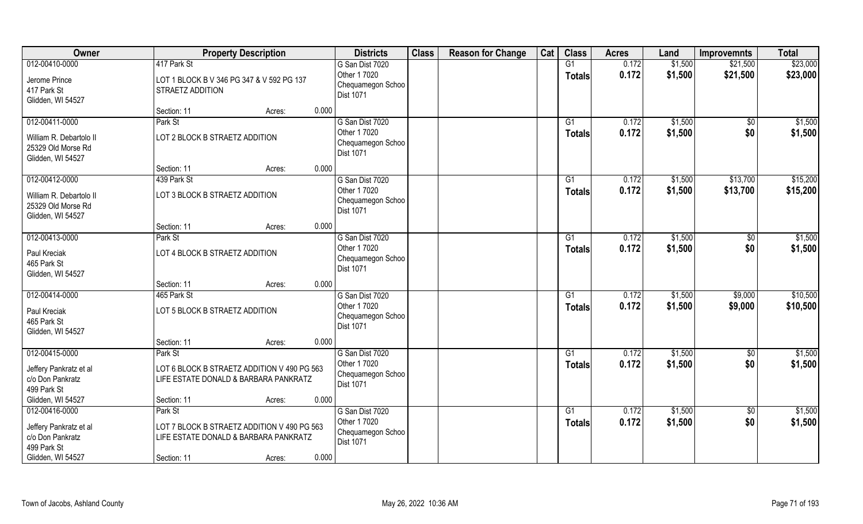| Owner                                                                                            | <b>Property Description</b>                                                                                                       | <b>Districts</b>                                                         | <b>Class</b> | <b>Reason for Change</b> | Cat | <b>Class</b>        | <b>Acres</b>   | Land               | <b>Improvemnts</b>     | <b>Total</b>         |
|--------------------------------------------------------------------------------------------------|-----------------------------------------------------------------------------------------------------------------------------------|--------------------------------------------------------------------------|--------------|--------------------------|-----|---------------------|----------------|--------------------|------------------------|----------------------|
| 012-00410-0000<br>Jerome Prince<br>417 Park St<br>Glidden, WI 54527                              | 417 Park St<br>LOT 1 BLOCK B V 346 PG 347 & V 592 PG 137<br>STRAETZ ADDITION                                                      | G San Dist 7020<br>Other 1 7020<br>Chequamegon Schoo<br><b>Dist 1071</b> |              |                          |     | G1<br><b>Totals</b> | 0.172<br>0.172 | \$1,500<br>\$1,500 | \$21,500<br>\$21,500   | \$23,000<br>\$23,000 |
|                                                                                                  | 0.000<br>Section: 11<br>Acres:                                                                                                    |                                                                          |              |                          |     |                     |                |                    |                        |                      |
| 012-00411-0000<br>William R. Debartolo II<br>25329 Old Morse Rd<br>Glidden, WI 54527             | Park St<br>LOT 2 BLOCK B STRAETZ ADDITION                                                                                         | G San Dist 7020<br>Other 1 7020<br>Chequamegon Schoo<br><b>Dist 1071</b> |              |                          |     | G1<br>Totals        | 0.172<br>0.172 | \$1,500<br>\$1,500 | $\overline{50}$<br>\$0 | \$1,500<br>\$1,500   |
|                                                                                                  | 0.000<br>Section: 11<br>Acres:                                                                                                    |                                                                          |              |                          |     |                     |                |                    |                        |                      |
| 012-00412-0000<br>William R. Debartolo II<br>25329 Old Morse Rd<br>Glidden, WI 54527             | 439 Park St<br>LOT 3 BLOCK B STRAETZ ADDITION                                                                                     | G San Dist 7020<br>Other 1 7020<br>Chequamegon Schoo<br><b>Dist 1071</b> |              |                          |     | G1<br><b>Totals</b> | 0.172<br>0.172 | \$1,500<br>\$1,500 | \$13,700<br>\$13,700   | \$15,200<br>\$15,200 |
|                                                                                                  | 0.000<br>Section: 11<br>Acres:                                                                                                    |                                                                          |              |                          |     |                     |                |                    |                        |                      |
| 012-00413-0000<br>Paul Kreciak<br>465 Park St<br>Glidden, WI 54527                               | Park St<br>LOT 4 BLOCK B STRAETZ ADDITION                                                                                         | G San Dist 7020<br>Other 1 7020<br>Chequamegon Schoo<br><b>Dist 1071</b> |              |                          |     | G1<br><b>Totals</b> | 0.172<br>0.172 | \$1,500<br>\$1,500 | \$0<br>\$0             | \$1,500<br>\$1,500   |
|                                                                                                  | 0.000<br>Section: 11<br>Acres:                                                                                                    |                                                                          |              |                          |     |                     |                |                    |                        |                      |
| 012-00414-0000<br>Paul Kreciak<br>465 Park St<br>Glidden, WI 54527                               | 465 Park St<br>LOT 5 BLOCK B STRAETZ ADDITION                                                                                     | G San Dist 7020<br>Other 1 7020<br>Chequamegon Schoo<br><b>Dist 1071</b> |              |                          |     | G1<br><b>Totals</b> | 0.172<br>0.172 | \$1,500<br>\$1,500 | \$9,000<br>\$9,000     | \$10,500<br>\$10,500 |
|                                                                                                  | 0.000<br>Section: 11<br>Acres:                                                                                                    |                                                                          |              |                          |     |                     |                |                    |                        |                      |
| 012-00415-0000<br>Jeffery Pankratz et al<br>c/o Don Pankratz<br>499 Park St<br>Glidden, WI 54527 | Park St<br>LOT 6 BLOCK B STRAETZ ADDITION V 490 PG 563<br>LIFE ESTATE DONALD & BARBARA PANKRATZ<br>0.000<br>Section: 11<br>Acres: | G San Dist 7020<br>Other 1 7020<br>Chequamegon Schoo<br><b>Dist 1071</b> |              |                          |     | G1<br><b>Totals</b> | 0.172<br>0.172 | \$1,500<br>\$1,500 | \$0<br>\$0             | \$1,500<br>\$1,500   |
| 012-00416-0000                                                                                   | Park St                                                                                                                           | G San Dist 7020                                                          |              |                          |     | G1                  | 0.172          | \$1,500            | $\sqrt{6}$             | \$1,500              |
| Jeffery Pankratz et al<br>c/o Don Pankratz<br>499 Park St<br>Glidden, WI 54527                   | LOT 7 BLOCK B STRAETZ ADDITION V 490 PG 563<br>LIFE ESTATE DONALD & BARBARA PANKRATZ<br>0.000<br>Section: 11<br>Acres:            | Other 1 7020<br>Chequamegon Schoo<br><b>Dist 1071</b>                    |              |                          |     | <b>Totals</b>       | 0.172          | \$1,500            | \$0                    | \$1,500              |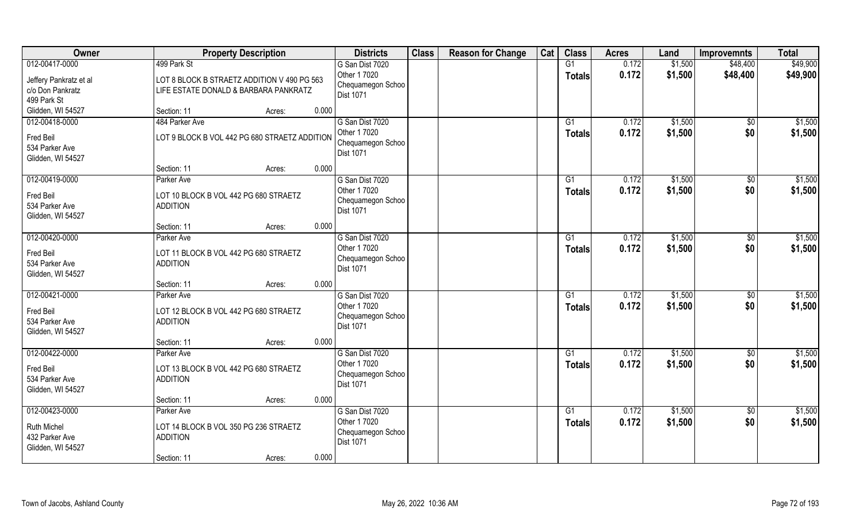| Owner                                                              | <b>Property Description</b>                                                          | <b>Districts</b>                                                  | <b>Class</b> | <b>Reason for Change</b> | Cat | <b>Class</b>  | <b>Acres</b>   | Land               | <b>Improvemnts</b> | <b>Total</b>       |
|--------------------------------------------------------------------|--------------------------------------------------------------------------------------|-------------------------------------------------------------------|--------------|--------------------------|-----|---------------|----------------|--------------------|--------------------|--------------------|
| 012-00417-0000                                                     | 499 Park St                                                                          | G San Dist 7020                                                   |              |                          |     | G1            | 0.172          | \$1,500            | \$48,400           | \$49,900           |
| Jeffery Pankratz et al<br>c/o Don Pankratz                         | LOT 8 BLOCK B STRAETZ ADDITION V 490 PG 563<br>LIFE ESTATE DONALD & BARBARA PANKRATZ | Other 1 7020<br>Chequamegon Schoo<br>Dist 1071                    |              |                          |     | <b>Totals</b> | 0.172          | \$1,500            | \$48,400           | \$49,900           |
| 499 Park St                                                        |                                                                                      |                                                                   |              |                          |     |               |                |                    |                    |                    |
| Glidden, WI 54527                                                  | 0.000<br>Section: 11<br>Acres:                                                       |                                                                   |              |                          |     |               |                |                    |                    |                    |
| 012-00418-0000<br>Fred Beil<br>534 Parker Ave<br>Glidden, WI 54527 | 484 Parker Ave<br>LOT 9 BLOCK B VOL 442 PG 680 STRAETZ ADDITION                      | G San Dist 7020<br>Other 1 7020<br>Chequamegon Schoo<br>Dist 1071 |              |                          |     | G1<br>Totals  | 0.172<br>0.172 | \$1,500<br>\$1,500 | $\sqrt{$0}$<br>\$0 | \$1,500<br>\$1,500 |
|                                                                    | 0.000<br>Section: 11<br>Acres:                                                       |                                                                   |              |                          |     |               |                |                    |                    |                    |
| 012-00419-0000                                                     | Parker Ave                                                                           | G San Dist 7020                                                   |              |                          |     | G1            | 0.172          | \$1,500            | $\overline{50}$    | \$1,500            |
| Fred Beil<br>534 Parker Ave<br>Glidden, WI 54527                   | LOT 10 BLOCK B VOL 442 PG 680 STRAETZ<br><b>ADDITION</b>                             | Other 1 7020<br>Chequamegon Schoo<br>Dist 1071                    |              |                          |     | <b>Totals</b> | 0.172          | \$1,500            | \$0                | \$1,500            |
|                                                                    | 0.000<br>Section: 11<br>Acres:                                                       |                                                                   |              |                          |     |               |                |                    |                    |                    |
| 012-00420-0000                                                     | Parker Ave                                                                           | G San Dist 7020                                                   |              |                          |     | G1            | 0.172          | \$1,500            | \$0                | \$1,500            |
| Fred Beil<br>534 Parker Ave<br>Glidden, WI 54527                   | LOT 11 BLOCK B VOL 442 PG 680 STRAETZ<br><b>ADDITION</b>                             | Other 1 7020<br>Chequamegon Schoo<br>Dist 1071                    |              |                          |     | <b>Totals</b> | 0.172          | \$1,500            | \$0                | \$1,500            |
|                                                                    | 0.000<br>Section: 11<br>Acres:                                                       |                                                                   |              |                          |     |               |                |                    |                    |                    |
| 012-00421-0000                                                     | Parker Ave                                                                           | G San Dist 7020                                                   |              |                          |     | G1            | 0.172          | \$1,500            | $\sqrt[6]{30}$     | \$1,500            |
| Fred Beil<br>534 Parker Ave<br>Glidden, WI 54527                   | LOT 12 BLOCK B VOL 442 PG 680 STRAETZ<br><b>ADDITION</b>                             | Other 1 7020<br>Chequamegon Schoo<br>Dist 1071                    |              |                          |     | Totals        | 0.172          | \$1,500            | \$0                | \$1,500            |
|                                                                    | 0.000<br>Section: 11<br>Acres:                                                       |                                                                   |              |                          |     |               |                |                    |                    |                    |
| 012-00422-0000                                                     | Parker Ave                                                                           | G San Dist 7020                                                   |              |                          |     | G1            | 0.172          | \$1,500            | \$0                | \$1,500            |
| Fred Beil<br>534 Parker Ave<br>Glidden, WI 54527                   | LOT 13 BLOCK B VOL 442 PG 680 STRAETZ<br><b>ADDITION</b>                             | Other 1 7020<br>Chequamegon Schoo<br>Dist 1071                    |              |                          |     | <b>Totals</b> | 0.172          | \$1,500            | \$0                | \$1,500            |
|                                                                    | 0.000<br>Section: 11<br>Acres:                                                       |                                                                   |              |                          |     |               |                |                    |                    |                    |
| 012-00423-0000                                                     | Parker Ave                                                                           | G San Dist 7020                                                   |              |                          |     | G1            | 0.172          | \$1,500            | $\sqrt{$0}$        | \$1,500            |
| <b>Ruth Michel</b><br>432 Parker Ave<br>Glidden, WI 54527          | LOT 14 BLOCK B VOL 350 PG 236 STRAETZ<br><b>ADDITION</b>                             | Other 1 7020<br>Chequamegon Schoo<br><b>Dist 1071</b>             |              |                          |     | <b>Totals</b> | 0.172          | \$1,500            | \$0                | \$1,500            |
|                                                                    | 0.000<br>Section: 11<br>Acres:                                                       |                                                                   |              |                          |     |               |                |                    |                    |                    |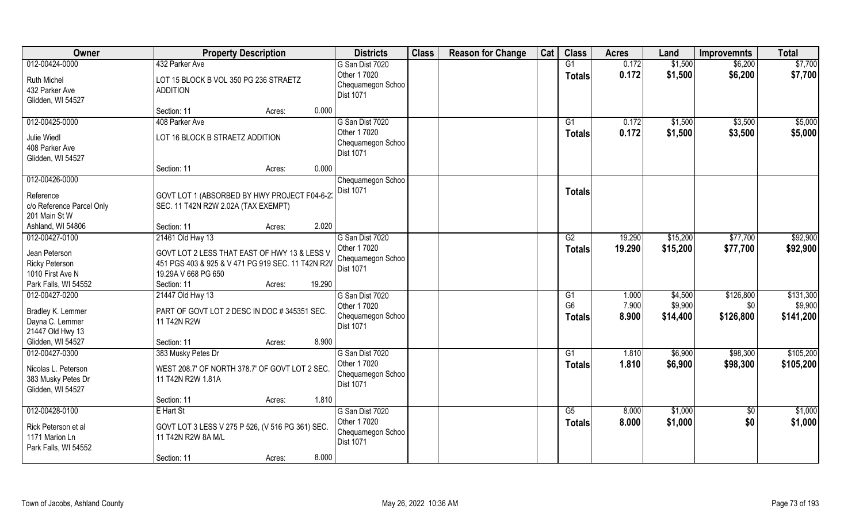| Owner                                                                       | <b>Property Description</b>                                                                                              |        | <b>Districts</b>                                                         | <b>Class</b> | <b>Reason for Change</b> | Cat | <b>Class</b>                   | <b>Acres</b>            | Land                           | <b>Improvemnts</b>            | <b>Total</b>                      |
|-----------------------------------------------------------------------------|--------------------------------------------------------------------------------------------------------------------------|--------|--------------------------------------------------------------------------|--------------|--------------------------|-----|--------------------------------|-------------------------|--------------------------------|-------------------------------|-----------------------------------|
| 012-00424-0000<br><b>Ruth Michel</b><br>432 Parker Ave<br>Glidden, WI 54527 | 432 Parker Ave<br>LOT 15 BLOCK B VOL 350 PG 236 STRAETZ<br><b>ADDITION</b>                                               |        | G San Dist 7020<br>Other 1 7020<br>Chequamegon Schoo<br>Dist 1071        |              |                          |     | G1<br><b>Totals</b>            | 0.172<br>0.172          | \$1,500<br>\$1,500             | \$6,200<br>\$6,200            | \$7,700<br>\$7,700                |
|                                                                             | Section: 11<br>Acres:                                                                                                    | 0.000  |                                                                          |              |                          |     |                                |                         |                                |                               |                                   |
| 012-00425-0000<br>Julie Wiedl<br>408 Parker Ave<br>Glidden, WI 54527        | 408 Parker Ave<br>LOT 16 BLOCK B STRAETZ ADDITION                                                                        |        | G San Dist 7020<br>Other 1 7020<br>Chequamegon Schoo<br>Dist 1071        |              |                          |     | $\overline{G1}$<br>Totals      | 0.172<br>0.172          | \$1,500<br>\$1,500             | \$3,500<br>\$3,500            | \$5,000<br>\$5,000                |
|                                                                             | Section: 11<br>Acres:                                                                                                    | 0.000  |                                                                          |              |                          |     |                                |                         |                                |                               |                                   |
| 012-00426-0000<br>Reference<br>c/o Reference Parcel Only<br>201 Main St W   | GOVT LOT 1 (ABSORBED BY HWY PROJECT F04-6-2)<br>SEC. 11 T42N R2W 2.02A (TAX EXEMPT)                                      |        | Chequamegon Schoo<br>Dist 1071                                           |              |                          |     | <b>Totals</b>                  |                         |                                |                               |                                   |
| Ashland, WI 54806                                                           | Section: 11<br>Acres:                                                                                                    | 2.020  |                                                                          |              |                          |     |                                |                         |                                |                               |                                   |
| 012-00427-0100                                                              | 21461 Old Hwy 13                                                                                                         |        | G San Dist 7020<br>Other 1 7020                                          |              |                          |     | G2                             | 19.290                  | \$15,200                       | \$77,700                      | \$92,900                          |
| Jean Peterson<br><b>Ricky Peterson</b><br>1010 First Ave N                  | GOVT LOT 2 LESS THAT EAST OF HWY 13 & LESS V<br>451 PGS 403 & 925 & V 471 PG 919 SEC. 11 T42N R2V<br>19.29A V 668 PG 650 |        | Chequamegon Schoo<br>Dist 1071                                           |              |                          |     | <b>Totals</b>                  | 19.290                  | \$15,200                       | \$77,700                      | \$92,900                          |
| Park Falls, WI 54552                                                        | Section: 11<br>Acres:                                                                                                    | 19.290 |                                                                          |              |                          |     |                                |                         |                                |                               |                                   |
| 012-00427-0200<br>Bradley K. Lemmer<br>Dayna C. Lemmer<br>21447 Old Hwy 13  | 21447 Old Hwy 13<br>PART OF GOVT LOT 2 DESC IN DOC # 345351 SEC.<br>11 T42N R2W                                          |        | G San Dist 7020<br>Other 1 7020<br>Chequamegon Schoo<br><b>Dist 1071</b> |              |                          |     | G1<br>G <sub>6</sub><br>Totals | 1.000<br>7.900<br>8.900 | \$4,500<br>\$9,900<br>\$14,400 | \$126,800<br>\$0<br>\$126,800 | \$131,300<br>\$9,900<br>\$141,200 |
| Glidden, WI 54527                                                           | Section: 11<br>Acres:                                                                                                    | 8.900  |                                                                          |              |                          |     |                                |                         |                                |                               |                                   |
| 012-00427-0300                                                              | 383 Musky Petes Dr                                                                                                       |        | G San Dist 7020                                                          |              |                          |     | G1                             | 1.810                   | \$6,900                        | \$98,300                      | \$105,200                         |
| Nicolas L. Peterson<br>383 Musky Petes Dr<br>Glidden, WI 54527              | WEST 208.7' OF NORTH 378.7' OF GOVT LOT 2 SEC.<br>11 T42N R2W 1.81A                                                      |        | Other 1 7020<br>Chequamegon Schoo<br>Dist 1071                           |              |                          |     | <b>Totals</b>                  | 1.810                   | \$6,900                        | \$98,300                      | \$105,200                         |
|                                                                             | Section: 11<br>Acres:                                                                                                    | 1.810  |                                                                          |              |                          |     |                                |                         |                                |                               |                                   |
| 012-00428-0100<br>Rick Peterson et al<br>1171 Marion Ln                     | E Hart St<br>GOVT LOT 3 LESS V 275 P 526, (V 516 PG 361) SEC.<br>11 T42N R2W 8A M/L                                      |        | G San Dist 7020<br>Other 1 7020<br>Chequamegon Schoo<br>Dist 1071        |              |                          |     | G5<br><b>Totals</b>            | 8.000<br>8.000          | \$1,000<br>\$1,000             | $\sqrt{$0}$<br>\$0            | \$1,000<br>\$1,000                |
| Park Falls, WI 54552                                                        | Section: 11<br>Acres:                                                                                                    | 8.000  |                                                                          |              |                          |     |                                |                         |                                |                               |                                   |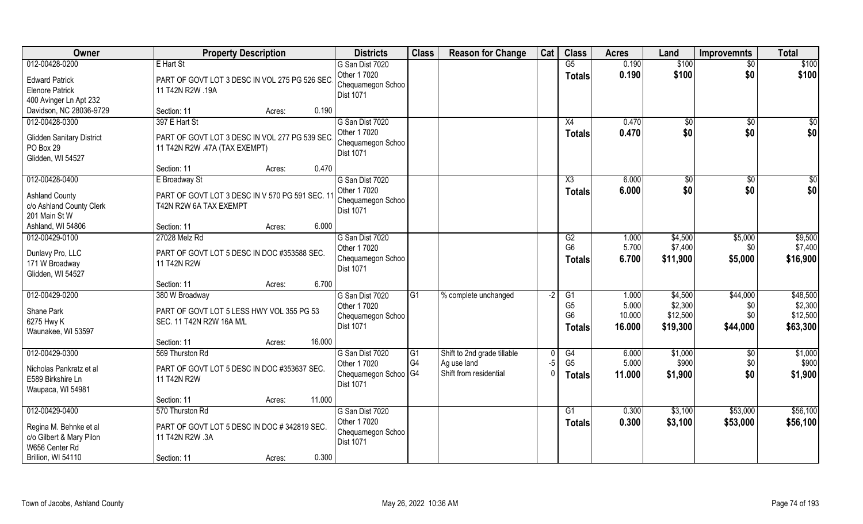| Owner                                                                                                        | <b>Property Description</b>                                                                                                       | <b>Districts</b>                                                              | <b>Class</b>         | <b>Reason for Change</b>                                             | Cat         | <b>Class</b>                                                         | <b>Acres</b>                       | Land                                       | <b>Improvemnts</b>                 | <b>Total</b>                                |
|--------------------------------------------------------------------------------------------------------------|-----------------------------------------------------------------------------------------------------------------------------------|-------------------------------------------------------------------------------|----------------------|----------------------------------------------------------------------|-------------|----------------------------------------------------------------------|------------------------------------|--------------------------------------------|------------------------------------|---------------------------------------------|
| 012-00428-0200<br><b>Edward Patrick</b><br><b>Elenore Patrick</b><br>400 Avinger Ln Apt 232                  | E Hart St<br>PART OF GOVT LOT 3 DESC IN VOL 275 PG 526 SEC.<br>11 T42N R2W .19A                                                   | G San Dist 7020<br>Other 1 7020<br>Chequamegon Schoo<br>Dist 1071             |                      |                                                                      |             | G5<br><b>Totals</b>                                                  | 0.190<br>0.190                     | \$100<br>\$100                             | $\sqrt{$0}$<br>\$0                 | \$100<br>\$100                              |
| Davidson, NC 28036-9729                                                                                      | 0.190<br>Section: 11<br>Acres:                                                                                                    |                                                                               |                      |                                                                      |             |                                                                      |                                    |                                            |                                    |                                             |
| 012-00428-0300<br><b>Glidden Sanitary District</b><br>PO Box 29<br>Glidden, WI 54527                         | 397 E Hart St<br>PART OF GOVT LOT 3 DESC IN VOL 277 PG 539 SEC<br>11 T42N R2W .47A (TAX EXEMPT)<br>0.470<br>Section: 11<br>Acres: | G San Dist 7020<br>Other 1 7020<br>Chequamegon Schoo<br>Dist 1071             |                      |                                                                      |             | X4<br>Totals                                                         | 0.470<br>0.470                     | \$0<br>\$0                                 | \$0<br>\$0                         | \$0<br>\$0                                  |
| 012-00428-0400                                                                                               | E Broadway St                                                                                                                     | G San Dist 7020                                                               |                      |                                                                      |             | X3                                                                   | 6.000                              | $\sqrt{50}$                                | \$0                                | $\sqrt{50}$                                 |
| <b>Ashland County</b><br>c/o Ashland County Clerk<br>201 Main St W                                           | PART OF GOVT LOT 3 DESC IN V 570 PG 591 SEC. 11<br>T42N R2W 6A TAX EXEMPT                                                         | Other 1 7020<br>Chequamegon Schoo<br>Dist 1071                                |                      |                                                                      |             | <b>Totals</b>                                                        | 6.000                              | \$0                                        | \$0                                | \$0                                         |
| Ashland, WI 54806                                                                                            | 6.000<br>Section: 11<br>Acres:                                                                                                    |                                                                               |                      |                                                                      |             |                                                                      |                                    |                                            |                                    |                                             |
| 012-00429-0100<br>Dunlavy Pro, LLC<br>171 W Broadway<br>Glidden, WI 54527                                    | 27028 Melz Rd<br>PART OF GOVT LOT 5 DESC IN DOC #353588 SEC.<br>11 T42N R2W                                                       | G San Dist 7020<br>Other 1 7020<br>Chequamegon Schoo<br><b>Dist 1071</b>      |                      |                                                                      |             | G2<br>G <sub>6</sub><br>Totals                                       | 1.000<br>5.700<br>6.700            | \$4,500<br>\$7,400<br>\$11,900             | \$5,000<br>\$0<br>\$5,000          | \$9,500<br>\$7,400<br>\$16,900              |
|                                                                                                              | 6.700<br>Section: 11<br>Acres:                                                                                                    |                                                                               |                      |                                                                      |             |                                                                      |                                    |                                            |                                    |                                             |
| 012-00429-0200<br>Shane Park<br>6275 Hwy K<br>Waunakee, WI 53597                                             | 380 W Broadway<br>PART OF GOVT LOT 5 LESS HWY VOL 355 PG 53<br>SEC. 11 T42N R2W 16A M/L                                           | G San Dist 7020<br>Other 1 7020<br>Chequamegon Schoo<br><b>Dist 1071</b>      | $\overline{G1}$      | % complete unchanged                                                 | $-2$        | $\overline{G1}$<br>G <sub>5</sub><br>G <sub>6</sub><br><b>Totals</b> | 1.000<br>5.000<br>10.000<br>16.000 | \$4,500<br>\$2,300<br>\$12,500<br>\$19,300 | \$44,000<br>\$0<br>\$0<br>\$44,000 | \$48,500<br>\$2,300<br>\$12,500<br>\$63,300 |
|                                                                                                              | 16.000<br>Section: 11<br>Acres:                                                                                                   |                                                                               |                      |                                                                      |             |                                                                      |                                    |                                            |                                    |                                             |
| 012-00429-0300<br>Nicholas Pankratz et al<br>E589 Birkshire Ln<br>Waupaca, WI 54981                          | 569 Thurston Rd<br>PART OF GOVT LOT 5 DESC IN DOC #353637 SEC.<br>11 T42N R2W                                                     | G San Dist 7020<br>Other 1 7020<br>Chequamegon Schoo   G4<br><b>Dist 1071</b> | G1<br>G <sub>4</sub> | Shift to 2nd grade tillable<br>Ag use land<br>Shift from residential | $-5$<br>- 0 | G4<br>G <sub>5</sub><br><b>Totals</b>                                | 6.000<br>5.000<br>11.000           | \$1,000<br>\$900<br>\$1,900                | \$0<br>\$0<br>\$0                  | \$1,000<br>\$900<br>\$1,900                 |
|                                                                                                              | 11.000<br>Section: 11<br>Acres:                                                                                                   |                                                                               |                      |                                                                      |             |                                                                      |                                    |                                            |                                    |                                             |
| 012-00429-0400<br>Regina M. Behnke et al<br>c/o Gilbert & Mary Pilon<br>W656 Center Rd<br>Brillion, WI 54110 | 570 Thurston Rd<br>PART OF GOVT LOT 5 DESC IN DOC # 342819 SEC.<br>11 T42N R2W .3A<br>0.300<br>Section: 11<br>Acres:              | G San Dist 7020<br>Other 1 7020<br>Chequamegon Schoo<br>Dist 1071             |                      |                                                                      |             | G1<br><b>Totals</b>                                                  | 0.300<br>0.300                     | \$3,100<br>\$3,100                         | \$53,000<br>\$53,000               | \$56,100<br>\$56,100                        |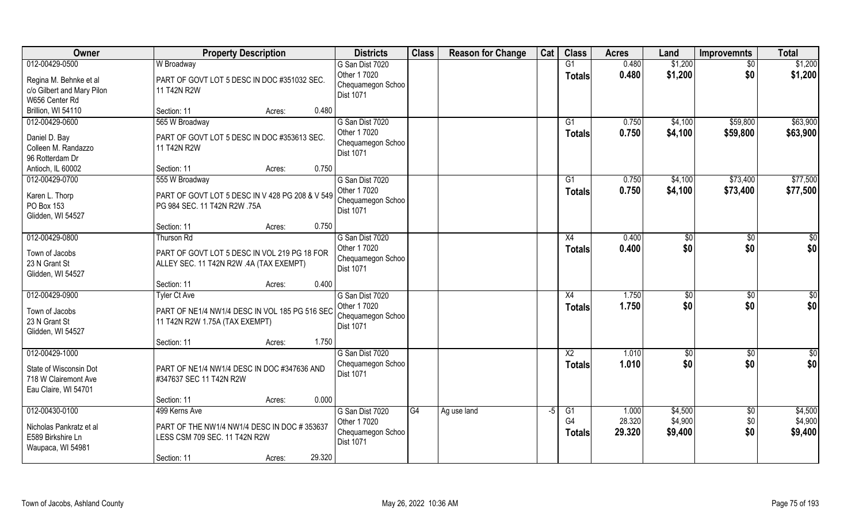| Owner                           | <b>Property Description</b>                     | <b>Districts</b>                      | <b>Class</b> | <b>Reason for Change</b> | Cat  | <b>Class</b>    | <b>Acres</b> | Land    | <b>Improvemnts</b> | <b>Total</b>  |
|---------------------------------|-------------------------------------------------|---------------------------------------|--------------|--------------------------|------|-----------------|--------------|---------|--------------------|---------------|
| 012-00429-0500                  | W Broadway                                      | G San Dist 7020                       |              |                          |      | G1              | 0.480        | \$1,200 | \$0                | \$1,200       |
| Regina M. Behnke et al          | PART OF GOVT LOT 5 DESC IN DOC #351032 SEC.     | Other 1 7020                          |              |                          |      | <b>Totals</b>   | 0.480        | \$1,200 | \$0                | \$1,200       |
| c/o Gilbert and Mary Pilon      | 11 T42N R2W                                     | Chequamegon Schoo                     |              |                          |      |                 |              |         |                    |               |
| W656 Center Rd                  |                                                 | Dist 1071                             |              |                          |      |                 |              |         |                    |               |
| Brillion, WI 54110              | Section: 11<br>0.480<br>Acres:                  |                                       |              |                          |      |                 |              |         |                    |               |
| 012-00429-0600                  | 565 W Broadway                                  | G San Dist 7020                       |              |                          |      | G1              | 0.750        | \$4,100 | \$59,800           | \$63,900      |
| Daniel D. Bay                   | PART OF GOVT LOT 5 DESC IN DOC #353613 SEC.     | Other 1 7020                          |              |                          |      | <b>Totals</b>   | 0.750        | \$4,100 | \$59,800           | \$63,900      |
| Colleen M. Randazzo             | 11 T42N R2W                                     | Chequamegon Schoo                     |              |                          |      |                 |              |         |                    |               |
| 96 Rotterdam Dr                 |                                                 | <b>Dist 1071</b>                      |              |                          |      |                 |              |         |                    |               |
| Antioch, IL 60002               | Section: 11<br>0.750<br>Acres:                  |                                       |              |                          |      |                 |              |         |                    |               |
| 012-00429-0700                  | 555 W Broadway                                  | G San Dist 7020                       |              |                          |      | G1              | 0.750        | \$4,100 | \$73,400           | \$77,500      |
|                                 |                                                 | Other 1 7020                          |              |                          |      | <b>Totals</b>   | 0.750        | \$4,100 | \$73,400           | \$77,500      |
| Karen L. Thorp                  | PART OF GOVT LOT 5 DESC IN V 428 PG 208 & V 549 | Chequamegon Schoo                     |              |                          |      |                 |              |         |                    |               |
| PO Box 153<br>Glidden, WI 54527 | PG 984 SEC. 11 T42N R2W .75A                    | Dist 1071                             |              |                          |      |                 |              |         |                    |               |
|                                 | 0.750<br>Section: 11<br>Acres:                  |                                       |              |                          |      |                 |              |         |                    |               |
| 012-00429-0800                  | Thurson Rd                                      | G San Dist 7020                       |              |                          |      | X4              | 0.400        | \$0     | \$0                | \$0           |
|                                 |                                                 | Other 1 7020                          |              |                          |      | <b>Totals</b>   | 0.400        | \$0     | \$0                | \$0           |
| Town of Jacobs                  | PART OF GOVT LOT 5 DESC IN VOL 219 PG 18 FOR    | Chequamegon Schoo                     |              |                          |      |                 |              |         |                    |               |
| 23 N Grant St                   | ALLEY SEC. 11 T42N R2W .4A (TAX EXEMPT)         | Dist 1071                             |              |                          |      |                 |              |         |                    |               |
| Glidden, WI 54527               |                                                 |                                       |              |                          |      |                 |              |         |                    |               |
|                                 | 0.400<br>Section: 11<br>Acres:                  |                                       |              |                          |      |                 |              |         |                    |               |
| 012-00429-0900                  | <b>Tyler Ct Ave</b>                             | G San Dist 7020                       |              |                          |      | X4              | 1.750        | \$0     | \$0                | $\frac{6}{3}$ |
| Town of Jacobs                  | PART OF NE1/4 NW1/4 DESC IN VOL 185 PG 516 SEC  | Other 1 7020                          |              |                          |      | <b>Totals</b>   | 1.750        | \$0     | \$0                | \$0           |
| 23 N Grant St                   | 11 T42N R2W 1.75A (TAX EXEMPT)                  | Chequamegon Schoo<br><b>Dist 1071</b> |              |                          |      |                 |              |         |                    |               |
| Glidden, WI 54527               |                                                 |                                       |              |                          |      |                 |              |         |                    |               |
|                                 | 1.750<br>Section: 11<br>Acres:                  |                                       |              |                          |      |                 |              |         |                    |               |
| 012-00429-1000                  |                                                 | G San Dist 7020                       |              |                          |      | $\overline{X2}$ | 1.010        | \$0     | \$0                | $\frac{6}{3}$ |
| State of Wisconsin Dot          | PART OF NE1/4 NW1/4 DESC IN DOC #347636 AND     | Chequamegon Schoo                     |              |                          |      | <b>Totals</b>   | 1.010        | \$0     | \$0                | \$0           |
| 718 W Clairemont Ave            | #347637 SEC 11 T42N R2W                         | Dist 1071                             |              |                          |      |                 |              |         |                    |               |
| Eau Claire, WI 54701            |                                                 |                                       |              |                          |      |                 |              |         |                    |               |
|                                 | 0.000<br>Section: 11<br>Acres:                  |                                       |              |                          |      |                 |              |         |                    |               |
| 012-00430-0100                  | 499 Kerns Ave                                   | G San Dist 7020                       | G4           | Ag use land              | $-5$ | G1              | 1.000        | \$4,500 | $\sqrt[6]{}$       | \$4,500       |
| Nicholas Pankratz et al         | PART OF THE NW1/4 NW1/4 DESC IN DOC #353637     | Other 1 7020                          |              |                          |      | G4              | 28.320       | \$4,900 | \$0                | \$4,900       |
| E589 Birkshire Ln               | LESS CSM 709 SEC. 11 T42N R2W                   | Chequamegon Schoo                     |              |                          |      | <b>Totals</b>   | 29.320       | \$9,400 | \$0                | \$9,400       |
| Waupaca, WI 54981               |                                                 | <b>Dist 1071</b>                      |              |                          |      |                 |              |         |                    |               |
|                                 | 29.320<br>Section: 11<br>Acres:                 |                                       |              |                          |      |                 |              |         |                    |               |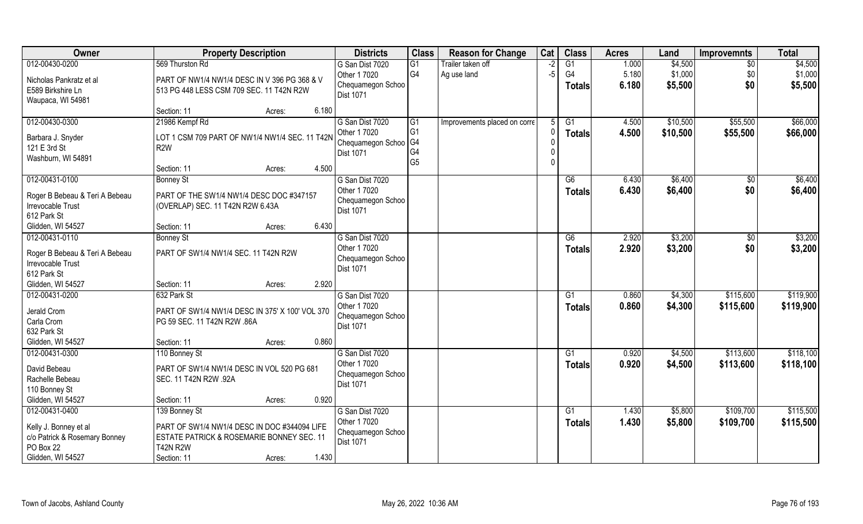| Owner                                                                                    | <b>Property Description</b>                                                                                                 |                 | <b>Districts</b>                                      | <b>Class</b>                     | <b>Reason for Change</b>     | Cat  | <b>Class</b>                     | <b>Acres</b>   | Land                 | <b>Improvemnts</b>     | <b>Total</b>           |
|------------------------------------------------------------------------------------------|-----------------------------------------------------------------------------------------------------------------------------|-----------------|-------------------------------------------------------|----------------------------------|------------------------------|------|----------------------------------|----------------|----------------------|------------------------|------------------------|
| 012-00430-0200                                                                           | 569 Thurston Rd                                                                                                             |                 | G San Dist 7020                                       | G1                               | Trailer taken off            | $-2$ | G1                               | 1.000          | \$4,500              | $\overline{60}$        | \$4,500                |
| Nicholas Pankratz et al<br>E589 Birkshire Ln<br>Waupaca, WI 54981                        | PART OF NW1/4 NW1/4 DESC IN V 396 PG 368 & V<br>513 PG 448 LESS CSM 709 SEC. 11 T42N R2W                                    |                 | Other 1 7020<br>Chequamegon Schoo<br>Dist 1071        | G <sub>4</sub>                   | Ag use land                  | $-5$ | G4<br>Totals                     | 5.180<br>6.180 | \$1,000<br>\$5,500   | \$0<br>\$0             | \$1,000<br>\$5,500     |
|                                                                                          | Section: 11                                                                                                                 | 6.180<br>Acres: |                                                       |                                  |                              |      |                                  |                |                      |                        |                        |
| 012-00430-0300                                                                           | 21986 Kempf Rd                                                                                                              |                 | G San Dist 7020<br>Other 1 7020                       | G1<br>G <sub>1</sub>             | Improvements placed on corre |      | $\overline{G1}$<br><b>Totals</b> | 4.500<br>4.500 | \$10,500<br>\$10,500 | \$55,500<br>\$55,500   | \$66,000<br>\$66,000   |
| Barbara J. Snyder<br>121 E 3rd St<br>Washburn, WI 54891                                  | LOT 1 CSM 709 PART OF NW1/4 NW1/4 SEC. 11 T42N<br>R <sub>2</sub> W                                                          |                 | Chequamegon Schoo   G4<br>Dist 1071                   | G <sub>4</sub><br>G <sub>5</sub> |                              |      |                                  |                |                      |                        |                        |
|                                                                                          | Section: 11                                                                                                                 | 4.500<br>Acres: |                                                       |                                  |                              |      |                                  |                |                      |                        |                        |
| 012-00431-0100                                                                           | <b>Bonney St</b>                                                                                                            |                 | G San Dist 7020                                       |                                  |                              |      | G6                               | 6.430          | \$6,400              | $\sqrt[6]{}$           | \$6,400                |
| Roger B Bebeau & Teri A Bebeau<br>Irrevocable Trust<br>612 Park St                       | PART OF THE SW1/4 NW1/4 DESC DOC #347157<br>(OVERLAP) SEC. 11 T42N R2W 6.43A                                                |                 | Other 1 7020<br>Chequamegon Schoo<br>Dist 1071        |                                  |                              |      | <b>Totals</b>                    | 6.430          | \$6,400              | \$0                    | \$6,400                |
| Glidden, WI 54527                                                                        | Section: 11                                                                                                                 | 6.430<br>Acres: |                                                       |                                  |                              |      |                                  |                |                      |                        |                        |
| 012-00431-0110                                                                           | <b>Bonney St</b>                                                                                                            |                 | G San Dist 7020                                       |                                  |                              |      | G6                               | 2.920          | \$3,200              | $\sqrt[6]{30}$         | \$3,200                |
| Roger B Bebeau & Teri A Bebeau<br><b>Irrevocable Trust</b><br>612 Park St                | PART OF SW1/4 NW1/4 SEC. 11 T42N R2W                                                                                        |                 | Other 1 7020<br>Chequamegon Schoo<br><b>Dist 1071</b> |                                  |                              |      | <b>Totals</b>                    | 2.920          | \$3,200              | \$0                    | \$3,200                |
| Glidden, WI 54527                                                                        | Section: 11                                                                                                                 | 2.920<br>Acres: |                                                       |                                  |                              |      |                                  |                |                      |                        |                        |
| 012-00431-0200                                                                           | 632 Park St                                                                                                                 |                 | G San Dist 7020<br>Other 1 7020                       |                                  |                              |      | $\overline{G1}$<br><b>Totals</b> | 0.860<br>0.860 | \$4,300<br>\$4,300   | \$115,600<br>\$115,600 | \$119,900<br>\$119,900 |
| Jerald Crom<br>Carla Crom<br>632 Park St                                                 | PART OF SW1/4 NW1/4 DESC IN 375' X 100' VOL 370<br>PG 59 SEC. 11 T42N R2W .86A                                              |                 | Chequamegon Schoo<br>Dist 1071                        |                                  |                              |      |                                  |                |                      |                        |                        |
| Glidden, WI 54527                                                                        | Section: 11                                                                                                                 | 0.860<br>Acres: |                                                       |                                  |                              |      |                                  |                |                      |                        |                        |
| 012-00431-0300                                                                           | 110 Bonney St                                                                                                               |                 | G San Dist 7020                                       |                                  |                              |      | G1                               | 0.920          | \$4,500              | \$113,600              | \$118,100              |
| David Bebeau<br>Rachelle Bebeau<br>110 Bonney St                                         | PART OF SW1/4 NW1/4 DESC IN VOL 520 PG 681<br>SEC. 11 T42N R2W .92A                                                         |                 | Other 1 7020<br>Chequamegon Schoo<br>Dist 1071        |                                  |                              |      | <b>Totals</b>                    | 0.920          | \$4,500              | \$113,600              | \$118,100              |
| Glidden, WI 54527                                                                        | Section: 11                                                                                                                 | 0.920<br>Acres: |                                                       |                                  |                              |      |                                  |                |                      |                        |                        |
| 012-00431-0400                                                                           | 139 Bonney St                                                                                                               |                 | G San Dist 7020                                       |                                  |                              |      | G1                               | 1.430          | \$5,800              | \$109,700              | \$115,500              |
| Kelly J. Bonney et al<br>c/o Patrick & Rosemary Bonney<br>PO Box 22<br>Glidden, WI 54527 | PART OF SW1/4 NW1/4 DESC IN DOC #344094 LIFE<br>ESTATE PATRICK & ROSEMARIE BONNEY SEC. 11<br><b>T42N R2W</b><br>Section: 11 | 1.430<br>Acres: | Other 1 7020<br>Chequamegon Schoo<br>Dist 1071        |                                  |                              |      | <b>Totals</b>                    | 1.430          | \$5,800              | \$109,700              | \$115,500              |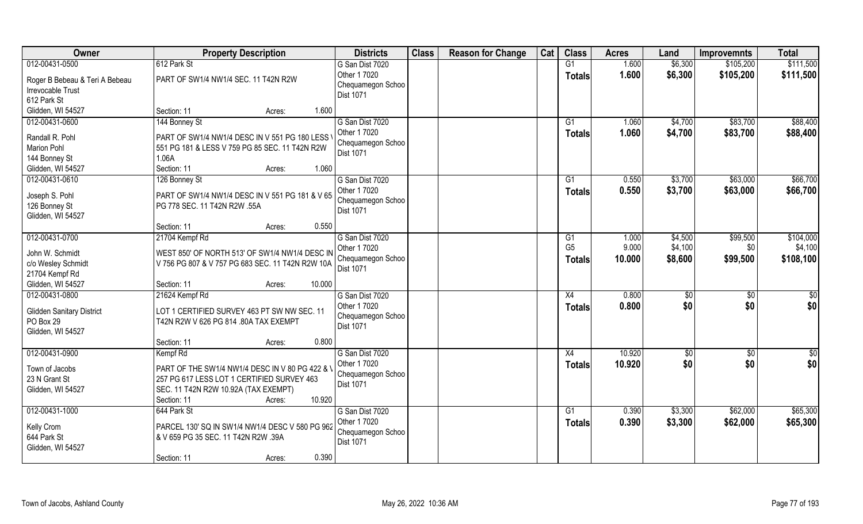| Owner                            | <b>Property Description</b>                      | <b>Districts</b>  | <b>Class</b> | <b>Reason for Change</b> | Cat | <b>Class</b>    | <b>Acres</b> | Land    | <b>Improvemnts</b> | <b>Total</b>    |
|----------------------------------|--------------------------------------------------|-------------------|--------------|--------------------------|-----|-----------------|--------------|---------|--------------------|-----------------|
| 012-00431-0500                   | 612 Park St                                      | G San Dist 7020   |              |                          |     | G1              | 1.600        | \$6,300 | \$105,200          | \$111,500       |
| Roger B Bebeau & Teri A Bebeau   | PART OF SW1/4 NW1/4 SEC. 11 T42N R2W             | Other 1 7020      |              |                          |     | <b>Totals</b>   | 1.600        | \$6,300 | \$105,200          | \$111,500       |
| Irrevocable Trust                |                                                  | Chequamegon Schoo |              |                          |     |                 |              |         |                    |                 |
| 612 Park St                      |                                                  | Dist 1071         |              |                          |     |                 |              |         |                    |                 |
| Glidden, WI 54527                | 1.600<br>Section: 11<br>Acres:                   |                   |              |                          |     |                 |              |         |                    |                 |
| 012-00431-0600                   | 144 Bonney St                                    | G San Dist 7020   |              |                          |     | $\overline{G1}$ | 1.060        | \$4,700 | \$83,700           | \$88,400        |
|                                  |                                                  | Other 1 7020      |              |                          |     | Totals          | 1.060        | \$4,700 | \$83,700           | \$88,400        |
| Randall R. Pohl                  | PART OF SW1/4 NW1/4 DESC IN V 551 PG 180 LESS    | Chequamegon Schoo |              |                          |     |                 |              |         |                    |                 |
| <b>Marion Pohl</b>               | 551 PG 181 & LESS V 759 PG 85 SEC. 11 T42N R2W   | Dist 1071         |              |                          |     |                 |              |         |                    |                 |
| 144 Bonney St                    | 1.06A                                            |                   |              |                          |     |                 |              |         |                    |                 |
| Glidden, WI 54527                | Section: 11<br>1.060<br>Acres:                   |                   |              |                          |     |                 |              |         |                    |                 |
| 012-00431-0610                   | 126 Bonney St                                    | G San Dist 7020   |              |                          |     | G1              | 0.550        | \$3,700 | \$63,000           | \$66,700        |
| Joseph S. Pohl                   | PART OF SW1/4 NW1/4 DESC IN V 551 PG 181 & V 65  | Other 1 7020      |              |                          |     | <b>Totals</b>   | 0.550        | \$3,700 | \$63,000           | \$66,700        |
| 126 Bonney St                    | PG 778 SEC. 11 T42N R2W .55A                     | Chequamegon Schoo |              |                          |     |                 |              |         |                    |                 |
| Glidden, WI 54527                |                                                  | <b>Dist 1071</b>  |              |                          |     |                 |              |         |                    |                 |
|                                  | 0.550<br>Section: 11<br>Acres:                   |                   |              |                          |     |                 |              |         |                    |                 |
| 012-00431-0700                   | 21704 Kempf Rd                                   | G San Dist 7020   |              |                          |     | G1              | 1.000        | \$4,500 | \$99,500           | \$104,000       |
|                                  |                                                  | Other 1 7020      |              |                          |     | G <sub>5</sub>  | 9.000        | \$4,100 | \$0                | \$4,100         |
| John W. Schmidt                  | WEST 850' OF NORTH 513' OF SW1/4 NW1/4 DESC IN   | Chequamegon Schoo |              |                          |     | <b>Totals</b>   | 10.000       | \$8,600 | \$99,500           | \$108,100       |
| c/o Wesley Schmidt               | V 756 PG 807 & V 757 PG 683 SEC. 11 T42N R2W 10A | Dist 1071         |              |                          |     |                 |              |         |                    |                 |
| 21704 Kempf Rd                   |                                                  |                   |              |                          |     |                 |              |         |                    |                 |
| Glidden, WI 54527                | 10.000<br>Section: 11<br>Acres:                  |                   |              |                          |     |                 |              |         |                    |                 |
| 012-00431-0800                   | 21624 Kempf Rd                                   | G San Dist 7020   |              |                          |     | X4              | 0.800        | \$0     | \$0                | $\overline{30}$ |
| <b>Glidden Sanitary District</b> | LOT 1 CERTIFIED SURVEY 463 PT SW NW SEC. 11      | Other 1 7020      |              |                          |     | <b>Totals</b>   | 0.800        | \$0     | \$0                | \$0             |
| PO Box 29                        | T42N R2W V 626 PG 814 .80A TAX EXEMPT            | Chequamegon Schoo |              |                          |     |                 |              |         |                    |                 |
| Glidden, WI 54527                |                                                  | <b>Dist 1071</b>  |              |                          |     |                 |              |         |                    |                 |
|                                  | 0.800<br>Section: 11<br>Acres:                   |                   |              |                          |     |                 |              |         |                    |                 |
| 012-00431-0900                   | Kempf Rd                                         | G San Dist 7020   |              |                          |     | X4              | 10.920       | \$0     | $\sqrt{6}$         | $\frac{1}{2}$   |
|                                  |                                                  | Other 1 7020      |              |                          |     |                 | 10.920       | \$0     | \$0                | \$0             |
| Town of Jacobs                   | PART OF THE SW1/4 NW1/4 DESC IN V 80 PG 422 & \  | Chequamegon Schoo |              |                          |     | <b>Totals</b>   |              |         |                    |                 |
| 23 N Grant St                    | 257 PG 617 LESS LOT 1 CERTIFIED SURVEY 463       | <b>Dist 1071</b>  |              |                          |     |                 |              |         |                    |                 |
| Glidden, WI 54527                | SEC. 11 T42N R2W 10.92A (TAX EXEMPT)             |                   |              |                          |     |                 |              |         |                    |                 |
|                                  | 10.920<br>Section: 11<br>Acres:                  |                   |              |                          |     |                 |              |         |                    |                 |
| 012-00431-1000                   | 644 Park St                                      | G San Dist 7020   |              |                          |     | G1              | 0.390        | \$3,300 | \$62,000           | \$65,300        |
|                                  |                                                  | Other 1 7020      |              |                          |     | <b>Totals</b>   | 0.390        | \$3,300 | \$62,000           | \$65,300        |
| Kelly Crom<br>644 Park St        | PARCEL 130' SQ IN SW1/4 NW1/4 DESC V 580 PG 962  | Chequamegon Schoo |              |                          |     |                 |              |         |                    |                 |
|                                  | & V 659 PG 35 SEC. 11 T42N R2W .39A              | <b>Dist 1071</b>  |              |                          |     |                 |              |         |                    |                 |
| Glidden, WI 54527                |                                                  |                   |              |                          |     |                 |              |         |                    |                 |
|                                  | 0.390<br>Section: 11<br>Acres:                   |                   |              |                          |     |                 |              |         |                    |                 |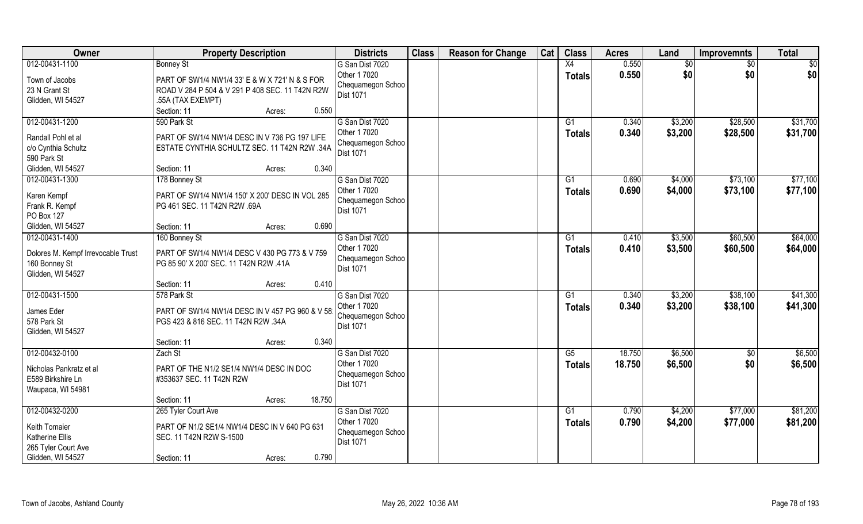| Owner                                                                    | <b>Property Description</b>                                                                                            | <b>Districts</b>                                      | <b>Class</b> | <b>Reason for Change</b> | Cat | <b>Class</b>        | <b>Acres</b>   | Land               | <b>Improvemnts</b>   | <b>Total</b>         |
|--------------------------------------------------------------------------|------------------------------------------------------------------------------------------------------------------------|-------------------------------------------------------|--------------|--------------------------|-----|---------------------|----------------|--------------------|----------------------|----------------------|
| 012-00431-1100                                                           | <b>Bonney St</b>                                                                                                       | G San Dist 7020                                       |              |                          |     | X4                  | 0.550          | \$0                | $\sqrt{6}$           | \$0                  |
| Town of Jacobs<br>23 N Grant St<br>Glidden, WI 54527                     | PART OF SW1/4 NW1/4 33' E & W X 721' N & S FOR<br>ROAD V 284 P 504 & V 291 P 408 SEC. 11 T42N R2W<br>.55A (TAX EXEMPT) | Other 1 7020<br>Chequamegon Schoo<br><b>Dist 1071</b> |              |                          |     | <b>Totals</b>       | 0.550          | \$0                | \$0                  | \$0                  |
|                                                                          | 0.550<br>Section: 11<br>Acres:                                                                                         |                                                       |              |                          |     |                     |                |                    |                      |                      |
| 012-00431-1200                                                           | 590 Park St                                                                                                            | G San Dist 7020<br>Other 1 7020                       |              |                          |     | G1<br>Totals        | 0.340<br>0.340 | \$3,200<br>\$3,200 | \$28,500<br>\$28,500 | \$31,700<br>\$31,700 |
| Randall Pohl et al<br>c/o Cynthia Schultz<br>590 Park St                 | PART OF SW1/4 NW1/4 DESC IN V 736 PG 197 LIFE<br>ESTATE CYNTHIA SCHULTZ SEC. 11 T42N R2W .34A                          | Chequamegon Schoo<br><b>Dist 1071</b>                 |              |                          |     |                     |                |                    |                      |                      |
| Glidden, WI 54527                                                        | 0.340<br>Section: 11<br>Acres:                                                                                         |                                                       |              |                          |     |                     |                |                    |                      |                      |
| 012-00431-1300                                                           | 178 Bonney St                                                                                                          | G San Dist 7020                                       |              |                          |     | G1                  | 0.690          | \$4,000            | \$73,100             | \$77,100             |
| Karen Kempf<br>Frank R. Kempf<br>PO Box 127                              | PART OF SW1/4 NW1/4 150' X 200' DESC IN VOL 285<br>PG 461 SEC. 11 T42N R2W .69A                                        | Other 1 7020<br>Chequamegon Schoo<br>Dist 1071        |              |                          |     | <b>Totals</b>       | 0.690          | \$4,000            | \$73,100             | \$77,100             |
| Glidden, WI 54527                                                        | 0.690<br>Section: 11<br>Acres:                                                                                         |                                                       |              |                          |     |                     |                |                    |                      |                      |
| 012-00431-1400                                                           | 160 Bonney St                                                                                                          | G San Dist 7020                                       |              |                          |     | G1                  | 0.410          | \$3,500            | \$60,500             | \$64,000             |
| Dolores M. Kempf Irrevocable Trust<br>160 Bonney St<br>Glidden, WI 54527 | PART OF SW1/4 NW1/4 DESC V 430 PG 773 & V 759<br>PG 85 90' X 200' SEC. 11 T42N R2W .41A                                | Other 1 7020<br>Chequamegon Schoo<br>Dist 1071        |              |                          |     | <b>Totals</b>       | 0.410          | \$3,500            | \$60,500             | \$64,000             |
|                                                                          | 0.410<br>Section: 11<br>Acres:                                                                                         |                                                       |              |                          |     |                     |                |                    |                      |                      |
| 012-00431-1500<br>James Eder                                             | 578 Park St<br>PART OF SW1/4 NW1/4 DESC IN V 457 PG 960 & V 58                                                         | G San Dist 7020<br>Other 1 7020<br>Chequamegon Schoo  |              |                          |     | G1<br><b>Totals</b> | 0.340<br>0.340 | \$3,200<br>\$3,200 | \$38,100<br>\$38,100 | \$41,300<br>\$41,300 |
| 578 Park St<br>Glidden, WI 54527                                         | PGS 423 & 816 SEC. 11 T42N R2W .34A                                                                                    | Dist 1071                                             |              |                          |     |                     |                |                    |                      |                      |
|                                                                          | 0.340<br>Section: 11<br>Acres:                                                                                         |                                                       |              |                          |     |                     |                |                    |                      |                      |
| 012-00432-0100                                                           | Zach St                                                                                                                | G San Dist 7020                                       |              |                          |     | G5                  | 18.750         | \$6,500            | \$0                  | \$6,500              |
| Nicholas Pankratz et al<br>E589 Birkshire Ln<br>Waupaca, WI 54981        | PART OF THE N1/2 SE1/4 NW1/4 DESC IN DOC<br>#353637 SEC. 11 T42N R2W                                                   | Other 1 7020<br>Chequamegon Schoo<br><b>Dist 1071</b> |              |                          |     | <b>Totals</b>       | 18.750         | \$6,500            | \$0                  | \$6,500              |
|                                                                          | 18.750<br>Section: 11<br>Acres:                                                                                        |                                                       |              |                          |     |                     |                |                    |                      |                      |
| 012-00432-0200                                                           | 265 Tyler Court Ave                                                                                                    | G San Dist 7020                                       |              |                          |     | G1                  | 0.790          | \$4,200            | \$77,000             | \$81,200             |
| Keith Tomaier<br>Katherine Ellis<br>265 Tyler Court Ave                  | PART OF N1/2 SE1/4 NW1/4 DESC IN V 640 PG 631<br>SEC. 11 T42N R2W S-1500                                               | Other 1 7020<br>Chequamegon Schoo<br>Dist 1071        |              |                          |     | <b>Totals</b>       | 0.790          | \$4,200            | \$77,000             | \$81,200             |
| Glidden, WI 54527                                                        | 0.790<br>Section: 11<br>Acres:                                                                                         |                                                       |              |                          |     |                     |                |                    |                      |                      |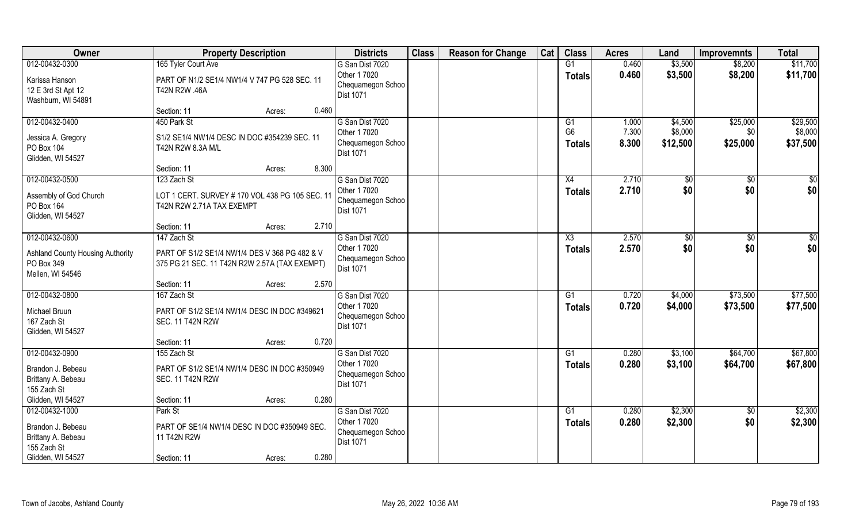| Owner                                                                                         | <b>Property Description</b>                                                                                        | <b>Districts</b>                                                         | <b>Class</b> | <b>Reason for Change</b> | Cat | <b>Class</b>                          | <b>Acres</b>            | Land                           | <b>Improvemnts</b>          | <b>Total</b>                    |
|-----------------------------------------------------------------------------------------------|--------------------------------------------------------------------------------------------------------------------|--------------------------------------------------------------------------|--------------|--------------------------|-----|---------------------------------------|-------------------------|--------------------------------|-----------------------------|---------------------------------|
| 012-00432-0300<br>Karissa Hanson<br>12 E 3rd St Apt 12<br>Washburn, WI 54891                  | 165 Tyler Court Ave<br>PART OF N1/2 SE1/4 NW1/4 V 747 PG 528 SEC. 11<br>T42N R2W .46A                              | G San Dist 7020<br>Other 1 7020<br>Chequamegon Schoo<br><b>Dist 1071</b> |              |                          |     | G1<br><b>Totals</b>                   | 0.460<br>0.460          | \$3,500<br>\$3,500             | \$8,200<br>\$8,200          | \$11,700<br>\$11,700            |
|                                                                                               | 0.460<br>Section: 11<br>Acres:                                                                                     |                                                                          |              |                          |     |                                       |                         |                                |                             |                                 |
| 012-00432-0400<br>Jessica A. Gregory<br>PO Box 104<br>Glidden, WI 54527                       | 450 Park St<br>S1/2 SE1/4 NW1/4 DESC IN DOC #354239 SEC. 11<br>T42N R2W 8.3A M/L<br>8.300<br>Section: 11<br>Acres: | G San Dist 7020<br>Other 1 7020<br>Chequamegon Schoo<br><b>Dist 1071</b> |              |                          |     | G1<br>G <sub>6</sub><br><b>Totals</b> | 1.000<br>7.300<br>8.300 | \$4,500<br>\$8,000<br>\$12,500 | \$25,000<br>\$0<br>\$25,000 | \$29,500<br>\$8,000<br>\$37,500 |
| 012-00432-0500                                                                                | 123 Zach St                                                                                                        | G San Dist 7020                                                          |              |                          |     | X4                                    | 2.710                   | $\sqrt[6]{}$                   | $\sqrt[6]{}$                | \$0                             |
| Assembly of God Church<br>PO Box 164<br>Glidden, WI 54527                                     | LOT 1 CERT. SURVEY # 170 VOL 438 PG 105 SEC. 11<br>T42N R2W 2.71A TAX EXEMPT                                       | Other 1 7020<br>Chequamegon Schoo<br><b>Dist 1071</b>                    |              |                          |     | <b>Totals</b>                         | 2.710                   | \$0                            | \$0                         | \$0                             |
|                                                                                               | 2.710<br>Section: 11<br>Acres:                                                                                     |                                                                          |              |                          |     |                                       |                         |                                |                             |                                 |
| 012-00432-0600<br><b>Ashland County Housing Authority</b><br>PO Box 349<br>Mellen, WI 54546   | 147 Zach St<br>PART OF S1/2 SE1/4 NW1/4 DES V 368 PG 482 & V<br>375 PG 21 SEC. 11 T42N R2W 2.57A (TAX EXEMPT)      | G San Dist 7020<br>Other 1 7020<br>Chequamegon Schoo<br>Dist 1071        |              |                          |     | X3<br><b>Totals</b>                   | 2.570<br>2.570          | \$0<br>\$0                     | $\sqrt{50}$<br>\$0          | \$0<br>\$0                      |
|                                                                                               | 2.570<br>Section: 11<br>Acres:                                                                                     |                                                                          |              |                          |     |                                       |                         |                                |                             |                                 |
| 012-00432-0800<br>Michael Bruun<br>167 Zach St<br>Glidden, WI 54527                           | 167 Zach St<br>PART OF S1/2 SE1/4 NW1/4 DESC IN DOC #349621<br><b>SEC. 11 T42N R2W</b>                             | G San Dist 7020<br>Other 1 7020<br>Chequamegon Schoo<br><b>Dist 1071</b> |              |                          |     | G1<br><b>Totals</b>                   | 0.720<br>0.720          | \$4,000<br>\$4,000             | \$73,500<br>\$73,500        | \$77,500<br>\$77,500            |
|                                                                                               | 0.720<br>Section: 11<br>Acres:                                                                                     |                                                                          |              |                          |     |                                       |                         |                                |                             |                                 |
| 012-00432-0900<br>Brandon J. Bebeau<br>Brittany A. Bebeau<br>155 Zach St                      | 155 Zach St<br>PART OF S1/2 SE1/4 NW1/4 DESC IN DOC #350949<br><b>SEC. 11 T42N R2W</b>                             | G San Dist 7020<br>Other 1 7020<br>Chequamegon Schoo<br><b>Dist 1071</b> |              |                          |     | G1<br><b>Totals</b>                   | 0.280<br>0.280          | \$3,100<br>\$3,100             | \$64,700<br>\$64,700        | \$67,800<br>\$67,800            |
| Glidden, WI 54527                                                                             | 0.280<br>Section: 11<br>Acres:                                                                                     |                                                                          |              |                          |     |                                       |                         |                                |                             |                                 |
| 012-00432-1000<br>Brandon J. Bebeau<br>Brittany A. Bebeau<br>155 Zach St<br>Glidden, WI 54527 | Park St<br>PART OF SE1/4 NW1/4 DESC IN DOC #350949 SEC.<br>11 T42N R2W<br>0.280<br>Section: 11<br>Acres:           | G San Dist 7020<br>Other 1 7020<br>Chequamegon Schoo<br><b>Dist 1071</b> |              |                          |     | G1<br><b>Totals</b>                   | 0.280<br>0.280          | \$2,300<br>\$2,300             | $\sqrt{6}$<br>\$0           | \$2,300<br>\$2,300              |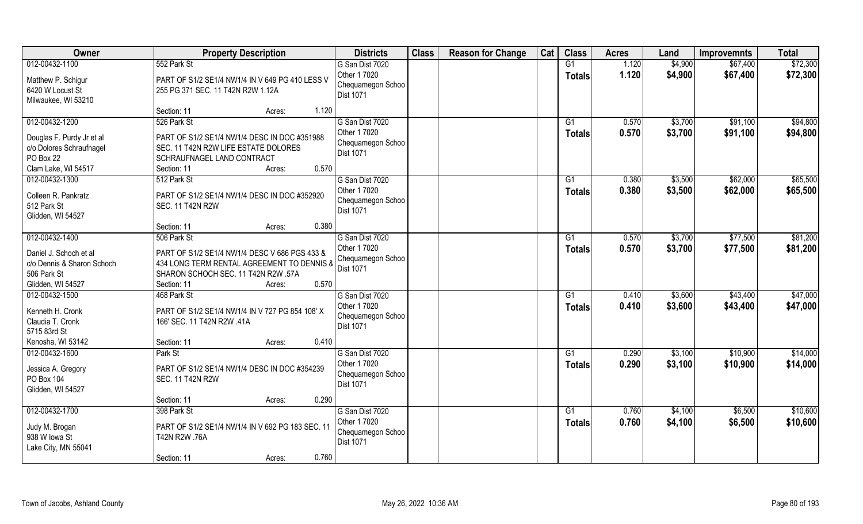| Owner                                   | <b>Property Description</b>                      | <b>Districts</b>                      | <b>Class</b> | <b>Reason for Change</b> | Cat | <b>Class</b>    | <b>Acres</b> | Land    | <b>Improvemnts</b> | <b>Total</b> |
|-----------------------------------------|--------------------------------------------------|---------------------------------------|--------------|--------------------------|-----|-----------------|--------------|---------|--------------------|--------------|
| 012-00432-1100                          | 552 Park St                                      | G San Dist 7020                       |              |                          |     | G1              | 1.120        | \$4,900 | \$67,400           | \$72,300     |
| Matthew P. Schigur                      | PART OF S1/2 SE1/4 NW1/4 IN V 649 PG 410 LESS V  | Other 1 7020<br>Chequamegon Schoo     |              |                          |     | <b>Totals</b>   | 1.120        | \$4,900 | \$67,400           | \$72,300     |
| 6420 W Locust St<br>Milwaukee, WI 53210 | 255 PG 371 SEC. 11 T42N R2W 1.12A                | <b>Dist 1071</b>                      |              |                          |     |                 |              |         |                    |              |
|                                         | 1.120<br>Section: 11<br>Acres:                   |                                       |              |                          |     |                 |              |         |                    |              |
| 012-00432-1200                          | 526 Park St                                      | G San Dist 7020                       |              |                          |     | G1              | 0.570        | \$3,700 | \$91,100           | \$94,800     |
| Douglas F. Purdy Jr et al               | PART OF S1/2 SE1/4 NW1/4 DESC IN DOC #351988     | Other 1 7020                          |              |                          |     | <b>Totals</b>   | 0.570        | \$3,700 | \$91,100           | \$94,800     |
| c/o Dolores Schraufnagel                | SEC. 11 T42N R2W LIFE ESTATE DOLORES             | Chequamegon Schoo                     |              |                          |     |                 |              |         |                    |              |
| PO Box 22                               | SCHRAUFNAGEL LAND CONTRACT                       | <b>Dist 1071</b>                      |              |                          |     |                 |              |         |                    |              |
| Clam Lake, WI 54517                     | 0.570<br>Section: 11<br>Acres:                   |                                       |              |                          |     |                 |              |         |                    |              |
| 012-00432-1300                          | 512 Park St                                      | G San Dist 7020                       |              |                          |     | G1              | 0.380        | \$3,500 | \$62,000           | \$65,500     |
| Colleen R. Pankratz                     | PART OF S1/2 SE1/4 NW1/4 DESC IN DOC #352920     | Other 1 7020                          |              |                          |     | <b>Totals</b>   | 0.380        | \$3,500 | \$62,000           | \$65,500     |
| 512 Park St                             | <b>SEC. 11 T42N R2W</b>                          | Chequamegon Schoo                     |              |                          |     |                 |              |         |                    |              |
| Glidden, WI 54527                       |                                                  | <b>Dist 1071</b>                      |              |                          |     |                 |              |         |                    |              |
|                                         | 0.380<br>Section: 11<br>Acres:                   |                                       |              |                          |     |                 |              |         |                    |              |
| 012-00432-1400                          | 506 Park St                                      | G San Dist 7020                       |              |                          |     | G1              | 0.570        | \$3,700 | \$77,500           | \$81,200     |
| Daniel J. Schoch et al                  | PART OF S1/2 SE1/4 NW1/4 DESC V 686 PGS 433 &    | Other 1 7020                          |              |                          |     | <b>Totals</b>   | 0.570        | \$3,700 | \$77,500           | \$81,200     |
| c/o Dennis & Sharon Schoch              | 434 LONG TERM RENTAL AGREEMENT TO DENNIS &       | Chequamegon Schoo                     |              |                          |     |                 |              |         |                    |              |
| 506 Park St                             | SHARON SCHOCH SEC. 11 T42N R2W .57A              | <b>Dist 1071</b>                      |              |                          |     |                 |              |         |                    |              |
| Glidden, WI 54527                       | 0.570<br>Section: 11<br>Acres:                   |                                       |              |                          |     |                 |              |         |                    |              |
| 012-00432-1500                          | 468 Park St                                      | G San Dist 7020                       |              |                          |     | G1              | 0.410        | \$3,600 | \$43,400           | \$47,000     |
| Kenneth H. Cronk                        | PART OF S1/2 SE1/4 NW1/4 IN V 727 PG 854 108' X  | Other 1 7020                          |              |                          |     | <b>Totals</b>   | 0.410        | \$3,600 | \$43,400           | \$47,000     |
| Claudia T. Cronk                        | 166' SEC. 11 T42N R2W .41A                       | Chequamegon Schoo                     |              |                          |     |                 |              |         |                    |              |
| 5715 83rd St                            |                                                  | <b>Dist 1071</b>                      |              |                          |     |                 |              |         |                    |              |
| Kenosha, WI 53142                       | 0.410<br>Section: 11<br>Acres:                   |                                       |              |                          |     |                 |              |         |                    |              |
| 012-00432-1600                          | Park St                                          | G San Dist 7020                       |              |                          |     | G1              | 0.290        | \$3,100 | \$10,900           | \$14,000     |
| Jessica A. Gregory                      | PART OF S1/2 SE1/4 NW1/4 DESC IN DOC #354239     | Other 1 7020                          |              |                          |     | <b>Totals</b>   | 0.290        | \$3,100 | \$10,900           | \$14,000     |
| PO Box 104                              | <b>SEC. 11 T42N R2W</b>                          | Chequamegon Schoo<br><b>Dist 1071</b> |              |                          |     |                 |              |         |                    |              |
| Glidden, WI 54527                       |                                                  |                                       |              |                          |     |                 |              |         |                    |              |
|                                         | 0.290<br>Section: 11<br>Acres:                   |                                       |              |                          |     |                 |              |         |                    |              |
| 012-00432-1700                          | 398 Park St                                      | G San Dist 7020                       |              |                          |     | $\overline{G1}$ | 0.760        | \$4,100 | \$6,500            | \$10,600     |
| Judy M. Brogan                          | PART OF S1/2 SE1/4 NW1/4 IN V 692 PG 183 SEC. 11 | Other 1 7020                          |              |                          |     | <b>Totals</b>   | 0.760        | \$4,100 | \$6,500            | \$10,600     |
| 938 W lowa St                           | T42N R2W .76A                                    | Chequamegon Schoo<br><b>Dist 1071</b> |              |                          |     |                 |              |         |                    |              |
| Lake City, MN 55041                     |                                                  |                                       |              |                          |     |                 |              |         |                    |              |
|                                         | 0.760<br>Section: 11<br>Acres:                   |                                       |              |                          |     |                 |              |         |                    |              |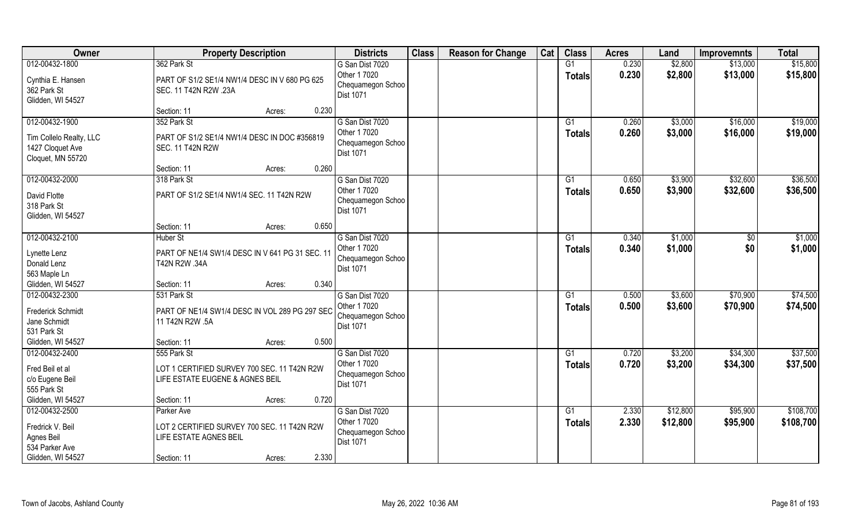| Owner                                                                                   | <b>Property Description</b>                                                                        |        |       | <b>Districts</b>                                                         | <b>Class</b> | <b>Reason for Change</b> | Cat | <b>Class</b>                     | <b>Acres</b>   | Land                 | <b>Improvemnts</b>   | <b>Total</b>           |
|-----------------------------------------------------------------------------------------|----------------------------------------------------------------------------------------------------|--------|-------|--------------------------------------------------------------------------|--------------|--------------------------|-----|----------------------------------|----------------|----------------------|----------------------|------------------------|
| 012-00432-1800<br>Cynthia E. Hansen<br>362 Park St<br>Glidden, WI 54527                 | 362 Park St<br>PART OF S1/2 SE1/4 NW1/4 DESC IN V 680 PG 625<br>SEC. 11 T42N R2W .23A              |        |       | G San Dist 7020<br>Other 1 7020<br>Chequamegon Schoo<br>Dist 1071        |              |                          |     | G1<br><b>Totals</b>              | 0.230<br>0.230 | \$2,800<br>\$2,800   | \$13,000<br>\$13,000 | \$15,800<br>\$15,800   |
|                                                                                         | Section: 11                                                                                        | Acres: | 0.230 |                                                                          |              |                          |     |                                  |                |                      |                      |                        |
| 012-00432-1900<br>Tim Collelo Realty, LLC<br>1427 Cloquet Ave<br>Cloquet, MN 55720      | 352 Park St<br>PART OF S1/2 SE1/4 NW1/4 DESC IN DOC #356819<br><b>SEC. 11 T42N R2W</b>             |        |       | G San Dist 7020<br>Other 1 7020<br>Chequamegon Schoo<br><b>Dist 1071</b> |              |                          |     | G1<br>Totals                     | 0.260<br>0.260 | \$3,000<br>\$3,000   | \$16,000<br>\$16,000 | \$19,000<br>\$19,000   |
|                                                                                         | Section: 11                                                                                        | Acres: | 0.260 |                                                                          |              |                          |     |                                  |                |                      |                      |                        |
| 012-00432-2000<br>David Flotte<br>318 Park St<br>Glidden, WI 54527                      | 318 Park St<br>PART OF S1/2 SE1/4 NW1/4 SEC. 11 T42N R2W                                           |        |       | G San Dist 7020<br>Other 1 7020<br>Chequamegon Schoo<br>Dist 1071        |              |                          |     | G1<br><b>Totals</b>              | 0.650<br>0.650 | \$3,900<br>\$3,900   | \$32,600<br>\$32,600 | \$36,500<br>\$36,500   |
|                                                                                         | Section: 11                                                                                        | Acres: | 0.650 |                                                                          |              |                          |     |                                  |                |                      |                      |                        |
| 012-00432-2100<br>Lynette Lenz<br>Donald Lenz<br>563 Maple Ln                           | <b>Huber St</b><br>PART OF NE1/4 SW1/4 DESC IN V 641 PG 31 SEC. 11<br>T42N R2W .34A                |        |       | G San Dist 7020<br>Other 1 7020<br>Chequamegon Schoo<br>Dist 1071        |              |                          |     | G1<br>Totals                     | 0.340<br>0.340 | \$1,000<br>\$1,000   | \$0<br>\$0           | \$1,000<br>\$1,000     |
| Glidden, WI 54527                                                                       | Section: 11                                                                                        | Acres: | 0.340 |                                                                          |              |                          |     |                                  |                |                      |                      |                        |
| 012-00432-2300<br><b>Frederick Schmidt</b><br>Jane Schmidt<br>531 Park St               | 531 Park St<br>PART OF NE1/4 SW1/4 DESC IN VOL 289 PG 297 SEC<br>11 T42N R2W .5A                   |        |       | G San Dist 7020<br>Other 1 7020<br>Chequamegon Schoo<br>Dist 1071        |              |                          |     | $\overline{G1}$<br><b>Totals</b> | 0.500<br>0.500 | \$3,600<br>\$3,600   | \$70,900<br>\$70,900 | \$74,500<br>\$74,500   |
| Glidden, WI 54527                                                                       | Section: 11                                                                                        | Acres: | 0.500 |                                                                          |              |                          |     |                                  |                |                      |                      |                        |
| 012-00432-2400<br>Fred Beil et al<br>c/o Eugene Beil<br>555 Park St                     | 555 Park St<br>LOT 1 CERTIFIED SURVEY 700 SEC. 11 T42N R2W<br>LIFE ESTATE EUGENE & AGNES BEIL      |        |       | G San Dist 7020<br>Other 1 7020<br>Chequamegon Schoo<br>Dist 1071        |              |                          |     | G1<br><b>Totals</b>              | 0.720<br>0.720 | \$3,200<br>\$3,200   | \$34,300<br>\$34,300 | \$37,500<br>\$37,500   |
| Glidden, WI 54527                                                                       | Section: 11                                                                                        | Acres: | 0.720 |                                                                          |              |                          |     |                                  |                |                      |                      |                        |
| 012-00432-2500<br>Fredrick V. Beil<br>Agnes Beil<br>534 Parker Ave<br>Glidden, WI 54527 | Parker Ave<br>LOT 2 CERTIFIED SURVEY 700 SEC. 11 T42N R2W<br>LIFE ESTATE AGNES BEIL<br>Section: 11 | Acres: | 2.330 | G San Dist 7020<br>Other 1 7020<br>Chequamegon Schoo<br><b>Dist 1071</b> |              |                          |     | $\overline{G1}$<br>Totals        | 2.330<br>2.330 | \$12,800<br>\$12,800 | \$95,900<br>\$95,900 | \$108,700<br>\$108,700 |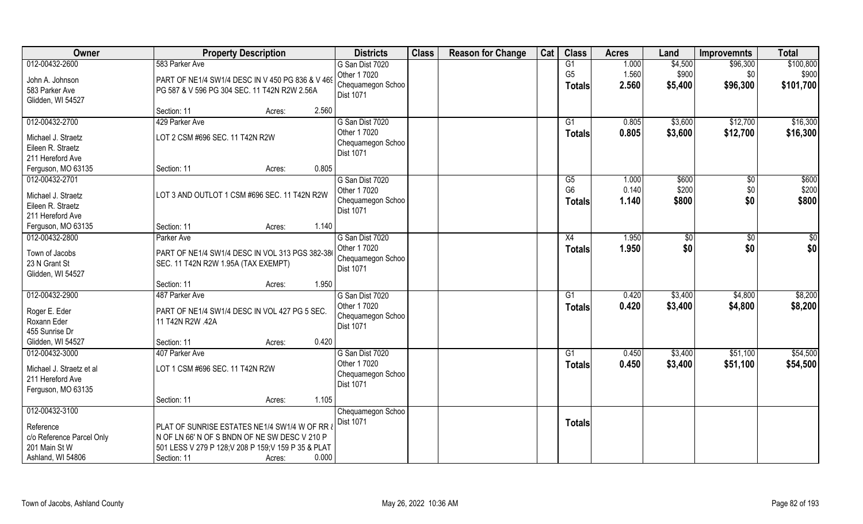| Owner                                                                                               | <b>Property Description</b>                                                                                                                                                                         | <b>Districts</b>                                                  | <b>Class</b> | <b>Reason for Change</b> | Cat | <b>Class</b>                    | <b>Acres</b>            | Land                        | <b>Improvemnts</b>          | <b>Total</b>                    |
|-----------------------------------------------------------------------------------------------------|-----------------------------------------------------------------------------------------------------------------------------------------------------------------------------------------------------|-------------------------------------------------------------------|--------------|--------------------------|-----|---------------------------------|-------------------------|-----------------------------|-----------------------------|---------------------------------|
| 012-00432-2600<br>John A. Johnson<br>583 Parker Ave<br>Glidden, WI 54527                            | 583 Parker Ave<br>PART OF NE1/4 SW1/4 DESC IN V 450 PG 836 & V 469<br>PG 587 & V 596 PG 304 SEC. 11 T42N R2W 2.56A                                                                                  | G San Dist 7020<br>Other 1 7020<br>Chequamegon Schoo<br>Dist 1071 |              |                          |     | G1<br>G <sub>5</sub><br>Totals  | 1.000<br>1.560<br>2.560 | \$4,500<br>\$900<br>\$5,400 | \$96,300<br>\$0<br>\$96,300 | \$100,800<br>\$900<br>\$101,700 |
|                                                                                                     | 2.560<br>Section: 11<br>Acres:                                                                                                                                                                      |                                                                   |              |                          |     |                                 |                         |                             |                             |                                 |
| 012-00432-2700<br>Michael J. Straetz<br>Eileen R. Straetz<br>211 Hereford Ave<br>Ferguson, MO 63135 | 429 Parker Ave<br>LOT 2 CSM #696 SEC. 11 T42N R2W<br>0.805<br>Section: 11<br>Acres:                                                                                                                 | G San Dist 7020<br>Other 1 7020<br>Chequamegon Schoo<br>Dist 1071 |              |                          |     | G1<br><b>Totals</b>             | 0.805<br>0.805          | \$3,600<br>\$3,600          | \$12,700<br>\$12,700        | \$16,300<br>\$16,300            |
| 012-00432-2701                                                                                      |                                                                                                                                                                                                     | G San Dist 7020                                                   |              |                          |     | G5                              | 1.000                   | \$600                       | \$0                         | \$600                           |
| Michael J. Straetz<br>Eileen R. Straetz<br>211 Hereford Ave                                         | LOT 3 AND OUTLOT 1 CSM #696 SEC. 11 T42N R2W                                                                                                                                                        | Other 1 7020<br>Chequamegon Schoo<br>Dist 1071                    |              |                          |     | G <sub>6</sub><br><b>Totals</b> | 0.140<br>1.140          | \$200<br>\$800              | \$0<br>\$0                  | \$200<br>\$800                  |
| Ferguson, MO 63135                                                                                  | 1.140<br>Section: 11<br>Acres:                                                                                                                                                                      |                                                                   |              |                          |     |                                 |                         |                             |                             |                                 |
| 012-00432-2800<br>Town of Jacobs<br>23 N Grant St<br>Glidden, WI 54527                              | Parker Ave<br>PART OF NE1/4 SW1/4 DESC IN VOL 313 PGS 382-386<br>SEC. 11 T42N R2W 1.95A (TAX EXEMPT)                                                                                                | G San Dist 7020<br>Other 1 7020<br>Chequamegon Schoo<br>Dist 1071 |              |                          |     | X4<br><b>Totals</b>             | 1.950<br>1.950          | \$<br>\$0                   | $\sqrt[6]{3}$<br>\$0        | $\sqrt{50}$<br>\$0              |
|                                                                                                     | 1.950<br>Section: 11<br>Acres:                                                                                                                                                                      |                                                                   |              |                          |     |                                 |                         |                             |                             |                                 |
| 012-00432-2900<br>Roger E. Eder<br>Roxann Eder<br>455 Sunrise Dr                                    | 487 Parker Ave<br>PART OF NE1/4 SW1/4 DESC IN VOL 427 PG 5 SEC.<br>11 T42N R2W .42A                                                                                                                 | G San Dist 7020<br>Other 1 7020<br>Chequamegon Schoo<br>Dist 1071 |              |                          |     | G1<br><b>Totals</b>             | 0.420<br>0.420          | \$3,400<br>\$3,400          | \$4,800<br>\$4,800          | \$8,200<br>\$8,200              |
| Glidden, WI 54527                                                                                   | 0.420<br>Section: 11<br>Acres:                                                                                                                                                                      |                                                                   |              |                          |     |                                 |                         |                             |                             |                                 |
| 012-00432-3000<br>Michael J. Straetz et al<br>211 Hereford Ave<br>Ferguson, MO 63135                | 407 Parker Ave<br>LOT 1 CSM #696 SEC. 11 T42N R2W                                                                                                                                                   | G San Dist 7020<br>Other 1 7020<br>Chequamegon Schoo<br>Dist 1071 |              |                          |     | G1<br><b>Totals</b>             | 0.450<br>0.450          | \$3,400<br>\$3,400          | \$51,100<br>\$51,100        | \$54,500<br>\$54,500            |
|                                                                                                     | 1.105<br>Section: 11<br>Acres:                                                                                                                                                                      |                                                                   |              |                          |     |                                 |                         |                             |                             |                                 |
| 012-00432-3100<br>Reference<br>c/o Reference Parcel Only<br>201 Main St W<br>Ashland, WI 54806      | PLAT OF SUNRISE ESTATES NE1/4 SW1/4 W OF RR $\overline{a}$<br>N OF LN 66' N OF S BNDN OF NE SW DESC V 210 P<br>501 LESS V 279 P 128;V 208 P 159;V 159 P 35 & PLAT<br>0.000<br>Section: 11<br>Acres: | Chequamegon Schoo<br><b>Dist 1071</b>                             |              |                          |     | <b>Totals</b>                   |                         |                             |                             |                                 |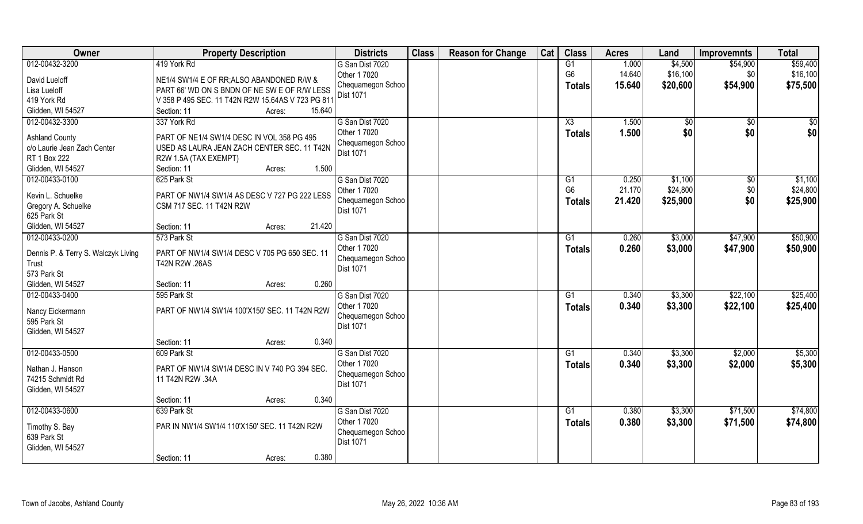| Owner                                        | <b>Property Description</b>                       | <b>Districts</b>  | <b>Class</b> | <b>Reason for Change</b> | Cat | <b>Class</b>   | <b>Acres</b> | Land         | <b>Improvemnts</b> | <b>Total</b> |
|----------------------------------------------|---------------------------------------------------|-------------------|--------------|--------------------------|-----|----------------|--------------|--------------|--------------------|--------------|
| 012-00432-3200                               | 419 York Rd                                       | G San Dist 7020   |              |                          |     | G1             | 1.000        | \$4,500      | \$54,900           | \$59,400     |
| David Lueloff                                | NE1/4 SW1/4 E OF RR; ALSO ABANDONED R/W &         | Other 1 7020      |              |                          |     | G <sub>6</sub> | 14.640       | \$16,100     | \$0                | \$16,100     |
| Lisa Lueloff                                 | PART 66' WD ON S BNDN OF NE SW E OF R/W LESS      | Chequamegon Schoo |              |                          |     | Totals         | 15.640       | \$20,600     | \$54,900           | \$75,500     |
| 419 York Rd                                  | V 358 P 495 SEC. 11 T42N R2W 15.64AS V 723 PG 811 | Dist 1071         |              |                          |     |                |              |              |                    |              |
| Glidden, WI 54527                            | Section: 11<br>Acres:<br>15.640                   |                   |              |                          |     |                |              |              |                    |              |
| 012-00432-3300                               | 337 York Rd                                       | G San Dist 7020   |              |                          |     | X3             | 1.500        | $\sqrt[6]{}$ | $\sqrt{$0}$        | $\sqrt{50}$  |
|                                              |                                                   | Other 1 7020      |              |                          |     | Totals         | 1.500        | \$0          | \$0                | \$0          |
| <b>Ashland County</b>                        | PART OF NE1/4 SW1/4 DESC IN VOL 358 PG 495        | Chequamegon Schoo |              |                          |     |                |              |              |                    |              |
| c/o Laurie Jean Zach Center                  | USED AS LAURA JEAN ZACH CENTER SEC. 11 T42N       | <b>Dist 1071</b>  |              |                          |     |                |              |              |                    |              |
| RT 1 Box 222                                 | R2W 1.5A (TAX EXEMPT)                             |                   |              |                          |     |                |              |              |                    |              |
| Glidden, WI 54527                            | 1.500<br>Section: 11<br>Acres:                    |                   |              |                          |     |                |              |              |                    |              |
| 012-00433-0100                               | 625 Park St                                       | G San Dist 7020   |              |                          |     | G1             | 0.250        | \$1,100      | $\sqrt[6]{30}$     | \$1,100      |
| Kevin L. Schuelke                            | PART OF NW1/4 SW1/4 AS DESC V 727 PG 222 LESS     | Other 1 7020      |              |                          |     | G <sub>6</sub> | 21.170       | \$24,800     | \$0                | \$24,800     |
| Gregory A. Schuelke                          | CSM 717 SEC. 11 T42N R2W                          | Chequamegon Schoo |              |                          |     | <b>Totals</b>  | 21.420       | \$25,900     | \$0                | \$25,900     |
| 625 Park St                                  |                                                   | Dist 1071         |              |                          |     |                |              |              |                    |              |
| Glidden, WI 54527                            | 21.420<br>Section: 11<br>Acres:                   |                   |              |                          |     |                |              |              |                    |              |
| 012-00433-0200                               | 573 Park St                                       | G San Dist 7020   |              |                          |     | G1             | 0.260        | \$3,000      | \$47,900           | \$50,900     |
|                                              | PART OF NW1/4 SW1/4 DESC V 705 PG 650 SEC. 11     | Other 1 7020      |              |                          |     | <b>Totals</b>  | 0.260        | \$3,000      | \$47,900           | \$50,900     |
| Dennis P. & Terry S. Walczyk Living<br>Trust | T42N R2W .26AS                                    | Chequamegon Schoo |              |                          |     |                |              |              |                    |              |
| 573 Park St                                  |                                                   | <b>Dist 1071</b>  |              |                          |     |                |              |              |                    |              |
| Glidden, WI 54527                            | 0.260<br>Section: 11<br>Acres:                    |                   |              |                          |     |                |              |              |                    |              |
| 012-00433-0400                               | 595 Park St                                       | G San Dist 7020   |              |                          |     | G1             | 0.340        | \$3,300      | \$22,100           | \$25,400     |
|                                              |                                                   | Other 1 7020      |              |                          |     |                | 0.340        | \$3,300      | \$22,100           | \$25,400     |
| Nancy Eickermann                             | PART OF NW1/4 SW1/4 100'X150' SEC. 11 T42N R2W    | Chequamegon Schoo |              |                          |     | <b>Totals</b>  |              |              |                    |              |
| 595 Park St                                  |                                                   | <b>Dist 1071</b>  |              |                          |     |                |              |              |                    |              |
| Glidden, WI 54527                            |                                                   |                   |              |                          |     |                |              |              |                    |              |
|                                              | 0.340<br>Section: 11<br>Acres:                    |                   |              |                          |     |                |              |              |                    |              |
| 012-00433-0500                               | 609 Park St                                       | G San Dist 7020   |              |                          |     | G1             | 0.340        | \$3,300      | \$2,000            | \$5,300      |
| Nathan J. Hanson                             | PART OF NW1/4 SW1/4 DESC IN V 740 PG 394 SEC.     | Other 1 7020      |              |                          |     | <b>Totals</b>  | 0.340        | \$3,300      | \$2,000            | \$5,300      |
| 74215 Schmidt Rd                             | 11 T42N R2W .34A                                  | Chequamegon Schoo |              |                          |     |                |              |              |                    |              |
| Glidden, WI 54527                            |                                                   | Dist 1071         |              |                          |     |                |              |              |                    |              |
|                                              | 0.340<br>Section: 11<br>Acres:                    |                   |              |                          |     |                |              |              |                    |              |
| 012-00433-0600                               | 639 Park St                                       | G San Dist 7020   |              |                          |     | G1             | 0.380        | \$3,300      | \$71,500           | \$74,800     |
|                                              |                                                   | Other 1 7020      |              |                          |     | <b>Totals</b>  | 0.380        | \$3,300      | \$71,500           | \$74,800     |
| Timothy S. Bay                               | PAR IN NW1/4 SW1/4 110'X150' SEC. 11 T42N R2W     | Chequamegon Schoo |              |                          |     |                |              |              |                    |              |
| 639 Park St                                  |                                                   | Dist 1071         |              |                          |     |                |              |              |                    |              |
| Glidden, WI 54527                            |                                                   |                   |              |                          |     |                |              |              |                    |              |
|                                              | 0.380<br>Section: 11<br>Acres:                    |                   |              |                          |     |                |              |              |                    |              |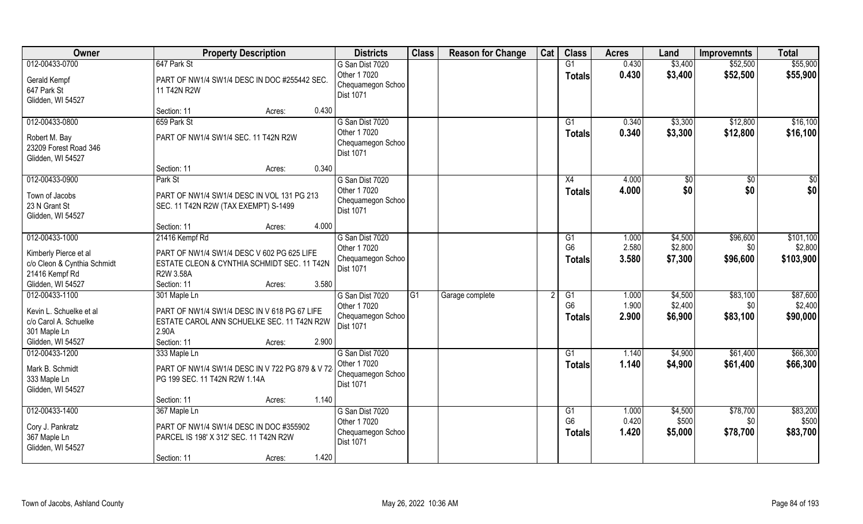| Owner                                                                                                   | <b>Property Description</b>                                                                                                                           | <b>Districts</b>                                                         | <b>Class</b>    | <b>Reason for Change</b> | Cat | <b>Class</b>                                       | <b>Acres</b>            | Land                          | <b>Improvemnts</b>          | <b>Total</b>                      |
|---------------------------------------------------------------------------------------------------------|-------------------------------------------------------------------------------------------------------------------------------------------------------|--------------------------------------------------------------------------|-----------------|--------------------------|-----|----------------------------------------------------|-------------------------|-------------------------------|-----------------------------|-----------------------------------|
| 012-00433-0700<br>Gerald Kempf<br>647 Park St<br>Glidden, WI 54527                                      | 647 Park St<br>PART OF NW1/4 SW1/4 DESC IN DOC #255442 SEC.<br>11 T42N R2W                                                                            | G San Dist 7020<br>Other 1 7020<br>Chequamegon Schoo<br>Dist 1071        |                 |                          |     | G1<br><b>Totals</b>                                | 0.430<br>0.430          | \$3,400<br>\$3,400            | \$52,500<br>\$52,500        | \$55,900<br>\$55,900              |
|                                                                                                         | 0.430<br>Section: 11<br>Acres:                                                                                                                        |                                                                          |                 |                          |     |                                                    |                         |                               |                             |                                   |
| 012-00433-0800<br>Robert M. Bay<br>23209 Forest Road 346<br>Glidden, WI 54527                           | 659 Park St<br>PART OF NW1/4 SW1/4 SEC. 11 T42N R2W                                                                                                   | G San Dist 7020<br>Other 1 7020<br>Chequamegon Schoo<br><b>Dist 1071</b> |                 |                          |     | $\overline{G1}$<br>Totals                          | 0.340<br>0.340          | \$3,300<br>\$3,300            | \$12,800<br>\$12,800        | \$16,100<br>\$16,100              |
|                                                                                                         | 0.340<br>Section: 11<br>Acres:                                                                                                                        |                                                                          |                 |                          |     |                                                    |                         |                               |                             |                                   |
| 012-00433-0900<br>Town of Jacobs<br>23 N Grant St<br>Glidden, WI 54527                                  | Park St<br>PART OF NW1/4 SW1/4 DESC IN VOL 131 PG 213<br>SEC. 11 T42N R2W (TAX EXEMPT) S-1499                                                         | G San Dist 7020<br>Other 1 7020<br>Chequamegon Schoo<br>Dist 1071        |                 |                          |     | X4<br><b>Totals</b>                                | 4.000<br>4.000          | $\sqrt[6]{}$<br>\$0           | $\overline{50}$<br>\$0      | $\overline{50}$<br>\$0            |
|                                                                                                         | 4.000<br>Section: 11<br>Acres:                                                                                                                        |                                                                          |                 |                          |     |                                                    |                         |                               |                             |                                   |
| 012-00433-1000<br>Kimberly Pierce et al<br>c/o Cleon & Cynthia Schmidt<br>21416 Kempf Rd                | 21416 Kempf Rd<br>PART OF NW1/4 SW1/4 DESC V 602 PG 625 LIFE<br>ESTATE CLEON & CYNTHIA SCHMIDT SEC. 11 T42N<br>R2W 3.58A                              | G San Dist 7020<br>Other 1 7020<br>Chequamegon Schoo<br>Dist 1071        |                 |                          |     | G1<br>G <sub>6</sub><br><b>Totals</b>              | 1.000<br>2.580<br>3.580 | \$4,500<br>\$2,800<br>\$7,300 | \$96,600<br>\$0<br>\$96,600 | \$101,100<br>\$2,800<br>\$103,900 |
| Glidden, WI 54527                                                                                       | 3.580<br>Section: 11<br>Acres:                                                                                                                        |                                                                          |                 |                          |     |                                                    |                         |                               |                             |                                   |
| 012-00433-1100<br>Kevin L. Schuelke et al<br>c/o Carol A. Schuelke<br>301 Maple Ln<br>Glidden, WI 54527 | 301 Maple Ln<br>PART OF NW1/4 SW1/4 DESC IN V 618 PG 67 LIFE<br>ESTATE CAROL ANN SCHUELKE SEC. 11 T42N R2W<br>2.90A<br>Section: 11<br>2.900<br>Acres: | G San Dist 7020<br>Other 1 7020<br>Chequamegon Schoo<br>Dist 1071        | $\overline{G1}$ | Garage complete          |     | $\overline{G1}$<br>G <sub>6</sub><br><b>Totals</b> | 1.000<br>1.900<br>2.900 | \$4,500<br>\$2,400<br>\$6,900 | \$83,100<br>\$0<br>\$83,100 | \$87,600<br>\$2,400<br>\$90,000   |
| 012-00433-1200                                                                                          | 333 Maple Ln                                                                                                                                          | G San Dist 7020                                                          |                 |                          |     | G1                                                 | 1.140                   | \$4,900                       | \$61,400                    | \$66,300                          |
| Mark B. Schmidt<br>333 Maple Ln<br>Glidden, WI 54527                                                    | PART OF NW1/4 SW1/4 DESC IN V 722 PG 879 & V 72<br>PG 199 SEC. 11 T42N R2W 1.14A                                                                      | Other 1 7020<br>Chequamegon Schoo<br>Dist 1071                           |                 |                          |     | <b>Totals</b>                                      | 1.140                   | \$4,900                       | \$61,400                    | \$66,300                          |
|                                                                                                         | 1.140<br>Section: 11<br>Acres:                                                                                                                        |                                                                          |                 |                          |     |                                                    |                         |                               |                             |                                   |
| 012-00433-1400<br>Cory J. Pankratz<br>367 Maple Ln<br>Glidden, WI 54527                                 | 367 Maple Ln<br>PART OF NW1/4 SW1/4 DESC IN DOC #355902<br>PARCEL IS 198' X 312' SEC. 11 T42N R2W<br>1.420<br>Section: 11<br>Acres:                   | G San Dist 7020<br>Other 1 7020<br>Chequamegon Schoo<br>Dist 1071        |                 |                          |     | G1<br>G <sub>6</sub><br><b>Totals</b>              | 1.000<br>0.420<br>1.420 | \$4,500<br>\$500<br>\$5,000   | \$78,700<br>\$0<br>\$78,700 | \$83,200<br>\$500<br>\$83,700     |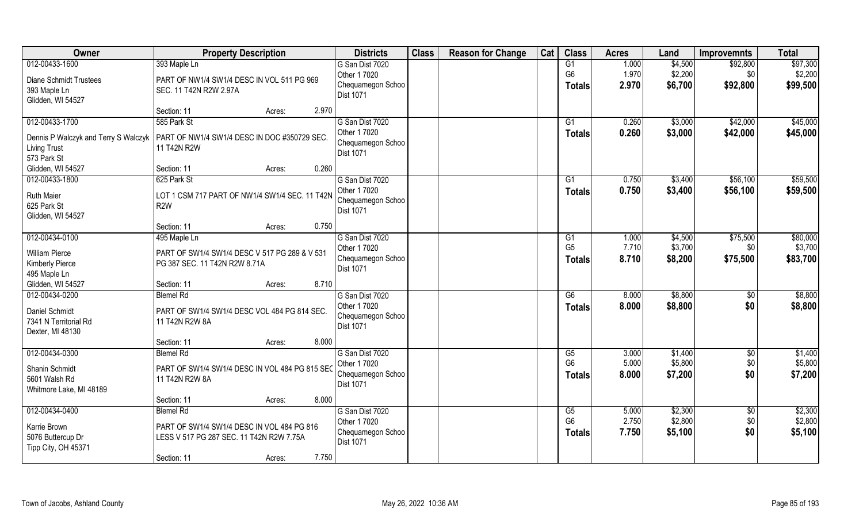| Owner                                | <b>Property Description</b>                    |                 | <b>Districts</b>                      | <b>Class</b> | <b>Reason for Change</b> | Cat | <b>Class</b>    | <b>Acres</b> | Land    | <b>Improvemnts</b> | <b>Total</b> |
|--------------------------------------|------------------------------------------------|-----------------|---------------------------------------|--------------|--------------------------|-----|-----------------|--------------|---------|--------------------|--------------|
| 012-00433-1600                       | 393 Maple Ln                                   |                 | G San Dist 7020                       |              |                          |     | G1              | 1.000        | \$4,500 | \$92,800           | \$97,300     |
| <b>Diane Schmidt Trustees</b>        | PART OF NW1/4 SW1/4 DESC IN VOL 511 PG 969     |                 | Other 1 7020                          |              |                          |     | G <sub>6</sub>  | 1.970        | \$2,200 | \$0                | \$2,200      |
| 393 Maple Ln                         | SEC. 11 T42N R2W 2.97A                         |                 | Chequamegon Schoo<br><b>Dist 1071</b> |              |                          |     | <b>Totals</b>   | 2.970        | \$6,700 | \$92,800           | \$99,500     |
| Glidden, WI 54527                    |                                                |                 |                                       |              |                          |     |                 |              |         |                    |              |
|                                      | Section: 11                                    | 2.970<br>Acres: |                                       |              |                          |     |                 |              |         |                    |              |
| 012-00433-1700                       | 585 Park St                                    |                 | G San Dist 7020                       |              |                          |     | $\overline{G1}$ | 0.260        | \$3,000 | \$42,000           | \$45,000     |
| Dennis P Walczyk and Terry S Walczyk | PART OF NW1/4 SW1/4 DESC IN DOC #350729 SEC.   |                 | Other 1 7020                          |              |                          |     | Totals          | 0.260        | \$3,000 | \$42,000           | \$45,000     |
| <b>Living Trust</b>                  | 11 T42N R2W                                    |                 | Chequamegon Schoo<br>Dist 1071        |              |                          |     |                 |              |         |                    |              |
| 573 Park St                          |                                                |                 |                                       |              |                          |     |                 |              |         |                    |              |
| Glidden, WI 54527                    | Section: 11                                    | 0.260<br>Acres: |                                       |              |                          |     |                 |              |         |                    |              |
| 012-00433-1800                       | 625 Park St                                    |                 | G San Dist 7020                       |              |                          |     | G1              | 0.750        | \$3,400 | \$56,100           | \$59,500     |
| <b>Ruth Maier</b>                    | LOT 1 CSM 717 PART OF NW1/4 SW1/4 SEC. 11 T42N |                 | Other 1 7020                          |              |                          |     | Totals          | 0.750        | \$3,400 | \$56,100           | \$59,500     |
| 625 Park St                          | R <sub>2</sub> W                               |                 | Chequamegon Schoo                     |              |                          |     |                 |              |         |                    |              |
| Glidden, WI 54527                    |                                                |                 | <b>Dist 1071</b>                      |              |                          |     |                 |              |         |                    |              |
|                                      | Section: 11                                    | 0.750<br>Acres: |                                       |              |                          |     |                 |              |         |                    |              |
| 012-00434-0100                       | 495 Maple Ln                                   |                 | G San Dist 7020                       |              |                          |     | G1              | 1.000        | \$4,500 | \$75,500           | \$80,000     |
| <b>William Pierce</b>                | PART OF SW1/4 SW1/4 DESC V 517 PG 289 & V 531  |                 | Other 1 7020                          |              |                          |     | G <sub>5</sub>  | 7.710        | \$3,700 | \$0                | \$3,700      |
| <b>Kimberly Pierce</b>               | PG 387 SEC. 11 T42N R2W 8.71A                  |                 | Chequamegon Schoo                     |              |                          |     | <b>Totals</b>   | 8.710        | \$8,200 | \$75,500           | \$83,700     |
| 495 Maple Ln                         |                                                |                 | Dist 1071                             |              |                          |     |                 |              |         |                    |              |
| Glidden, WI 54527                    | Section: 11                                    | 8.710<br>Acres: |                                       |              |                          |     |                 |              |         |                    |              |
| 012-00434-0200                       | <b>Blemel Rd</b>                               |                 | G San Dist 7020                       |              |                          |     | $\overline{G6}$ | 8.000        | \$8,800 | \$0                | \$8,800      |
| Daniel Schmidt                       | PART OF SW1/4 SW1/4 DESC VOL 484 PG 814 SEC.   |                 | Other 1 7020                          |              |                          |     | Totals          | 8.000        | \$8,800 | \$0                | \$8,800      |
| 7341 N Territorial Rd                | 11 T42N R2W 8A                                 |                 | Chequamegon Schoo                     |              |                          |     |                 |              |         |                    |              |
| Dexter, MI 48130                     |                                                |                 | Dist 1071                             |              |                          |     |                 |              |         |                    |              |
|                                      | Section: 11                                    | 8.000<br>Acres: |                                       |              |                          |     |                 |              |         |                    |              |
| 012-00434-0300                       | <b>Blemel Rd</b>                               |                 | G San Dist 7020                       |              |                          |     | G5              | 3.000        | \$1,400 | $\sqrt{$0}$        | \$1,400      |
| Shanin Schmidt                       | PART OF SW1/4 SW1/4 DESC IN VOL 484 PG 815 SEC |                 | Other 1 7020                          |              |                          |     | G <sub>6</sub>  | 5.000        | \$5,800 | \$0                | \$5,800      |
| 5601 Walsh Rd                        | 11 T42N R2W 8A                                 |                 | Chequamegon Schoo                     |              |                          |     | <b>Totals</b>   | 8.000        | \$7,200 | \$0                | \$7,200      |
| Whitmore Lake, MI 48189              |                                                |                 | <b>Dist 1071</b>                      |              |                          |     |                 |              |         |                    |              |
|                                      | Section: 11                                    | 8.000<br>Acres: |                                       |              |                          |     |                 |              |         |                    |              |
| 012-00434-0400                       | <b>Blemel Rd</b>                               |                 | G San Dist 7020                       |              |                          |     | G5              | 5.000        | \$2,300 | $\sqrt{$0}$        | \$2,300      |
| Karrie Brown                         | PART OF SW1/4 SW1/4 DESC IN VOL 484 PG 816     |                 | Other 1 7020                          |              |                          |     | G <sub>6</sub>  | 2.750        | \$2,800 | \$0                | \$2,800      |
| 5076 Buttercup Dr                    | LESS V 517 PG 287 SEC. 11 T42N R2W 7.75A       |                 | Chequamegon Schoo                     |              |                          |     | <b>Totals</b>   | 7.750        | \$5,100 | \$0                | \$5,100      |
| Tipp City, OH 45371                  |                                                |                 | Dist 1071                             |              |                          |     |                 |              |         |                    |              |
|                                      | Section: 11                                    | 7.750<br>Acres: |                                       |              |                          |     |                 |              |         |                    |              |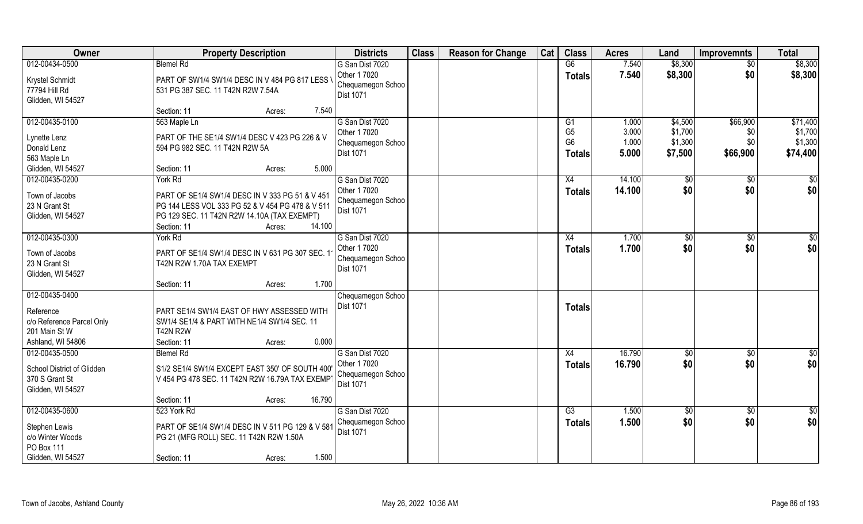| Owner                                                                                          | <b>Property Description</b>                                                                                                                                                           | <b>Districts</b>                                                  | <b>Class</b> | <b>Reason for Change</b> | Cat | <b>Class</b>                                                        | <b>Acres</b>                     | Land                                     | <b>Improvemnts</b>                 | <b>Total</b>                               |
|------------------------------------------------------------------------------------------------|---------------------------------------------------------------------------------------------------------------------------------------------------------------------------------------|-------------------------------------------------------------------|--------------|--------------------------|-----|---------------------------------------------------------------------|----------------------------------|------------------------------------------|------------------------------------|--------------------------------------------|
| 012-00434-0500                                                                                 | <b>Blemel Rd</b>                                                                                                                                                                      | G San Dist 7020                                                   |              |                          |     | G6                                                                  | 7.540                            | \$8,300                                  | $\overline{50}$                    | \$8,300                                    |
| Krystel Schmidt<br>77794 Hill Rd<br>Glidden, WI 54527                                          | PART OF SW1/4 SW1/4 DESC IN V 484 PG 817 LESS<br>531 PG 387 SEC. 11 T42N R2W 7.54A                                                                                                    | Other 1 7020<br>Chequamegon Schoo<br>Dist 1071                    |              |                          |     | <b>Totals</b>                                                       | 7.540                            | \$8,300                                  | \$0                                | \$8,300                                    |
|                                                                                                | 7.540<br>Section: 11<br>Acres:                                                                                                                                                        |                                                                   |              |                          |     |                                                                     |                                  |                                          |                                    |                                            |
| 012-00435-0100<br>Lynette Lenz<br>Donald Lenz<br>563 Maple Ln<br>Glidden, WI 54527             | 563 Maple Ln<br>PART OF THE SE1/4 SW1/4 DESC V 423 PG 226 & V<br>594 PG 982 SEC. 11 T42N R2W 5A<br>5.000<br>Section: 11<br>Acres:                                                     | G San Dist 7020<br>Other 1 7020<br>Chequamegon Schoo<br>Dist 1071 |              |                          |     | G <sub>1</sub><br>G <sub>5</sub><br>G <sub>6</sub><br><b>Totals</b> | 1.000<br>3.000<br>1.000<br>5.000 | \$4,500<br>\$1,700<br>\$1,300<br>\$7,500 | \$66,900<br>\$0<br>\$0<br>\$66,900 | \$71,400<br>\$1,700<br>\$1,300<br>\$74,400 |
| 012-00435-0200                                                                                 | York Rd                                                                                                                                                                               | G San Dist 7020                                                   |              |                          |     | X4                                                                  | 14.100                           | $\sqrt[6]{}$                             | $\sqrt[6]{30}$                     | \$0                                        |
| Town of Jacobs<br>23 N Grant St<br>Glidden, WI 54527                                           | PART OF SE1/4 SW1/4 DESC IN V 333 PG 51 & V 451<br>PG 144 LESS VOL 333 PG 52 & V 454 PG 478 & V 511<br>PG 129 SEC. 11 T42N R2W 14.10A (TAX EXEMPT)<br>14.100<br>Section: 11<br>Acres: | Other 1 7020<br>Chequamegon Schoo<br>Dist 1071                    |              |                          |     | <b>Totals</b>                                                       | 14.100                           | \$0                                      | \$0                                | \$0                                        |
| 012-00435-0300                                                                                 | York Rd                                                                                                                                                                               | G San Dist 7020                                                   |              |                          |     | X4                                                                  | 1.700                            | $\sqrt[6]{3}$                            | $\sqrt[6]{3}$                      | \$0                                        |
| Town of Jacobs<br>23 N Grant St<br>Glidden, WI 54527                                           | PART OF SE1/4 SW1/4 DESC IN V 631 PG 307 SEC. 1<br>T42N R2W 1.70A TAX EXEMPT                                                                                                          | Other 1 7020<br>Chequamegon Schoo<br>Dist 1071                    |              |                          |     | <b>Totals</b>                                                       | 1.700                            | \$0                                      | \$0                                | \$0                                        |
|                                                                                                | 1.700<br>Section: 11<br>Acres:                                                                                                                                                        |                                                                   |              |                          |     |                                                                     |                                  |                                          |                                    |                                            |
| 012-00435-0400<br>Reference<br>c/o Reference Parcel Only<br>201 Main St W<br>Ashland, WI 54806 | PART SE1/4 SW1/4 EAST OF HWY ASSESSED WITH<br>SW1/4 SE1/4 & PART WITH NE1/4 SW1/4 SEC. 11<br><b>T42N R2W</b><br>0.000<br>Section: 11<br>Acres:                                        | Chequamegon Schoo<br>Dist 1071                                    |              |                          |     | <b>Totals</b>                                                       |                                  |                                          |                                    |                                            |
| 012-00435-0500                                                                                 | <b>Blemel Rd</b>                                                                                                                                                                      | G San Dist 7020                                                   |              |                          |     | X4                                                                  | 16.790                           | \$0                                      | \$0                                | $\frac{6}{3}$                              |
| School District of Glidden<br>370 S Grant St<br>Glidden, WI 54527                              | S1/2 SE1/4 SW1/4 EXCEPT EAST 350' OF SOUTH 400'<br>V 454 PG 478 SEC. 11 T42N R2W 16.79A TAX EXEMP                                                                                     | Other 1 7020<br>Chequamegon Schoo<br>Dist 1071                    |              |                          |     | <b>Totals</b>                                                       | 16.790                           | \$0                                      | \$0                                | \$0                                        |
|                                                                                                | 16.790<br>Section: 11<br>Acres:                                                                                                                                                       |                                                                   |              |                          |     |                                                                     |                                  |                                          |                                    |                                            |
| 012-00435-0600<br>Stephen Lewis<br>c/o Winter Woods<br>PO Box 111<br>Glidden, WI 54527         | 523 York Rd<br>PART OF SE1/4 SW1/4 DESC IN V 511 PG 129 & V 581<br>PG 21 (MFG ROLL) SEC. 11 T42N R2W 1.50A<br>1.500<br>Section: 11<br>Acres:                                          | G San Dist 7020<br>Chequamegon Schoo<br>Dist 1071                 |              |                          |     | $\overline{G3}$<br><b>Totals</b>                                    | 1.500<br>1.500                   | $\overline{50}$<br>\$0                   | $\overline{50}$<br>\$0             | $\overline{50}$<br>\$0                     |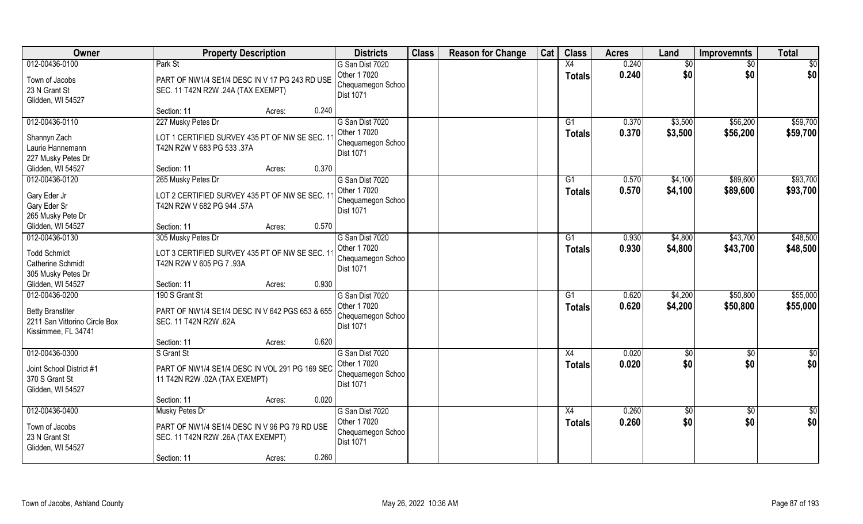| Owner                                                                                             | <b>Property Description</b>                                                                        | <b>Districts</b>                                                  | <b>Class</b> | <b>Reason for Change</b> | Cat | <b>Class</b>        | <b>Acres</b>   | Land               | <b>Improvemnts</b>   | <b>Total</b>         |
|---------------------------------------------------------------------------------------------------|----------------------------------------------------------------------------------------------------|-------------------------------------------------------------------|--------------|--------------------------|-----|---------------------|----------------|--------------------|----------------------|----------------------|
| 012-00436-0100                                                                                    | Park St                                                                                            | G San Dist 7020                                                   |              |                          |     | X4                  | 0.240          | \$0                | \$0                  | \$0                  |
| Town of Jacobs<br>23 N Grant St<br>Glidden, WI 54527                                              | PART OF NW1/4 SE1/4 DESC IN V 17 PG 243 RD USE<br>SEC. 11 T42N R2W .24A (TAX EXEMPT)               | Other 1 7020<br>Chequamegon Schoo<br>Dist 1071                    |              |                          |     | <b>Totals</b>       | 0.240          | \$0                | \$0                  | \$0                  |
|                                                                                                   | 0.240<br>Section: 11<br>Acres:                                                                     |                                                                   |              |                          |     |                     |                |                    |                      |                      |
| 012-00436-0110<br>Shannyn Zach                                                                    | 227 Musky Petes Dr<br>LOT 1 CERTIFIED SURVEY 435 PT OF NW SE SEC. 11                               | G San Dist 7020<br>Other 1 7020<br>Chequamegon Schoo              |              |                          |     | G1<br>Totals        | 0.370<br>0.370 | \$3,500<br>\$3,500 | \$56,200<br>\$56,200 | \$59,700<br>\$59,700 |
| Laurie Hannemann<br>227 Musky Petes Dr                                                            | T42N R2W V 683 PG 533 .37A                                                                         | Dist 1071                                                         |              |                          |     |                     |                |                    |                      |                      |
| Glidden, WI 54527                                                                                 | 0.370<br>Section: 11<br>Acres:                                                                     |                                                                   |              |                          |     |                     |                |                    |                      |                      |
| 012-00436-0120<br>Gary Eder Jr<br>Gary Eder Sr<br>265 Musky Pete Dr                               | 265 Musky Petes Dr<br>LOT 2 CERTIFIED SURVEY 435 PT OF NW SE SEC. 11<br>T42N R2W V 682 PG 944 .57A | G San Dist 7020<br>Other 1 7020<br>Chequamegon Schoo<br>Dist 1071 |              |                          |     | G1<br><b>Totals</b> | 0.570<br>0.570 | \$4,100<br>\$4,100 | \$89,600<br>\$89,600 | \$93,700<br>\$93,700 |
| Glidden, WI 54527                                                                                 | 0.570<br>Section: 11<br>Acres:                                                                     |                                                                   |              |                          |     |                     |                |                    |                      |                      |
| 012-00436-0130                                                                                    | 305 Musky Petes Dr                                                                                 | G San Dist 7020                                                   |              |                          |     | G1                  | 0.930          | \$4,800            | \$43,700             | \$48,500             |
| <b>Todd Schmidt</b><br>Catherine Schmidt<br>305 Musky Petes Dr                                    | LOT 3 CERTIFIED SURVEY 435 PT OF NW SE SEC. 11<br>T42N R2W V 605 PG 7 .93A                         | Other 1 7020<br>Chequamegon Schoo<br>Dist 1071                    |              |                          |     | <b>Totals</b>       | 0.930          | \$4,800            | \$43,700             | \$48,500             |
| Glidden, WI 54527                                                                                 | 0.930<br>Section: 11<br>Acres:                                                                     |                                                                   |              |                          |     |                     |                |                    |                      |                      |
| 012-00436-0200<br><b>Betty Branstiter</b><br>2211 San Vittorino Circle Box<br>Kissimmee, FL 34741 | 190 S Grant St<br>PART OF NW1/4 SE1/4 DESC IN V 642 PGS 653 & 655<br>SEC. 11 T42N R2W .62A         | G San Dist 7020<br>Other 1 7020<br>Chequamegon Schoo<br>Dist 1071 |              |                          |     | G1<br><b>Totals</b> | 0.620<br>0.620 | \$4,200<br>\$4,200 | \$50,800<br>\$50,800 | \$55,000<br>\$55,000 |
|                                                                                                   | 0.620<br>Section: 11<br>Acres:                                                                     |                                                                   |              |                          |     |                     |                |                    |                      |                      |
| 012-00436-0300                                                                                    | S Grant St                                                                                         | G San Dist 7020                                                   |              |                          |     | X4                  | 0.020          | \$0                | $\overline{50}$      | $\overline{50}$      |
| Joint School District #1<br>370 S Grant St<br>Glidden, WI 54527                                   | PART OF NW1/4 SE1/4 DESC IN VOL 291 PG 169 SEC<br>11 T42N R2W .02A (TAX EXEMPT)                    | Other 1 7020<br>Chequamegon Schoo<br>Dist 1071                    |              |                          |     | <b>Totals</b>       | 0.020          | \$0                | \$0                  | \$0                  |
|                                                                                                   | 0.020<br>Section: 11<br>Acres:                                                                     |                                                                   |              |                          |     |                     |                |                    |                      |                      |
| 012-00436-0400                                                                                    | Musky Petes Dr                                                                                     | G San Dist 7020                                                   |              |                          |     | X4                  | 0.260          | \$0                | $\overline{50}$      | \$0                  |
| Town of Jacobs<br>23 N Grant St<br>Glidden, WI 54527                                              | PART OF NW1/4 SE1/4 DESC IN V 96 PG 79 RD USE<br>SEC. 11 T42N R2W .26A (TAX EXEMPT)                | Other 1 7020<br>Chequamegon Schoo<br>Dist 1071                    |              |                          |     | <b>Totals</b>       | 0.260          | \$0                | \$0                  | \$0                  |
|                                                                                                   | 0.260<br>Section: 11<br>Acres:                                                                     |                                                                   |              |                          |     |                     |                |                    |                      |                      |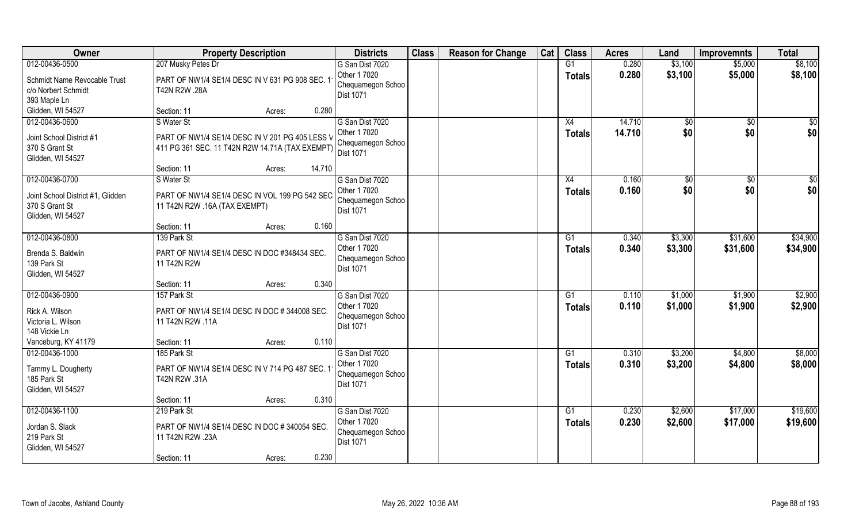| Owner                             | <b>Property Description</b>                     | <b>Districts</b>                      | <b>Class</b> | <b>Reason for Change</b> | Cat | <b>Class</b>    | <b>Acres</b> | Land    | <b>Improvemnts</b> | <b>Total</b> |
|-----------------------------------|-------------------------------------------------|---------------------------------------|--------------|--------------------------|-----|-----------------|--------------|---------|--------------------|--------------|
| 012-00436-0500                    | 207 Musky Petes Dr                              | G San Dist 7020                       |              |                          |     | G1              | 0.280        | \$3,100 | \$5,000            | \$8,100      |
| Schmidt Name Revocable Trust      | PART OF NW1/4 SE1/4 DESC IN V 631 PG 908 SEC. 1 | Other 1 7020                          |              |                          |     | <b>Totals</b>   | 0.280        | \$3,100 | \$5,000            | \$8,100      |
| c/o Norbert Schmidt               | T42N R2W .28A                                   | Chequamegon Schoo<br>Dist 1071        |              |                          |     |                 |              |         |                    |              |
| 393 Maple Ln                      |                                                 |                                       |              |                          |     |                 |              |         |                    |              |
| Glidden, WI 54527                 | 0.280<br>Section: 11<br>Acres:                  |                                       |              |                          |     |                 |              |         |                    |              |
| 012-00436-0600                    | S Water St                                      | G San Dist 7020                       |              |                          |     | X4              | 14.710       | \$0     | \$0                | \$0          |
| Joint School District #1          | PART OF NW1/4 SE1/4 DESC IN V 201 PG 405 LESS V | Other 1 7020                          |              |                          |     | <b>Totals</b>   | 14.710       | \$0     | \$0                | \$0          |
| 370 S Grant St                    | 411 PG 361 SEC. 11 T42N R2W 14.71A (TAX EXEMPT) | Chequamegon Schoo<br><b>Dist 1071</b> |              |                          |     |                 |              |         |                    |              |
| Glidden, WI 54527                 |                                                 |                                       |              |                          |     |                 |              |         |                    |              |
|                                   | Section: 11<br>14.710<br>Acres:                 |                                       |              |                          |     |                 |              |         |                    |              |
| 012-00436-0700                    | S Water St                                      | G San Dist 7020                       |              |                          |     | X4              | 0.160        | \$0     | $\sqrt{50}$        | \$0          |
| Joint School District #1, Glidden | PART OF NW1/4 SE1/4 DESC IN VOL 199 PG 542 SEC  | Other 1 7020                          |              |                          |     | <b>Totals</b>   | 0.160        | \$0     | \$0                | \$0          |
| 370 S Grant St                    | 11 T42N R2W .16A (TAX EXEMPT)                   | Chequamegon Schoo                     |              |                          |     |                 |              |         |                    |              |
| Glidden, WI 54527                 |                                                 | <b>Dist 1071</b>                      |              |                          |     |                 |              |         |                    |              |
|                                   | 0.160<br>Section: 11<br>Acres:                  |                                       |              |                          |     |                 |              |         |                    |              |
| 012-00436-0800                    | 139 Park St                                     | G San Dist 7020                       |              |                          |     | G1              | 0.340        | \$3,300 | \$31,600           | \$34,900     |
| Brenda S. Baldwin                 | PART OF NW1/4 SE1/4 DESC IN DOC #348434 SEC.    | Other 1 7020                          |              |                          |     | <b>Totals</b>   | 0.340        | \$3,300 | \$31,600           | \$34,900     |
| 139 Park St                       | 11 T42N R2W                                     | Chequamegon Schoo                     |              |                          |     |                 |              |         |                    |              |
| Glidden, WI 54527                 |                                                 | <b>Dist 1071</b>                      |              |                          |     |                 |              |         |                    |              |
|                                   | 0.340<br>Section: 11<br>Acres:                  |                                       |              |                          |     |                 |              |         |                    |              |
| 012-00436-0900                    | 157 Park St                                     | G San Dist 7020                       |              |                          |     | G1              | 0.110        | \$1,000 | \$1,900            | \$2,900      |
| Rick A. Wilson                    | PART OF NW1/4 SE1/4 DESC IN DOC #344008 SEC.    | Other 1 7020                          |              |                          |     | <b>Totals</b>   | 0.110        | \$1,000 | \$1,900            | \$2,900      |
| Victoria L. Wilson                | 11 T42N R2W .11A                                | Chequamegon Schoo                     |              |                          |     |                 |              |         |                    |              |
| 148 Vickie Ln                     |                                                 | Dist 1071                             |              |                          |     |                 |              |         |                    |              |
| Vanceburg, KY 41179               | 0.110<br>Section: 11<br>Acres:                  |                                       |              |                          |     |                 |              |         |                    |              |
| 012-00436-1000                    | 185 Park St                                     | G San Dist 7020                       |              |                          |     | $\overline{G1}$ | 0.310        | \$3,200 | \$4,800            | \$8,000      |
| Tammy L. Dougherty                | PART OF NW1/4 SE1/4 DESC IN V 714 PG 487 SEC. 1 | Other 1 7020                          |              |                          |     | <b>Totals</b>   | 0.310        | \$3,200 | \$4,800            | \$8,000      |
| 185 Park St                       | T42N R2W .31A                                   | Chequamegon Schoo                     |              |                          |     |                 |              |         |                    |              |
| Glidden, WI 54527                 |                                                 | Dist 1071                             |              |                          |     |                 |              |         |                    |              |
|                                   | 0.310<br>Section: 11<br>Acres:                  |                                       |              |                          |     |                 |              |         |                    |              |
| 012-00436-1100                    | 219 Park St                                     | G San Dist 7020                       |              |                          |     | G1              | 0.230        | \$2,600 | \$17,000           | \$19,600     |
| Jordan S. Slack                   | PART OF NW1/4 SE1/4 DESC IN DOC # 340054 SEC.   | Other 1 7020                          |              |                          |     | <b>Totals</b>   | 0.230        | \$2,600 | \$17,000           | \$19,600     |
| 219 Park St                       | 11 T42N R2W .23A                                | Chequamegon Schoo                     |              |                          |     |                 |              |         |                    |              |
| Glidden, WI 54527                 |                                                 | <b>Dist 1071</b>                      |              |                          |     |                 |              |         |                    |              |
|                                   | 0.230<br>Section: 11<br>Acres:                  |                                       |              |                          |     |                 |              |         |                    |              |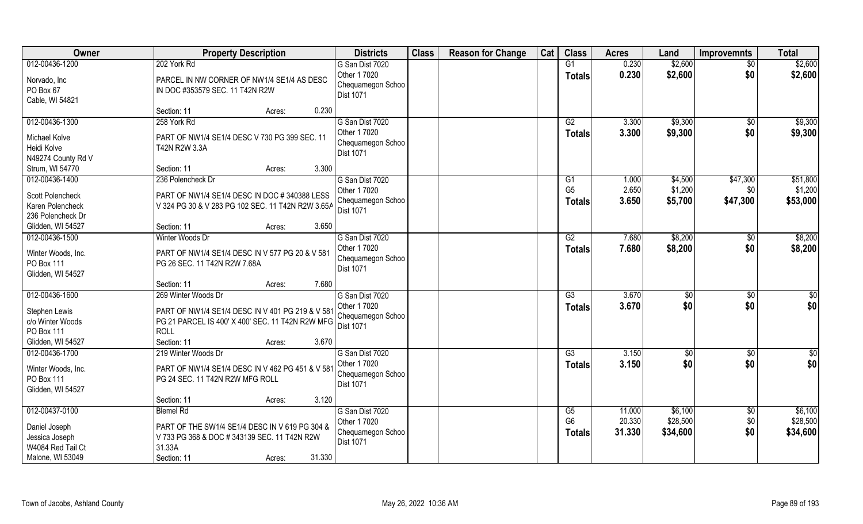| Owner              | <b>Property Description</b>                       | <b>Districts</b>               | <b>Class</b> | <b>Reason for Change</b> | Cat | <b>Class</b>         | <b>Acres</b> | Land           | <b>Improvemnts</b> | <b>Total</b>  |
|--------------------|---------------------------------------------------|--------------------------------|--------------|--------------------------|-----|----------------------|--------------|----------------|--------------------|---------------|
| 012-00436-1200     | 202 York Rd                                       | G San Dist 7020                |              |                          |     | G1                   | 0.230        | \$2,600        | $\overline{50}$    | \$2,600       |
| Norvado, Inc       | PARCEL IN NW CORNER OF NW1/4 SE1/4 AS DESC        | Other 1 7020                   |              |                          |     | <b>Totals</b>        | 0.230        | \$2,600        | \$0                | \$2,600       |
| PO Box 67          | IN DOC #353579 SEC. 11 T42N R2W                   | Chequamegon Schoo              |              |                          |     |                      |              |                |                    |               |
| Cable, WI 54821    |                                                   | Dist 1071                      |              |                          |     |                      |              |                |                    |               |
|                    | 0.230<br>Section: 11<br>Acres:                    |                                |              |                          |     |                      |              |                |                    |               |
| 012-00436-1300     | 258 York Rd                                       | G San Dist 7020                |              |                          |     | G2                   | 3.300        | \$9,300        | $\overline{50}$    | \$9,300       |
| Michael Kolve      | PART OF NW1/4 SE1/4 DESC V 730 PG 399 SEC. 11     | Other 1 7020                   |              |                          |     | <b>Totals</b>        | 3.300        | \$9,300        | \$0                | \$9,300       |
| Heidi Kolve        | T42N R2W 3.3A                                     | Chequamegon Schoo              |              |                          |     |                      |              |                |                    |               |
| N49274 County Rd V |                                                   | <b>Dist 1071</b>               |              |                          |     |                      |              |                |                    |               |
| Strum, WI 54770    | 3.300<br>Section: 11<br>Acres:                    |                                |              |                          |     |                      |              |                |                    |               |
| 012-00436-1400     | 236 Polencheck Dr                                 | G San Dist 7020                |              |                          |     | G <sub>1</sub>       | 1.000        | \$4,500        | \$47,300           | \$51,800      |
|                    |                                                   | Other 1 7020                   |              |                          |     | G <sub>5</sub>       | 2.650        | \$1,200        | \$0                | \$1,200       |
| Scott Polencheck   | PART OF NW1/4 SE1/4 DESC IN DOC # 340388 LESS     | Chequamegon Schoo              |              |                          |     | <b>Totals</b>        | 3.650        | \$5,700        | \$47,300           | \$53,000      |
| Karen Polencheck   | V 324 PG 30 & V 283 PG 102 SEC. 11 T42N R2W 3.65A | Dist 1071                      |              |                          |     |                      |              |                |                    |               |
| 236 Polencheck Dr  |                                                   |                                |              |                          |     |                      |              |                |                    |               |
| Glidden, WI 54527  | 3.650<br>Section: 11<br>Acres:                    |                                |              |                          |     |                      |              |                |                    |               |
| 012-00436-1500     | Winter Woods Dr                                   | G San Dist 7020                |              |                          |     | G2                   | 7.680        | \$8,200        | \$0                | \$8,200       |
| Winter Woods, Inc. | PART OF NW1/4 SE1/4 DESC IN V 577 PG 20 & V 581   | Other 1 7020                   |              |                          |     | <b>Totals</b>        | 7.680        | \$8,200        | \$0                | \$8,200       |
| PO Box 111         | PG 26 SEC. 11 T42N R2W 7.68A                      | Chequamegon Schoo<br>Dist 1071 |              |                          |     |                      |              |                |                    |               |
| Glidden, WI 54527  |                                                   |                                |              |                          |     |                      |              |                |                    |               |
|                    | 7.680<br>Section: 11<br>Acres:                    |                                |              |                          |     |                      |              |                |                    |               |
| 012-00436-1600     | 269 Winter Woods Dr                               | G San Dist 7020                |              |                          |     | G3                   | 3.670        | $\sqrt[6]{30}$ | \$0                | \$0           |
| Stephen Lewis      | PART OF NW1/4 SE1/4 DESC IN V 401 PG 219 & V 581  | Other 1 7020                   |              |                          |     | <b>Totals</b>        | 3.670        | \$0            | \$0                | \$0           |
| c/o Winter Woods   | PG 21 PARCEL IS 400' X 400' SEC. 11 T42N R2W MFG  | Chequamegon Schoo              |              |                          |     |                      |              |                |                    |               |
| PO Box 111         | <b>ROLL</b>                                       | Dist 1071                      |              |                          |     |                      |              |                |                    |               |
| Glidden, WI 54527  | 3.670<br>Section: 11<br>Acres:                    |                                |              |                          |     |                      |              |                |                    |               |
| 012-00436-1700     | 219 Winter Woods Dr                               | G San Dist 7020                |              |                          |     | $\overline{G3}$      | 3.150        | $\sqrt{$0}$    | \$0                | $\frac{6}{3}$ |
|                    |                                                   | Other 1 7020                   |              |                          |     | <b>Totals</b>        | 3.150        | \$0            | \$0                | \$0           |
| Winter Woods, Inc. | PART OF NW1/4 SE1/4 DESC IN V 462 PG 451 & V 581  | Chequamegon Schoo              |              |                          |     |                      |              |                |                    |               |
| PO Box 111         | PG 24 SEC. 11 T42N R2W MFG ROLL                   | Dist 1071                      |              |                          |     |                      |              |                |                    |               |
| Glidden, WI 54527  |                                                   |                                |              |                          |     |                      |              |                |                    |               |
|                    | 3.120<br>Section: 11<br>Acres:                    |                                |              |                          |     |                      |              |                |                    |               |
| 012-00437-0100     | <b>Blemel Rd</b>                                  | G San Dist 7020                |              |                          |     | G5<br>G <sub>6</sub> | 11.000       | \$6,100        | \$0                | \$6,100       |
| Daniel Joseph      | PART OF THE SW1/4 SE1/4 DESC IN V 619 PG 304 &    | Other 1 7020                   |              |                          |     |                      | 20.330       | \$28,500       | \$0                | \$28,500      |
| Jessica Joseph     | V 733 PG 368 & DOC # 343139 SEC. 11 T42N R2W      | Chequamegon Schoo<br>Dist 1071 |              |                          |     | <b>Totals</b>        | 31.330       | \$34,600       | \$0                | \$34,600      |
| W4084 Red Tail Ct  | 31.33A                                            |                                |              |                          |     |                      |              |                |                    |               |
| Malone, WI 53049   | 31.330<br>Section: 11<br>Acres:                   |                                |              |                          |     |                      |              |                |                    |               |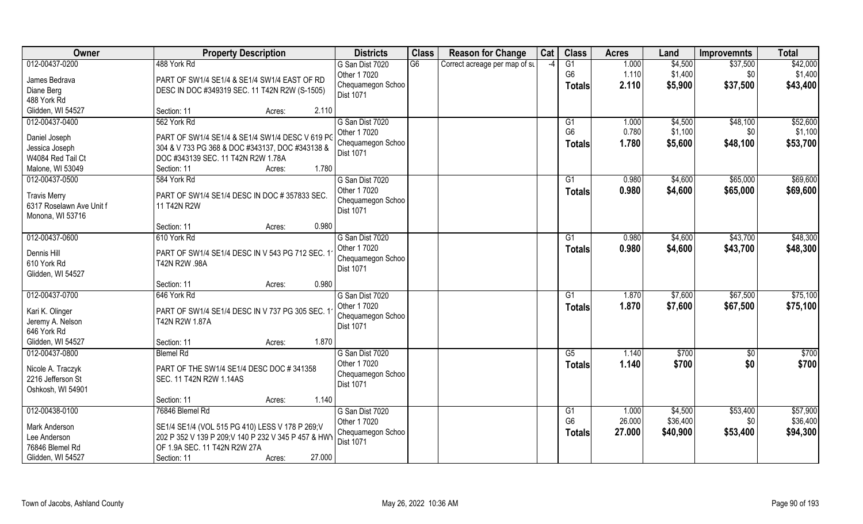| Owner                                           | <b>Property Description</b>                                       | <b>Districts</b>  | <b>Class</b> | <b>Reason for Change</b>      | Cat  | <b>Class</b>   | <b>Acres</b> | Land     | <b>Improvemnts</b> | <b>Total</b>      |
|-------------------------------------------------|-------------------------------------------------------------------|-------------------|--------------|-------------------------------|------|----------------|--------------|----------|--------------------|-------------------|
| 012-00437-0200                                  | 488 York Rd                                                       | G San Dist 7020   | G6           | Correct acreage per map of st | $-4$ | G1             | 1.000        | \$4,500  | \$37,500           | \$42,000          |
| James Bedrava                                   | PART OF SW1/4 SE1/4 & SE1/4 SW1/4 EAST OF RD                      | Other 1 7020      |              |                               |      | G <sub>6</sub> | 1.110        | \$1,400  | \$0                | \$1,400           |
| Diane Berg                                      | DESC IN DOC #349319 SEC. 11 T42N R2W (S-1505)                     | Chequamegon Schoo |              |                               |      | Totals         | 2.110        | \$5,900  | \$37,500           | \$43,400          |
| 488 York Rd                                     |                                                                   | Dist 1071         |              |                               |      |                |              |          |                    |                   |
| Glidden, WI 54527                               | Section: 11<br>2.110<br>Acres:                                    |                   |              |                               |      |                |              |          |                    |                   |
| 012-00437-0400                                  | 562 York Rd                                                       | G San Dist 7020   |              |                               |      | G1             | 1.000        | \$4,500  | \$48,100           | \$52,600          |
| Daniel Joseph                                   | PART OF SW1/4 SE1/4 & SE1/4 SW1/4 DESC V 619 PC                   | Other 1 7020      |              |                               |      | G <sub>6</sub> | 0.780        | \$1,100  | \$0                | \$1,100           |
| Jessica Joseph                                  | 304 & V 733 PG 368 & DOC #343137, DOC #343138 &                   | Chequamegon Schoo |              |                               |      | <b>Totals</b>  | 1.780        | \$5,600  | \$48,100           | \$53,700          |
| W4084 Red Tail Ct                               | DOC #343139 SEC. 11 T42N R2W 1.78A                                | <b>Dist 1071</b>  |              |                               |      |                |              |          |                    |                   |
| Malone, WI 53049                                | 1.780<br>Section: 11<br>Acres:                                    |                   |              |                               |      |                |              |          |                    |                   |
| 012-00437-0500                                  | 584 York Rd                                                       | G San Dist 7020   |              |                               |      | G1             | 0.980        | \$4,600  | \$65,000           | \$69,600          |
|                                                 | PART OF SW1/4 SE1/4 DESC IN DOC #357833 SEC.                      | Other 1 7020      |              |                               |      | <b>Totals</b>  | 0.980        | \$4,600  | \$65,000           | \$69,600          |
| <b>Travis Merry</b><br>6317 Roselawn Ave Unit f | 11 T42N R2W                                                       | Chequamegon Schoo |              |                               |      |                |              |          |                    |                   |
| Monona, WI 53716                                |                                                                   | Dist 1071         |              |                               |      |                |              |          |                    |                   |
|                                                 | 0.980<br>Section: 11<br>Acres:                                    |                   |              |                               |      |                |              |          |                    |                   |
| 012-00437-0600                                  | 610 York Rd                                                       | G San Dist 7020   |              |                               |      | G1             | 0.980        | \$4,600  | \$43,700           | \$48,300          |
|                                                 |                                                                   | Other 1 7020      |              |                               |      | Totals         | 0.980        | \$4,600  | \$43,700           | \$48,300          |
| Dennis Hill<br>610 York Rd                      | PART OF SW1/4 SE1/4 DESC IN V 543 PG 712 SEC. 1<br>T42N R2W .98A  | Chequamegon Schoo |              |                               |      |                |              |          |                    |                   |
| Glidden, WI 54527                               |                                                                   | <b>Dist 1071</b>  |              |                               |      |                |              |          |                    |                   |
|                                                 | 0.980<br>Section: 11<br>Acres:                                    |                   |              |                               |      |                |              |          |                    |                   |
| 012-00437-0700                                  | 646 York Rd                                                       | G San Dist 7020   |              |                               |      | G1             | 1.870        | \$7,600  | \$67,500           | \$75,100          |
|                                                 |                                                                   | Other 1 7020      |              |                               |      | Totals         | 1.870        | \$7,600  | \$67,500           | \$75,100          |
| Kari K. Olinger<br>Jeremy A. Nelson             | PART OF SW1/4 SE1/4 DESC IN V 737 PG 305 SEC. 1<br>T42N R2W 1.87A | Chequamegon Schoo |              |                               |      |                |              |          |                    |                   |
| 646 York Rd                                     |                                                                   | Dist 1071         |              |                               |      |                |              |          |                    |                   |
| Glidden, WI 54527                               | 1.870<br>Section: 11<br>Acres:                                    |                   |              |                               |      |                |              |          |                    |                   |
| 012-00437-0800                                  | <b>Blemel Rd</b>                                                  | G San Dist 7020   |              |                               |      | G5             | 1.140        | \$700    | $\overline{30}$    | $\overline{$700}$ |
|                                                 |                                                                   | Other 1 7020      |              |                               |      | <b>Totals</b>  | 1.140        | \$700    | \$0                | \$700             |
| Nicole A. Traczyk                               | PART OF THE SW1/4 SE1/4 DESC DOC #341358                          | Chequamegon Schoo |              |                               |      |                |              |          |                    |                   |
| 2216 Jefferson St                               | SEC. 11 T42N R2W 1.14AS                                           | <b>Dist 1071</b>  |              |                               |      |                |              |          |                    |                   |
| Oshkosh, WI 54901                               | 1.140<br>Section: 11<br>Acres:                                    |                   |              |                               |      |                |              |          |                    |                   |
| 012-00438-0100                                  | 76846 Blemel Rd                                                   | G San Dist 7020   |              |                               |      | G1             | 1.000        | \$4,500  | \$53,400           | \$57,900          |
|                                                 |                                                                   | Other 1 7020      |              |                               |      | G <sub>6</sub> | 26.000       | \$36,400 | \$0                | \$36,400          |
| Mark Anderson                                   | SE1/4 SE1/4 (VOL 515 PG 410) LESS V 178 P 269; V                  | Chequamegon Schoo |              |                               |      | <b>Totals</b>  | 27.000       | \$40,900 | \$53,400           | \$94,300          |
| Lee Anderson                                    | 202 P 352 V 139 P 209; V 140 P 232 V 345 P 457 & HWY              | Dist 1071         |              |                               |      |                |              |          |                    |                   |
| 76846 Blemel Rd                                 | OF 1.9A SEC. 11 T42N R2W 27A                                      |                   |              |                               |      |                |              |          |                    |                   |
| Glidden, WI 54527                               | 27.000<br>Section: 11<br>Acres:                                   |                   |              |                               |      |                |              |          |                    |                   |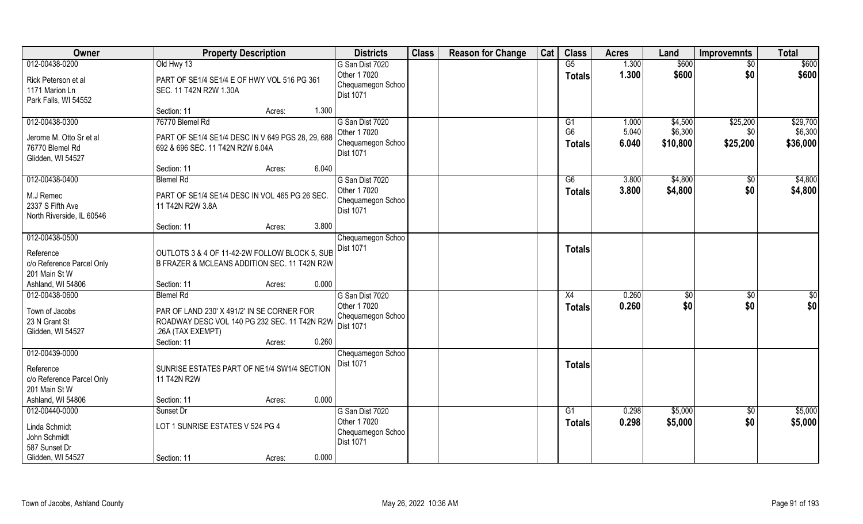| Owner                                                                                 | <b>Property Description</b>                                                                                                                       | <b>Districts</b>                                                         | <b>Class</b> | <b>Reason for Change</b> | Cat | <b>Class</b>                          | <b>Acres</b>            | Land                           | <b>Improvemnts</b>          | <b>Total</b>                    |
|---------------------------------------------------------------------------------------|---------------------------------------------------------------------------------------------------------------------------------------------------|--------------------------------------------------------------------------|--------------|--------------------------|-----|---------------------------------------|-------------------------|--------------------------------|-----------------------------|---------------------------------|
| 012-00438-0200                                                                        | Old Hwy 13                                                                                                                                        | G San Dist 7020                                                          |              |                          |     | G5                                    | 1.300                   | \$600                          | $\overline{50}$             | \$600                           |
| Rick Peterson et al<br>1171 Marion Ln<br>Park Falls, WI 54552                         | PART OF SE1/4 SE1/4 E OF HWY VOL 516 PG 361<br>SEC. 11 T42N R2W 1.30A                                                                             | Other 1 7020<br>Chequamegon Schoo<br><b>Dist 1071</b>                    |              |                          |     | <b>Totals</b>                         | 1.300                   | \$600                          | \$0                         | \$600                           |
|                                                                                       | 1.300<br>Section: 11<br>Acres:                                                                                                                    |                                                                          |              |                          |     |                                       |                         |                                |                             |                                 |
| 012-00438-0300<br>Jerome M. Otto Sr et al<br>76770 Blemel Rd<br>Glidden, WI 54527     | 76770 Blemel Rd<br>PART OF SE1/4 SE1/4 DESC IN V 649 PGS 28, 29, 688<br>692 & 696 SEC. 11 T42N R2W 6.04A                                          | G San Dist 7020<br>Other 1 7020<br>Chequamegon Schoo<br><b>Dist 1071</b> |              |                          |     | G1<br>G <sub>6</sub><br><b>Totals</b> | 1.000<br>5.040<br>6.040 | \$4,500<br>\$6,300<br>\$10,800 | \$25,200<br>\$0<br>\$25,200 | \$29,700<br>\$6,300<br>\$36,000 |
|                                                                                       | 6.040<br>Section: 11<br>Acres:                                                                                                                    |                                                                          |              |                          |     |                                       |                         |                                |                             |                                 |
| 012-00438-0400                                                                        | <b>Blemel Rd</b>                                                                                                                                  | G San Dist 7020                                                          |              |                          |     | G6                                    | 3.800                   | \$4,800                        | \$0                         | \$4,800                         |
| M.J Remec<br>2337 S Fifth Ave<br>North Riverside, IL 60546                            | PART OF SE1/4 SE1/4 DESC IN VOL 465 PG 26 SEC.<br>11 T42N R2W 3.8A                                                                                | Other 1 7020<br>Chequamegon Schoo<br>Dist 1071                           |              |                          |     | <b>Totals</b>                         | 3.800                   | \$4,800                        | \$0                         | \$4,800                         |
|                                                                                       | 3.800<br>Section: 11<br>Acres:                                                                                                                    |                                                                          |              |                          |     |                                       |                         |                                |                             |                                 |
| 012-00438-0500<br>Reference                                                           | OUTLOTS 3 & 4 OF 11-42-2W FOLLOW BLOCK 5, SUB                                                                                                     | Chequamegon Schoo<br><b>Dist 1071</b>                                    |              |                          |     | <b>Totals</b>                         |                         |                                |                             |                                 |
| c/o Reference Parcel Only<br>201 Main St W                                            | B FRAZER & MCLEANS ADDITION SEC. 11 T42N R2W                                                                                                      |                                                                          |              |                          |     |                                       |                         |                                |                             |                                 |
| Ashland, WI 54806<br>012-00438-0600                                                   | 0.000<br>Section: 11<br>Acres:<br><b>Blemel Rd</b>                                                                                                | G San Dist 7020                                                          |              |                          |     | X4                                    | 0.260                   | $\sqrt[6]{}$                   |                             | \$0                             |
| Town of Jacobs<br>23 N Grant St<br>Glidden, WI 54527                                  | PAR OF LAND 230' X 491/2' IN SE CORNER FOR<br>ROADWAY DESC VOL 140 PG 232 SEC. 11 T42N R2W<br>.26A (TAX EXEMPT)<br>0.260<br>Section: 11<br>Acres: | Other 1 7020<br>Chequamegon Schoo<br>Dist 1071                           |              |                          |     | <b>Totals</b>                         | 0.260                   | \$0                            | \$0<br>\$0                  | \$0                             |
| 012-00439-0000                                                                        |                                                                                                                                                   | Chequamegon Schoo                                                        |              |                          |     |                                       |                         |                                |                             |                                 |
| Reference<br>c/o Reference Parcel Only<br>201 Main St W                               | SUNRISE ESTATES PART OF NE1/4 SW1/4 SECTION<br>11 T42N R2W                                                                                        | Dist 1071                                                                |              |                          |     | <b>Totals</b>                         |                         |                                |                             |                                 |
| Ashland, WI 54806                                                                     | 0.000<br>Section: 11<br>Acres:                                                                                                                    |                                                                          |              |                          |     |                                       |                         |                                |                             |                                 |
| 012-00440-0000<br>Linda Schmidt<br>John Schmidt<br>587 Sunset Dr<br>Glidden, WI 54527 | Sunset Dr<br>LOT 1 SUNRISE ESTATES V 524 PG 4<br>0.000<br>Section: 11<br>Acres:                                                                   | G San Dist 7020<br>Other 1 7020<br>Chequamegon Schoo<br><b>Dist 1071</b> |              |                          |     | G1<br><b>Totals</b>                   | 0.298<br>0.298          | \$5,000<br>\$5,000             | $\overline{50}$<br>\$0      | \$5,000<br>\$5,000              |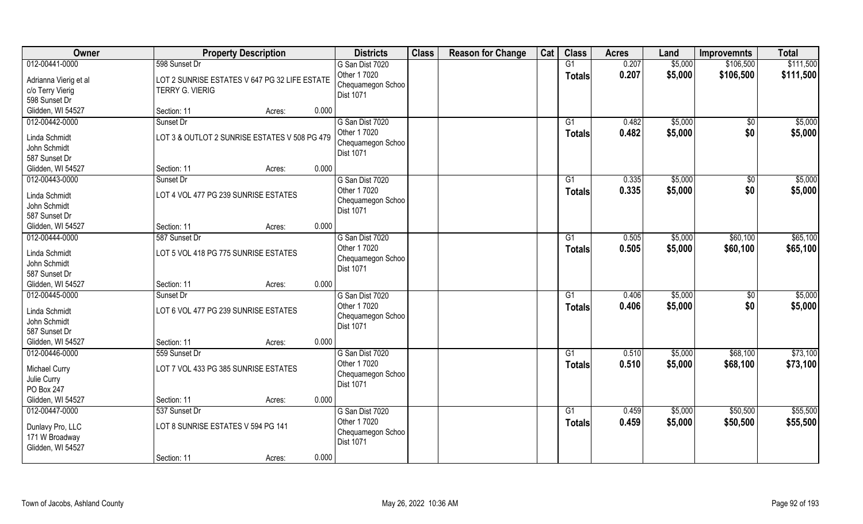| Owner                         | <b>Property Description</b>                   |        |       | <b>Districts</b>  | <b>Class</b> | <b>Reason for Change</b> | Cat | <b>Class</b>    | <b>Acres</b> | Land    | <b>Improvemnts</b> | <b>Total</b> |
|-------------------------------|-----------------------------------------------|--------|-------|-------------------|--------------|--------------------------|-----|-----------------|--------------|---------|--------------------|--------------|
| 012-00441-0000                | 598 Sunset Dr                                 |        |       | G San Dist 7020   |              |                          |     | G1              | 0.207        | \$5,000 | \$106,500          | \$111,500    |
| Adrianna Vierig et al         | LOT 2 SUNRISE ESTATES V 647 PG 32 LIFE ESTATE |        |       | Other 1 7020      |              |                          |     | <b>Totals</b>   | 0.207        | \$5,000 | \$106,500          | \$111,500    |
| c/o Terry Vierig              | <b>TERRY G. VIERIG</b>                        |        |       | Chequamegon Schoo |              |                          |     |                 |              |         |                    |              |
| 598 Sunset Dr                 |                                               |        |       | Dist 1071         |              |                          |     |                 |              |         |                    |              |
| Glidden, WI 54527             | Section: 11                                   | Acres: | 0.000 |                   |              |                          |     |                 |              |         |                    |              |
| 012-00442-0000                | Sunset Dr                                     |        |       | G San Dist 7020   |              |                          |     | G1              | 0.482        | \$5,000 | \$0                | \$5,000      |
|                               |                                               |        |       | Other 1 7020      |              |                          |     | <b>Totals</b>   | 0.482        | \$5,000 | \$0                | \$5,000      |
| Linda Schmidt                 | LOT 3 & OUTLOT 2 SUNRISE ESTATES V 508 PG 479 |        |       | Chequamegon Schoo |              |                          |     |                 |              |         |                    |              |
| John Schmidt                  |                                               |        |       | <b>Dist 1071</b>  |              |                          |     |                 |              |         |                    |              |
| 587 Sunset Dr                 |                                               |        |       |                   |              |                          |     |                 |              |         |                    |              |
| Glidden, WI 54527             | Section: 11                                   | Acres: | 0.000 |                   |              |                          |     |                 |              |         |                    |              |
| 012-00443-0000                | Sunset Dr                                     |        |       | G San Dist 7020   |              |                          |     | G1              | 0.335        | \$5,000 | \$0                | \$5,000      |
| Linda Schmidt                 | LOT 4 VOL 477 PG 239 SUNRISE ESTATES          |        |       | Other 1 7020      |              |                          |     | <b>Totals</b>   | 0.335        | \$5,000 | \$0                | \$5,000      |
| John Schmidt                  |                                               |        |       | Chequamegon Schoo |              |                          |     |                 |              |         |                    |              |
| 587 Sunset Dr                 |                                               |        |       | Dist 1071         |              |                          |     |                 |              |         |                    |              |
| Glidden, WI 54527             | Section: 11                                   | Acres: | 0.000 |                   |              |                          |     |                 |              |         |                    |              |
| 012-00444-0000                | 587 Sunset Dr                                 |        |       | G San Dist 7020   |              |                          |     | G1              | 0.505        | \$5,000 | \$60,100           | \$65,100     |
|                               |                                               |        |       | Other 1 7020      |              |                          |     |                 | 0.505        |         |                    |              |
| Linda Schmidt                 | LOT 5 VOL 418 PG 775 SUNRISE ESTATES          |        |       | Chequamegon Schoo |              |                          |     | Totals          |              | \$5,000 | \$60,100           | \$65,100     |
| John Schmidt                  |                                               |        |       | Dist 1071         |              |                          |     |                 |              |         |                    |              |
| 587 Sunset Dr                 |                                               |        |       |                   |              |                          |     |                 |              |         |                    |              |
| Glidden, WI 54527             | Section: 11                                   | Acres: | 0.000 |                   |              |                          |     |                 |              |         |                    |              |
| 012-00445-0000                | Sunset Dr                                     |        |       | G San Dist 7020   |              |                          |     | G1              | 0.406        | \$5,000 | \$0                | \$5,000      |
|                               |                                               |        |       | Other 1 7020      |              |                          |     | <b>Totals</b>   | 0.406        | \$5,000 | \$0                | \$5,000      |
| Linda Schmidt<br>John Schmidt | LOT 6 VOL 477 PG 239 SUNRISE ESTATES          |        |       | Chequamegon Schoo |              |                          |     |                 |              |         |                    |              |
| 587 Sunset Dr                 |                                               |        |       | Dist 1071         |              |                          |     |                 |              |         |                    |              |
|                               |                                               |        | 0.000 |                   |              |                          |     |                 |              |         |                    |              |
| Glidden, WI 54527             | Section: 11                                   | Acres: |       |                   |              |                          |     |                 |              |         |                    |              |
| 012-00446-0000                | 559 Sunset Dr                                 |        |       | G San Dist 7020   |              |                          |     | G1              | 0.510        | \$5,000 | \$68,100           | \$73,100     |
| Michael Curry                 | LOT 7 VOL 433 PG 385 SUNRISE ESTATES          |        |       | Other 1 7020      |              |                          |     | <b>Totals</b>   | 0.510        | \$5,000 | \$68,100           | \$73,100     |
| Julie Curry                   |                                               |        |       | Chequamegon Schoo |              |                          |     |                 |              |         |                    |              |
| PO Box 247                    |                                               |        |       | Dist 1071         |              |                          |     |                 |              |         |                    |              |
| Glidden, WI 54527             | Section: 11                                   | Acres: | 0.000 |                   |              |                          |     |                 |              |         |                    |              |
| 012-00447-0000                | 537 Sunset Dr                                 |        |       | G San Dist 7020   |              |                          |     | $\overline{G1}$ | 0.459        | \$5,000 | \$50,500           | \$55,500     |
|                               |                                               |        |       | Other 1 7020      |              |                          |     | <b>Totals</b>   | 0.459        | \$5,000 | \$50,500           | \$55,500     |
| Dunlavy Pro, LLC              | LOT 8 SUNRISE ESTATES V 594 PG 141            |        |       | Chequamegon Schoo |              |                          |     |                 |              |         |                    |              |
| 171 W Broadway                |                                               |        |       | <b>Dist 1071</b>  |              |                          |     |                 |              |         |                    |              |
| Glidden, WI 54527             |                                               |        |       |                   |              |                          |     |                 |              |         |                    |              |
|                               | Section: 11                                   | Acres: | 0.000 |                   |              |                          |     |                 |              |         |                    |              |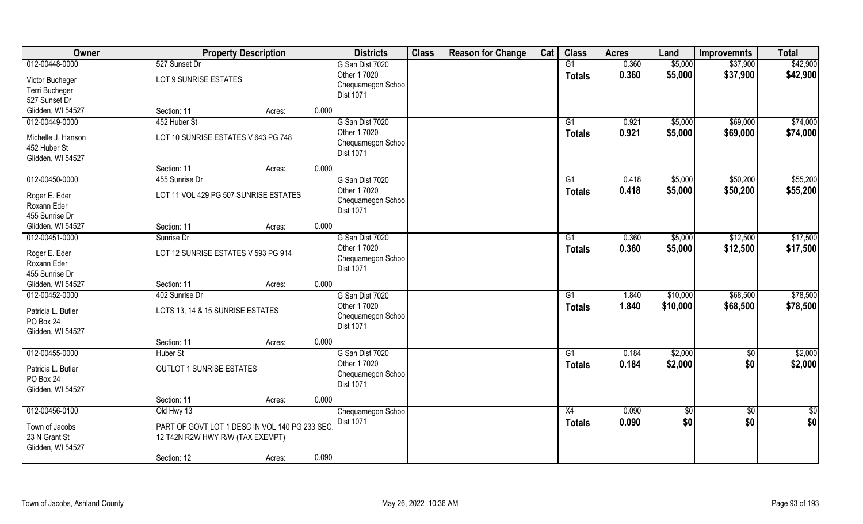| Owner                                                   | <b>Property Description</b>                                                       |        |       | <b>Districts</b>                                      | <b>Class</b> | <b>Reason for Change</b> | Cat | <b>Class</b>        | <b>Acres</b>   | Land               | <b>Improvemnts</b>   | <b>Total</b>         |
|---------------------------------------------------------|-----------------------------------------------------------------------------------|--------|-------|-------------------------------------------------------|--------------|--------------------------|-----|---------------------|----------------|--------------------|----------------------|----------------------|
| 012-00448-0000<br>Victor Bucheger                       | 527 Sunset Dr<br>LOT 9 SUNRISE ESTATES                                            |        |       | G San Dist 7020<br>Other 1 7020                       |              |                          |     | G1<br><b>Totals</b> | 0.360<br>0.360 | \$5,000<br>\$5,000 | \$37,900<br>\$37,900 | \$42,900<br>\$42,900 |
| Terri Bucheger<br>527 Sunset Dr                         |                                                                                   |        |       | Chequamegon Schoo<br><b>Dist 1071</b>                 |              |                          |     |                     |                |                    |                      |                      |
| Glidden, WI 54527                                       | Section: 11                                                                       | Acres: | 0.000 |                                                       |              |                          |     |                     |                |                    |                      |                      |
| 012-00449-0000                                          | 452 Huber St                                                                      |        |       | G San Dist 7020                                       |              |                          |     | $\overline{G1}$     | 0.921          | \$5,000            | \$69,000             | \$74,000             |
| Michelle J. Hanson<br>452 Huber St<br>Glidden, WI 54527 | LOT 10 SUNRISE ESTATES V 643 PG 748                                               |        |       | Other 1 7020<br>Chequamegon Schoo<br>Dist 1071        |              |                          |     | Totals              | 0.921          | \$5,000            | \$69,000             | \$74,000             |
|                                                         | Section: 11                                                                       | Acres: | 0.000 |                                                       |              |                          |     |                     |                |                    |                      |                      |
| 012-00450-0000                                          | 455 Sunrise Dr                                                                    |        |       | G San Dist 7020                                       |              |                          |     | G1                  | 0.418          | \$5,000            | \$50,200             | \$55,200             |
| Roger E. Eder<br>Roxann Eder<br>455 Sunrise Dr          | LOT 11 VOL 429 PG 507 SUNRISE ESTATES                                             |        |       | Other 1 7020<br>Chequamegon Schoo<br>Dist 1071        |              |                          |     | <b>Totals</b>       | 0.418          | \$5,000            | \$50,200             | \$55,200             |
| Glidden, WI 54527                                       | Section: 11                                                                       | Acres: | 0.000 |                                                       |              |                          |     |                     |                |                    |                      |                      |
| 012-00451-0000                                          | Sunrise Dr                                                                        |        |       | G San Dist 7020                                       |              |                          |     | G1                  | 0.360          | \$5,000            | \$12,500             | \$17,500             |
| Roger E. Eder<br>Roxann Eder<br>455 Sunrise Dr          | LOT 12 SUNRISE ESTATES V 593 PG 914                                               |        |       | Other 1 7020<br>Chequamegon Schoo<br><b>Dist 1071</b> |              |                          |     | <b>Totals</b>       | 0.360          | \$5,000            | \$12,500             | \$17,500             |
| Glidden, WI 54527                                       | Section: 11                                                                       | Acres: | 0.000 |                                                       |              |                          |     |                     |                |                    |                      |                      |
| 012-00452-0000                                          | 402 Sunrise Dr                                                                    |        |       | G San Dist 7020                                       |              |                          |     | $\overline{G1}$     | 1.840          | \$10,000           | \$68,500             | \$78,500             |
| Patricia L. Butler<br>PO Box 24<br>Glidden, WI 54527    | LOTS 13, 14 & 15 SUNRISE ESTATES                                                  |        |       | Other 1 7020<br>Chequamegon Schoo<br>Dist 1071        |              |                          |     | <b>Totals</b>       | 1.840          | \$10,000           | \$68,500             | \$78,500             |
|                                                         | Section: 11                                                                       | Acres: | 0.000 |                                                       |              |                          |     |                     |                |                    |                      |                      |
| 012-00455-0000                                          | <b>Huber St</b>                                                                   |        |       | G San Dist 7020                                       |              |                          |     | G1                  | 0.184          | \$2,000            | $\overline{60}$      | \$2,000              |
| Patricia L. Butler<br>PO Box 24<br>Glidden, WI 54527    | <b>OUTLOT 1 SUNRISE ESTATES</b>                                                   |        |       | Other 1 7020<br>Chequamegon Schoo<br>Dist 1071        |              |                          |     | <b>Totals</b>       | 0.184          | \$2,000            | \$0                  | \$2,000              |
|                                                         | Section: 11                                                                       | Acres: | 0.000 |                                                       |              |                          |     |                     |                |                    |                      |                      |
| 012-00456-0100                                          | Old Hwy 13                                                                        |        |       | Chequamegon Schoo                                     |              |                          |     | X4                  | 0.090          | $\sqrt{6}$         | $\sqrt{6}$           | $\frac{1}{2}$        |
| Town of Jacobs<br>23 N Grant St<br>Glidden, WI 54527    | PART OF GOVT LOT 1 DESC IN VOL 140 PG 233 SEC<br>12 T42N R2W HWY R/W (TAX EXEMPT) |        |       | <b>Dist 1071</b>                                      |              |                          |     | <b>Totals</b>       | 0.090          | \$0                | \$0                  | \$0                  |
|                                                         | Section: 12                                                                       | Acres: | 0.090 |                                                       |              |                          |     |                     |                |                    |                      |                      |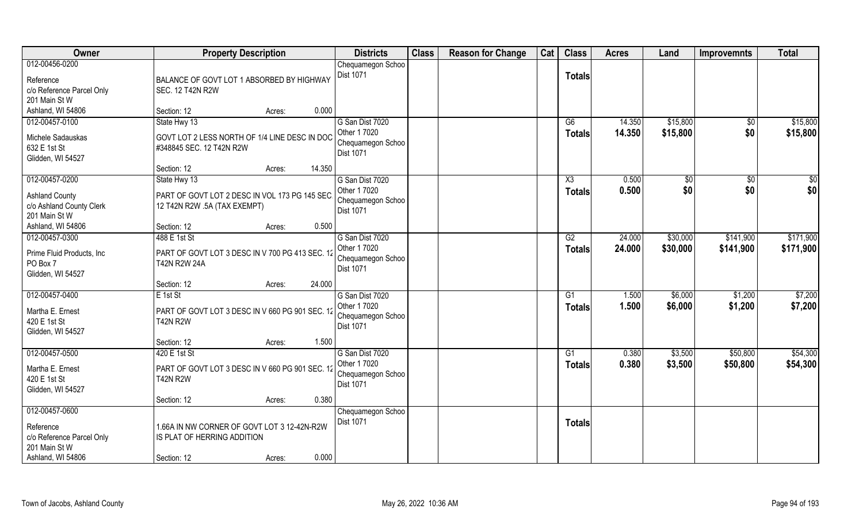| Owner                                                                                          | <b>Property Description</b>                                                                                        |        | <b>Districts</b>                                                         | <b>Class</b> | <b>Reason for Change</b> | Cat | <b>Class</b>        | <b>Acres</b>     | Land                 | <b>Improvemnts</b>     | <b>Total</b>           |
|------------------------------------------------------------------------------------------------|--------------------------------------------------------------------------------------------------------------------|--------|--------------------------------------------------------------------------|--------------|--------------------------|-----|---------------------|------------------|----------------------|------------------------|------------------------|
| 012-00456-0200<br>Reference<br>c/o Reference Parcel Only<br>201 Main St W                      | BALANCE OF GOVT LOT 1 ABSORBED BY HIGHWAY<br><b>SEC. 12 T42N R2W</b>                                               |        | Chequamegon Schoo<br>Dist 1071                                           |              |                          |     | <b>Totals</b>       |                  |                      |                        |                        |
| Ashland, WI 54806                                                                              | Section: 12<br>Acres:                                                                                              | 0.000  |                                                                          |              |                          |     |                     |                  |                      |                        |                        |
| 012-00457-0100<br>Michele Sadauskas<br>632 E 1st St<br>Glidden, WI 54527                       | State Hwy 13<br>GOVT LOT 2 LESS NORTH OF 1/4 LINE DESC IN DOC<br>#348845 SEC. 12 T42N R2W<br>Section: 12<br>Acres: | 14.350 | G San Dist 7020<br>Other 1 7020<br>Chequamegon Schoo<br><b>Dist 1071</b> |              |                          |     | G6<br><b>Totals</b> | 14.350<br>14.350 | \$15,800<br>\$15,800 | \$0<br>\$0             | \$15,800<br>\$15,800   |
| 012-00457-0200                                                                                 | State Hwy 13                                                                                                       |        | G San Dist 7020                                                          |              |                          |     | X3                  | 0.500            | $\sqrt[6]{}$         | \$0                    | $\sqrt{50}$            |
| <b>Ashland County</b><br>c/o Ashland County Clerk<br>201 Main St W                             | PART OF GOVT LOT 2 DESC IN VOL 173 PG 145 SEC<br>12 T42N R2W .5A (TAX EXEMPT)                                      |        | Other 1 7020<br>Chequamegon Schoo<br><b>Dist 1071</b>                    |              |                          |     | <b>Totals</b>       | 0.500            | \$0                  | \$0                    | \$0                    |
| Ashland, WI 54806                                                                              | Section: 12<br>Acres:                                                                                              | 0.500  |                                                                          |              |                          |     |                     |                  |                      |                        |                        |
| 012-00457-0300<br>Prime Fluid Products, Inc.<br>PO Box 7<br>Glidden, WI 54527                  | 488 E 1st St<br>PART OF GOVT LOT 3 DESC IN V 700 PG 413 SEC. 12<br><b>T42N R2W 24A</b>                             |        | G San Dist 7020<br>Other 1 7020<br>Chequamegon Schoo<br>Dist 1071        |              |                          |     | G2<br><b>Totals</b> | 24.000<br>24.000 | \$30,000<br>\$30,000 | \$141,900<br>\$141,900 | \$171,900<br>\$171,900 |
|                                                                                                | Section: 12<br>Acres:                                                                                              | 24.000 |                                                                          |              |                          |     |                     |                  |                      |                        |                        |
| 012-00457-0400<br>Martha E. Ernest<br>420 E 1st St<br>Glidden, WI 54527                        | $E$ 1st St<br>PART OF GOVT LOT 3 DESC IN V 660 PG 901 SEC. 12<br><b>T42N R2W</b>                                   |        | G San Dist 7020<br>Other 1 7020<br>Chequamegon Schoo<br>Dist 1071        |              |                          |     | G1<br><b>Totals</b> | 1.500<br>1.500   | \$6,000<br>\$6,000   | \$1,200<br>\$1,200     | \$7,200<br>\$7,200     |
|                                                                                                | Section: 12<br>Acres:                                                                                              | 1.500  |                                                                          |              |                          |     |                     |                  |                      |                        |                        |
| 012-00457-0500<br>Martha E. Ernest<br>420 E 1st St<br>Glidden, WI 54527                        | 420 E 1st St<br>PART OF GOVT LOT 3 DESC IN V 660 PG 901 SEC. 12<br><b>T42N R2W</b>                                 |        | G San Dist 7020<br>Other 1 7020<br>Chequamegon Schoo<br>Dist 1071        |              |                          |     | G1<br><b>Totals</b> | 0.380<br>0.380   | \$3,500<br>\$3,500   | \$50,800<br>\$50,800   | \$54,300<br>\$54,300   |
|                                                                                                | Section: 12<br>Acres:                                                                                              | 0.380  |                                                                          |              |                          |     |                     |                  |                      |                        |                        |
| 012-00457-0600<br>Reference<br>c/o Reference Parcel Only<br>201 Main St W<br>Ashland, WI 54806 | 1.66A IN NW CORNER OF GOVT LOT 3 12-42N-R2W<br>IS PLAT OF HERRING ADDITION<br>Section: 12<br>Acres:                | 0.000  | Chequamegon Schoo<br>Dist 1071                                           |              |                          |     | <b>Totals</b>       |                  |                      |                        |                        |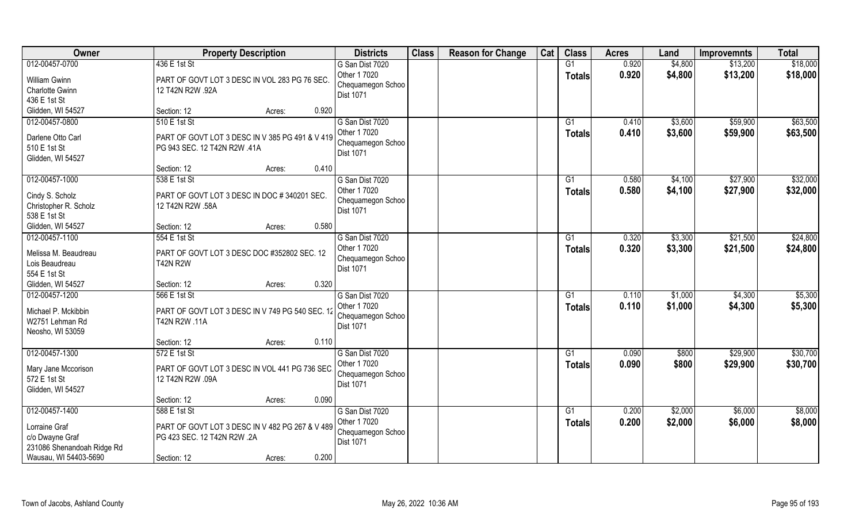| Owner                                                                                                     | <b>Property Description</b>                                                                                              | <b>Districts</b>                                                                  | <b>Class</b> | <b>Reason for Change</b> | Cat | <b>Class</b>                     | <b>Acres</b>   | Land               | <b>Improvemnts</b>   | <b>Total</b>         |
|-----------------------------------------------------------------------------------------------------------|--------------------------------------------------------------------------------------------------------------------------|-----------------------------------------------------------------------------------|--------------|--------------------------|-----|----------------------------------|----------------|--------------------|----------------------|----------------------|
| 012-00457-0700<br><b>William Gwinn</b><br>Charlotte Gwinn<br>436 E 1st St                                 | 436 E 1st St<br>PART OF GOVT LOT 3 DESC IN VOL 283 PG 76 SEC.<br>12 T42N R2W .92A                                        | G San Dist 7020<br>Other 1 7020<br>Chequamegon Schoo<br>Dist 1071                 |              |                          |     | G1<br><b>Totals</b>              | 0.920<br>0.920 | \$4,800<br>\$4,800 | \$13,200<br>\$13,200 | \$18,000<br>\$18,000 |
| Glidden, WI 54527                                                                                         | Section: 12<br>Acres:                                                                                                    | 0.920                                                                             |              |                          |     |                                  |                |                    |                      |                      |
| 012-00457-0800<br>Darlene Otto Carl<br>510 E 1st St<br>Glidden, WI 54527                                  | 510 E 1st St<br>PART OF GOVT LOT 3 DESC IN V 385 PG 491 & V 419<br>PG 943 SEC. 12 T42N R2W .41A<br>Section: 12<br>Acres: | G San Dist 7020<br>Other 1 7020<br>Chequamegon Schoo<br><b>Dist 1071</b><br>0.410 |              |                          |     | G1<br>Totals                     | 0.410<br>0.410 | \$3,600<br>\$3,600 | \$59,900<br>\$59,900 | \$63,500<br>\$63,500 |
| 012-00457-1000                                                                                            | 538 E 1st St                                                                                                             | G San Dist 7020                                                                   |              |                          |     | G1                               | 0.580          | \$4,100            | \$27,900             | \$32,000             |
| Cindy S. Scholz<br>Christopher R. Scholz<br>538 E 1st St                                                  | PART OF GOVT LOT 3 DESC IN DOC # 340201 SEC.<br>12 T42N R2W .58A                                                         | Other 1 7020<br>Chequamegon Schoo<br>Dist 1071                                    |              |                          |     | <b>Totals</b>                    | 0.580          | \$4,100            | \$27,900             | \$32,000             |
| Glidden, WI 54527                                                                                         | Section: 12<br>Acres:                                                                                                    | 0.580                                                                             |              |                          |     |                                  |                |                    |                      |                      |
| 012-00457-1100<br>Melissa M. Beaudreau<br>Lois Beaudreau<br>554 E 1st St                                  | 554 E 1st St<br>PART OF GOVT LOT 3 DESC DOC #352802 SEC. 12<br><b>T42N R2W</b>                                           | G San Dist 7020<br>Other 1 7020<br>Chequamegon Schoo<br>Dist 1071                 |              |                          |     | G1<br><b>Totals</b>              | 0.320<br>0.320 | \$3,300<br>\$3,300 | \$21,500<br>\$21,500 | \$24,800<br>\$24,800 |
| Glidden, WI 54527                                                                                         | Section: 12<br>Acres:                                                                                                    | 0.320                                                                             |              |                          |     |                                  |                |                    |                      |                      |
| 012-00457-1200<br>Michael P. Mckibbin<br>W2751 Lehman Rd<br>Neosho, WI 53059                              | 566 E 1st St<br>PART OF GOVT LOT 3 DESC IN V 749 PG 540 SEC. 12<br>T42N R2W .11A                                         | G San Dist 7020<br>Other 1 7020<br>Chequamegon Schoo<br>Dist 1071                 |              |                          |     | $\overline{G1}$<br><b>Totals</b> | 0.110<br>0.110 | \$1,000<br>\$1,000 | \$4,300<br>\$4,300   | \$5,300<br>\$5,300   |
|                                                                                                           | Section: 12<br>Acres:                                                                                                    | 0.110                                                                             |              |                          |     |                                  |                |                    |                      |                      |
| 012-00457-1300<br>Mary Jane Mccorison<br>572 E 1st St<br>Glidden, WI 54527                                | 572 E 1st St<br>PART OF GOVT LOT 3 DESC IN VOL 441 PG 736 SEC<br>12 T42N R2W .09A                                        | G San Dist 7020<br>Other 1 7020<br>Chequamegon Schoo<br>Dist 1071                 |              |                          |     | G1<br><b>Totals</b>              | 0.090<br>0.090 | \$800<br>\$800     | \$29,900<br>\$29,900 | \$30,700<br>\$30,700 |
|                                                                                                           | Section: 12<br>Acres:                                                                                                    | 0.090                                                                             |              |                          |     |                                  |                |                    |                      |                      |
| 012-00457-1400<br>Lorraine Graf<br>c/o Dwayne Graf<br>231086 Shenandoah Ridge Rd<br>Wausau, WI 54403-5690 | 588 E 1st St<br>PART OF GOVT LOT 3 DESC IN V 482 PG 267 & V 489<br>PG 423 SEC. 12 T42N R2W .2A<br>Section: 12<br>Acres:  | G San Dist 7020<br>Other 1 7020<br>Chequamegon Schoo<br><b>Dist 1071</b><br>0.200 |              |                          |     | $\overline{G1}$<br><b>Totals</b> | 0.200<br>0.200 | \$2,000<br>\$2,000 | \$6,000<br>\$6,000   | \$8,000<br>\$8,000   |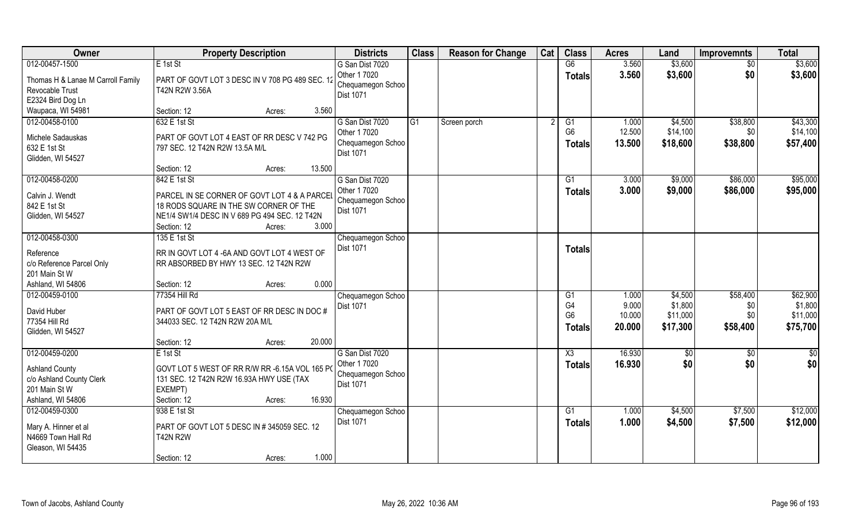| Owner                                                                                                     | <b>Property Description</b>                                                                                                                                      | <b>Districts</b>                                                            | <b>Class</b> | <b>Reason for Change</b> | Cat | <b>Class</b>                               | <b>Acres</b>              | Land                            | <b>Improvemnts</b>          | <b>Total</b>                     |
|-----------------------------------------------------------------------------------------------------------|------------------------------------------------------------------------------------------------------------------------------------------------------------------|-----------------------------------------------------------------------------|--------------|--------------------------|-----|--------------------------------------------|---------------------------|---------------------------------|-----------------------------|----------------------------------|
| 012-00457-1500                                                                                            | $E$ 1st St                                                                                                                                                       | G San Dist 7020                                                             |              |                          |     | G6                                         | 3.560                     | \$3,600                         | \$0                         | \$3,600                          |
| Thomas H & Lanae M Carroll Family<br>Revocable Trust<br>E2324 Bird Dog Ln                                 | PART OF GOVT LOT 3 DESC IN V 708 PG 489 SEC. 12<br>T42N R2W 3.56A                                                                                                | Other 1 7020<br>Chequamegon Schoo<br>Dist 1071                              |              |                          |     | <b>Totals</b>                              | 3.560                     | \$3,600                         | \$0                         | \$3,600                          |
| Waupaca, WI 54981                                                                                         | Section: 12<br>Acres:                                                                                                                                            | 3.560                                                                       |              |                          |     |                                            |                           |                                 |                             |                                  |
| 012-00458-0100<br>Michele Sadauskas<br>632 E 1st St                                                       | 632 E 1st St<br>PART OF GOVT LOT 4 EAST OF RR DESC V 742 PG<br>797 SEC. 12 T42N R2W 13.5A M/L                                                                    | G San Dist 7020<br>Other 1 7020<br>Chequamegon Schoo<br>Dist 1071           | G1           | Screen porch             |     | G1<br>G <sub>6</sub><br><b>Totals</b>      | 1.000<br>12.500<br>13.500 | \$4,500<br>\$14,100<br>\$18,600 | \$38,800<br>\$0<br>\$38,800 | \$43,300<br>\$14,100<br>\$57,400 |
| Glidden, WI 54527                                                                                         | Section: 12<br>Acres:                                                                                                                                            | 13.500                                                                      |              |                          |     |                                            |                           |                                 |                             |                                  |
| 012-00458-0200                                                                                            | 842 E 1st St                                                                                                                                                     | G San Dist 7020                                                             |              |                          |     | G1                                         | 3.000                     | \$9,000                         | \$86,000                    | \$95,000                         |
| Calvin J. Wendt<br>842 E 1st St<br>Glidden, WI 54527                                                      | PARCEL IN SE CORNER OF GOVT LOT 4 & A PARCEL<br>18 RODS SQUARE IN THE SW CORNER OF THE<br>NE1/4 SW1/4 DESC IN V 689 PG 494 SEC. 12 T42N<br>Section: 12<br>Acres: | Other 1 7020<br>Chequamegon Schoo<br>Dist 1071<br>3.000                     |              |                          |     | <b>Totals</b>                              | 3.000                     | \$9,000                         | \$86,000                    | \$95,000                         |
| 012-00458-0300                                                                                            | 135 E 1st St                                                                                                                                                     | Chequamegon Schoo                                                           |              |                          |     |                                            |                           |                                 |                             |                                  |
| Reference<br>c/o Reference Parcel Only<br>201 Main St W                                                   | RR IN GOVT LOT 4 -6A AND GOVT LOT 4 WEST OF<br>RR ABSORBED BY HWY 13 SEC. 12 T42N R2W                                                                            | Dist 1071                                                                   |              |                          |     | <b>Totals</b>                              |                           |                                 |                             |                                  |
| Ashland, WI 54806                                                                                         | Section: 12<br>Acres:                                                                                                                                            | 0.000                                                                       |              |                          |     |                                            |                           |                                 |                             |                                  |
| 012-00459-0100                                                                                            | 77354 Hill Rd                                                                                                                                                    | Chequamegon Schoo                                                           |              |                          |     | G1                                         | 1.000                     | \$4,500                         | \$58,400                    | \$62,900                         |
| David Huber<br>77354 Hill Rd<br>Glidden, WI 54527                                                         | PART OF GOVT LOT 5 EAST OF RR DESC IN DOC #<br>344033 SEC. 12 T42N R2W 20A M/L                                                                                   | Dist 1071                                                                   |              |                          |     | G <sub>4</sub><br>G <sub>6</sub><br>Totals | 9.000<br>10.000<br>20.000 | \$1,800<br>\$11,000<br>\$17,300 | \$0<br>\$0<br>\$58,400      | \$1,800<br>\$11,000<br>\$75,700  |
|                                                                                                           | Section: 12<br>Acres:                                                                                                                                            | 20.000                                                                      |              |                          |     |                                            |                           |                                 |                             |                                  |
| 012-00459-0200<br><b>Ashland County</b><br>c/o Ashland County Clerk<br>201 Main St W<br>Ashland, WI 54806 | E 1st St<br>GOVT LOT 5 WEST OF RR R/W RR -6.15A VOL 165 PC<br>131 SEC. 12 T42N R2W 16.93A HWY USE (TAX<br>EXEMPT)<br>Section: 12<br>Acres:                       | G San Dist 7020<br>Other 1 7020<br>Chequamegon Schoo<br>Dist 1071<br>16.930 |              |                          |     | X3<br><b>Totals</b>                        | 16.930<br>16.930          | \$0<br>\$0                      | \$0<br>\$0                  | $\frac{1}{2}$<br>\$0             |
| 012-00459-0300                                                                                            | 938 E 1st St                                                                                                                                                     | Chequamegon Schoo                                                           |              |                          |     | G1                                         | 1.000                     | \$4,500                         | \$7,500                     | \$12,000                         |
| Mary A. Hinner et al<br>N4669 Town Hall Rd<br>Gleason, WI 54435                                           | PART OF GOVT LOT 5 DESC IN # 345059 SEC. 12<br><b>T42N R2W</b>                                                                                                   | <b>Dist 1071</b>                                                            |              |                          |     | <b>Totals</b>                              | 1.000                     | \$4,500                         | \$7,500                     | \$12,000                         |
|                                                                                                           | Section: 12<br>Acres:                                                                                                                                            | 1.000                                                                       |              |                          |     |                                            |                           |                                 |                             |                                  |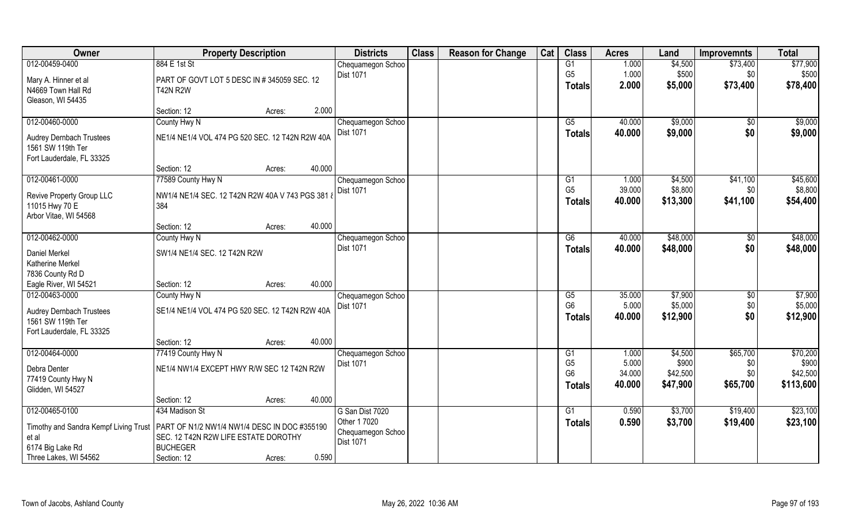| Owner                                 | <b>Property Description</b>                     |        |        | <b>Districts</b>  | <b>Class</b> | <b>Reason for Change</b> | Cat | <b>Class</b>           | <b>Acres</b> | Land     | <b>Improvemnts</b> | <b>Total</b> |
|---------------------------------------|-------------------------------------------------|--------|--------|-------------------|--------------|--------------------------|-----|------------------------|--------------|----------|--------------------|--------------|
| 012-00459-0400                        | 884 E 1st St                                    |        |        | Chequamegon Schoo |              |                          |     | G1                     | 1.000        | \$4,500  | \$73,400           | \$77,900     |
| Mary A. Hinner et al                  | PART OF GOVT LOT 5 DESC IN # 345059 SEC. 12     |        |        | Dist 1071         |              |                          |     | G <sub>5</sub>         | 1.000        | \$500    | \$0                | \$500        |
| N4669 Town Hall Rd                    | <b>T42N R2W</b>                                 |        |        |                   |              |                          |     | <b>Totals</b>          | 2.000        | \$5,000  | \$73,400           | \$78,400     |
| Gleason, WI 54435                     |                                                 |        |        |                   |              |                          |     |                        |              |          |                    |              |
|                                       | Section: 12                                     | Acres: | 2.000  |                   |              |                          |     |                        |              |          |                    |              |
| 012-00460-0000                        | County Hwy N                                    |        |        | Chequamegon Schoo |              |                          |     | $\overline{G5}$        | 40.000       | \$9,000  | $\sqrt[6]{}$       | \$9,000      |
|                                       |                                                 |        |        | <b>Dist 1071</b>  |              |                          |     | Totals                 | 40.000       | \$9,000  | \$0                | \$9,000      |
| <b>Audrey Dernbach Trustees</b>       | NE1/4 NE1/4 VOL 474 PG 520 SEC. 12 T42N R2W 40A |        |        |                   |              |                          |     |                        |              |          |                    |              |
| 1561 SW 119th Ter                     |                                                 |        |        |                   |              |                          |     |                        |              |          |                    |              |
| Fort Lauderdale, FL 33325             | Section: 12                                     |        | 40.000 |                   |              |                          |     |                        |              |          |                    |              |
| 012-00461-0000                        | 77589 County Hwy N                              | Acres: |        | Chequamegon Schoo |              |                          |     | G1                     | 1.000        | \$4,500  | \$41,100           | \$45,600     |
|                                       |                                                 |        |        | Dist 1071         |              |                          |     | G <sub>5</sub>         | 39.000       | \$8,800  | \$0                | \$8,800      |
| Revive Property Group LLC             | NW1/4 NE1/4 SEC. 12 T42N R2W 40A V 743 PGS 381  |        |        |                   |              |                          |     | <b>Totals</b>          | 40.000       | \$13,300 | \$41,100           | \$54,400     |
| 11015 Hwy 70 E                        | 384                                             |        |        |                   |              |                          |     |                        |              |          |                    |              |
| Arbor Vitae, WI 54568                 |                                                 |        |        |                   |              |                          |     |                        |              |          |                    |              |
|                                       | Section: 12                                     | Acres: | 40.000 |                   |              |                          |     |                        |              |          |                    |              |
| 012-00462-0000                        | County Hwy N                                    |        |        | Chequamegon Schoo |              |                          |     | G6                     | 40.000       | \$48,000 | \$0                | \$48,000     |
| Daniel Merkel                         | SW1/4 NE1/4 SEC. 12 T42N R2W                    |        |        | Dist 1071         |              |                          |     | <b>Totals</b>          | 40.000       | \$48,000 | \$0                | \$48,000     |
| Katherine Merkel                      |                                                 |        |        |                   |              |                          |     |                        |              |          |                    |              |
| 7836 County Rd D                      |                                                 |        |        |                   |              |                          |     |                        |              |          |                    |              |
| Eagle River, WI 54521                 | Section: 12                                     | Acres: | 40.000 |                   |              |                          |     |                        |              |          |                    |              |
| 012-00463-0000                        | County Hwy N                                    |        |        | Chequamegon Schoo |              |                          |     | $\overline{\text{G5}}$ | 35.000       | \$7,900  | \$0                | \$7,900      |
| <b>Audrey Dernbach Trustees</b>       | SE1/4 NE1/4 VOL 474 PG 520 SEC. 12 T42N R2W 40A |        |        | Dist 1071         |              |                          |     | G <sub>6</sub>         | 5.000        | \$5,000  | \$0                | \$5,000      |
| 1561 SW 119th Ter                     |                                                 |        |        |                   |              |                          |     | Totals                 | 40.000       | \$12,900 | \$0                | \$12,900     |
| Fort Lauderdale, FL 33325             |                                                 |        |        |                   |              |                          |     |                        |              |          |                    |              |
|                                       | Section: 12                                     | Acres: | 40.000 |                   |              |                          |     |                        |              |          |                    |              |
| 012-00464-0000                        | 77419 County Hwy N                              |        |        | Chequamegon Schoo |              |                          |     | G1                     | 1.000        | \$4,500  | \$65,700           | \$70,200     |
|                                       |                                                 |        |        | <b>Dist 1071</b>  |              |                          |     | G <sub>5</sub>         | 5.000        | \$900    | \$0                | \$900        |
| Debra Denter<br>77419 County Hwy N    | NE1/4 NW1/4 EXCEPT HWY R/W SEC 12 T42N R2W      |        |        |                   |              |                          |     | G <sub>6</sub>         | 34.000       | \$42,500 | \$0\$              | \$42,500     |
| Glidden, WI 54527                     |                                                 |        |        |                   |              |                          |     | <b>Totals</b>          | 40.000       | \$47,900 | \$65,700           | \$113,600    |
|                                       | Section: 12                                     | Acres: | 40.000 |                   |              |                          |     |                        |              |          |                    |              |
| 012-00465-0100                        | 434 Madison St                                  |        |        | G San Dist 7020   |              |                          |     | G1                     | 0.590        | \$3,700  | \$19,400           | \$23,100     |
|                                       |                                                 |        |        | Other 1 7020      |              |                          |     | <b>Totals</b>          | 0.590        | \$3,700  | \$19,400           | \$23,100     |
| Timothy and Sandra Kempf Living Trust | PART OF N1/2 NW1/4 NW1/4 DESC IN DOC #355190    |        |        | Chequamegon Schoo |              |                          |     |                        |              |          |                    |              |
| et al                                 | SEC. 12 T42N R2W LIFE ESTATE DOROTHY            |        |        | <b>Dist 1071</b>  |              |                          |     |                        |              |          |                    |              |
| 6174 Big Lake Rd                      | <b>BUCHEGER</b>                                 |        |        |                   |              |                          |     |                        |              |          |                    |              |
| Three Lakes, WI 54562                 | Section: 12                                     | Acres: | 0.590  |                   |              |                          |     |                        |              |          |                    |              |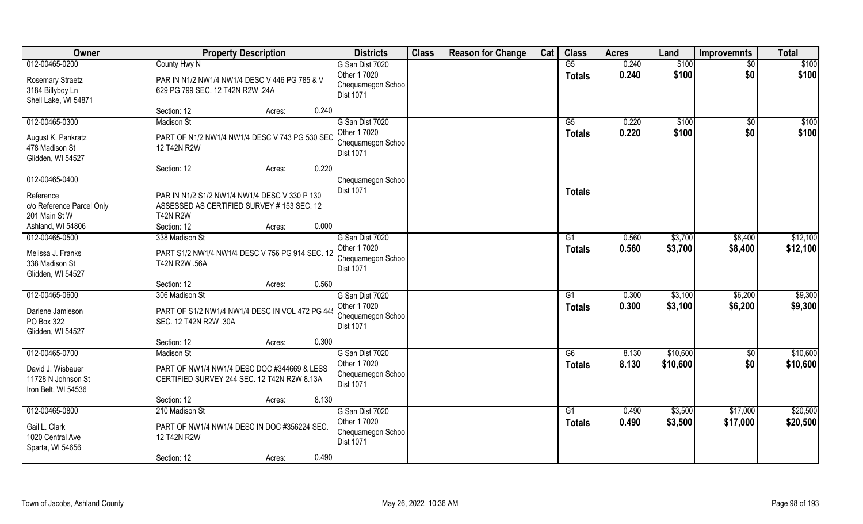| <b>Owner</b>                                                                          | <b>Property Description</b>                                                                                     | <b>Districts</b>                                                         | <b>Class</b> | <b>Reason for Change</b> | Cat | <b>Class</b>        | <b>Acres</b>   | Land               | <b>Improvemnts</b>   | <b>Total</b>         |
|---------------------------------------------------------------------------------------|-----------------------------------------------------------------------------------------------------------------|--------------------------------------------------------------------------|--------------|--------------------------|-----|---------------------|----------------|--------------------|----------------------|----------------------|
| 012-00465-0200<br><b>Rosemary Straetz</b><br>3184 Billyboy Ln<br>Shell Lake, WI 54871 | County Hwy N<br>PAR IN N1/2 NW1/4 NW1/4 DESC V 446 PG 785 & V<br>629 PG 799 SEC. 12 T42N R2W .24A               | G San Dist 7020<br>Other 1 7020<br>Chequamegon Schoo<br>Dist 1071        |              |                          |     | G5<br><b>Totals</b> | 0.240<br>0.240 | \$100<br>\$100     | \$0<br>\$0           | \$100<br>\$100       |
|                                                                                       | 0.240<br>Section: 12<br>Acres:                                                                                  |                                                                          |              |                          |     |                     |                |                    |                      |                      |
| 012-00465-0300<br>August K. Pankratz<br>478 Madison St<br>Glidden, WI 54527           | <b>Madison St</b><br>PART OF N1/2 NW1/4 NW1/4 DESC V 743 PG 530 SEC<br>12 T42N R2W                              | G San Dist 7020<br>Other 1 7020<br>Chequamegon Schoo<br>Dist 1071        |              |                          |     | G5<br>Totals        | 0.220<br>0.220 | \$100<br>\$100     | \$0<br>\$0           | \$100<br>\$100       |
|                                                                                       | 0.220<br>Section: 12<br>Acres:                                                                                  |                                                                          |              |                          |     |                     |                |                    |                      |                      |
| 012-00465-0400<br>Reference<br>c/o Reference Parcel Only<br>201 Main St W             | PAR IN N1/2 S1/2 NW1/4 NW1/4 DESC V 330 P 130<br>ASSESSED AS CERTIFIED SURVEY # 153 SEC. 12<br><b>T42N R2W</b>  | Chequamegon Schoo<br>Dist 1071                                           |              |                          |     | <b>Totals</b>       |                |                    |                      |                      |
| Ashland, WI 54806                                                                     | Section: 12<br>0.000<br>Acres:                                                                                  |                                                                          |              |                          |     |                     |                |                    |                      |                      |
| 012-00465-0500<br>Melissa J. Franks<br>338 Madison St<br>Glidden, WI 54527            | 338 Madison St<br>PART S1/2 NW1/4 NW1/4 DESC V 756 PG 914 SEC. 12<br>T42N R2W .56A                              | G San Dist 7020<br>Other 1 7020<br>Chequamegon Schoo<br>Dist 1071        |              |                          |     | G1<br><b>Totals</b> | 0.560<br>0.560 | \$3,700<br>\$3,700 | \$8,400<br>\$8,400   | \$12,100<br>\$12,100 |
|                                                                                       | 0.560<br>Section: 12<br>Acres:                                                                                  |                                                                          |              |                          |     |                     |                |                    |                      |                      |
| 012-00465-0600<br>Darlene Jamieson<br>PO Box 322<br>Glidden, WI 54527                 | 306 Madison St<br>PART OF S1/2 NW1/4 NW1/4 DESC IN VOL 472 PG 44<br>SEC. 12 T42N R2W .30A                       | G San Dist 7020<br>Other 1 7020<br>Chequamegon Schoo<br>Dist 1071        |              |                          |     | G1<br><b>Totals</b> | 0.300<br>0.300 | \$3,100<br>\$3,100 | \$6,200<br>\$6,200   | \$9,300<br>\$9,300   |
|                                                                                       | 0.300<br>Section: 12<br>Acres:                                                                                  |                                                                          |              |                          |     |                     |                |                    |                      |                      |
| 012-00465-0700                                                                        | <b>Madison St</b>                                                                                               | G San Dist 7020                                                          |              |                          |     | G6                  | 8.130          | \$10,600           | $\overline{50}$      | \$10,600             |
| David J. Wisbauer<br>11728 N Johnson St<br>Iron Belt, WI 54536                        | PART OF NW1/4 NW1/4 DESC DOC #344669 & LESS<br>CERTIFIED SURVEY 244 SEC. 12 T42N R2W 8.13A                      | Other 1 7020<br>Chequamegon Schoo<br>Dist 1071                           |              |                          |     | <b>Totals</b>       | 8.130          | \$10,600           | \$0                  | \$10,600             |
|                                                                                       | 8.130<br>Section: 12<br>Acres:                                                                                  |                                                                          |              |                          |     |                     |                |                    |                      |                      |
| 012-00465-0800<br>Gail L. Clark<br>1020 Central Ave<br>Sparta, WI 54656               | 210 Madison St<br>PART OF NW1/4 NW1/4 DESC IN DOC #356224 SEC.<br>12 T42N R2W<br>0.490<br>Section: 12<br>Acres: | G San Dist 7020<br>Other 1 7020<br>Chequamegon Schoo<br><b>Dist 1071</b> |              |                          |     | G1<br><b>Totals</b> | 0.490<br>0.490 | \$3,500<br>\$3,500 | \$17,000<br>\$17,000 | \$20,500<br>\$20,500 |
|                                                                                       |                                                                                                                 |                                                                          |              |                          |     |                     |                |                    |                      |                      |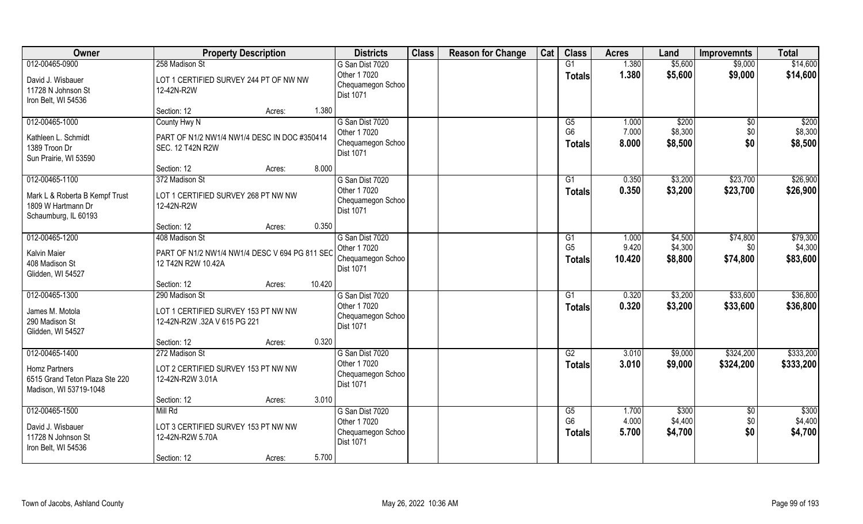| Owner                          | <b>Property Description</b>                       | <b>Districts</b>                | <b>Class</b> | <b>Reason for Change</b> | Cat | <b>Class</b>                      | <b>Acres</b>   | Land               | <b>Improvemnts</b> | <b>Total</b>        |
|--------------------------------|---------------------------------------------------|---------------------------------|--------------|--------------------------|-----|-----------------------------------|----------------|--------------------|--------------------|---------------------|
| 012-00465-0900                 | 258 Madison St                                    | G San Dist 7020                 |              |                          |     | G1                                | 1.380          | \$5,600            | \$9,000            | \$14,600            |
| David J. Wisbauer              | LOT 1 CERTIFIED SURVEY 244 PT OF NW NW            | Other 1 7020                    |              |                          |     | <b>Totals</b>                     | 1.380          | \$5,600            | \$9,000            | \$14,600            |
| 11728 N Johnson St             | 12-42N-R2W                                        | Chequamegon Schoo<br>Dist 1071  |              |                          |     |                                   |                |                    |                    |                     |
| Iron Belt, WI 54536            |                                                   |                                 |              |                          |     |                                   |                |                    |                    |                     |
|                                | Section: 12<br>Acres:                             | 1.380                           |              |                          |     |                                   |                |                    |                    |                     |
| 012-00465-1000                 | County Hwy N                                      | G San Dist 7020<br>Other 1 7020 |              |                          |     | $\overline{G5}$<br>G <sub>6</sub> | 1.000<br>7.000 | \$200<br>\$8,300   | \$0                | \$200<br>\$8,300    |
| Kathleen L. Schmidt            | PART OF N1/2 NW1/4 NW1/4 DESC IN DOC #350414      | Chequamegon Schoo               |              |                          |     | <b>Totals</b>                     | 8.000          | \$8,500            | \$0<br>\$0         | \$8,500             |
| 1389 Troon Dr                  | <b>SEC. 12 T42N R2W</b>                           | <b>Dist 1071</b>                |              |                          |     |                                   |                |                    |                    |                     |
| Sun Prairie, WI 53590          |                                                   |                                 |              |                          |     |                                   |                |                    |                    |                     |
|                                | Section: 12<br>Acres:                             | 8.000                           |              |                          |     |                                   |                |                    |                    |                     |
| 012-00465-1100                 | 372 Madison St                                    | G San Dist 7020<br>Other 1 7020 |              |                          |     | G1                                | 0.350          | \$3,200            | \$23,700           | \$26,900            |
| Mark L & Roberta B Kempf Trust | LOT 1 CERTIFIED SURVEY 268 PT NW NW               | Chequamegon Schoo               |              |                          |     | <b>Totals</b>                     | 0.350          | \$3,200            | \$23,700           | \$26,900            |
| 1809 W Hartmann Dr             | 12-42N-R2W                                        | <b>Dist 1071</b>                |              |                          |     |                                   |                |                    |                    |                     |
| Schaumburg, IL 60193           |                                                   |                                 |              |                          |     |                                   |                |                    |                    |                     |
|                                | Section: 12<br>Acres:                             | 0.350                           |              |                          |     |                                   |                |                    |                    |                     |
| 012-00465-1200                 | 408 Madison St                                    | G San Dist 7020<br>Other 1 7020 |              |                          |     | G1<br>G <sub>5</sub>              | 1.000<br>9.420 | \$4,500<br>\$4,300 | \$74,800<br>\$0    | \$79,300<br>\$4,300 |
| <b>Kalvin Maier</b>            | PART OF N1/2 NW1/4 NW1/4 DESC V 694 PG 811 SEC    | Chequamegon Schoo               |              |                          |     | <b>Totals</b>                     | 10.420         | \$8,800            | \$74,800           | \$83,600            |
| 408 Madison St                 | 12 T42N R2W 10.42A                                | Dist 1071                       |              |                          |     |                                   |                |                    |                    |                     |
| Glidden, WI 54527              |                                                   |                                 |              |                          |     |                                   |                |                    |                    |                     |
| 012-00465-1300                 | 10.420<br>Section: 12<br>Acres:<br>290 Madison St | G San Dist 7020                 |              |                          |     |                                   | 0.320          | \$3,200            | \$33,600           | \$36,800            |
|                                |                                                   | Other 1 7020                    |              |                          |     | G1                                | 0.320          | \$3,200            | \$33,600           | \$36,800            |
| James M. Motola                | LOT 1 CERTIFIED SURVEY 153 PT NW NW               | Chequamegon Schoo               |              |                          |     | Totals                            |                |                    |                    |                     |
| 290 Madison St                 | 12-42N-R2W .32A V 615 PG 221                      | <b>Dist 1071</b>                |              |                          |     |                                   |                |                    |                    |                     |
| Glidden, WI 54527              |                                                   |                                 |              |                          |     |                                   |                |                    |                    |                     |
| 012-00465-1400                 | Section: 12<br>Acres:<br>272 Madison St           | 0.320<br>G San Dist 7020        |              |                          |     | G2                                | 3.010          | \$9,000            | \$324,200          | \$333,200           |
|                                |                                                   | Other 1 7020                    |              |                          |     | <b>Totals</b>                     | 3.010          | \$9,000            | \$324,200          | \$333,200           |
| <b>Homz Partners</b>           | LOT 2 CERTIFIED SURVEY 153 PT NW NW               | Chequamegon Schoo               |              |                          |     |                                   |                |                    |                    |                     |
| 6515 Grand Teton Plaza Ste 220 | 12-42N-R2W 3.01A                                  | Dist 1071                       |              |                          |     |                                   |                |                    |                    |                     |
| Madison, WI 53719-1048         |                                                   | 3.010                           |              |                          |     |                                   |                |                    |                    |                     |
| 012-00465-1500                 | Section: 12<br>Acres:<br>Mill Rd                  | G San Dist 7020                 |              |                          |     | G5                                | 1.700          | \$300              | $\sqrt[6]{}$       | \$300               |
|                                |                                                   | Other 1 7020                    |              |                          |     | G <sub>6</sub>                    | 4.000          | \$4,400            | \$0                | \$4,400             |
| David J. Wisbauer              | LOT 3 CERTIFIED SURVEY 153 PT NW NW               | Chequamegon Schoo               |              |                          |     | <b>Totals</b>                     | 5.700          | \$4,700            | \$0                | \$4,700             |
| 11728 N Johnson St             | 12-42N-R2W 5.70A                                  | <b>Dist 1071</b>                |              |                          |     |                                   |                |                    |                    |                     |
| Iron Belt, WI 54536            | Section: 12                                       | 5.700                           |              |                          |     |                                   |                |                    |                    |                     |
|                                | Acres:                                            |                                 |              |                          |     |                                   |                |                    |                    |                     |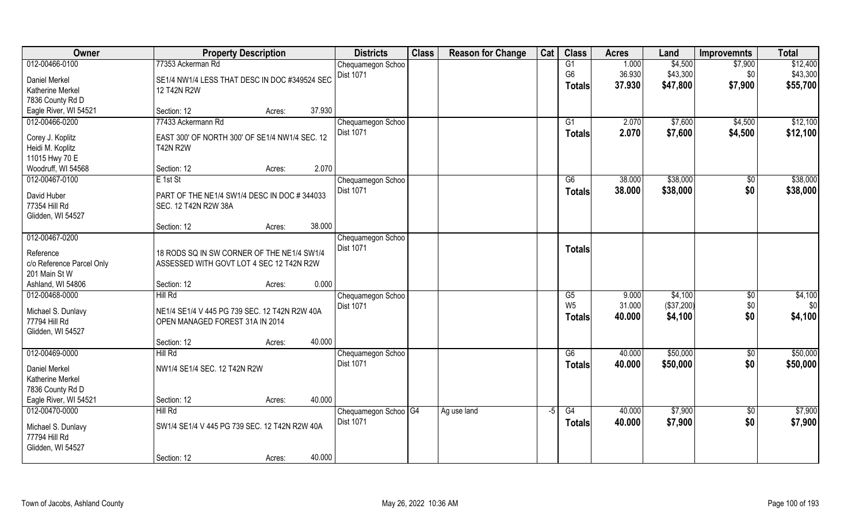| Owner                                    | <b>Property Description</b>                                                      |        | <b>Districts</b>                 | <b>Class</b> | <b>Reason for Change</b> | Cat  | <b>Class</b>    | <b>Acres</b> | Land       | <b>Improvemnts</b> | <b>Total</b> |
|------------------------------------------|----------------------------------------------------------------------------------|--------|----------------------------------|--------------|--------------------------|------|-----------------|--------------|------------|--------------------|--------------|
| 012-00466-0100                           | 77353 Ackerman Rd                                                                |        | Chequamegon Schoo                |              |                          |      | G1              | 1.000        | \$4,500    | \$7,900            | \$12,400     |
| Daniel Merkel                            | SE1/4 NW1/4 LESS THAT DESC IN DOC #349524 SEC                                    |        | Dist 1071                        |              |                          |      | G <sub>6</sub>  | 36.930       | \$43,300   | \$0                | \$43,300     |
| <b>Katherine Merkel</b>                  | 12 T42N R2W                                                                      |        |                                  |              |                          |      | <b>Totals</b>   | 37.930       | \$47,800   | \$7,900            | \$55,700     |
| 7836 County Rd D                         |                                                                                  |        |                                  |              |                          |      |                 |              |            |                    |              |
| Eagle River, WI 54521                    | Section: 12<br>Acres:                                                            | 37.930 |                                  |              |                          |      |                 |              |            |                    |              |
| 012-00466-0200                           | 77433 Ackermann Rd                                                               |        | Chequamegon Schoo                |              |                          |      | G <sub>1</sub>  | 2.070        | \$7,600    | \$4,500            | \$12,100     |
| Corey J. Koplitz                         | EAST 300' OF NORTH 300' OF SE1/4 NW1/4 SEC. 12                                   |        | Dist 1071                        |              |                          |      | Totals          | 2.070        | \$7,600    | \$4,500            | \$12,100     |
| Heidi M. Koplitz                         | <b>T42N R2W</b>                                                                  |        |                                  |              |                          |      |                 |              |            |                    |              |
| 11015 Hwy 70 E                           |                                                                                  |        |                                  |              |                          |      |                 |              |            |                    |              |
| Woodruff, WI 54568                       | Section: 12<br>Acres:                                                            | 2.070  |                                  |              |                          |      |                 |              |            |                    |              |
| 012-00467-0100                           | E 1st St                                                                         |        | Chequamegon Schoo                |              |                          |      | G6              | 38.000       | \$38,000   | \$0                | \$38,000     |
| David Huber                              | PART OF THE NE1/4 SW1/4 DESC IN DOC # 344033                                     |        | Dist 1071                        |              |                          |      | <b>Totals</b>   | 38.000       | \$38,000   | \$0                | \$38,000     |
| 77354 Hill Rd                            | SEC. 12 T42N R2W 38A                                                             |        |                                  |              |                          |      |                 |              |            |                    |              |
| Glidden, WI 54527                        |                                                                                  |        |                                  |              |                          |      |                 |              |            |                    |              |
|                                          | Section: 12<br>Acres:                                                            | 38.000 |                                  |              |                          |      |                 |              |            |                    |              |
| 012-00467-0200                           |                                                                                  |        | Chequamegon Schoo                |              |                          |      |                 |              |            |                    |              |
| Reference                                | 18 RODS SQ IN SW CORNER OF THE NE1/4 SW1/4                                       |        | Dist 1071                        |              |                          |      | <b>Totals</b>   |              |            |                    |              |
| c/o Reference Parcel Only                | ASSESSED WITH GOVT LOT 4 SEC 12 T42N R2W                                         |        |                                  |              |                          |      |                 |              |            |                    |              |
| 201 Main St W                            |                                                                                  |        |                                  |              |                          |      |                 |              |            |                    |              |
| Ashland, WI 54806                        | Section: 12<br>Acres:                                                            | 0.000  |                                  |              |                          |      |                 |              |            |                    |              |
| 012-00468-0000                           | Hill Rd                                                                          |        | Chequamegon Schoo                |              |                          |      | $\overline{G5}$ | 9.000        | \$4,100    | \$0                | \$4,100      |
|                                          |                                                                                  |        | <b>Dist 1071</b>                 |              |                          |      | W <sub>5</sub>  | 31.000       | (\$37,200) | \$0                | \$0          |
| Michael S. Dunlavy<br>77794 Hill Rd      | NE1/4 SE1/4 V 445 PG 739 SEC. 12 T42N R2W 40A<br>OPEN MANAGED FOREST 31A IN 2014 |        |                                  |              |                          |      | <b>Totals</b>   | 40.000       | \$4,100    | \$0                | \$4,100      |
| Glidden, WI 54527                        |                                                                                  |        |                                  |              |                          |      |                 |              |            |                    |              |
|                                          | Section: 12<br>Acres:                                                            | 40.000 |                                  |              |                          |      |                 |              |            |                    |              |
| 012-00469-0000                           | Hill Rd                                                                          |        | Chequamegon Schoo                |              |                          |      | G6              | 40.000       | \$50,000   | \$0                | \$50,000     |
|                                          |                                                                                  |        | Dist 1071                        |              |                          |      | <b>Totals</b>   | 40.000       | \$50,000   | \$0                | \$50,000     |
| Daniel Merkel<br><b>Katherine Merkel</b> | NW1/4 SE1/4 SEC. 12 T42N R2W                                                     |        |                                  |              |                          |      |                 |              |            |                    |              |
| 7836 County Rd D                         |                                                                                  |        |                                  |              |                          |      |                 |              |            |                    |              |
| Eagle River, WI 54521                    | Section: 12<br>Acres:                                                            | 40.000 |                                  |              |                          |      |                 |              |            |                    |              |
| 012-00470-0000                           | Hill Rd                                                                          |        | Chequamegon Schoo <sup>OG4</sup> |              | Ag use land              | $-5$ | G4              | 40.000       | \$7,900    | $\overline{50}$    | \$7,900      |
|                                          |                                                                                  |        | <b>Dist 1071</b>                 |              |                          |      | <b>Totals</b>   | 40.000       | \$7,900    | \$0                | \$7,900      |
| Michael S. Dunlavy<br>77794 Hill Rd      | SW1/4 SE1/4 V 445 PG 739 SEC. 12 T42N R2W 40A                                    |        |                                  |              |                          |      |                 |              |            |                    |              |
| Glidden, WI 54527                        |                                                                                  |        |                                  |              |                          |      |                 |              |            |                    |              |
|                                          |                                                                                  |        |                                  |              |                          |      |                 |              |            |                    |              |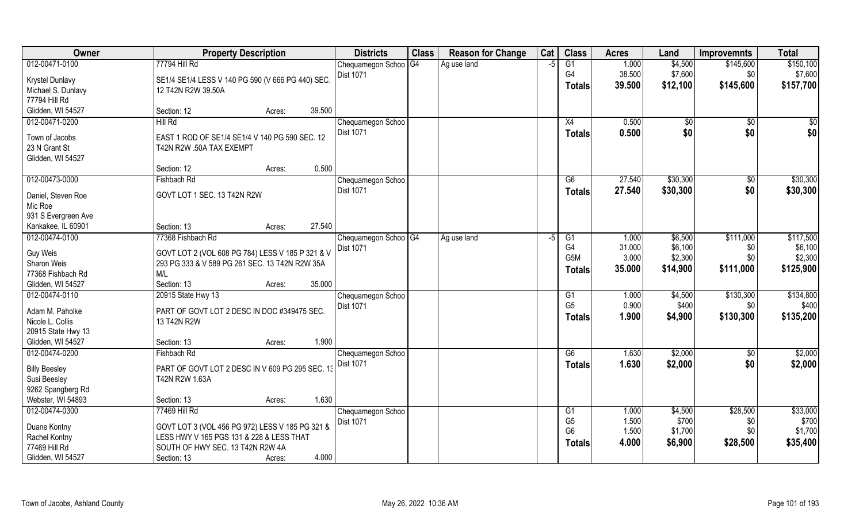| Owner                          | <b>Property Description</b>                       | <b>Districts</b>                  | <b>Class</b> | <b>Reason for Change</b> | Cat  | <b>Class</b>         | <b>Acres</b>   | Land         | Improvemnts    | <b>Total</b> |
|--------------------------------|---------------------------------------------------|-----------------------------------|--------------|--------------------------|------|----------------------|----------------|--------------|----------------|--------------|
| 012-00471-0100                 | 77794 Hill Rd                                     | Chequamegon Schoo <sup>OG4</sup>  |              | Ag use land              | $-5$ | G1                   | 1.000          | \$4,500      | \$145,600      | \$150,100    |
| Krystel Dunlavy                | SE1/4 SE1/4 LESS V 140 PG 590 (V 666 PG 440) SEC. | <b>Dist 1071</b>                  |              |                          |      | G <sub>4</sub>       | 38.500         | \$7,600      | \$0            | \$7,600      |
| Michael S. Dunlavy             | 12 T42N R2W 39.50A                                |                                   |              |                          |      | <b>Totals</b>        | 39.500         | \$12,100     | \$145,600      | \$157,700    |
| 77794 Hill Rd                  |                                                   |                                   |              |                          |      |                      |                |              |                |              |
| Glidden, WI 54527              | 39.500<br>Section: 12<br>Acres:                   |                                   |              |                          |      |                      |                |              |                |              |
| 012-00471-0200                 | Hill Rd                                           | Chequamegon Schoo                 |              |                          |      | X4                   | 0.500          | $\sqrt[6]{}$ | $\sqrt{$0}$    | \$0          |
| Town of Jacobs                 | EAST 1 ROD OF SE1/4 SE1/4 V 140 PG 590 SEC. 12    | <b>Dist 1071</b>                  |              |                          |      | <b>Totals</b>        | 0.500          | \$0          | \$0            | \$0          |
| 23 N Grant St                  | T42N R2W .50A TAX EXEMPT                          |                                   |              |                          |      |                      |                |              |                |              |
| Glidden, WI 54527              |                                                   |                                   |              |                          |      |                      |                |              |                |              |
|                                | 0.500<br>Section: 12<br>Acres:                    |                                   |              |                          |      |                      |                |              |                |              |
| 012-00473-0000                 | Fishbach Rd                                       | Chequamegon Schoo                 |              |                          |      | G6                   | 27.540         | \$30,300     | $\sqrt[6]{30}$ | \$30,300     |
|                                |                                                   | <b>Dist 1071</b>                  |              |                          |      | <b>Totals</b>        | 27.540         | \$30,300     | \$0            | \$30,300     |
| Daniel, Steven Roe             | GOVT LOT 1 SEC. 13 T42N R2W                       |                                   |              |                          |      |                      |                |              |                |              |
| Mic Roe<br>931 S Evergreen Ave |                                                   |                                   |              |                          |      |                      |                |              |                |              |
| Kankakee, IL 60901             | 27,540<br>Section: 13<br>Acres:                   |                                   |              |                          |      |                      |                |              |                |              |
| 012-00474-0100                 | 77368 Fishbach Rd                                 | Chequamegon Schoo <sup>1</sup> G4 |              | Ag use land              | -5   | G1                   | 1.000          | \$6,500      | \$111,000      | \$117,500    |
|                                |                                                   | Dist 1071                         |              |                          |      | G4                   | 31.000         | \$6,100      | \$0            | \$6,100      |
| Guy Weis                       | GOVT LOT 2 (VOL 608 PG 784) LESS V 185 P 321 & V  |                                   |              |                          |      | G5M                  | 3.000          | \$2,300      | \$0            | \$2,300      |
| Sharon Weis                    | 293 PG 333 & V 589 PG 261 SEC. 13 T42N R2W 35A    |                                   |              |                          |      | <b>Totals</b>        | 35.000         | \$14,900     | \$111,000      | \$125,900    |
| 77368 Fishbach Rd              | M/L                                               |                                   |              |                          |      |                      |                |              |                |              |
| Glidden, WI 54527              | Section: 13<br>35.000<br>Acres:                   |                                   |              |                          |      |                      |                |              |                |              |
| 012-00474-0110                 | 20915 State Hwy 13                                | Chequamegon Schoo                 |              |                          |      | G1<br>G <sub>5</sub> | 1.000<br>0.900 | \$4,500      | \$130,300      | \$134,800    |
| Adam M. Paholke                | PART OF GOVT LOT 2 DESC IN DOC #349475 SEC.       | <b>Dist 1071</b>                  |              |                          |      |                      | 1.900          | \$400        | \$0            | \$400        |
| Nicole L. Collis               | 13 T42N R2W                                       |                                   |              |                          |      | <b>Totals</b>        |                | \$4,900      | \$130,300      | \$135,200    |
| 20915 State Hwy 13             |                                                   |                                   |              |                          |      |                      |                |              |                |              |
| Glidden, WI 54527              | 1.900<br>Section: 13<br>Acres:                    |                                   |              |                          |      |                      |                |              |                |              |
| 012-00474-0200                 | Fishbach Rd                                       | Chequamegon Schoo                 |              |                          |      | G6                   | 1.630          | \$2,000      | \$0            | \$2,000      |
| <b>Billy Beesley</b>           | PART OF GOVT LOT 2 DESC IN V 609 PG 295 SEC. 13   | Dist 1071                         |              |                          |      | <b>Totals</b>        | 1.630          | \$2,000      | \$0            | \$2,000      |
| Susi Beesley                   | T42N R2W 1.63A                                    |                                   |              |                          |      |                      |                |              |                |              |
| 9262 Spangberg Rd              |                                                   |                                   |              |                          |      |                      |                |              |                |              |
| Webster, WI 54893              | 1.630<br>Section: 13<br>Acres:                    |                                   |              |                          |      |                      |                |              |                |              |
| 012-00474-0300                 | 77469 Hill Rd                                     | Chequamegon Schoo                 |              |                          |      | G1                   | 1.000          | \$4,500      | \$28,500       | \$33,000     |
| Duane Kontny                   | GOVT LOT 3 (VOL 456 PG 972) LESS V 185 PG 321 &   | Dist 1071                         |              |                          |      | G <sub>5</sub>       | 1.500          | \$700        | \$0            | \$700        |
| Rachel Kontny                  | LESS HWY V 165 PGS 131 & 228 & LESS THAT          |                                   |              |                          |      | G <sub>6</sub>       | 1.500          | \$1,700      | \$0            | \$1,700      |
| 77469 Hill Rd                  | SOUTH OF HWY SEC. 13 T42N R2W 4A                  |                                   |              |                          |      | <b>Totals</b>        | 4.000          | \$6,900      | \$28,500       | \$35,400     |
| Glidden, WI 54527              | 4.000<br>Section: 13<br>Acres:                    |                                   |              |                          |      |                      |                |              |                |              |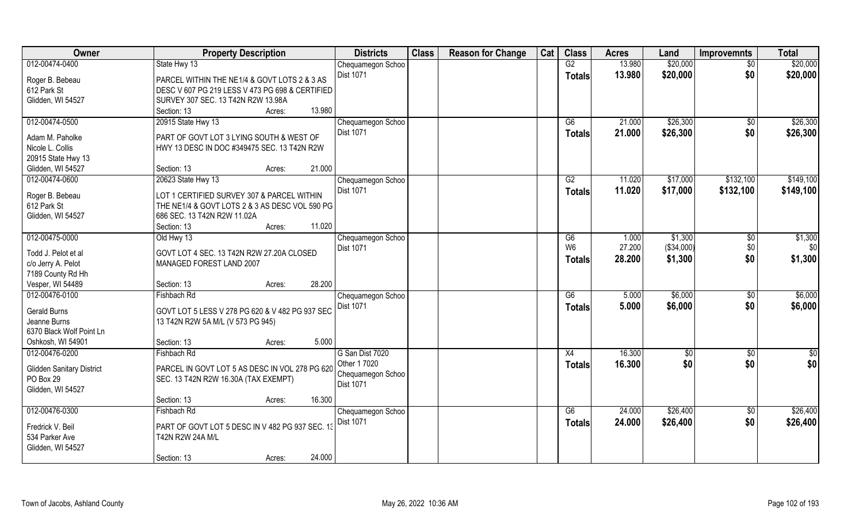| <b>Owner</b>                     | <b>Property Description</b>                     | <b>Districts</b>  | <b>Class</b> | <b>Reason for Change</b> | Cat | <b>Class</b>    | <b>Acres</b> | Land       | <b>Improvemnts</b> | <b>Total</b> |
|----------------------------------|-------------------------------------------------|-------------------|--------------|--------------------------|-----|-----------------|--------------|------------|--------------------|--------------|
| 012-00474-0400                   | State Hwy 13                                    | Chequamegon Schoo |              |                          |     | G2              | 13.980       | \$20,000   | $\sqrt{$0}$        | \$20,000     |
| Roger B. Bebeau                  | PARCEL WITHIN THE NE1/4 & GOVT LOTS 2 & 3 AS    | <b>Dist 1071</b>  |              |                          |     | <b>Totals</b>   | 13.980       | \$20,000   | \$0                | \$20,000     |
| 612 Park St                      | DESC V 607 PG 219 LESS V 473 PG 698 & CERTIFIED |                   |              |                          |     |                 |              |            |                    |              |
| Glidden, WI 54527                | SURVEY 307 SEC. 13 T42N R2W 13.98A              |                   |              |                          |     |                 |              |            |                    |              |
|                                  | Section: 13<br>Acres:                           | 13.980            |              |                          |     |                 |              |            |                    |              |
| 012-00474-0500                   | 20915 State Hwy 13                              | Chequamegon Schoo |              |                          |     | G6              | 21.000       | \$26,300   | $\sqrt{$0}$        | \$26,300     |
|                                  |                                                 | Dist 1071         |              |                          |     | <b>Totals</b>   | 21.000       | \$26,300   | \$0                | \$26,300     |
| Adam M. Paholke                  | PART OF GOVT LOT 3 LYING SOUTH & WEST OF        |                   |              |                          |     |                 |              |            |                    |              |
| Nicole L. Collis                 | HWY 13 DESC IN DOC #349475 SEC. 13 T42N R2W     |                   |              |                          |     |                 |              |            |                    |              |
| 20915 State Hwy 13               |                                                 |                   |              |                          |     |                 |              |            |                    |              |
| Glidden, WI 54527                | Section: 13<br>Acres:                           | 21.000            |              |                          |     |                 |              |            |                    |              |
| 012-00474-0600                   | 20623 State Hwy 13                              | Chequamegon Schoo |              |                          |     | G2              | 11.020       | \$17,000   | \$132,100          | \$149,100    |
| Roger B. Bebeau                  | LOT 1 CERTIFIED SURVEY 307 & PARCEL WITHIN      | <b>Dist 1071</b>  |              |                          |     | <b>Totals</b>   | 11.020       | \$17,000   | \$132,100          | \$149,100    |
| 612 Park St                      | THE NE1/4 & GOVT LOTS 2 & 3 AS DESC VOL 590 PG  |                   |              |                          |     |                 |              |            |                    |              |
| Glidden, WI 54527                | 686 SEC. 13 T42N R2W 11.02A                     |                   |              |                          |     |                 |              |            |                    |              |
|                                  | Section: 13<br>Acres:                           | 11.020            |              |                          |     |                 |              |            |                    |              |
| 012-00475-0000                   | Old Hwy 13                                      | Chequamegon Schoo |              |                          |     | G6              | 1.000        | \$1,300    | $\sqrt[6]{3}$      | \$1,300      |
|                                  |                                                 | Dist 1071         |              |                          |     | W <sub>6</sub>  | 27.200       | (\$34,000) | \$0                | \$0          |
| Todd J. Pelot et al              | GOVT LOT 4 SEC. 13 T42N R2W 27.20A CLOSED       |                   |              |                          |     |                 | 28.200       | \$1,300    | \$0                | \$1,300      |
| c/o Jerry A. Pelot               | MANAGED FOREST LAND 2007                        |                   |              |                          |     | <b>Totals</b>   |              |            |                    |              |
| 7189 County Rd Hh                |                                                 |                   |              |                          |     |                 |              |            |                    |              |
| Vesper, WI 54489                 | Section: 13<br>Acres:                           | 28.200            |              |                          |     |                 |              |            |                    |              |
| 012-00476-0100                   | Fishbach Rd                                     | Chequamegon Schoo |              |                          |     | $\overline{G6}$ | 5.000        | \$6,000    | \$0                | \$6,000      |
| <b>Gerald Burns</b>              | GOVT LOT 5 LESS V 278 PG 620 & V 482 PG 937 SEC | <b>Dist 1071</b>  |              |                          |     | <b>Totals</b>   | 5.000        | \$6,000    | \$0                | \$6,000      |
| Jeanne Burns                     | 13 T42N R2W 5A M/L (V 573 PG 945)               |                   |              |                          |     |                 |              |            |                    |              |
| 6370 Black Wolf Point Ln         |                                                 |                   |              |                          |     |                 |              |            |                    |              |
| Oshkosh, WI 54901                | Section: 13<br>Acres:                           | 5.000             |              |                          |     |                 |              |            |                    |              |
| 012-00476-0200                   | Fishbach Rd                                     | G San Dist 7020   |              |                          |     | X4              | 16.300       | \$0        | \$0                | \$0          |
|                                  |                                                 | Other 1 7020      |              |                          |     |                 | 16.300       | \$0        | \$0                | \$0          |
| <b>Glidden Sanitary District</b> | PARCEL IN GOVT LOT 5 AS DESC IN VOL 278 PG 620  | Chequamegon Schoo |              |                          |     | <b>Totals</b>   |              |            |                    |              |
| PO Box 29                        | SEC. 13 T42N R2W 16.30A (TAX EXEMPT)            | Dist 1071         |              |                          |     |                 |              |            |                    |              |
| Glidden, WI 54527                |                                                 |                   |              |                          |     |                 |              |            |                    |              |
|                                  | Section: 13<br>Acres:                           | 16.300            |              |                          |     |                 |              |            |                    |              |
| 012-00476-0300                   | Fishbach Rd                                     | Chequamegon Schoo |              |                          |     | G6              | 24.000       | \$26,400   | $\sqrt{$0}$        | \$26,400     |
| Fredrick V. Beil                 | PART OF GOVT LOT 5 DESC IN V 482 PG 937 SEC. 13 | Dist 1071         |              |                          |     | <b>Totals</b>   | 24.000       | \$26,400   | \$0                | \$26,400     |
| 534 Parker Ave                   | T42N R2W 24A M/L                                |                   |              |                          |     |                 |              |            |                    |              |
| Glidden, WI 54527                |                                                 |                   |              |                          |     |                 |              |            |                    |              |
|                                  | Section: 13<br>Acres:                           | 24.000            |              |                          |     |                 |              |            |                    |              |
|                                  |                                                 |                   |              |                          |     |                 |              |            |                    |              |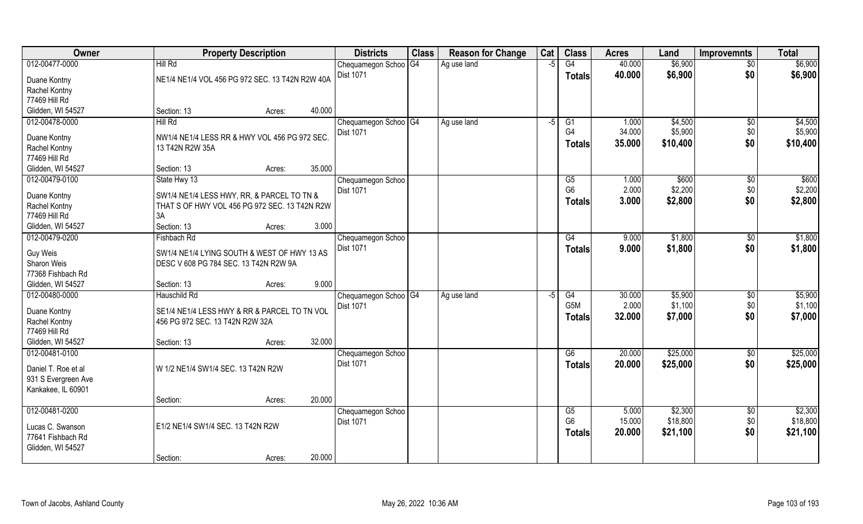| Owner               | <b>Property Description</b>                     | <b>Districts</b>                      | <b>Class</b> | <b>Reason for Change</b> | Cat  | <b>Class</b>     | <b>Acres</b>    | Land               | <b>Improvemnts</b> | <b>Total</b>       |
|---------------------|-------------------------------------------------|---------------------------------------|--------------|--------------------------|------|------------------|-----------------|--------------------|--------------------|--------------------|
| 012-00477-0000      | Hill Rd                                         | Chequamegon Schoo <sup>OG4</sup>      |              | Ag use land              | $-5$ | G4               | 40.000          | \$6,900            | \$0                | \$6,900            |
| Duane Kontny        | NE1/4 NE1/4 VOL 456 PG 972 SEC. 13 T42N R2W 40A | Dist 1071                             |              |                          |      | <b>Totals</b>    | 40.000          | \$6,900            | \$0                | \$6,900            |
| Rachel Kontny       |                                                 |                                       |              |                          |      |                  |                 |                    |                    |                    |
| 77469 Hill Rd       |                                                 |                                       |              |                          |      |                  |                 |                    |                    |                    |
| Glidden, WI 54527   | 40.000<br>Section: 13<br>Acres:                 |                                       |              |                          |      |                  |                 |                    |                    |                    |
| 012-00478-0000      | Hill Rd                                         | Chequamegon Schoo   G4<br>Dist 1071   |              | Ag use land              | -5   | G1<br>G4         | 1.000<br>34.000 | \$4,500<br>\$5,900 | \$0<br>\$0         | \$4,500<br>\$5,900 |
| Duane Kontny        | NW1/4 NE1/4 LESS RR & HWY VOL 456 PG 972 SEC.   |                                       |              |                          |      | <b>Totals</b>    | 35.000          | \$10,400           | \$0                | \$10,400           |
| Rachel Kontny       | 13 T42N R2W 35A                                 |                                       |              |                          |      |                  |                 |                    |                    |                    |
| 77469 Hill Rd       |                                                 |                                       |              |                          |      |                  |                 |                    |                    |                    |
| Glidden, WI 54527   | 35.000<br>Section: 13<br>Acres:                 |                                       |              |                          |      |                  |                 |                    |                    |                    |
| 012-00479-0100      | State Hwy 13                                    | Chequamegon Schoo                     |              |                          |      | G5               | 1.000           | \$600              | $\sqrt[6]{30}$     | \$600              |
| Duane Kontny        | SW1/4 NE1/4 LESS HWY, RR, & PARCEL TO TN &      | Dist 1071                             |              |                          |      | G <sub>6</sub>   | 2.000           | \$2,200            | \$0                | \$2,200            |
| Rachel Kontny       | THAT S OF HWY VOL 456 PG 972 SEC. 13 T42N R2W   |                                       |              |                          |      | <b>Totals</b>    | 3.000           | \$2,800            | \$0                | \$2,800            |
| 77469 Hill Rd       | 3A                                              |                                       |              |                          |      |                  |                 |                    |                    |                    |
| Glidden, WI 54527   | 3.000<br>Section: 13<br>Acres:                  |                                       |              |                          |      |                  |                 |                    |                    |                    |
| 012-00479-0200      | Fishbach Rd                                     | Chequamegon Schoo                     |              |                          |      | G4               | 9.000           | \$1,800            | \$0                | \$1,800            |
|                     |                                                 | Dist 1071                             |              |                          |      |                  |                 |                    |                    |                    |
| Guy Weis            | SW1/4 NE1/4 LYING SOUTH & WEST OF HWY 13 AS     |                                       |              |                          |      | <b>Totals</b>    | 9.000           | \$1,800            | \$0                | \$1,800            |
| Sharon Weis         | DESC V 608 PG 784 SEC. 13 T42N R2W 9A           |                                       |              |                          |      |                  |                 |                    |                    |                    |
| 77368 Fishbach Rd   |                                                 |                                       |              |                          |      |                  |                 |                    |                    |                    |
| Glidden, WI 54527   | 9.000<br>Section: 13<br>Acres:                  |                                       |              |                          |      |                  |                 |                    |                    |                    |
| 012-00480-0000      | Hauschild Rd                                    | Chequamegon Schoo <sup>G4</sup>       |              | Ag use land              | $-5$ | $\overline{G4}$  | 30.000          | \$5,900            | \$0                | \$5,900            |
| Duane Kontny        | SE1/4 NE1/4 LESS HWY & RR & PARCEL TO TN VOL    | <b>Dist 1071</b>                      |              |                          |      | G <sub>5</sub> M | 2.000           | \$1,100            | \$0                | \$1,100            |
| Rachel Kontny       | 456 PG 972 SEC. 13 T42N R2W 32A                 |                                       |              |                          |      | Totals           | 32.000          | \$7,000            | \$0                | \$7,000            |
| 77469 Hill Rd       |                                                 |                                       |              |                          |      |                  |                 |                    |                    |                    |
| Glidden, WI 54527   | 32.000<br>Section: 13<br>Acres:                 |                                       |              |                          |      |                  |                 |                    |                    |                    |
| 012-00481-0100      |                                                 |                                       |              |                          |      | G6               | 20.000          | \$25,000           |                    | \$25,000           |
|                     |                                                 | Chequamegon Schoo<br><b>Dist 1071</b> |              |                          |      |                  |                 |                    | \$0                |                    |
| Daniel T. Roe et al | W 1/2 NE1/4 SW1/4 SEC. 13 T42N R2W              |                                       |              |                          |      | <b>Totals</b>    | 20.000          | \$25,000           | \$0                | \$25,000           |
| 931 S Evergreen Ave |                                                 |                                       |              |                          |      |                  |                 |                    |                    |                    |
| Kankakee, IL 60901  |                                                 |                                       |              |                          |      |                  |                 |                    |                    |                    |
|                     | 20.000<br>Section:<br>Acres:                    |                                       |              |                          |      |                  |                 |                    |                    |                    |
| 012-00481-0200      |                                                 | Chequamegon Schoo                     |              |                          |      | G5               | 5.000           | \$2,300            | $\overline{50}$    | \$2,300            |
| Lucas C. Swanson    | E1/2 NE1/4 SW1/4 SEC. 13 T42N R2W               | <b>Dist 1071</b>                      |              |                          |      | G <sub>6</sub>   | 15.000          | \$18,800           | \$0                | \$18,800           |
| 77641 Fishbach Rd   |                                                 |                                       |              |                          |      | <b>Totals</b>    | 20.000          | \$21,100           | \$0                | \$21,100           |
|                     |                                                 |                                       |              |                          |      |                  |                 |                    |                    |                    |
| Glidden, WI 54527   | 20.000                                          |                                       |              |                          |      |                  |                 |                    |                    |                    |
|                     | Section:<br>Acres:                              |                                       |              |                          |      |                  |                 |                    |                    |                    |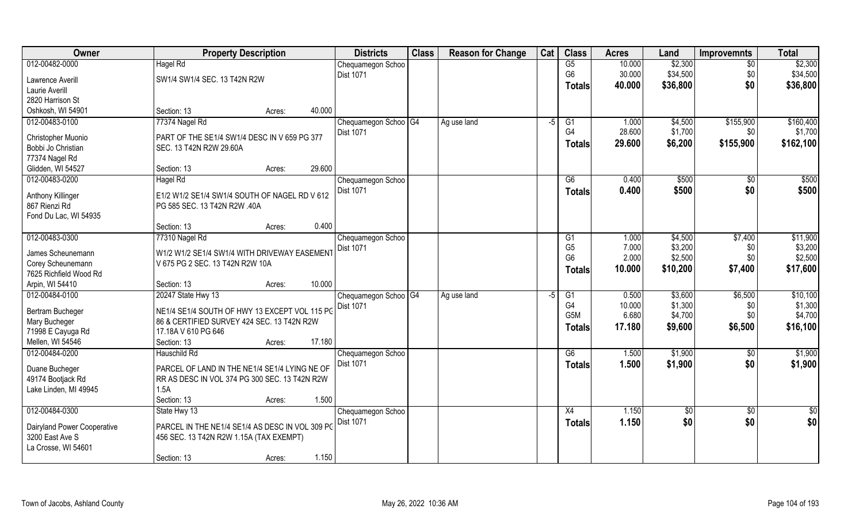| <b>Owner</b>                | <b>Property Description</b>                     |        | <b>Districts</b>                | <b>Class</b> | <b>Reason for Change</b> | Cat  | <b>Class</b>     | <b>Acres</b> | Land       | <b>Improvemnts</b> | <b>Total</b>  |
|-----------------------------|-------------------------------------------------|--------|---------------------------------|--------------|--------------------------|------|------------------|--------------|------------|--------------------|---------------|
| 012-00482-0000              | Hagel Rd                                        |        | Chequamegon Schoo               |              |                          |      | G5               | 10.000       | \$2,300    | $\sqrt{6}$         | \$2,300       |
| Lawrence Averill            | SW1/4 SW1/4 SEC. 13 T42N R2W                    |        | <b>Dist 1071</b>                |              |                          |      | G <sub>6</sub>   | 30.000       | \$34,500   | \$0                | \$34,500      |
| Laurie Averill              |                                                 |        |                                 |              |                          |      | <b>Totals</b>    | 40.000       | \$36,800   | \$0                | \$36,800      |
| 2820 Harrison St            |                                                 |        |                                 |              |                          |      |                  |              |            |                    |               |
| Oshkosh, WI 54901           | Section: 13<br>Acres:                           | 40.000 |                                 |              |                          |      |                  |              |            |                    |               |
| 012-00483-0100              | 77374 Nagel Rd                                  |        | Chequamegon Schoo   G4          |              | Ag use land              | $-5$ | G1               | 1.000        | \$4,500    | \$155,900          | \$160,400     |
|                             |                                                 |        | <b>Dist 1071</b>                |              |                          |      | G4               | 28.600       | \$1,700    | \$0                | \$1,700       |
| Christopher Muonio          | PART OF THE SE1/4 SW1/4 DESC IN V 659 PG 377    |        |                                 |              |                          |      | <b>Totals</b>    | 29.600       | \$6,200    | \$155,900          | \$162,100     |
| Bobbi Jo Christian          | SEC. 13 T42N R2W 29.60A                         |        |                                 |              |                          |      |                  |              |            |                    |               |
| 77374 Nagel Rd              |                                                 |        |                                 |              |                          |      |                  |              |            |                    |               |
| Glidden, WI 54527           | Section: 13<br>Acres:                           | 29.600 |                                 |              |                          |      |                  |              |            |                    |               |
| 012-00483-0200              | Hagel Rd                                        |        | Chequamegon Schoo               |              |                          |      | G6               | 0.400        | \$500      | \$0                | \$500         |
| Anthony Killinger           | E1/2 W1/2 SE1/4 SW1/4 SOUTH OF NAGEL RD V 612   |        | Dist 1071                       |              |                          |      | <b>Totals</b>    | 0.400        | \$500      | \$0                | \$500         |
| 867 Rienzi Rd               | PG 585 SEC. 13 T42N R2W .40A                    |        |                                 |              |                          |      |                  |              |            |                    |               |
| Fond Du Lac, WI 54935       |                                                 |        |                                 |              |                          |      |                  |              |            |                    |               |
|                             | Section: 13<br>Acres:                           | 0.400  |                                 |              |                          |      |                  |              |            |                    |               |
| 012-00483-0300              | 77310 Nagel Rd                                  |        | Chequamegon Schoo               |              |                          |      | G <sub>1</sub>   | 1.000        | \$4,500    | \$7,400            | \$11,900      |
|                             |                                                 |        | <b>Dist 1071</b>                |              |                          |      | G <sub>5</sub>   | 7.000        | \$3,200    | \$0                | \$3,200       |
| James Scheunemann           | W1/2 W1/2 SE1/4 SW1/4 WITH DRIVEWAY EASEMENT    |        |                                 |              |                          |      | G <sub>6</sub>   | 2.000        | \$2,500    | \$0\$              | \$2,500       |
| Corey Scheunemann           | V 675 PG 2 SEC. 13 T42N R2W 10A                 |        |                                 |              |                          |      | <b>Totals</b>    | 10.000       | \$10,200   | \$7,400            | \$17,600      |
| 7625 Richfield Wood Rd      |                                                 |        |                                 |              |                          |      |                  |              |            |                    |               |
| Arpin, WI 54410             | Section: 13<br>Acres:                           | 10.000 |                                 |              |                          |      |                  |              |            |                    |               |
| 012-00484-0100              | 20247 State Hwy 13                              |        | Chequamegon Schoo <sup>G4</sup> |              | Ag use land              | -5   | $\overline{G1}$  | 0.500        | \$3,600    | \$6,500            | \$10,100      |
| Bertram Bucheger            | NE1/4 SE1/4 SOUTH OF HWY 13 EXCEPT VOL 115 PC   |        | <b>Dist 1071</b>                |              |                          |      | G <sub>4</sub>   | 10.000       | \$1,300    | \$0                | \$1,300       |
| Mary Bucheger               | 86 & CERTIFIED SURVEY 424 SEC. 13 T42N R2W      |        |                                 |              |                          |      | G <sub>5</sub> M | 6.680        | \$4,700    | \$0                | \$4,700       |
| 71998 E Cayuga Rd           | 17.18A V 610 PG 646                             |        |                                 |              |                          |      | Totals           | 17.180       | \$9,600    | \$6,500            | \$16,100      |
| Mellen, WI 54546            | Section: 13<br>Acres:                           | 17.180 |                                 |              |                          |      |                  |              |            |                    |               |
| 012-00484-0200              | Hauschild Rd                                    |        | Chequamegon Schoo               |              |                          |      | G6               | 1.500        | \$1,900    | \$0                | \$1,900       |
|                             |                                                 |        | Dist 1071                       |              |                          |      | <b>Totals</b>    | 1.500        | \$1,900    | \$0                | \$1,900       |
| Duane Bucheger              | PARCEL OF LAND IN THE NE1/4 SE1/4 LYING NE OF   |        |                                 |              |                          |      |                  |              |            |                    |               |
| 49174 Bootjack Rd           | RR AS DESC IN VOL 374 PG 300 SEC. 13 T42N R2W   |        |                                 |              |                          |      |                  |              |            |                    |               |
| Lake Linden, MI 49945       | 1.5A                                            |        |                                 |              |                          |      |                  |              |            |                    |               |
|                             | Section: 13<br>Acres:                           | 1.500  |                                 |              |                          |      |                  |              |            |                    |               |
| 012-00484-0300              | State Hwy 13                                    |        | Chequamegon Schoo               |              |                          |      | X4               | 1.150        | $\sqrt{6}$ | $\sqrt{6}$         | $\frac{1}{2}$ |
| Dairyland Power Cooperative | PARCEL IN THE NE1/4 SE1/4 AS DESC IN VOL 309 PC |        | Dist 1071                       |              |                          |      | <b>Totals</b>    | 1.150        | \$0        | \$0                | \$0           |
| 3200 East Ave S             | 456 SEC. 13 T42N R2W 1.15A (TAX EXEMPT)         |        |                                 |              |                          |      |                  |              |            |                    |               |
| La Crosse, WI 54601         |                                                 |        |                                 |              |                          |      |                  |              |            |                    |               |
|                             | Section: 13<br>Acres:                           | 1.150  |                                 |              |                          |      |                  |              |            |                    |               |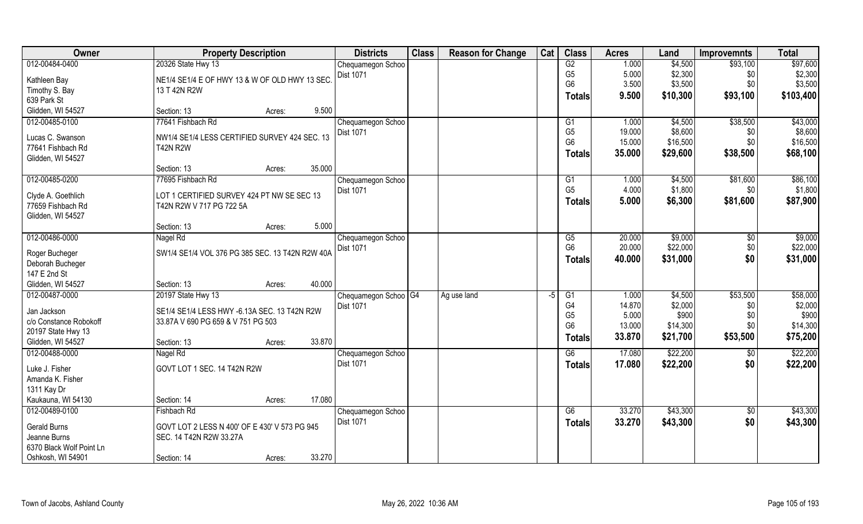| <b>Owner</b>                      | <b>Property Description</b>                     |        |        | <b>Districts</b>                | <b>Class</b> | <b>Reason for Change</b> | Cat | <b>Class</b>    | <b>Acres</b> | Land     | <b>Improvemnts</b> | <b>Total</b> |
|-----------------------------------|-------------------------------------------------|--------|--------|---------------------------------|--------------|--------------------------|-----|-----------------|--------------|----------|--------------------|--------------|
| 012-00484-0400                    | 20326 State Hwy 13                              |        |        | Chequamegon Schoo               |              |                          |     | G2              | 1.000        | \$4,500  | \$93,100           | \$97,600     |
| Kathleen Bay                      | NE1/4 SE1/4 E OF HWY 13 & W OF OLD HWY 13 SEC   |        |        | <b>Dist 1071</b>                |              |                          |     | G <sub>5</sub>  | 5.000        | \$2,300  | \$0                | \$2,300      |
| Timothy S. Bay                    | 13 T 42N R2W                                    |        |        |                                 |              |                          |     | G <sub>6</sub>  | 3.500        | \$3,500  | \$0\$              | \$3,500      |
| 639 Park St                       |                                                 |        |        |                                 |              |                          |     | <b>Totals</b>   | 9.500        | \$10,300 | \$93,100           | \$103,400    |
| Glidden, WI 54527                 | Section: 13                                     | Acres: | 9.500  |                                 |              |                          |     |                 |              |          |                    |              |
| 012-00485-0100                    | 77641 Fishbach Rd                               |        |        | Chequamegon Schoo               |              |                          |     | G1              | 1.000        | \$4,500  | \$38,500           | \$43,000     |
| Lucas C. Swanson                  | NW1/4 SE1/4 LESS CERTIFIED SURVEY 424 SEC. 13   |        |        | <b>Dist 1071</b>                |              |                          |     | G <sub>5</sub>  | 19.000       | \$8,600  | \$0                | \$8,600      |
| 77641 Fishbach Rd                 | <b>T42N R2W</b>                                 |        |        |                                 |              |                          |     | G <sub>6</sub>  | 15.000       | \$16,500 | \$0                | \$16,500     |
| Glidden, WI 54527                 |                                                 |        |        |                                 |              |                          |     | Totals          | 35.000       | \$29,600 | \$38,500           | \$68,100     |
|                                   | Section: 13                                     | Acres: | 35.000 |                                 |              |                          |     |                 |              |          |                    |              |
| 012-00485-0200                    | 77695 Fishbach Rd                               |        |        | Chequamegon Schoo               |              |                          |     | G1              | 1.000        | \$4,500  | \$81,600           | \$86,100     |
| Clyde A. Goethlich                | LOT 1 CERTIFIED SURVEY 424 PT NW SE SEC 13      |        |        | Dist 1071                       |              |                          |     | G <sub>5</sub>  | 4.000        | \$1,800  | \$0                | \$1,800      |
| 77659 Fishbach Rd                 | T42N R2W V 717 PG 722 5A                        |        |        |                                 |              |                          |     | <b>Totals</b>   | 5.000        | \$6,300  | \$81,600           | \$87,900     |
| Glidden, WI 54527                 |                                                 |        |        |                                 |              |                          |     |                 |              |          |                    |              |
|                                   | Section: 13                                     | Acres: | 5.000  |                                 |              |                          |     |                 |              |          |                    |              |
| 012-00486-0000                    | Nagel Rd                                        |        |        | Chequamegon Schoo               |              |                          |     | G5              | 20.000       | \$9,000  | \$0                | \$9,000      |
| Roger Bucheger                    | SW1/4 SE1/4 VOL 376 PG 385 SEC. 13 T42N R2W 40A |        |        | <b>Dist 1071</b>                |              |                          |     | G <sub>6</sub>  | 20.000       | \$22,000 | \$0                | \$22,000     |
| Deborah Bucheger                  |                                                 |        |        |                                 |              |                          |     | <b>Totals</b>   | 40.000       | \$31,000 | \$0                | \$31,000     |
| 147 E 2nd St                      |                                                 |        |        |                                 |              |                          |     |                 |              |          |                    |              |
| Glidden, WI 54527                 | Section: 13                                     | Acres: | 40.000 |                                 |              |                          |     |                 |              |          |                    |              |
| 012-00487-0000                    | 20197 State Hwy 13                              |        |        | Chequamegon Schoo <sup>G4</sup> |              | Ag use land              | -5  | $\overline{G1}$ | 1.000        | \$4,500  | \$53,500           | \$58,000     |
| Jan Jackson                       | SE1/4 SE1/4 LESS HWY -6.13A SEC. 13 T42N R2W    |        |        | <b>Dist 1071</b>                |              |                          |     | G4              | 14.870       | \$2,000  | \$0                | \$2,000      |
| c/o Constance Robokoff            | 33.87A V 690 PG 659 & V 751 PG 503              |        |        |                                 |              |                          |     | G <sub>5</sub>  | 5.000        | \$900    | \$0                | \$900        |
| 20197 State Hwy 13                |                                                 |        |        |                                 |              |                          |     | G <sub>6</sub>  | 13.000       | \$14,300 | \$0                | \$14,300     |
| Glidden, WI 54527                 | Section: 13                                     | Acres: | 33.870 |                                 |              |                          |     | <b>Totals</b>   | 33.870       | \$21,700 | \$53,500           | \$75,200     |
| 012-00488-0000                    | Nagel Rd                                        |        |        | Chequamegon Schoo               |              |                          |     | G6              | 17.080       | \$22,200 | $\overline{50}$    | \$22,200     |
|                                   |                                                 |        |        | Dist 1071                       |              |                          |     | <b>Totals</b>   | 17.080       | \$22,200 | \$0                | \$22,200     |
| Luke J. Fisher                    | GOVT LOT 1 SEC. 14 T42N R2W                     |        |        |                                 |              |                          |     |                 |              |          |                    |              |
| Amanda K. Fisher                  |                                                 |        |        |                                 |              |                          |     |                 |              |          |                    |              |
| 1311 Kay Dr<br>Kaukauna, WI 54130 | Section: 14                                     | Acres: | 17.080 |                                 |              |                          |     |                 |              |          |                    |              |
| 012-00489-0100                    | Fishbach Rd                                     |        |        |                                 |              |                          |     | G6              | 33.270       | \$43,300 | $\overline{50}$    | \$43,300     |
|                                   |                                                 |        |        | Chequamegon Schoo<br>Dist 1071  |              |                          |     | <b>Totals</b>   | 33.270       | \$43,300 | \$0                | \$43,300     |
| Gerald Burns                      | GOVT LOT 2 LESS N 400' OF E 430' V 573 PG 945   |        |        |                                 |              |                          |     |                 |              |          |                    |              |
| Jeanne Burns                      | SEC. 14 T42N R2W 33.27A                         |        |        |                                 |              |                          |     |                 |              |          |                    |              |
| 6370 Black Wolf Point Ln          |                                                 |        |        |                                 |              |                          |     |                 |              |          |                    |              |
| Oshkosh, WI 54901                 | Section: 14                                     | Acres: | 33.270 |                                 |              |                          |     |                 |              |          |                    |              |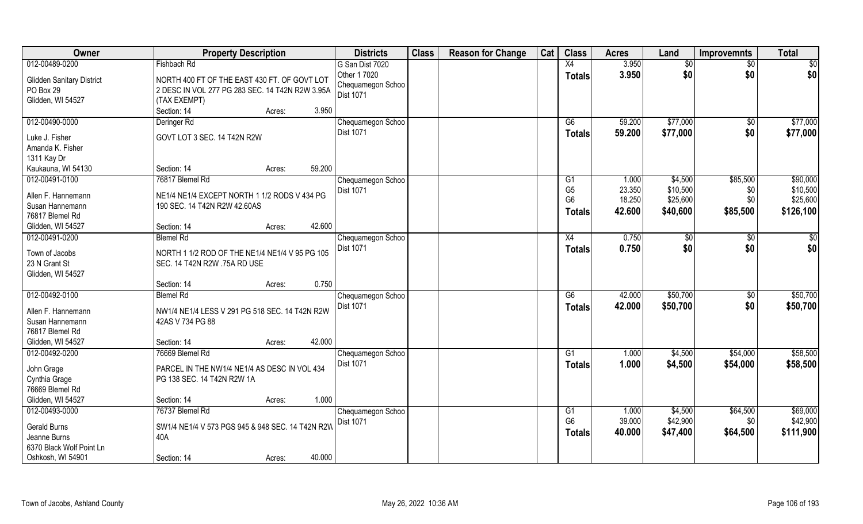| Owner                                         | <b>Property Description</b>                                                                     | <b>Districts</b>                  | <b>Class</b> | <b>Reason for Change</b> | Cat | <b>Class</b>    | <b>Acres</b> | Land     | <b>Improvemnts</b> | <b>Total</b>  |
|-----------------------------------------------|-------------------------------------------------------------------------------------------------|-----------------------------------|--------------|--------------------------|-----|-----------------|--------------|----------|--------------------|---------------|
| 012-00489-0200                                | Fishbach Rd                                                                                     | G San Dist 7020                   |              |                          |     | X4              | 3.950        | \$0      | $\sqrt{6}$         | \$0           |
| <b>Glidden Sanitary District</b><br>PO Box 29 | NORTH 400 FT OF THE EAST 430 FT. OF GOVT LOT<br>2 DESC IN VOL 277 PG 283 SEC. 14 T42N R2W 3.95A | Other 1 7020<br>Chequamegon Schoo |              |                          |     | <b>Totals</b>   | 3.950        | \$0      | \$0                | \$0           |
| Glidden, WI 54527                             | (TAX EXEMPT)                                                                                    | <b>Dist 1071</b>                  |              |                          |     |                 |              |          |                    |               |
|                                               | 3.950<br>Section: 14<br>Acres:                                                                  |                                   |              |                          |     |                 |              |          |                    |               |
| 012-00490-0000                                | Deringer Rd                                                                                     | Chequamegon Schoo                 |              |                          |     | G6              | 59.200       | \$77,000 | \$0                | \$77,000      |
|                                               |                                                                                                 | <b>Dist 1071</b>                  |              |                          |     | Totals          | 59.200       | \$77,000 | \$0                | \$77,000      |
| Luke J. Fisher<br>Amanda K. Fisher            | GOVT LOT 3 SEC. 14 T42N R2W                                                                     |                                   |              |                          |     |                 |              |          |                    |               |
| 1311 Kay Dr                                   |                                                                                                 |                                   |              |                          |     |                 |              |          |                    |               |
| Kaukauna, WI 54130                            | 59.200<br>Section: 14<br>Acres:                                                                 |                                   |              |                          |     |                 |              |          |                    |               |
| 012-00491-0100                                | 76817 Blemel Rd                                                                                 | Chequamegon Schoo                 |              |                          |     | G1              | 1.000        | \$4,500  | \$85,500           | \$90,000      |
|                                               |                                                                                                 | Dist 1071                         |              |                          |     | G <sub>5</sub>  | 23.350       | \$10,500 | \$0                | \$10,500      |
| Allen F. Hannemann                            | NE1/4 NE1/4 EXCEPT NORTH 1 1/2 RODS V 434 PG                                                    |                                   |              |                          |     | G <sub>6</sub>  | 18.250       | \$25,600 | \$0                | \$25,600      |
| Susan Hannemann                               | 190 SEC. 14 T42N R2W 42.60AS                                                                    |                                   |              |                          |     | Totals          | 42.600       | \$40,600 | \$85,500           | \$126,100     |
| 76817 Blemel Rd                               |                                                                                                 |                                   |              |                          |     |                 |              |          |                    |               |
| Glidden, WI 54527                             | 42.600<br>Section: 14<br>Acres:                                                                 |                                   |              |                          |     |                 |              |          |                    |               |
| 012-00491-0200                                | <b>Blemel Rd</b>                                                                                | Chequamegon Schoo                 |              |                          |     | X4              | 0.750        | \$0      | \$0                | $\frac{6}{3}$ |
| Town of Jacobs                                | NORTH 1 1/2 ROD OF THE NE1/4 NE1/4 V 95 PG 105                                                  | Dist 1071                         |              |                          |     | <b>Totals</b>   | 0.750        | \$0      | \$0                | \$0           |
| 23 N Grant St                                 | SEC. 14 T42N R2W .75A RD USE                                                                    |                                   |              |                          |     |                 |              |          |                    |               |
| Glidden, WI 54527                             |                                                                                                 |                                   |              |                          |     |                 |              |          |                    |               |
|                                               | 0.750<br>Section: 14<br>Acres:                                                                  |                                   |              |                          |     |                 |              |          |                    |               |
| 012-00492-0100                                | <b>Blemel Rd</b>                                                                                | Chequamegon Schoo                 |              |                          |     | $\overline{G6}$ | 42.000       | \$50,700 | \$0                | \$50,700      |
| Allen F. Hannemann                            | NW1/4 NE1/4 LESS V 291 PG 518 SEC. 14 T42N R2W                                                  | Dist 1071                         |              |                          |     | <b>Totals</b>   | 42.000       | \$50,700 | \$0                | \$50,700      |
| Susan Hannemann                               | 42AS V 734 PG 88                                                                                |                                   |              |                          |     |                 |              |          |                    |               |
| 76817 Blemel Rd                               |                                                                                                 |                                   |              |                          |     |                 |              |          |                    |               |
| Glidden, WI 54527                             | 42.000<br>Section: 14<br>Acres:                                                                 |                                   |              |                          |     |                 |              |          |                    |               |
| 012-00492-0200                                | 76669 Blemel Rd                                                                                 | Chequamegon Schoo                 |              |                          |     | G1              | 1.000        | \$4,500  | \$54,000           | \$58,500      |
|                                               |                                                                                                 | <b>Dist 1071</b>                  |              |                          |     |                 | 1.000        | \$4,500  | \$54,000           | \$58,500      |
| John Grage                                    | PARCEL IN THE NW1/4 NE1/4 AS DESC IN VOL 434                                                    |                                   |              |                          |     | <b>Totals</b>   |              |          |                    |               |
| Cynthia Grage                                 | PG 138 SEC. 14 T42N R2W 1A                                                                      |                                   |              |                          |     |                 |              |          |                    |               |
| 76669 Blemel Rd                               |                                                                                                 |                                   |              |                          |     |                 |              |          |                    |               |
| Glidden, WI 54527                             | 1.000<br>Section: 14<br>Acres:                                                                  |                                   |              |                          |     |                 |              |          |                    |               |
| 012-00493-0000                                | 76737 Blemel Rd                                                                                 | Chequamegon Schoo                 |              |                          |     | G1              | 1.000        | \$4,500  | \$64,500           | \$69,000      |
| Gerald Burns                                  | SW1/4 NE1/4 V 573 PGS 945 & 948 SEC. 14 T42N R2W                                                | <b>Dist 1071</b>                  |              |                          |     | G <sub>6</sub>  | 39.000       | \$42,900 | \$0                | \$42,900      |
| Jeanne Burns                                  | 40A                                                                                             |                                   |              |                          |     | <b>Totals</b>   | 40.000       | \$47,400 | \$64,500           | \$111,900     |
| 6370 Black Wolf Point Ln                      |                                                                                                 |                                   |              |                          |     |                 |              |          |                    |               |
| Oshkosh, WI 54901                             | 40.000<br>Section: 14<br>Acres:                                                                 |                                   |              |                          |     |                 |              |          |                    |               |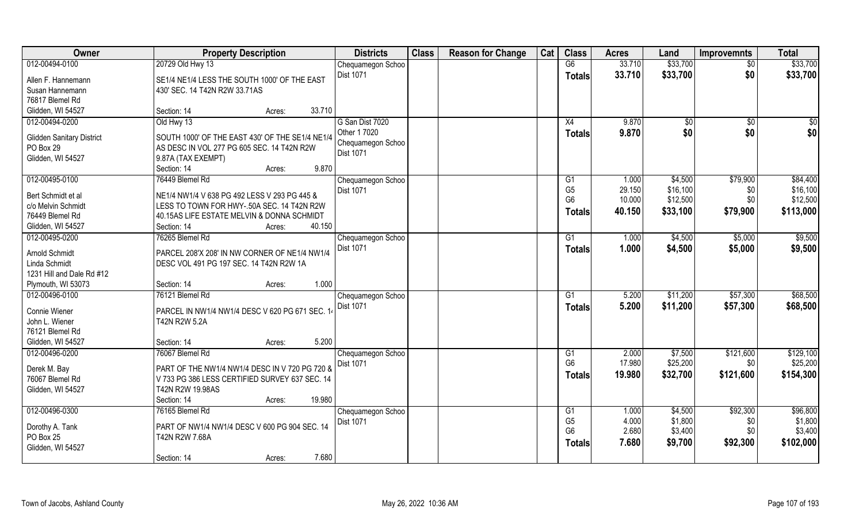| Owner                            | <b>Property Description</b>                     | <b>Districts</b>               | <b>Class</b> | <b>Reason for Change</b> | Cat | <b>Class</b>    | <b>Acres</b> | Land     | <b>Improvemnts</b> | <b>Total</b> |
|----------------------------------|-------------------------------------------------|--------------------------------|--------------|--------------------------|-----|-----------------|--------------|----------|--------------------|--------------|
| 012-00494-0100                   | 20729 Old Hwy 13                                | Chequamegon Schoo              |              |                          |     | G6              | 33.710       | \$33,700 | $\sqrt{$0}$        | \$33,700     |
| Allen F. Hannemann               | SE1/4 NE1/4 LESS THE SOUTH 1000' OF THE EAST    | <b>Dist 1071</b>               |              |                          |     | <b>Totals</b>   | 33.710       | \$33,700 | \$0                | \$33,700     |
| Susan Hannemann                  | 430' SEC. 14 T42N R2W 33.71AS                   |                                |              |                          |     |                 |              |          |                    |              |
| 76817 Blemel Rd                  |                                                 |                                |              |                          |     |                 |              |          |                    |              |
| Glidden, WI 54527                | 33.710<br>Section: 14<br>Acres:                 |                                |              |                          |     |                 |              |          |                    |              |
| 012-00494-0200                   | Old Hwy 13                                      | G San Dist 7020                |              |                          |     | X4              | 9.870        | \$0      | \$0                | $\sqrt{50}$  |
| <b>Glidden Sanitary District</b> | SOUTH 1000' OF THE EAST 430' OF THE SE1/4 NE1/4 | Other 1 7020                   |              |                          |     | Totals          | 9.870        | \$0      | \$0                | \$0          |
| PO Box 29                        | AS DESC IN VOL 277 PG 605 SEC. 14 T42N R2W      | Chequamegon Schoo<br>Dist 1071 |              |                          |     |                 |              |          |                    |              |
| Glidden, WI 54527                | 9.87A (TAX EXEMPT)                              |                                |              |                          |     |                 |              |          |                    |              |
|                                  | 9.870<br>Section: 14<br>Acres:                  |                                |              |                          |     |                 |              |          |                    |              |
| 012-00495-0100                   | 76449 Blemel Rd                                 | Chequamegon Schoo              |              |                          |     | G1              | 1.000        | \$4,500  | \$79,900           | \$84,400     |
| Bert Schmidt et al               | NE1/4 NW1/4 V 638 PG 492 LESS V 293 PG 445 &    | Dist 1071                      |              |                          |     | G <sub>5</sub>  | 29.150       | \$16,100 | \$0                | \$16,100     |
| c/o Melvin Schmidt               | LESS TO TOWN FOR HWY-.50A SEC. 14 T42N R2W      |                                |              |                          |     | G <sub>6</sub>  | 10.000       | \$12,500 | \$0                | \$12,500     |
| 76449 Blemel Rd                  | 40.15AS LIFE ESTATE MELVIN & DONNA SCHMIDT      |                                |              |                          |     | Totals          | 40.150       | \$33,100 | \$79,900           | \$113,000    |
| Glidden, WI 54527                | 40.150<br>Section: 14<br>Acres:                 |                                |              |                          |     |                 |              |          |                    |              |
| 012-00495-0200                   | 76265 Blemel Rd                                 | Chequamegon Schoo              |              |                          |     | G1              | 1.000        | \$4,500  | \$5,000            | \$9,500      |
|                                  |                                                 | <b>Dist 1071</b>               |              |                          |     | <b>Totals</b>   | 1.000        | \$4,500  | \$5,000            | \$9,500      |
| Arnold Schmidt                   | PARCEL 208'X 208' IN NW CORNER OF NE1/4 NW1/4   |                                |              |                          |     |                 |              |          |                    |              |
| Linda Schmidt                    | DESC VOL 491 PG 197 SEC. 14 T42N R2W 1A         |                                |              |                          |     |                 |              |          |                    |              |
| 1231 Hill and Dale Rd #12        |                                                 |                                |              |                          |     |                 |              |          |                    |              |
| Plymouth, WI 53073               | 1.000<br>Section: 14<br>Acres:                  |                                |              |                          |     |                 |              |          |                    |              |
| 012-00496-0100                   | 76121 Blemel Rd                                 | Chequamegon Schoo              |              |                          |     | $\overline{G1}$ | 5.200        | \$11,200 | \$57,300           | \$68,500     |
| Connie Wiener                    | PARCEL IN NW1/4 NW1/4 DESC V 620 PG 671 SEC. 14 | Dist 1071                      |              |                          |     | Totals          | 5.200        | \$11,200 | \$57,300           | \$68,500     |
| John L. Wiener                   | T42N R2W 5.2A                                   |                                |              |                          |     |                 |              |          |                    |              |
| 76121 Blemel Rd                  |                                                 |                                |              |                          |     |                 |              |          |                    |              |
| Glidden, WI 54527                | 5.200<br>Section: 14<br>Acres:                  |                                |              |                          |     |                 |              |          |                    |              |
| 012-00496-0200                   | 76067 Blemel Rd                                 | Chequamegon Schoo              |              |                          |     | G1              | 2.000        | \$7,500  | \$121,600          | \$129,100    |
| Derek M. Bay                     | PART OF THE NW1/4 NW1/4 DESC IN V 720 PG 720 &  | <b>Dist 1071</b>               |              |                          |     | G <sub>6</sub>  | 17.980       | \$25,200 | \$0                | \$25,200     |
| 76067 Blemel Rd                  | V 733 PG 386 LESS CERTIFIED SURVEY 637 SEC. 14  |                                |              |                          |     | <b>Totals</b>   | 19.980       | \$32,700 | \$121,600          | \$154,300    |
| Glidden, WI 54527                | T42N R2W 19.98AS                                |                                |              |                          |     |                 |              |          |                    |              |
|                                  | 19.980<br>Section: 14<br>Acres:                 |                                |              |                          |     |                 |              |          |                    |              |
| 012-00496-0300                   | 76165 Blemel Rd                                 | Chequamegon Schoo              |              |                          |     | G1              | 1.000        | \$4,500  | \$92,300           | \$96,800     |
|                                  |                                                 | Dist 1071                      |              |                          |     | G <sub>5</sub>  | 4.000        | \$1,800  | \$0                | \$1,800      |
| Dorothy A. Tank                  | PART OF NW1/4 NW1/4 DESC V 600 PG 904 SEC. 14   |                                |              |                          |     | G <sub>6</sub>  | 2.680        | \$3,400  | \$0                | \$3,400      |
| PO Box 25                        | T42N R2W 7.68A                                  |                                |              |                          |     | <b>Totals</b>   | 7.680        | \$9,700  | \$92,300           | \$102,000    |
| Glidden, WI 54527                |                                                 |                                |              |                          |     |                 |              |          |                    |              |
|                                  | 7.680<br>Section: 14<br>Acres:                  |                                |              |                          |     |                 |              |          |                    |              |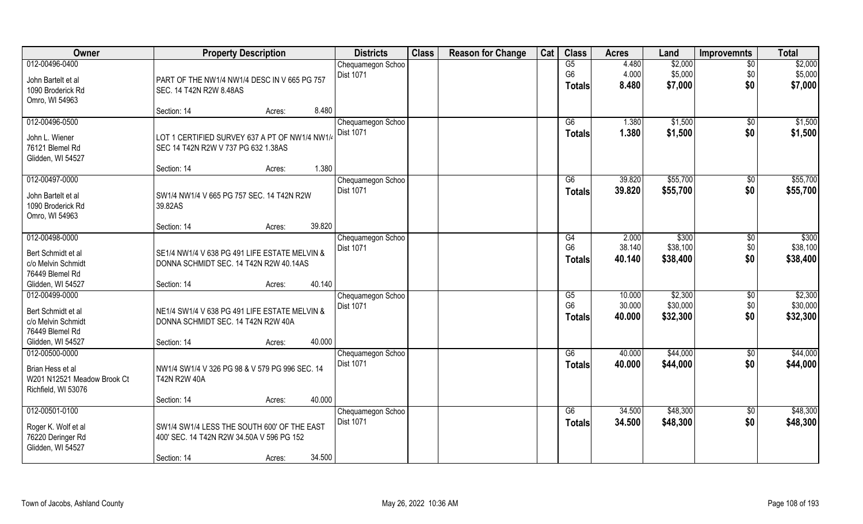| Owner                                    | <b>Property Description</b>                                                         | <b>Districts</b>  | <b>Class</b> | <b>Reason for Change</b> | Cat | <b>Class</b>   | <b>Acres</b> | Land     | <b>Improvemnts</b> | <b>Total</b>      |
|------------------------------------------|-------------------------------------------------------------------------------------|-------------------|--------------|--------------------------|-----|----------------|--------------|----------|--------------------|-------------------|
| 012-00496-0400                           |                                                                                     | Chequamegon Schoo |              |                          |     | G5             | 4.480        | \$2,000  | $\overline{30}$    | \$2,000           |
| John Bartelt et al                       | PART OF THE NW1/4 NW1/4 DESC IN V 665 PG 757                                        | <b>Dist 1071</b>  |              |                          |     | G <sub>6</sub> | 4.000        | \$5,000  | \$0                | \$5,000           |
| 1090 Broderick Rd                        | SEC. 14 T42N R2W 8.48AS                                                             |                   |              |                          |     | <b>Totals</b>  | 8.480        | \$7,000  | \$0                | \$7,000           |
| Omro, WI 54963                           |                                                                                     |                   |              |                          |     |                |              |          |                    |                   |
|                                          | 8.480<br>Section: 14<br>Acres:                                                      |                   |              |                          |     |                |              |          |                    |                   |
| 012-00496-0500                           |                                                                                     | Chequamegon Schoo |              |                          |     | G6             | 1.380        | \$1,500  | $\overline{50}$    | \$1,500           |
| John L. Wiener                           | LOT 1 CERTIFIED SURVEY 637 A PT OF NW1/4 NW1/                                       | <b>Dist 1071</b>  |              |                          |     | <b>Totals</b>  | 1.380        | \$1,500  | \$0                | \$1,500           |
| 76121 Blemel Rd                          | SEC 14 T42N R2W V 737 PG 632 1.38AS                                                 |                   |              |                          |     |                |              |          |                    |                   |
| Glidden, WI 54527                        |                                                                                     |                   |              |                          |     |                |              |          |                    |                   |
|                                          | 1.380<br>Section: 14<br>Acres:                                                      |                   |              |                          |     |                |              |          |                    |                   |
| 012-00497-0000                           |                                                                                     | Chequamegon Schoo |              |                          |     | G6             | 39.820       | \$55,700 | \$0                | \$55,700          |
| John Bartelt et al                       | SW1/4 NW1/4 V 665 PG 757 SEC. 14 T42N R2W                                           | Dist 1071         |              |                          |     | <b>Totals</b>  | 39.820       | \$55,700 | \$0                | \$55,700          |
| 1090 Broderick Rd                        | 39.82AS                                                                             |                   |              |                          |     |                |              |          |                    |                   |
| Omro, WI 54963                           |                                                                                     |                   |              |                          |     |                |              |          |                    |                   |
|                                          | 39.820<br>Section: 14<br>Acres:                                                     |                   |              |                          |     |                |              |          |                    |                   |
| 012-00498-0000                           |                                                                                     | Chequamegon Schoo |              |                          |     | G4             | 2.000        | \$300    | \$0                | $\overline{$300}$ |
| Bert Schmidt et al                       | SE1/4 NW1/4 V 638 PG 491 LIFE ESTATE MELVIN &                                       | Dist 1071         |              |                          |     | G <sub>6</sub> | 38.140       | \$38,100 | \$0                | \$38,100          |
| c/o Melvin Schmidt                       | DONNA SCHMIDT SEC. 14 T42N R2W 40.14AS                                              |                   |              |                          |     | <b>Totals</b>  | 40.140       | \$38,400 | \$0                | \$38,400          |
| 76449 Blemel Rd                          |                                                                                     |                   |              |                          |     |                |              |          |                    |                   |
| Glidden, WI 54527                        | 40.140<br>Section: 14<br>Acres:                                                     |                   |              |                          |     |                |              |          |                    |                   |
| 012-00499-0000                           |                                                                                     | Chequamegon Schoo |              |                          |     | G5             | 10.000       | \$2,300  | \$0                | \$2,300           |
|                                          |                                                                                     | <b>Dist 1071</b>  |              |                          |     | G <sub>6</sub> | 30.000       | \$30,000 | \$0                | \$30,000          |
| Bert Schmidt et al<br>c/o Melvin Schmidt | NE1/4 SW1/4 V 638 PG 491 LIFE ESTATE MELVIN &<br>DONNA SCHMIDT SEC. 14 T42N R2W 40A |                   |              |                          |     | <b>Totals</b>  | 40.000       | \$32,300 | \$0                | \$32,300          |
| 76449 Blemel Rd                          |                                                                                     |                   |              |                          |     |                |              |          |                    |                   |
| Glidden, WI 54527                        | 40.000<br>Section: 14<br>Acres:                                                     |                   |              |                          |     |                |              |          |                    |                   |
| 012-00500-0000                           |                                                                                     | Chequamegon Schoo |              |                          |     | G6             | 40.000       | \$44,000 | \$0                | \$44,000          |
|                                          |                                                                                     | Dist 1071         |              |                          |     | <b>Totals</b>  | 40.000       | \$44,000 | \$0                | \$44,000          |
| Brian Hess et al                         | NW1/4 SW1/4 V 326 PG 98 & V 579 PG 996 SEC. 14                                      |                   |              |                          |     |                |              |          |                    |                   |
| W201 N12521 Meadow Brook Ct              | <b>T42N R2W 40A</b>                                                                 |                   |              |                          |     |                |              |          |                    |                   |
| Richfield, WI 53076                      | 40.000<br>Section: 14<br>Acres:                                                     |                   |              |                          |     |                |              |          |                    |                   |
| 012-00501-0100                           |                                                                                     | Chequamegon Schoo |              |                          |     | G6             | 34.500       | \$48,300 | $\overline{50}$    | \$48,300          |
|                                          |                                                                                     | <b>Dist 1071</b>  |              |                          |     | <b>Totals</b>  | 34.500       | \$48,300 | \$0                | \$48,300          |
| Roger K. Wolf et al                      | SW1/4 SW1/4 LESS THE SOUTH 600' OF THE EAST                                         |                   |              |                          |     |                |              |          |                    |                   |
| 76220 Deringer Rd                        | 400' SEC. 14 T42N R2W 34.50A V 596 PG 152                                           |                   |              |                          |     |                |              |          |                    |                   |
| Glidden, WI 54527                        | 34.500                                                                              |                   |              |                          |     |                |              |          |                    |                   |
|                                          | Section: 14<br>Acres:                                                               |                   |              |                          |     |                |              |          |                    |                   |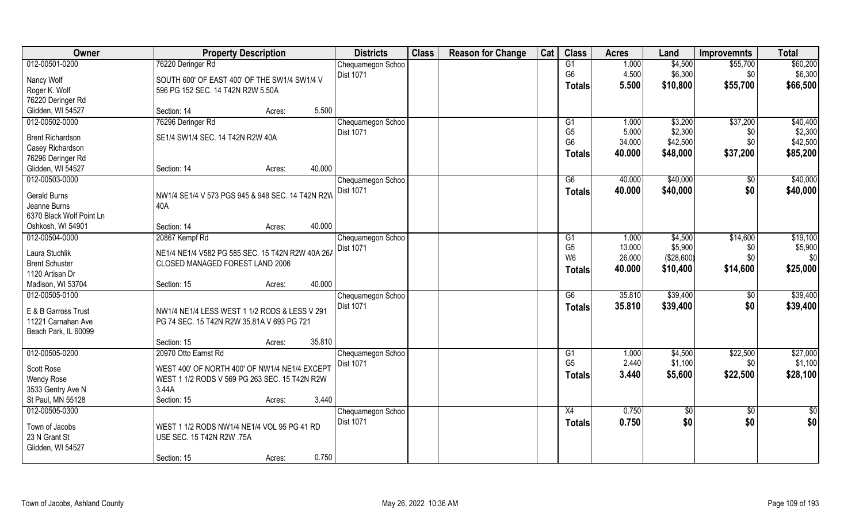| Owner                           | <b>Property Description</b>                                              | <b>Districts</b>  | <b>Class</b> | <b>Reason for Change</b> | Cat | <b>Class</b>    | <b>Acres</b> | Land            | <b>Improvemnts</b> | <b>Total</b>    |
|---------------------------------|--------------------------------------------------------------------------|-------------------|--------------|--------------------------|-----|-----------------|--------------|-----------------|--------------------|-----------------|
| 012-00501-0200                  | 76220 Deringer Rd                                                        | Chequamegon Schoo |              |                          |     | G1              | 1.000        | \$4,500         | \$55,700           | \$60,200        |
| Nancy Wolf                      | SOUTH 600' OF EAST 400' OF THE SW1/4 SW1/4 V                             | Dist 1071         |              |                          |     | G <sub>6</sub>  | 4.500        | \$6,300         | \$0                | \$6,300         |
| Roger K. Wolf                   | 596 PG 152 SEC. 14 T42N R2W 5.50A                                        |                   |              |                          |     | <b>Totals</b>   | 5.500        | \$10,800        | \$55,700           | \$66,500        |
| 76220 Deringer Rd               |                                                                          |                   |              |                          |     |                 |              |                 |                    |                 |
| Glidden, WI 54527               | 5.500<br>Section: 14<br>Acres:                                           |                   |              |                          |     |                 |              |                 |                    |                 |
| 012-00502-0000                  | 76296 Deringer Rd                                                        | Chequamegon Schoo |              |                          |     | G <sub>1</sub>  | 1.000        | \$3,200         | \$37,200           | \$40,400        |
|                                 |                                                                          | Dist 1071         |              |                          |     | G <sub>5</sub>  | 5.000        | \$2,300         | \$0                | \$2,300         |
| <b>Brent Richardson</b>         | SE1/4 SW1/4 SEC. 14 T42N R2W 40A                                         |                   |              |                          |     | G <sub>6</sub>  | 34.000       | \$42,500        | \$0                | \$42,500        |
| Casey Richardson                |                                                                          |                   |              |                          |     | <b>Totals</b>   | 40.000       | \$48,000        | \$37,200           | \$85,200        |
| 76296 Deringer Rd               |                                                                          |                   |              |                          |     |                 |              |                 |                    |                 |
| Glidden, WI 54527               | 40.000<br>Section: 14<br>Acres:                                          |                   |              |                          |     |                 |              |                 |                    |                 |
| 012-00503-0000                  |                                                                          | Chequamegon Schoo |              |                          |     | G6              | 40.000       | \$40,000        | \$0                | \$40,000        |
| Gerald Burns                    | NW1/4 SE1/4 V 573 PGS 945 & 948 SEC. 14 T42N R2W                         | Dist 1071         |              |                          |     | <b>Totals</b>   | 40.000       | \$40,000        | \$0                | \$40,000        |
| Jeanne Burns                    | 40A                                                                      |                   |              |                          |     |                 |              |                 |                    |                 |
| 6370 Black Wolf Point Ln        |                                                                          |                   |              |                          |     |                 |              |                 |                    |                 |
| Oshkosh, WI 54901               | 40.000<br>Section: 14<br>Acres:                                          |                   |              |                          |     |                 |              |                 |                    |                 |
| 012-00504-0000                  | 20867 Kempf Rd                                                           | Chequamegon Schoo |              |                          |     | G1              | 1.000        | \$4,500         | \$14,600           | \$19,100        |
| Laura Stuchlik                  | NE1/4 NE1/4 V582 PG 585 SEC. 15 T42N R2W 40A 26A                         | <b>Dist 1071</b>  |              |                          |     | G <sub>5</sub>  | 13.000       | \$5,900         | \$0                | \$5,900         |
| <b>Brent Schuster</b>           | CLOSED MANAGED FOREST LAND 2006                                          |                   |              |                          |     | W <sub>6</sub>  | 26.000       | (\$28,600)      | \$0                | \$0             |
| 1120 Artisan Dr                 |                                                                          |                   |              |                          |     | <b>Totals</b>   | 40.000       | \$10,400        | \$14,600           | \$25,000        |
| Madison, WI 53704               | 40.000<br>Section: 15<br>Acres:                                          |                   |              |                          |     |                 |              |                 |                    |                 |
| 012-00505-0100                  |                                                                          | Chequamegon Schoo |              |                          |     | $\overline{G6}$ | 35.810       | \$39,400        | \$0                | \$39,400        |
|                                 |                                                                          | Dist 1071         |              |                          |     | <b>Totals</b>   | 35.810       | \$39,400        | \$0                | \$39,400        |
| E & B Garross Trust             | NW1/4 NE1/4 LESS WEST 1 1/2 RODS & LESS V 291                            |                   |              |                          |     |                 |              |                 |                    |                 |
| 11221 Carnahan Ave              | PG 74 SEC. 15 T42N R2W 35.81A V 693 PG 721                               |                   |              |                          |     |                 |              |                 |                    |                 |
| Beach Park, IL 60099            |                                                                          |                   |              |                          |     |                 |              |                 |                    |                 |
|                                 | 35.810<br>Section: 15<br>Acres:                                          |                   |              |                          |     |                 |              |                 |                    |                 |
| 012-00505-0200                  | 20970 Otto Earnst Rd                                                     | Chequamegon Schoo |              |                          |     | G1              | 1.000        | \$4,500         | \$22,500           | \$27,000        |
| Scott Rose                      | WEST 400' OF NORTH 400' OF NW1/4 NE1/4 EXCEPT                            | Dist 1071         |              |                          |     | G <sub>5</sub>  | 2.440        | \$1,100         | \$0                | \$1,100         |
| <b>Wendy Rose</b>               | WEST 1 1/2 RODS V 569 PG 263 SEC. 15 T42N R2W                            |                   |              |                          |     | <b>Totals</b>   | 3.440        | \$5,600         | \$22,500           | \$28,100        |
| 3533 Gentry Ave N               | 3.44A                                                                    |                   |              |                          |     |                 |              |                 |                    |                 |
| St Paul, MN 55128               | 3.440<br>Section: 15<br>Acres:                                           |                   |              |                          |     |                 |              |                 |                    |                 |
| 012-00505-0300                  |                                                                          | Chequamegon Schoo |              |                          |     | X4              | 0.750        | $\overline{50}$ | $\sqrt{$0}$        | $\overline{50}$ |
|                                 |                                                                          | <b>Dist 1071</b>  |              |                          |     | <b>Totals</b>   | 0.750        | \$0             | \$0                | \$0             |
| Town of Jacobs<br>23 N Grant St | WEST 1 1/2 RODS NW1/4 NE1/4 VOL 95 PG 41 RD<br>USE SEC. 15 T42N R2W .75A |                   |              |                          |     |                 |              |                 |                    |                 |
| Glidden, WI 54527               |                                                                          |                   |              |                          |     |                 |              |                 |                    |                 |
|                                 | 0.750<br>Section: 15<br>Acres:                                           |                   |              |                          |     |                 |              |                 |                    |                 |
|                                 |                                                                          |                   |              |                          |     |                 |              |                 |                    |                 |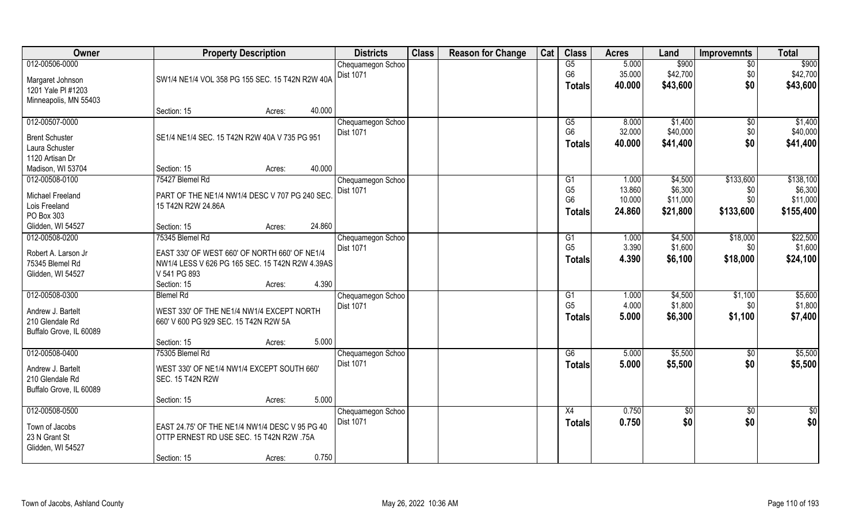| Owner                   |                                                 | <b>Property Description</b>                    |        |                                       | <b>Class</b> | <b>Reason for Change</b> | Cat | <b>Class</b>    | <b>Acres</b> | Land       | <b>Improvemnts</b> | <b>Total</b>    |
|-------------------------|-------------------------------------------------|------------------------------------------------|--------|---------------------------------------|--------------|--------------------------|-----|-----------------|--------------|------------|--------------------|-----------------|
| 012-00506-0000          |                                                 |                                                |        | Chequamegon Schoo                     |              |                          |     | G5              | 5.000        | \$900      | $\sqrt{6}$         | \$900           |
| Margaret Johnson        | SW1/4 NE1/4 VOL 358 PG 155 SEC. 15 T42N R2W 40A |                                                |        | <b>Dist 1071</b>                      |              |                          |     | G <sub>6</sub>  | 35.000       | \$42,700   | \$0                | \$42,700        |
| 1201 Yale PI #1203      |                                                 |                                                |        |                                       |              |                          |     | <b>Totals</b>   | 40.000       | \$43,600   | \$0                | \$43,600        |
| Minneapolis, MN 55403   |                                                 |                                                |        |                                       |              |                          |     |                 |              |            |                    |                 |
|                         | Section: 15                                     | Acres:                                         | 40.000 |                                       |              |                          |     |                 |              |            |                    |                 |
| 012-00507-0000          |                                                 |                                                |        | Chequamegon Schoo                     |              |                          |     | G5              | 8.000        | \$1,400    | $\sqrt{$0}$        | \$1,400         |
| <b>Brent Schuster</b>   | SE1/4 NE1/4 SEC. 15 T42N R2W 40A V 735 PG 951   |                                                |        | <b>Dist 1071</b>                      |              |                          |     | G <sub>6</sub>  | 32.000       | \$40,000   | \$0                | \$40,000        |
| Laura Schuster          |                                                 |                                                |        |                                       |              |                          |     | <b>Totals</b>   | 40.000       | \$41,400   | \$0                | \$41,400        |
| 1120 Artisan Dr         |                                                 |                                                |        |                                       |              |                          |     |                 |              |            |                    |                 |
| Madison, WI 53704       | Section: 15                                     | Acres:                                         | 40.000 |                                       |              |                          |     |                 |              |            |                    |                 |
| 012-00508-0100          | 75427 Blemel Rd                                 |                                                |        | Chequamegon Schoo                     |              |                          |     | G1              | 1.000        | \$4,500    | \$133,600          | \$138,100       |
| Michael Freeland        | PART OF THE NE1/4 NW1/4 DESC V 707 PG 240 SEC   |                                                |        | Dist 1071                             |              |                          |     | G <sub>5</sub>  | 13.860       | \$6,300    | \$0                | \$6,300         |
| Lois Freeland           | 15 T42N R2W 24.86A                              |                                                |        |                                       |              |                          |     | G <sub>6</sub>  | 10.000       | \$11,000   | \$0                | \$11,000        |
| PO Box 303              |                                                 |                                                |        |                                       |              |                          |     | Totals          | 24.860       | \$21,800   | \$133,600          | \$155,400       |
| Glidden, WI 54527       | Section: 15                                     | Acres:                                         | 24.860 |                                       |              |                          |     |                 |              |            |                    |                 |
| 012-00508-0200          | 75345 Blemel Rd                                 |                                                |        | Chequamegon Schoo                     |              |                          |     | G1              | 1.000        | \$4,500    | \$18,000           | \$22,500        |
|                         |                                                 |                                                |        | <b>Dist 1071</b>                      |              |                          |     | G <sub>5</sub>  | 3.390        | \$1,600    | \$0                | \$1,600         |
| Robert A. Larson Jr     | EAST 330' OF WEST 660' OF NORTH 660' OF NE1/4   |                                                |        |                                       |              |                          |     | <b>Totals</b>   | 4.390        | \$6,100    | \$18,000           | \$24,100        |
| 75345 Blemel Rd         | NW1/4 LESS V 626 PG 165 SEC. 15 T42N R2W 4.39AS |                                                |        |                                       |              |                          |     |                 |              |            |                    |                 |
| Glidden, WI 54527       | V 541 PG 893                                    |                                                | 4.390  |                                       |              |                          |     |                 |              |            |                    |                 |
| 012-00508-0300          | Section: 15<br><b>Blemel Rd</b>                 | Acres:                                         |        |                                       |              |                          |     | $\overline{G1}$ | 1.000        | \$4,500    | \$1,100            | \$5,600         |
|                         |                                                 |                                                |        | Chequamegon Schoo<br><b>Dist 1071</b> |              |                          |     | G <sub>5</sub>  | 4.000        | \$1,800    | \$0                | \$1,800         |
| Andrew J. Bartelt       | WEST 330' OF THE NE1/4 NW1/4 EXCEPT NORTH       |                                                |        |                                       |              |                          |     |                 | 5.000        | \$6,300    | \$1,100            | \$7,400         |
| 210 Glendale Rd         | 660' V 600 PG 929 SEC. 15 T42N R2W 5A           |                                                |        |                                       |              |                          |     | Totals          |              |            |                    |                 |
| Buffalo Grove, IL 60089 |                                                 |                                                |        |                                       |              |                          |     |                 |              |            |                    |                 |
|                         | Section: 15                                     | Acres:                                         | 5.000  |                                       |              |                          |     |                 |              |            |                    |                 |
| 012-00508-0400          | 75305 Blemel Rd                                 |                                                |        | Chequamegon Schoo                     |              |                          |     | G6              | 5.000        | \$5,500    | \$0                | \$5,500         |
| Andrew J. Bartelt       | WEST 330' OF NE1/4 NW1/4 EXCEPT SOUTH 660'      |                                                |        | Dist 1071                             |              |                          |     | <b>Totals</b>   | 5.000        | \$5,500    | \$0                | \$5,500         |
| 210 Glendale Rd         | <b>SEC. 15 T42N R2W</b>                         |                                                |        |                                       |              |                          |     |                 |              |            |                    |                 |
| Buffalo Grove, IL 60089 |                                                 |                                                |        |                                       |              |                          |     |                 |              |            |                    |                 |
|                         | Section: 15                                     | Acres:                                         | 5.000  |                                       |              |                          |     |                 |              |            |                    |                 |
| 012-00508-0500          |                                                 |                                                |        | Chequamegon Schoo<br>Dist 1071        |              |                          |     | X4              | 0.750        | $\sqrt{6}$ | $\sqrt{$0}$        | $\overline{50}$ |
| Town of Jacobs          |                                                 | EAST 24.75' OF THE NE1/4 NW1/4 DESC V 95 PG 40 |        |                                       |              |                          |     | <b>Totals</b>   | 0.750        | \$0        | \$0                | \$0             |
| 23 N Grant St           |                                                 | OTTP ERNEST RD USE SEC. 15 T42N R2W .75A       |        |                                       |              |                          |     |                 |              |            |                    |                 |
| Glidden, WI 54527       |                                                 |                                                |        |                                       |              |                          |     |                 |              |            |                    |                 |
|                         | Section: 15                                     | Acres:                                         | 0.750  |                                       |              |                          |     |                 |              |            |                    |                 |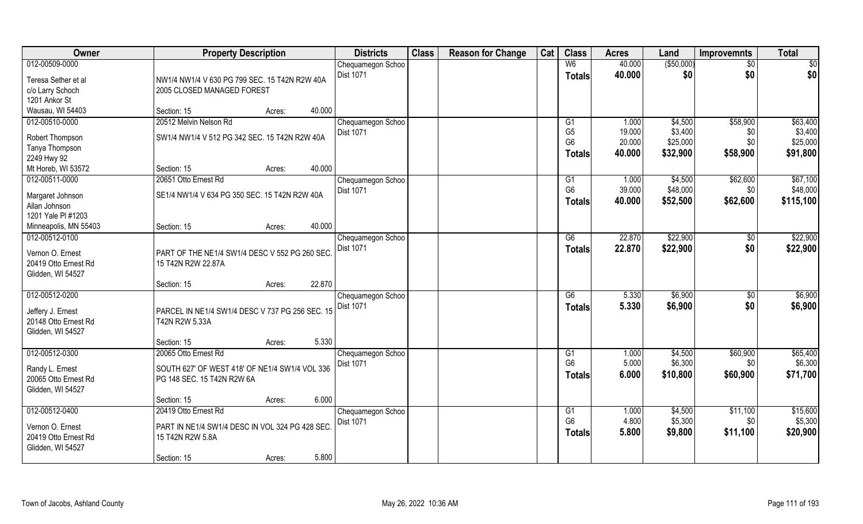| Owner                             | <b>Property Description</b>                     |                  | <b>Districts</b>                      | <b>Class</b> | <b>Reason for Change</b> | Cat | <b>Class</b>         | <b>Acres</b>   | Land               | <b>Improvemnts</b> | <b>Total</b>        |
|-----------------------------------|-------------------------------------------------|------------------|---------------------------------------|--------------|--------------------------|-----|----------------------|----------------|--------------------|--------------------|---------------------|
| 012-00509-0000                    |                                                 |                  | Chequamegon Schoo                     |              |                          |     | W <sub>6</sub>       | 40.000         | ( \$50,000)        | $\overline{30}$    | \$0                 |
| Teresa Sether et al               | NW1/4 NW1/4 V 630 PG 799 SEC. 15 T42N R2W 40A   |                  | <b>Dist 1071</b>                      |              |                          |     | <b>Totals</b>        | 40.000         | \$0                | \$0                | \$0                 |
| c/o Larry Schoch                  | 2005 CLOSED MANAGED FOREST                      |                  |                                       |              |                          |     |                      |                |                    |                    |                     |
| 1201 Ankor St                     |                                                 |                  |                                       |              |                          |     |                      |                |                    |                    |                     |
| Wausau, WI 54403                  | Section: 15                                     | 40.000<br>Acres: |                                       |              |                          |     |                      |                |                    |                    |                     |
| 012-00510-0000                    | 20512 Melvin Nelson Rd                          |                  | Chequamegon Schoo                     |              |                          |     | G1                   | 1.000          | \$4,500            | \$58,900           | \$63,400            |
| Robert Thompson                   | SW1/4 NW1/4 V 512 PG 342 SEC. 15 T42N R2W 40A   |                  | Dist 1071                             |              |                          |     | G <sub>5</sub>       | 19.000         | \$3,400            | \$0                | \$3,400             |
| Tanya Thompson                    |                                                 |                  |                                       |              |                          |     | G <sub>6</sub>       | 20.000         | \$25,000           | \$0                | \$25,000            |
| 2249 Hwy 92                       |                                                 |                  |                                       |              |                          |     | <b>Totals</b>        | 40.000         | \$32,900           | \$58,900           | \$91,800            |
| Mt Horeb, WI 53572                | Section: 15                                     | 40.000<br>Acres: |                                       |              |                          |     |                      |                |                    |                    |                     |
| 012-00511-0000                    | 20651 Otto Ernest Rd                            |                  | Chequamegon Schoo                     |              |                          |     | G1                   | 1.000          | \$4,500            | \$62,600           | \$67,100            |
|                                   |                                                 |                  | Dist 1071                             |              |                          |     | G <sub>6</sub>       | 39.000         | \$48,000           | \$0                | \$48,000            |
| Margaret Johnson<br>Allan Johnson | SE1/4 NW1/4 V 634 PG 350 SEC. 15 T42N R2W 40A   |                  |                                       |              |                          |     | <b>Totals</b>        | 40.000         | \$52,500           | \$62,600           | \$115,100           |
| 1201 Yale PI #1203                |                                                 |                  |                                       |              |                          |     |                      |                |                    |                    |                     |
| Minneapolis, MN 55403             | Section: 15                                     | 40.000<br>Acres: |                                       |              |                          |     |                      |                |                    |                    |                     |
| 012-00512-0100                    |                                                 |                  | Chequamegon Schoo                     |              |                          |     | G6                   | 22.870         | \$22,900           | \$0                | \$22,900            |
|                                   |                                                 |                  | Dist 1071                             |              |                          |     | <b>Totals</b>        | 22.870         | \$22,900           | \$0                | \$22,900            |
| Vernon O. Ernest                  | PART OF THE NE1/4 SW1/4 DESC V 552 PG 260 SEC.  |                  |                                       |              |                          |     |                      |                |                    |                    |                     |
| 20419 Otto Ernest Rd              | 15 T42N R2W 22.87A                              |                  |                                       |              |                          |     |                      |                |                    |                    |                     |
| Glidden, WI 54527                 | Section: 15                                     | 22.870<br>Acres: |                                       |              |                          |     |                      |                |                    |                    |                     |
| 012-00512-0200                    |                                                 |                  | Chequamegon Schoo                     |              |                          |     | $\overline{G6}$      | 5.330          | \$6,900            | \$0                | \$6,900             |
|                                   |                                                 |                  | <b>Dist 1071</b>                      |              |                          |     | <b>Totals</b>        | 5.330          | \$6,900            | \$0                | \$6,900             |
| Jeffery J. Ernest                 | PARCEL IN NE1/4 SW1/4 DESC V 737 PG 256 SEC. 15 |                  |                                       |              |                          |     |                      |                |                    |                    |                     |
| 20148 Otto Ernest Rd              | T42N R2W 5.33A                                  |                  |                                       |              |                          |     |                      |                |                    |                    |                     |
| Glidden, WI 54527                 |                                                 |                  |                                       |              |                          |     |                      |                |                    |                    |                     |
|                                   | Section: 15                                     | 5.330<br>Acres:  |                                       |              |                          |     |                      |                |                    |                    |                     |
| 012-00512-0300                    | 20065 Otto Ernest Rd                            |                  | Chequamegon Schoo<br><b>Dist 1071</b> |              |                          |     | G1<br>G <sub>6</sub> | 1.000<br>5.000 | \$4,500<br>\$6,300 | \$60,900<br>\$0    | \$65,400<br>\$6,300 |
| Randy L. Ernest                   | SOUTH 627' OF WEST 418' OF NE1/4 SW1/4 VOL 336  |                  |                                       |              |                          |     |                      | 6.000          |                    | \$60,900           | \$71,700            |
| 20065 Otto Ernest Rd              | PG 148 SEC. 15 T42N R2W 6A                      |                  |                                       |              |                          |     | <b>Totals</b>        |                | \$10,800           |                    |                     |
| Glidden, WI 54527                 |                                                 |                  |                                       |              |                          |     |                      |                |                    |                    |                     |
|                                   | Section: 15                                     | 6.000<br>Acres:  |                                       |              |                          |     |                      |                |                    |                    |                     |
| 012-00512-0400                    | 20419 Otto Ernest Rd                            |                  | Chequamegon Schoo                     |              |                          |     | G1                   | 1.000          | \$4,500            | \$11,100           | \$15,600            |
| Vernon O. Ernest                  | PART IN NE1/4 SW1/4 DESC IN VOL 324 PG 428 SEC  |                  | Dist 1071                             |              |                          |     | G <sub>6</sub>       | 4.800          | \$5,300            | \$0                | \$5,300             |
| 20419 Otto Ernest Rd              | 15 T42N R2W 5.8A                                |                  |                                       |              |                          |     | <b>Totals</b>        | 5.800          | \$9,800            | \$11,100           | \$20,900            |
| Glidden, WI 54527                 |                                                 |                  |                                       |              |                          |     |                      |                |                    |                    |                     |
|                                   | Section: 15                                     | 5.800<br>Acres:  |                                       |              |                          |     |                      |                |                    |                    |                     |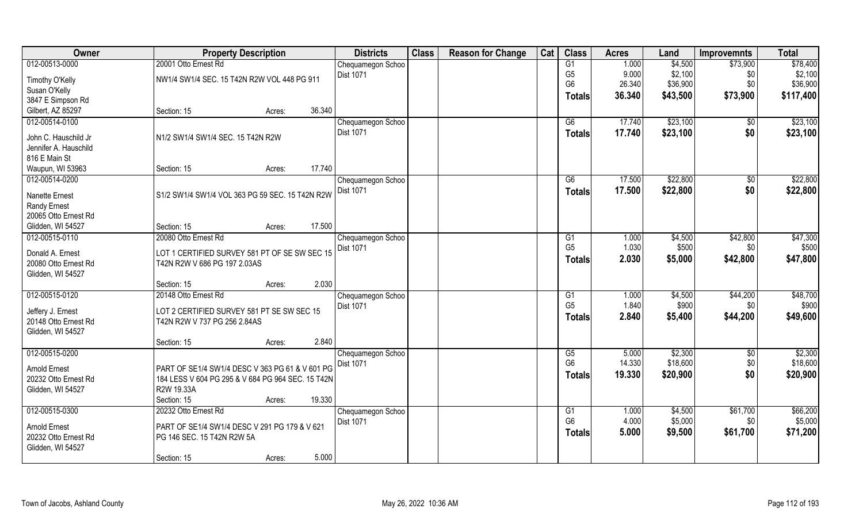| 012-00513-0000<br>20001 Otto Ernest Rd<br>G1<br>1.000<br>\$4,500<br>\$73,900<br>Chequamegon Schoo<br>G <sub>5</sub><br>9.000<br>\$2,100<br>\$2,100<br>Dist 1071<br>\$0<br>NW1/4 SW1/4 SEC. 15 T42N R2W VOL 448 PG 911<br>Timothy O'Kelly<br>G <sub>6</sub><br>26.340<br>\$36,900<br>\$0<br>Susan O'Kelly<br>\$43,500<br>\$73,900<br>36.340<br>Totals<br>3847 E Simpson Rd<br>Gilbert, AZ 85297<br>36.340<br>Section: 15<br>Acres:<br>012-00514-0100<br>\$23,100<br>Chequamegon Schoo<br>G6<br>17.740<br>$\sqrt{6}$<br>\$0<br><b>Dist 1071</b><br>17.740<br>\$23,100<br>Totals<br>N1/2 SW1/4 SW1/4 SEC. 15 T42N R2W<br>John C. Hauschild Jr<br>Jennifer A. Hauschild<br>816 E Main St<br>Waupun, WI 53963<br>17.740<br>Section: 15<br>Acres:<br>012-00514-0200<br>\$22,800<br>G6<br>17.500<br>\$0<br>Chequamegon Schoo<br>\$0<br><b>Dist 1071</b><br>\$22,800<br>17.500<br><b>Totals</b><br>S1/2 SW1/4 SW1/4 VOL 363 PG 59 SEC. 15 T42N R2W<br><b>Nanette Ernest</b><br>Randy Ernest<br>20065 Otto Ernest Rd<br>17.500<br>Glidden, WI 54527<br>Section: 15<br>Acres:<br>20080 Otto Ernest Rd<br>012-00515-0110<br>\$4,500<br>\$42,800<br>Chequamegon Schoo<br>1.000<br>G <sub>1</sub><br>G <sub>5</sub><br>1.030<br>\$500<br>Dist 1071<br>\$0<br>Donald A. Ernest<br>LOT 1 CERTIFIED SURVEY 581 PT OF SE SW SEC 15<br>2.030<br>\$5,000<br>\$42,800<br><b>Totals</b><br>20080 Otto Ernest Rd<br>T42N R2W V 686 PG 197 2.03AS<br>Glidden, WI 54527<br>2.030<br>Section: 15<br>Acres:<br>012-00515-0120<br>\$44,200<br>20148 Otto Ernest Rd<br>$\overline{G1}$<br>1.000<br>\$4,500<br>Chequamegon Schoo<br>G <sub>5</sub><br>1.840<br>\$900<br>Dist 1071<br>\$0<br>LOT 2 CERTIFIED SURVEY 581 PT SE SW SEC 15<br>Jeffery J. Ernest<br>2.840<br>\$44,200<br>\$5,400<br>Totals<br>20148 Otto Ernest Rd<br>T42N R2W V 737 PG 256 2.84AS<br>Glidden, WI 54527<br>2.840<br>Section: 15<br>Acres:<br>012-00515-0200<br>G5<br>5.000<br>\$2,300<br>Chequamegon Schoo<br>\$0<br>G <sub>6</sub><br>14.330<br>\$18,600<br>\$0<br>Dist 1071<br>PART OF SE1/4 SW1/4 DESC V 363 PG 61 & V 601 PG<br><b>Arnold Ernest</b><br>\$0<br>\$20,900<br>19.330<br><b>Totals</b><br>20232 Otto Ernest Rd<br>184 LESS V 604 PG 295 & V 684 PG 964 SEC. 15 T42N<br>R2W 19.33A<br>Glidden, WI 54527<br>19.330<br>Section: 15<br>Acres:<br>012-00515-0300<br>\$61,700<br>20232 Otto Ernest Rd<br>G1<br>1.000<br>\$4,500<br>Chequamegon Schoo<br>G <sub>6</sub><br>4.000<br>\$5,000<br><b>Dist 1071</b><br>\$0<br><b>Arnold Ernest</b><br>PART OF SE1/4 SW1/4 DESC V 291 PG 179 & V 621<br>5.000<br>\$9,500<br>\$61,700<br><b>Totals</b><br>20232 Otto Ernest Rd<br>PG 146 SEC. 15 T42N R2W 5A<br>Glidden, WI 54527 | Owner | <b>Property Description</b> |  |  | <b>Districts</b> | <b>Class</b> | <b>Reason for Change</b> | Cat | <b>Class</b> | <b>Acres</b> | Land | <b>Improvemnts</b> | <b>Total</b> |
|------------------------------------------------------------------------------------------------------------------------------------------------------------------------------------------------------------------------------------------------------------------------------------------------------------------------------------------------------------------------------------------------------------------------------------------------------------------------------------------------------------------------------------------------------------------------------------------------------------------------------------------------------------------------------------------------------------------------------------------------------------------------------------------------------------------------------------------------------------------------------------------------------------------------------------------------------------------------------------------------------------------------------------------------------------------------------------------------------------------------------------------------------------------------------------------------------------------------------------------------------------------------------------------------------------------------------------------------------------------------------------------------------------------------------------------------------------------------------------------------------------------------------------------------------------------------------------------------------------------------------------------------------------------------------------------------------------------------------------------------------------------------------------------------------------------------------------------------------------------------------------------------------------------------------------------------------------------------------------------------------------------------------------------------------------------------------------------------------------------------------------------------------------------------------------------------------------------------------------------------------------------------------------------------------------------------------------------------------------------------------------------------------------------------------------------------------------------------------------------------------------------------------------------------------------------------------------------------------------------------------------------------------------------------------------|-------|-----------------------------|--|--|------------------|--------------|--------------------------|-----|--------------|--------------|------|--------------------|--------------|
| \$36,900<br>\$117,400                                                                                                                                                                                                                                                                                                                                                                                                                                                                                                                                                                                                                                                                                                                                                                                                                                                                                                                                                                                                                                                                                                                                                                                                                                                                                                                                                                                                                                                                                                                                                                                                                                                                                                                                                                                                                                                                                                                                                                                                                                                                                                                                                                                                                                                                                                                                                                                                                                                                                                                                                                                                                                                              |       |                             |  |  |                  |              |                          |     |              |              |      |                    | \$78,400     |
|                                                                                                                                                                                                                                                                                                                                                                                                                                                                                                                                                                                                                                                                                                                                                                                                                                                                                                                                                                                                                                                                                                                                                                                                                                                                                                                                                                                                                                                                                                                                                                                                                                                                                                                                                                                                                                                                                                                                                                                                                                                                                                                                                                                                                                                                                                                                                                                                                                                                                                                                                                                                                                                                                    |       |                             |  |  |                  |              |                          |     |              |              |      |                    |              |
|                                                                                                                                                                                                                                                                                                                                                                                                                                                                                                                                                                                                                                                                                                                                                                                                                                                                                                                                                                                                                                                                                                                                                                                                                                                                                                                                                                                                                                                                                                                                                                                                                                                                                                                                                                                                                                                                                                                                                                                                                                                                                                                                                                                                                                                                                                                                                                                                                                                                                                                                                                                                                                                                                    |       |                             |  |  |                  |              |                          |     |              |              |      |                    |              |
|                                                                                                                                                                                                                                                                                                                                                                                                                                                                                                                                                                                                                                                                                                                                                                                                                                                                                                                                                                                                                                                                                                                                                                                                                                                                                                                                                                                                                                                                                                                                                                                                                                                                                                                                                                                                                                                                                                                                                                                                                                                                                                                                                                                                                                                                                                                                                                                                                                                                                                                                                                                                                                                                                    |       |                             |  |  |                  |              |                          |     |              |              |      |                    |              |
| \$23,100<br>\$23,100<br>\$22,800<br>\$22,800<br>\$47,300<br>\$500<br>\$47,800<br>\$48,700<br>\$900<br>\$49,600<br>\$2,300<br>\$18,600<br>\$20,900<br>\$66,200<br>\$5,000<br>\$71,200                                                                                                                                                                                                                                                                                                                                                                                                                                                                                                                                                                                                                                                                                                                                                                                                                                                                                                                                                                                                                                                                                                                                                                                                                                                                                                                                                                                                                                                                                                                                                                                                                                                                                                                                                                                                                                                                                                                                                                                                                                                                                                                                                                                                                                                                                                                                                                                                                                                                                               |       |                             |  |  |                  |              |                          |     |              |              |      |                    |              |
|                                                                                                                                                                                                                                                                                                                                                                                                                                                                                                                                                                                                                                                                                                                                                                                                                                                                                                                                                                                                                                                                                                                                                                                                                                                                                                                                                                                                                                                                                                                                                                                                                                                                                                                                                                                                                                                                                                                                                                                                                                                                                                                                                                                                                                                                                                                                                                                                                                                                                                                                                                                                                                                                                    |       |                             |  |  |                  |              |                          |     |              |              |      |                    |              |
|                                                                                                                                                                                                                                                                                                                                                                                                                                                                                                                                                                                                                                                                                                                                                                                                                                                                                                                                                                                                                                                                                                                                                                                                                                                                                                                                                                                                                                                                                                                                                                                                                                                                                                                                                                                                                                                                                                                                                                                                                                                                                                                                                                                                                                                                                                                                                                                                                                                                                                                                                                                                                                                                                    |       |                             |  |  |                  |              |                          |     |              |              |      |                    |              |
|                                                                                                                                                                                                                                                                                                                                                                                                                                                                                                                                                                                                                                                                                                                                                                                                                                                                                                                                                                                                                                                                                                                                                                                                                                                                                                                                                                                                                                                                                                                                                                                                                                                                                                                                                                                                                                                                                                                                                                                                                                                                                                                                                                                                                                                                                                                                                                                                                                                                                                                                                                                                                                                                                    |       |                             |  |  |                  |              |                          |     |              |              |      |                    |              |
|                                                                                                                                                                                                                                                                                                                                                                                                                                                                                                                                                                                                                                                                                                                                                                                                                                                                                                                                                                                                                                                                                                                                                                                                                                                                                                                                                                                                                                                                                                                                                                                                                                                                                                                                                                                                                                                                                                                                                                                                                                                                                                                                                                                                                                                                                                                                                                                                                                                                                                                                                                                                                                                                                    |       |                             |  |  |                  |              |                          |     |              |              |      |                    |              |
|                                                                                                                                                                                                                                                                                                                                                                                                                                                                                                                                                                                                                                                                                                                                                                                                                                                                                                                                                                                                                                                                                                                                                                                                                                                                                                                                                                                                                                                                                                                                                                                                                                                                                                                                                                                                                                                                                                                                                                                                                                                                                                                                                                                                                                                                                                                                                                                                                                                                                                                                                                                                                                                                                    |       |                             |  |  |                  |              |                          |     |              |              |      |                    |              |
|                                                                                                                                                                                                                                                                                                                                                                                                                                                                                                                                                                                                                                                                                                                                                                                                                                                                                                                                                                                                                                                                                                                                                                                                                                                                                                                                                                                                                                                                                                                                                                                                                                                                                                                                                                                                                                                                                                                                                                                                                                                                                                                                                                                                                                                                                                                                                                                                                                                                                                                                                                                                                                                                                    |       |                             |  |  |                  |              |                          |     |              |              |      |                    |              |
|                                                                                                                                                                                                                                                                                                                                                                                                                                                                                                                                                                                                                                                                                                                                                                                                                                                                                                                                                                                                                                                                                                                                                                                                                                                                                                                                                                                                                                                                                                                                                                                                                                                                                                                                                                                                                                                                                                                                                                                                                                                                                                                                                                                                                                                                                                                                                                                                                                                                                                                                                                                                                                                                                    |       |                             |  |  |                  |              |                          |     |              |              |      |                    |              |
|                                                                                                                                                                                                                                                                                                                                                                                                                                                                                                                                                                                                                                                                                                                                                                                                                                                                                                                                                                                                                                                                                                                                                                                                                                                                                                                                                                                                                                                                                                                                                                                                                                                                                                                                                                                                                                                                                                                                                                                                                                                                                                                                                                                                                                                                                                                                                                                                                                                                                                                                                                                                                                                                                    |       |                             |  |  |                  |              |                          |     |              |              |      |                    |              |
|                                                                                                                                                                                                                                                                                                                                                                                                                                                                                                                                                                                                                                                                                                                                                                                                                                                                                                                                                                                                                                                                                                                                                                                                                                                                                                                                                                                                                                                                                                                                                                                                                                                                                                                                                                                                                                                                                                                                                                                                                                                                                                                                                                                                                                                                                                                                                                                                                                                                                                                                                                                                                                                                                    |       |                             |  |  |                  |              |                          |     |              |              |      |                    |              |
|                                                                                                                                                                                                                                                                                                                                                                                                                                                                                                                                                                                                                                                                                                                                                                                                                                                                                                                                                                                                                                                                                                                                                                                                                                                                                                                                                                                                                                                                                                                                                                                                                                                                                                                                                                                                                                                                                                                                                                                                                                                                                                                                                                                                                                                                                                                                                                                                                                                                                                                                                                                                                                                                                    |       |                             |  |  |                  |              |                          |     |              |              |      |                    |              |
|                                                                                                                                                                                                                                                                                                                                                                                                                                                                                                                                                                                                                                                                                                                                                                                                                                                                                                                                                                                                                                                                                                                                                                                                                                                                                                                                                                                                                                                                                                                                                                                                                                                                                                                                                                                                                                                                                                                                                                                                                                                                                                                                                                                                                                                                                                                                                                                                                                                                                                                                                                                                                                                                                    |       |                             |  |  |                  |              |                          |     |              |              |      |                    |              |
|                                                                                                                                                                                                                                                                                                                                                                                                                                                                                                                                                                                                                                                                                                                                                                                                                                                                                                                                                                                                                                                                                                                                                                                                                                                                                                                                                                                                                                                                                                                                                                                                                                                                                                                                                                                                                                                                                                                                                                                                                                                                                                                                                                                                                                                                                                                                                                                                                                                                                                                                                                                                                                                                                    |       |                             |  |  |                  |              |                          |     |              |              |      |                    |              |
|                                                                                                                                                                                                                                                                                                                                                                                                                                                                                                                                                                                                                                                                                                                                                                                                                                                                                                                                                                                                                                                                                                                                                                                                                                                                                                                                                                                                                                                                                                                                                                                                                                                                                                                                                                                                                                                                                                                                                                                                                                                                                                                                                                                                                                                                                                                                                                                                                                                                                                                                                                                                                                                                                    |       |                             |  |  |                  |              |                          |     |              |              |      |                    |              |
|                                                                                                                                                                                                                                                                                                                                                                                                                                                                                                                                                                                                                                                                                                                                                                                                                                                                                                                                                                                                                                                                                                                                                                                                                                                                                                                                                                                                                                                                                                                                                                                                                                                                                                                                                                                                                                                                                                                                                                                                                                                                                                                                                                                                                                                                                                                                                                                                                                                                                                                                                                                                                                                                                    |       |                             |  |  |                  |              |                          |     |              |              |      |                    |              |
|                                                                                                                                                                                                                                                                                                                                                                                                                                                                                                                                                                                                                                                                                                                                                                                                                                                                                                                                                                                                                                                                                                                                                                                                                                                                                                                                                                                                                                                                                                                                                                                                                                                                                                                                                                                                                                                                                                                                                                                                                                                                                                                                                                                                                                                                                                                                                                                                                                                                                                                                                                                                                                                                                    |       |                             |  |  |                  |              |                          |     |              |              |      |                    |              |
|                                                                                                                                                                                                                                                                                                                                                                                                                                                                                                                                                                                                                                                                                                                                                                                                                                                                                                                                                                                                                                                                                                                                                                                                                                                                                                                                                                                                                                                                                                                                                                                                                                                                                                                                                                                                                                                                                                                                                                                                                                                                                                                                                                                                                                                                                                                                                                                                                                                                                                                                                                                                                                                                                    |       |                             |  |  |                  |              |                          |     |              |              |      |                    |              |
|                                                                                                                                                                                                                                                                                                                                                                                                                                                                                                                                                                                                                                                                                                                                                                                                                                                                                                                                                                                                                                                                                                                                                                                                                                                                                                                                                                                                                                                                                                                                                                                                                                                                                                                                                                                                                                                                                                                                                                                                                                                                                                                                                                                                                                                                                                                                                                                                                                                                                                                                                                                                                                                                                    |       |                             |  |  |                  |              |                          |     |              |              |      |                    |              |
|                                                                                                                                                                                                                                                                                                                                                                                                                                                                                                                                                                                                                                                                                                                                                                                                                                                                                                                                                                                                                                                                                                                                                                                                                                                                                                                                                                                                                                                                                                                                                                                                                                                                                                                                                                                                                                                                                                                                                                                                                                                                                                                                                                                                                                                                                                                                                                                                                                                                                                                                                                                                                                                                                    |       |                             |  |  |                  |              |                          |     |              |              |      |                    |              |
|                                                                                                                                                                                                                                                                                                                                                                                                                                                                                                                                                                                                                                                                                                                                                                                                                                                                                                                                                                                                                                                                                                                                                                                                                                                                                                                                                                                                                                                                                                                                                                                                                                                                                                                                                                                                                                                                                                                                                                                                                                                                                                                                                                                                                                                                                                                                                                                                                                                                                                                                                                                                                                                                                    |       |                             |  |  |                  |              |                          |     |              |              |      |                    |              |
|                                                                                                                                                                                                                                                                                                                                                                                                                                                                                                                                                                                                                                                                                                                                                                                                                                                                                                                                                                                                                                                                                                                                                                                                                                                                                                                                                                                                                                                                                                                                                                                                                                                                                                                                                                                                                                                                                                                                                                                                                                                                                                                                                                                                                                                                                                                                                                                                                                                                                                                                                                                                                                                                                    |       |                             |  |  |                  |              |                          |     |              |              |      |                    |              |
|                                                                                                                                                                                                                                                                                                                                                                                                                                                                                                                                                                                                                                                                                                                                                                                                                                                                                                                                                                                                                                                                                                                                                                                                                                                                                                                                                                                                                                                                                                                                                                                                                                                                                                                                                                                                                                                                                                                                                                                                                                                                                                                                                                                                                                                                                                                                                                                                                                                                                                                                                                                                                                                                                    |       |                             |  |  |                  |              |                          |     |              |              |      |                    |              |
|                                                                                                                                                                                                                                                                                                                                                                                                                                                                                                                                                                                                                                                                                                                                                                                                                                                                                                                                                                                                                                                                                                                                                                                                                                                                                                                                                                                                                                                                                                                                                                                                                                                                                                                                                                                                                                                                                                                                                                                                                                                                                                                                                                                                                                                                                                                                                                                                                                                                                                                                                                                                                                                                                    |       |                             |  |  |                  |              |                          |     |              |              |      |                    |              |
|                                                                                                                                                                                                                                                                                                                                                                                                                                                                                                                                                                                                                                                                                                                                                                                                                                                                                                                                                                                                                                                                                                                                                                                                                                                                                                                                                                                                                                                                                                                                                                                                                                                                                                                                                                                                                                                                                                                                                                                                                                                                                                                                                                                                                                                                                                                                                                                                                                                                                                                                                                                                                                                                                    |       |                             |  |  |                  |              |                          |     |              |              |      |                    |              |
|                                                                                                                                                                                                                                                                                                                                                                                                                                                                                                                                                                                                                                                                                                                                                                                                                                                                                                                                                                                                                                                                                                                                                                                                                                                                                                                                                                                                                                                                                                                                                                                                                                                                                                                                                                                                                                                                                                                                                                                                                                                                                                                                                                                                                                                                                                                                                                                                                                                                                                                                                                                                                                                                                    |       |                             |  |  |                  |              |                          |     |              |              |      |                    |              |
|                                                                                                                                                                                                                                                                                                                                                                                                                                                                                                                                                                                                                                                                                                                                                                                                                                                                                                                                                                                                                                                                                                                                                                                                                                                                                                                                                                                                                                                                                                                                                                                                                                                                                                                                                                                                                                                                                                                                                                                                                                                                                                                                                                                                                                                                                                                                                                                                                                                                                                                                                                                                                                                                                    |       |                             |  |  |                  |              |                          |     |              |              |      |                    |              |
|                                                                                                                                                                                                                                                                                                                                                                                                                                                                                                                                                                                                                                                                                                                                                                                                                                                                                                                                                                                                                                                                                                                                                                                                                                                                                                                                                                                                                                                                                                                                                                                                                                                                                                                                                                                                                                                                                                                                                                                                                                                                                                                                                                                                                                                                                                                                                                                                                                                                                                                                                                                                                                                                                    |       |                             |  |  |                  |              |                          |     |              |              |      |                    |              |
|                                                                                                                                                                                                                                                                                                                                                                                                                                                                                                                                                                                                                                                                                                                                                                                                                                                                                                                                                                                                                                                                                                                                                                                                                                                                                                                                                                                                                                                                                                                                                                                                                                                                                                                                                                                                                                                                                                                                                                                                                                                                                                                                                                                                                                                                                                                                                                                                                                                                                                                                                                                                                                                                                    |       |                             |  |  |                  |              |                          |     |              |              |      |                    |              |
|                                                                                                                                                                                                                                                                                                                                                                                                                                                                                                                                                                                                                                                                                                                                                                                                                                                                                                                                                                                                                                                                                                                                                                                                                                                                                                                                                                                                                                                                                                                                                                                                                                                                                                                                                                                                                                                                                                                                                                                                                                                                                                                                                                                                                                                                                                                                                                                                                                                                                                                                                                                                                                                                                    |       |                             |  |  |                  |              |                          |     |              |              |      |                    |              |
|                                                                                                                                                                                                                                                                                                                                                                                                                                                                                                                                                                                                                                                                                                                                                                                                                                                                                                                                                                                                                                                                                                                                                                                                                                                                                                                                                                                                                                                                                                                                                                                                                                                                                                                                                                                                                                                                                                                                                                                                                                                                                                                                                                                                                                                                                                                                                                                                                                                                                                                                                                                                                                                                                    |       |                             |  |  |                  |              |                          |     |              |              |      |                    |              |
|                                                                                                                                                                                                                                                                                                                                                                                                                                                                                                                                                                                                                                                                                                                                                                                                                                                                                                                                                                                                                                                                                                                                                                                                                                                                                                                                                                                                                                                                                                                                                                                                                                                                                                                                                                                                                                                                                                                                                                                                                                                                                                                                                                                                                                                                                                                                                                                                                                                                                                                                                                                                                                                                                    |       |                             |  |  |                  |              |                          |     |              |              |      |                    |              |
|                                                                                                                                                                                                                                                                                                                                                                                                                                                                                                                                                                                                                                                                                                                                                                                                                                                                                                                                                                                                                                                                                                                                                                                                                                                                                                                                                                                                                                                                                                                                                                                                                                                                                                                                                                                                                                                                                                                                                                                                                                                                                                                                                                                                                                                                                                                                                                                                                                                                                                                                                                                                                                                                                    |       |                             |  |  |                  |              |                          |     |              |              |      |                    |              |
| 5.000<br>Section: 15<br>Acres:                                                                                                                                                                                                                                                                                                                                                                                                                                                                                                                                                                                                                                                                                                                                                                                                                                                                                                                                                                                                                                                                                                                                                                                                                                                                                                                                                                                                                                                                                                                                                                                                                                                                                                                                                                                                                                                                                                                                                                                                                                                                                                                                                                                                                                                                                                                                                                                                                                                                                                                                                                                                                                                     |       |                             |  |  |                  |              |                          |     |              |              |      |                    |              |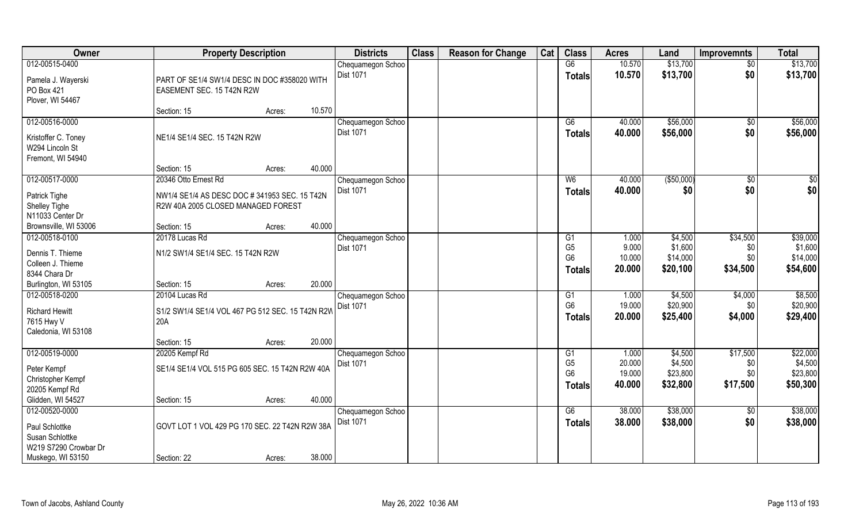| Owner                                                | <b>Property Description</b>                                                         |        |        | <b>Districts</b>               | <b>Class</b> | <b>Reason for Change</b> | Cat | <b>Class</b>   | <b>Acres</b>     | Land                 | <b>Improvemnts</b> | <b>Total</b>         |
|------------------------------------------------------|-------------------------------------------------------------------------------------|--------|--------|--------------------------------|--------------|--------------------------|-----|----------------|------------------|----------------------|--------------------|----------------------|
| 012-00515-0400                                       |                                                                                     |        |        | Chequamegon Schoo              |              |                          |     | G6             | 10.570           | \$13,700             | $\sqrt{$0}$        | \$13,700             |
| Pamela J. Wayerski<br>PO Box 421<br>Plover, WI 54467 | PART OF SE1/4 SW1/4 DESC IN DOC #358020 WITH<br>EASEMENT SEC. 15 T42N R2W           |        |        | Dist 1071                      |              |                          |     | <b>Totals</b>  | 10.570           | \$13,700             | \$0                | \$13,700             |
|                                                      | Section: 15                                                                         | Acres: | 10.570 |                                |              |                          |     |                |                  |                      |                    |                      |
| 012-00516-0000<br>Kristoffer C. Toney                | NE1/4 SE1/4 SEC. 15 T42N R2W                                                        |        |        | Chequamegon Schoo<br>Dist 1071 |              |                          |     | G6<br>Totals   | 40.000<br>40.000 | \$56,000<br>\$56,000 | \$0<br>\$0         | \$56,000<br>\$56,000 |
| W294 Lincoln St<br>Fremont, WI 54940                 |                                                                                     |        |        |                                |              |                          |     |                |                  |                      |                    |                      |
|                                                      | Section: 15                                                                         | Acres: | 40.000 |                                |              |                          |     |                |                  |                      |                    |                      |
| 012-00517-0000                                       | 20346 Otto Ernest Rd                                                                |        |        | Chequamegon Schoo              |              |                          |     | W <sub>6</sub> | 40.000           | ( \$50,000)          | \$0                | $\sqrt{50}$          |
| Patrick Tighe<br>Shelley Tighe<br>N11033 Center Dr   | NW1/4 SE1/4 AS DESC DOC # 341953 SEC. 15 T42N<br>R2W 40A 2005 CLOSED MANAGED FOREST |        |        | Dist 1071                      |              |                          |     | <b>Totals</b>  | 40.000           | \$0                  | \$0                | \$0                  |
| Brownsville, WI 53006                                | Section: 15                                                                         | Acres: | 40.000 |                                |              |                          |     |                |                  |                      |                    |                      |
| 012-00518-0100                                       | 20178 Lucas Rd                                                                      |        |        | Chequamegon Schoo              |              |                          |     | G1             | 1.000            | \$4,500              | \$34,500           | \$39,000             |
|                                                      |                                                                                     |        |        | <b>Dist 1071</b>               |              |                          |     | G <sub>5</sub> | 9.000            | \$1,600              | \$0                | \$1,600              |
| Dennis T. Thieme                                     | N1/2 SW1/4 SE1/4 SEC. 15 T42N R2W                                                   |        |        |                                |              |                          |     | G <sub>6</sub> | 10.000           | \$14,000             | \$0                | \$14,000             |
| Colleen J. Thieme                                    |                                                                                     |        |        |                                |              |                          |     | <b>Totals</b>  | 20.000           | \$20,100             | \$34,500           | \$54,600             |
| 8344 Chara Dr                                        |                                                                                     |        |        |                                |              |                          |     |                |                  |                      |                    |                      |
| Burlington, WI 53105                                 | Section: 15                                                                         | Acres: | 20.000 |                                |              |                          |     |                |                  |                      |                    |                      |
| 012-00518-0200                                       | 20104 Lucas Rd                                                                      |        |        | Chequamegon Schoo              |              |                          |     | G1             | 1.000            | \$4,500              | \$4,000            | \$8,500              |
| <b>Richard Hewitt</b>                                | S1/2 SW1/4 SE1/4 VOL 467 PG 512 SEC. 15 T42N R2W                                    |        |        | Dist 1071                      |              |                          |     | G <sub>6</sub> | 19.000           | \$20,900             | \$0                | \$20,900             |
| 7615 Hwy V                                           | 20A                                                                                 |        |        |                                |              |                          |     | <b>Totals</b>  | 20.000           | \$25,400             | \$4,000            | \$29,400             |
| Caledonia, WI 53108                                  |                                                                                     |        |        |                                |              |                          |     |                |                  |                      |                    |                      |
|                                                      | Section: 15                                                                         | Acres: | 20.000 |                                |              |                          |     |                |                  |                      |                    |                      |
| 012-00519-0000                                       | 20205 Kempf Rd                                                                      |        |        | Chequamegon Schoo              |              |                          |     | G1             | 1.000            | \$4,500              | \$17,500           | \$22,000             |
| Peter Kempf                                          | SE1/4 SE1/4 VOL 515 PG 605 SEC. 15 T42N R2W 40A                                     |        |        | Dist 1071                      |              |                          |     | G <sub>5</sub> | 20.000           | \$4,500              | \$0                | \$4,500              |
| Christopher Kempf                                    |                                                                                     |        |        |                                |              |                          |     | G <sub>6</sub> | 19.000           | \$23,800             | \$0                | \$23,800             |
| 20205 Kempf Rd                                       |                                                                                     |        |        |                                |              |                          |     | <b>Totals</b>  | 40.000           | \$32,800             | \$17,500           | \$50,300             |
| Glidden, WI 54527                                    | Section: 15                                                                         | Acres: | 40.000 |                                |              |                          |     |                |                  |                      |                    |                      |
| 012-00520-0000                                       |                                                                                     |        |        | Chequamegon Schoo              |              |                          |     | G6             | 38.000           | \$38,000             | $\sqrt{$0}$        | \$38,000             |
|                                                      |                                                                                     |        |        | Dist 1071                      |              |                          |     | <b>Totals</b>  | 38.000           | \$38,000             | \$0                | \$38,000             |
| Paul Schlottke                                       | GOVT LOT 1 VOL 429 PG 170 SEC. 22 T42N R2W 38A                                      |        |        |                                |              |                          |     |                |                  |                      |                    |                      |
| Susan Schlottke                                      |                                                                                     |        |        |                                |              |                          |     |                |                  |                      |                    |                      |
| W219 S7290 Crowbar Dr                                |                                                                                     |        |        |                                |              |                          |     |                |                  |                      |                    |                      |
| Muskego, WI 53150                                    | Section: 22                                                                         | Acres: | 38.000 |                                |              |                          |     |                |                  |                      |                    |                      |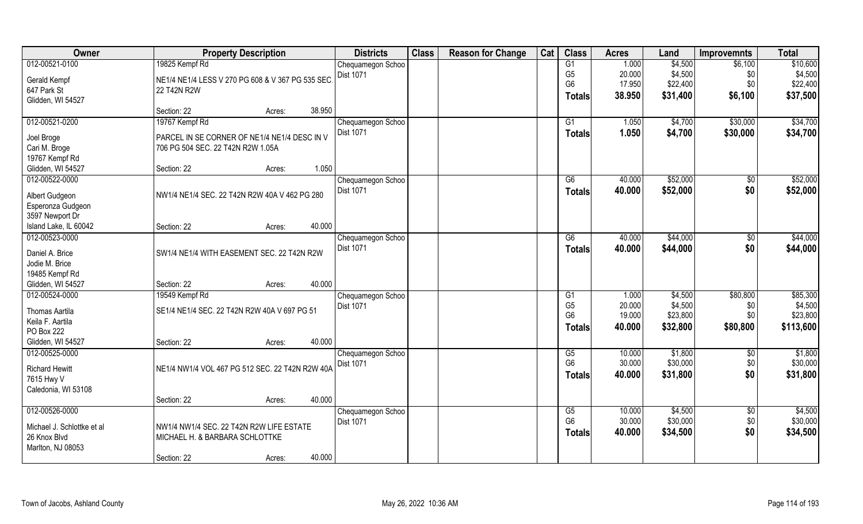| Owner                              | <b>Property Description</b>                      | <b>Districts</b>  | <b>Class</b> | <b>Reason for Change</b> | Cat | <b>Class</b>   | <b>Acres</b> | Land     | <b>Improvemnts</b> | <b>Total</b> |
|------------------------------------|--------------------------------------------------|-------------------|--------------|--------------------------|-----|----------------|--------------|----------|--------------------|--------------|
| 012-00521-0100                     | 19825 Kempf Rd                                   | Chequamegon Schoo |              |                          |     | G1             | 1.000        | \$4,500  | \$6,100            | \$10,600     |
| Gerald Kempf                       | NE1/4 NE1/4 LESS V 270 PG 608 & V 367 PG 535 SEC | Dist 1071         |              |                          |     | G <sub>5</sub> | 20.000       | \$4,500  | \$0                | \$4,500      |
| 647 Park St                        | 22 T42N R2W                                      |                   |              |                          |     | G <sub>6</sub> | 17.950       | \$22,400 | \$0                | \$22,400     |
| Glidden, WI 54527                  |                                                  |                   |              |                          |     | <b>Totals</b>  | 38.950       | \$31,400 | \$6,100            | \$37,500     |
|                                    | 38.950<br>Section: 22<br>Acres:                  |                   |              |                          |     |                |              |          |                    |              |
| 012-00521-0200                     | 19767 Kempf Rd                                   | Chequamegon Schoo |              |                          |     | G1             | 1.050        | \$4,700  | \$30,000           | \$34,700     |
| Joel Broge                         | PARCEL IN SE CORNER OF NE1/4 NE1/4 DESC IN V     | Dist 1071         |              |                          |     | <b>Totals</b>  | 1.050        | \$4,700  | \$30,000           | \$34,700     |
| Cari M. Broge                      | 706 PG 504 SEC. 22 T42N R2W 1.05A                |                   |              |                          |     |                |              |          |                    |              |
| 19767 Kempf Rd                     |                                                  |                   |              |                          |     |                |              |          |                    |              |
| Glidden, WI 54527                  | 1.050<br>Section: 22<br>Acres:                   |                   |              |                          |     |                |              |          |                    |              |
| 012-00522-0000                     |                                                  | Chequamegon Schoo |              |                          |     | G6             | 40.000       | \$52,000 | \$0                | \$52,000     |
| Albert Gudgeon                     | NW1/4 NE1/4 SEC. 22 T42N R2W 40A V 462 PG 280    | Dist 1071         |              |                          |     | <b>Totals</b>  | 40.000       | \$52,000 | \$0                | \$52,000     |
| Esperonza Gudgeon                  |                                                  |                   |              |                          |     |                |              |          |                    |              |
| 3597 Newport Dr                    |                                                  |                   |              |                          |     |                |              |          |                    |              |
| Island Lake, IL 60042              | 40.000<br>Section: 22<br>Acres:                  |                   |              |                          |     |                |              |          |                    |              |
| 012-00523-0000                     |                                                  | Chequamegon Schoo |              |                          |     | G6             | 40.000       | \$44,000 | $\sqrt[6]{3}$      | \$44,000     |
| Daniel A. Brice                    | SW1/4 NE1/4 WITH EASEMENT SEC. 22 T42N R2W       | Dist 1071         |              |                          |     | <b>Totals</b>  | 40.000       | \$44,000 | \$0                | \$44,000     |
| Jodie M. Brice                     |                                                  |                   |              |                          |     |                |              |          |                    |              |
| 19485 Kempf Rd                     |                                                  |                   |              |                          |     |                |              |          |                    |              |
| Glidden, WI 54527                  | 40.000<br>Section: 22<br>Acres:                  |                   |              |                          |     |                |              |          |                    |              |
| 012-00524-0000                     | 19549 Kempf Rd                                   | Chequamegon Schoo |              |                          |     | G1             | 1.000        | \$4,500  | \$80,800           | \$85,300     |
|                                    | SE1/4 NE1/4 SEC. 22 T42N R2W 40A V 697 PG 51     | <b>Dist 1071</b>  |              |                          |     | G <sub>5</sub> | 20.000       | \$4,500  | \$0                | \$4,500      |
| Thomas Aartila<br>Keila F. Aartila |                                                  |                   |              |                          |     | G <sub>6</sub> | 19.000       | \$23,800 | \$0                | \$23,800     |
| PO Box 222                         |                                                  |                   |              |                          |     | Totals         | 40.000       | \$32,800 | \$80,800           | \$113,600    |
| Glidden, WI 54527                  | 40.000<br>Section: 22<br>Acres:                  |                   |              |                          |     |                |              |          |                    |              |
| 012-00525-0000                     |                                                  | Chequamegon Schoo |              |                          |     | G5             | 10.000       | \$1,800  | \$0                | \$1,800      |
|                                    |                                                  | Dist 1071         |              |                          |     | G <sub>6</sub> | 30.000       | \$30,000 | \$0                | \$30,000     |
| <b>Richard Hewitt</b>              | NE1/4 NW1/4 VOL 467 PG 512 SEC. 22 T42N R2W 40A  |                   |              |                          |     | <b>Totals</b>  | 40.000       | \$31,800 | \$0                | \$31,800     |
| 7615 Hwy V<br>Caledonia, WI 53108  |                                                  |                   |              |                          |     |                |              |          |                    |              |
|                                    | 40.000<br>Section: 22<br>Acres:                  |                   |              |                          |     |                |              |          |                    |              |
| 012-00526-0000                     |                                                  | Chequamegon Schoo |              |                          |     | G5             | 10.000       | \$4,500  | $\sqrt{$0}$        | \$4,500      |
|                                    |                                                  | Dist 1071         |              |                          |     | G <sub>6</sub> | 30.000       | \$30,000 | \$0                | \$30,000     |
| Michael J. Schlottke et al         | NW1/4 NW1/4 SEC. 22 T42N R2W LIFE ESTATE         |                   |              |                          |     | <b>Totals</b>  | 40.000       | \$34,500 | \$0                | \$34,500     |
| 26 Knox Blvd                       | MICHAEL H. & BARBARA SCHLOTTKE                   |                   |              |                          |     |                |              |          |                    |              |
| Marlton, NJ 08053                  | 40.000                                           |                   |              |                          |     |                |              |          |                    |              |
|                                    | Section: 22<br>Acres:                            |                   |              |                          |     |                |              |          |                    |              |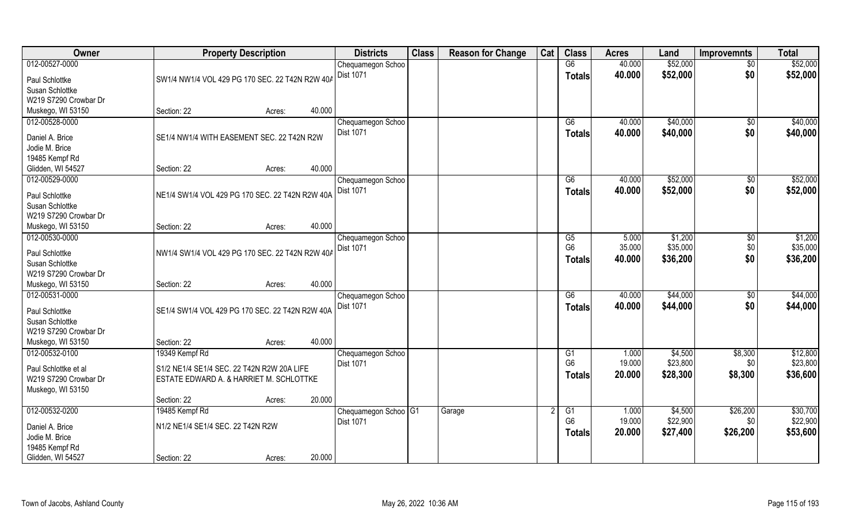| Owner                                    | <b>Property Description</b>                     |        |        | <b>Districts</b>                  | <b>Class</b> | <b>Reason for Change</b> | Cat | <b>Class</b>         | <b>Acres</b>    | Land                | <b>Improvemnts</b> | <b>Total</b>         |
|------------------------------------------|-------------------------------------------------|--------|--------|-----------------------------------|--------------|--------------------------|-----|----------------------|-----------------|---------------------|--------------------|----------------------|
| 012-00527-0000                           |                                                 |        |        | Chequamegon Schoo                 |              |                          |     | $\overline{G6}$      | 40.000          | \$52,000            | $\overline{50}$    | \$52,000             |
| Paul Schlottke                           | SW1/4 NW1/4 VOL 429 PG 170 SEC. 22 T42N R2W 40A |        |        | Dist 1071                         |              |                          |     | <b>Totals</b>        | 40.000          | \$52,000            | \$0                | \$52,000             |
| Susan Schlottke                          |                                                 |        |        |                                   |              |                          |     |                      |                 |                     |                    |                      |
| W219 S7290 Crowbar Dr                    |                                                 |        |        |                                   |              |                          |     |                      |                 |                     |                    |                      |
| Muskego, WI 53150                        | Section: 22                                     | Acres: | 40.000 |                                   |              |                          |     |                      |                 |                     |                    |                      |
| 012-00528-0000                           |                                                 |        |        | Chequamegon Schoo                 |              |                          |     | G6                   | 40.000          | \$40,000            | \$0                | \$40,000             |
| Daniel A. Brice                          | SE1/4 NW1/4 WITH EASEMENT SEC. 22 T42N R2W      |        |        | <b>Dist 1071</b>                  |              |                          |     | <b>Totals</b>        | 40.000          | \$40,000            | \$0                | \$40,000             |
| Jodie M. Brice                           |                                                 |        |        |                                   |              |                          |     |                      |                 |                     |                    |                      |
| 19485 Kempf Rd                           |                                                 |        |        |                                   |              |                          |     |                      |                 |                     |                    |                      |
| Glidden, WI 54527                        | Section: 22                                     | Acres: | 40.000 |                                   |              |                          |     |                      |                 |                     |                    |                      |
| 012-00529-0000                           |                                                 |        |        | Chequamegon Schoo                 |              |                          |     | G6                   | 40.000          | \$52,000            | $\overline{50}$    | \$52,000             |
|                                          |                                                 |        |        | Dist 1071                         |              |                          |     | <b>Totals</b>        | 40.000          | \$52,000            | \$0                | \$52,000             |
| Paul Schlottke<br>Susan Schlottke        | NE1/4 SW1/4 VOL 429 PG 170 SEC. 22 T42N R2W 40A |        |        |                                   |              |                          |     |                      |                 |                     |                    |                      |
| W219 S7290 Crowbar Dr                    |                                                 |        |        |                                   |              |                          |     |                      |                 |                     |                    |                      |
| Muskego, WI 53150                        | Section: 22                                     | Acres: | 40.000 |                                   |              |                          |     |                      |                 |                     |                    |                      |
| 012-00530-0000                           |                                                 |        |        | Chequamegon Schoo                 |              |                          |     | G5                   | 5.000           | \$1,200             | \$0                | \$1,200              |
|                                          |                                                 |        |        | Dist 1071                         |              |                          |     | G <sub>6</sub>       | 35.000          | \$35,000            | \$0                | \$35,000             |
| Paul Schlottke                           | NW1/4 SW1/4 VOL 429 PG 170 SEC. 22 T42N R2W 40A |        |        |                                   |              |                          |     | <b>Totals</b>        | 40.000          | \$36,200            | \$0                | \$36,200             |
| Susan Schlottke<br>W219 S7290 Crowbar Dr |                                                 |        |        |                                   |              |                          |     |                      |                 |                     |                    |                      |
| Muskego, WI 53150                        | Section: 22                                     | Acres: | 40.000 |                                   |              |                          |     |                      |                 |                     |                    |                      |
| 012-00531-0000                           |                                                 |        |        | Chequamegon Schoo                 |              |                          |     | $\overline{G6}$      | 40.000          | \$44,000            | \$0                | \$44,000             |
|                                          |                                                 |        |        | Dist 1071                         |              |                          |     | <b>Totals</b>        | 40.000          | \$44,000            | \$0                | \$44,000             |
| Paul Schlottke                           | SE1/4 SW1/4 VOL 429 PG 170 SEC. 22 T42N R2W 40A |        |        |                                   |              |                          |     |                      |                 |                     |                    |                      |
| Susan Schlottke                          |                                                 |        |        |                                   |              |                          |     |                      |                 |                     |                    |                      |
| W219 S7290 Crowbar Dr                    |                                                 |        |        |                                   |              |                          |     |                      |                 |                     |                    |                      |
| Muskego, WI 53150<br>012-00532-0100      | Section: 22                                     | Acres: | 40.000 |                                   |              |                          |     |                      |                 |                     |                    |                      |
|                                          | 19349 Kempf Rd                                  |        |        | Chequamegon Schoo<br>Dist 1071    |              |                          |     | G1<br>G <sub>6</sub> | 1.000<br>19.000 | \$4,500<br>\$23,800 | \$8,300<br>\$0     | \$12,800<br>\$23,800 |
| Paul Schlottke et al                     | S1/2 NE1/4 SE1/4 SEC. 22 T42N R2W 20A LIFE      |        |        |                                   |              |                          |     | <b>Totals</b>        | 20.000          | \$28,300            | \$8,300            | \$36,600             |
| W219 S7290 Crowbar Dr                    | ESTATE EDWARD A. & HARRIET M. SCHLOTTKE         |        |        |                                   |              |                          |     |                      |                 |                     |                    |                      |
| Muskego, WI 53150                        |                                                 |        |        |                                   |              |                          |     |                      |                 |                     |                    |                      |
|                                          | Section: 22                                     | Acres: | 20.000 |                                   |              |                          |     |                      |                 |                     |                    |                      |
| 012-00532-0200                           | 19485 Kempf Rd                                  |        |        | Chequamegon Schoo <sup>1</sup> G1 |              | Garage                   |     | $\overline{G1}$      | 1.000           | \$4,500             | \$26,200           | \$30,700             |
| Daniel A. Brice                          | N1/2 NE1/4 SE1/4 SEC. 22 T42N R2W               |        |        | <b>Dist 1071</b>                  |              |                          |     | G <sub>6</sub>       | 19.000          | \$22,900            | \$0                | \$22,900             |
| Jodie M. Brice                           |                                                 |        |        |                                   |              |                          |     | <b>Totals</b>        | 20.000          | \$27,400            | \$26,200           | \$53,600             |
| 19485 Kempf Rd                           |                                                 |        |        |                                   |              |                          |     |                      |                 |                     |                    |                      |
| Glidden, WI 54527                        | Section: 22                                     | Acres: | 20.000 |                                   |              |                          |     |                      |                 |                     |                    |                      |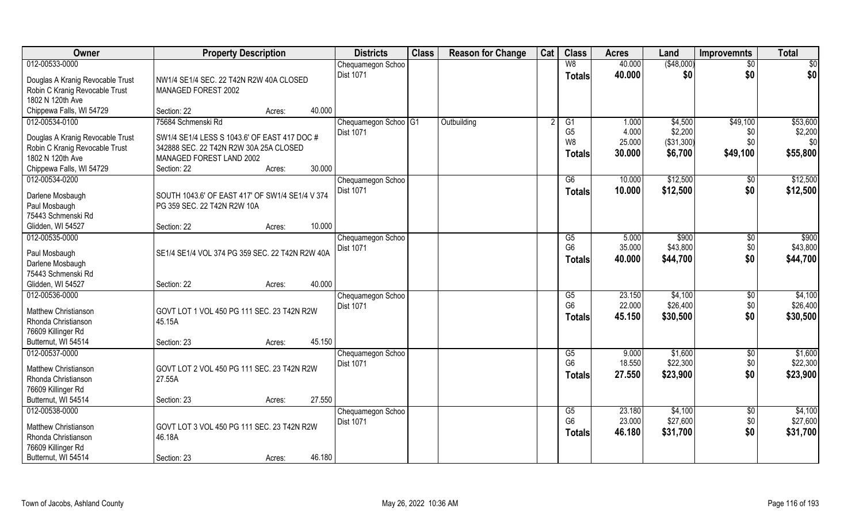| Owner                            | <b>Property Description</b>                     | <b>Districts</b>                | <b>Class</b> | <b>Reason for Change</b> | Cat | <b>Class</b>           | <b>Acres</b> | Land        | <b>Improvemnts</b> | <b>Total</b>      |
|----------------------------------|-------------------------------------------------|---------------------------------|--------------|--------------------------|-----|------------------------|--------------|-------------|--------------------|-------------------|
| 012-00533-0000                   |                                                 | Chequamegon Schoo               |              |                          |     | W8                     | 40.000       | ( \$48,000) | $\sqrt{$0}$        | $\sqrt{50}$       |
| Douglas A Kranig Revocable Trust | NW1/4 SE1/4 SEC. 22 T42N R2W 40A CLOSED         | <b>Dist 1071</b>                |              |                          |     | <b>Totals</b>          | 40.000       | \$0         | \$0                | \$0               |
| Robin C Kranig Revocable Trust   | MANAGED FOREST 2002                             |                                 |              |                          |     |                        |              |             |                    |                   |
| 1802 N 120th Ave                 |                                                 |                                 |              |                          |     |                        |              |             |                    |                   |
| Chippewa Falls, WI 54729         | Section: 22<br>Acres:                           | 40.000                          |              |                          |     |                        |              |             |                    |                   |
| 012-00534-0100                   | 75684 Schmenski Rd                              | Chequamegon Schoo <sup>G1</sup> |              | Outbuilding              |     | $\overline{G1}$        | 1.000        | \$4,500     | \$49,100           | \$53,600          |
|                                  |                                                 | <b>Dist 1071</b>                |              |                          |     | G <sub>5</sub>         | 4.000        | \$2,200     | \$0                | \$2,200           |
| Douglas A Kranig Revocable Trust | SW1/4 SE1/4 LESS S 1043.6' OF EAST 417 DOC #    |                                 |              |                          |     | W8                     | 25.000       | (\$31,300)  | \$0                | \$0               |
| Robin C Kranig Revocable Trust   | 342888 SEC. 22 T42N R2W 30A 25A CLOSED          |                                 |              |                          |     | <b>Totals</b>          | 30.000       | \$6,700     | \$49,100           | \$55,800          |
| 1802 N 120th Ave                 | MANAGED FOREST LAND 2002                        |                                 |              |                          |     |                        |              |             |                    |                   |
| Chippewa Falls, WI 54729         | Section: 22<br>Acres:                           | 30.000                          |              |                          |     |                        |              |             |                    |                   |
| 012-00534-0200                   |                                                 | Chequamegon Schoo               |              |                          |     | G6                     | 10.000       | \$12,500    | \$0                | \$12,500          |
| Darlene Mosbaugh                 | SOUTH 1043.6' OF EAST 417' OF SW1/4 SE1/4 V 374 | Dist 1071                       |              |                          |     | Totals                 | 10.000       | \$12,500    | \$0                | \$12,500          |
| Paul Mosbaugh                    | PG 359 SEC. 22 T42N R2W 10A                     |                                 |              |                          |     |                        |              |             |                    |                   |
| 75443 Schmenski Rd               |                                                 |                                 |              |                          |     |                        |              |             |                    |                   |
| Glidden, WI 54527                | Section: 22<br>Acres:                           | 10.000                          |              |                          |     |                        |              |             |                    |                   |
| 012-00535-0000                   |                                                 | Chequamegon Schoo               |              |                          |     | G5                     | 5.000        | \$900       | $\sqrt[6]{3}$      | $\overline{$900}$ |
|                                  |                                                 | <b>Dist 1071</b>                |              |                          |     | G <sub>6</sub>         | 35.000       | \$43,800    | \$0                | \$43,800          |
| Paul Mosbaugh                    | SE1/4 SE1/4 VOL 374 PG 359 SEC. 22 T42N R2W 40A |                                 |              |                          |     | <b>Totals</b>          | 40.000       | \$44,700    | \$0                | \$44,700          |
| Darlene Mosbaugh                 |                                                 |                                 |              |                          |     |                        |              |             |                    |                   |
| 75443 Schmenski Rd               |                                                 |                                 |              |                          |     |                        |              |             |                    |                   |
| Glidden, WI 54527                | Section: 22<br>Acres:                           | 40.000                          |              |                          |     |                        |              |             |                    |                   |
| 012-00536-0000                   |                                                 | Chequamegon Schoo               |              |                          |     | $\overline{\text{G5}}$ | 23.150       | \$4,100     | $\overline{50}$    | \$4,100           |
| Matthew Christianson             | GOVT LOT 1 VOL 450 PG 111 SEC. 23 T42N R2W      | <b>Dist 1071</b>                |              |                          |     | G <sub>6</sub>         | 22.000       | \$26,400    | \$0                | \$26,400          |
| Rhonda Christianson              | 45.15A                                          |                                 |              |                          |     | <b>Totals</b>          | 45.150       | \$30,500    | \$0                | \$30,500          |
| 76609 Killinger Rd               |                                                 |                                 |              |                          |     |                        |              |             |                    |                   |
| Butternut, WI 54514              | Section: 23<br>Acres:                           | 45.150                          |              |                          |     |                        |              |             |                    |                   |
| 012-00537-0000                   |                                                 | Chequamegon Schoo               |              |                          |     | G5                     | 9.000        | \$1,600     | $\sqrt{$0}$        | \$1,600           |
|                                  |                                                 | <b>Dist 1071</b>                |              |                          |     | G <sub>6</sub>         | 18.550       | \$22,300    | \$0                | \$22,300          |
| Matthew Christianson             | GOVT LOT 2 VOL 450 PG 111 SEC. 23 T42N R2W      |                                 |              |                          |     | <b>Totals</b>          | 27.550       | \$23,900    | \$0                | \$23,900          |
| Rhonda Christianson              | 27.55A                                          |                                 |              |                          |     |                        |              |             |                    |                   |
| 76609 Killinger Rd               |                                                 |                                 |              |                          |     |                        |              |             |                    |                   |
| Butternut, WI 54514              | Section: 23<br>Acres:                           | 27.550                          |              |                          |     |                        |              |             |                    |                   |
| 012-00538-0000                   |                                                 | Chequamegon Schoo               |              |                          |     | G5                     | 23.180       | \$4,100     | $\sqrt{$0}$        | \$4,100           |
| Matthew Christianson             | GOVT LOT 3 VOL 450 PG 111 SEC. 23 T42N R2W      | <b>Dist 1071</b>                |              |                          |     | G <sub>6</sub>         | 23.000       | \$27,600    | \$0                | \$27,600          |
| Rhonda Christianson              | 46.18A                                          |                                 |              |                          |     | <b>Totals</b>          | 46.180       | \$31,700    | \$0                | \$31,700          |
| 76609 Killinger Rd               |                                                 |                                 |              |                          |     |                        |              |             |                    |                   |
| Butternut, WI 54514              | Section: 23<br>Acres:                           | 46.180                          |              |                          |     |                        |              |             |                    |                   |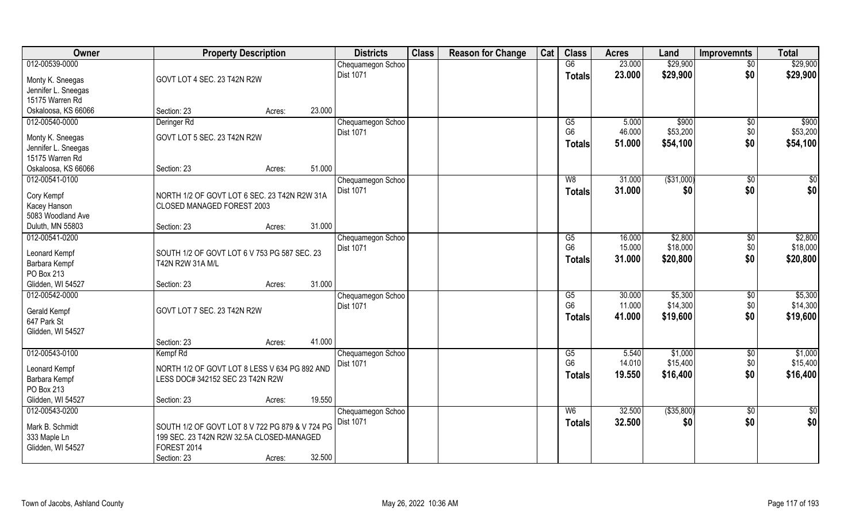| Owner               | <b>Property Description</b>                     |        |        | <b>Districts</b>  | <b>Class</b> | <b>Reason for Change</b> | Cat | <b>Class</b>           | <b>Acres</b> | Land         | <b>Improvemnts</b> | <b>Total</b>    |
|---------------------|-------------------------------------------------|--------|--------|-------------------|--------------|--------------------------|-----|------------------------|--------------|--------------|--------------------|-----------------|
| 012-00539-0000      |                                                 |        |        | Chequamegon Schoo |              |                          |     | G6                     | 23.000       | \$29,900     | $\overline{50}$    | \$29,900        |
| Monty K. Sneegas    | GOVT LOT 4 SEC. 23 T42N R2W                     |        |        | <b>Dist 1071</b>  |              |                          |     | <b>Totals</b>          | 23.000       | \$29,900     | \$0                | \$29,900        |
| Jennifer L. Sneegas |                                                 |        |        |                   |              |                          |     |                        |              |              |                    |                 |
| 15175 Warren Rd     |                                                 |        |        |                   |              |                          |     |                        |              |              |                    |                 |
| Oskaloosa, KS 66066 | Section: 23                                     | Acres: | 23.000 |                   |              |                          |     |                        |              |              |                    |                 |
| 012-00540-0000      | Deringer Rd                                     |        |        | Chequamegon Schoo |              |                          |     | G5                     | 5.000        | \$900        | $\sqrt{$0}$        | \$900           |
|                     |                                                 |        |        | Dist 1071         |              |                          |     | G <sub>6</sub>         | 46.000       | \$53,200     | \$0                | \$53,200        |
| Monty K. Sneegas    | GOVT LOT 5 SEC. 23 T42N R2W                     |        |        |                   |              |                          |     | <b>Totals</b>          | 51.000       | \$54,100     | \$0                | \$54,100        |
| Jennifer L. Sneegas |                                                 |        |        |                   |              |                          |     |                        |              |              |                    |                 |
| 15175 Warren Rd     |                                                 |        | 51.000 |                   |              |                          |     |                        |              |              |                    |                 |
| Oskaloosa, KS 66066 | Section: 23                                     | Acres: |        |                   |              |                          |     |                        |              |              |                    |                 |
| 012-00541-0100      |                                                 |        |        | Chequamegon Schoo |              |                          |     | W8                     | 31.000       | ( \$31,000)  | $\sqrt[6]{3}$      | \$0             |
| Cory Kempf          | NORTH 1/2 OF GOVT LOT 6 SEC. 23 T42N R2W 31A    |        |        | Dist 1071         |              |                          |     | <b>Totals</b>          | 31.000       | \$0          | \$0                | \$0             |
| Kacey Hanson        | CLOSED MANAGED FOREST 2003                      |        |        |                   |              |                          |     |                        |              |              |                    |                 |
| 5083 Woodland Ave   |                                                 |        |        |                   |              |                          |     |                        |              |              |                    |                 |
| Duluth, MN 55803    | Section: 23                                     | Acres: | 31.000 |                   |              |                          |     |                        |              |              |                    |                 |
| 012-00541-0200      |                                                 |        |        | Chequamegon Schoo |              |                          |     | G5                     | 16.000       | \$2,800      | \$0                | \$2,800         |
| Leonard Kempf       | SOUTH 1/2 OF GOVT LOT 6 V 753 PG 587 SEC. 23    |        |        | <b>Dist 1071</b>  |              |                          |     | G <sub>6</sub>         | 15.000       | \$18,000     | \$0                | \$18,000        |
| Barbara Kempf       | T42N R2W 31A M/L                                |        |        |                   |              |                          |     | <b>Totals</b>          | 31.000       | \$20,800     | \$0                | \$20,800        |
| PO Box 213          |                                                 |        |        |                   |              |                          |     |                        |              |              |                    |                 |
| Glidden, WI 54527   | Section: 23                                     | Acres: | 31.000 |                   |              |                          |     |                        |              |              |                    |                 |
| 012-00542-0000      |                                                 |        |        | Chequamegon Schoo |              |                          |     | $\overline{\text{G5}}$ | 30.000       | \$5,300      | \$0                | \$5,300         |
|                     |                                                 |        |        | <b>Dist 1071</b>  |              |                          |     | G <sub>6</sub>         | 11.000       | \$14,300     | \$0                | \$14,300        |
| Gerald Kempf        | GOVT LOT 7 SEC. 23 T42N R2W                     |        |        |                   |              |                          |     | <b>Totals</b>          | 41.000       | \$19,600     | \$0                | \$19,600        |
| 647 Park St         |                                                 |        |        |                   |              |                          |     |                        |              |              |                    |                 |
| Glidden, WI 54527   |                                                 |        |        |                   |              |                          |     |                        |              |              |                    |                 |
|                     | Section: 23                                     | Acres: | 41.000 |                   |              |                          |     |                        |              |              |                    |                 |
| 012-00543-0100      | Kempf <sub>Rd</sub>                             |        |        | Chequamegon Schoo |              |                          |     | G5<br>G <sub>6</sub>   | 5.540        | \$1,000      | \$0                | \$1,000         |
| Leonard Kempf       | NORTH 1/2 OF GOVT LOT 8 LESS V 634 PG 892 AND   |        |        | Dist 1071         |              |                          |     |                        | 14.010       | \$15,400     | \$0                | \$15,400        |
| Barbara Kempf       | LESS DOC# 342152 SEC 23 T42N R2W                |        |        |                   |              |                          |     | <b>Totals</b>          | 19.550       | \$16,400     | \$0                | \$16,400        |
| PO Box 213          |                                                 |        |        |                   |              |                          |     |                        |              |              |                    |                 |
| Glidden, WI 54527   | Section: 23                                     | Acres: | 19.550 |                   |              |                          |     |                        |              |              |                    |                 |
| 012-00543-0200      |                                                 |        |        | Chequamegon Schoo |              |                          |     | W <sub>6</sub>         | 32.500       | ( \$35, 800) | $\sqrt{$0}$        | $\overline{50}$ |
| Mark B. Schmidt     | SOUTH 1/2 OF GOVT LOT 8 V 722 PG 879 & V 724 PG |        |        | <b>Dist 1071</b>  |              |                          |     | <b>Totals</b>          | 32.500       | \$0          | \$0                | \$0             |
| 333 Maple Ln        | 199 SEC. 23 T42N R2W 32.5A CLOSED-MANAGED       |        |        |                   |              |                          |     |                        |              |              |                    |                 |
| Glidden, WI 54527   | FOREST 2014                                     |        |        |                   |              |                          |     |                        |              |              |                    |                 |
|                     | Section: 23                                     | Acres: | 32.500 |                   |              |                          |     |                        |              |              |                    |                 |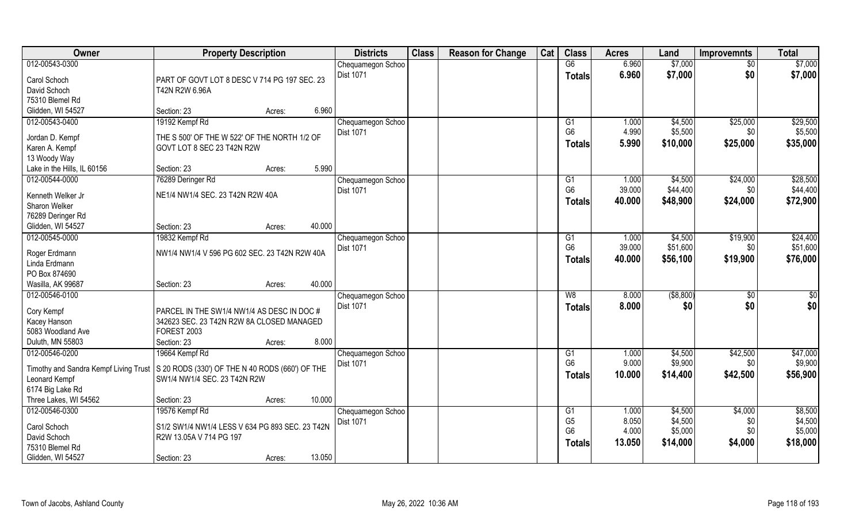| Owner                                                                                 | <b>Property Description</b>                     |        |        | <b>Districts</b>               | <b>Class</b> | <b>Reason for Change</b> | Cat | <b>Class</b>         | <b>Acres</b> | Land        | <b>Improvemnts</b> | <b>Total</b> |
|---------------------------------------------------------------------------------------|-------------------------------------------------|--------|--------|--------------------------------|--------------|--------------------------|-----|----------------------|--------------|-------------|--------------------|--------------|
| 012-00543-0300                                                                        |                                                 |        |        | Chequamegon Schoo              |              |                          |     | G6                   | 6.960        | \$7,000     | $\overline{30}$    | \$7,000      |
| Carol Schoch                                                                          | PART OF GOVT LOT 8 DESC V 714 PG 197 SEC. 23    |        |        | <b>Dist 1071</b>               |              |                          |     | <b>Totals</b>        | 6.960        | \$7,000     | \$0                | \$7,000      |
| David Schoch                                                                          | T42N R2W 6.96A                                  |        |        |                                |              |                          |     |                      |              |             |                    |              |
| 75310 Blemel Rd                                                                       |                                                 |        |        |                                |              |                          |     |                      |              |             |                    |              |
| Glidden, WI 54527                                                                     | Section: 23                                     | Acres: | 6.960  |                                |              |                          |     |                      |              |             |                    |              |
| 012-00543-0400                                                                        | 19192 Kempf Rd                                  |        |        | Chequamegon Schoo              |              |                          |     | G1                   | 1.000        | \$4,500     | \$25,000           | \$29,500     |
|                                                                                       |                                                 |        |        | Dist 1071                      |              |                          |     | G <sub>6</sub>       | 4.990        | \$5,500     | \$0                | \$5,500      |
| Jordan D. Kempf                                                                       | THE S 500' OF THE W 522' OF THE NORTH 1/2 OF    |        |        |                                |              |                          |     | <b>Totals</b>        | 5.990        | \$10,000    | \$25,000           | \$35,000     |
| Karen A. Kempf                                                                        | GOVT LOT 8 SEC 23 T42N R2W                      |        |        |                                |              |                          |     |                      |              |             |                    |              |
| 13 Woody Way                                                                          |                                                 |        |        |                                |              |                          |     |                      |              |             |                    |              |
| Lake in the Hills, IL 60156                                                           | Section: 23                                     | Acres: | 5.990  |                                |              |                          |     |                      |              |             |                    |              |
| 012-00544-0000                                                                        | 76289 Deringer Rd                               |        |        | Chequamegon Schoo              |              |                          |     | G1<br>G <sub>6</sub> | 1.000        | \$4,500     | \$24,000           | \$28,500     |
| Kenneth Welker Jr                                                                     | NE1/4 NW1/4 SEC. 23 T42N R2W 40A                |        |        | Dist 1071                      |              |                          |     |                      | 39.000       | \$44,400    | \$0                | \$44,400     |
| Sharon Welker                                                                         |                                                 |        |        |                                |              |                          |     | <b>Totals</b>        | 40.000       | \$48,900    | \$24,000           | \$72,900     |
| 76289 Deringer Rd                                                                     |                                                 |        |        |                                |              |                          |     |                      |              |             |                    |              |
| Glidden, WI 54527                                                                     | Section: 23                                     | Acres: | 40.000 |                                |              |                          |     |                      |              |             |                    |              |
| 012-00545-0000                                                                        | 19832 Kempf Rd                                  |        |        | Chequamegon Schoo              |              |                          |     | G <sub>1</sub>       | 1.000        | \$4,500     | \$19,900           | \$24,400     |
|                                                                                       |                                                 |        |        | <b>Dist 1071</b>               |              |                          |     | G <sub>6</sub>       | 39.000       | \$51,600    | \$0                | \$51,600     |
| Roger Erdmann<br>Linda Erdmann                                                        | NW1/4 NW1/4 V 596 PG 602 SEC. 23 T42N R2W 40A   |        |        |                                |              |                          |     | <b>Totals</b>        | 40.000       | \$56,100    | \$19,900           | \$76,000     |
| PO Box 874690                                                                         |                                                 |        |        |                                |              |                          |     |                      |              |             |                    |              |
| Wasilla, AK 99687                                                                     | Section: 23                                     | Acres: | 40.000 |                                |              |                          |     |                      |              |             |                    |              |
| 012-00546-0100                                                                        |                                                 |        |        |                                |              |                          |     | W8                   | 8.000        | ( \$8, 800) | \$0                | \$0          |
|                                                                                       |                                                 |        |        | Chequamegon Schoo<br>Dist 1071 |              |                          |     |                      | 8.000        |             | \$0                |              |
| Cory Kempf                                                                            | PARCEL IN THE SW1/4 NW1/4 AS DESC IN DOC#       |        |        |                                |              |                          |     | <b>Totals</b>        |              | \$0         |                    | \$0          |
| Kacey Hanson                                                                          | 342623 SEC. 23 T42N R2W 8A CLOSED MANAGED       |        |        |                                |              |                          |     |                      |              |             |                    |              |
| 5083 Woodland Ave                                                                     | FOREST 2003                                     |        |        |                                |              |                          |     |                      |              |             |                    |              |
| Duluth, MN 55803                                                                      | Section: 23                                     | Acres: | 8.000  |                                |              |                          |     |                      |              |             |                    |              |
| 012-00546-0200                                                                        | 19664 Kempf Rd                                  |        |        | Chequamegon Schoo              |              |                          |     | G1                   | 1.000        | \$4,500     | \$42,500           | \$47,000     |
| Timothy and Sandra Kempf Living Trust S 20 RODS (330') OF THE N 40 RODS (660') OF THE |                                                 |        |        | <b>Dist 1071</b>               |              |                          |     | G <sub>6</sub>       | 9.000        | \$9,900     | \$0                | \$9,900      |
| Leonard Kempf                                                                         | SW1/4 NW1/4 SEC. 23 T42N R2W                    |        |        |                                |              |                          |     | <b>Totals</b>        | 10.000       | \$14,400    | \$42,500           | \$56,900     |
| 6174 Big Lake Rd                                                                      |                                                 |        |        |                                |              |                          |     |                      |              |             |                    |              |
| Three Lakes, WI 54562                                                                 | Section: 23                                     | Acres: | 10.000 |                                |              |                          |     |                      |              |             |                    |              |
| 012-00546-0300                                                                        | 19576 Kempf Rd                                  |        |        | Chequamegon Schoo              |              |                          |     | G1                   | 1.000        | \$4,500     | \$4,000            | \$8,500      |
|                                                                                       |                                                 |        |        | <b>Dist 1071</b>               |              |                          |     | G <sub>5</sub>       | 8.050        | \$4,500     | \$0                | \$4,500      |
| Carol Schoch                                                                          | S1/2 SW1/4 NW1/4 LESS V 634 PG 893 SEC, 23 T42N |        |        |                                |              |                          |     | G <sub>6</sub>       | 4.000        | \$5,000     | \$0                | \$5,000      |
| David Schoch                                                                          | R2W 13.05A V 714 PG 197                         |        |        |                                |              |                          |     | <b>Totals</b>        | 13.050       | \$14,000    | \$4,000            | \$18,000     |
| 75310 Blemel Rd                                                                       |                                                 |        |        |                                |              |                          |     |                      |              |             |                    |              |
| Glidden, WI 54527                                                                     | Section: 23                                     | Acres: | 13.050 |                                |              |                          |     |                      |              |             |                    |              |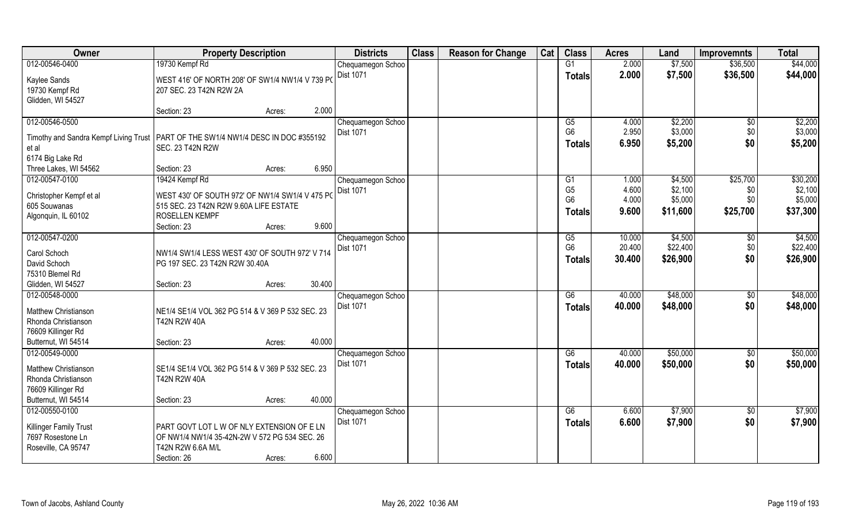| Owner                                                                               | <b>Property Description</b>                                                      |        |        | <b>Districts</b>               | <b>Class</b> | <b>Reason for Change</b> | Cat | <b>Class</b>    | <b>Acres</b> | Land     | <b>Improvemnts</b> | <b>Total</b> |
|-------------------------------------------------------------------------------------|----------------------------------------------------------------------------------|--------|--------|--------------------------------|--------------|--------------------------|-----|-----------------|--------------|----------|--------------------|--------------|
| 012-00546-0400                                                                      | 19730 Kempf Rd                                                                   |        |        | Chequamegon Schoo              |              |                          |     | G1              | 2.000        | \$7,500  | \$36,500           | \$44,000     |
| Kaylee Sands                                                                        | WEST 416' OF NORTH 208' OF SW1/4 NW1/4 V 739 PO                                  |        |        | Dist 1071                      |              |                          |     | <b>Totals</b>   | 2.000        | \$7,500  | \$36,500           | \$44,000     |
| 19730 Kempf Rd                                                                      | 207 SEC. 23 T42N R2W 2A                                                          |        |        |                                |              |                          |     |                 |              |          |                    |              |
| Glidden, WI 54527                                                                   |                                                                                  |        |        |                                |              |                          |     |                 |              |          |                    |              |
|                                                                                     | Section: 23                                                                      | Acres: | 2.000  |                                |              |                          |     |                 |              |          |                    |              |
| 012-00546-0500                                                                      |                                                                                  |        |        | Chequamegon Schoo              |              |                          |     | G5              | 4.000        | \$2,200  | $\overline{50}$    | \$2,200      |
| Timothy and Sandra Kempf Living Trust   PART OF THE SW1/4 NW1/4 DESC IN DOC #355192 |                                                                                  |        |        | Dist 1071                      |              |                          |     | G <sub>6</sub>  | 2.950        | \$3,000  | \$0                | \$3,000      |
| et al                                                                               | <b>SEC. 23 T42N R2W</b>                                                          |        |        |                                |              |                          |     | <b>Totals</b>   | 6.950        | \$5,200  | \$0                | \$5,200      |
| 6174 Big Lake Rd                                                                    |                                                                                  |        |        |                                |              |                          |     |                 |              |          |                    |              |
| Three Lakes, WI 54562                                                               | Section: 23                                                                      | Acres: | 6.950  |                                |              |                          |     |                 |              |          |                    |              |
| 012-00547-0100                                                                      | 19424 Kempf Rd                                                                   |        |        | Chequamegon Schoo              |              |                          |     | G <sub>1</sub>  | 1.000        | \$4,500  | \$25,700           | \$30,200     |
| Christopher Kempf et al                                                             | WEST 430' OF SOUTH 972' OF NW1/4 SW1/4 V 475 PO                                  |        |        | Dist 1071                      |              |                          |     | G <sub>5</sub>  | 4.600        | \$2,100  | \$0                | \$2,100      |
| 605 Souwanas                                                                        | 515 SEC. 23 T42N R2W 9.60A LIFE ESTATE                                           |        |        |                                |              |                          |     | G <sub>6</sub>  | 4.000        | \$5,000  | \$0                | \$5,000      |
| Algonquin, IL 60102                                                                 | ROSELLEN KEMPF                                                                   |        |        |                                |              |                          |     | <b>Totals</b>   | 9.600        | \$11,600 | \$25,700           | \$37,300     |
|                                                                                     | Section: 23                                                                      | Acres: | 9.600  |                                |              |                          |     |                 |              |          |                    |              |
| 012-00547-0200                                                                      |                                                                                  |        |        | Chequamegon Schoo              |              |                          |     | G5              | 10.000       | \$4,500  | \$0                | \$4,500      |
|                                                                                     |                                                                                  |        |        | Dist 1071                      |              |                          |     | G <sub>6</sub>  | 20.400       | \$22,400 | \$0                | \$22,400     |
| Carol Schoch<br>David Schoch                                                        | NW1/4 SW1/4 LESS WEST 430' OF SOUTH 972' V 714<br>PG 197 SEC. 23 T42N R2W 30.40A |        |        |                                |              |                          |     | <b>Totals</b>   | 30.400       | \$26,900 | \$0                | \$26,900     |
| 75310 Blemel Rd                                                                     |                                                                                  |        |        |                                |              |                          |     |                 |              |          |                    |              |
| Glidden, WI 54527                                                                   | Section: 23                                                                      | Acres: | 30.400 |                                |              |                          |     |                 |              |          |                    |              |
| 012-00548-0000                                                                      |                                                                                  |        |        | Chequamegon Schoo              |              |                          |     | $\overline{G6}$ | 40.000       | \$48,000 | \$0                | \$48,000     |
|                                                                                     |                                                                                  |        |        | Dist 1071                      |              |                          |     | <b>Totals</b>   | 40.000       | \$48,000 | \$0                | \$48,000     |
| Matthew Christianson                                                                | NE1/4 SE1/4 VOL 362 PG 514 & V 369 P 532 SEC. 23                                 |        |        |                                |              |                          |     |                 |              |          |                    |              |
| Rhonda Christianson<br>76609 Killinger Rd                                           | T42N R2W 40A                                                                     |        |        |                                |              |                          |     |                 |              |          |                    |              |
| Butternut, WI 54514                                                                 | Section: 23                                                                      | Acres: | 40.000 |                                |              |                          |     |                 |              |          |                    |              |
| 012-00549-0000                                                                      |                                                                                  |        |        | Chequamegon Schoo              |              |                          |     | G6              | 40.000       | \$50,000 | \$0                | \$50,000     |
|                                                                                     |                                                                                  |        |        | Dist 1071                      |              |                          |     | <b>Totals</b>   | 40.000       | \$50,000 | \$0                | \$50,000     |
| Matthew Christianson                                                                | SE1/4 SE1/4 VOL 362 PG 514 & V 369 P 532 SEC. 23                                 |        |        |                                |              |                          |     |                 |              |          |                    |              |
| Rhonda Christianson                                                                 | <b>T42N R2W 40A</b>                                                              |        |        |                                |              |                          |     |                 |              |          |                    |              |
| 76609 Killinger Rd                                                                  |                                                                                  |        |        |                                |              |                          |     |                 |              |          |                    |              |
| Butternut, WI 54514                                                                 | Section: 23                                                                      | Acres: | 40.000 |                                |              |                          |     |                 |              |          |                    |              |
| 012-00550-0100                                                                      |                                                                                  |        |        | Chequamegon Schoo<br>Dist 1071 |              |                          |     | G6              | 6.600        | \$7,900  | $\overline{50}$    | \$7,900      |
| Killinger Family Trust                                                              | PART GOVT LOT L W OF NLY EXTENSION OF E LN                                       |        |        |                                |              |                          |     | <b>Totals</b>   | 6.600        | \$7,900  | \$0                | \$7,900      |
| 7697 Rosestone Ln                                                                   | OF NW1/4 NW1/4 35-42N-2W V 572 PG 534 SEC. 26                                    |        |        |                                |              |                          |     |                 |              |          |                    |              |
| Roseville, CA 95747                                                                 | T42N R2W 6.6A M/L                                                                |        |        |                                |              |                          |     |                 |              |          |                    |              |
|                                                                                     | Section: 26                                                                      | Acres: | 6.600  |                                |              |                          |     |                 |              |          |                    |              |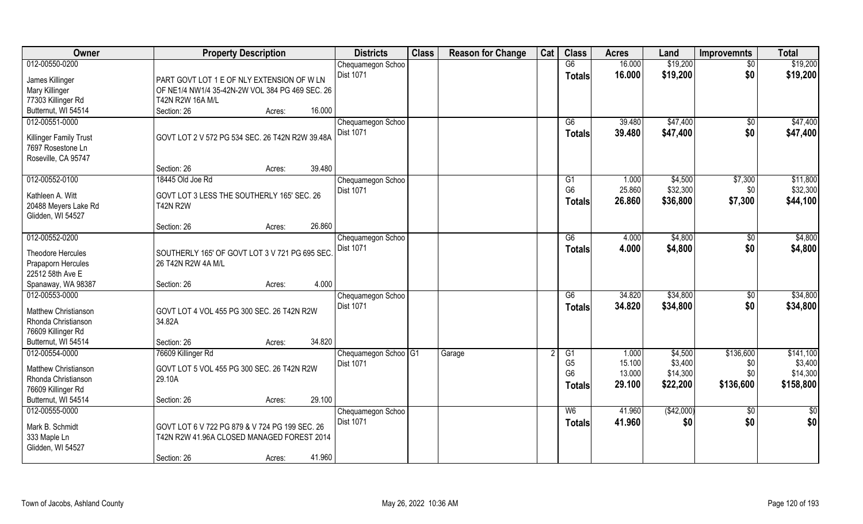| Owner                                       | <b>Property Description</b>                     | <b>Districts</b>                | <b>Class</b> | <b>Reason for Change</b> | Cat | <b>Class</b>         | <b>Acres</b>    | Land               | <b>Improvemnts</b> | <b>Total</b>         |
|---------------------------------------------|-------------------------------------------------|---------------------------------|--------------|--------------------------|-----|----------------------|-----------------|--------------------|--------------------|----------------------|
| 012-00550-0200                              |                                                 | Chequamegon Schoo               |              |                          |     | G6                   | 16.000          | \$19,200           | $\sqrt{6}$         | \$19,200             |
| James Killinger                             | PART GOVT LOT 1 E OF NLY EXTENSION OF W LN      | Dist 1071                       |              |                          |     | <b>Totals</b>        | 16.000          | \$19,200           | \$0                | \$19,200             |
| Mary Killinger                              | OF NE1/4 NW1/4 35-42N-2W VOL 384 PG 469 SEC. 26 |                                 |              |                          |     |                      |                 |                    |                    |                      |
| 77303 Killinger Rd                          | T42N R2W 16A M/L                                |                                 |              |                          |     |                      |                 |                    |                    |                      |
| Butternut, WI 54514                         | 16.000<br>Section: 26<br>Acres:                 |                                 |              |                          |     |                      |                 |                    |                    |                      |
| 012-00551-0000                              |                                                 | Chequamegon Schoo               |              |                          |     | G6                   | 39.480          | \$47,400           | $\frac{1}{2}$      | \$47,400             |
|                                             | GOVT LOT 2 V 572 PG 534 SEC. 26 T42N R2W 39.48A | <b>Dist 1071</b>                |              |                          |     | <b>Totals</b>        | 39.480          | \$47,400           | \$0                | \$47,400             |
| Killinger Family Trust<br>7697 Rosestone Ln |                                                 |                                 |              |                          |     |                      |                 |                    |                    |                      |
| Roseville, CA 95747                         |                                                 |                                 |              |                          |     |                      |                 |                    |                    |                      |
|                                             | 39.480<br>Section: 26<br>Acres:                 |                                 |              |                          |     |                      |                 |                    |                    |                      |
| 012-00552-0100                              | 18445 Old Joe Rd                                | Chequamegon Schoo               |              |                          |     | G1                   | 1.000           | \$4,500            | \$7,300            | \$11,800             |
|                                             |                                                 | Dist 1071                       |              |                          |     | G <sub>6</sub>       | 25.860          | \$32,300           | \$0                | \$32,300             |
| Kathleen A. Witt                            | GOVT LOT 3 LESS THE SOUTHERLY 165' SEC. 26      |                                 |              |                          |     | Totals               | 26.860          | \$36,800           | \$7,300            | \$44,100             |
| 20488 Meyers Lake Rd<br>Glidden, WI 54527   | <b>T42N R2W</b>                                 |                                 |              |                          |     |                      |                 |                    |                    |                      |
|                                             | 26.860<br>Section: 26<br>Acres:                 |                                 |              |                          |     |                      |                 |                    |                    |                      |
| 012-00552-0200                              |                                                 | Chequamegon Schoo               |              |                          |     | G6                   | 4.000           | \$4,800            | $\sqrt[6]{30}$     | \$4,800              |
|                                             |                                                 | Dist 1071                       |              |                          |     | <b>Totals</b>        | 4.000           | \$4,800            | \$0                | \$4,800              |
| Theodore Hercules                           | SOUTHERLY 165' OF GOVT LOT 3 V 721 PG 695 SEC   |                                 |              |                          |     |                      |                 |                    |                    |                      |
| Prapaporn Hercules                          | 26 T42N R2W 4A M/L                              |                                 |              |                          |     |                      |                 |                    |                    |                      |
| 22512 58th Ave E<br>Spanaway, WA 98387      | 4.000<br>Section: 26                            |                                 |              |                          |     |                      |                 |                    |                    |                      |
| 012-00553-0000                              | Acres:                                          | Chequamegon Schoo               |              |                          |     | $\overline{G6}$      | 34.820          | \$34,800           | $\overline{50}$    | \$34,800             |
|                                             |                                                 | <b>Dist 1071</b>                |              |                          |     | <b>Totals</b>        | 34.820          | \$34,800           | \$0                | \$34,800             |
| Matthew Christianson                        | GOVT LOT 4 VOL 455 PG 300 SEC. 26 T42N R2W      |                                 |              |                          |     |                      |                 |                    |                    |                      |
| Rhonda Christianson                         | 34.82A                                          |                                 |              |                          |     |                      |                 |                    |                    |                      |
| 76609 Killinger Rd                          |                                                 |                                 |              |                          |     |                      |                 |                    |                    |                      |
| Butternut, WI 54514                         | 34.820<br>Section: 26<br>Acres:                 |                                 |              |                          |     |                      |                 |                    |                    |                      |
| 012-00554-0000                              | 76609 Killinger Rd                              | Chequamegon Schoo <sup>G1</sup> |              | Garage                   |     | G1<br>G <sub>5</sub> | 1.000<br>15.100 | \$4,500<br>\$3,400 | \$136,600          | \$141,100<br>\$3,400 |
| Matthew Christianson                        | GOVT LOT 5 VOL 455 PG 300 SEC. 26 T42N R2W      | Dist 1071                       |              |                          |     | G <sub>6</sub>       | 13.000          | \$14,300           | \$0<br>\$0         | \$14,300             |
| Rhonda Christianson                         | 29.10A                                          |                                 |              |                          |     | <b>Totals</b>        | 29.100          | \$22,200           | \$136,600          | \$158,800            |
| 76609 Killinger Rd                          |                                                 |                                 |              |                          |     |                      |                 |                    |                    |                      |
| Butternut, WI 54514                         | 29.100<br>Section: 26<br>Acres:                 |                                 |              |                          |     |                      |                 |                    |                    |                      |
| 012-00555-0000                              |                                                 | Chequamegon Schoo               |              |                          |     | W6                   | 41.960          | (\$42,000)         | $\overline{50}$    | $\frac{1}{2}$        |
| Mark B. Schmidt                             | GOVT LOT 6 V 722 PG 879 & V 724 PG 199 SEC. 26  | Dist 1071                       |              |                          |     | <b>Totals</b>        | 41,960          | \$0                | \$0                | \$0                  |
| 333 Maple Ln                                | T42N R2W 41.96A CLOSED MANAGED FOREST 2014      |                                 |              |                          |     |                      |                 |                    |                    |                      |
| Glidden, WI 54527                           |                                                 |                                 |              |                          |     |                      |                 |                    |                    |                      |
|                                             | 41.960<br>Section: 26<br>Acres:                 |                                 |              |                          |     |                      |                 |                    |                    |                      |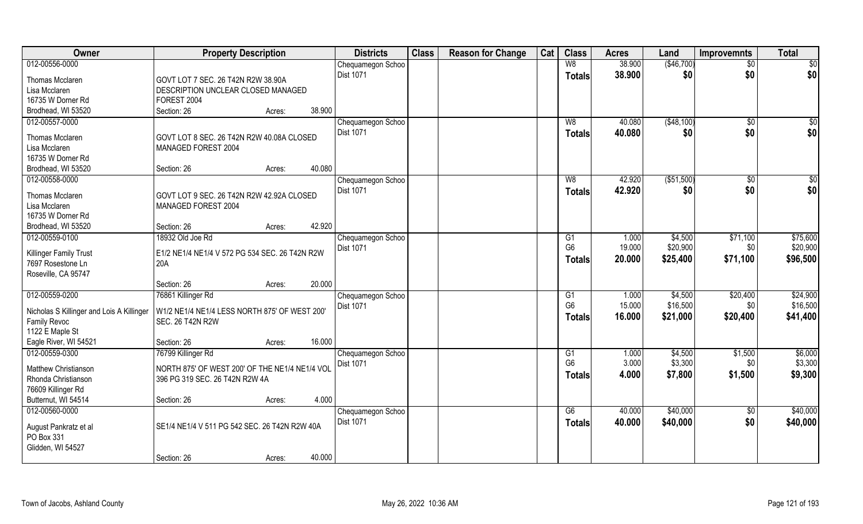| Owner                                     | <b>Property Description</b>                    |                  | <b>Districts</b>               | <b>Class</b> | <b>Reason for Change</b> | Cat | <b>Class</b>    | <b>Acres</b> | Land        | <b>Improvemnts</b> | <b>Total</b> |
|-------------------------------------------|------------------------------------------------|------------------|--------------------------------|--------------|--------------------------|-----|-----------------|--------------|-------------|--------------------|--------------|
| 012-00556-0000                            |                                                |                  | Chequamegon Schoo              |              |                          |     | W8              | 38.900       | (\$46,700)  | $\sqrt{6}$         | \$0          |
| <b>Thomas Mcclaren</b>                    | GOVT LOT 7 SEC. 26 T42N R2W 38.90A             |                  | Dist 1071                      |              |                          |     | <b>Totals</b>   | 38,900       | \$0         | \$0                | \$0          |
| Lisa Mcclaren                             | DESCRIPTION UNCLEAR CLOSED MANAGED             |                  |                                |              |                          |     |                 |              |             |                    |              |
| 16735 W Dorner Rd                         | FOREST 2004                                    |                  |                                |              |                          |     |                 |              |             |                    |              |
| Brodhead, WI 53520                        | Section: 26                                    | 38.900<br>Acres: |                                |              |                          |     |                 |              |             |                    |              |
| 012-00557-0000                            |                                                |                  | Chequamegon Schoo              |              |                          |     | W8              | 40.080       | (\$48,100)  | $\overline{50}$    | \$0          |
|                                           |                                                |                  | <b>Dist 1071</b>               |              |                          |     | Totals          | 40.080       | \$0         | \$0                | \$0          |
| Thomas Mcclaren                           | GOVT LOT 8 SEC. 26 T42N R2W 40.08A CLOSED      |                  |                                |              |                          |     |                 |              |             |                    |              |
| Lisa Mcclaren                             | MANAGED FOREST 2004                            |                  |                                |              |                          |     |                 |              |             |                    |              |
| 16735 W Dorner Rd                         |                                                |                  |                                |              |                          |     |                 |              |             |                    |              |
| Brodhead, WI 53520                        | Section: 26                                    | 40.080<br>Acres: |                                |              |                          |     |                 |              |             |                    |              |
| 012-00558-0000                            |                                                |                  | Chequamegon Schoo              |              |                          |     | W8              | 42.920       | ( \$51,500) | \$0                | \$0          |
| <b>Thomas Mcclaren</b>                    | GOVT LOT 9 SEC. 26 T42N R2W 42.92A CLOSED      |                  | Dist 1071                      |              |                          |     | <b>Totals</b>   | 42.920       | \$0         | \$0                | \$0          |
| Lisa Mcclaren                             | MANAGED FOREST 2004                            |                  |                                |              |                          |     |                 |              |             |                    |              |
| 16735 W Dorner Rd                         |                                                |                  |                                |              |                          |     |                 |              |             |                    |              |
| Brodhead, WI 53520                        | Section: 26                                    | 42.920<br>Acres: |                                |              |                          |     |                 |              |             |                    |              |
| 012-00559-0100                            | 18932 Old Joe Rd                               |                  | Chequamegon Schoo              |              |                          |     | G <sub>1</sub>  | 1.000        | \$4,500     | \$71,100           | \$75,600     |
|                                           |                                                |                  | Dist 1071                      |              |                          |     | G <sub>6</sub>  | 19.000       | \$20,900    | \$0                | \$20,900     |
| Killinger Family Trust                    | E1/2 NE1/4 NE1/4 V 572 PG 534 SEC. 26 T42N R2W |                  |                                |              |                          |     | <b>Totals</b>   | 20.000       | \$25,400    | \$71,100           | \$96,500     |
| 7697 Rosestone Ln<br>Roseville, CA 95747  | 20A                                            |                  |                                |              |                          |     |                 |              |             |                    |              |
|                                           | Section: 26                                    | 20.000<br>Acres: |                                |              |                          |     |                 |              |             |                    |              |
| 012-00559-0200                            | 76861 Killinger Rd                             |                  |                                |              |                          |     | $\overline{G1}$ | 1.000        | \$4,500     | \$20,400           | \$24,900     |
|                                           |                                                |                  | Chequamegon Schoo<br>Dist 1071 |              |                          |     | G <sub>6</sub>  | 15.000       | \$16,500    | \$0                | \$16,500     |
| Nicholas S Killinger and Lois A Killinger | W1/2 NE1/4 NE1/4 LESS NORTH 875' OF WEST 200'  |                  |                                |              |                          |     |                 | 16.000       | \$21,000    | \$20,400           | \$41,400     |
| <b>Family Revoc</b>                       | <b>SEC. 26 T42N R2W</b>                        |                  |                                |              |                          |     | <b>Totals</b>   |              |             |                    |              |
| 1122 E Maple St                           |                                                |                  |                                |              |                          |     |                 |              |             |                    |              |
| Eagle River, WI 54521                     | Section: 26                                    | 16.000<br>Acres: |                                |              |                          |     |                 |              |             |                    |              |
| 012-00559-0300                            | 76799 Killinger Rd                             |                  | Chequamegon Schoo              |              |                          |     | G1              | 1.000        | \$4,500     | \$1,500            | \$6,000      |
| Matthew Christianson                      | NORTH 875' OF WEST 200' OF THE NE1/4 NE1/4 VOL |                  | Dist 1071                      |              |                          |     | G <sub>6</sub>  | 3.000        | \$3,300     | \$0                | \$3,300      |
| Rhonda Christianson                       | 396 PG 319 SEC. 26 T42N R2W 4A                 |                  |                                |              |                          |     | <b>Totals</b>   | 4.000        | \$7,800     | \$1,500            | \$9,300      |
| 76609 Killinger Rd                        |                                                |                  |                                |              |                          |     |                 |              |             |                    |              |
| Butternut, WI 54514                       | Section: 26                                    | 4.000<br>Acres:  |                                |              |                          |     |                 |              |             |                    |              |
| 012-00560-0000                            |                                                |                  | Chequamegon Schoo              |              |                          |     | G6              | 40.000       | \$40,000    | \$0                | \$40,000     |
|                                           |                                                |                  | <b>Dist 1071</b>               |              |                          |     | <b>Totals</b>   | 40.000       | \$40,000    | \$0                | \$40,000     |
| August Pankratz et al                     | SE1/4 NE1/4 V 511 PG 542 SEC. 26 T42N R2W 40A  |                  |                                |              |                          |     |                 |              |             |                    |              |
| PO Box 331                                |                                                |                  |                                |              |                          |     |                 |              |             |                    |              |
| Glidden, WI 54527                         |                                                |                  |                                |              |                          |     |                 |              |             |                    |              |
|                                           | Section: 26                                    | 40.000<br>Acres: |                                |              |                          |     |                 |              |             |                    |              |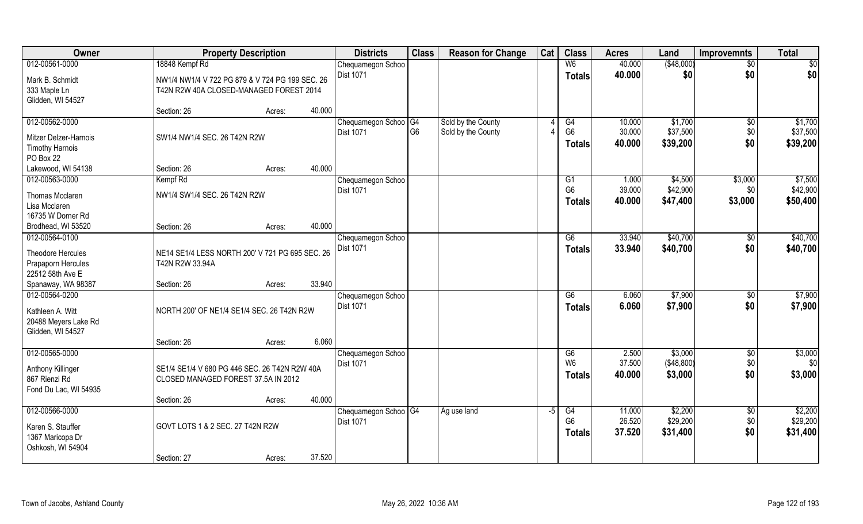| Owner                            | <b>Property Description</b>                                                                | <b>Districts</b> | <b>Class</b>                          | <b>Reason for Change</b> | Cat                | <b>Class</b> | <b>Acres</b>         | Land   | <b>Improvemnts</b> | <b>Total</b>    |                     |
|----------------------------------|--------------------------------------------------------------------------------------------|------------------|---------------------------------------|--------------------------|--------------------|--------------|----------------------|--------|--------------------|-----------------|---------------------|
| 012-00561-0000                   | 18848 Kempf Rd                                                                             |                  | Chequamegon Schoo                     |                          |                    |              | W6                   | 40.000 | (\$48,000)         | $\sqrt{50}$     | \$0                 |
| Mark B. Schmidt<br>333 Maple Ln  | NW1/4 NW1/4 V 722 PG 879 & V 724 PG 199 SEC, 26<br>T42N R2W 40A CLOSED-MANAGED FOREST 2014 |                  | Dist 1071                             |                          |                    |              | <b>Totals</b>        | 40.000 | \$0                | \$0             | \$0                 |
| Glidden, WI 54527                |                                                                                            |                  |                                       |                          |                    |              |                      |        |                    |                 |                     |
|                                  | Section: 26                                                                                | 40.000<br>Acres: |                                       |                          |                    |              |                      |        |                    |                 |                     |
| 012-00562-0000                   |                                                                                            |                  | Chequamegon Schoo <sup>OG4</sup>      |                          | Sold by the County |              | G4                   | 10.000 | \$1,700            | \$0             | \$1,700             |
| Mitzer Delzer-Harnois            | SW1/4 NW1/4 SEC. 26 T42N R2W                                                               |                  | Dist 1071                             | G <sub>6</sub>           | Sold by the County |              | G <sub>6</sub>       | 30.000 | \$37,500           | \$0             | \$37,500            |
| <b>Timothy Harnois</b>           |                                                                                            |                  |                                       |                          |                    |              | <b>Totals</b>        | 40.000 | \$39,200           | \$0             | \$39,200            |
| PO Box 22                        |                                                                                            |                  |                                       |                          |                    |              |                      |        |                    |                 |                     |
| Lakewood, WI 54138               | Section: 26                                                                                | 40.000<br>Acres: |                                       |                          |                    |              |                      |        |                    |                 |                     |
| 012-00563-0000                   | Kempf Rd                                                                                   |                  | Chequamegon Schoo                     |                          |                    |              | G1                   | 1.000  | \$4,500            | \$3,000         | \$7,500             |
|                                  |                                                                                            |                  | Dist 1071                             |                          |                    |              | G <sub>6</sub>       | 39.000 | \$42,900           | \$0             | \$42,900            |
| Thomas Mcclaren<br>Lisa Mcclaren | NW1/4 SW1/4 SEC. 26 T42N R2W                                                               |                  |                                       |                          |                    |              | <b>Totals</b>        | 40.000 | \$47,400           | \$3,000         | \$50,400            |
| 16735 W Dorner Rd                |                                                                                            |                  |                                       |                          |                    |              |                      |        |                    |                 |                     |
| Brodhead, WI 53520               | Section: 26                                                                                | 40.000<br>Acres: |                                       |                          |                    |              |                      |        |                    |                 |                     |
| 012-00564-0100                   |                                                                                            |                  |                                       |                          |                    |              | G6                   | 33.940 | \$40,700           |                 | \$40,700            |
|                                  |                                                                                            |                  | Chequamegon Schoo<br><b>Dist 1071</b> |                          |                    |              |                      |        |                    | $\sqrt[6]{30}$  |                     |
| Theodore Hercules                | NE14 SE1/4 LESS NORTH 200' V 721 PG 695 SEC. 26                                            |                  |                                       |                          |                    |              | <b>Totals</b>        | 33.940 | \$40,700           | \$0             | \$40,700            |
| Prapaporn Hercules               | T42N R2W 33.94A                                                                            |                  |                                       |                          |                    |              |                      |        |                    |                 |                     |
| 22512 58th Ave E                 |                                                                                            |                  |                                       |                          |                    |              |                      |        |                    |                 |                     |
| Spanaway, WA 98387               | Section: 26                                                                                | 33.940<br>Acres: |                                       |                          |                    |              |                      |        |                    |                 |                     |
| 012-00564-0200                   |                                                                                            |                  | Chequamegon Schoo                     |                          |                    |              | $\overline{G6}$      | 6.060  | \$7,900            | \$0             | \$7,900             |
| Kathleen A. Witt                 | NORTH 200' OF NE1/4 SE1/4 SEC. 26 T42N R2W                                                 |                  | Dist 1071                             |                          |                    |              | <b>Totals</b>        | 6.060  | \$7,900            | \$0             | \$7,900             |
| 20488 Meyers Lake Rd             |                                                                                            |                  |                                       |                          |                    |              |                      |        |                    |                 |                     |
| Glidden, WI 54527                |                                                                                            |                  |                                       |                          |                    |              |                      |        |                    |                 |                     |
|                                  | Section: 26                                                                                | 6.060<br>Acres:  |                                       |                          |                    |              |                      |        |                    |                 |                     |
| 012-00565-0000                   |                                                                                            |                  | Chequamegon Schoo                     |                          |                    |              | G6                   | 2.500  | \$3,000            | $\frac{1}{6}$   | \$3,000             |
|                                  |                                                                                            |                  | Dist 1071                             |                          |                    |              | W <sub>6</sub>       | 37.500 | (\$48,800)         | \$0             | \$0                 |
| <b>Anthony Killinger</b>         | SE1/4 SE1/4 V 680 PG 446 SEC. 26 T42N R2W 40A                                              |                  |                                       |                          |                    |              | <b>Totals</b>        | 40.000 | \$3,000            | \$0             | \$3,000             |
| 867 Rienzi Rd                    | CLOSED MANAGED FOREST 37.5A IN 2012                                                        |                  |                                       |                          |                    |              |                      |        |                    |                 |                     |
| Fond Du Lac, WI 54935            |                                                                                            |                  |                                       |                          |                    |              |                      |        |                    |                 |                     |
|                                  | Section: 26                                                                                | 40.000<br>Acres: |                                       |                          |                    |              |                      |        |                    |                 |                     |
| 012-00566-0000                   |                                                                                            |                  | Chequamegon Schoo <sup>1</sup> G4     |                          | Ag use land        | $-5$         | G4<br>G <sub>6</sub> | 11.000 | \$2,200            | $\overline{60}$ | \$2,200<br>\$29,200 |
| Karen S. Stauffer                | GOVT LOTS 1 & 2 SEC. 27 T42N R2W                                                           |                  | Dist 1071                             |                          |                    |              |                      | 26.520 | \$29,200           | \$0             |                     |
| 1367 Maricopa Dr                 |                                                                                            |                  |                                       |                          |                    |              | <b>Totals</b>        | 37.520 | \$31,400           | \$0             | \$31,400            |
| Oshkosh, WI 54904                |                                                                                            |                  |                                       |                          |                    |              |                      |        |                    |                 |                     |
|                                  | Section: 27                                                                                | 37.520<br>Acres: |                                       |                          |                    |              |                      |        |                    |                 |                     |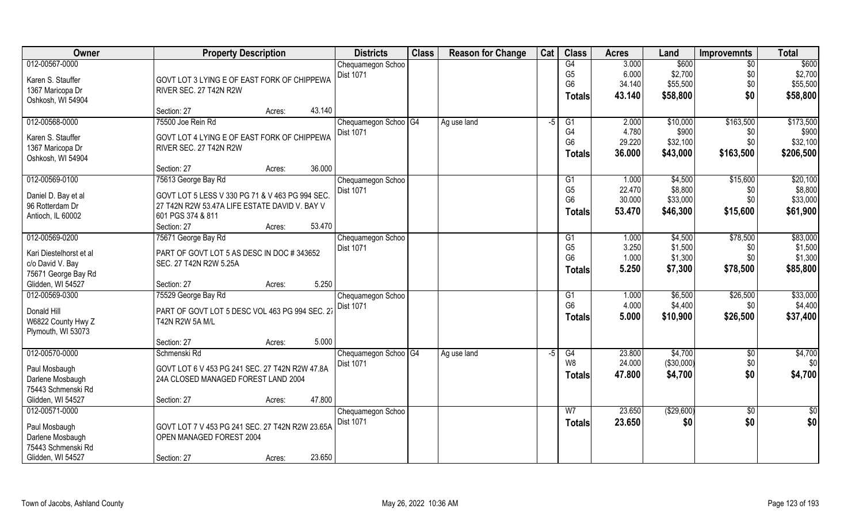| Owner                   | <b>Property Description</b>                     | <b>Districts</b>                 | <b>Class</b> | <b>Reason for Change</b> | Cat  | <b>Class</b>   | <b>Acres</b> | Land       | <b>Improvemnts</b> | <b>Total</b>  |
|-------------------------|-------------------------------------------------|----------------------------------|--------------|--------------------------|------|----------------|--------------|------------|--------------------|---------------|
| 012-00567-0000          |                                                 | Chequamegon Schoo                |              |                          |      | G4             | 3.000        | \$600      | $\overline{50}$    | \$600         |
| Karen S. Stauffer       | GOVT LOT 3 LYING E OF EAST FORK OF CHIPPEWA     | Dist 1071                        |              |                          |      | G <sub>5</sub> | 6.000        | \$2,700    | \$0                | \$2,700       |
| 1367 Maricopa Dr        | RIVER SEC. 27 T42N R2W                          |                                  |              |                          |      | G <sub>6</sub> | 34.140       | \$55,500   | \$0                | \$55,500      |
| Oshkosh, WI 54904       |                                                 |                                  |              |                          |      | <b>Totals</b>  | 43.140       | \$58,800   | \$0                | \$58,800      |
|                         | 43.140<br>Section: 27<br>Acres:                 |                                  |              |                          |      |                |              |            |                    |               |
| 012-00568-0000          | 75500 Joe Rein Rd                               | Chequamegon Schoo   G4           |              | Ag use land              | -5   | G1             | 2.000        | \$10,000   | \$163,500          | \$173,500     |
| Karen S. Stauffer       | GOVT LOT 4 LYING E OF EAST FORK OF CHIPPEWA     | Dist 1071                        |              |                          |      | G4             | 4.780        | \$900      | \$0                | \$900         |
| 1367 Maricopa Dr        | RIVER SEC. 27 T42N R2W                          |                                  |              |                          |      | G <sub>6</sub> | 29.220       | \$32,100   | \$0                | \$32,100      |
| Oshkosh, WI 54904       |                                                 |                                  |              |                          |      | <b>Totals</b>  | 36.000       | \$43,000   | \$163,500          | \$206,500     |
|                         | 36.000<br>Section: 27<br>Acres:                 |                                  |              |                          |      |                |              |            |                    |               |
| 012-00569-0100          | 75613 George Bay Rd                             | Chequamegon Schoo                |              |                          |      | G1             | 1.000        | \$4,500    | \$15,600           | \$20,100      |
| Daniel D. Bay et al     | GOVT LOT 5 LESS V 330 PG 71 & V 463 PG 994 SEC. | Dist 1071                        |              |                          |      | G <sub>5</sub> | 22.470       | \$8,800    | \$0                | \$8,800       |
| 96 Rotterdam Dr         | 27 T42N R2W 53.47A LIFE ESTATE DAVID V. BAY V   |                                  |              |                          |      | G <sub>6</sub> | 30.000       | \$33,000   | \$0                | \$33,000      |
| Antioch, IL 60002       | 601 PGS 374 & 811                               |                                  |              |                          |      | <b>Totals</b>  | 53.470       | \$46,300   | \$15,600           | \$61,900      |
|                         | 53.470<br>Section: 27<br>Acres:                 |                                  |              |                          |      |                |              |            |                    |               |
| 012-00569-0200          | 75671 George Bay Rd                             | Chequamegon Schoo                |              |                          |      | G1             | 1.000        | \$4,500    | \$78,500           | \$83,000      |
| Kari Diestelhorst et al | PART OF GOVT LOT 5 AS DESC IN DOC #343652       | Dist 1071                        |              |                          |      | G <sub>5</sub> | 3.250        | \$1,500    | \$0                | \$1,500       |
| c/o David V. Bay        | SEC. 27 T42N R2W 5.25A                          |                                  |              |                          |      | G <sub>6</sub> | 1.000        | \$1,300    | \$0                | \$1,300       |
| 75671 George Bay Rd     |                                                 |                                  |              |                          |      | <b>Totals</b>  | 5.250        | \$7,300    | \$78,500           | \$85,800      |
| Glidden, WI 54527       | Section: 27<br>Acres:                           | 5.250                            |              |                          |      |                |              |            |                    |               |
| 012-00569-0300          | 75529 George Bay Rd                             | Chequamegon Schoo                |              |                          |      | G1             | 1.000        | \$6,500    | \$26,500           | \$33,000      |
|                         |                                                 | <b>Dist 1071</b>                 |              |                          |      | G <sub>6</sub> | 4.000        | \$4,400    | \$0                | \$4,400       |
| Donald Hill             | PART OF GOVT LOT 5 DESC VOL 463 PG 994 SEC. 27  |                                  |              |                          |      | Totals         | 5.000        | \$10,900   | \$26,500           | \$37,400      |
| W6822 County Hwy Z      | T42N R2W 5A M/L                                 |                                  |              |                          |      |                |              |            |                    |               |
| Plymouth, WI 53073      |                                                 |                                  |              |                          |      |                |              |            |                    |               |
|                         | Section: 27<br>Acres:                           | 5.000                            |              |                          |      |                |              |            |                    |               |
| 012-00570-0000          | Schmenski Rd                                    | Chequamegon Schoo <sup>IG4</sup> |              | Ag use land              | $-5$ | G4             | 23.800       | \$4,700    | $\frac{6}{5}$      | \$4,700       |
| Paul Mosbaugh           | GOVT LOT 6 V 453 PG 241 SEC. 27 T42N R2W 47.8A  | Dist 1071                        |              |                          |      | W8             | 24.000       | (\$30,000) | \$0                | \$0           |
| Darlene Mosbaugh        | 24A CLOSED MANAGED FOREST LAND 2004             |                                  |              |                          |      | <b>Totals</b>  | 47.800       | \$4,700    | \$0                | \$4,700       |
| 75443 Schmenski Rd      |                                                 |                                  |              |                          |      |                |              |            |                    |               |
| Glidden, WI 54527       | 47.800<br>Section: 27<br>Acres:                 |                                  |              |                          |      |                |              |            |                    |               |
| 012-00571-0000          |                                                 | Chequamegon Schoo                |              |                          |      | W <sub>7</sub> | 23.650       | (\$29,600) | \$0                | $\frac{1}{2}$ |
| Paul Mosbaugh           | GOVT LOT 7 V 453 PG 241 SEC. 27 T42N R2W 23.65A | <b>Dist 1071</b>                 |              |                          |      | <b>Totals</b>  | 23.650       | \$0        | \$0                | \$0           |
| Darlene Mosbaugh        | OPEN MANAGED FOREST 2004                        |                                  |              |                          |      |                |              |            |                    |               |
| 75443 Schmenski Rd      |                                                 |                                  |              |                          |      |                |              |            |                    |               |
| Glidden, WI 54527       | 23.650<br>Section: 27<br>Acres:                 |                                  |              |                          |      |                |              |            |                    |               |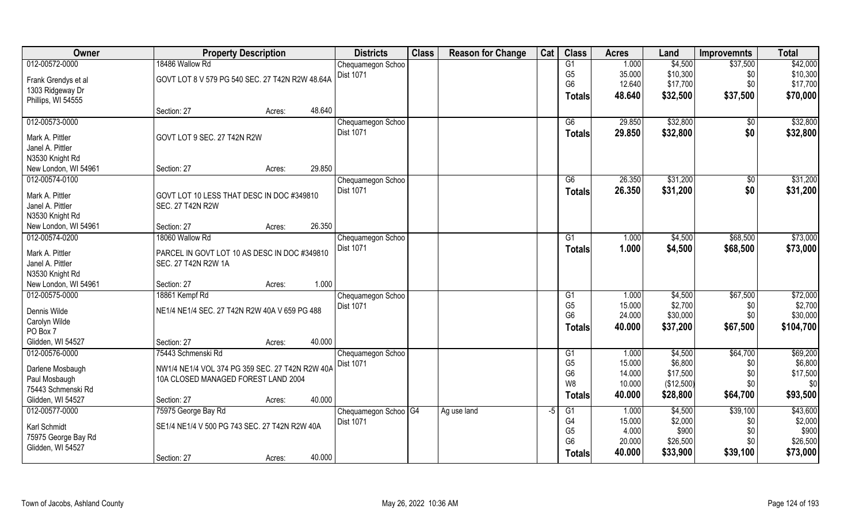| Owner                | <b>Property Description</b>                     | <b>Districts</b> | <b>Class</b>                      | <b>Reason for Change</b> | Cat         | <b>Class</b> | <b>Acres</b>         | Land             | <b>Improvemnts</b>  | <b>Total</b> |                     |
|----------------------|-------------------------------------------------|------------------|-----------------------------------|--------------------------|-------------|--------------|----------------------|------------------|---------------------|--------------|---------------------|
| 012-00572-0000       | 18486 Wallow Rd                                 |                  | Chequamegon Schoo                 |                          |             |              | G1                   | 1.000            | \$4,500             | \$37,500     | \$42,000            |
| Frank Grendys et al  | GOVT LOT 8 V 579 PG 540 SEC. 27 T42N R2W 48.64A |                  | Dist 1071                         |                          |             |              | G <sub>5</sub>       | 35.000           | \$10,300            | \$0          | \$10,300            |
| 1303 Ridgeway Dr     |                                                 |                  |                                   |                          |             |              | G <sub>6</sub>       | 12.640           | \$17,700            | \$0          | \$17,700            |
| Phillips, WI 54555   |                                                 |                  |                                   |                          |             |              | <b>Totals</b>        | 48.640           | \$32,500            | \$37,500     | \$70,000            |
|                      | Section: 27<br>Acres:                           | 48.640           |                                   |                          |             |              |                      |                  |                     |              |                     |
| 012-00573-0000       |                                                 |                  | Chequamegon Schoo                 |                          |             |              | G6                   | 29.850           | \$32,800            | $\sqrt{6}$   | \$32,800            |
| Mark A. Pittler      | GOVT LOT 9 SEC. 27 T42N R2W                     |                  | <b>Dist 1071</b>                  |                          |             |              | <b>Totals</b>        | 29.850           | \$32,800            | \$0          | \$32,800            |
| Janel A. Pittler     |                                                 |                  |                                   |                          |             |              |                      |                  |                     |              |                     |
| N3530 Knight Rd      |                                                 |                  |                                   |                          |             |              |                      |                  |                     |              |                     |
| New London, WI 54961 | Section: 27<br>Acres:                           | 29.850           |                                   |                          |             |              |                      |                  |                     |              |                     |
| 012-00574-0100       |                                                 |                  | Chequamegon Schoo                 |                          |             |              | G6                   | 26.350           | \$31,200            | \$0          | \$31,200            |
| Mark A. Pittler      | GOVT LOT 10 LESS THAT DESC IN DOC #349810       |                  | Dist 1071                         |                          |             |              | Totals               | 26.350           | \$31,200            | \$0          | \$31,200            |
| Janel A. Pittler     | <b>SEC. 27 T42N R2W</b>                         |                  |                                   |                          |             |              |                      |                  |                     |              |                     |
| N3530 Knight Rd      |                                                 |                  |                                   |                          |             |              |                      |                  |                     |              |                     |
| New London, WI 54961 | Section: 27<br>Acres:                           | 26.350           |                                   |                          |             |              |                      |                  |                     |              |                     |
| 012-00574-0200       | 18060 Wallow Rd                                 |                  | Chequamegon Schoo                 |                          |             |              | G1                   | 1.000            | \$4,500             | \$68,500     | \$73,000            |
|                      |                                                 |                  | Dist 1071                         |                          |             |              | <b>Totals</b>        | 1.000            | \$4,500             | \$68,500     | \$73,000            |
| Mark A. Pittler      | PARCEL IN GOVT LOT 10 AS DESC IN DOC #349810    |                  |                                   |                          |             |              |                      |                  |                     |              |                     |
| Janel A. Pittler     | SEC. 27 T42N R2W 1A                             |                  |                                   |                          |             |              |                      |                  |                     |              |                     |
| N3530 Knight Rd      |                                                 |                  |                                   |                          |             |              |                      |                  |                     |              |                     |
| New London, WI 54961 | Section: 27<br>Acres:                           | 1.000            |                                   |                          |             |              |                      |                  |                     |              |                     |
| 012-00575-0000       | 18861 Kempf Rd                                  |                  | Chequamegon Schoo                 |                          |             |              | G1<br>G <sub>5</sub> | 1.000            | \$4,500             | \$67,500     | \$72,000            |
| Dennis Wilde         | NE1/4 NE1/4 SEC. 27 T42N R2W 40A V 659 PG 488   |                  | Dist 1071                         |                          |             |              | G <sub>6</sub>       | 15.000<br>24.000 | \$2,700<br>\$30,000 | \$0<br>\$0   | \$2,700<br>\$30,000 |
| Carolyn Wilde        |                                                 |                  |                                   |                          |             |              |                      | 40.000           | \$37,200            | \$67,500     | \$104,700           |
| PO Box 7             |                                                 |                  |                                   |                          |             |              | <b>Totals</b>        |                  |                     |              |                     |
| Glidden, WI 54527    | Section: 27<br>Acres:                           | 40.000           |                                   |                          |             |              |                      |                  |                     |              |                     |
| 012-00576-0000       | 75443 Schmenski Rd                              |                  | Chequamegon Schoo                 |                          |             |              | G1                   | 1.000            | \$4,500             | \$64,700     | \$69,200            |
| Darlene Mosbaugh     | NW1/4 NE1/4 VOL 374 PG 359 SEC. 27 T42N R2W 40A |                  | Dist 1071                         |                          |             |              | G <sub>5</sub>       | 15.000           | \$6,800             | \$0          | \$6,800             |
| Paul Mosbaugh        | 10A CLOSED MANAGED FOREST LAND 2004             |                  |                                   |                          |             |              | G <sub>6</sub>       | 14.000           | \$17,500            | \$0          | \$17,500            |
| 75443 Schmenski Rd   |                                                 |                  |                                   |                          |             |              | W <sub>8</sub>       | 10.000           | (\$12,500)          | \$0          | \$0                 |
| Glidden, WI 54527    | Section: 27<br>Acres:                           | 40.000           |                                   |                          |             |              | <b>Totals</b>        | 40.000           | \$28,800            | \$64,700     | \$93,500            |
| 012-00577-0000       | 75975 George Bay Rd                             |                  | Chequamegon Schoo <sup>1</sup> G4 |                          | Ag use land | $-5$         | G1                   | 1.000            | \$4,500             | \$39,100     | \$43,600            |
| Karl Schmidt         | SE1/4 NE1/4 V 500 PG 743 SEC. 27 T42N R2W 40A   |                  | Dist 1071                         |                          |             |              | G4                   | 15.000           | \$2,000             | \$0          | \$2,000             |
| 75975 George Bay Rd  |                                                 |                  |                                   |                          |             |              | G <sub>5</sub>       | 4.000            | \$900               | \$0          | \$900               |
| Glidden, WI 54527    |                                                 |                  |                                   |                          |             |              | G <sub>6</sub>       | 20.000           | \$26,500            | \$0          | \$26,500            |
|                      | Section: 27<br>Acres:                           | 40.000           |                                   |                          |             |              | <b>Totals</b>        | 40.000           | \$33,900            | \$39,100     | \$73,000            |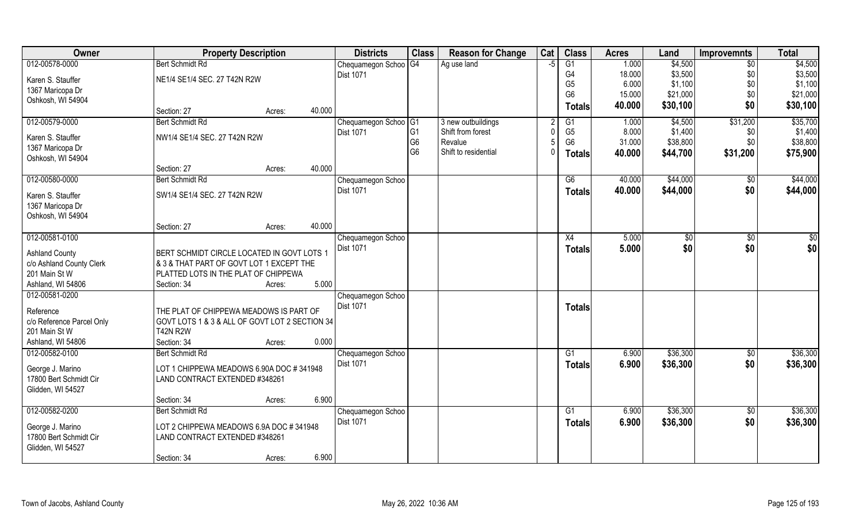| Owner                     | <b>Property Description</b>                    |                  | <b>Districts</b>                      | <b>Class</b>   | <b>Reason for Change</b> | Cat  | <b>Class</b>    | <b>Acres</b> | Land     | <b>Improvemnts</b> | <b>Total</b> |
|---------------------------|------------------------------------------------|------------------|---------------------------------------|----------------|--------------------------|------|-----------------|--------------|----------|--------------------|--------------|
| 012-00578-0000            | <b>Bert Schmidt Rd</b>                         |                  | Chequamegon Schoo                     | G4             | Ag use land              | $-5$ | G1              | 1.000        | \$4,500  | $\sqrt{6}$         | \$4,500      |
| Karen S. Stauffer         | NE1/4 SE1/4 SEC. 27 T42N R2W                   |                  | <b>Dist 1071</b>                      |                |                          |      | G4              | 18.000       | \$3,500  | \$0                | \$3,500      |
| 1367 Maricopa Dr          |                                                |                  |                                       |                |                          |      | G <sub>5</sub>  | 6.000        | \$1,100  | \$0                | \$1,100      |
| Oshkosh, WI 54904         |                                                |                  |                                       |                |                          |      | G <sub>6</sub>  | 15.000       | \$21,000 | \$0                | \$21,000     |
|                           | Section: 27                                    | 40.000<br>Acres: |                                       |                |                          |      | <b>Totals</b>   | 40.000       | \$30,100 | \$0                | \$30,100     |
| 012-00579-0000            | <b>Bert Schmidt Rd</b>                         |                  | Chequamegon Schoo <sup>G1</sup>       |                | 3 new outbuildings       |      | G1              | 1.000        | \$4,500  | \$31,200           | \$35,700     |
| Karen S. Stauffer         | NW1/4 SE1/4 SEC. 27 T42N R2W                   |                  | <b>Dist 1071</b>                      | G <sub>1</sub> | Shift from forest        |      | G <sub>5</sub>  | 8.000        | \$1,400  | \$0                | \$1,400      |
| 1367 Maricopa Dr          |                                                |                  |                                       | G <sub>6</sub> | Revalue                  |      | G <sub>6</sub>  | 31.000       | \$38,800 | \$0                | \$38,800     |
| Oshkosh, WI 54904         |                                                |                  |                                       | G <sub>6</sub> | Shift to residential     |      | <b>Totals</b>   | 40.000       | \$44,700 | \$31,200           | \$75,900     |
|                           | Section: 27                                    | 40.000<br>Acres: |                                       |                |                          |      |                 |              |          |                    |              |
| 012-00580-0000            | <b>Bert Schmidt Rd</b>                         |                  | Chequamegon Schoo                     |                |                          |      | G6              | 40.000       | \$44,000 | $\sqrt[6]{}$       | \$44,000     |
| Karen S. Stauffer         | SW1/4 SE1/4 SEC. 27 T42N R2W                   |                  | Dist 1071                             |                |                          |      | <b>Totals</b>   | 40.000       | \$44,000 | \$0                | \$44,000     |
| 1367 Maricopa Dr          |                                                |                  |                                       |                |                          |      |                 |              |          |                    |              |
| Oshkosh, WI 54904         |                                                |                  |                                       |                |                          |      |                 |              |          |                    |              |
|                           | Section: 27                                    | 40.000<br>Acres: |                                       |                |                          |      |                 |              |          |                    |              |
| 012-00581-0100            |                                                |                  | Chequamegon Schoo                     |                |                          |      | X4              | 5.000        | \$0      | \$0                | \$0          |
| <b>Ashland County</b>     | BERT SCHMIDT CIRCLE LOCATED IN GOVT LOTS 1     |                  | <b>Dist 1071</b>                      |                |                          |      | <b>Totals</b>   | 5.000        | \$0      | \$0                | \$0          |
| c/o Ashland County Clerk  | & 3 & THAT PART OF GOVT LOT 1 EXCEPT THE       |                  |                                       |                |                          |      |                 |              |          |                    |              |
| 201 Main St W             | PLATTED LOTS IN THE PLAT OF CHIPPEWA           |                  |                                       |                |                          |      |                 |              |          |                    |              |
| Ashland, WI 54806         | Section: 34                                    | 5.000<br>Acres:  |                                       |                |                          |      |                 |              |          |                    |              |
| 012-00581-0200            |                                                |                  | Chequamegon Schoo                     |                |                          |      |                 |              |          |                    |              |
|                           |                                                |                  | <b>Dist 1071</b>                      |                |                          |      | <b>Totals</b>   |              |          |                    |              |
| Reference                 | THE PLAT OF CHIPPEWA MEADOWS IS PART OF        |                  |                                       |                |                          |      |                 |              |          |                    |              |
| c/o Reference Parcel Only | GOVT LOTS 1 & 3 & ALL OF GOVT LOT 2 SECTION 34 |                  |                                       |                |                          |      |                 |              |          |                    |              |
| 201 Main St W             | <b>T42N R2W</b>                                |                  |                                       |                |                          |      |                 |              |          |                    |              |
| Ashland, WI 54806         | Section: 34                                    | 0.000<br>Acres:  |                                       |                |                          |      |                 |              |          |                    |              |
| 012-00582-0100            | <b>Bert Schmidt Rd</b>                         |                  | Chequamegon Schoo<br><b>Dist 1071</b> |                |                          |      | G1              | 6.900        | \$36,300 | \$0                | \$36,300     |
| George J. Marino          | LOT 1 CHIPPEWA MEADOWS 6.90A DOC #341948       |                  |                                       |                |                          |      | <b>Totals</b>   | 6.900        | \$36,300 | \$0                | \$36,300     |
| 17800 Bert Schmidt Cir    | LAND CONTRACT EXTENDED #348261                 |                  |                                       |                |                          |      |                 |              |          |                    |              |
| Glidden, WI 54527         |                                                |                  |                                       |                |                          |      |                 |              |          |                    |              |
|                           | Section: 34                                    | 6.900<br>Acres:  |                                       |                |                          |      |                 |              |          |                    |              |
| 012-00582-0200            | <b>Bert Schmidt Rd</b>                         |                  | Chequamegon Schoo                     |                |                          |      | $\overline{G1}$ | 6.900        | \$36,300 | $\overline{50}$    | \$36,300     |
| George J. Marino          | LOT 2 CHIPPEWA MEADOWS 6.9A DOC #341948        |                  | <b>Dist 1071</b>                      |                |                          |      | Totals          | 6.900        | \$36,300 | \$0                | \$36,300     |
| 17800 Bert Schmidt Cir    | LAND CONTRACT EXTENDED #348261                 |                  |                                       |                |                          |      |                 |              |          |                    |              |
| Glidden, WI 54527         |                                                |                  |                                       |                |                          |      |                 |              |          |                    |              |
|                           | Section: 34                                    | 6.900<br>Acres:  |                                       |                |                          |      |                 |              |          |                    |              |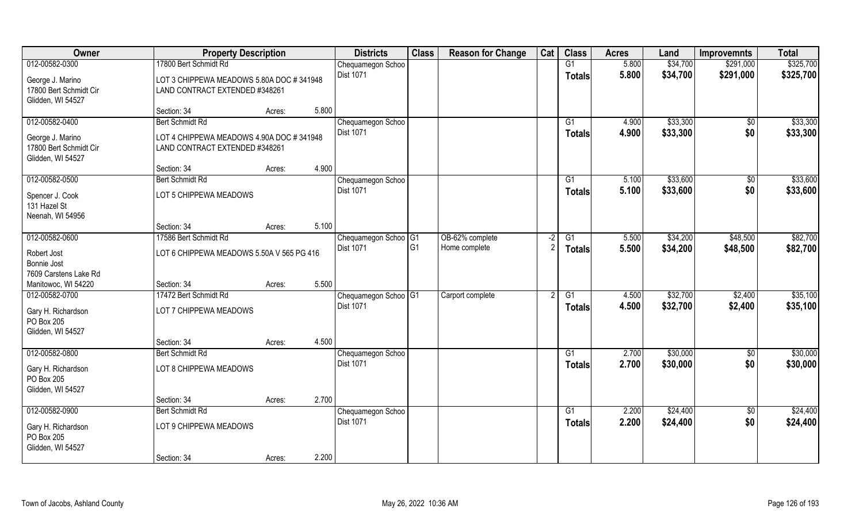| <b>Owner</b>                                                    | <b>Property Description</b>                                                |        |       | <b>Districts</b>                 | <b>Class</b>   | <b>Reason for Change</b> | Cat  | <b>Class</b>    | <b>Acres</b> | Land     | <b>Improvemnts</b> | <b>Total</b> |
|-----------------------------------------------------------------|----------------------------------------------------------------------------|--------|-------|----------------------------------|----------------|--------------------------|------|-----------------|--------------|----------|--------------------|--------------|
| 012-00582-0300                                                  | 17800 Bert Schmidt Rd                                                      |        |       | Chequamegon Schoo                |                |                          |      | G1              | 5.800        | \$34,700 | \$291,000          | \$325,700    |
| George J. Marino<br>17800 Bert Schmidt Cir<br>Glidden, WI 54527 | LOT 3 CHIPPEWA MEADOWS 5.80A DOC #341948<br>LAND CONTRACT EXTENDED #348261 |        |       | <b>Dist 1071</b>                 |                |                          |      | <b>Totals</b>   | 5.800        | \$34,700 | \$291,000          | \$325,700    |
|                                                                 | Section: 34                                                                | Acres: | 5.800 |                                  |                |                          |      |                 |              |          |                    |              |
| 012-00582-0400                                                  | <b>Bert Schmidt Rd</b>                                                     |        |       | Chequamegon Schoo                |                |                          |      | G1              | 4.900        | \$33,300 | $\overline{50}$    | \$33,300     |
| George J. Marino<br>17800 Bert Schmidt Cir<br>Glidden, WI 54527 | LOT 4 CHIPPEWA MEADOWS 4.90A DOC #341948<br>LAND CONTRACT EXTENDED #348261 |        |       | <b>Dist 1071</b>                 |                |                          |      | <b>Totals</b>   | 4.900        | \$33,300 | \$0                | \$33,300     |
|                                                                 | Section: 34                                                                | Acres: | 4.900 |                                  |                |                          |      |                 |              |          |                    |              |
| 012-00582-0500                                                  | <b>Bert Schmidt Rd</b>                                                     |        |       | Chequamegon Schoo                |                |                          |      | G1              | 5.100        | \$33,600 | \$0                | \$33,600     |
| Spencer J. Cook<br>131 Hazel St<br>Neenah, WI 54956             | LOT 5 CHIPPEWA MEADOWS                                                     |        |       | Dist 1071                        |                |                          |      | <b>Totals</b>   | 5.100        | \$33,600 | \$0                | \$33,600     |
|                                                                 | Section: 34                                                                | Acres: | 5.100 |                                  |                |                          |      |                 |              |          |                    |              |
| 012-00582-0600                                                  | 17586 Bert Schmidt Rd                                                      |        |       | Chequamegon Schoo <sup>OG1</sup> |                | OB-62% complete          | $-2$ | G1              | 5.500        | \$34,200 | \$48,500           | \$82,700     |
| Robert Jost<br>Bonnie Jost<br>7609 Carstens Lake Rd             | LOT 6 CHIPPEWA MEADOWS 5.50A V 565 PG 416                                  |        |       | Dist 1071                        | G <sub>1</sub> | Home complete            |      | <b>Totals</b>   | 5.500        | \$34,200 | \$48,500           | \$82,700     |
| Manitowoc, WI 54220                                             | Section: 34                                                                | Acres: | 5.500 |                                  |                |                          |      |                 |              |          |                    |              |
| 012-00582-0700                                                  | 17472 Bert Schmidt Rd                                                      |        |       | Chequamegon Schoo <sup>G1</sup>  |                | Carport complete         |      | G1              | 4.500        | \$32,700 | \$2,400            | \$35,100     |
| Gary H. Richardson<br>PO Box 205<br>Glidden, WI 54527           | LOT 7 CHIPPEWA MEADOWS                                                     |        |       | Dist 1071                        |                |                          |      | <b>Totals</b>   | 4.500        | \$32,700 | \$2,400            | \$35,100     |
|                                                                 | Section: 34                                                                | Acres: | 4.500 |                                  |                |                          |      |                 |              |          |                    |              |
| 012-00582-0800                                                  | <b>Bert Schmidt Rd</b>                                                     |        |       | Chequamegon Schoo                |                |                          |      | G1              | 2.700        | \$30,000 | \$0                | \$30,000     |
| Gary H. Richardson<br>PO Box 205<br>Glidden, WI 54527           | LOT 8 CHIPPEWA MEADOWS                                                     |        |       | Dist 1071                        |                |                          |      | <b>Totals</b>   | 2.700        | \$30,000 | \$0                | \$30,000     |
|                                                                 | Section: 34                                                                | Acres: | 2.700 |                                  |                |                          |      |                 |              |          |                    |              |
| 012-00582-0900                                                  | <b>Bert Schmidt Rd</b>                                                     |        |       | Chequamegon Schoo                |                |                          |      | $\overline{G1}$ | 2.200        | \$24,400 | $\overline{50}$    | \$24,400     |
| Gary H. Richardson<br>PO Box 205<br>Glidden, WI 54527           | LOT 9 CHIPPEWA MEADOWS                                                     |        |       | Dist 1071                        |                |                          |      | <b>Totals</b>   | 2.200        | \$24,400 | \$0                | \$24,400     |
|                                                                 | Section: 34                                                                | Acres: | 2.200 |                                  |                |                          |      |                 |              |          |                    |              |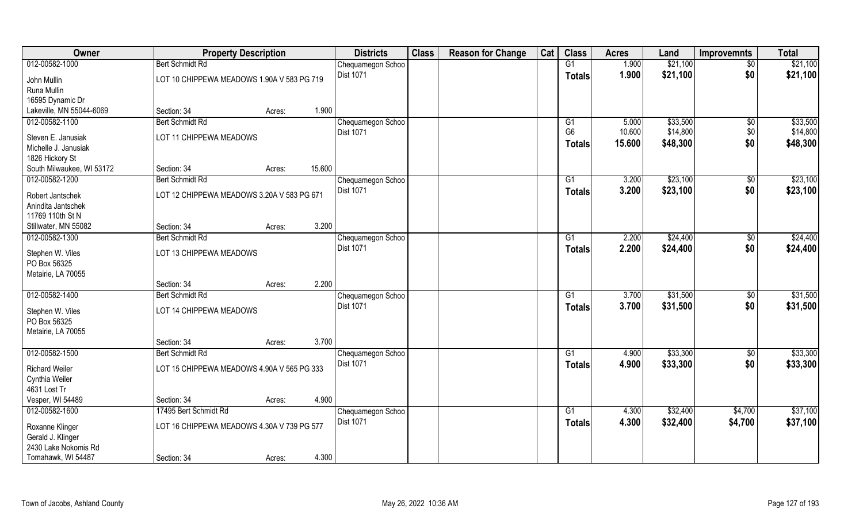| Owner                            |                                            | <b>Property Description</b>                                    |        |                   | <b>Class</b> | <b>Reason for Change</b> | Cat | <b>Class</b>    | <b>Acres</b> | Land     | <b>Improvemnts</b> | <b>Total</b> |
|----------------------------------|--------------------------------------------|----------------------------------------------------------------|--------|-------------------|--------------|--------------------------|-----|-----------------|--------------|----------|--------------------|--------------|
| 012-00582-1000                   | <b>Bert Schmidt Rd</b>                     |                                                                |        | Chequamegon Schoo |              |                          |     | G1              | 1.900        | \$21,100 | $\sqrt{$0}$        | \$21,100     |
| John Mullin                      | LOT 10 CHIPPEWA MEADOWS 1.90A V 583 PG 719 |                                                                |        | <b>Dist 1071</b>  |              |                          |     | <b>Totals</b>   | 1.900        | \$21,100 | \$0                | \$21,100     |
| Runa Mullin                      |                                            |                                                                |        |                   |              |                          |     |                 |              |          |                    |              |
| 16595 Dynamic Dr                 |                                            |                                                                |        |                   |              |                          |     |                 |              |          |                    |              |
| Lakeville, MN 55044-6069         | Section: 34                                | Acres:                                                         | 1.900  |                   |              |                          |     |                 |              |          |                    |              |
| 012-00582-1100                   | <b>Bert Schmidt Rd</b>                     |                                                                |        | Chequamegon Schoo |              |                          |     | G1              | 5.000        | \$33,500 | \$0                | \$33,500     |
| Steven E. Janusiak               | LOT 11 CHIPPEWA MEADOWS                    |                                                                |        | <b>Dist 1071</b>  |              |                          |     | G <sub>6</sub>  | 10.600       | \$14,800 | \$0                | \$14,800     |
| Michelle J. Janusiak             |                                            |                                                                |        |                   |              |                          |     | <b>Totals</b>   | 15.600       | \$48,300 | \$0                | \$48,300     |
| 1826 Hickory St                  |                                            |                                                                |        |                   |              |                          |     |                 |              |          |                    |              |
| South Milwaukee, WI 53172        | Section: 34                                | Acres:                                                         | 15.600 |                   |              |                          |     |                 |              |          |                    |              |
| 012-00582-1200                   | <b>Bert Schmidt Rd</b>                     |                                                                |        | Chequamegon Schoo |              |                          |     | G1              | 3.200        | \$23,100 | \$0                | \$23,100     |
| Robert Jantschek                 | LOT 12 CHIPPEWA MEADOWS 3.20A V 583 PG 671 |                                                                |        | Dist 1071         |              |                          |     | <b>Totals</b>   | 3.200        | \$23,100 | \$0                | \$23,100     |
| Anindita Jantschek               |                                            |                                                                |        |                   |              |                          |     |                 |              |          |                    |              |
| 11769 110th St N                 |                                            |                                                                |        |                   |              |                          |     |                 |              |          |                    |              |
| Stillwater, MN 55082             | Section: 34                                | Acres:                                                         | 3.200  |                   |              |                          |     |                 |              |          |                    |              |
| 012-00582-1300                   | <b>Bert Schmidt Rd</b>                     |                                                                |        | Chequamegon Schoo |              |                          |     | G1              | 2.200        | \$24,400 | \$0                | \$24,400     |
| Stephen W. Viles                 | LOT 13 CHIPPEWA MEADOWS                    |                                                                |        | Dist 1071         |              |                          |     | <b>Totals</b>   | 2.200        | \$24,400 | \$0                | \$24,400     |
| PO Box 56325                     |                                            |                                                                |        |                   |              |                          |     |                 |              |          |                    |              |
| Metairie, LA 70055               |                                            |                                                                |        |                   |              |                          |     |                 |              |          |                    |              |
|                                  | Section: 34                                | Acres:                                                         | 2.200  |                   |              |                          |     |                 |              |          |                    |              |
| 012-00582-1400                   | <b>Bert Schmidt Rd</b>                     |                                                                |        | Chequamegon Schoo |              |                          |     | $\overline{G1}$ | 3.700        | \$31,500 | \$0                | \$31,500     |
|                                  | LOT 14 CHIPPEWA MEADOWS                    |                                                                |        | Dist 1071         |              |                          |     | <b>Totals</b>   | 3.700        | \$31,500 | \$0                | \$31,500     |
| Stephen W. Viles<br>PO Box 56325 |                                            |                                                                |        |                   |              |                          |     |                 |              |          |                    |              |
| Metairie, LA 70055               |                                            |                                                                |        |                   |              |                          |     |                 |              |          |                    |              |
|                                  | Section: 34                                | Acres:                                                         | 3.700  |                   |              |                          |     |                 |              |          |                    |              |
| 012-00582-1500                   | <b>Bert Schmidt Rd</b>                     |                                                                |        | Chequamegon Schoo |              |                          |     | G1              | 4.900        | \$33,300 | $\sqrt{$0}$        | \$33,300     |
| <b>Richard Weiler</b>            | LOT 15 CHIPPEWA MEADOWS 4.90A V 565 PG 333 |                                                                |        | Dist 1071         |              |                          |     | <b>Totals</b>   | 4.900        | \$33,300 | \$0                | \$33,300     |
| Cynthia Weiler                   |                                            |                                                                |        |                   |              |                          |     |                 |              |          |                    |              |
| 4631 Lost Tr                     |                                            |                                                                |        |                   |              |                          |     |                 |              |          |                    |              |
| Vesper, WI 54489                 | Section: 34                                | Acres:                                                         | 4.900  |                   |              |                          |     |                 |              |          |                    |              |
| 012-00582-1600                   | 17495 Bert Schmidt Rd                      |                                                                |        | Chequamegon Schoo |              |                          |     | $\overline{G1}$ | 4.300        | \$32,400 | \$4,700            | \$37,100     |
| Roxanne Klinger                  |                                            | <b>Dist 1071</b><br>LOT 16 CHIPPEWA MEADOWS 4.30A V 739 PG 577 |        |                   |              |                          |     | <b>Totals</b>   | 4.300        | \$32,400 | \$4,700            | \$37,100     |
| Gerald J. Klinger                |                                            |                                                                |        |                   |              |                          |     |                 |              |          |                    |              |
| 2430 Lake Nokomis Rd             |                                            |                                                                |        |                   |              |                          |     |                 |              |          |                    |              |
| Tomahawk, WI 54487               | Section: 34                                | Acres:                                                         | 4.300  |                   |              |                          |     |                 |              |          |                    |              |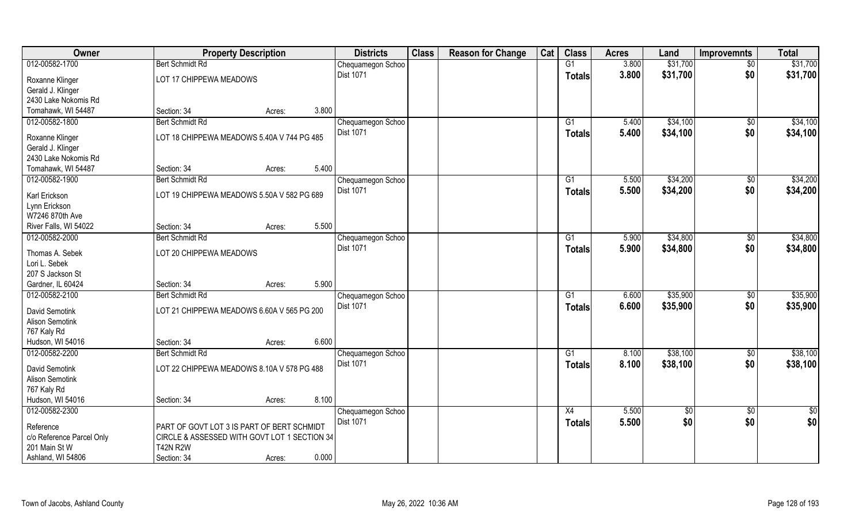| Owner                             | <b>Property Description</b>                |                                              | <b>Districts</b> | <b>Class</b>                   | <b>Reason for Change</b> | Cat | <b>Class</b> | <b>Acres</b>    | Land  | <b>Improvemnts</b> | <b>Total</b>    |               |
|-----------------------------------|--------------------------------------------|----------------------------------------------|------------------|--------------------------------|--------------------------|-----|--------------|-----------------|-------|--------------------|-----------------|---------------|
| 012-00582-1700                    | <b>Bert Schmidt Rd</b>                     |                                              |                  | Chequamegon Schoo              |                          |     |              | G1              | 3.800 | \$31,700           | $\sqrt{6}$      | \$31,700      |
| Roxanne Klinger                   | LOT 17 CHIPPEWA MEADOWS                    |                                              |                  | <b>Dist 1071</b>               |                          |     |              | <b>Totals</b>   | 3.800 | \$31,700           | \$0             | \$31,700      |
| Gerald J. Klinger                 |                                            |                                              |                  |                                |                          |     |              |                 |       |                    |                 |               |
| 2430 Lake Nokomis Rd              |                                            |                                              |                  |                                |                          |     |              |                 |       |                    |                 |               |
| Tomahawk, WI 54487                | Section: 34                                | Acres:                                       | 3.800            |                                |                          |     |              |                 |       |                    |                 |               |
| 012-00582-1800                    | <b>Bert Schmidt Rd</b>                     |                                              |                  | Chequamegon Schoo              |                          |     |              | G1              | 5.400 | \$34,100           | $\overline{50}$ | \$34,100      |
|                                   |                                            |                                              |                  | <b>Dist 1071</b>               |                          |     |              | Totals          | 5.400 | \$34,100           | \$0             | \$34,100      |
| Roxanne Klinger                   | LOT 18 CHIPPEWA MEADOWS 5.40A V 744 PG 485 |                                              |                  |                                |                          |     |              |                 |       |                    |                 |               |
| Gerald J. Klinger                 |                                            |                                              |                  |                                |                          |     |              |                 |       |                    |                 |               |
| 2430 Lake Nokomis Rd              |                                            |                                              |                  |                                |                          |     |              |                 |       |                    |                 |               |
| Tomahawk, WI 54487                | Section: 34                                | Acres:                                       | 5.400            |                                |                          |     |              |                 |       |                    |                 |               |
| 012-00582-1900                    | <b>Bert Schmidt Rd</b>                     |                                              |                  | Chequamegon Schoo              |                          |     |              | G1              | 5.500 | \$34,200           | \$0             | \$34,200      |
| Karl Erickson                     | LOT 19 CHIPPEWA MEADOWS 5.50A V 582 PG 689 |                                              |                  | Dist 1071                      |                          |     |              | <b>Totals</b>   | 5.500 | \$34,200           | \$0             | \$34,200      |
| Lynn Erickson                     |                                            |                                              |                  |                                |                          |     |              |                 |       |                    |                 |               |
| W7246 870th Ave                   |                                            |                                              |                  |                                |                          |     |              |                 |       |                    |                 |               |
| River Falls, WI 54022             | Section: 34                                | Acres:                                       | 5.500            |                                |                          |     |              |                 |       |                    |                 |               |
| 012-00582-2000                    | <b>Bert Schmidt Rd</b>                     |                                              |                  | Chequamegon Schoo              |                          |     |              | G1              | 5.900 | \$34,800           | \$0             | \$34,800      |
|                                   |                                            |                                              |                  | Dist 1071                      |                          |     |              | <b>Totals</b>   | 5.900 | \$34,800           | \$0             | \$34,800      |
| Thomas A. Sebek                   | LOT 20 CHIPPEWA MEADOWS                    |                                              |                  |                                |                          |     |              |                 |       |                    |                 |               |
| Lori L. Sebek<br>207 S Jackson St |                                            |                                              |                  |                                |                          |     |              |                 |       |                    |                 |               |
| Gardner, IL 60424                 | Section: 34                                |                                              | 5.900            |                                |                          |     |              |                 |       |                    |                 |               |
| 012-00582-2100                    | <b>Bert Schmidt Rd</b>                     | Acres:                                       |                  |                                |                          |     |              | $\overline{G1}$ | 6.600 | \$35,900           | $\overline{50}$ | \$35,900      |
|                                   |                                            |                                              |                  | Chequamegon Schoo<br>Dist 1071 |                          |     |              |                 |       |                    |                 |               |
| David Semotink                    | LOT 21 CHIPPEWA MEADOWS 6.60A V 565 PG 200 |                                              |                  |                                |                          |     |              | Totals          | 6.600 | \$35,900           | \$0             | \$35,900      |
| <b>Alison Semotink</b>            |                                            |                                              |                  |                                |                          |     |              |                 |       |                    |                 |               |
| 767 Kaly Rd                       |                                            |                                              |                  |                                |                          |     |              |                 |       |                    |                 |               |
| Hudson, WI 54016                  | Section: 34                                | Acres:                                       | 6.600            |                                |                          |     |              |                 |       |                    |                 |               |
| 012-00582-2200                    | <b>Bert Schmidt Rd</b>                     |                                              |                  | Chequamegon Schoo              |                          |     |              | G1              | 8.100 | \$38,100           | $\sqrt{6}$      | \$38,100      |
| David Semotink                    | LOT 22 CHIPPEWA MEADOWS 8.10A V 578 PG 488 |                                              |                  | Dist 1071                      |                          |     |              | <b>Totals</b>   | 8.100 | \$38,100           | \$0             | \$38,100      |
| <b>Alison Semotink</b>            |                                            |                                              |                  |                                |                          |     |              |                 |       |                    |                 |               |
| 767 Kaly Rd                       |                                            |                                              |                  |                                |                          |     |              |                 |       |                    |                 |               |
| Hudson, WI 54016                  | Section: 34                                | Acres:                                       | 8.100            |                                |                          |     |              |                 |       |                    |                 |               |
| 012-00582-2300                    |                                            |                                              |                  | Chequamegon Schoo              |                          |     |              | X4              | 5.500 | \$0                | $\overline{50}$ | $\frac{1}{2}$ |
|                                   |                                            |                                              |                  | <b>Dist 1071</b>               |                          |     |              | Totals          | 5.500 | \$0                | \$0             | \$0           |
| Reference                         | PART OF GOVT LOT 3 IS PART OF BERT SCHMIDT |                                              |                  |                                |                          |     |              |                 |       |                    |                 |               |
| c/o Reference Parcel Only         |                                            | CIRCLE & ASSESSED WITH GOVT LOT 1 SECTION 34 |                  |                                |                          |     |              |                 |       |                    |                 |               |
| 201 Main St W                     | <b>T42N R2W</b>                            |                                              |                  |                                |                          |     |              |                 |       |                    |                 |               |
| Ashland, WI 54806                 | Section: 34                                | Acres:                                       | 0.000            |                                |                          |     |              |                 |       |                    |                 |               |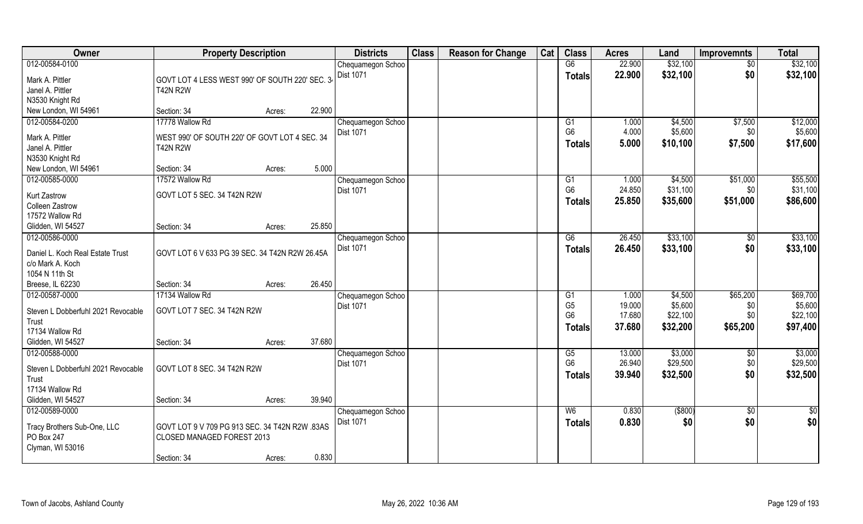| Owner                                                | <b>Property Description</b>                     |        | <b>Districts</b> | <b>Class</b>                   | <b>Reason for Change</b> | Cat | <b>Class</b> | <b>Acres</b>   | Land   | <b>Improvemnts</b> | <b>Total</b> |                 |
|------------------------------------------------------|-------------------------------------------------|--------|------------------|--------------------------------|--------------------------|-----|--------------|----------------|--------|--------------------|--------------|-----------------|
| 012-00584-0100                                       |                                                 |        |                  | Chequamegon Schoo              |                          |     |              | G6             | 22.900 | \$32,100           | $\sqrt{$0}$  | \$32,100        |
| Mark A. Pittler                                      | GOVT LOT 4 LESS WEST 990' OF SOUTH 220' SEC. 34 |        |                  | <b>Dist 1071</b>               |                          |     |              | <b>Totals</b>  | 22.900 | \$32,100           | \$0          | \$32,100        |
| Janel A. Pittler                                     | <b>T42N R2W</b>                                 |        |                  |                                |                          |     |              |                |        |                    |              |                 |
| N3530 Knight Rd                                      |                                                 |        |                  |                                |                          |     |              |                |        |                    |              |                 |
| New London, WI 54961                                 | Section: 34                                     | Acres: | 22.900           |                                |                          |     |              |                |        |                    |              |                 |
| 012-00584-0200                                       | 17778 Wallow Rd                                 |        |                  | Chequamegon Schoo              |                          |     |              | G1             | 1.000  | \$4,500            | \$7,500      | \$12,000        |
| Mark A. Pittler                                      | WEST 990' OF SOUTH 220' OF GOVT LOT 4 SEC. 34   |        |                  | <b>Dist 1071</b>               |                          |     |              | G <sub>6</sub> | 4.000  | \$5,600            | \$0\$        | \$5,600         |
| Janel A. Pittler                                     | <b>T42N R2W</b>                                 |        |                  |                                |                          |     |              | <b>Totals</b>  | 5.000  | \$10,100           | \$7,500      | \$17,600        |
| N3530 Knight Rd                                      |                                                 |        |                  |                                |                          |     |              |                |        |                    |              |                 |
| New London, WI 54961                                 | Section: 34                                     | Acres: | 5.000            |                                |                          |     |              |                |        |                    |              |                 |
| 012-00585-0000                                       | 17572 Wallow Rd                                 |        |                  | Chequamegon Schoo              |                          |     |              | G1             | 1.000  | \$4,500            | \$51,000     | \$55,500        |
|                                                      | GOVT LOT 5 SEC. 34 T42N R2W                     |        |                  | Dist 1071                      |                          |     |              | G <sub>6</sub> | 24.850 | \$31,100           | \$0          | \$31,100        |
| <b>Kurt Zastrow</b><br><b>Colleen Zastrow</b>        |                                                 |        |                  |                                |                          |     |              | <b>Totals</b>  | 25.850 | \$35,600           | \$51,000     | \$86,600        |
| 17572 Wallow Rd                                      |                                                 |        |                  |                                |                          |     |              |                |        |                    |              |                 |
| Glidden, WI 54527                                    | Section: 34                                     | Acres: | 25.850           |                                |                          |     |              |                |        |                    |              |                 |
| 012-00586-0000                                       |                                                 |        |                  | Chequamegon Schoo              |                          |     |              | G6             | 26.450 | \$33,100           | \$0          | \$33,100        |
|                                                      |                                                 |        |                  | <b>Dist 1071</b>               |                          |     |              | <b>Totals</b>  | 26.450 | \$33,100           | \$0          | \$33,100        |
| Daniel L. Koch Real Estate Trust<br>c/o Mark A. Koch | GOVT LOT 6 V 633 PG 39 SEC. 34 T42N R2W 26.45A  |        |                  |                                |                          |     |              |                |        |                    |              |                 |
| 1054 N 11th St                                       |                                                 |        |                  |                                |                          |     |              |                |        |                    |              |                 |
| Breese, IL 62230                                     | Section: 34                                     | Acres: | 26.450           |                                |                          |     |              |                |        |                    |              |                 |
| 012-00587-0000                                       | 17134 Wallow Rd                                 |        |                  | Chequamegon Schoo              |                          |     |              | G1             | 1.000  | \$4,500            | \$65,200     | \$69,700        |
|                                                      |                                                 |        |                  | Dist 1071                      |                          |     |              | G <sub>5</sub> | 19.000 | \$5,600            | \$0          | \$5,600         |
| Steven L Dobberfuhl 2021 Revocable                   | GOVT LOT 7 SEC. 34 T42N R2W                     |        |                  |                                |                          |     |              | G <sub>6</sub> | 17.680 | \$22,100           | \$0          | \$22,100        |
| Trust                                                |                                                 |        |                  |                                |                          |     |              | <b>Totals</b>  | 37.680 | \$32,200           | \$65,200     | \$97,400        |
| 17134 Wallow Rd                                      |                                                 |        | 37.680           |                                |                          |     |              |                |        |                    |              |                 |
| Glidden, WI 54527<br>012-00588-0000                  | Section: 34                                     | Acres: |                  |                                |                          |     |              | G5             | 13.000 | \$3,000            |              | \$3,000         |
|                                                      |                                                 |        |                  | Chequamegon Schoo<br>Dist 1071 |                          |     |              | G <sub>6</sub> | 26.940 | \$29,500           | \$0<br>\$0   | \$29,500        |
| Steven L Dobberfuhl 2021 Revocable                   | GOVT LOT 8 SEC. 34 T42N R2W                     |        |                  |                                |                          |     |              | <b>Totals</b>  | 39.940 | \$32,500           | \$0          | \$32,500        |
| Trust                                                |                                                 |        |                  |                                |                          |     |              |                |        |                    |              |                 |
| 17134 Wallow Rd                                      |                                                 |        |                  |                                |                          |     |              |                |        |                    |              |                 |
| Glidden, WI 54527                                    | Section: 34                                     | Acres: | 39.940           |                                |                          |     |              |                |        |                    |              |                 |
| 012-00589-0000                                       |                                                 |        |                  | Chequamegon Schoo              |                          |     |              | W <sub>6</sub> | 0.830  | $($ \$800)         | $\sqrt{$0}$  | $\overline{50}$ |
| Tracy Brothers Sub-One, LLC                          | GOVT LOT 9 V 709 PG 913 SEC. 34 T42N R2W .83AS  |        |                  | Dist 1071                      |                          |     |              | <b>Totals</b>  | 0.830  | \$0                | \$0          | \$0             |
| PO Box 247                                           | CLOSED MANAGED FOREST 2013                      |        |                  |                                |                          |     |              |                |        |                    |              |                 |
| Clyman, WI 53016                                     |                                                 |        |                  |                                |                          |     |              |                |        |                    |              |                 |
|                                                      | Section: 34                                     | Acres: | 0.830            |                                |                          |     |              |                |        |                    |              |                 |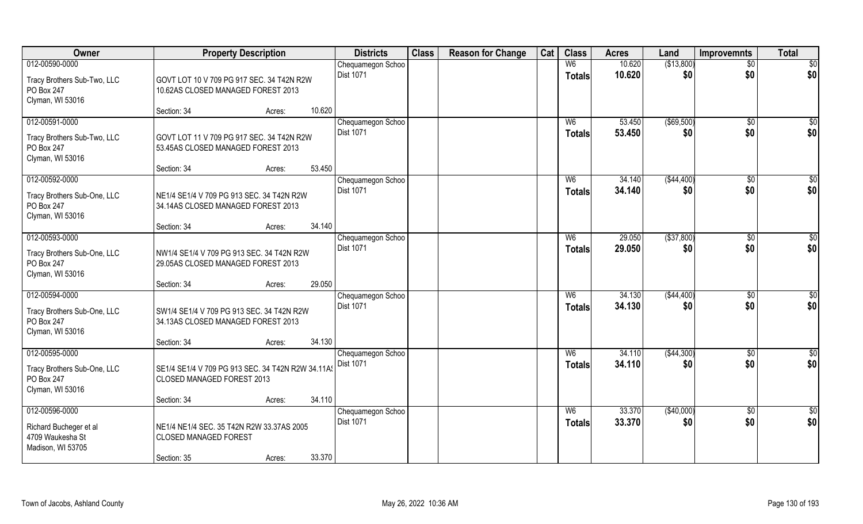| Owner                                     | <b>Property Description</b>                                                     |        |        | <b>Districts</b>                      | <b>Class</b> | <b>Reason for Change</b> | Cat | <b>Class</b>   | <b>Acres</b>     | Land              | <b>Improvemnts</b> | <b>Total</b>           |
|-------------------------------------------|---------------------------------------------------------------------------------|--------|--------|---------------------------------------|--------------|--------------------------|-----|----------------|------------------|-------------------|--------------------|------------------------|
| 012-00590-0000                            |                                                                                 |        |        | Chequamegon Schoo                     |              |                          |     | W <sub>6</sub> | 10.620           | (\$13,800)        | $\sqrt{$0}$        | $\sqrt{50}$            |
| Tracy Brothers Sub-Two, LLC               | GOVT LOT 10 V 709 PG 917 SEC. 34 T42N R2W                                       |        |        | <b>Dist 1071</b>                      |              |                          |     | <b>Totals</b>  | 10.620           | \$0               | \$0                | \$0                    |
| PO Box 247                                | 10.62AS CLOSED MANAGED FOREST 2013                                              |        |        |                                       |              |                          |     |                |                  |                   |                    |                        |
| Clyman, WI 53016                          |                                                                                 |        |        |                                       |              |                          |     |                |                  |                   |                    |                        |
|                                           | Section: 34                                                                     | Acres: | 10.620 |                                       |              |                          |     |                |                  |                   |                    |                        |
| 012-00591-0000                            |                                                                                 |        |        | Chequamegon Schoo                     |              |                          |     | W <sub>6</sub> | 53.450           | ( \$69,500)       | $\sqrt{$0}$        | \$0                    |
| Tracy Brothers Sub-Two, LLC               | GOVT LOT 11 V 709 PG 917 SEC. 34 T42N R2W                                       |        |        | <b>Dist 1071</b>                      |              |                          |     | <b>Totals</b>  | 53.450           | \$0               | \$0                | \$0                    |
| PO Box 247                                | 53.45AS CLOSED MANAGED FOREST 2013                                              |        |        |                                       |              |                          |     |                |                  |                   |                    |                        |
| Clyman, WI 53016                          |                                                                                 |        | 53.450 |                                       |              |                          |     |                |                  |                   |                    |                        |
| 012-00592-0000                            | Section: 34                                                                     | Acres: |        | Chequamegon Schoo                     |              |                          |     | W <sub>6</sub> | 34.140           | ( \$44,400)       | $\overline{50}$    | $\sqrt{50}$            |
|                                           |                                                                                 |        |        | Dist 1071                             |              |                          |     | <b>Totals</b>  | 34.140           | \$0               | \$0                | \$0                    |
| Tracy Brothers Sub-One, LLC               | NE1/4 SE1/4 V 709 PG 913 SEC. 34 T42N R2W                                       |        |        |                                       |              |                          |     |                |                  |                   |                    |                        |
| PO Box 247                                | 34.14AS CLOSED MANAGED FOREST 2013                                              |        |        |                                       |              |                          |     |                |                  |                   |                    |                        |
| Clyman, WI 53016                          | Section: 34                                                                     | Acres: | 34.140 |                                       |              |                          |     |                |                  |                   |                    |                        |
| 012-00593-0000                            |                                                                                 |        |        | Chequamegon Schoo                     |              |                          |     | W <sub>6</sub> | 29.050           | ( \$37, 800)      | \$0                | $\sqrt{50}$            |
|                                           |                                                                                 |        |        | Dist 1071                             |              |                          |     | <b>Totals</b>  | 29.050           | \$0               | \$0                | \$0                    |
| Tracy Brothers Sub-One, LLC<br>PO Box 247 | NW1/4 SE1/4 V 709 PG 913 SEC. 34 T42N R2W<br>29.05AS CLOSED MANAGED FOREST 2013 |        |        |                                       |              |                          |     |                |                  |                   |                    |                        |
| Clyman, WI 53016                          |                                                                                 |        |        |                                       |              |                          |     |                |                  |                   |                    |                        |
|                                           | Section: 34                                                                     | Acres: | 29.050 |                                       |              |                          |     |                |                  |                   |                    |                        |
| 012-00594-0000                            |                                                                                 |        |        | Chequamegon Schoo                     |              |                          |     | W6             | 34.130           | ( \$44,400)       | $\overline{50}$    | $\overline{50}$        |
| Tracy Brothers Sub-One, LLC               | SW1/4 SE1/4 V 709 PG 913 SEC. 34 T42N R2W                                       |        |        | Dist 1071                             |              |                          |     | <b>Totals</b>  | 34.130           | \$0               | \$0                | \$0                    |
| PO Box 247                                | 34.13AS CLOSED MANAGED FOREST 2013                                              |        |        |                                       |              |                          |     |                |                  |                   |                    |                        |
| Clyman, WI 53016                          |                                                                                 |        |        |                                       |              |                          |     |                |                  |                   |                    |                        |
|                                           | Section: 34                                                                     | Acres: | 34.130 |                                       |              |                          |     |                |                  |                   |                    |                        |
| 012-00595-0000                            |                                                                                 |        |        | Chequamegon Schoo                     |              |                          |     | W6             | 34.110           | (\$44,300)        | $\sqrt{$0}$        | \$0                    |
| Tracy Brothers Sub-One, LLC               | SE1/4 SE1/4 V 709 PG 913 SEC. 34 T42N R2W 34.11A9                               |        |        | <b>Dist 1071</b>                      |              |                          |     | <b>Totals</b>  | 34.110           | \$0               | \$0                | \$0                    |
| PO Box 247                                | CLOSED MANAGED FOREST 2013                                                      |        |        |                                       |              |                          |     |                |                  |                   |                    |                        |
| Clyman, WI 53016                          |                                                                                 |        |        |                                       |              |                          |     |                |                  |                   |                    |                        |
|                                           | Section: 34                                                                     | Acres: | 34.110 |                                       |              |                          |     |                |                  |                   |                    |                        |
| 012-00596-0000                            |                                                                                 |        |        | Chequamegon Schoo<br><b>Dist 1071</b> |              |                          |     | W6             | 33.370<br>33.370 | (\$40,000)<br>\$0 | $\sqrt{$0}$<br>\$0 | $\overline{50}$<br>\$0 |
| Richard Bucheger et al                    | NE1/4 NE1/4 SEC. 35 T42N R2W 33.37AS 2005                                       |        |        |                                       |              |                          |     | <b>Totals</b>  |                  |                   |                    |                        |
| 4709 Waukesha St                          | <b>CLOSED MANAGED FOREST</b>                                                    |        |        |                                       |              |                          |     |                |                  |                   |                    |                        |
| Madison, WI 53705                         | Section: 35                                                                     |        | 33.370 |                                       |              |                          |     |                |                  |                   |                    |                        |
|                                           |                                                                                 | Acres: |        |                                       |              |                          |     |                |                  |                   |                    |                        |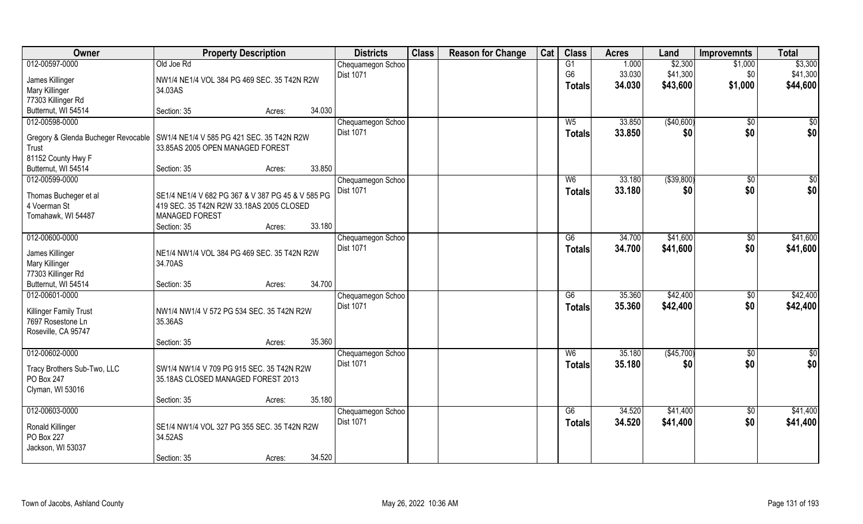| Owner                                                                           | <b>Property Description</b>                       |        |        | <b>Districts</b>               | <b>Class</b> | <b>Reason for Change</b> | Cat | <b>Class</b>    | <b>Acres</b> | Land         | <b>Improvemnts</b> | <b>Total</b>  |
|---------------------------------------------------------------------------------|---------------------------------------------------|--------|--------|--------------------------------|--------------|--------------------------|-----|-----------------|--------------|--------------|--------------------|---------------|
| 012-00597-0000                                                                  | Old Joe Rd                                        |        |        | Chequamegon Schoo              |              |                          |     | G1              | 1.000        | \$2,300      | \$1,000            | \$3,300       |
| James Killinger                                                                 | NW1/4 NE1/4 VOL 384 PG 469 SEC. 35 T42N R2W       |        |        | <b>Dist 1071</b>               |              |                          |     | G <sub>6</sub>  | 33.030       | \$41,300     | \$0                | \$41,300      |
| Mary Killinger                                                                  | 34.03AS                                           |        |        |                                |              |                          |     | <b>Totals</b>   | 34.030       | \$43,600     | \$1,000            | \$44,600      |
| 77303 Killinger Rd                                                              |                                                   |        |        |                                |              |                          |     |                 |              |              |                    |               |
| Butternut, WI 54514                                                             | Section: 35                                       | Acres: | 34.030 |                                |              |                          |     |                 |              |              |                    |               |
| 012-00598-0000                                                                  |                                                   |        |        | Chequamegon Schoo              |              |                          |     | W <sub>5</sub>  | 33.850       | (\$40,600)   | $\overline{50}$    | \$0           |
|                                                                                 |                                                   |        |        | <b>Dist 1071</b>               |              |                          |     | <b>Totals</b>   | 33.850       | \$0          | \$0                | \$0           |
| Gregory & Glenda Bucheger Revocable   SW1/4 NE1/4 V 585 PG 421 SEC. 35 T42N R2W |                                                   |        |        |                                |              |                          |     |                 |              |              |                    |               |
| Trust                                                                           | 33.85AS 2005 OPEN MANAGED FOREST                  |        |        |                                |              |                          |     |                 |              |              |                    |               |
| 81152 County Hwy F<br>Butternut, WI 54514                                       | Section: 35                                       |        | 33.850 |                                |              |                          |     |                 |              |              |                    |               |
| 012-00599-0000                                                                  |                                                   | Acres: |        |                                |              |                          |     | W <sub>6</sub>  | 33.180       | ( \$39, 800) | \$0                | \$0           |
|                                                                                 |                                                   |        |        | Chequamegon Schoo<br>Dist 1071 |              |                          |     |                 |              |              |                    |               |
| Thomas Bucheger et al                                                           | SE1/4 NE1/4 V 682 PG 367 & V 387 PG 45 & V 585 PG |        |        |                                |              |                          |     | <b>Totals</b>   | 33.180       | \$0          | \$0                | \$0           |
| 4 Voerman St                                                                    | 419 SEC. 35 T42N R2W 33.18AS 2005 CLOSED          |        |        |                                |              |                          |     |                 |              |              |                    |               |
| Tomahawk, WI 54487                                                              | <b>MANAGED FOREST</b>                             |        |        |                                |              |                          |     |                 |              |              |                    |               |
|                                                                                 | Section: 35                                       | Acres: | 33.180 |                                |              |                          |     |                 |              |              |                    |               |
| 012-00600-0000                                                                  |                                                   |        |        | Chequamegon Schoo              |              |                          |     | G6              | 34.700       | \$41,600     | $\sqrt{50}$        | \$41,600      |
| James Killinger                                                                 | NE1/4 NW1/4 VOL 384 PG 469 SEC. 35 T42N R2W       |        |        | <b>Dist 1071</b>               |              |                          |     | <b>Totals</b>   | 34.700       | \$41,600     | \$0                | \$41,600      |
| <b>Mary Killinger</b>                                                           | 34.70AS                                           |        |        |                                |              |                          |     |                 |              |              |                    |               |
| 77303 Killinger Rd                                                              |                                                   |        |        |                                |              |                          |     |                 |              |              |                    |               |
| Butternut, WI 54514                                                             | Section: 35                                       | Acres: | 34.700 |                                |              |                          |     |                 |              |              |                    |               |
| 012-00601-0000                                                                  |                                                   |        |        | Chequamegon Schoo              |              |                          |     | $\overline{G6}$ | 35.360       | \$42,400     | $\overline{50}$    | \$42,400      |
|                                                                                 |                                                   |        |        | Dist 1071                      |              |                          |     | Totals          | 35.360       | \$42,400     | \$0                | \$42,400      |
| Killinger Family Trust                                                          | NW1/4 NW1/4 V 572 PG 534 SEC. 35 T42N R2W         |        |        |                                |              |                          |     |                 |              |              |                    |               |
| 7697 Rosestone Ln                                                               | 35.36AS                                           |        |        |                                |              |                          |     |                 |              |              |                    |               |
| Roseville, CA 95747                                                             |                                                   |        |        |                                |              |                          |     |                 |              |              |                    |               |
|                                                                                 | Section: 35                                       | Acres: | 35.360 |                                |              |                          |     |                 |              |              |                    |               |
| 012-00602-0000                                                                  |                                                   |        |        | Chequamegon Schoo              |              |                          |     | W6              | 35.180       | (\$45,700)   | $\overline{50}$    | $\frac{1}{2}$ |
| Tracy Brothers Sub-Two, LLC                                                     | SW1/4 NW1/4 V 709 PG 915 SEC. 35 T42N R2W         |        |        | Dist 1071                      |              |                          |     | <b>Totals</b>   | 35.180       | \$0          | \$0                | \$0           |
| PO Box 247                                                                      | 35.18AS CLOSED MANAGED FOREST 2013                |        |        |                                |              |                          |     |                 |              |              |                    |               |
| Clyman, WI 53016                                                                |                                                   |        |        |                                |              |                          |     |                 |              |              |                    |               |
|                                                                                 | Section: 35                                       | Acres: | 35.180 |                                |              |                          |     |                 |              |              |                    |               |
| 012-00603-0000                                                                  |                                                   |        |        | Chequamegon Schoo              |              |                          |     | G6              | 34.520       | \$41,400     | $\overline{50}$    | \$41,400      |
|                                                                                 | SE1/4 NW1/4 VOL 327 PG 355 SEC. 35 T42N R2W       |        |        | <b>Dist 1071</b>               |              |                          |     | <b>Totals</b>   | 34.520       | \$41,400     | \$0                | \$41,400      |
| Ronald Killinger<br>PO Box 227                                                  | 34.52AS                                           |        |        |                                |              |                          |     |                 |              |              |                    |               |
| Jackson, WI 53037                                                               |                                                   |        |        |                                |              |                          |     |                 |              |              |                    |               |
|                                                                                 | Section: 35                                       | Acres: | 34.520 |                                |              |                          |     |                 |              |              |                    |               |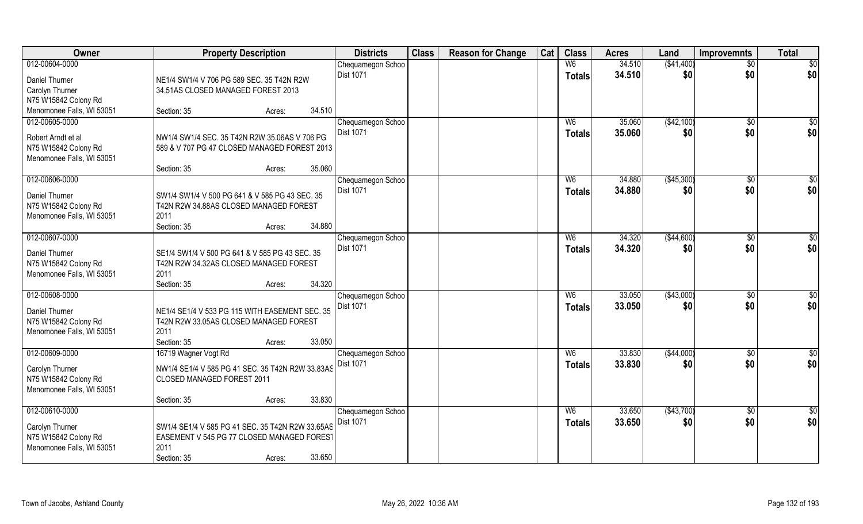| Owner                                             | <b>Property Description</b>                                                              | <b>Districts</b>  | <b>Class</b> | <b>Reason for Change</b> | Cat | <b>Class</b>   | <b>Acres</b> | Land        | <b>Improvemnts</b> | <b>Total</b>    |
|---------------------------------------------------|------------------------------------------------------------------------------------------|-------------------|--------------|--------------------------|-----|----------------|--------------|-------------|--------------------|-----------------|
| 012-00604-0000                                    |                                                                                          | Chequamegon Schoo |              |                          |     | W6             | 34.510       | ( \$41,400) | $\sqrt{$0}$        | $\sqrt{50}$     |
| Daniel Thurner                                    | NE1/4 SW1/4 V 706 PG 589 SEC. 35 T42N R2W                                                | Dist 1071         |              |                          |     | <b>Totals</b>  | 34.510       | \$0         | \$0                | \$0             |
| Carolyn Thurner                                   | 34.51AS CLOSED MANAGED FOREST 2013                                                       |                   |              |                          |     |                |              |             |                    |                 |
| N75 W15842 Colony Rd                              |                                                                                          |                   |              |                          |     |                |              |             |                    |                 |
| Menomonee Falls, WI 53051                         | 34.510<br>Section: 35<br>Acres:                                                          |                   |              |                          |     |                |              |             |                    |                 |
| 012-00605-0000                                    |                                                                                          | Chequamegon Schoo |              |                          |     | W <sub>6</sub> | 35.060       | (\$42,100)  | \$0                | $\sqrt{50}$     |
| Robert Arndt et al                                | NW1/4 SW1/4 SEC. 35 T42N R2W 35.06AS V 706 PG                                            | <b>Dist 1071</b>  |              |                          |     | Totals         | 35.060       | \$0         | \$0                | \$0             |
| N75 W15842 Colony Rd                              | 589 & V 707 PG 47 CLOSED MANAGED FOREST 2013                                             |                   |              |                          |     |                |              |             |                    |                 |
| Menomonee Falls, WI 53051                         |                                                                                          |                   |              |                          |     |                |              |             |                    |                 |
|                                                   | 35.060<br>Section: 35<br>Acres:                                                          |                   |              |                          |     |                |              |             |                    |                 |
| 012-00606-0000                                    |                                                                                          | Chequamegon Schoo |              |                          |     | W <sub>6</sub> | 34.880       | (\$45,300)  | \$0                | $\sqrt{50}$     |
| Daniel Thurner                                    | SW1/4 SW1/4 V 500 PG 641 & V 585 PG 43 SEC. 35                                           | <b>Dist 1071</b>  |              |                          |     | <b>Totals</b>  | 34.880       | \$0         | \$0                | \$0             |
| N75 W15842 Colony Rd                              | T42N R2W 34.88AS CLOSED MANAGED FOREST                                                   |                   |              |                          |     |                |              |             |                    |                 |
| Menomonee Falls, WI 53051                         | 2011                                                                                     |                   |              |                          |     |                |              |             |                    |                 |
|                                                   | 34.880<br>Section: 35<br>Acres:                                                          |                   |              |                          |     |                |              |             |                    |                 |
| 012-00607-0000                                    |                                                                                          | Chequamegon Schoo |              |                          |     | W <sub>6</sub> | 34.320       | ( \$44,600) | $\sqrt[6]{3}$      | $\sqrt{50}$     |
|                                                   |                                                                                          | <b>Dist 1071</b>  |              |                          |     | <b>Totals</b>  | 34.320       | \$0         | \$0                | \$0             |
| Daniel Thurner<br>N75 W15842 Colony Rd            | SE1/4 SW1/4 V 500 PG 641 & V 585 PG 43 SEC. 35<br>T42N R2W 34.32AS CLOSED MANAGED FOREST |                   |              |                          |     |                |              |             |                    |                 |
| Menomonee Falls, WI 53051                         | 2011                                                                                     |                   |              |                          |     |                |              |             |                    |                 |
|                                                   | 34.320<br>Section: 35<br>Acres:                                                          |                   |              |                          |     |                |              |             |                    |                 |
| 012-00608-0000                                    |                                                                                          | Chequamegon Schoo |              |                          |     | W <sub>6</sub> | 33.050       | ( \$43,000) | \$0                | \$0             |
|                                                   |                                                                                          | Dist 1071         |              |                          |     | <b>Totals</b>  | 33.050       | \$0         | \$0                | \$0             |
| Daniel Thurner                                    | NE1/4 SE1/4 V 533 PG 115 WITH EASEMENT SEC. 35                                           |                   |              |                          |     |                |              |             |                    |                 |
| N75 W15842 Colony Rd<br>Menomonee Falls, WI 53051 | T42N R2W 33.05AS CLOSED MANAGED FOREST<br>2011                                           |                   |              |                          |     |                |              |             |                    |                 |
|                                                   | 33.050<br>Section: 35<br>Acres:                                                          |                   |              |                          |     |                |              |             |                    |                 |
| 012-00609-0000                                    | 16719 Wagner Vogt Rd                                                                     | Chequamegon Schoo |              |                          |     | W6             | 33.830       | ( \$44,000) | $\overline{60}$    | $\overline{50}$ |
|                                                   |                                                                                          | Dist 1071         |              |                          |     | <b>Totals</b>  | 33.830       | \$0         | \$0                | \$0             |
| Carolyn Thurner                                   | NW1/4 SE1/4 V 585 PG 41 SEC. 35 T42N R2W 33.83AS                                         |                   |              |                          |     |                |              |             |                    |                 |
| N75 W15842 Colony Rd                              | CLOSED MANAGED FOREST 2011                                                               |                   |              |                          |     |                |              |             |                    |                 |
| Menomonee Falls, WI 53051                         | 33.830                                                                                   |                   |              |                          |     |                |              |             |                    |                 |
| 012-00610-0000                                    | Section: 35<br>Acres:                                                                    | Chequamegon Schoo |              |                          |     | W6             | 33.650       | (\$43,700)  | $\overline{50}$    | \$0             |
|                                                   |                                                                                          | Dist 1071         |              |                          |     | Totals         | 33.650       | \$0         | \$0                | \$0             |
| Carolyn Thurner                                   | SW1/4 SE1/4 V 585 PG 41 SEC. 35 T42N R2W 33.65AS                                         |                   |              |                          |     |                |              |             |                    |                 |
| N75 W15842 Colony Rd                              | EASEMENT V 545 PG 77 CLOSED MANAGED FOREST                                               |                   |              |                          |     |                |              |             |                    |                 |
| Menomonee Falls, WI 53051                         | 2011                                                                                     |                   |              |                          |     |                |              |             |                    |                 |
|                                                   | 33.650<br>Section: 35<br>Acres:                                                          |                   |              |                          |     |                |              |             |                    |                 |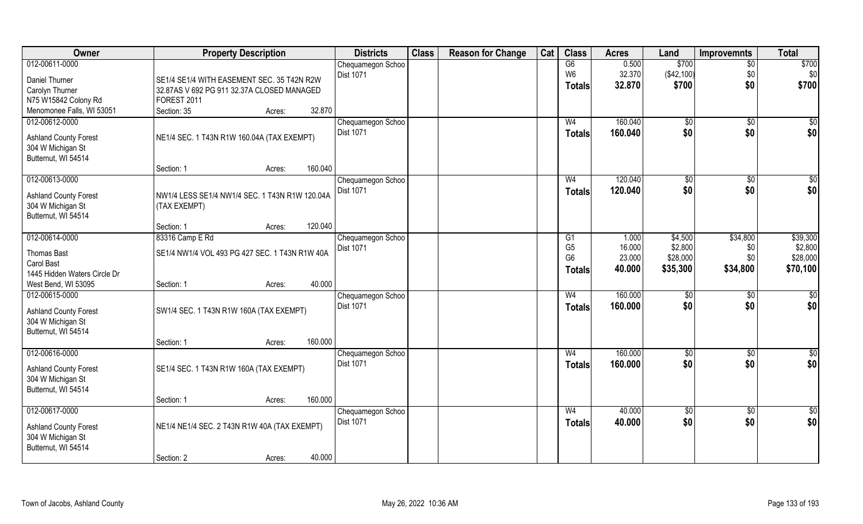| Owner                        | <b>Property Description</b>                    | <b>Districts</b>  | <b>Class</b> | <b>Reason for Change</b> | Cat | <b>Class</b>   | <b>Acres</b> | Land          | <b>Improvemnts</b> | <b>Total</b>     |
|------------------------------|------------------------------------------------|-------------------|--------------|--------------------------|-----|----------------|--------------|---------------|--------------------|------------------|
| 012-00611-0000               |                                                | Chequamegon Schoo |              |                          |     | G6             | 0.500        | \$700         | $\overline{50}$    | \$700            |
| Daniel Thurner               | SE1/4 SE1/4 WITH EASEMENT SEC. 35 T42N R2W     | <b>Dist 1071</b>  |              |                          |     | W6             | 32.370       | (\$42,100)    | \$0                | \$0              |
| Carolyn Thurner              | 32.87AS V 692 PG 911 32.37A CLOSED MANAGED     |                   |              |                          |     | <b>Totals</b>  | 32.870       | \$700         | \$0                | \$700            |
| N75 W15842 Colony Rd         | FOREST 2011                                    |                   |              |                          |     |                |              |               |                    |                  |
| Menomonee Falls, WI 53051    | Section: 35<br>Acres:                          | 32.870            |              |                          |     |                |              |               |                    |                  |
| 012-00612-0000               |                                                | Chequamegon Schoo |              |                          |     | W <sub>4</sub> | 160.040      | $\sqrt[6]{}$  | \$0                | $\overline{\$0}$ |
|                              |                                                | <b>Dist 1071</b>  |              |                          |     |                | 160.040      | \$0           | \$0                | \$0              |
| <b>Ashland County Forest</b> | NE1/4 SEC. 1 T43N R1W 160.04A (TAX EXEMPT)     |                   |              |                          |     | <b>Totals</b>  |              |               |                    |                  |
| 304 W Michigan St            |                                                |                   |              |                          |     |                |              |               |                    |                  |
| Butternut, WI 54514          |                                                |                   |              |                          |     |                |              |               |                    |                  |
|                              | 160.040<br>Section: 1<br>Acres:                |                   |              |                          |     |                |              |               |                    |                  |
| 012-00613-0000               |                                                | Chequamegon Schoo |              |                          |     | W <sub>4</sub> | 120.040      | \$0           | $\sqrt[6]{3}$      | \$0              |
| <b>Ashland County Forest</b> | NW1/4 LESS SE1/4 NW1/4 SEC. 1 T43N R1W 120.04A | <b>Dist 1071</b>  |              |                          |     | <b>Totals</b>  | 120.040      | \$0           | \$0                | \$0              |
| 304 W Michigan St            | (TAX EXEMPT)                                   |                   |              |                          |     |                |              |               |                    |                  |
| Butternut, WI 54514          |                                                |                   |              |                          |     |                |              |               |                    |                  |
|                              | 120.040<br>Section: 1<br>Acres:                |                   |              |                          |     |                |              |               |                    |                  |
| 012-00614-0000               | 83316 Camp E Rd                                | Chequamegon Schoo |              |                          |     | G <sub>1</sub> | 1.000        | \$4,500       | \$34,800           | \$39,300         |
|                              |                                                | <b>Dist 1071</b>  |              |                          |     | G <sub>5</sub> | 16.000       | \$2,800       | \$0                | \$2,800          |
| <b>Thomas Bast</b>           | SE1/4 NW1/4 VOL 493 PG 427 SEC. 1 T43N R1W 40A |                   |              |                          |     | G <sub>6</sub> | 23.000       | \$28,000      | \$0                | \$28,000         |
| Carol Bast                   |                                                |                   |              |                          |     | Totals         | 40.000       | \$35,300      | \$34,800           | \$70,100         |
| 1445 Hidden Waters Circle Dr |                                                |                   |              |                          |     |                |              |               |                    |                  |
| West Bend, WI 53095          | Section: 1<br>Acres:                           | 40.000            |              |                          |     |                |              |               |                    |                  |
| 012-00615-0000               |                                                | Chequamegon Schoo |              |                          |     | W <sub>4</sub> | 160.000      | $\sqrt[6]{3}$ | \$0                | \$0              |
| <b>Ashland County Forest</b> | SW1/4 SEC. 1 T43N R1W 160A (TAX EXEMPT)        | Dist 1071         |              |                          |     | <b>Totals</b>  | 160.000      | \$0           | \$0                | \$0              |
| 304 W Michigan St            |                                                |                   |              |                          |     |                |              |               |                    |                  |
| Butternut, WI 54514          |                                                |                   |              |                          |     |                |              |               |                    |                  |
|                              | 160.000<br>Section: 1<br>Acres:                |                   |              |                          |     |                |              |               |                    |                  |
| 012-00616-0000               |                                                | Chequamegon Schoo |              |                          |     | W <sub>4</sub> | 160.000      | \$0           | \$0                | $\frac{6}{3}$    |
|                              |                                                | Dist 1071         |              |                          |     | <b>Totals</b>  | 160,000      | \$0           | \$0                | \$0              |
| <b>Ashland County Forest</b> | SE1/4 SEC. 1 T43N R1W 160A (TAX EXEMPT)        |                   |              |                          |     |                |              |               |                    |                  |
| 304 W Michigan St            |                                                |                   |              |                          |     |                |              |               |                    |                  |
| Butternut, WI 54514          |                                                |                   |              |                          |     |                |              |               |                    |                  |
|                              | 160.000<br>Section: 1<br>Acres:                |                   |              |                          |     |                |              |               |                    |                  |
| 012-00617-0000               |                                                | Chequamegon Schoo |              |                          |     | W <sub>4</sub> | 40.000       | \$0           | $\sqrt{6}$         | $\overline{\$0}$ |
| <b>Ashland County Forest</b> | NE1/4 NE1/4 SEC. 2 T43N R1W 40A (TAX EXEMPT)   | <b>Dist 1071</b>  |              |                          |     | Totals         | 40.000       | \$0           | \$0                | \$0              |
| 304 W Michigan St            |                                                |                   |              |                          |     |                |              |               |                    |                  |
| Butternut, WI 54514          |                                                |                   |              |                          |     |                |              |               |                    |                  |
|                              | Section: 2<br>Acres:                           | 40.000            |              |                          |     |                |              |               |                    |                  |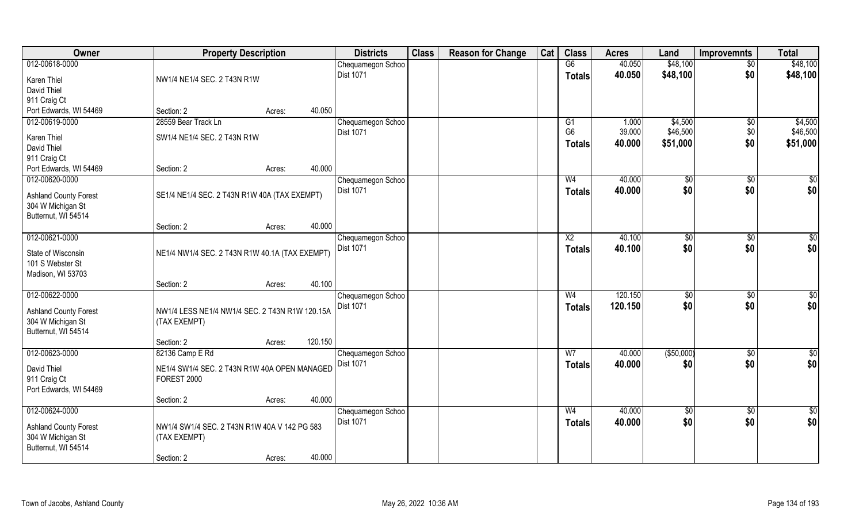| Owner                        | <b>Property Description</b>                    |                   | <b>Districts</b>  | <b>Class</b> | <b>Reason for Change</b> | Cat | <b>Class</b>   | <b>Acres</b> | Land        | <b>Improvemnts</b> | <b>Total</b>    |
|------------------------------|------------------------------------------------|-------------------|-------------------|--------------|--------------------------|-----|----------------|--------------|-------------|--------------------|-----------------|
| 012-00618-0000               |                                                |                   | Chequamegon Schoo |              |                          |     | G6             | 40.050       | \$48,100    | $\sqrt{$0}$        | \$48,100        |
| Karen Thiel                  | NW1/4 NE1/4 SEC. 2 T43N R1W                    |                   | <b>Dist 1071</b>  |              |                          |     | <b>Totals</b>  | 40.050       | \$48,100    | \$0                | \$48,100        |
| David Thiel                  |                                                |                   |                   |              |                          |     |                |              |             |                    |                 |
| 911 Craig Ct                 |                                                |                   |                   |              |                          |     |                |              |             |                    |                 |
| Port Edwards, WI 54469       | Section: 2                                     | 40.050<br>Acres:  |                   |              |                          |     |                |              |             |                    |                 |
| 012-00619-0000               | 28559 Bear Track Ln                            |                   | Chequamegon Schoo |              |                          |     | G1             | 1.000        | \$4,500     | \$0                | \$4,500         |
|                              |                                                |                   | Dist 1071         |              |                          |     | G <sub>6</sub> | 39.000       | \$46,500    | \$0                | \$46,500        |
| Karen Thiel                  | SW1/4 NE1/4 SEC. 2 T43N R1W                    |                   |                   |              |                          |     | <b>Totals</b>  | 40.000       | \$51,000    | \$0                | \$51,000        |
| David Thiel                  |                                                |                   |                   |              |                          |     |                |              |             |                    |                 |
| 911 Craig Ct                 |                                                |                   |                   |              |                          |     |                |              |             |                    |                 |
| Port Edwards, WI 54469       | Section: 2                                     | 40.000<br>Acres:  |                   |              |                          |     |                |              |             |                    |                 |
| 012-00620-0000               |                                                |                   | Chequamegon Schoo |              |                          |     | W <sub>4</sub> | 40.000       | \$0         | \$0                | \$0             |
| <b>Ashland County Forest</b> | SE1/4 NE1/4 SEC. 2 T43N R1W 40A (TAX EXEMPT)   |                   | Dist 1071         |              |                          |     | <b>Totals</b>  | 40.000       | \$0         | \$0                | \$0             |
| 304 W Michigan St            |                                                |                   |                   |              |                          |     |                |              |             |                    |                 |
| Butternut, WI 54514          |                                                |                   |                   |              |                          |     |                |              |             |                    |                 |
|                              | Section: 2                                     | 40.000<br>Acres:  |                   |              |                          |     |                |              |             |                    |                 |
| 012-00621-0000               |                                                |                   | Chequamegon Schoo |              |                          |     | X <sub>2</sub> | 40.100       | \$0         | \$0                | \$0             |
|                              |                                                |                   | <b>Dist 1071</b>  |              |                          |     | <b>Totals</b>  | 40.100       | \$0         | \$0                | \$0             |
| State of Wisconsin           | NE1/4 NW1/4 SEC. 2 T43N R1W 40.1A (TAX EXEMPT) |                   |                   |              |                          |     |                |              |             |                    |                 |
| 101 S Webster St             |                                                |                   |                   |              |                          |     |                |              |             |                    |                 |
| Madison, WI 53703            |                                                |                   |                   |              |                          |     |                |              |             |                    |                 |
|                              | Section: 2                                     | 40.100<br>Acres:  |                   |              |                          |     |                |              |             |                    |                 |
| 012-00622-0000               |                                                |                   | Chequamegon Schoo |              |                          |     | W <sub>4</sub> | 120.150      | $\sqrt{50}$ | \$0                | $\overline{50}$ |
| <b>Ashland County Forest</b> | NW1/4 LESS NE1/4 NW1/4 SEC. 2 T43N R1W 120.15A |                   | <b>Dist 1071</b>  |              |                          |     | <b>Totals</b>  | 120.150      | \$0         | \$0                | \$0             |
| 304 W Michigan St            | (TAX EXEMPT)                                   |                   |                   |              |                          |     |                |              |             |                    |                 |
| Butternut, WI 54514          |                                                |                   |                   |              |                          |     |                |              |             |                    |                 |
|                              | Section: 2                                     | 120.150<br>Acres: |                   |              |                          |     |                |              |             |                    |                 |
| 012-00623-0000               | 82136 Camp E Rd                                |                   | Chequamegon Schoo |              |                          |     | W <sub>7</sub> | 40.000       | ( \$50,000) | $\sqrt{$0}$        | \$0             |
|                              |                                                |                   | Dist 1071         |              |                          |     | <b>Totals</b>  | 40.000       | \$0         | \$0                | \$0             |
| David Thiel                  | NE1/4 SW1/4 SEC. 2 T43N R1W 40A OPEN MANAGED   |                   |                   |              |                          |     |                |              |             |                    |                 |
| 911 Craig Ct                 | FOREST 2000                                    |                   |                   |              |                          |     |                |              |             |                    |                 |
| Port Edwards, WI 54469       |                                                |                   |                   |              |                          |     |                |              |             |                    |                 |
|                              | Section: 2                                     | 40.000<br>Acres:  |                   |              |                          |     |                |              |             |                    |                 |
| 012-00624-0000               |                                                |                   | Chequamegon Schoo |              |                          |     | W <sub>4</sub> | 40.000       | $\sqrt{6}$  | $\sqrt{$0}$        | $\overline{50}$ |
| <b>Ashland County Forest</b> | NW1/4 SW1/4 SEC. 2 T43N R1W 40A V 142 PG 583   |                   | <b>Dist 1071</b>  |              |                          |     | <b>Totals</b>  | 40.000       | \$0         | \$0                | \$0             |
| 304 W Michigan St            | (TAX EXEMPT)                                   |                   |                   |              |                          |     |                |              |             |                    |                 |
| Butternut, WI 54514          |                                                |                   |                   |              |                          |     |                |              |             |                    |                 |
|                              | Section: 2                                     | 40.000<br>Acres:  |                   |              |                          |     |                |              |             |                    |                 |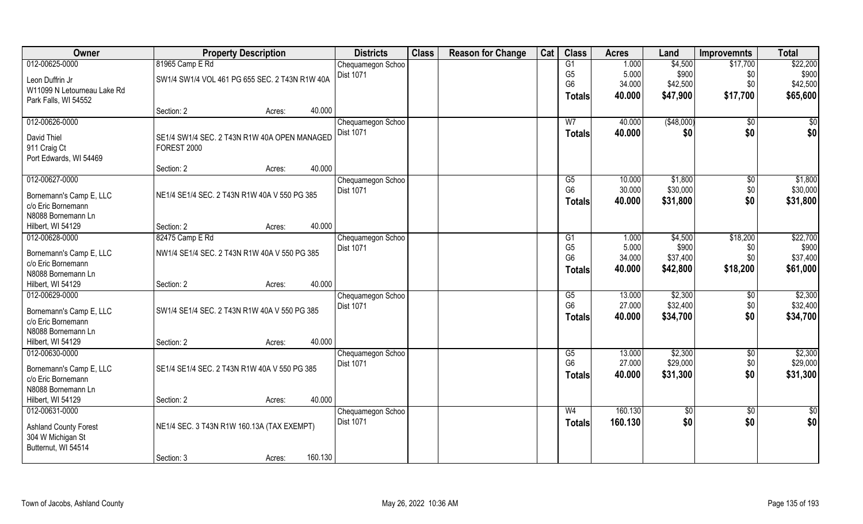| Owner                                                                    | <b>Property Description</b>                    |        |         | <b>Districts</b>                      | <b>Class</b> | <b>Reason for Change</b> | Cat | <b>Class</b>         | <b>Acres</b>     | Land        | <b>Improvemnts</b> | <b>Total</b>  |
|--------------------------------------------------------------------------|------------------------------------------------|--------|---------|---------------------------------------|--------------|--------------------------|-----|----------------------|------------------|-------------|--------------------|---------------|
| 012-00625-0000                                                           | 81965 Camp E Rd                                |        |         | Chequamegon Schoo                     |              |                          |     | G1                   | 1.000            | \$4,500     | \$17,700           | \$22,200      |
| Leon Duffrin Jr                                                          | SW1/4 SW1/4 VOL 461 PG 655 SEC. 2 T43N R1W 40A |        |         | Dist 1071                             |              |                          |     | G <sub>5</sub>       | 5.000            | \$900       | \$0                | \$900         |
| W11099 N Letourneau Lake Rd                                              |                                                |        |         |                                       |              |                          |     | G <sub>6</sub>       | 34.000           | \$42,500    | \$0                | \$42,500      |
| Park Falls, WI 54552                                                     |                                                |        |         |                                       |              |                          |     | Totals               | 40.000           | \$47,900    | \$17,700           | \$65,600      |
|                                                                          | Section: 2                                     | Acres: | 40.000  |                                       |              |                          |     |                      |                  |             |                    |               |
| 012-00626-0000                                                           |                                                |        |         | Chequamegon Schoo                     |              |                          |     | W <sub>7</sub>       | 40.000           | ( \$48,000) | $\overline{50}$    | \$0           |
| David Thiel                                                              | SE1/4 SW1/4 SEC. 2 T43N R1W 40A OPEN MANAGED   |        |         | <b>Dist 1071</b>                      |              |                          |     | Totals               | 40.000           | \$0         | \$0                | \$0           |
| 911 Craig Ct                                                             | FOREST 2000                                    |        |         |                                       |              |                          |     |                      |                  |             |                    |               |
| Port Edwards, WI 54469                                                   |                                                |        |         |                                       |              |                          |     |                      |                  |             |                    |               |
|                                                                          | Section: 2                                     | Acres: | 40.000  |                                       |              |                          |     |                      |                  |             |                    |               |
| 012-00627-0000                                                           |                                                |        |         | Chequamegon Schoo                     |              |                          |     | G5                   | 10.000           | \$1,800     | \$0                | \$1,800       |
| Bornemann's Camp E, LLC                                                  | NE1/4 SE1/4 SEC. 2 T43N R1W 40A V 550 PG 385   |        |         | Dist 1071                             |              |                          |     | G <sub>6</sub>       | 30.000           | \$30,000    | \$0                | \$30,000      |
| c/o Eric Bornemann                                                       |                                                |        |         |                                       |              |                          |     | <b>Totals</b>        | 40.000           | \$31,800    | \$0                | \$31,800      |
| N8088 Bornemann Ln                                                       |                                                |        |         |                                       |              |                          |     |                      |                  |             |                    |               |
| Hilbert, WI 54129                                                        | Section: 2                                     | Acres: | 40.000  |                                       |              |                          |     |                      |                  |             |                    |               |
| 012-00628-0000                                                           | 82475 Camp E Rd                                |        |         | Chequamegon Schoo                     |              |                          |     | G1                   | 1.000            | \$4,500     | \$18,200           | \$22,700      |
| Bornemann's Camp E, LLC                                                  | NW1/4 SE1/4 SEC. 2 T43N R1W 40A V 550 PG 385   |        |         | Dist 1071                             |              |                          |     | G <sub>5</sub>       | 5.000            | \$900       | \$0                | \$900         |
| c/o Eric Bornemann                                                       |                                                |        |         |                                       |              |                          |     | G <sub>6</sub>       | 34.000           | \$37,400    | \$0                | \$37,400      |
| N8088 Bornemann Ln                                                       |                                                |        |         |                                       |              |                          |     | <b>Totals</b>        | 40.000           | \$42,800    | \$18,200           | \$61,000      |
| Hilbert, WI 54129                                                        | Section: 2                                     | Acres: | 40.000  |                                       |              |                          |     |                      |                  |             |                    |               |
| 012-00629-0000                                                           |                                                |        |         | Chequamegon Schoo                     |              |                          |     | G5                   | 13.000           | \$2,300     | $\sqrt[6]{}$       | \$2,300       |
|                                                                          |                                                |        |         | Dist 1071                             |              |                          |     | G <sub>6</sub>       | 27.000           | \$32,400    | \$0                | \$32,400      |
| Bornemann's Camp E, LLC                                                  | SW1/4 SE1/4 SEC. 2 T43N R1W 40A V 550 PG 385   |        |         |                                       |              |                          |     | Totals               | 40.000           | \$34,700    | \$0                | \$34,700      |
| c/o Eric Bornemann                                                       |                                                |        |         |                                       |              |                          |     |                      |                  |             |                    |               |
| N8088 Bornemann Ln                                                       |                                                |        |         |                                       |              |                          |     |                      |                  |             |                    |               |
| Hilbert, WI 54129<br>012-00630-0000                                      | Section: 2                                     | Acres: | 40.000  |                                       |              |                          |     |                      |                  | \$2,300     |                    | \$2,300       |
|                                                                          |                                                |        |         | Chequamegon Schoo<br><b>Dist 1071</b> |              |                          |     | G5<br>G <sub>6</sub> | 13.000<br>27.000 | \$29,000    | \$0<br>\$0         | \$29,000      |
| Bornemann's Camp E, LLC                                                  | SE1/4 SE1/4 SEC. 2 T43N R1W 40A V 550 PG 385   |        |         |                                       |              |                          |     |                      | 40.000           | \$31,300    | \$0                | \$31,300      |
| c/o Eric Bornemann                                                       |                                                |        |         |                                       |              |                          |     | <b>Totals</b>        |                  |             |                    |               |
| N8088 Bornemann Ln                                                       |                                                |        |         |                                       |              |                          |     |                      |                  |             |                    |               |
| Hilbert, WI 54129                                                        | Section: 2                                     | Acres: | 40.000  |                                       |              |                          |     |                      |                  |             |                    |               |
| 012-00631-0000                                                           |                                                |        |         | Chequamegon Schoo                     |              |                          |     | W <sub>4</sub>       | 160.130          | $\sqrt{6}$  | $\overline{50}$    | $\frac{1}{2}$ |
| <b>Ashland County Forest</b><br>304 W Michigan St<br>Butternut, WI 54514 | NE1/4 SEC. 3 T43N R1W 160.13A (TAX EXEMPT)     |        |         | <b>Dist 1071</b>                      |              |                          |     | <b>Totals</b>        | 160.130          | \$0         | \$0                | \$0           |
|                                                                          | Section: 3                                     | Acres: | 160.130 |                                       |              |                          |     |                      |                  |             |                    |               |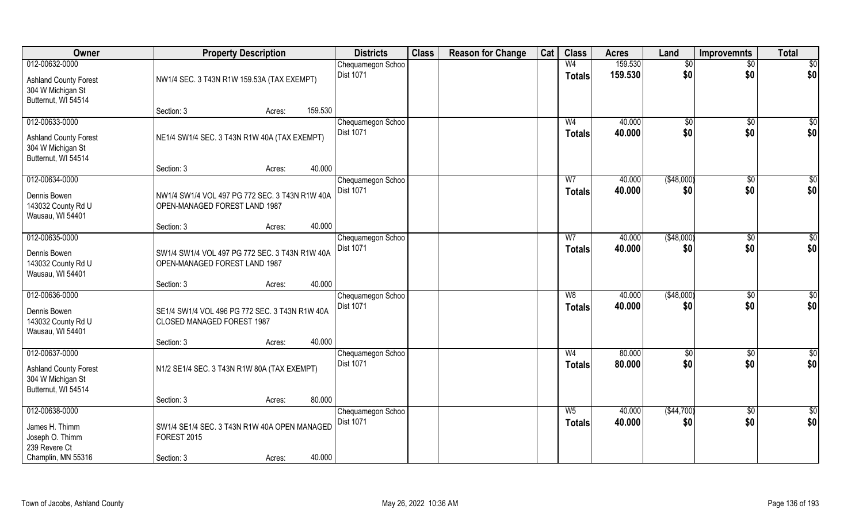| Owner                                                                                      | <b>Property Description</b>                                                                |         | <b>Districts</b>                      | <b>Class</b> | <b>Reason for Change</b> | Cat | <b>Class</b>                    | <b>Acres</b>     | Land                | <b>Improvemnts</b>     | <b>Total</b>           |
|--------------------------------------------------------------------------------------------|--------------------------------------------------------------------------------------------|---------|---------------------------------------|--------------|--------------------------|-----|---------------------------------|------------------|---------------------|------------------------|------------------------|
| 012-00632-0000                                                                             |                                                                                            |         | Chequamegon Schoo                     |              |                          |     | W <sub>4</sub>                  | 159.530          | \$0                 | $\sqrt{$0}$            | \$0                    |
| <b>Ashland County Forest</b><br>304 W Michigan St<br>Butternut, WI 54514                   | NW1/4 SEC. 3 T43N R1W 159.53A (TAX EXEMPT)                                                 |         | <b>Dist 1071</b>                      |              |                          |     | <b>Totals</b>                   | 159.530          | \$0                 | \$0                    | \$0                    |
|                                                                                            | Section: 3<br>Acres:                                                                       | 159.530 |                                       |              |                          |     |                                 |                  |                     |                        |                        |
| 012-00633-0000<br><b>Ashland County Forest</b><br>304 W Michigan St<br>Butternut, WI 54514 | NE1/4 SW1/4 SEC. 3 T43N R1W 40A (TAX EXEMPT)                                               |         | Chequamegon Schoo<br><b>Dist 1071</b> |              |                          |     | W <sub>4</sub><br><b>Totals</b> | 40.000<br>40.000 | $\sqrt[6]{}$<br>\$0 | $\sqrt{$0}$<br>\$0     | \$0<br>\$0             |
|                                                                                            | Section: 3<br>Acres:                                                                       | 40.000  |                                       |              |                          |     |                                 |                  |                     |                        |                        |
| 012-00634-0000                                                                             |                                                                                            |         | Chequamegon Schoo                     |              |                          |     | W7                              | 40.000           | ( \$48,000)         | $\overline{50}$        | $\sqrt{50}$            |
| Dennis Bowen<br>143032 County Rd U<br>Wausau, WI 54401                                     | NW1/4 SW1/4 VOL 497 PG 772 SEC. 3 T43N R1W 40A<br>OPEN-MANAGED FOREST LAND 1987            |         | <b>Dist 1071</b>                      |              |                          |     | <b>Totals</b>                   | 40.000           | \$0                 | \$0                    | \$0                    |
|                                                                                            | Section: 3<br>Acres:                                                                       | 40.000  |                                       |              |                          |     |                                 |                  |                     |                        |                        |
| 012-00635-0000<br>Dennis Bowen<br>143032 County Rd U<br>Wausau, WI 54401                   | SW1/4 SW1/4 VOL 497 PG 772 SEC. 3 T43N R1W 40A<br>OPEN-MANAGED FOREST LAND 1987            |         | Chequamegon Schoo<br>Dist 1071        |              |                          |     | W7<br><b>Totals</b>             | 40.000<br>40.000 | (\$48,000)<br>\$0   | \$0<br>\$0             | $\sqrt{50}$<br>\$0     |
|                                                                                            | Section: 3<br>Acres:                                                                       | 40.000  |                                       |              |                          |     |                                 |                  |                     |                        |                        |
| 012-00636-0000<br>Dennis Bowen<br>143032 County Rd U<br>Wausau, WI 54401                   | SE1/4 SW1/4 VOL 496 PG 772 SEC. 3 T43N R1W 40A<br>CLOSED MANAGED FOREST 1987<br>Section: 3 | 40.000  | Chequamegon Schoo<br><b>Dist 1071</b> |              |                          |     | W8<br><b>Totals</b>             | 40.000<br>40.000 | ( \$48,000)<br>\$0  | $\overline{30}$<br>\$0 | $\sqrt{50}$<br>\$0     |
| 012-00637-0000                                                                             | Acres:                                                                                     |         | Chequamegon Schoo                     |              |                          |     | W <sub>4</sub>                  | 80.000           | \$0                 | $\sqrt{$0}$            | \$0                    |
| <b>Ashland County Forest</b><br>304 W Michigan St<br>Butternut, WI 54514                   | N1/2 SE1/4 SEC. 3 T43N R1W 80A (TAX EXEMPT)                                                |         | Dist 1071                             |              |                          |     | <b>Totals</b>                   | 80.000           | \$0                 | \$0                    | \$0                    |
|                                                                                            | Section: 3<br>Acres:                                                                       | 80.000  |                                       |              |                          |     |                                 |                  |                     |                        |                        |
| 012-00638-0000<br>James H. Thimm<br>Joseph O. Thimm<br>239 Revere Ct<br>Champlin, MN 55316 | SW1/4 SE1/4 SEC. 3 T43N R1W 40A OPEN MANAGED<br><b>FOREST 2015</b><br>Section: 3<br>Acres: | 40.000  | Chequamegon Schoo<br><b>Dist 1071</b> |              |                          |     | $W_5$<br><b>Totals</b>          | 40.000<br>40.000 | ( \$44,700)<br>\$0  | $\sqrt{$0}$<br>\$0     | $\overline{50}$<br>\$0 |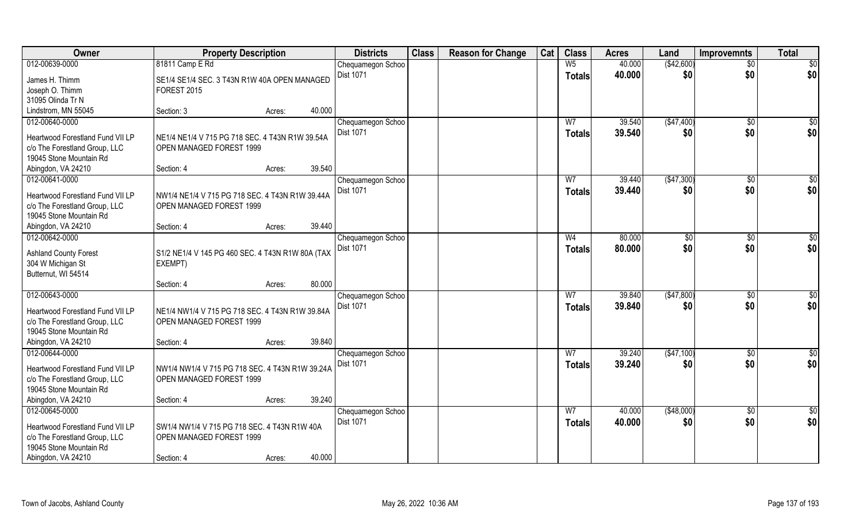| Owner                            | <b>Property Description</b>                      |        |        | <b>Districts</b>               | <b>Class</b> | <b>Reason for Change</b> | Cat | <b>Class</b>   | <b>Acres</b>     | Land              | <b>Improvemnts</b>  | <b>Total</b>  |
|----------------------------------|--------------------------------------------------|--------|--------|--------------------------------|--------------|--------------------------|-----|----------------|------------------|-------------------|---------------------|---------------|
| 012-00639-0000                   | 81811 Camp E Rd                                  |        |        | Chequamegon Schoo              |              |                          |     | W <sub>5</sub> | 40.000           | (\$42,600)        | \$0                 | \$0           |
| James H. Thimm                   | SE1/4 SE1/4 SEC. 3 T43N R1W 40A OPEN MANAGED     |        |        | <b>Dist 1071</b>               |              |                          |     | <b>Totals</b>  | 40.000           | \$0               | \$0                 | \$0           |
| Joseph O. Thimm                  | <b>FOREST 2015</b>                               |        |        |                                |              |                          |     |                |                  |                   |                     |               |
| 31095 Olinda Tr N                |                                                  |        |        |                                |              |                          |     |                |                  |                   |                     |               |
| Lindstrom, MN 55045              | Section: 3                                       | Acres: | 40.000 |                                |              |                          |     |                |                  |                   |                     |               |
| 012-00640-0000                   |                                                  |        |        | Chequamegon Schoo<br>Dist 1071 |              |                          |     | W <sub>7</sub> | 39.540<br>39.540 | (\$47,400)<br>\$0 | $\sqrt[6]{}$<br>\$0 | \$0<br>\$0    |
| Heartwood Forestland Fund VII LP | NE1/4 NE1/4 V 715 PG 718 SEC. 4 T43N R1W 39.54A  |        |        |                                |              |                          |     | <b>Totals</b>  |                  |                   |                     |               |
| c/o The Forestland Group, LLC    | OPEN MANAGED FOREST 1999                         |        |        |                                |              |                          |     |                |                  |                   |                     |               |
| 19045 Stone Mountain Rd          |                                                  |        |        |                                |              |                          |     |                |                  |                   |                     |               |
| Abingdon, VA 24210               | Section: 4                                       | Acres: | 39.540 |                                |              |                          |     |                |                  |                   |                     |               |
| 012-00641-0000                   |                                                  |        |        | Chequamegon Schoo              |              |                          |     | W7             | 39.440           | (\$47,300)        | \$0                 | \$0           |
| Heartwood Forestland Fund VII LP | NW1/4 NE1/4 V 715 PG 718 SEC. 4 T43N R1W 39.44A  |        |        | Dist 1071                      |              |                          |     | <b>Totals</b>  | 39.440           | \$0               | \$0                 | \$0           |
| c/o The Forestland Group, LLC    | OPEN MANAGED FOREST 1999                         |        |        |                                |              |                          |     |                |                  |                   |                     |               |
| 19045 Stone Mountain Rd          |                                                  |        |        |                                |              |                          |     |                |                  |                   |                     |               |
| Abingdon, VA 24210               | Section: 4                                       | Acres: | 39.440 |                                |              |                          |     |                |                  |                   |                     |               |
| 012-00642-0000                   |                                                  |        |        | Chequamegon Schoo              |              |                          |     | W <sub>4</sub> | 80.000           | \$0               | $\sqrt[6]{30}$      | \$0           |
|                                  |                                                  |        |        | Dist 1071                      |              |                          |     | <b>Totals</b>  | 80.000           | \$0               | \$0                 | \$0           |
| <b>Ashland County Forest</b>     | S1/2 NE1/4 V 145 PG 460 SEC. 4 T43N R1W 80A (TAX |        |        |                                |              |                          |     |                |                  |                   |                     |               |
| 304 W Michigan St                | EXEMPT)                                          |        |        |                                |              |                          |     |                |                  |                   |                     |               |
| Butternut, WI 54514              |                                                  |        |        |                                |              |                          |     |                |                  |                   |                     |               |
|                                  | Section: 4                                       | Acres: | 80.000 |                                |              |                          |     |                |                  |                   |                     |               |
| 012-00643-0000                   |                                                  |        |        | Chequamegon Schoo              |              |                          |     | W <sub>7</sub> | 39.840           | (\$47,800)        | $\overline{50}$     | \$0           |
| Heartwood Forestland Fund VII LP | NE1/4 NW1/4 V 715 PG 718 SEC. 4 T43N R1W 39.84A  |        |        | Dist 1071                      |              |                          |     | <b>Totals</b>  | 39.840           | \$0               | \$0                 | \$0           |
| c/o The Forestland Group, LLC    | OPEN MANAGED FOREST 1999                         |        |        |                                |              |                          |     |                |                  |                   |                     |               |
| 19045 Stone Mountain Rd          |                                                  |        |        |                                |              |                          |     |                |                  |                   |                     |               |
| Abingdon, VA 24210               | Section: 4                                       | Acres: | 39.840 |                                |              |                          |     |                |                  |                   |                     |               |
| 012-00644-0000                   |                                                  |        |        | Chequamegon Schoo              |              |                          |     | W <sub>7</sub> | 39.240           | (\$47,100)        | $\sqrt{6}$          | $\frac{1}{2}$ |
| Heartwood Forestland Fund VII LP | NW1/4 NW1/4 V 715 PG 718 SEC. 4 T43N R1W 39.24A  |        |        | Dist 1071                      |              |                          |     | <b>Totals</b>  | 39.240           | \$0               | \$0                 | \$0           |
| c/o The Forestland Group, LLC    | OPEN MANAGED FOREST 1999                         |        |        |                                |              |                          |     |                |                  |                   |                     |               |
| 19045 Stone Mountain Rd          |                                                  |        |        |                                |              |                          |     |                |                  |                   |                     |               |
| Abingdon, VA 24210               | Section: 4                                       | Acres: | 39.240 |                                |              |                          |     |                |                  |                   |                     |               |
| 012-00645-0000                   |                                                  |        |        | Chequamegon Schoo              |              |                          |     | W <sub>7</sub> | 40.000           | (\$48,000)        | $\overline{50}$     | $\frac{1}{2}$ |
|                                  |                                                  |        |        | <b>Dist 1071</b>               |              |                          |     |                | 40.000           |                   | \$0                 | \$0           |
| Heartwood Forestland Fund VII LP | SW1/4 NW1/4 V 715 PG 718 SEC. 4 T43N R1W 40A     |        |        |                                |              |                          |     | <b>Totals</b>  |                  | \$0               |                     |               |
| c/o The Forestland Group, LLC    | OPEN MANAGED FOREST 1999                         |        |        |                                |              |                          |     |                |                  |                   |                     |               |
| 19045 Stone Mountain Rd          |                                                  |        |        |                                |              |                          |     |                |                  |                   |                     |               |
| Abingdon, VA 24210               | Section: 4                                       | Acres: | 40.000 |                                |              |                          |     |                |                  |                   |                     |               |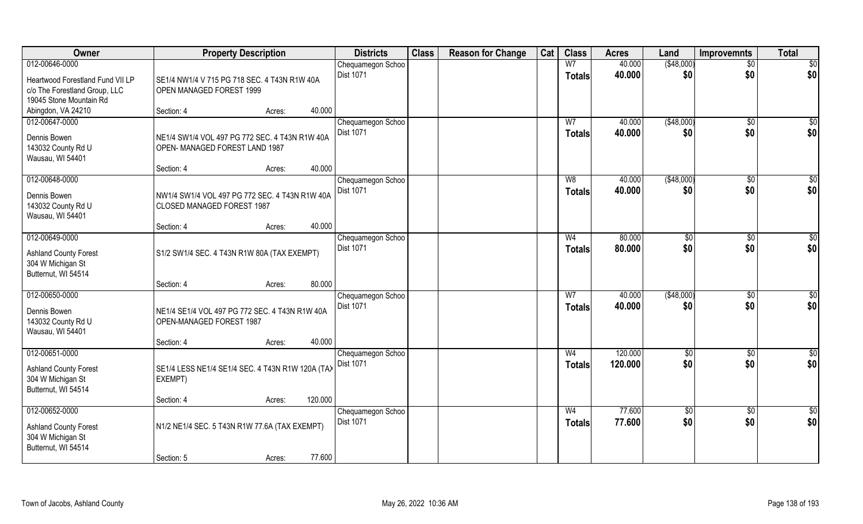| Owner                                    | <b>Property Description</b>                                                  |                   | <b>Districts</b>                      | <b>Class</b> | <b>Reason for Change</b> | Cat | <b>Class</b>   | <b>Acres</b> | Land           | <b>Improvemnts</b> | <b>Total</b>            |
|------------------------------------------|------------------------------------------------------------------------------|-------------------|---------------------------------------|--------------|--------------------------|-----|----------------|--------------|----------------|--------------------|-------------------------|
| 012-00646-0000                           |                                                                              |                   | Chequamegon Schoo                     |              |                          |     | W <sub>7</sub> | 40.000       | (\$48,000)     | $\sqrt{$0}$        | \$0                     |
| Heartwood Forestland Fund VII LP         | SE1/4 NW1/4 V 715 PG 718 SEC. 4 T43N R1W 40A                                 |                   | <b>Dist 1071</b>                      |              |                          |     | <b>Totals</b>  | 40.000       | \$0            | \$0                | \$0                     |
| c/o The Forestland Group, LLC            | OPEN MANAGED FOREST 1999                                                     |                   |                                       |              |                          |     |                |              |                |                    |                         |
| 19045 Stone Mountain Rd                  |                                                                              |                   |                                       |              |                          |     |                |              |                |                    |                         |
| Abingdon, VA 24210                       | Section: 4                                                                   | 40.000<br>Acres:  |                                       |              |                          |     |                |              |                |                    |                         |
| 012-00647-0000                           |                                                                              |                   | Chequamegon Schoo                     |              |                          |     | W <sub>7</sub> | 40.000       | (\$48,000)     | $\sqrt{6}$         | \$0                     |
| Dennis Bowen                             | NE1/4 SW1/4 VOL 497 PG 772 SEC. 4 T43N R1W 40A                               |                   | <b>Dist 1071</b>                      |              |                          |     | <b>Totals</b>  | 40.000       | \$0            | \$0                | \$0                     |
| 143032 County Rd U                       | OPEN-MANAGED FOREST LAND 1987                                                |                   |                                       |              |                          |     |                |              |                |                    |                         |
| Wausau, WI 54401                         |                                                                              |                   |                                       |              |                          |     |                |              |                |                    |                         |
|                                          | Section: 4                                                                   | 40.000<br>Acres:  |                                       |              |                          |     |                |              |                |                    |                         |
| 012-00648-0000                           |                                                                              |                   | Chequamegon Schoo                     |              |                          |     | W8             | 40.000       | ( \$48,000)    | $\sqrt[6]{3}$      | \$0                     |
|                                          |                                                                              |                   | <b>Dist 1071</b>                      |              |                          |     | <b>Totals</b>  | 40.000       | \$0            | \$0                | \$0                     |
| Dennis Bowen<br>143032 County Rd U       | NW1/4 SW1/4 VOL 497 PG 772 SEC. 4 T43N R1W 40A<br>CLOSED MANAGED FOREST 1987 |                   |                                       |              |                          |     |                |              |                |                    |                         |
| Wausau, WI 54401                         |                                                                              |                   |                                       |              |                          |     |                |              |                |                    |                         |
|                                          | Section: 4                                                                   | 40.000<br>Acres:  |                                       |              |                          |     |                |              |                |                    |                         |
| 012-00649-0000                           |                                                                              |                   | Chequamegon Schoo                     |              |                          |     | W <sub>4</sub> | 80.000       | $\frac{1}{20}$ | $\sqrt[6]{3}$      | \$                      |
|                                          |                                                                              |                   | Dist 1071                             |              |                          |     | Totals         | 80.000       | \$0            | \$0                | \$0                     |
| <b>Ashland County Forest</b>             | S1/2 SW1/4 SEC. 4 T43N R1W 80A (TAX EXEMPT)                                  |                   |                                       |              |                          |     |                |              |                |                    |                         |
| 304 W Michigan St<br>Butternut, WI 54514 |                                                                              |                   |                                       |              |                          |     |                |              |                |                    |                         |
|                                          | Section: 4                                                                   | 80.000<br>Acres:  |                                       |              |                          |     |                |              |                |                    |                         |
| 012-00650-0000                           |                                                                              |                   | Chequamegon Schoo                     |              |                          |     | $\overline{W}$ | 40.000       | (\$48,000)     | $\sqrt[6]{30}$     | $\overline{50}$         |
|                                          |                                                                              |                   | <b>Dist 1071</b>                      |              |                          |     | <b>Totals</b>  | 40.000       | \$0            | \$0                | \$0                     |
| Dennis Bowen                             | NE1/4 SE1/4 VOL 497 PG 772 SEC. 4 T43N R1W 40A                               |                   |                                       |              |                          |     |                |              |                |                    |                         |
| 143032 County Rd U                       | OPEN-MANAGED FOREST 1987                                                     |                   |                                       |              |                          |     |                |              |                |                    |                         |
| Wausau, WI 54401                         | Section: 4                                                                   | 40.000<br>Acres:  |                                       |              |                          |     |                |              |                |                    |                         |
| 012-00651-0000                           |                                                                              |                   | Chequamegon Schoo                     |              |                          |     | W <sub>4</sub> | 120.000      | \$0            | $\sqrt{$0}$        | $\frac{6}{3}$           |
|                                          |                                                                              |                   | Dist 1071                             |              |                          |     | <b>Totals</b>  | 120.000      | \$0            | \$0                | \$0                     |
| <b>Ashland County Forest</b>             | SE1/4 LESS NE1/4 SE1/4 SEC. 4 T43N R1W 120A (TAX                             |                   |                                       |              |                          |     |                |              |                |                    |                         |
| 304 W Michigan St                        | EXEMPT)                                                                      |                   |                                       |              |                          |     |                |              |                |                    |                         |
| Butternut, WI 54514                      |                                                                              |                   |                                       |              |                          |     |                |              |                |                    |                         |
| 012-00652-0000                           | Section: 4                                                                   | 120.000<br>Acres: |                                       |              |                          |     | W <sub>4</sub> | 77.600       |                |                    |                         |
|                                          |                                                                              |                   | Chequamegon Schoo<br><b>Dist 1071</b> |              |                          |     |                | 77.600       | \$0<br>\$0     | $\sqrt{6}$<br>\$0  | $\overline{\$0}$<br>\$0 |
| <b>Ashland County Forest</b>             | N1/2 NE1/4 SEC. 5 T43N R1W 77.6A (TAX EXEMPT)                                |                   |                                       |              |                          |     | Totals         |              |                |                    |                         |
| 304 W Michigan St                        |                                                                              |                   |                                       |              |                          |     |                |              |                |                    |                         |
| Butternut, WI 54514                      |                                                                              |                   |                                       |              |                          |     |                |              |                |                    |                         |
|                                          | Section: 5                                                                   | 77.600<br>Acres:  |                                       |              |                          |     |                |              |                |                    |                         |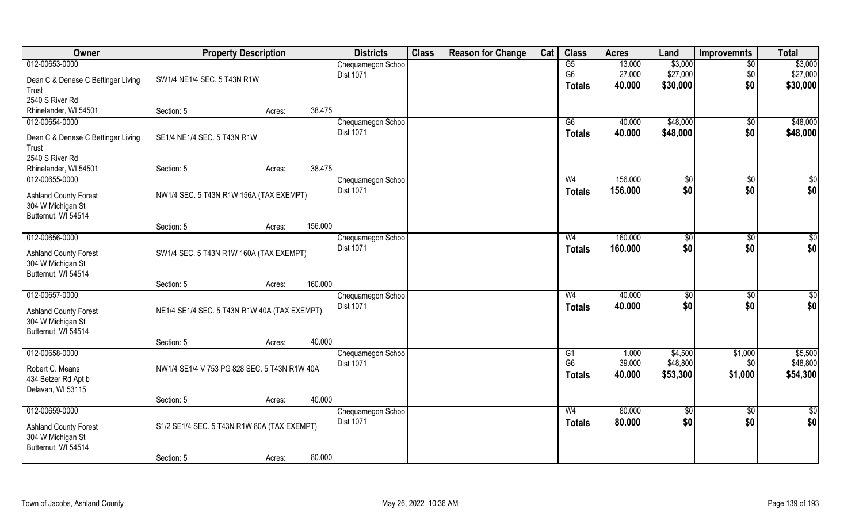| Owner                              | <b>Property Description</b>                  |        |         | <b>Districts</b>                      | <b>Class</b> | <b>Reason for Change</b> | Cat | <b>Class</b>   | <b>Acres</b> | Land              | <b>Improvemnts</b>  | <b>Total</b>    |
|------------------------------------|----------------------------------------------|--------|---------|---------------------------------------|--------------|--------------------------|-----|----------------|--------------|-------------------|---------------------|-----------------|
| 012-00653-0000                     |                                              |        |         | Chequamegon Schoo                     |              |                          |     | G5             | 13.000       | \$3,000           | $\sqrt{6}$          | \$3,000         |
| Dean C & Denese C Bettinger Living | SW1/4 NE1/4 SEC. 5 T43N R1W                  |        |         | Dist 1071                             |              |                          |     | G <sub>6</sub> | 27.000       | \$27,000          | \$0                 | \$27,000        |
| Trust                              |                                              |        |         |                                       |              |                          |     | <b>Totals</b>  | 40.000       | \$30,000          | \$0                 | \$30,000        |
| 2540 S River Rd                    |                                              |        |         |                                       |              |                          |     |                |              |                   |                     |                 |
| Rhinelander, WI 54501              | Section: 5                                   | Acres: | 38.475  |                                       |              |                          |     |                |              |                   |                     |                 |
| 012-00654-0000                     |                                              |        |         | Chequamegon Schoo                     |              |                          |     | G6             | 40.000       | \$48,000          | $\sqrt{6}$          | \$48,000        |
|                                    |                                              |        |         | Dist 1071                             |              |                          |     | <b>Totals</b>  | 40.000       | \$48,000          | \$0                 | \$48,000        |
| Dean C & Denese C Bettinger Living | SE1/4 NE1/4 SEC. 5 T43N R1W                  |        |         |                                       |              |                          |     |                |              |                   |                     |                 |
| Trust<br>2540 S River Rd           |                                              |        |         |                                       |              |                          |     |                |              |                   |                     |                 |
| Rhinelander, WI 54501              | Section: 5                                   | Acres: | 38.475  |                                       |              |                          |     |                |              |                   |                     |                 |
| 012-00655-0000                     |                                              |        |         | Chequamegon Schoo                     |              |                          |     | W <sub>4</sub> | 156.000      |                   | \$0                 | \$0             |
|                                    |                                              |        |         | Dist 1071                             |              |                          |     |                | 156.000      | \$0<br>\$0        | \$0                 | \$0             |
| <b>Ashland County Forest</b>       | NW1/4 SEC. 5 T43N R1W 156A (TAX EXEMPT)      |        |         |                                       |              |                          |     | <b>Totals</b>  |              |                   |                     |                 |
| 304 W Michigan St                  |                                              |        |         |                                       |              |                          |     |                |              |                   |                     |                 |
| Butternut, WI 54514                |                                              |        |         |                                       |              |                          |     |                |              |                   |                     |                 |
|                                    | Section: 5                                   | Acres: | 156.000 |                                       |              |                          |     |                |              |                   |                     |                 |
| 012-00656-0000                     |                                              |        |         | Chequamegon Schoo                     |              |                          |     | W <sub>4</sub> | 160.000      | \$0               | $\sqrt[6]{}$        | \$0             |
| <b>Ashland County Forest</b>       | SW1/4 SEC. 5 T43N R1W 160A (TAX EXEMPT)      |        |         | Dist 1071                             |              |                          |     | <b>Totals</b>  | 160.000      | \$0               | \$0                 | \$0             |
| 304 W Michigan St                  |                                              |        |         |                                       |              |                          |     |                |              |                   |                     |                 |
| Butternut, WI 54514                |                                              |        |         |                                       |              |                          |     |                |              |                   |                     |                 |
|                                    | Section: 5                                   | Acres: | 160.000 |                                       |              |                          |     |                |              |                   |                     |                 |
| 012-00657-0000                     |                                              |        |         | Chequamegon Schoo                     |              |                          |     | W <sub>4</sub> | 40.000       | \$0               | $\overline{50}$     | $\overline{50}$ |
| <b>Ashland County Forest</b>       | NE1/4 SE1/4 SEC. 5 T43N R1W 40A (TAX EXEMPT) |        |         | <b>Dist 1071</b>                      |              |                          |     | <b>Totals</b>  | 40.000       | \$0               | \$0                 | \$0             |
| 304 W Michigan St                  |                                              |        |         |                                       |              |                          |     |                |              |                   |                     |                 |
| Butternut, WI 54514                |                                              |        |         |                                       |              |                          |     |                |              |                   |                     |                 |
|                                    | Section: 5                                   | Acres: | 40.000  |                                       |              |                          |     |                |              |                   |                     |                 |
| 012-00658-0000                     |                                              |        |         | Chequamegon Schoo                     |              |                          |     | G1             | 1.000        | \$4,500           | \$1,000             | \$5,500         |
|                                    |                                              |        |         | Dist 1071                             |              |                          |     | G <sub>6</sub> | 39.000       | \$48,800          | \$0                 | \$48,800        |
| Robert C. Means                    | NW1/4 SE1/4 V 753 PG 828 SEC. 5 T43N R1W 40A |        |         |                                       |              |                          |     | <b>Totals</b>  | 40.000       | \$53,300          | \$1,000             | \$54,300        |
| 434 Betzer Rd Apt b                |                                              |        |         |                                       |              |                          |     |                |              |                   |                     |                 |
| Delavan, WI 53115                  | Section: 5                                   |        | 40.000  |                                       |              |                          |     |                |              |                   |                     |                 |
| 012-00659-0000                     |                                              | Acres: |         |                                       |              |                          |     | W <sub>4</sub> | 80.000       |                   |                     | $\frac{1}{6}$   |
|                                    |                                              |        |         | Chequamegon Schoo<br><b>Dist 1071</b> |              |                          |     |                | 80.000       | $\sqrt{6}$<br>\$0 | $\sqrt[6]{}$<br>\$0 | \$0             |
| <b>Ashland County Forest</b>       | S1/2 SE1/4 SEC. 5 T43N R1W 80A (TAX EXEMPT)  |        |         |                                       |              |                          |     | Totals         |              |                   |                     |                 |
| 304 W Michigan St                  |                                              |        |         |                                       |              |                          |     |                |              |                   |                     |                 |
| Butternut, WI 54514                |                                              |        |         |                                       |              |                          |     |                |              |                   |                     |                 |
|                                    | Section: 5                                   | Acres: | 80.000  |                                       |              |                          |     |                |              |                   |                     |                 |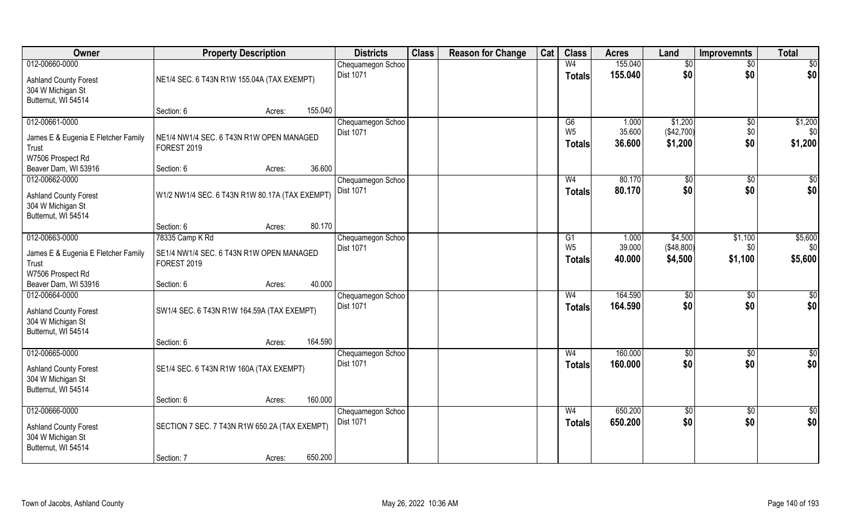| Owner                                             | <b>Property Description</b>                    |        |         | <b>Districts</b>  | <b>Class</b> | <b>Reason for Change</b> | Cat | <b>Class</b>   | <b>Acres</b> | Land       | <b>Improvemnts</b> | <b>Total</b>    |
|---------------------------------------------------|------------------------------------------------|--------|---------|-------------------|--------------|--------------------------|-----|----------------|--------------|------------|--------------------|-----------------|
| 012-00660-0000                                    |                                                |        |         | Chequamegon Schoo |              |                          |     | W <sub>4</sub> | 155.040      | \$0        | $\sqrt{6}$         | \$0             |
| <b>Ashland County Forest</b>                      | NE1/4 SEC. 6 T43N R1W 155.04A (TAX EXEMPT)     |        |         | <b>Dist 1071</b>  |              |                          |     | <b>Totals</b>  | 155.040      | \$0        | \$0                | \$0             |
| 304 W Michigan St                                 |                                                |        |         |                   |              |                          |     |                |              |            |                    |                 |
| Butternut, WI 54514                               |                                                |        |         |                   |              |                          |     |                |              |            |                    |                 |
|                                                   | Section: 6                                     | Acres: | 155.040 |                   |              |                          |     |                |              |            |                    |                 |
| 012-00661-0000                                    |                                                |        |         | Chequamegon Schoo |              |                          |     | G6             | 1.000        | \$1,200    | $\sqrt[6]{30}$     | \$1,200         |
| James E & Eugenia E Fletcher Family               | NE1/4 NW1/4 SEC. 6 T43N R1W OPEN MANAGED       |        |         | Dist 1071         |              |                          |     | W <sub>5</sub> | 35.600       | (\$42,700) | \$0                | \$0             |
| Trust                                             | <b>FOREST 2019</b>                             |        |         |                   |              |                          |     | <b>Totals</b>  | 36.600       | \$1,200    | \$0                | \$1,200         |
| W7506 Prospect Rd                                 |                                                |        |         |                   |              |                          |     |                |              |            |                    |                 |
| Beaver Dam, WI 53916                              | Section: 6                                     | Acres: | 36.600  |                   |              |                          |     |                |              |            |                    |                 |
| 012-00662-0000                                    |                                                |        |         | Chequamegon Schoo |              |                          |     | W <sub>4</sub> | 80.170       | \$0        | \$0                | \$0             |
| <b>Ashland County Forest</b>                      | W1/2 NW1/4 SEC. 6 T43N R1W 80.17A (TAX EXEMPT) |        |         | Dist 1071         |              |                          |     | <b>Totals</b>  | 80.170       | \$0        | \$0                | \$0             |
| 304 W Michigan St                                 |                                                |        |         |                   |              |                          |     |                |              |            |                    |                 |
| Butternut, WI 54514                               |                                                |        |         |                   |              |                          |     |                |              |            |                    |                 |
|                                                   | Section: 6                                     | Acres: | 80.170  |                   |              |                          |     |                |              |            |                    |                 |
| 012-00663-0000                                    | 78335 Camp K Rd                                |        |         | Chequamegon Schoo |              |                          |     | G1             | 1.000        | \$4,500    | \$1,100            | \$5,600         |
| James E & Eugenia E Fletcher Family               | SE1/4 NW1/4 SEC. 6 T43N R1W OPEN MANAGED       |        |         | Dist 1071         |              |                          |     | W <sub>5</sub> | 39.000       | (\$48,800) | \$0                | \$0             |
| Trust                                             | <b>FOREST 2019</b>                             |        |         |                   |              |                          |     | <b>Totals</b>  | 40.000       | \$4,500    | \$1,100            | \$5,600         |
| W7506 Prospect Rd                                 |                                                |        |         |                   |              |                          |     |                |              |            |                    |                 |
| Beaver Dam, WI 53916                              | Section: 6                                     | Acres: | 40.000  |                   |              |                          |     |                |              |            |                    |                 |
| 012-00664-0000                                    |                                                |        |         | Chequamegon Schoo |              |                          |     | W <sub>4</sub> | 164.590      | \$0        | $\overline{50}$    | $\overline{50}$ |
| <b>Ashland County Forest</b>                      | SW1/4 SEC. 6 T43N R1W 164.59A (TAX EXEMPT)     |        |         | Dist 1071         |              |                          |     | <b>Totals</b>  | 164.590      | \$0        | \$0                | \$0             |
| 304 W Michigan St                                 |                                                |        |         |                   |              |                          |     |                |              |            |                    |                 |
| Butternut, WI 54514                               |                                                |        |         |                   |              |                          |     |                |              |            |                    |                 |
|                                                   | Section: 6                                     | Acres: | 164.590 |                   |              |                          |     |                |              |            |                    |                 |
| 012-00665-0000                                    |                                                |        |         | Chequamegon Schoo |              |                          |     | W <sub>4</sub> | 160.000      | \$0        | $\sqrt{6}$         | $\overline{50}$ |
| <b>Ashland County Forest</b>                      | SE1/4 SEC. 6 T43N R1W 160A (TAX EXEMPT)        |        |         | Dist 1071         |              |                          |     | <b>Totals</b>  | 160.000      | \$0        | \$0                | \$0             |
| 304 W Michigan St                                 |                                                |        |         |                   |              |                          |     |                |              |            |                    |                 |
| Butternut, WI 54514                               |                                                |        |         |                   |              |                          |     |                |              |            |                    |                 |
|                                                   | Section: 6                                     | Acres: | 160.000 |                   |              |                          |     |                |              |            |                    |                 |
| 012-00666-0000                                    |                                                |        |         | Chequamegon Schoo |              |                          |     | W <sub>4</sub> | 650.200      | $\sqrt{6}$ | $\sqrt[6]{}$       | $\frac{1}{2}$   |
|                                                   | SECTION 7 SEC. 7 T43N R1W 650.2A (TAX EXEMPT)  |        |         | <b>Dist 1071</b>  |              |                          |     | Totals         | 650.200      | \$0        | \$0                | \$0             |
| <b>Ashland County Forest</b><br>304 W Michigan St |                                                |        |         |                   |              |                          |     |                |              |            |                    |                 |
| Butternut, WI 54514                               |                                                |        |         |                   |              |                          |     |                |              |            |                    |                 |
|                                                   | Section: 7                                     | Acres: | 650.200 |                   |              |                          |     |                |              |            |                    |                 |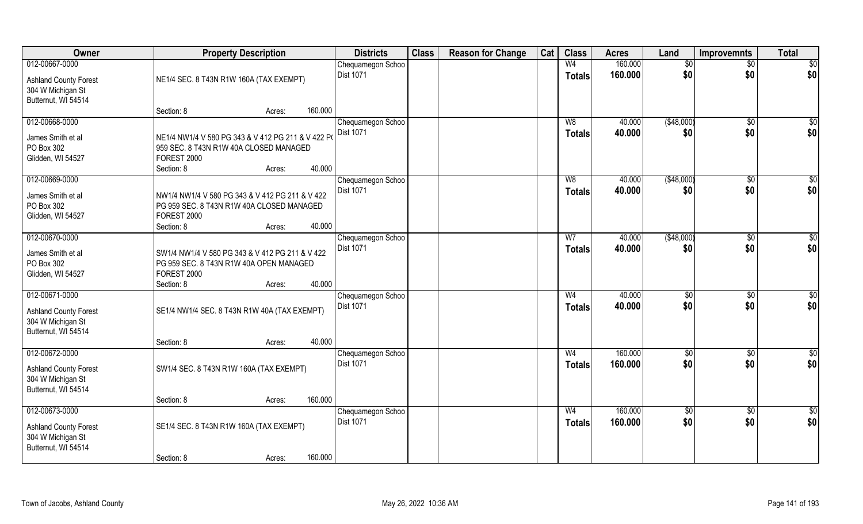| Owner                                             | <b>Property Description</b>                       |        |         | <b>Districts</b>  | <b>Class</b> | <b>Reason for Change</b> | Cat | <b>Class</b>   | <b>Acres</b> | Land        | <b>Improvemnts</b> | <b>Total</b>    |
|---------------------------------------------------|---------------------------------------------------|--------|---------|-------------------|--------------|--------------------------|-----|----------------|--------------|-------------|--------------------|-----------------|
| 012-00667-0000                                    |                                                   |        |         | Chequamegon Schoo |              |                          |     | W <sub>4</sub> | 160.000      | \$0         | $\sqrt{$0}$        | $\sqrt{50}$     |
| <b>Ashland County Forest</b>                      | NE1/4 SEC. 8 T43N R1W 160A (TAX EXEMPT)           |        |         | <b>Dist 1071</b>  |              |                          |     | <b>Totals</b>  | 160.000      | \$0         | \$0                | \$0             |
| 304 W Michigan St                                 |                                                   |        |         |                   |              |                          |     |                |              |             |                    |                 |
| Butternut, WI 54514                               |                                                   |        |         |                   |              |                          |     |                |              |             |                    |                 |
|                                                   | Section: 8                                        | Acres: | 160.000 |                   |              |                          |     |                |              |             |                    |                 |
| 012-00668-0000                                    |                                                   |        |         | Chequamegon Schoo |              |                          |     | W8             | 40.000       | ( \$48,000) | $\sqrt[6]{}$       | \$0             |
| James Smith et al                                 | NE1/4 NW1/4 V 580 PG 343 & V 412 PG 211 & V 422 P |        |         | Dist 1071         |              |                          |     | Totals         | 40.000       | \$0         | \$0                | \$0             |
| PO Box 302                                        | 959 SEC. 8 T43N R1W 40A CLOSED MANAGED            |        |         |                   |              |                          |     |                |              |             |                    |                 |
| Glidden, WI 54527                                 | FOREST 2000                                       |        |         |                   |              |                          |     |                |              |             |                    |                 |
|                                                   | Section: 8                                        | Acres: | 40.000  |                   |              |                          |     |                |              |             |                    |                 |
| 012-00669-0000                                    |                                                   |        |         | Chequamegon Schoo |              |                          |     | W8             | 40.000       | ( \$48,000) | $\overline{30}$    | $\sqrt{50}$     |
| James Smith et al                                 | NW1/4 NW1/4 V 580 PG 343 & V 412 PG 211 & V 422   |        |         | Dist 1071         |              |                          |     | <b>Totals</b>  | 40.000       | \$0         | \$0                | \$0             |
| PO Box 302                                        | PG 959 SEC. 8 T43N R1W 40A CLOSED MANAGED         |        |         |                   |              |                          |     |                |              |             |                    |                 |
| Glidden, WI 54527                                 | FOREST 2000                                       |        |         |                   |              |                          |     |                |              |             |                    |                 |
|                                                   | Section: 8                                        | Acres: | 40.000  |                   |              |                          |     |                |              |             |                    |                 |
| 012-00670-0000                                    |                                                   |        |         | Chequamegon Schoo |              |                          |     | W7             | 40.000       | (\$48,000)  | \$0                | \$0             |
| James Smith et al                                 | SW1/4 NW1/4 V 580 PG 343 & V 412 PG 211 & V 422   |        |         | Dist 1071         |              |                          |     | <b>Totals</b>  | 40.000       | \$0         | \$0                | \$0             |
| PO Box 302                                        | PG 959 SEC. 8 T43N R1W 40A OPEN MANAGED           |        |         |                   |              |                          |     |                |              |             |                    |                 |
| Glidden, WI 54527                                 | FOREST 2000                                       |        |         |                   |              |                          |     |                |              |             |                    |                 |
|                                                   | Section: 8                                        | Acres: | 40.000  |                   |              |                          |     |                |              |             |                    |                 |
| 012-00671-0000                                    |                                                   |        |         | Chequamegon Schoo |              |                          |     | W <sub>4</sub> | 40.000       | $\sqrt{50}$ | $\overline{30}$    | $\overline{50}$ |
| <b>Ashland County Forest</b>                      | SE1/4 NW1/4 SEC. 8 T43N R1W 40A (TAX EXEMPT)      |        |         | <b>Dist 1071</b>  |              |                          |     | <b>Totals</b>  | 40.000       | \$0         | \$0                | \$0             |
| 304 W Michigan St                                 |                                                   |        |         |                   |              |                          |     |                |              |             |                    |                 |
| Butternut, WI 54514                               |                                                   |        |         |                   |              |                          |     |                |              |             |                    |                 |
|                                                   | Section: 8                                        | Acres: | 40.000  |                   |              |                          |     |                |              |             |                    |                 |
| 012-00672-0000                                    |                                                   |        |         | Chequamegon Schoo |              |                          |     | W <sub>4</sub> | 160.000      | \$0         | $\sqrt{$0}$        | \$0             |
|                                                   |                                                   |        |         | Dist 1071         |              |                          |     | <b>Totals</b>  | 160.000      | \$0         | \$0                | \$0             |
| <b>Ashland County Forest</b><br>304 W Michigan St | SW1/4 SEC. 8 T43N R1W 160A (TAX EXEMPT)           |        |         |                   |              |                          |     |                |              |             |                    |                 |
| Butternut, WI 54514                               |                                                   |        |         |                   |              |                          |     |                |              |             |                    |                 |
|                                                   | Section: 8                                        | Acres: | 160.000 |                   |              |                          |     |                |              |             |                    |                 |
| 012-00673-0000                                    |                                                   |        |         | Chequamegon Schoo |              |                          |     | W <sub>4</sub> | 160.000      | $\sqrt{6}$  | $\sqrt{$0}$        | $\overline{50}$ |
|                                                   |                                                   |        |         | Dist 1071         |              |                          |     | Totals         | 160.000      | \$0         | \$0                | \$0             |
| <b>Ashland County Forest</b><br>304 W Michigan St | SE1/4 SEC. 8 T43N R1W 160A (TAX EXEMPT)           |        |         |                   |              |                          |     |                |              |             |                    |                 |
| Butternut, WI 54514                               |                                                   |        |         |                   |              |                          |     |                |              |             |                    |                 |
|                                                   | Section: 8                                        | Acres: | 160.000 |                   |              |                          |     |                |              |             |                    |                 |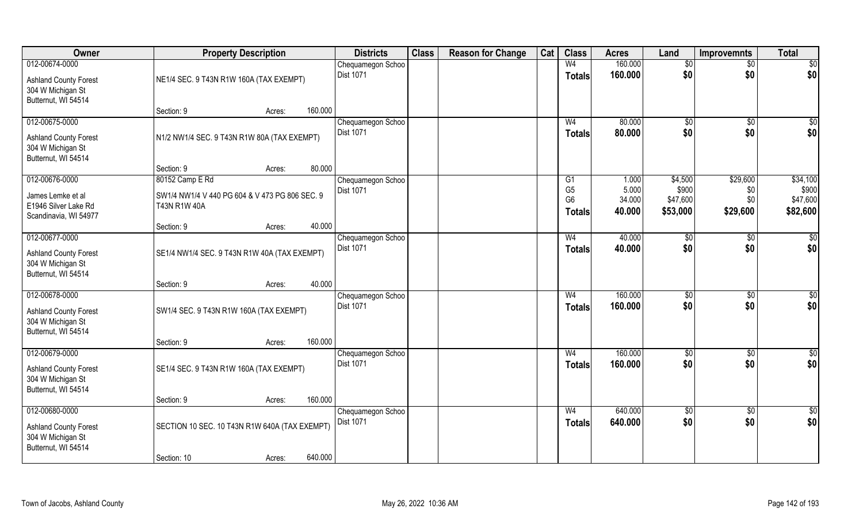| Owner                                                                                      | <b>Property Description</b>                                           |        |         | <b>Districts</b>                      | <b>Class</b> | <b>Reason for Change</b> | Cat | <b>Class</b>                                      | <b>Acres</b>              | Land                          | <b>Improvemnts</b>     | <b>Total</b>                  |
|--------------------------------------------------------------------------------------------|-----------------------------------------------------------------------|--------|---------|---------------------------------------|--------------|--------------------------|-----|---------------------------------------------------|---------------------------|-------------------------------|------------------------|-------------------------------|
| 012-00674-0000<br><b>Ashland County Forest</b><br>304 W Michigan St                        | NE1/4 SEC. 9 T43N R1W 160A (TAX EXEMPT)                               |        |         | Chequamegon Schoo<br><b>Dist 1071</b> |              |                          |     | W <sub>4</sub><br><b>Totals</b>                   | 160.000<br>160,000        | $\sqrt{$0}$<br>\$0            | $\sqrt{$0}$<br>\$0     | $\overline{50}$<br> \$0       |
| Butternut, WI 54514                                                                        | Section: 9                                                            | Acres: | 160.000 |                                       |              |                          |     |                                                   |                           |                               |                        |                               |
| 012-00675-0000<br><b>Ashland County Forest</b><br>304 W Michigan St<br>Butternut, WI 54514 | N1/2 NW1/4 SEC. 9 T43N R1W 80A (TAX EXEMPT)                           |        |         | Chequamegon Schoo<br><b>Dist 1071</b> |              |                          |     | W <sub>4</sub><br>Totals                          | 80.000<br>80.000          | $\sqrt{50}$<br>\$0            | \$0<br>\$0             | $\sqrt{50}$<br>\$0            |
| 012-00676-0000                                                                             | Section: 9<br>80152 Camp E Rd                                         | Acres: | 80.000  | Chequamegon Schoo                     |              |                          |     | G1                                                | 1.000                     | \$4,500                       | \$29,600               | \$34,100                      |
| James Lemke et al<br>E1946 Silver Lake Rd<br>Scandinavia, WI 54977                         | SW1/4 NW1/4 V 440 PG 604 & V 473 PG 806 SEC. 9<br><b>T43N R1W 40A</b> |        |         | Dist 1071                             |              |                          |     | G <sub>5</sub><br>G <sub>6</sub><br><b>Totals</b> | 5.000<br>34.000<br>40.000 | \$900<br>\$47,600<br>\$53,000 | \$0<br>\$0<br>\$29,600 | \$900<br>\$47,600<br>\$82,600 |
|                                                                                            | Section: 9                                                            | Acres: | 40.000  |                                       |              |                          |     |                                                   |                           |                               |                        |                               |
| 012-00677-0000<br><b>Ashland County Forest</b><br>304 W Michigan St<br>Butternut, WI 54514 | SE1/4 NW1/4 SEC. 9 T43N R1W 40A (TAX EXEMPT)                          |        |         | Chequamegon Schoo<br>Dist 1071        |              |                          |     | W <sub>4</sub><br><b>Totals</b>                   | 40.000<br>40.000          | \$0<br>\$0                    | $\sqrt[6]{3}$<br>\$0   | $\overline{50}$<br>\$0        |
|                                                                                            | Section: 9                                                            | Acres: | 40.000  |                                       |              |                          |     |                                                   |                           |                               |                        |                               |
| 012-00678-0000<br><b>Ashland County Forest</b><br>304 W Michigan St<br>Butternut, WI 54514 | SW1/4 SEC. 9 T43N R1W 160A (TAX EXEMPT)                               |        |         | Chequamegon Schoo<br><b>Dist 1071</b> |              |                          |     | W <sub>4</sub><br><b>Totals</b>                   | 160.000<br>160.000        | \$0<br>\$0                    | \$0<br>\$0             | $\sqrt{50}$<br>\$0            |
|                                                                                            | Section: 9                                                            | Acres: | 160.000 |                                       |              |                          |     |                                                   |                           |                               |                        |                               |
| 012-00679-0000<br><b>Ashland County Forest</b><br>304 W Michigan St<br>Butternut, WI 54514 | SE1/4 SEC. 9 T43N R1W 160A (TAX EXEMPT)                               |        |         | Chequamegon Schoo<br><b>Dist 1071</b> |              |                          |     | W <sub>4</sub><br><b>Totals</b>                   | 160.000<br>160.000        | \$0<br>\$0                    | \$0<br>\$0             | \$0<br>\$0                    |
|                                                                                            | Section: 9                                                            | Acres: | 160.000 |                                       |              |                          |     |                                                   |                           |                               |                        |                               |
| 012-00680-0000<br><b>Ashland County Forest</b><br>304 W Michigan St<br>Butternut, WI 54514 | SECTION 10 SEC. 10 T43N R1W 640A (TAX EXEMPT)                         |        |         | Chequamegon Schoo<br>Dist 1071        |              |                          |     | W <sub>4</sub><br>Totals                          | 640.000<br>640.000        | $\sqrt{6}$<br>\$0             | $\sqrt{$0}$<br>\$0     | $\overline{50}$<br>\$0        |
|                                                                                            | Section: 10                                                           | Acres: | 640.000 |                                       |              |                          |     |                                                   |                           |                               |                        |                               |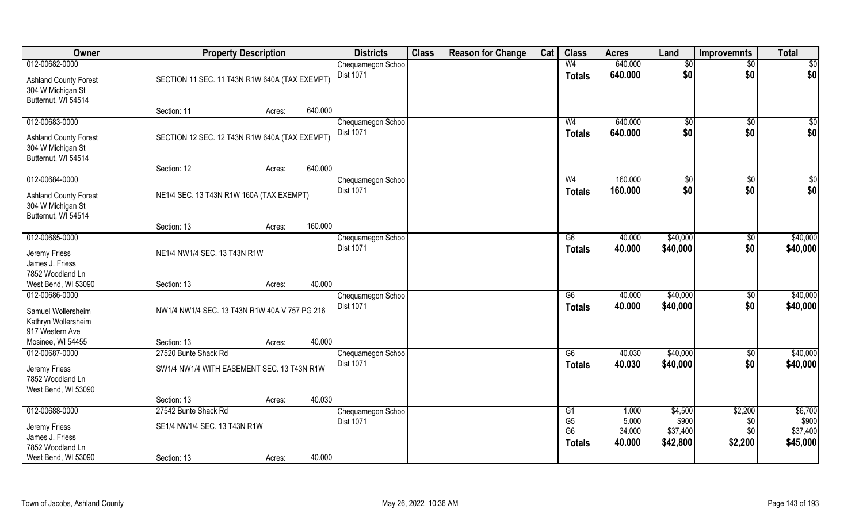| Owner                                                                    |                                               | <b>Property Description</b> |         | <b>Districts</b>  | <b>Class</b> | <b>Reason for Change</b> | Cat | <b>Class</b>                                      | <b>Acres</b>              | Land                          | <b>Improvemnts</b>    | <b>Total</b>                  |
|--------------------------------------------------------------------------|-----------------------------------------------|-----------------------------|---------|-------------------|--------------|--------------------------|-----|---------------------------------------------------|---------------------------|-------------------------------|-----------------------|-------------------------------|
| 012-00682-0000                                                           |                                               |                             |         | Chequamegon Schoo |              |                          |     | W <sub>4</sub>                                    | 640.000                   | \$0                           | $\sqrt{6}$            | \$0                           |
| <b>Ashland County Forest</b><br>304 W Michigan St<br>Butternut, WI 54514 | SECTION 11 SEC. 11 T43N R1W 640A (TAX EXEMPT) |                             |         | <b>Dist 1071</b>  |              |                          |     | <b>Totals</b>                                     | 640.000                   | \$0                           | \$0                   | \$0                           |
|                                                                          | Section: 11                                   | Acres:                      | 640.000 |                   |              |                          |     |                                                   |                           |                               |                       |                               |
| 012-00683-0000                                                           |                                               |                             |         | Chequamegon Schoo |              |                          |     | W <sub>4</sub>                                    | 640.000                   | $\sqrt{$0}$                   | $\sqrt{6}$            | \$0                           |
| <b>Ashland County Forest</b><br>304 W Michigan St<br>Butternut, WI 54514 | SECTION 12 SEC. 12 T43N R1W 640A (TAX EXEMPT) |                             |         | <b>Dist 1071</b>  |              |                          |     | <b>Totals</b>                                     | 640.000                   | \$0                           | \$0                   | \$0                           |
|                                                                          | Section: 12                                   | Acres:                      | 640.000 |                   |              |                          |     |                                                   |                           |                               |                       |                               |
| 012-00684-0000                                                           |                                               |                             |         | Chequamegon Schoo |              |                          |     | W <sub>4</sub>                                    | 160.000                   | \$0                           | \$0                   | \$0                           |
| <b>Ashland County Forest</b><br>304 W Michigan St<br>Butternut, WI 54514 | NE1/4 SEC. 13 T43N R1W 160A (TAX EXEMPT)      |                             |         | Dist 1071         |              |                          |     | <b>Totals</b>                                     | 160.000                   | \$0                           | \$0                   | \$0                           |
|                                                                          | Section: 13                                   | Acres:                      | 160.000 |                   |              |                          |     |                                                   |                           |                               |                       |                               |
| 012-00685-0000                                                           |                                               |                             |         | Chequamegon Schoo |              |                          |     | G6                                                | 40.000                    | \$40,000                      | \$0                   | \$40,000                      |
| Jeremy Friess<br>James J. Friess<br>7852 Woodland Ln                     | NE1/4 NW1/4 SEC. 13 T43N R1W                  |                             |         | Dist 1071         |              |                          |     | <b>Totals</b>                                     | 40.000                    | \$40,000                      | \$0                   | \$40,000                      |
| West Bend, WI 53090                                                      | Section: 13                                   | Acres:                      | 40.000  |                   |              |                          |     |                                                   |                           |                               |                       |                               |
| 012-00686-0000                                                           |                                               |                             |         | Chequamegon Schoo |              |                          |     | $\overline{G6}$                                   | 40.000                    | \$40,000                      | $\overline{50}$       | \$40,000                      |
| Samuel Wollersheim<br>Kathryn Wollersheim<br>917 Western Ave             | NW1/4 NW1/4 SEC. 13 T43N R1W 40A V 757 PG 216 |                             |         | Dist 1071         |              |                          |     | <b>Totals</b>                                     | 40.000                    | \$40,000                      | \$0                   | \$40,000                      |
| Mosinee, WI 54455                                                        | Section: 13                                   | Acres:                      | 40.000  |                   |              |                          |     |                                                   |                           |                               |                       |                               |
| 012-00687-0000                                                           | 27520 Bunte Shack Rd                          |                             |         | Chequamegon Schoo |              |                          |     | G6                                                | 40.030                    | \$40,000                      | $\sqrt{6}$            | \$40,000                      |
| Jeremy Friess<br>7852 Woodland Ln<br>West Bend, WI 53090                 | SW1/4 NW1/4 WITH EASEMENT SEC. 13 T43N R1W    |                             |         | <b>Dist 1071</b>  |              |                          |     | <b>Totals</b>                                     | 40.030                    | \$40,000                      | \$0                   | \$40,000                      |
|                                                                          | Section: 13                                   | Acres:                      | 40.030  |                   |              |                          |     |                                                   |                           |                               |                       |                               |
| 012-00688-0000                                                           | 27542 Bunte Shack Rd                          |                             |         | Chequamegon Schoo |              |                          |     | G1                                                | 1.000                     | \$4,500                       | \$2,200               | \$6,700                       |
| Jeremy Friess<br>James J. Friess<br>7852 Woodland Ln                     | SE1/4 NW1/4 SEC. 13 T43N R1W                  |                             |         | Dist 1071         |              |                          |     | G <sub>5</sub><br>G <sub>6</sub><br><b>Totals</b> | 5.000<br>34.000<br>40.000 | \$900<br>\$37,400<br>\$42,800 | \$0<br>\$0<br>\$2,200 | \$900<br>\$37,400<br>\$45,000 |
| West Bend, WI 53090                                                      | Section: 13                                   | Acres:                      | 40.000  |                   |              |                          |     |                                                   |                           |                               |                       |                               |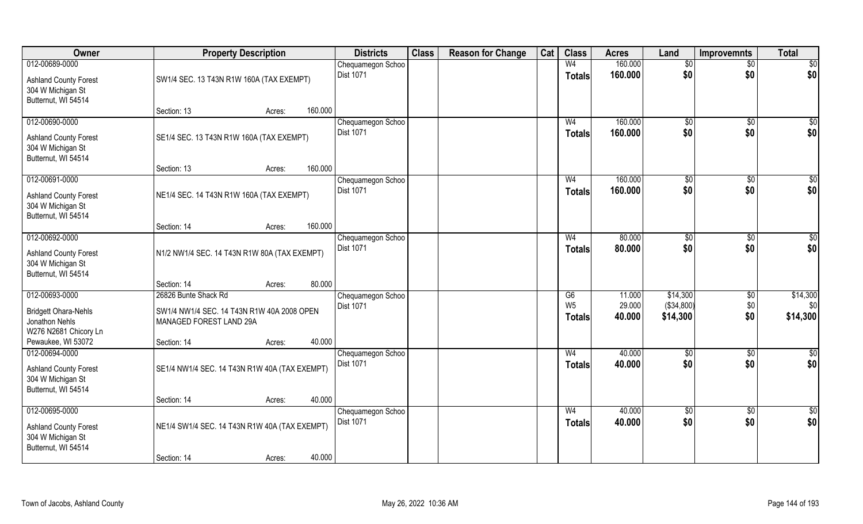| Owner                                             | <b>Property Description</b>                   |                   | <b>Districts</b>                      | <b>Class</b> | <b>Reason for Change</b> | Cat | <b>Class</b>    | <b>Acres</b> | Land       | <b>Improvemnts</b> | <b>Total</b>    |
|---------------------------------------------------|-----------------------------------------------|-------------------|---------------------------------------|--------------|--------------------------|-----|-----------------|--------------|------------|--------------------|-----------------|
| 012-00689-0000                                    |                                               |                   | Chequamegon Schoo                     |              |                          |     | W <sub>4</sub>  | 160.000      | \$0        | $\sqrt{6}$         | \$0             |
| <b>Ashland County Forest</b>                      | SW1/4 SEC. 13 T43N R1W 160A (TAX EXEMPT)      |                   | Dist 1071                             |              |                          |     | <b>Totals</b>   | 160.000      | \$0        | \$0                | \$0             |
| 304 W Michigan St                                 |                                               |                   |                                       |              |                          |     |                 |              |            |                    |                 |
| Butternut, WI 54514                               |                                               |                   |                                       |              |                          |     |                 |              |            |                    |                 |
|                                                   | Section: 13                                   | 160.000<br>Acres: |                                       |              |                          |     |                 |              |            |                    |                 |
| 012-00690-0000                                    |                                               |                   | Chequamegon Schoo                     |              |                          |     | W <sub>4</sub>  | 160.000      | \$0        | $\sqrt{6}$         | \$0             |
| <b>Ashland County Forest</b>                      | SE1/4 SEC. 13 T43N R1W 160A (TAX EXEMPT)      |                   | <b>Dist 1071</b>                      |              |                          |     | Totals          | 160.000      | \$0        | \$0                | \$0             |
| 304 W Michigan St                                 |                                               |                   |                                       |              |                          |     |                 |              |            |                    |                 |
| Butternut, WI 54514                               |                                               |                   |                                       |              |                          |     |                 |              |            |                    |                 |
| 012-00691-0000                                    | Section: 13                                   | 160.000<br>Acres: | Chequamegon Schoo                     |              |                          |     | W <sub>4</sub>  | 160.000      |            | \$0                | \$0             |
|                                                   |                                               |                   | Dist 1071                             |              |                          |     | <b>Totals</b>   | 160.000      | \$0<br>\$0 | \$0                | \$0             |
| <b>Ashland County Forest</b>                      | NE1/4 SEC. 14 T43N R1W 160A (TAX EXEMPT)      |                   |                                       |              |                          |     |                 |              |            |                    |                 |
| 304 W Michigan St                                 |                                               |                   |                                       |              |                          |     |                 |              |            |                    |                 |
| Butternut, WI 54514                               | Section: 14                                   | 160.000<br>Acres: |                                       |              |                          |     |                 |              |            |                    |                 |
| 012-00692-0000                                    |                                               |                   | Chequamegon Schoo                     |              |                          |     | W <sub>4</sub>  | 80.000       | \$0        | $\sqrt[6]{}$       | \$0             |
|                                                   |                                               |                   | Dist 1071                             |              |                          |     | <b>Totals</b>   | 80.000       | \$0        | \$0                | \$0             |
| <b>Ashland County Forest</b><br>304 W Michigan St | N1/2 NW1/4 SEC. 14 T43N R1W 80A (TAX EXEMPT)  |                   |                                       |              |                          |     |                 |              |            |                    |                 |
| Butternut, WI 54514                               |                                               |                   |                                       |              |                          |     |                 |              |            |                    |                 |
|                                                   | Section: 14                                   | 80.000<br>Acres:  |                                       |              |                          |     |                 |              |            |                    |                 |
| 012-00693-0000                                    | 26826 Bunte Shack Rd                          |                   | Chequamegon Schoo                     |              |                          |     | $\overline{G6}$ | 11.000       | \$14,300   | $\overline{50}$    | \$14,300        |
| <b>Bridgett Ohara-Nehls</b>                       | SW1/4 NW1/4 SEC. 14 T43N R1W 40A 2008 OPEN    |                   | Dist 1071                             |              |                          |     | W <sub>5</sub>  | 29.000       | (\$34,800) | \$0                | \$0             |
| Jonathon Nehls                                    | MANAGED FOREST LAND 29A                       |                   |                                       |              |                          |     | <b>Totals</b>   | 40.000       | \$14,300   | \$0                | \$14,300        |
| W276 N2681 Chicory Ln                             |                                               |                   |                                       |              |                          |     |                 |              |            |                    |                 |
| Pewaukee, WI 53072                                | Section: 14                                   | 40.000<br>Acres:  |                                       |              |                          |     |                 |              |            |                    |                 |
| 012-00694-0000                                    |                                               |                   | Chequamegon Schoo                     |              |                          |     | W <sub>4</sub>  | 40.000       | \$0        | $\sqrt{6}$         | $\overline{50}$ |
| <b>Ashland County Forest</b>                      | SE1/4 NW1/4 SEC. 14 T43N R1W 40A (TAX EXEMPT) |                   | Dist 1071                             |              |                          |     | <b>Totals</b>   | 40.000       | \$0        | \$0                | \$0             |
| 304 W Michigan St                                 |                                               |                   |                                       |              |                          |     |                 |              |            |                    |                 |
| Butternut, WI 54514                               |                                               |                   |                                       |              |                          |     |                 |              |            |                    |                 |
|                                                   | Section: 14                                   | 40.000<br>Acres:  |                                       |              |                          |     |                 |              |            |                    |                 |
| 012-00695-0000                                    |                                               |                   | Chequamegon Schoo<br><b>Dist 1071</b> |              |                          |     | W <sub>4</sub>  | 40.000       | $\sqrt{6}$ | $\sqrt[6]{30}$     | $\frac{1}{2}$   |
| <b>Ashland County Forest</b>                      | NE1/4 SW1/4 SEC. 14 T43N R1W 40A (TAX EXEMPT) |                   |                                       |              |                          |     | Totals          | 40.000       | \$0        | \$0                | \$0             |
| 304 W Michigan St                                 |                                               |                   |                                       |              |                          |     |                 |              |            |                    |                 |
| Butternut, WI 54514                               |                                               | 40.000            |                                       |              |                          |     |                 |              |            |                    |                 |
|                                                   | Section: 14                                   | Acres:            |                                       |              |                          |     |                 |              |            |                    |                 |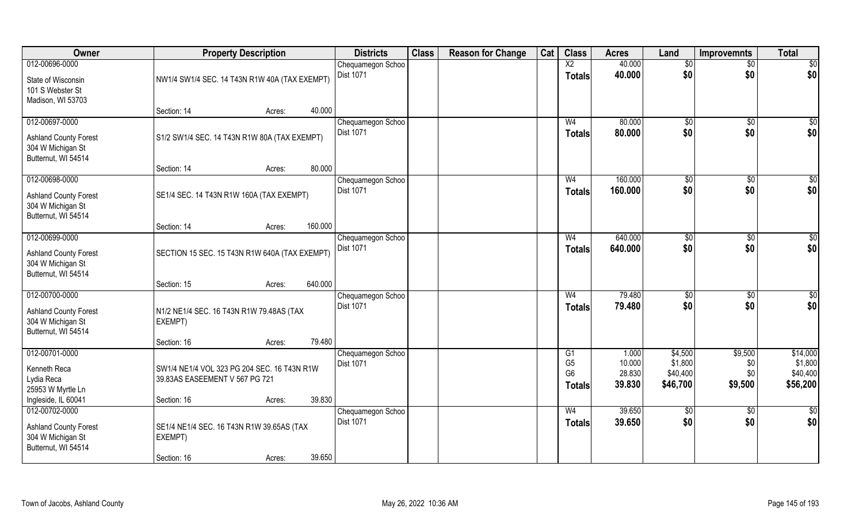| Owner                                                                    |                                                                               | <b>Property Description</b> |         | <b>Districts</b>                      | <b>Class</b> | <b>Reason for Change</b> | Cat | <b>Class</b>                               | <b>Acres</b>               | Land                            | <b>Improvemnts</b>    | <b>Total</b>                    |
|--------------------------------------------------------------------------|-------------------------------------------------------------------------------|-----------------------------|---------|---------------------------------------|--------------|--------------------------|-----|--------------------------------------------|----------------------------|---------------------------------|-----------------------|---------------------------------|
| 012-00696-0000                                                           |                                                                               |                             |         | Chequamegon Schoo                     |              |                          |     | $\overline{X2}$                            | 40.000                     | \$0                             | $\sqrt{6}$            | \$0                             |
| State of Wisconsin<br>101 S Webster St<br>Madison, WI 53703              | NW1/4 SW1/4 SEC. 14 T43N R1W 40A (TAX EXEMPT)                                 |                             |         | <b>Dist 1071</b>                      |              |                          |     | <b>Totals</b>                              | 40.000                     | \$0                             | \$0                   | \$0                             |
|                                                                          | Section: 14                                                                   | Acres:                      | 40.000  |                                       |              |                          |     |                                            |                            |                                 |                       |                                 |
| 012-00697-0000                                                           |                                                                               |                             |         | Chequamegon Schoo<br><b>Dist 1071</b> |              |                          |     | W <sub>4</sub>                             | 80.000<br>80.000           | $\sqrt{$0}$                     | \$0<br>\$0            | \$0<br>\$0                      |
| <b>Ashland County Forest</b><br>304 W Michigan St<br>Butternut, WI 54514 | S1/2 SW1/4 SEC. 14 T43N R1W 80A (TAX EXEMPT)                                  |                             |         |                                       |              |                          |     | <b>Totals</b>                              |                            | \$0                             |                       |                                 |
|                                                                          | Section: 14                                                                   | Acres:                      | 80.000  |                                       |              |                          |     |                                            |                            |                                 |                       |                                 |
| 012-00698-0000                                                           |                                                                               |                             |         | Chequamegon Schoo                     |              |                          |     | W <sub>4</sub>                             | 160.000                    | \$0                             | \$0                   | \$0                             |
| <b>Ashland County Forest</b><br>304 W Michigan St<br>Butternut, WI 54514 | SE1/4 SEC. 14 T43N R1W 160A (TAX EXEMPT)                                      |                             |         | Dist 1071                             |              |                          |     | <b>Totals</b>                              | 160.000                    | \$0                             | \$0                   | \$0                             |
|                                                                          | Section: 14                                                                   | Acres:                      | 160.000 |                                       |              |                          |     |                                            |                            |                                 |                       |                                 |
| 012-00699-0000                                                           |                                                                               |                             |         | Chequamegon Schoo                     |              |                          |     | W <sub>4</sub>                             | 640.000                    | \$0                             | \$0                   | \$0                             |
| <b>Ashland County Forest</b><br>304 W Michigan St<br>Butternut, WI 54514 | SECTION 15 SEC. 15 T43N R1W 640A (TAX EXEMPT)                                 |                             |         | <b>Dist 1071</b>                      |              |                          |     | <b>Totals</b>                              | 640.000                    | \$0                             | \$0                   | \$0                             |
|                                                                          | Section: 15                                                                   | Acres:                      | 640.000 |                                       |              |                          |     |                                            |                            |                                 |                       |                                 |
| 012-00700-0000                                                           |                                                                               |                             |         | Chequamegon Schoo                     |              |                          |     | W <sub>4</sub>                             | 79.480                     | \$0                             | \$0                   | \$0                             |
| <b>Ashland County Forest</b><br>304 W Michigan St<br>Butternut, WI 54514 | N1/2 NE1/4 SEC. 16 T43N R1W 79.48AS (TAX<br>EXEMPT)                           |                             |         | Dist 1071                             |              |                          |     | <b>Totals</b>                              | 79.480                     | \$0                             | \$0                   | \$0                             |
|                                                                          | Section: 16                                                                   | Acres:                      | 79.480  |                                       |              |                          |     |                                            |                            |                                 |                       |                                 |
| 012-00701-0000                                                           |                                                                               |                             |         | Chequamegon Schoo                     |              |                          |     | G1                                         | 1.000                      | \$4,500                         | \$9,500               | \$14,000                        |
| Kenneth Reca<br>Lydia Reca<br>25953 W Myrtle Ln                          | SW1/4 NE1/4 VOL 323 PG 204 SEC, 16 T43N R1W<br>39.83AS EASEEMENT V 567 PG 721 |                             |         | <b>Dist 1071</b>                      |              |                          |     | G <sub>5</sub><br>G <sub>6</sub><br>Totals | 10.000<br>28.830<br>39.830 | \$1,800<br>\$40,400<br>\$46,700 | \$0<br>\$0<br>\$9,500 | \$1,800<br>\$40,400<br>\$56,200 |
| Ingleside, IL 60041                                                      | Section: 16                                                                   | Acres:                      | 39.830  |                                       |              |                          |     |                                            |                            |                                 |                       |                                 |
| 012-00702-0000                                                           |                                                                               |                             |         | Chequamegon Schoo                     |              |                          |     | W <sub>4</sub>                             | 39.650                     | \$0                             | $\sqrt{6}$            | \$0                             |
| <b>Ashland County Forest</b><br>304 W Michigan St<br>Butternut, WI 54514 | SE1/4 NE1/4 SEC. 16 T43N R1W 39.65AS (TAX<br>EXEMPT)                          |                             |         | Dist 1071                             |              |                          |     | <b>Totals</b>                              | 39.650                     | \$0                             | \$0                   | \$0                             |
|                                                                          | Section: 16                                                                   | Acres:                      | 39.650  |                                       |              |                          |     |                                            |                            |                                 |                       |                                 |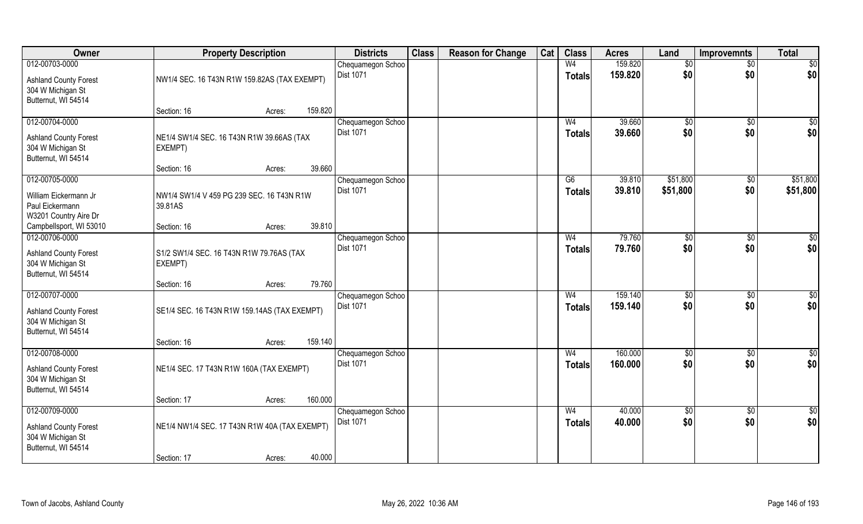| Owner                                             |                                                     | <b>Property Description</b> |         | <b>Districts</b>               | <b>Class</b> | <b>Reason for Change</b> | Cat | <b>Class</b>   | <b>Acres</b>     | Land              | <b>Improvemnts</b> | <b>Total</b>    |
|---------------------------------------------------|-----------------------------------------------------|-----------------------------|---------|--------------------------------|--------------|--------------------------|-----|----------------|------------------|-------------------|--------------------|-----------------|
| 012-00703-0000                                    |                                                     |                             |         | Chequamegon Schoo              |              |                          |     | W <sub>4</sub> | 159.820          | \$0               | $\sqrt{$0}$        | $\overline{50}$ |
| <b>Ashland County Forest</b>                      | NW1/4 SEC. 16 T43N R1W 159.82AS (TAX EXEMPT)        |                             |         | <b>Dist 1071</b>               |              |                          |     | <b>Totals</b>  | 159.820          | \$0               | \$0                | \$0             |
| 304 W Michigan St                                 |                                                     |                             |         |                                |              |                          |     |                |                  |                   |                    |                 |
| Butternut, WI 54514                               |                                                     |                             |         |                                |              |                          |     |                |                  |                   |                    |                 |
|                                                   | Section: 16                                         | Acres:                      | 159.820 |                                |              |                          |     |                |                  |                   |                    |                 |
| 012-00704-0000                                    |                                                     |                             |         | Chequamegon Schoo<br>Dist 1071 |              |                          |     | W <sub>4</sub> | 39.660<br>39.660 | $\sqrt{6}$<br>\$0 | \$0<br>\$0         | \$0<br>\$0      |
| <b>Ashland County Forest</b>                      | NE1/4 SW1/4 SEC. 16 T43N R1W 39.66AS (TAX           |                             |         |                                |              |                          |     | Totals         |                  |                   |                    |                 |
| 304 W Michigan St                                 | EXEMPT)                                             |                             |         |                                |              |                          |     |                |                  |                   |                    |                 |
| Butternut, WI 54514                               | Section: 16                                         |                             | 39.660  |                                |              |                          |     |                |                  |                   |                    |                 |
| 012-00705-0000                                    |                                                     | Acres:                      |         | Chequamegon Schoo              |              |                          |     | G6             | 39.810           | \$51,800          | $\overline{50}$    | \$51,800        |
|                                                   |                                                     |                             |         | Dist 1071                      |              |                          |     | Totals         | 39.810           | \$51,800          | \$0                | \$51,800        |
| William Eickermann Jr                             | NW1/4 SW1/4 V 459 PG 239 SEC. 16 T43N R1W           |                             |         |                                |              |                          |     |                |                  |                   |                    |                 |
| Paul Eickermann<br>W3201 Country Aire Dr          | 39.81AS                                             |                             |         |                                |              |                          |     |                |                  |                   |                    |                 |
| Campbellsport, WI 53010                           | Section: 16                                         | Acres:                      | 39.810  |                                |              |                          |     |                |                  |                   |                    |                 |
| 012-00706-0000                                    |                                                     |                             |         | Chequamegon Schoo              |              |                          |     | W <sub>4</sub> | 79.760           | \$0               | $\sqrt[6]{3}$      | $\sqrt{50}$     |
|                                                   |                                                     |                             |         | <b>Dist 1071</b>               |              |                          |     | <b>Totals</b>  | 79.760           | \$0               | \$0                | \$0             |
| <b>Ashland County Forest</b><br>304 W Michigan St | S1/2 SW1/4 SEC. 16 T43N R1W 79.76AS (TAX<br>EXEMPT) |                             |         |                                |              |                          |     |                |                  |                   |                    |                 |
| Butternut, WI 54514                               |                                                     |                             |         |                                |              |                          |     |                |                  |                   |                    |                 |
|                                                   | Section: 16                                         | Acres:                      | 79.760  |                                |              |                          |     |                |                  |                   |                    |                 |
| 012-00707-0000                                    |                                                     |                             |         | Chequamegon Schoo              |              |                          |     | W <sub>4</sub> | 159.140          | \$0               | \$0                | $\sqrt{50}$     |
| <b>Ashland County Forest</b>                      | SE1/4 SEC. 16 T43N R1W 159.14AS (TAX EXEMPT)        |                             |         | <b>Dist 1071</b>               |              |                          |     | <b>Totals</b>  | 159.140          | \$0               | \$0                | \$0             |
| 304 W Michigan St                                 |                                                     |                             |         |                                |              |                          |     |                |                  |                   |                    |                 |
| Butternut, WI 54514                               |                                                     |                             |         |                                |              |                          |     |                |                  |                   |                    |                 |
|                                                   | Section: 16                                         | Acres:                      | 159.140 |                                |              |                          |     |                |                  |                   |                    |                 |
| 012-00708-0000                                    |                                                     |                             |         | Chequamegon Schoo              |              |                          |     | W <sub>4</sub> | 160.000          | \$0               | \$0                | \$0             |
| <b>Ashland County Forest</b>                      | NE1/4 SEC. 17 T43N R1W 160A (TAX EXEMPT)            |                             |         | Dist 1071                      |              |                          |     | <b>Totals</b>  | 160.000          | \$0               | \$0                | \$0             |
| 304 W Michigan St                                 |                                                     |                             |         |                                |              |                          |     |                |                  |                   |                    |                 |
| Butternut, WI 54514                               |                                                     |                             | 160.000 |                                |              |                          |     |                |                  |                   |                    |                 |
| 012-00709-0000                                    | Section: 17                                         | Acres:                      |         | Chequamegon Schoo              |              |                          |     | W <sub>4</sub> | 40.000           | \$0               | $\sqrt{$0}$        | $\overline{50}$ |
|                                                   |                                                     |                             |         | <b>Dist 1071</b>               |              |                          |     | Totals         | 40.000           | \$0               | \$0                | \$0             |
| <b>Ashland County Forest</b>                      | NE1/4 NW1/4 SEC. 17 T43N R1W 40A (TAX EXEMPT)       |                             |         |                                |              |                          |     |                |                  |                   |                    |                 |
| 304 W Michigan St<br>Butternut, WI 54514          |                                                     |                             |         |                                |              |                          |     |                |                  |                   |                    |                 |
|                                                   | Section: 17                                         | Acres:                      | 40.000  |                                |              |                          |     |                |                  |                   |                    |                 |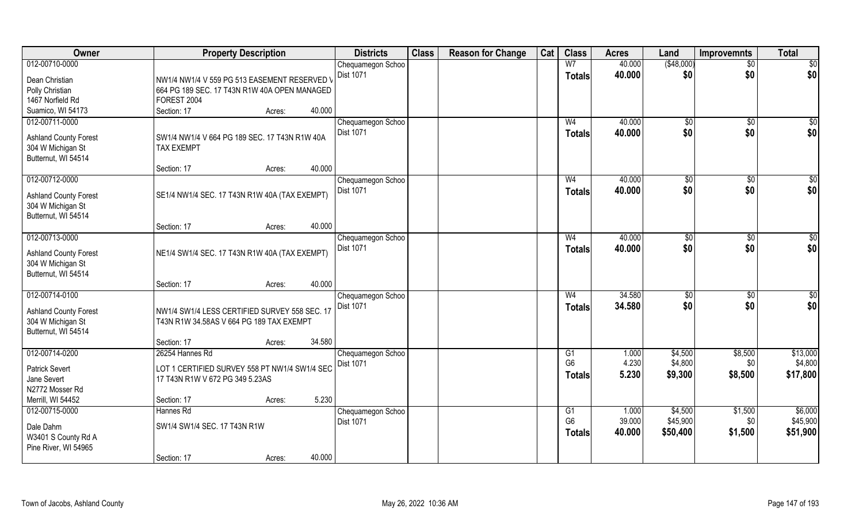| Owner                        |                                               | <b>Property Description</b> |        | <b>Districts</b>                      | <b>Class</b> | <b>Reason for Change</b> | Cat | <b>Class</b>   | <b>Acres</b> | Land          | <b>Improvemnts</b> | <b>Total</b> |
|------------------------------|-----------------------------------------------|-----------------------------|--------|---------------------------------------|--------------|--------------------------|-----|----------------|--------------|---------------|--------------------|--------------|
| 012-00710-0000               |                                               |                             |        | Chequamegon Schoo                     |              |                          |     | W <sub>7</sub> | 40.000       | ( \$48,000)   | $\sqrt{$0}$        | \$0          |
| Dean Christian               | NW1/4 NW1/4 V 559 PG 513 EASEMENT RESERVED V  |                             |        | <b>Dist 1071</b>                      |              |                          |     | <b>Totals</b>  | 40.000       | \$0           | \$0                | \$0          |
| Polly Christian              | 664 PG 189 SEC. 17 T43N R1W 40A OPEN MANAGED  |                             |        |                                       |              |                          |     |                |              |               |                    |              |
| 1467 Norfield Rd             | FOREST 2004                                   |                             |        |                                       |              |                          |     |                |              |               |                    |              |
| Suamico, WI 54173            | Section: 17                                   | Acres:                      | 40.000 |                                       |              |                          |     |                |              |               |                    |              |
| 012-00711-0000               |                                               |                             |        | Chequamegon Schoo                     |              |                          |     | W <sub>4</sub> | 40.000       | $\sqrt[6]{}$  | $\sqrt{$0}$        | \$0          |
|                              |                                               |                             |        | <b>Dist 1071</b>                      |              |                          |     | <b>Totals</b>  | 40.000       | \$0           | \$0                | \$0          |
| <b>Ashland County Forest</b> | SW1/4 NW1/4 V 664 PG 189 SEC. 17 T43N R1W 40A |                             |        |                                       |              |                          |     |                |              |               |                    |              |
| 304 W Michigan St            | <b>TAX EXEMPT</b>                             |                             |        |                                       |              |                          |     |                |              |               |                    |              |
| Butternut, WI 54514          |                                               |                             | 40.000 |                                       |              |                          |     |                |              |               |                    |              |
|                              | Section: 17                                   | Acres:                      |        |                                       |              |                          |     |                |              |               |                    |              |
| 012-00712-0000               |                                               |                             |        | Chequamegon Schoo                     |              |                          |     | W <sub>4</sub> | 40.000       | $\sqrt[6]{2}$ | \$0                | $\sqrt{50}$  |
| <b>Ashland County Forest</b> | SE1/4 NW1/4 SEC. 17 T43N R1W 40A (TAX EXEMPT) |                             |        | Dist 1071                             |              |                          |     | <b>Totals</b>  | 40.000       | \$0           | \$0                | \$0          |
| 304 W Michigan St            |                                               |                             |        |                                       |              |                          |     |                |              |               |                    |              |
| Butternut, WI 54514          |                                               |                             |        |                                       |              |                          |     |                |              |               |                    |              |
|                              | Section: 17                                   | Acres:                      | 40.000 |                                       |              |                          |     |                |              |               |                    |              |
| 012-00713-0000               |                                               |                             |        | Chequamegon Schoo                     |              |                          |     | W <sub>4</sub> | 40.000       | \$0           | $\sqrt[6]{3}$      | $\sqrt{50}$  |
| <b>Ashland County Forest</b> | NE1/4 SW1/4 SEC. 17 T43N R1W 40A (TAX EXEMPT) |                             |        | Dist 1071                             |              |                          |     | <b>Totals</b>  | 40.000       | \$0           | \$0                | \$0          |
| 304 W Michigan St            |                                               |                             |        |                                       |              |                          |     |                |              |               |                    |              |
| Butternut, WI 54514          |                                               |                             |        |                                       |              |                          |     |                |              |               |                    |              |
|                              | Section: 17                                   | Acres:                      | 40.000 |                                       |              |                          |     |                |              |               |                    |              |
| 012-00714-0100               |                                               |                             |        | Chequamegon Schoo                     |              |                          |     | W <sub>4</sub> | 34.580       | \$0           | \$0                | $\sqrt{50}$  |
|                              |                                               |                             |        | <b>Dist 1071</b>                      |              |                          |     | <b>Totals</b>  | 34.580       | \$0           | \$0                | \$0          |
| <b>Ashland County Forest</b> | NW1/4 SW1/4 LESS CERTIFIED SURVEY 558 SEC. 17 |                             |        |                                       |              |                          |     |                |              |               |                    |              |
| 304 W Michigan St            | T43N R1W 34.58AS V 664 PG 189 TAX EXEMPT      |                             |        |                                       |              |                          |     |                |              |               |                    |              |
| Butternut, WI 54514          | Section: 17                                   |                             | 34.580 |                                       |              |                          |     |                |              |               |                    |              |
| 012-00714-0200               | 26254 Hannes Rd                               | Acres:                      |        |                                       |              |                          |     | G1             | 1.000        | \$4,500       | \$8,500            | \$13,000     |
|                              |                                               |                             |        | Chequamegon Schoo<br><b>Dist 1071</b> |              |                          |     | G <sub>6</sub> | 4.230        | \$4,800       | \$0                | \$4,800      |
| <b>Patrick Severt</b>        | LOT 1 CERTIFIED SURVEY 558 PT NW1/4 SW1/4 SEC |                             |        |                                       |              |                          |     |                | 5.230        | \$9,300       | \$8,500            | \$17,800     |
| Jane Severt                  | 17 T43N R1W V 672 PG 349 5.23AS               |                             |        |                                       |              |                          |     | <b>Totals</b>  |              |               |                    |              |
| N2772 Mosser Rd              |                                               |                             |        |                                       |              |                          |     |                |              |               |                    |              |
| Merrill, WI 54452            | Section: 17                                   | Acres:                      | 5.230  |                                       |              |                          |     |                |              |               |                    |              |
| 012-00715-0000               | Hannes Rd                                     |                             |        | Chequamegon Schoo                     |              |                          |     | G1             | 1.000        | \$4,500       | \$1,500            | \$6,000      |
| Dale Dahm                    | SW1/4 SW1/4 SEC. 17 T43N R1W                  |                             |        | Dist 1071                             |              |                          |     | G <sub>6</sub> | 39.000       | \$45,900      | \$0                | \$45,900     |
| W3401 S County Rd A          |                                               |                             |        |                                       |              |                          |     | <b>Totals</b>  | 40.000       | \$50,400      | \$1,500            | \$51,900     |
| Pine River, WI 54965         |                                               |                             |        |                                       |              |                          |     |                |              |               |                    |              |
|                              | Section: 17                                   | Acres:                      | 40.000 |                                       |              |                          |     |                |              |               |                    |              |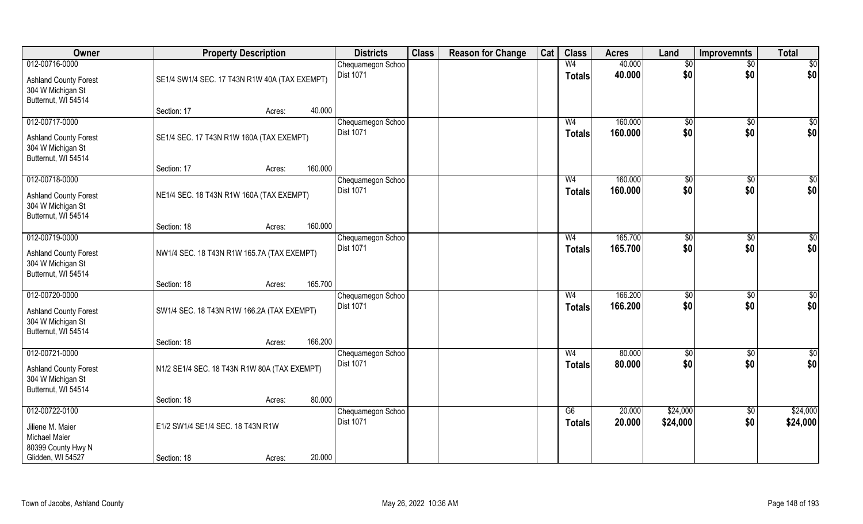| Owner                                                                                      | <b>Property Description</b>                   |        |                  | <b>Districts</b>  | <b>Class</b> | <b>Reason for Change</b> | Cat | <b>Class</b>                    | <b>Acres</b>       | Land                 | Improvemnts          | <b>Total</b>           |
|--------------------------------------------------------------------------------------------|-----------------------------------------------|--------|------------------|-------------------|--------------|--------------------------|-----|---------------------------------|--------------------|----------------------|----------------------|------------------------|
| 012-00716-0000                                                                             |                                               |        |                  | Chequamegon Schoo |              |                          |     | W <sub>4</sub>                  | 40.000             | \$0                  | $\sqrt{$0}$          | \$0                    |
| <b>Ashland County Forest</b><br>304 W Michigan St<br>Butternut, WI 54514                   | SE1/4 SW1/4 SEC. 17 T43N R1W 40A (TAX EXEMPT) |        | <b>Dist 1071</b> |                   |              |                          |     | <b>Totals</b>                   | 40.000             | \$0                  | \$0                  | \$0                    |
|                                                                                            | Section: 17                                   | Acres: | 40.000           |                   |              |                          |     |                                 |                    |                      |                      |                        |
| 012-00717-0000                                                                             |                                               |        |                  | Chequamegon Schoo |              |                          |     | W <sub>4</sub>                  | 160.000            | $\sqrt[6]{30}$       | $\sqrt{6}$           | $\sqrt{50}$            |
| <b>Ashland County Forest</b><br>304 W Michigan St<br>Butternut, WI 54514                   | SE1/4 SEC. 17 T43N R1W 160A (TAX EXEMPT)      |        | Dist 1071        |                   |              |                          |     | <b>Totals</b>                   | 160,000            | \$0                  | \$0                  | \$0                    |
|                                                                                            | Section: 17                                   | Acres: | 160.000          |                   |              |                          |     |                                 |                    |                      |                      |                        |
| 012-00718-0000                                                                             |                                               |        |                  | Chequamegon Schoo |              |                          |     | W <sub>4</sub>                  | 160.000            | \$0                  | $\sqrt[6]{3}$        | \$0                    |
| <b>Ashland County Forest</b><br>304 W Michigan St<br>Butternut, WI 54514                   | NE1/4 SEC. 18 T43N R1W 160A (TAX EXEMPT)      |        | Dist 1071        |                   |              |                          |     | <b>Totals</b>                   | 160.000            | \$0                  | \$0                  | \$0                    |
|                                                                                            | Section: 18                                   | Acres: | 160.000          |                   |              |                          |     |                                 |                    |                      |                      |                        |
| 012-00719-0000                                                                             |                                               |        |                  | Chequamegon Schoo |              |                          |     | W <sub>4</sub>                  | 165.700            | $\frac{1}{20}$       | $\sqrt[6]{3}$        | \$0                    |
| <b>Ashland County Forest</b><br>304 W Michigan St<br>Butternut, WI 54514                   | NW1/4 SEC. 18 T43N R1W 165.7A (TAX EXEMPT)    |        | Dist 1071        |                   |              |                          |     | <b>Totals</b>                   | 165.700            | \$0                  | \$0                  | \$0                    |
|                                                                                            | Section: 18                                   | Acres: | 165.700          |                   |              |                          |     |                                 |                    |                      |                      |                        |
| 012-00720-0000<br><b>Ashland County Forest</b><br>304 W Michigan St<br>Butternut, WI 54514 | SW1/4 SEC. 18 T43N R1W 166.2A (TAX EXEMPT)    |        | Dist 1071        | Chequamegon Schoo |              |                          |     | W <sub>4</sub><br><b>Totals</b> | 166.200<br>166.200 | $\sqrt[6]{3}$<br>\$0 | $\sqrt[6]{3}$<br>\$0 | $\overline{50}$<br>\$0 |
|                                                                                            | Section: 18                                   | Acres: | 166.200          |                   |              |                          |     |                                 |                    |                      |                      |                        |
| 012-00721-0000                                                                             |                                               |        |                  | Chequamegon Schoo |              |                          |     | W <sub>4</sub>                  | 80.000             | $\overline{50}$      | $\sqrt{$0}$          | $\frac{6}{3}$          |
| <b>Ashland County Forest</b><br>304 W Michigan St<br>Butternut, WI 54514                   | N1/2 SE1/4 SEC. 18 T43N R1W 80A (TAX EXEMPT)  |        | Dist 1071        |                   |              |                          |     | <b>Totals</b>                   | 80.000             | \$0                  | \$0                  | \$0                    |
|                                                                                            | Section: 18                                   | Acres: | 80.000           |                   |              |                          |     |                                 |                    |                      |                      |                        |
| 012-00722-0100                                                                             |                                               |        |                  | Chequamegon Schoo |              |                          |     | G6                              | 20.000             | \$24,000             | $\sqrt{6}$           | \$24,000               |
| Jiliene M. Maier<br><b>Michael Maier</b><br>80399 County Hwy N                             | E1/2 SW1/4 SE1/4 SEC. 18 T43N R1W             |        | Dist 1071        |                   |              |                          |     | <b>Totals</b>                   | 20.000             | \$24,000             | \$0                  | \$24,000               |
| Glidden, WI 54527                                                                          | Section: 18                                   | Acres: | 20.000           |                   |              |                          |     |                                 |                    |                      |                      |                        |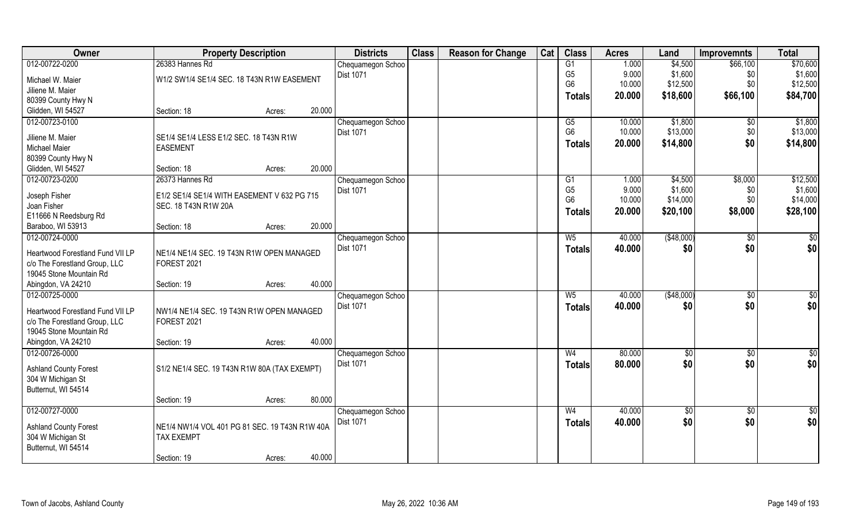| Owner                                    | <b>Property Description</b>                               |        |        | <b>Districts</b>                      | <b>Class</b> | <b>Reason for Change</b> | Cat | <b>Class</b>   | <b>Acres</b> | Land        | <b>Improvemnts</b> | <b>Total</b>  |
|------------------------------------------|-----------------------------------------------------------|--------|--------|---------------------------------------|--------------|--------------------------|-----|----------------|--------------|-------------|--------------------|---------------|
| 012-00722-0200                           | 26383 Hannes Rd                                           |        |        | Chequamegon Schoo                     |              |                          |     | G1             | 1.000        | \$4,500     | \$66,100           | \$70,600      |
| Michael W. Maier                         | W1/2 SW1/4 SE1/4 SEC. 18 T43N R1W EASEMENT                |        |        | <b>Dist 1071</b>                      |              |                          |     | G <sub>5</sub> | 9.000        | \$1,600     | \$0                | \$1,600       |
| Jiliene M. Maier                         |                                                           |        |        |                                       |              |                          |     | G <sub>6</sub> | 10.000       | \$12,500    | \$0                | \$12,500      |
| 80399 County Hwy N                       |                                                           |        |        |                                       |              |                          |     | Totals         | 20.000       | \$18,600    | \$66,100           | \$84,700      |
| Glidden, WI 54527                        | Section: 18                                               | Acres: | 20.000 |                                       |              |                          |     |                |              |             |                    |               |
| 012-00723-0100                           |                                                           |        |        | Chequamegon Schoo                     |              |                          |     | G5             | 10.000       | \$1,800     | $\sqrt[6]{}$       | \$1,800       |
|                                          |                                                           |        |        | <b>Dist 1071</b>                      |              |                          |     | G <sub>6</sub> | 10.000       | \$13,000    | \$0                | \$13,000      |
| Jiliene M. Maier<br><b>Michael Maier</b> | SE1/4 SE1/4 LESS E1/2 SEC. 18 T43N R1W<br><b>EASEMENT</b> |        |        |                                       |              |                          |     | <b>Totals</b>  | 20.000       | \$14,800    | \$0                | \$14,800      |
| 80399 County Hwy N                       |                                                           |        |        |                                       |              |                          |     |                |              |             |                    |               |
| Glidden, WI 54527                        | Section: 18                                               | Acres: | 20.000 |                                       |              |                          |     |                |              |             |                    |               |
| 012-00723-0200                           | 26373 Hannes Rd                                           |        |        | Chequamegon Schoo                     |              |                          |     | G1             | 1.000        | \$4,500     | \$8,000            | \$12,500      |
|                                          |                                                           |        |        | Dist 1071                             |              |                          |     | G <sub>5</sub> | 9.000        | \$1,600     | \$0                | \$1,600       |
| Joseph Fisher                            | E1/2 SE1/4 SE1/4 WITH EASEMENT V 632 PG 715               |        |        |                                       |              |                          |     | G <sub>6</sub> | 10.000       | \$14,000    | \$0                | \$14,000      |
| Joan Fisher                              | SEC. 18 T43N R1W 20A                                      |        |        |                                       |              |                          |     | Totals         | 20.000       | \$20,100    | \$8,000            | \$28,100      |
| E11666 N Reedsburg Rd                    |                                                           |        |        |                                       |              |                          |     |                |              |             |                    |               |
| Baraboo, WI 53913                        | Section: 18                                               | Acres: | 20.000 |                                       |              |                          |     |                |              |             |                    |               |
| 012-00724-0000                           |                                                           |        |        | Chequamegon Schoo                     |              |                          |     | $W_5$          | 40.000       | (\$48,000)  | $\sqrt{50}$        | $\frac{6}{3}$ |
| Heartwood Forestland Fund VII LP         | NE1/4 NE1/4 SEC. 19 T43N R1W OPEN MANAGED                 |        |        | <b>Dist 1071</b>                      |              |                          |     | <b>Totals</b>  | 40.000       | \$0         | \$0                | \$0           |
| c/o The Forestland Group, LLC            | <b>FOREST 2021</b>                                        |        |        |                                       |              |                          |     |                |              |             |                    |               |
| 19045 Stone Mountain Rd                  |                                                           |        |        |                                       |              |                          |     |                |              |             |                    |               |
| Abingdon, VA 24210                       | Section: 19                                               | Acres: | 40.000 |                                       |              |                          |     |                |              |             |                    |               |
| 012-00725-0000                           |                                                           |        |        | Chequamegon Schoo                     |              |                          |     | $W_5$          | 40.000       | (\$48,000)  | $\overline{50}$    | \$0           |
| Heartwood Forestland Fund VII LP         | NW1/4 NE1/4 SEC. 19 T43N R1W OPEN MANAGED                 |        |        | <b>Dist 1071</b>                      |              |                          |     | <b>Totals</b>  | 40.000       | \$0         | \$0                | \$0           |
| c/o The Forestland Group, LLC            | <b>FOREST 2021</b>                                        |        |        |                                       |              |                          |     |                |              |             |                    |               |
| 19045 Stone Mountain Rd                  |                                                           |        |        |                                       |              |                          |     |                |              |             |                    |               |
| Abingdon, VA 24210                       | Section: 19                                               | Acres: | 40.000 |                                       |              |                          |     |                |              |             |                    |               |
| 012-00726-0000                           |                                                           |        |        | Chequamegon Schoo                     |              |                          |     | W <sub>4</sub> | 80.000       | \$0         | $\sqrt{6}$         | $\frac{1}{2}$ |
|                                          |                                                           |        |        | <b>Dist 1071</b>                      |              |                          |     | <b>Totals</b>  | 80.000       | \$0         | \$0                | \$0           |
| <b>Ashland County Forest</b>             | S1/2 NE1/4 SEC. 19 T43N R1W 80A (TAX EXEMPT)              |        |        |                                       |              |                          |     |                |              |             |                    |               |
| 304 W Michigan St                        |                                                           |        |        |                                       |              |                          |     |                |              |             |                    |               |
| Butternut, WI 54514                      |                                                           |        | 80.000 |                                       |              |                          |     |                |              |             |                    |               |
| 012-00727-0000                           | Section: 19                                               | Acres: |        |                                       |              |                          |     | W <sub>4</sub> | 40.000       |             |                    |               |
|                                          |                                                           |        |        | Chequamegon Schoo<br><b>Dist 1071</b> |              |                          |     |                |              | $\sqrt{$0}$ | $\overline{50}$    | $\frac{1}{2}$ |
| <b>Ashland County Forest</b>             | NE1/4 NW1/4 VOL 401 PG 81 SEC. 19 T43N R1W 40A            |        |        |                                       |              |                          |     | <b>Totals</b>  | 40.000       | \$0         | \$0                | \$0           |
| 304 W Michigan St                        | <b>TAX EXEMPT</b>                                         |        |        |                                       |              |                          |     |                |              |             |                    |               |
| Butternut, WI 54514                      |                                                           |        |        |                                       |              |                          |     |                |              |             |                    |               |
|                                          | Section: 19                                               | Acres: | 40.000 |                                       |              |                          |     |                |              |             |                    |               |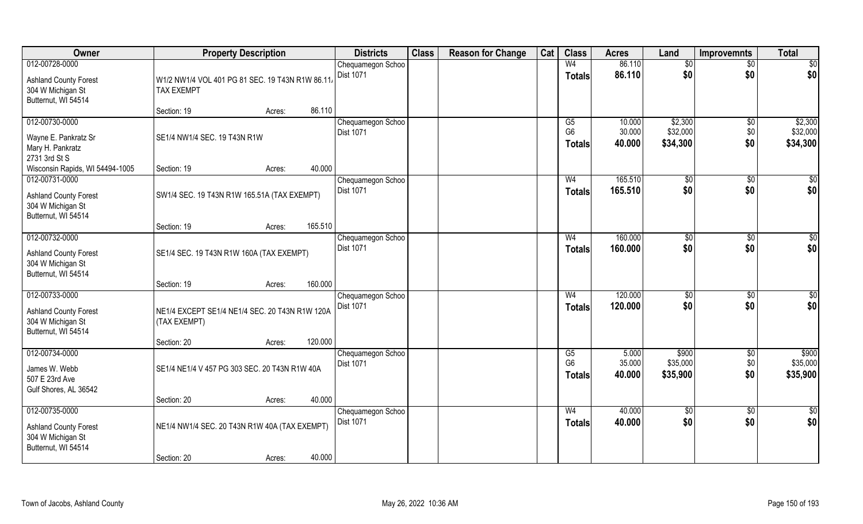| Owner                                             | <b>Property Description</b>                     |        |         | <b>Districts</b>               | <b>Class</b> | <b>Reason for Change</b> | Cat | <b>Class</b>         | <b>Acres</b>     | Land                 | <b>Improvemnts</b> | <b>Total</b>         |
|---------------------------------------------------|-------------------------------------------------|--------|---------|--------------------------------|--------------|--------------------------|-----|----------------------|------------------|----------------------|--------------------|----------------------|
| 012-00728-0000                                    |                                                 |        |         | Chequamegon Schoo              |              |                          |     | W <sub>4</sub>       | 86.110           | \$0                  | $\sqrt{6}$         | \$0                  |
| <b>Ashland County Forest</b>                      | W1/2 NW1/4 VOL 401 PG 81 SEC. 19 T43N R1W 86.11 |        |         | <b>Dist 1071</b>               |              |                          |     | <b>Totals</b>        | 86.110           | \$0                  | \$0                | \$0                  |
| 304 W Michigan St                                 | <b>TAX EXEMPT</b>                               |        |         |                                |              |                          |     |                      |                  |                      |                    |                      |
| Butternut, WI 54514                               |                                                 |        |         |                                |              |                          |     |                      |                  |                      |                    |                      |
|                                                   | Section: 19                                     | Acres: | 86.110  |                                |              |                          |     |                      |                  |                      |                    |                      |
| 012-00730-0000                                    |                                                 |        |         | Chequamegon Schoo              |              |                          |     | G5<br>G <sub>6</sub> | 10.000<br>30.000 | \$2,300              | $\sqrt[6]{30}$     | \$2,300              |
| Wayne E. Pankratz Sr                              | SE1/4 NW1/4 SEC. 19 T43N R1W                    |        |         | <b>Dist 1071</b>               |              |                          |     | <b>Totals</b>        | 40.000           | \$32,000<br>\$34,300 | \$0<br>\$0         | \$32,000<br>\$34,300 |
| Mary H. Pankratz                                  |                                                 |        |         |                                |              |                          |     |                      |                  |                      |                    |                      |
| 2731 3rd St S                                     |                                                 |        |         |                                |              |                          |     |                      |                  |                      |                    |                      |
| Wisconsin Rapids, WI 54494-1005<br>012-00731-0000 | Section: 19                                     | Acres: | 40.000  | Chequamegon Schoo              |              |                          |     | W <sub>4</sub>       | 165.510          |                      | \$0                | \$0                  |
|                                                   |                                                 |        |         | Dist 1071                      |              |                          |     | <b>Totals</b>        | 165.510          | \$0<br>\$0           | \$0                | \$0                  |
| <b>Ashland County Forest</b>                      | SW1/4 SEC. 19 T43N R1W 165.51A (TAX EXEMPT)     |        |         |                                |              |                          |     |                      |                  |                      |                    |                      |
| 304 W Michigan St<br>Butternut, WI 54514          |                                                 |        |         |                                |              |                          |     |                      |                  |                      |                    |                      |
|                                                   | Section: 19                                     | Acres: | 165.510 |                                |              |                          |     |                      |                  |                      |                    |                      |
| 012-00732-0000                                    |                                                 |        |         | Chequamegon Schoo              |              |                          |     | W <sub>4</sub>       | 160.000          | \$0                  | \$0                | \$0                  |
|                                                   | SE1/4 SEC. 19 T43N R1W 160A (TAX EXEMPT)        |        |         | Dist 1071                      |              |                          |     | <b>Totals</b>        | 160.000          | \$0                  | \$0                | \$0                  |
| <b>Ashland County Forest</b><br>304 W Michigan St |                                                 |        |         |                                |              |                          |     |                      |                  |                      |                    |                      |
| Butternut, WI 54514                               |                                                 |        |         |                                |              |                          |     |                      |                  |                      |                    |                      |
|                                                   | Section: 19                                     | Acres: | 160.000 |                                |              |                          |     |                      |                  |                      |                    |                      |
| 012-00733-0000                                    |                                                 |        |         | Chequamegon Schoo              |              |                          |     | W <sub>4</sub>       | 120.000          | \$0                  | $\overline{50}$    | $\overline{50}$      |
| <b>Ashland County Forest</b>                      | NE1/4 EXCEPT SE1/4 NE1/4 SEC. 20 T43N R1W 120A  |        |         | Dist 1071                      |              |                          |     | <b>Totals</b>        | 120.000          | \$0                  | \$0                | \$0                  |
| 304 W Michigan St                                 | (TAX EXEMPT)                                    |        |         |                                |              |                          |     |                      |                  |                      |                    |                      |
| Butternut, WI 54514                               |                                                 |        |         |                                |              |                          |     |                      |                  |                      |                    |                      |
|                                                   | Section: 20                                     | Acres: | 120.000 |                                |              |                          |     |                      |                  |                      |                    |                      |
| 012-00734-0000                                    |                                                 |        |         | Chequamegon Schoo<br>Dist 1071 |              |                          |     | G5<br>G <sub>6</sub> | 5.000<br>35.000  | \$900<br>\$35,000    | $\sqrt{6}$<br>\$0  | \$900<br>\$35,000    |
| James W. Webb                                     | SE1/4 NE1/4 V 457 PG 303 SEC. 20 T43N R1W 40A   |        |         |                                |              |                          |     | <b>Totals</b>        | 40.000           | \$35,900             | \$0                | \$35,900             |
| 507 E 23rd Ave                                    |                                                 |        |         |                                |              |                          |     |                      |                  |                      |                    |                      |
| Gulf Shores, AL 36542                             | Section: 20                                     | Acres: | 40.000  |                                |              |                          |     |                      |                  |                      |                    |                      |
| 012-00735-0000                                    |                                                 |        |         | Chequamegon Schoo              |              |                          |     | W <sub>4</sub>       | 40.000           | $\sqrt{6}$           | $\sqrt{6}$         | $\frac{1}{6}$        |
|                                                   |                                                 |        |         | <b>Dist 1071</b>               |              |                          |     | Totals               | 40.000           | \$0                  | \$0                | \$0                  |
| <b>Ashland County Forest</b><br>304 W Michigan St | NE1/4 NW1/4 SEC. 20 T43N R1W 40A (TAX EXEMPT)   |        |         |                                |              |                          |     |                      |                  |                      |                    |                      |
| Butternut, WI 54514                               |                                                 |        |         |                                |              |                          |     |                      |                  |                      |                    |                      |
|                                                   | Section: 20                                     | Acres: | 40.000  |                                |              |                          |     |                      |                  |                      |                    |                      |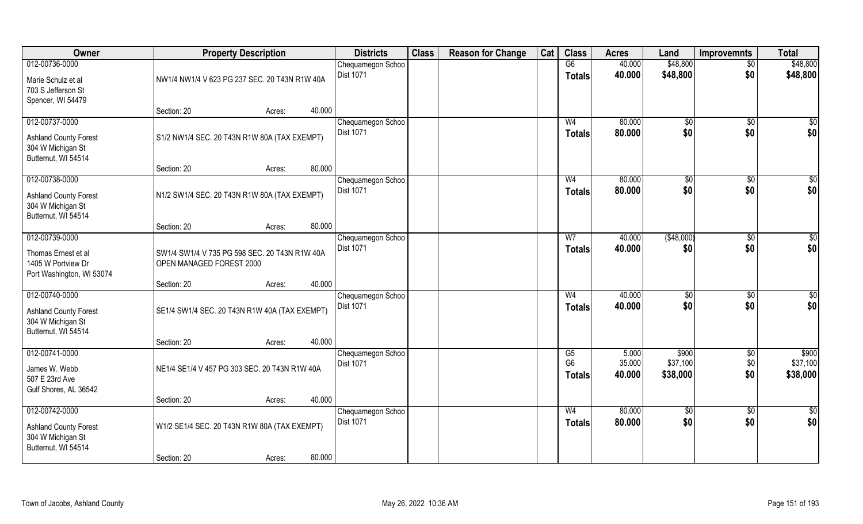| Owner                                                                                      | <b>Property Description</b>                                               |        | <b>Districts</b>                      | <b>Class</b> | <b>Reason for Change</b> | Cat | <b>Class</b>                          | <b>Acres</b>              | Land                          | <b>Improvemnts</b>    | <b>Total</b>                  |
|--------------------------------------------------------------------------------------------|---------------------------------------------------------------------------|--------|---------------------------------------|--------------|--------------------------|-----|---------------------------------------|---------------------------|-------------------------------|-----------------------|-------------------------------|
| 012-00736-0000                                                                             |                                                                           |        | Chequamegon Schoo<br><b>Dist 1071</b> |              |                          |     | G6<br><b>Totals</b>                   | 40.000<br>40.000          | \$48,800<br>\$48,800          | $\sqrt{$0}$<br>\$0    | \$48,800<br>\$48,800          |
| Marie Schulz et al<br>703 S Jefferson St<br>Spencer, WI 54479                              | NW1/4 NW1/4 V 623 PG 237 SEC. 20 T43N R1W 40A                             |        |                                       |              |                          |     |                                       |                           |                               |                       |                               |
|                                                                                            | Section: 20<br>Acres:                                                     | 40.000 |                                       |              |                          |     |                                       |                           |                               |                       |                               |
| 012-00737-0000<br><b>Ashland County Forest</b><br>304 W Michigan St                        | S1/2 NW1/4 SEC. 20 T43N R1W 80A (TAX EXEMPT)                              |        | Chequamegon Schoo<br><b>Dist 1071</b> |              |                          |     | W <sub>4</sub><br><b>Totals</b>       | 80.000<br>80,000          | $\sqrt[6]{}$<br>\$0           | $\sqrt{6}$<br>\$0     | $\overline{\$0}$<br>\$0       |
| Butternut, WI 54514                                                                        | Section: 20<br>Acres:                                                     | 80.000 |                                       |              |                          |     |                                       |                           |                               |                       |                               |
| 012-00738-0000                                                                             |                                                                           |        | Chequamegon Schoo                     |              |                          |     | W <sub>4</sub>                        | 80.000                    | $\sqrt[6]{3}$                 | $\sqrt[6]{3}$         | \$0                           |
| <b>Ashland County Forest</b><br>304 W Michigan St<br>Butternut, WI 54514                   | N1/2 SW1/4 SEC. 20 T43N R1W 80A (TAX EXEMPT)                              |        | <b>Dist 1071</b>                      |              |                          |     | <b>Totals</b>                         | 80.000                    | \$0                           | \$0                   | \$0                           |
|                                                                                            | Section: 20<br>Acres:                                                     | 80.000 |                                       |              |                          |     |                                       |                           |                               |                       |                               |
| 012-00739-0000                                                                             |                                                                           |        | Chequamegon Schoo                     |              |                          |     | W7                                    | 40.000                    | (\$48,000)                    | $\sqrt[6]{3}$         | \$0                           |
| Thomas Ernest et al<br>1405 W Portview Dr<br>Port Washington, WI 53074                     | SW1/4 SW1/4 V 735 PG 598 SEC. 20 T43N R1W 40A<br>OPEN MANAGED FOREST 2000 |        | Dist 1071                             |              |                          |     | <b>Totals</b>                         | 40.000                    | \$0                           | \$0                   | \$0                           |
|                                                                                            | Section: 20<br>Acres:                                                     | 40.000 |                                       |              |                          |     |                                       |                           |                               |                       |                               |
| 012-00740-0000<br><b>Ashland County Forest</b><br>304 W Michigan St<br>Butternut, WI 54514 | SE1/4 SW1/4 SEC. 20 T43N R1W 40A (TAX EXEMPT)                             |        | Chequamegon Schoo<br>Dist 1071        |              |                          |     | W <sub>4</sub><br><b>Totals</b>       | 40.000<br>40.000          | $\sqrt[6]{3}$<br>\$0          | $\sqrt[6]{30}$<br>\$0 | $\overline{50}$<br>\$0        |
|                                                                                            | Section: 20<br>Acres:                                                     | 40.000 |                                       |              |                          |     |                                       |                           |                               |                       |                               |
| 012-00741-0000<br>James W. Webb<br>507 E 23rd Ave<br>Gulf Shores, AL 36542                 | NE1/4 SE1/4 V 457 PG 303 SEC. 20 T43N R1W 40A                             |        | Chequamegon Schoo<br>Dist 1071        |              |                          |     | G5<br>G <sub>6</sub><br><b>Totals</b> | 5.000<br>35.000<br>40.000 | \$900<br>\$37,100<br>\$38,000 | \$0<br>\$0<br>\$0     | \$900<br>\$37,100<br>\$38,000 |
|                                                                                            | Section: 20<br>Acres:                                                     | 40.000 |                                       |              |                          |     |                                       |                           |                               |                       |                               |
| 012-00742-0000<br><b>Ashland County Forest</b>                                             | W1/2 SE1/4 SEC. 20 T43N R1W 80A (TAX EXEMPT)                              |        | Chequamegon Schoo<br>Dist 1071        |              |                          |     | W <sub>4</sub><br>Totals              | 80.000<br>80.000          | $\overline{50}$<br>\$0        | $\sqrt{$0}$<br>\$0    | $\overline{\$0}$<br>\$0       |
| 304 W Michigan St<br>Butternut, WI 54514                                                   |                                                                           |        |                                       |              |                          |     |                                       |                           |                               |                       |                               |
|                                                                                            | Section: 20<br>Acres:                                                     | 80.000 |                                       |              |                          |     |                                       |                           |                               |                       |                               |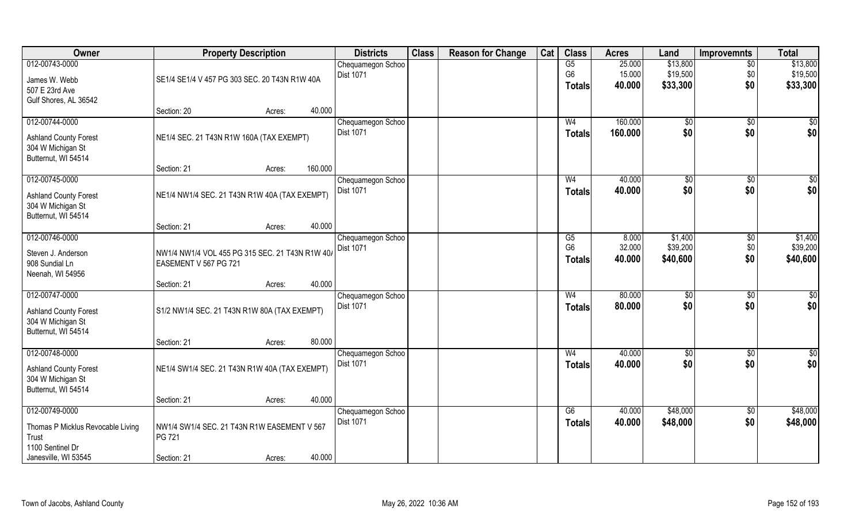| Owner                             | <b>Property Description</b>                     |        |         | <b>Districts</b>  | <b>Class</b> | <b>Reason for Change</b> | Cat | <b>Class</b>   | <b>Acres</b> | Land       | Improvemnts     | <b>Total</b> |
|-----------------------------------|-------------------------------------------------|--------|---------|-------------------|--------------|--------------------------|-----|----------------|--------------|------------|-----------------|--------------|
| 012-00743-0000                    |                                                 |        |         | Chequamegon Schoo |              |                          |     | G5             | 25.000       | \$13,800   | $\overline{50}$ | \$13,800     |
| James W. Webb                     | SE1/4 SE1/4 V 457 PG 303 SEC. 20 T43N R1W 40A   |        |         | <b>Dist 1071</b>  |              |                          |     | G <sub>6</sub> | 15.000       | \$19,500   | \$0             | \$19,500     |
| 507 E 23rd Ave                    |                                                 |        |         |                   |              |                          |     | <b>Totals</b>  | 40.000       | \$33,300   | \$0             | \$33,300     |
| Gulf Shores, AL 36542             |                                                 |        |         |                   |              |                          |     |                |              |            |                 |              |
|                                   | Section: 20                                     | Acres: | 40.000  |                   |              |                          |     |                |              |            |                 |              |
| 012-00744-0000                    |                                                 |        |         | Chequamegon Schoo |              |                          |     | W <sub>4</sub> | 160.000      | $\sqrt{6}$ | $\sqrt{6}$      | \$0          |
| <b>Ashland County Forest</b>      | NE1/4 SEC. 21 T43N R1W 160A (TAX EXEMPT)        |        |         | Dist 1071         |              |                          |     | Totals         | 160.000      | \$0        | \$0             | \$0          |
| 304 W Michigan St                 |                                                 |        |         |                   |              |                          |     |                |              |            |                 |              |
| Butternut, WI 54514               |                                                 |        |         |                   |              |                          |     |                |              |            |                 |              |
|                                   | Section: 21                                     | Acres: | 160.000 |                   |              |                          |     |                |              |            |                 |              |
| 012-00745-0000                    |                                                 |        |         | Chequamegon Schoo |              |                          |     | W <sub>4</sub> | 40.000       | \$0        | $\sqrt[6]{3}$   | \$0          |
| <b>Ashland County Forest</b>      | NE1/4 NW1/4 SEC. 21 T43N R1W 40A (TAX EXEMPT)   |        |         | Dist 1071         |              |                          |     | <b>Totals</b>  | 40.000       | \$0        | \$0             | \$0          |
| 304 W Michigan St                 |                                                 |        |         |                   |              |                          |     |                |              |            |                 |              |
| Butternut, WI 54514               |                                                 |        |         |                   |              |                          |     |                |              |            |                 |              |
|                                   | Section: 21                                     | Acres: | 40.000  |                   |              |                          |     |                |              |            |                 |              |
| 012-00746-0000                    |                                                 |        |         | Chequamegon Schoo |              |                          |     | G <sub>5</sub> | 8.000        | \$1,400    | \$0             | \$1,400      |
| Steven J. Anderson                | NW1/4 NW1/4 VOL 455 PG 315 SEC. 21 T43N R1W 40/ |        |         | Dist 1071         |              |                          |     | G <sub>6</sub> | 32.000       | \$39,200   | \$0             | \$39,200     |
| 908 Sundial Ln                    | EASEMENT V 567 PG 721                           |        |         |                   |              |                          |     | <b>Totals</b>  | 40.000       | \$40,600   | \$0             | \$40,600     |
| Neenah, WI 54956                  |                                                 |        |         |                   |              |                          |     |                |              |            |                 |              |
|                                   | Section: 21                                     | Acres: | 40.000  |                   |              |                          |     |                |              |            |                 |              |
| 012-00747-0000                    |                                                 |        |         | Chequamegon Schoo |              |                          |     | W <sub>4</sub> | 80.000       | \$0        | \$0             | \$0          |
| <b>Ashland County Forest</b>      | S1/2 NW1/4 SEC. 21 T43N R1W 80A (TAX EXEMPT)    |        |         | Dist 1071         |              |                          |     | <b>Totals</b>  | 80.000       | \$0        | \$0             | \$0          |
| 304 W Michigan St                 |                                                 |        |         |                   |              |                          |     |                |              |            |                 |              |
| Butternut, WI 54514               |                                                 |        |         |                   |              |                          |     |                |              |            |                 |              |
|                                   | Section: 21                                     | Acres: | 80.000  |                   |              |                          |     |                |              |            |                 |              |
| 012-00748-0000                    |                                                 |        |         | Chequamegon Schoo |              |                          |     | W <sub>4</sub> | 40.000       | \$0        | \$0             | \$0          |
| <b>Ashland County Forest</b>      | NE1/4 SW1/4 SEC. 21 T43N R1W 40A (TAX EXEMPT)   |        |         | Dist 1071         |              |                          |     | <b>Totals</b>  | 40.000       | \$0        | \$0             | \$0          |
| 304 W Michigan St                 |                                                 |        |         |                   |              |                          |     |                |              |            |                 |              |
| Butternut, WI 54514               |                                                 |        |         |                   |              |                          |     |                |              |            |                 |              |
|                                   | Section: 21                                     | Acres: | 40.000  |                   |              |                          |     |                |              |            |                 |              |
| 012-00749-0000                    |                                                 |        |         | Chequamegon Schoo |              |                          |     | G6             | 40.000       | \$48,000   | $\sqrt{$0}$     | \$48,000     |
| Thomas P Micklus Revocable Living | NW1/4 SW1/4 SEC. 21 T43N R1W EASEMENT V 567     |        |         | <b>Dist 1071</b>  |              |                          |     | <b>Totals</b>  | 40.000       | \$48,000   | \$0             | \$48,000     |
| Trust                             | PG 721                                          |        |         |                   |              |                          |     |                |              |            |                 |              |
| 1100 Sentinel Dr                  |                                                 |        |         |                   |              |                          |     |                |              |            |                 |              |
| Janesville, WI 53545              | Section: 21                                     | Acres: | 40.000  |                   |              |                          |     |                |              |            |                 |              |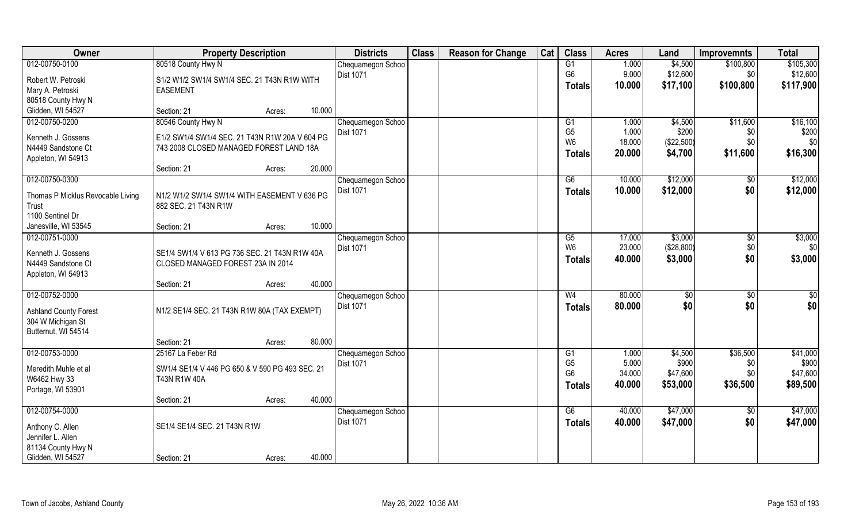| Owner                             |                                                 | <b>Property Description</b> |        | <b>Districts</b>  | <b>Class</b> | <b>Reason for Change</b> | Cat | <b>Class</b>   | <b>Acres</b> | Land        | <b>Improvemnts</b> | <b>Total</b>    |
|-----------------------------------|-------------------------------------------------|-----------------------------|--------|-------------------|--------------|--------------------------|-----|----------------|--------------|-------------|--------------------|-----------------|
| 012-00750-0100                    | 80518 County Hwy N                              |                             |        | Chequamegon Schoo |              |                          |     | G1             | 1.000        | \$4,500     | \$100,800          | \$105,300       |
| Robert W. Petroski                | S1/2 W1/2 SW1/4 SW1/4 SEC. 21 T43N R1W WITH     |                             |        | <b>Dist 1071</b>  |              |                          |     | G <sub>6</sub> | 9.000        | \$12,600    | \$0                | \$12,600        |
| Mary A. Petroski                  | <b>EASEMENT</b>                                 |                             |        |                   |              |                          |     | Totals         | 10.000       | \$17,100    | \$100,800          | \$117,900       |
| 80518 County Hwy N                |                                                 |                             |        |                   |              |                          |     |                |              |             |                    |                 |
| Glidden, WI 54527                 | Section: 21                                     | Acres:                      | 10.000 |                   |              |                          |     |                |              |             |                    |                 |
| 012-00750-0200                    | 80546 County Hwy N                              |                             |        | Chequamegon Schoo |              |                          |     | G1             | 1.000        | \$4,500     | \$11,600           | \$16,100        |
| Kenneth J. Gossens                | E1/2 SW1/4 SW1/4 SEC, 21 T43N R1W 20A V 604 PG  |                             |        | <b>Dist 1071</b>  |              |                          |     | G <sub>5</sub> | 1.000        | \$200       | \$0                | \$200           |
| N4449 Sandstone Ct                | 743 2008 CLOSED MANAGED FOREST LAND 18A         |                             |        |                   |              |                          |     | W <sub>6</sub> | 18.000       | (\$22,500)  | \$0                | \$0             |
| Appleton, WI 54913                |                                                 |                             |        |                   |              |                          |     | <b>Totals</b>  | 20.000       | \$4,700     | \$11,600           | \$16,300        |
|                                   | Section: 21                                     | Acres:                      | 20.000 |                   |              |                          |     |                |              |             |                    |                 |
| 012-00750-0300                    |                                                 |                             |        | Chequamegon Schoo |              |                          |     | G6             | 10.000       | \$12,000    | $\sqrt[6]{3}$      | \$12,000        |
| Thomas P Micklus Revocable Living | N1/2 W1/2 SW1/4 SW1/4 WITH EASEMENT V 636 PG    |                             |        | Dist 1071         |              |                          |     | <b>Totals</b>  | 10.000       | \$12,000    | \$0                | \$12,000        |
| Trust                             | 882 SEC. 21 T43N R1W                            |                             |        |                   |              |                          |     |                |              |             |                    |                 |
| 1100 Sentinel Dr                  |                                                 |                             |        |                   |              |                          |     |                |              |             |                    |                 |
| Janesville, WI 53545              | Section: 21                                     | Acres:                      | 10.000 |                   |              |                          |     |                |              |             |                    |                 |
| 012-00751-0000                    |                                                 |                             |        | Chequamegon Schoo |              |                          |     | G5             | 17.000       | \$3,000     | \$0                | \$3,000         |
| Kenneth J. Gossens                | SE1/4 SW1/4 V 613 PG 736 SEC. 21 T43N R1W 40A   |                             |        | <b>Dist 1071</b>  |              |                          |     | W <sub>6</sub> | 23.000       | (\$28,800)  | \$0                | \$0             |
| N4449 Sandstone Ct                | CLOSED MANAGED FOREST 23A IN 2014               |                             |        |                   |              |                          |     | <b>Totals</b>  | 40.000       | \$3,000     | \$0                | \$3,000         |
| Appleton, WI 54913                |                                                 |                             |        |                   |              |                          |     |                |              |             |                    |                 |
|                                   | Section: 21                                     | Acres:                      | 40.000 |                   |              |                          |     |                |              |             |                    |                 |
| 012-00752-0000                    |                                                 |                             |        | Chequamegon Schoo |              |                          |     | W <sub>4</sub> | 80.000       | $\sqrt{50}$ | \$0                | $\overline{50}$ |
| <b>Ashland County Forest</b>      | N1/2 SE1/4 SEC. 21 T43N R1W 80A (TAX EXEMPT)    |                             |        | <b>Dist 1071</b>  |              |                          |     | <b>Totals</b>  | 80.000       | \$0         | \$0                | \$0             |
| 304 W Michigan St                 |                                                 |                             |        |                   |              |                          |     |                |              |             |                    |                 |
| Butternut, WI 54514               |                                                 |                             |        |                   |              |                          |     |                |              |             |                    |                 |
|                                   | Section: 21                                     | Acres:                      | 80.000 |                   |              |                          |     |                |              |             |                    |                 |
| 012-00753-0000                    | 25167 La Feber Rd                               |                             |        | Chequamegon Schoo |              |                          |     | G1             | 1.000        | \$4,500     | \$36,500           | \$41,000        |
| Meredith Muhle et al              | SW1/4 SE1/4 V 446 PG 650 & V 590 PG 493 SEC. 21 |                             |        | Dist 1071         |              |                          |     | G <sub>5</sub> | 5.000        | \$900       | \$0                | \$900           |
| W6462 Hwy 33                      | T43N R1W 40A                                    |                             |        |                   |              |                          |     | G <sub>6</sub> | 34.000       | \$47,600    | \$0                | \$47,600        |
| Portage, WI 53901                 |                                                 |                             |        |                   |              |                          |     | <b>Totals</b>  | 40.000       | \$53,000    | \$36,500           | \$89,500        |
|                                   | Section: 21                                     | Acres:                      | 40.000 |                   |              |                          |     |                |              |             |                    |                 |
| 012-00754-0000                    |                                                 |                             |        | Chequamegon Schoo |              |                          |     | G6             | 40.000       | \$47,000    | $\sqrt{$0}$        | \$47,000        |
| Anthony C. Allen                  | SE1/4 SE1/4 SEC. 21 T43N R1W                    |                             |        | Dist 1071         |              |                          |     | <b>Totals</b>  | 40.000       | \$47,000    | \$0                | \$47,000        |
| Jennifer L. Allen                 |                                                 |                             |        |                   |              |                          |     |                |              |             |                    |                 |
| 81134 County Hwy N                |                                                 |                             |        |                   |              |                          |     |                |              |             |                    |                 |
| Glidden, WI 54527                 | Section: 21                                     | Acres:                      | 40.000 |                   |              |                          |     |                |              |             |                    |                 |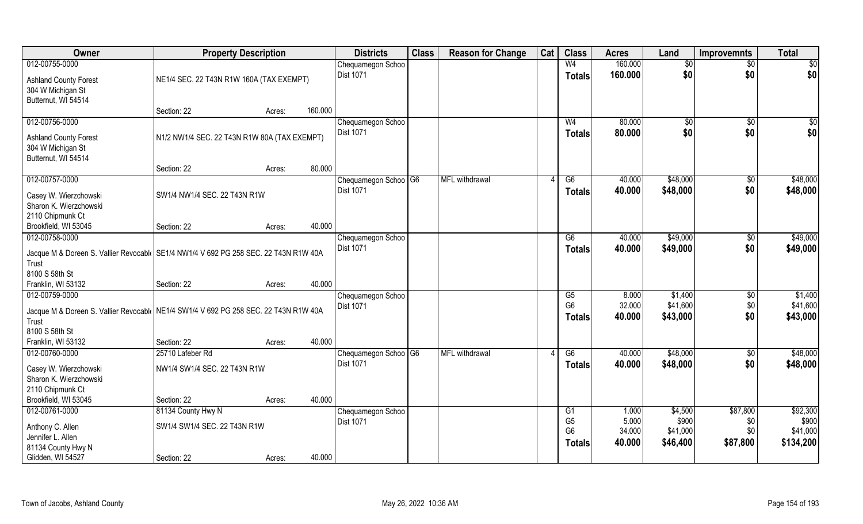| Owner                                                                                                                                                   | <b>Property Description</b>                        |                   | <b>Districts</b>                      | <b>Class</b> | <b>Reason for Change</b> | Cat | <b>Class</b>                                     | <b>Acres</b>                       | Land                                     | <b>Improvemnts</b>                 | <b>Total</b>                               |
|---------------------------------------------------------------------------------------------------------------------------------------------------------|----------------------------------------------------|-------------------|---------------------------------------|--------------|--------------------------|-----|--------------------------------------------------|------------------------------------|------------------------------------------|------------------------------------|--------------------------------------------|
| 012-00755-0000                                                                                                                                          |                                                    |                   | Chequamegon Schoo                     |              |                          |     | W <sub>4</sub>                                   | 160.000                            | \$0                                      | $\sqrt{$0}$                        | $\sqrt{50}$                                |
| <b>Ashland County Forest</b><br>304 W Michigan St<br>Butternut, WI 54514                                                                                | NE1/4 SEC. 22 T43N R1W 160A (TAX EXEMPT)           |                   | <b>Dist 1071</b>                      |              |                          |     | <b>Totals</b>                                    | 160,000                            | \$0                                      | \$0                                | \$0                                        |
|                                                                                                                                                         | Section: 22                                        | 160.000<br>Acres: |                                       |              |                          |     |                                                  |                                    |                                          |                                    |                                            |
| 012-00756-0000                                                                                                                                          |                                                    |                   | Chequamegon Schoo                     |              |                          |     | W <sub>4</sub>                                   | 80.000                             | \$0                                      | \$0                                | $\sqrt{50}$                                |
| <b>Ashland County Forest</b><br>304 W Michigan St<br>Butternut, WI 54514                                                                                | N1/2 NW1/4 SEC. 22 T43N R1W 80A (TAX EXEMPT)       |                   | <b>Dist 1071</b>                      |              |                          |     | Totals                                           | 80.000                             | \$0                                      | \$0                                | \$0                                        |
|                                                                                                                                                         | Section: 22                                        | 80.000<br>Acres:  |                                       |              |                          |     |                                                  |                                    |                                          |                                    |                                            |
| 012-00757-0000                                                                                                                                          |                                                    |                   | Chequamegon Schoo G6                  |              | MFL withdrawal           |     | G6                                               | 40.000                             | \$48,000                                 | \$0                                | \$48,000                                   |
| Casey W. Wierzchowski<br>Sharon K. Wierzchowski<br>2110 Chipmunk Ct                                                                                     | SW1/4 NW1/4 SEC. 22 T43N R1W                       |                   | Dist 1071                             |              |                          |     | <b>Totals</b>                                    | 40.000                             | \$48,000                                 | \$0                                | \$48,000                                   |
| Brookfield, WI 53045                                                                                                                                    | Section: 22                                        | 40.000<br>Acres:  |                                       |              |                          |     |                                                  |                                    |                                          |                                    |                                            |
| 012-00758-0000                                                                                                                                          |                                                    |                   | Chequamegon Schoo                     |              |                          |     | G6                                               | 40.000                             | \$49,000                                 | $\sqrt[6]{3}$                      | \$49,000                                   |
| Jacque M & Doreen S. Vallier Revocabl   SE1/4 NW1/4 V 692 PG 258 SEC. 22 T43N R1W 40A<br>Trust<br>8100 S 58th St                                        |                                                    |                   | <b>Dist 1071</b>                      |              |                          |     | <b>Totals</b>                                    | 40.000                             | \$49,000                                 | \$0                                | \$49,000                                   |
| Franklin, WI 53132                                                                                                                                      | Section: 22                                        | 40.000<br>Acres:  |                                       |              |                          |     |                                                  |                                    |                                          |                                    |                                            |
| 012-00759-0000<br>Jacque M & Doreen S. Vallier Revocabl (NE1/4 SW1/4 V 692 PG 258 SEC. 22 T43N R1W 40A<br>Trust<br>8100 S 58th St<br>Franklin, WI 53132 | Section: 22                                        | 40.000<br>Acres:  | Chequamegon Schoo<br><b>Dist 1071</b> |              |                          |     | G5<br>G <sub>6</sub><br><b>Totals</b>            | 8.000<br>32.000<br>40.000          | \$1,400<br>\$41,600<br>\$43,000          | \$0<br>\$0<br>\$0                  | \$1,400<br>\$41,600<br>\$43,000            |
| 012-00760-0000                                                                                                                                          | 25710 Lafeber Rd                                   |                   | Chequamegon Schoo <sup>OG</sup>       |              | <b>MFL</b> withdrawal    |     | G6                                               | 40.000                             | \$48,000                                 | \$0                                | \$48,000                                   |
| Casey W. Wierzchowski<br>Sharon K. Wierzchowski<br>2110 Chipmunk Ct                                                                                     | NW1/4 SW1/4 SEC. 22 T43N R1W                       |                   | <b>Dist 1071</b>                      |              |                          |     | <b>Totals</b>                                    | 40.000                             | \$48,000                                 | \$0                                | \$48,000                                   |
| Brookfield, WI 53045                                                                                                                                    | Section: 22                                        | 40.000<br>Acres:  |                                       |              |                          |     |                                                  |                                    |                                          |                                    |                                            |
| 012-00761-0000<br>Anthony C. Allen<br>Jennifer L. Allen<br>81134 County Hwy N                                                                           | 81134 County Hwy N<br>SW1/4 SW1/4 SEC. 22 T43N R1W |                   | Chequamegon Schoo<br>Dist 1071        |              |                          |     | G1<br>G <sub>5</sub><br>G <sub>6</sub><br>Totals | 1.000<br>5.000<br>34.000<br>40.000 | \$4,500<br>\$900<br>\$41,000<br>\$46,400 | \$87,800<br>\$0<br>\$0<br>\$87,800 | \$92,300<br>\$900<br>\$41,000<br>\$134,200 |
| Glidden, WI 54527                                                                                                                                       | Section: 22                                        | 40.000<br>Acres:  |                                       |              |                          |     |                                                  |                                    |                                          |                                    |                                            |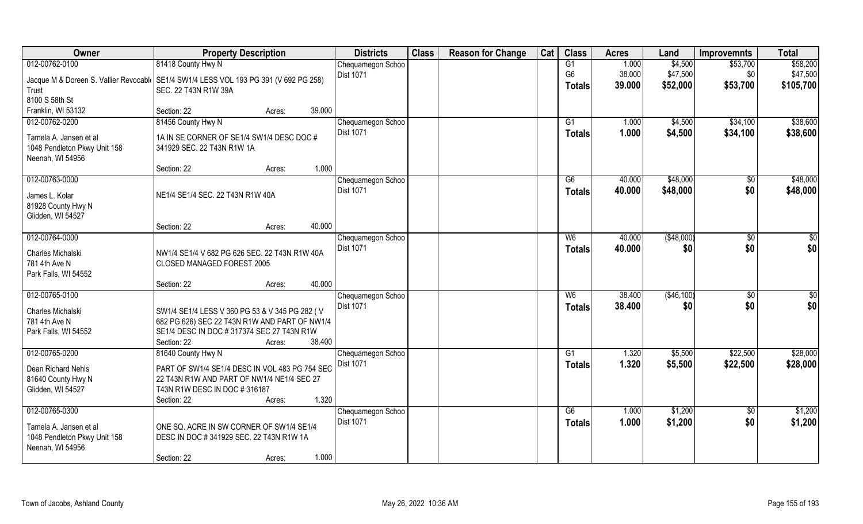| Owner                                                                                  | <b>Property Description</b>                    |        |        | <b>Districts</b>  | <b>Class</b> | <b>Reason for Change</b> | Cat | <b>Class</b>    | <b>Acres</b> | Land       | <b>Improvemnts</b> | <b>Total</b> |
|----------------------------------------------------------------------------------------|------------------------------------------------|--------|--------|-------------------|--------------|--------------------------|-----|-----------------|--------------|------------|--------------------|--------------|
| 012-00762-0100                                                                         | 81418 County Hwy N                             |        |        | Chequamegon Schoo |              |                          |     | $\overline{G1}$ | 1.000        | \$4,500    | \$53,700           | \$58,200     |
| Jacque M & Doreen S. Vallier Revocabl   SE1/4 SW1/4 LESS VOL 193 PG 391 (V 692 PG 258) |                                                |        |        | <b>Dist 1071</b>  |              |                          |     | G <sub>6</sub>  | 38.000       | \$47,500   | \$0                | \$47,500     |
| Trust                                                                                  | SEC. 22 T43N R1W 39A                           |        |        |                   |              |                          |     | <b>Totals</b>   | 39.000       | \$52,000   | \$53,700           | \$105,700    |
| 8100 S 58th St                                                                         |                                                |        |        |                   |              |                          |     |                 |              |            |                    |              |
| Franklin, WI 53132                                                                     | Section: 22                                    | Acres: | 39.000 |                   |              |                          |     |                 |              |            |                    |              |
| 012-00762-0200                                                                         | 81456 County Hwy N                             |        |        | Chequamegon Schoo |              |                          |     | G1              | 1.000        | \$4,500    | \$34,100           | \$38,600     |
| Tamela A. Jansen et al                                                                 | 1A IN SE CORNER OF SE1/4 SW1/4 DESC DOC #      |        |        | <b>Dist 1071</b>  |              |                          |     | <b>Totals</b>   | 1.000        | \$4,500    | \$34,100           | \$38,600     |
| 1048 Pendleton Pkwy Unit 158                                                           | 341929 SEC. 22 T43N R1W 1A                     |        |        |                   |              |                          |     |                 |              |            |                    |              |
| Neenah, WI 54956                                                                       |                                                |        |        |                   |              |                          |     |                 |              |            |                    |              |
|                                                                                        | Section: 22                                    | Acres: | 1.000  |                   |              |                          |     |                 |              |            |                    |              |
| 012-00763-0000                                                                         |                                                |        |        | Chequamegon Schoo |              |                          |     | G6              | 40.000       | \$48,000   | $\sqrt[6]{}$       | \$48,000     |
| James L. Kolar                                                                         | NE1/4 SE1/4 SEC. 22 T43N R1W 40A               |        |        | Dist 1071         |              |                          |     | <b>Totals</b>   | 40.000       | \$48,000   | \$0                | \$48,000     |
| 81928 County Hwy N                                                                     |                                                |        |        |                   |              |                          |     |                 |              |            |                    |              |
| Glidden, WI 54527                                                                      |                                                |        |        |                   |              |                          |     |                 |              |            |                    |              |
|                                                                                        | Section: 22                                    | Acres: | 40.000 |                   |              |                          |     |                 |              |            |                    |              |
| 012-00764-0000                                                                         |                                                |        |        | Chequamegon Schoo |              |                          |     | W <sub>6</sub>  | 40.000       | (\$48,000) | \$0                | \$0          |
| Charles Michalski                                                                      | NW1/4 SE1/4 V 682 PG 626 SEC. 22 T43N R1W 40A  |        |        | Dist 1071         |              |                          |     | <b>Totals</b>   | 40.000       | \$0        | \$0                | \$0          |
| 781 4th Ave N                                                                          | CLOSED MANAGED FOREST 2005                     |        |        |                   |              |                          |     |                 |              |            |                    |              |
| Park Falls, WI 54552                                                                   |                                                |        |        |                   |              |                          |     |                 |              |            |                    |              |
|                                                                                        | Section: 22                                    | Acres: | 40.000 |                   |              |                          |     |                 |              |            |                    |              |
| 012-00765-0100                                                                         |                                                |        |        | Chequamegon Schoo |              |                          |     | W6              | 38.400       | (\$46,100) | \$0                | \$0          |
| Charles Michalski                                                                      | SW1/4 SE1/4 LESS V 360 PG 53 & V 345 PG 282 (V |        |        | <b>Dist 1071</b>  |              |                          |     | <b>Totals</b>   | 38.400       | \$0        | \$0                | \$0          |
| 781 4th Ave N                                                                          | 682 PG 626) SEC 22 T43N R1W AND PART OF NW1/4  |        |        |                   |              |                          |     |                 |              |            |                    |              |
| Park Falls, WI 54552                                                                   | SE1/4 DESC IN DOC #317374 SEC 27 T43N R1W      |        |        |                   |              |                          |     |                 |              |            |                    |              |
|                                                                                        | Section: 22                                    | Acres: | 38.400 |                   |              |                          |     |                 |              |            |                    |              |
| 012-00765-0200                                                                         | 81640 County Hwy N                             |        |        | Chequamegon Schoo |              |                          |     | G1              | 1.320        | \$5,500    | \$22,500           | \$28,000     |
| Dean Richard Nehls                                                                     | PART OF SW1/4 SE1/4 DESC IN VOL 483 PG 754 SEC |        |        | Dist 1071         |              |                          |     | <b>Totals</b>   | 1.320        | \$5,500    | \$22,500           | \$28,000     |
| 81640 County Hwy N                                                                     | 22 T43N R1W AND PART OF NW1/4 NE1/4 SEC 27     |        |        |                   |              |                          |     |                 |              |            |                    |              |
| Glidden, WI 54527                                                                      | T43N R1W DESC IN DOC #316187                   |        |        |                   |              |                          |     |                 |              |            |                    |              |
|                                                                                        | Section: 22                                    | Acres: | 1.320  |                   |              |                          |     |                 |              |            |                    |              |
| 012-00765-0300                                                                         |                                                |        |        | Chequamegon Schoo |              |                          |     | G6              | 1.000        | \$1,200    | $\overline{50}$    | \$1,200      |
| Tamela A. Jansen et al                                                                 | ONE SQ. ACRE IN SW CORNER OF SW1/4 SE1/4       |        |        | <b>Dist 1071</b>  |              |                          |     | <b>Totals</b>   | 1.000        | \$1,200    | \$0                | \$1,200      |
| 1048 Pendleton Pkwy Unit 158                                                           | DESC IN DOC #341929 SEC. 22 T43N R1W 1A        |        |        |                   |              |                          |     |                 |              |            |                    |              |
| Neenah, WI 54956                                                                       |                                                |        |        |                   |              |                          |     |                 |              |            |                    |              |
|                                                                                        | Section: 22                                    | Acres: | 1.000  |                   |              |                          |     |                 |              |            |                    |              |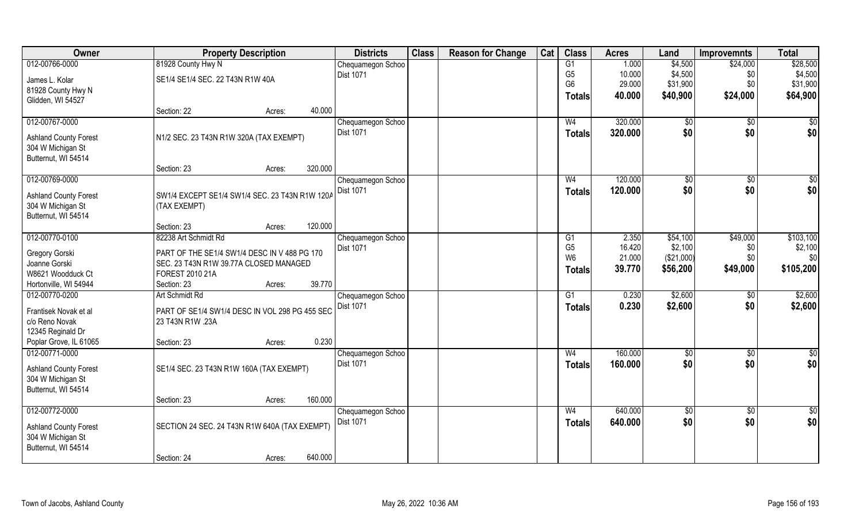| Owner                                       | <b>Property Description</b>                    |        | <b>Districts</b>  | <b>Class</b> | <b>Reason for Change</b> | Cat | <b>Class</b>   | <b>Acres</b> | Land       | <b>Improvemnts</b> | <b>Total</b>    |
|---------------------------------------------|------------------------------------------------|--------|-------------------|--------------|--------------------------|-----|----------------|--------------|------------|--------------------|-----------------|
| 012-00766-0000                              | 81928 County Hwy N                             |        | Chequamegon Schoo |              |                          |     | G1             | 1.000        | \$4,500    | \$24,000           | \$28,500        |
| James L. Kolar                              | SE1/4 SE1/4 SEC. 22 T43N R1W 40A               |        | <b>Dist 1071</b>  |              |                          |     | G <sub>5</sub> | 10.000       | \$4,500    | \$0                | \$4,500         |
| 81928 County Hwy N                          |                                                |        |                   |              |                          |     | G <sub>6</sub> | 29.000       | \$31,900   | \$0                | \$31,900        |
| Glidden, WI 54527                           |                                                |        |                   |              |                          |     | <b>Totals</b>  | 40.000       | \$40,900   | \$24,000           | \$64,900        |
|                                             | Section: 22                                    | Acres: | 40.000            |              |                          |     |                |              |            |                    |                 |
| 012-00767-0000                              |                                                |        | Chequamegon Schoo |              |                          |     | W4             | 320.000      | \$0        | $\overline{50}$    | \$0             |
| <b>Ashland County Forest</b>                | N1/2 SEC. 23 T43N R1W 320A (TAX EXEMPT)        |        | Dist 1071         |              |                          |     | Totals         | 320.000      | \$0        | \$0                | \$0             |
| 304 W Michigan St                           |                                                |        |                   |              |                          |     |                |              |            |                    |                 |
| Butternut, WI 54514                         |                                                |        |                   |              |                          |     |                |              |            |                    |                 |
|                                             | Section: 23                                    | Acres: | 320.000           |              |                          |     |                |              |            |                    |                 |
| 012-00769-0000                              |                                                |        | Chequamegon Schoo |              |                          |     | W <sub>4</sub> | 120.000      | \$0        | \$0                | $\sqrt{50}$     |
| <b>Ashland County Forest</b>                | SW1/4 EXCEPT SE1/4 SW1/4 SEC. 23 T43N R1W 120A |        | Dist 1071         |              |                          |     | <b>Totals</b>  | 120.000      | \$0        | \$0                | \$0             |
| 304 W Michigan St                           | (TAX EXEMPT)                                   |        |                   |              |                          |     |                |              |            |                    |                 |
| Butternut, WI 54514                         |                                                |        |                   |              |                          |     |                |              |            |                    |                 |
|                                             | Section: 23                                    | Acres: | 120.000           |              |                          |     |                |              |            |                    |                 |
| 012-00770-0100                              | 82238 Art Schmidt Rd                           |        | Chequamegon Schoo |              |                          |     | G1             | 2.350        | \$54,100   | \$49,000           | \$103,100       |
| Gregory Gorski                              | PART OF THE SE1/4 SW1/4 DESC IN V 488 PG 170   |        | <b>Dist 1071</b>  |              |                          |     | G <sub>5</sub> | 16.420       | \$2,100    | \$0                | \$2,100         |
| Joanne Gorski                               | SEC. 23 T43N R1W 39.77A CLOSED MANAGED         |        |                   |              |                          |     | W <sub>6</sub> | 21.000       | (\$21,000) | \$0                | \$0             |
| W8621 Woodduck Ct                           | FOREST 2010 21A                                |        |                   |              |                          |     | <b>Totals</b>  | 39.770       | \$56,200   | \$49,000           | \$105,200       |
| Hortonville, WI 54944                       | Section: 23                                    | Acres: | 39.770            |              |                          |     |                |              |            |                    |                 |
| 012-00770-0200                              | Art Schmidt Rd                                 |        | Chequamegon Schoo |              |                          |     | G1             | 0.230        | \$2,600    | \$0                | \$2,600         |
|                                             |                                                |        | Dist 1071         |              |                          |     | <b>Totals</b>  | 0.230        | \$2,600    | \$0                | \$2,600         |
| Frantisek Novak et al                       | PART OF SE1/4 SW1/4 DESC IN VOL 298 PG 455 SEC |        |                   |              |                          |     |                |              |            |                    |                 |
| c/o Reno Novak                              | 23 T43N R1W .23A                               |        |                   |              |                          |     |                |              |            |                    |                 |
| 12345 Reginald Dr<br>Poplar Grove, IL 61065 | Section: 23                                    | Acres: | 0.230             |              |                          |     |                |              |            |                    |                 |
| 012-00771-0000                              |                                                |        | Chequamegon Schoo |              |                          |     | W <sub>4</sub> | 160.000      | \$0        | \$0                | \$0             |
|                                             |                                                |        | Dist 1071         |              |                          |     | <b>Totals</b>  | 160.000      | \$0        | \$0                | \$0             |
| <b>Ashland County Forest</b>                | SE1/4 SEC. 23 T43N R1W 160A (TAX EXEMPT)       |        |                   |              |                          |     |                |              |            |                    |                 |
| 304 W Michigan St                           |                                                |        |                   |              |                          |     |                |              |            |                    |                 |
| Butternut, WI 54514                         |                                                |        |                   |              |                          |     |                |              |            |                    |                 |
|                                             | Section: 23                                    | Acres: | 160.000           |              |                          |     |                |              |            |                    |                 |
| 012-00772-0000                              |                                                |        | Chequamegon Schoo |              |                          |     | W <sub>4</sub> | 640.000      | \$0        | $\sqrt{$0}$        | $\overline{50}$ |
| <b>Ashland County Forest</b>                | SECTION 24 SEC. 24 T43N R1W 640A (TAX EXEMPT)  |        | <b>Dist 1071</b>  |              |                          |     | Totals         | 640.000      | \$0        | \$0                | \$0             |
| 304 W Michigan St                           |                                                |        |                   |              |                          |     |                |              |            |                    |                 |
| Butternut, WI 54514                         |                                                |        |                   |              |                          |     |                |              |            |                    |                 |
|                                             | Section: 24                                    | Acres: | 640.000           |              |                          |     |                |              |            |                    |                 |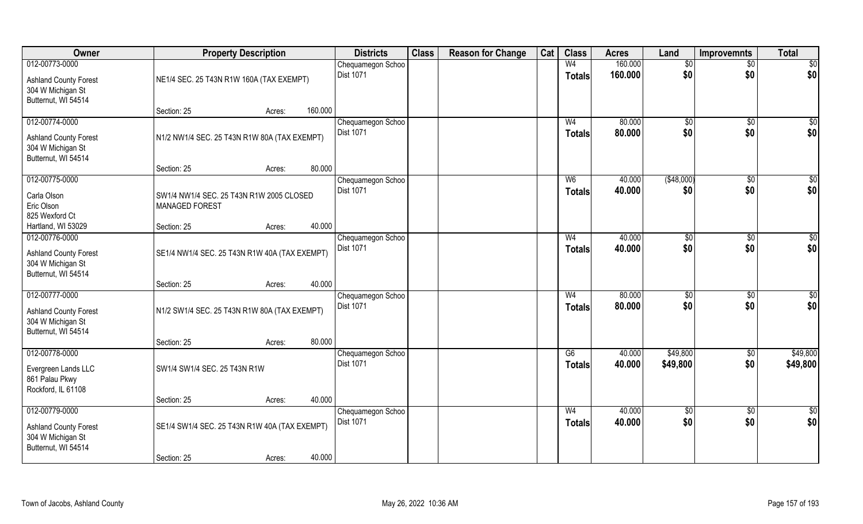| Owner                                                                                      | <b>Property Description</b>                                       |                   | <b>Districts</b>                      | <b>Class</b> | <b>Reason for Change</b> | Cat | <b>Class</b>                    | <b>Acres</b>     | Land                  | <b>Improvemnts</b>     | <b>Total</b>           |
|--------------------------------------------------------------------------------------------|-------------------------------------------------------------------|-------------------|---------------------------------------|--------------|--------------------------|-----|---------------------------------|------------------|-----------------------|------------------------|------------------------|
| 012-00773-0000                                                                             |                                                                   |                   | Chequamegon Schoo                     |              |                          |     | W <sub>4</sub>                  | 160.000          | \$0                   | $\sqrt{$0}$            | \$0                    |
| <b>Ashland County Forest</b><br>304 W Michigan St<br>Butternut, WI 54514                   | NE1/4 SEC. 25 T43N R1W 160A (TAX EXEMPT)                          |                   | Dist 1071                             |              |                          |     | <b>Totals</b>                   | 160.000          | \$0                   | \$0                    | \$0                    |
|                                                                                            | Section: 25                                                       | 160.000<br>Acres: |                                       |              |                          |     |                                 |                  |                       |                        |                        |
| 012-00774-0000<br><b>Ashland County Forest</b><br>304 W Michigan St                        | N1/2 NW1/4 SEC. 25 T43N R1W 80A (TAX EXEMPT)                      |                   | Chequamegon Schoo<br><b>Dist 1071</b> |              |                          |     | W <sub>4</sub><br>Totals        | 80.000<br>80,000 | $\sqrt[6]{}$<br>\$0   | $\sqrt[6]{}$<br>\$0    | \$0<br>\$0             |
| Butternut, WI 54514                                                                        | Section: 25                                                       | 80.000<br>Acres:  |                                       |              |                          |     |                                 |                  |                       |                        |                        |
| 012-00775-0000                                                                             |                                                                   |                   | Chequamegon Schoo                     |              |                          |     | W <sub>6</sub>                  | 40.000           | ( \$48,000)           | $\overline{30}$        | $\sqrt{50}$            |
| Carla Olson<br>Eric Olson<br>825 Wexford Ct                                                | SW1/4 NW1/4 SEC. 25 T43N R1W 2005 CLOSED<br><b>MANAGED FOREST</b> |                   | Dist 1071                             |              |                          |     | <b>Totals</b>                   | 40.000           | \$0                   | \$0                    | \$0                    |
| Hartland, WI 53029                                                                         | Section: 25                                                       | 40.000<br>Acres:  |                                       |              |                          |     |                                 |                  |                       |                        |                        |
| 012-00776-0000<br><b>Ashland County Forest</b><br>304 W Michigan St<br>Butternut, WI 54514 | SE1/4 NW1/4 SEC. 25 T43N R1W 40A (TAX EXEMPT)                     |                   | Chequamegon Schoo<br>Dist 1071        |              |                          |     | W <sub>4</sub><br><b>Totals</b> | 40.000<br>40.000 | $\frac{1}{20}$<br>\$0 | $\sqrt[6]{3}$<br>\$0   | \$0<br>\$0             |
|                                                                                            | Section: 25                                                       | 40.000<br>Acres:  |                                       |              |                          |     |                                 |                  |                       |                        |                        |
| 012-00777-0000<br><b>Ashland County Forest</b><br>304 W Michigan St<br>Butternut, WI 54514 | N1/2 SW1/4 SEC. 25 T43N R1W 80A (TAX EXEMPT)                      |                   | Chequamegon Schoo<br><b>Dist 1071</b> |              |                          |     | W <sub>4</sub><br><b>Totals</b> | 80.000<br>80.000 | $\sqrt{50}$<br>\$0    | $\overline{30}$<br>\$0 | $\sqrt{50}$<br>\$0     |
|                                                                                            | Section: 25                                                       | 80.000<br>Acres:  |                                       |              |                          |     |                                 |                  |                       |                        |                        |
| 012-00778-0000<br>Evergreen Lands LLC<br>861 Palau Pkwy<br>Rockford, IL 61108              | SW1/4 SW1/4 SEC. 25 T43N R1W                                      |                   | Chequamegon Schoo<br>Dist 1071        |              |                          |     | G6<br><b>Totals</b>             | 40.000<br>40.000 | \$49,800<br>\$49,800  | $\sqrt{$0}$<br>\$0     | \$49,800<br>\$49,800   |
|                                                                                            | Section: 25                                                       | 40.000<br>Acres:  |                                       |              |                          |     |                                 |                  |                       |                        |                        |
| 012-00779-0000<br><b>Ashland County Forest</b><br>304 W Michigan St<br>Butternut, WI 54514 | SE1/4 SW1/4 SEC. 25 T43N R1W 40A (TAX EXEMPT)                     |                   | Chequamegon Schoo<br>Dist 1071        |              |                          |     | W <sub>4</sub><br><b>Totals</b> | 40.000<br>40.000 | $\sqrt{6}$<br>\$0     | $\sqrt{$0}$<br>\$0     | $\overline{50}$<br>\$0 |
|                                                                                            | Section: 25                                                       | Acres:            | 40.000                                |              |                          |     |                                 |                  |                       |                        |                        |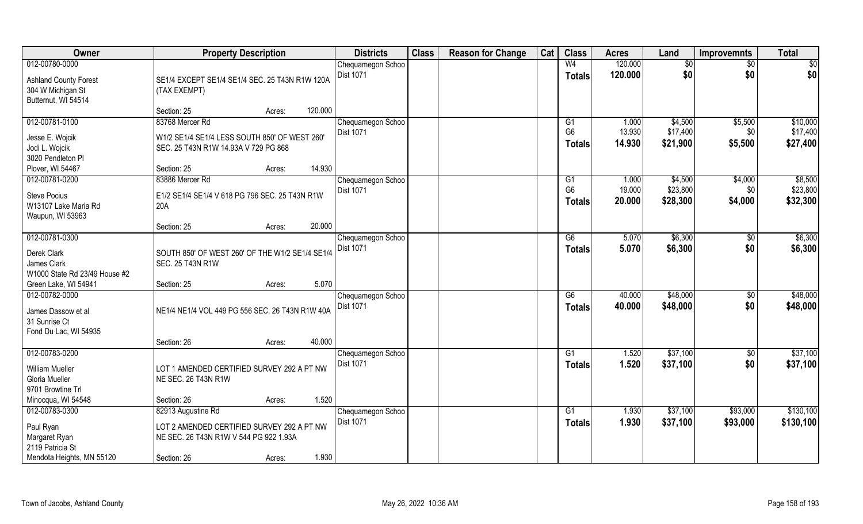| Owner                                                                             |                                                                                       | <b>Property Description</b> |         | <b>Districts</b>                      | <b>Class</b> | <b>Reason for Change</b> | Cat | <b>Class</b>                          | <b>Acres</b>              | Land                            | <b>Improvemnts</b>        | <b>Total</b>                    |
|-----------------------------------------------------------------------------------|---------------------------------------------------------------------------------------|-----------------------------|---------|---------------------------------------|--------------|--------------------------|-----|---------------------------------------|---------------------------|---------------------------------|---------------------------|---------------------------------|
| 012-00780-0000<br><b>Ashland County Forest</b><br>304 W Michigan St               | SE1/4 EXCEPT SE1/4 SE1/4 SEC. 25 T43N R1W 120A<br>(TAX EXEMPT)                        |                             |         | Chequamegon Schoo<br><b>Dist 1071</b> |              |                          |     | W <sub>4</sub><br><b>Totals</b>       | 120.000<br>120.000        | \$0<br>\$0                      | $\sqrt{6}$<br>\$0         | \$0<br>\$0                      |
| Butternut, WI 54514                                                               | Section: 25                                                                           | Acres:                      | 120.000 |                                       |              |                          |     |                                       |                           |                                 |                           |                                 |
| 012-00781-0100                                                                    | 83768 Mercer Rd                                                                       |                             |         | Chequamegon Schoo                     |              |                          |     | G1                                    | 1.000                     | \$4,500                         | \$5,500                   | \$10,000                        |
| Jesse E. Wojcik<br>Jodi L. Wojcik<br>3020 Pendleton PI                            | W1/2 SE1/4 SE1/4 LESS SOUTH 850' OF WEST 260'<br>SEC. 25 T43N R1W 14.93A V 729 PG 868 |                             |         | <b>Dist 1071</b>                      |              |                          |     | G <sub>6</sub><br><b>Totals</b>       | 13.930<br>14.930          | \$17,400<br>\$21,900            | \$0<br>\$5,500            | \$17,400<br>\$27,400            |
| Plover, WI 54467                                                                  | Section: 25                                                                           | Acres:                      | 14.930  |                                       |              |                          |     |                                       |                           |                                 |                           |                                 |
| 012-00781-0200<br><b>Steve Pocius</b><br>W13107 Lake Maria Rd<br>Waupun, WI 53963 | 83886 Mercer Rd<br>E1/2 SE1/4 SE1/4 V 618 PG 796 SEC. 25 T43N R1W<br>20A              |                             |         | Chequamegon Schoo<br>Dist 1071        |              |                          |     | G1<br>G <sub>6</sub><br><b>Totals</b> | 1.000<br>19.000<br>20.000 | \$4,500<br>\$23,800<br>\$28,300 | \$4,000<br>\$0<br>\$4,000 | \$8,500<br>\$23,800<br>\$32,300 |
|                                                                                   | Section: 25                                                                           | Acres:                      | 20.000  |                                       |              |                          |     |                                       |                           |                                 |                           |                                 |
| 012-00781-0300<br>Derek Clark<br>James Clark<br>W1000 State Rd 23/49 House #2     | SOUTH 850' OF WEST 260' OF THE W1/2 SE1/4 SE1/4<br>SEC. 25 T43N R1W                   |                             |         | Chequamegon Schoo<br><b>Dist 1071</b> |              |                          |     | G6<br>Totals                          | 5.070<br>5.070            | \$6,300<br>\$6,300              | \$0<br>\$0                | \$6,300<br>\$6,300              |
| Green Lake, WI 54941                                                              | Section: 25                                                                           | Acres:                      | 5.070   |                                       |              |                          |     |                                       |                           |                                 |                           |                                 |
| 012-00782-0000<br>James Dassow et al<br>31 Sunrise Ct<br>Fond Du Lac, WI 54935    | NE1/4 NE1/4 VOL 449 PG 556 SEC. 26 T43N R1W 40A                                       |                             |         | Chequamegon Schoo<br><b>Dist 1071</b> |              |                          |     | $\overline{G6}$<br><b>Totals</b>      | 40.000<br>40.000          | \$48,000<br>\$48,000            | $\overline{50}$<br>\$0    | \$48,000<br>\$48,000            |
|                                                                                   | Section: 26                                                                           | Acres:                      | 40.000  |                                       |              |                          |     |                                       |                           |                                 |                           |                                 |
| 012-00783-0200<br>William Mueller<br>Gloria Mueller<br>9701 Browtine Trl          | LOT 1 AMENDED CERTIFIED SURVEY 292 A PT NW<br>NE SEC. 26 T43N R1W                     |                             |         | Chequamegon Schoo<br><b>Dist 1071</b> |              |                          |     | G1<br><b>Totals</b>                   | 1.520<br>1.520            | \$37,100<br>\$37,100            | \$0<br>\$0                | \$37,100<br>\$37,100            |
| Minocqua, WI 54548                                                                | Section: 26                                                                           | Acres:                      | 1.520   |                                       |              |                          |     |                                       |                           |                                 |                           |                                 |
| 012-00783-0300                                                                    | 82913 Augustine Rd                                                                    |                             |         | Chequamegon Schoo                     |              |                          |     | $\overline{G1}$                       | 1.930                     | \$37,100                        | \$93,000                  | \$130,100                       |
| Paul Ryan<br>Margaret Ryan<br>2119 Patricia St                                    | LOT 2 AMENDED CERTIFIED SURVEY 292 A PT NW<br>NE SEC. 26 T43N R1W V 544 PG 922 1.93A  |                             |         | <b>Dist 1071</b>                      |              |                          |     | Totals                                | 1.930                     | \$37,100                        | \$93,000                  | \$130,100                       |
| Mendota Heights, MN 55120                                                         | Section: 26                                                                           | Acres:                      | 1.930   |                                       |              |                          |     |                                       |                           |                                 |                           |                                 |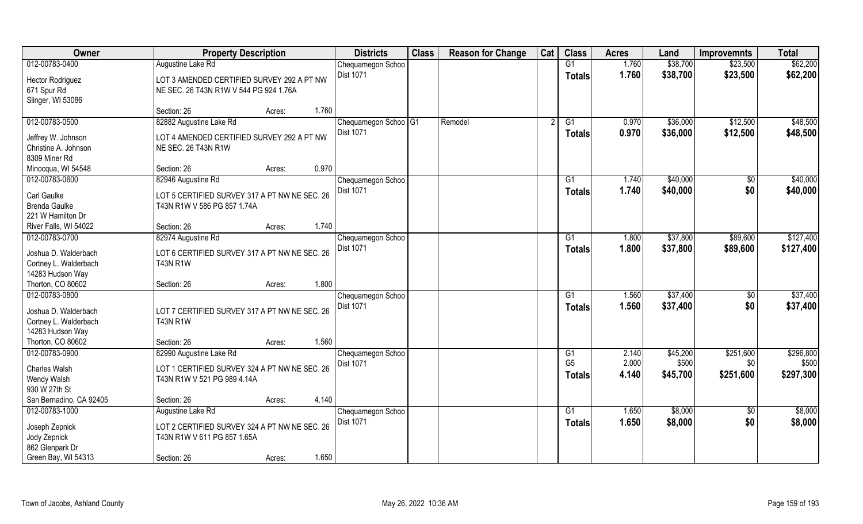| Owner                                                                               | <b>Property Description</b>                                                          | <b>Districts</b>                             | <b>Class</b> | <b>Reason for Change</b> | Cat | <b>Class</b>                     | <b>Acres</b>   | Land                 | <b>Improvemnts</b>   | <b>Total</b>         |
|-------------------------------------------------------------------------------------|--------------------------------------------------------------------------------------|----------------------------------------------|--------------|--------------------------|-----|----------------------------------|----------------|----------------------|----------------------|----------------------|
| 012-00783-0400                                                                      | Augustine Lake Rd                                                                    | Chequamegon Schoo                            |              |                          |     | G1                               | 1.760          | \$38,700             | \$23,500             | \$62,200             |
| Hector Rodriguez<br>671 Spur Rd<br>Slinger, WI 53086                                | LOT 3 AMENDED CERTIFIED SURVEY 292 A PT NW<br>NE SEC. 26 T43N R1W V 544 PG 924 1.76A | Dist 1071                                    |              |                          |     | <b>Totals</b>                    | 1.760          | \$38,700             | \$23,500             | \$62,200             |
|                                                                                     | 1.760<br>Section: 26<br>Acres:                                                       |                                              |              |                          |     |                                  |                |                      |                      |                      |
| 012-00783-0500                                                                      | 82882 Augustine Lake Rd                                                              | Chequamegon Schoo <sup>G1</sup><br>Dist 1071 |              | Remodel                  |     | G1<br><b>Totals</b>              | 0.970<br>0.970 | \$36,000<br>\$36,000 | \$12,500<br>\$12,500 | \$48,500<br>\$48,500 |
| Jeffrey W. Johnson<br>Christine A. Johnson<br>8309 Miner Rd                         | LOT 4 AMENDED CERTIFIED SURVEY 292 A PT NW<br>NE SEC. 26 T43N R1W                    |                                              |              |                          |     |                                  |                |                      |                      |                      |
| Minocqua, WI 54548                                                                  | Section: 26<br>0.970<br>Acres:                                                       |                                              |              |                          |     |                                  |                |                      |                      |                      |
| 012-00783-0600                                                                      | 82946 Augustine Rd                                                                   | Chequamegon Schoo                            |              |                          |     | G1                               | 1.740          | \$40,000             | \$0                  | \$40,000             |
| Carl Gaulke<br><b>Brenda Gaulke</b><br>221 W Hamilton Dr                            | LOT 5 CERTIFIED SURVEY 317 A PT NW NE SEC. 26<br>T43N R1W V 586 PG 857 1.74A         | Dist 1071                                    |              |                          |     | <b>Totals</b>                    | 1.740          | \$40,000             | \$0                  | \$40,000             |
| River Falls, WI 54022                                                               | 1.740<br>Section: 26<br>Acres:                                                       |                                              |              |                          |     |                                  |                |                      |                      |                      |
| 012-00783-0700                                                                      | 82974 Augustine Rd                                                                   | Chequamegon Schoo                            |              |                          |     | G1                               | 1.800          | \$37,800             | \$89,600             | \$127,400            |
| Joshua D. Walderbach<br>Cortney L. Walderbach<br>14283 Hudson Way                   | LOT 6 CERTIFIED SURVEY 317 A PT NW NE SEC. 26<br><b>T43N R1W</b>                     | Dist 1071                                    |              |                          |     | Totals                           | 1.800          | \$37,800             | \$89,600             | \$127,400            |
| Thorton, CO 80602                                                                   | 1.800<br>Section: 26<br>Acres:                                                       |                                              |              |                          |     |                                  |                |                      |                      |                      |
| 012-00783-0800<br>Joshua D. Walderbach<br>Cortney L. Walderbach<br>14283 Hudson Way | LOT 7 CERTIFIED SURVEY 317 A PT NW NE SEC. 26<br><b>T43N R1W</b>                     | Chequamegon Schoo<br>Dist 1071               |              |                          |     | G1<br><b>Totals</b>              | 1.560<br>1.560 | \$37,400<br>\$37,400 | \$0<br>\$0           | \$37,400<br>\$37,400 |
| Thorton, CO 80602                                                                   | 1.560<br>Section: 26<br>Acres:                                                       |                                              |              |                          |     |                                  |                |                      |                      |                      |
| 012-00783-0900                                                                      | 82990 Augustine Lake Rd                                                              | Chequamegon Schoo                            |              |                          |     | G1                               | 2.140          | \$45,200             | \$251,600            | \$296,800            |
| Charles Walsh<br>Wendy Walsh<br>930 W 27th St                                       | LOT 1 CERTIFIED SURVEY 324 A PT NW NE SEC. 26<br>T43N R1W V 521 PG 989 4.14A         | Dist 1071                                    |              |                          |     | G <sub>5</sub><br><b>Totals</b>  | 2.000<br>4.140 | \$500<br>\$45,700    | \$0<br>\$251,600     | \$500<br>\$297,300   |
| San Bernadino, CA 92405                                                             | 4.140<br>Section: 26<br>Acres:                                                       |                                              |              |                          |     |                                  |                |                      |                      |                      |
| 012-00783-1000<br>Joseph Zepnick                                                    | Augustine Lake Rd<br>LOT 2 CERTIFIED SURVEY 324 A PT NW NE SEC. 26                   | Chequamegon Schoo<br>Dist 1071               |              |                          |     | $\overline{G1}$<br><b>Totals</b> | 1.650<br>1.650 | \$8,000<br>\$8,000   | $\sqrt{$0}$<br>\$0   | \$8,000<br>\$8,000   |
| Jody Zepnick<br>862 Glenpark Dr                                                     | T43N R1W V 611 PG 857 1.65A                                                          |                                              |              |                          |     |                                  |                |                      |                      |                      |
| Green Bay, WI 54313                                                                 | 1.650<br>Section: 26<br>Acres:                                                       |                                              |              |                          |     |                                  |                |                      |                      |                      |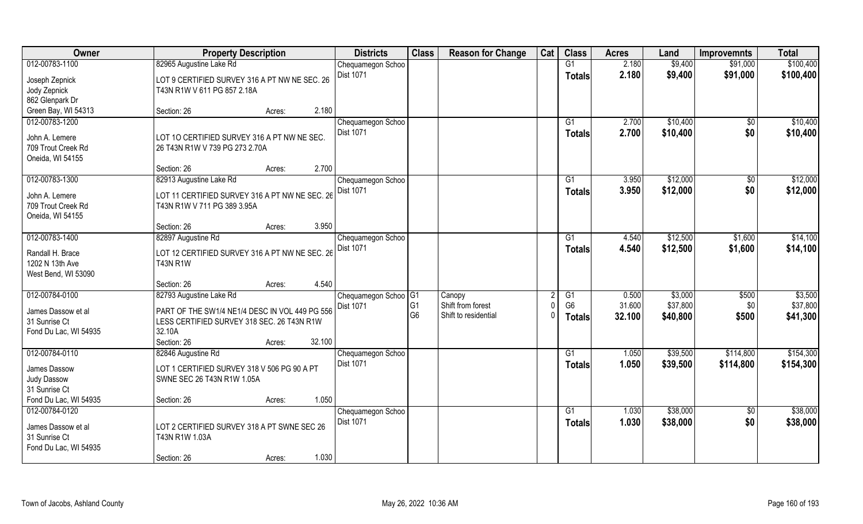| Owner                                  | <b>Property Description</b>                    | <b>Districts</b>                 | <b>Class</b>   | <b>Reason for Change</b> | Cat | <b>Class</b>   | <b>Acres</b> | Land     | <b>Improvemnts</b> | <b>Total</b> |
|----------------------------------------|------------------------------------------------|----------------------------------|----------------|--------------------------|-----|----------------|--------------|----------|--------------------|--------------|
| 012-00783-1100                         | 82965 Augustine Lake Rd                        | Chequamegon Schoo                |                |                          |     | G1             | 2.180        | \$9,400  | \$91,000           | \$100,400    |
| Joseph Zepnick                         | LOT 9 CERTIFIED SURVEY 316 A PT NW NE SEC. 26  | Dist 1071                        |                |                          |     | <b>Totals</b>  | 2.180        | \$9,400  | \$91,000           | \$100,400    |
| Jody Zepnick                           | T43N R1W V 611 PG 857 2.18A                    |                                  |                |                          |     |                |              |          |                    |              |
| 862 Glenpark Dr                        |                                                |                                  |                |                          |     |                |              |          |                    |              |
| Green Bay, WI 54313                    | 2.180<br>Section: 26<br>Acres:                 |                                  |                |                          |     |                |              |          |                    |              |
| 012-00783-1200                         |                                                | Chequamegon Schoo                |                |                          |     | G1             | 2.700        | \$10,400 | \$0                | \$10,400     |
|                                        |                                                | Dist 1071                        |                |                          |     | Totals         | 2.700        | \$10,400 | \$0                | \$10,400     |
| John A. Lemere                         | LOT 10 CERTIFIED SURVEY 316 A PT NW NE SEC.    |                                  |                |                          |     |                |              |          |                    |              |
| 709 Trout Creek Rd<br>Oneida, WI 54155 | 26 T43N R1W V 739 PG 273 2.70A                 |                                  |                |                          |     |                |              |          |                    |              |
|                                        | Section: 26<br>2.700<br>Acres:                 |                                  |                |                          |     |                |              |          |                    |              |
| 012-00783-1300                         | 82913 Augustine Lake Rd                        | Chequamegon Schoo                |                |                          |     | G1             | 3.950        | \$12,000 | \$0                | \$12,000     |
|                                        |                                                | Dist 1071                        |                |                          |     | <b>Totals</b>  | 3.950        | \$12,000 | \$0                | \$12,000     |
| John A. Lemere                         | LOT 11 CERTIFIED SURVEY 316 A PT NW NE SEC. 26 |                                  |                |                          |     |                |              |          |                    |              |
| 709 Trout Creek Rd                     | T43N R1W V 711 PG 389 3.95A                    |                                  |                |                          |     |                |              |          |                    |              |
| Oneida, WI 54155                       |                                                |                                  |                |                          |     |                |              |          |                    |              |
|                                        | 3.950<br>Section: 26<br>Acres:                 |                                  |                |                          |     |                |              |          |                    |              |
| 012-00783-1400                         | 82897 Augustine Rd                             | Chequamegon Schoo                |                |                          |     | G1             | 4.540        | \$12,500 | \$1,600            | \$14,100     |
| Randall H. Brace                       | LOT 12 CERTIFIED SURVEY 316 A PT NW NE SEC. 26 | Dist 1071                        |                |                          |     | <b>Totals</b>  | 4.540        | \$12,500 | \$1,600            | \$14,100     |
| 1202 N 13th Ave                        | <b>T43N R1W</b>                                |                                  |                |                          |     |                |              |          |                    |              |
| West Bend, WI 53090                    |                                                |                                  |                |                          |     |                |              |          |                    |              |
|                                        | 4.540<br>Section: 26<br>Acres:                 |                                  |                |                          |     |                |              |          |                    |              |
| 012-00784-0100                         | 82793 Augustine Lake Rd                        | Chequamegon Schoo <sup>OG1</sup> |                | Canopy                   |     | G1             | 0.500        | \$3,000  | \$500              | \$3,500      |
| James Dassow et al                     | PART OF THE SW1/4 NE1/4 DESC IN VOL 449 PG 556 | Dist 1071                        | G <sub>1</sub> | Shift from forest        |     | G <sub>6</sub> | 31.600       | \$37,800 | \$0                | \$37,800     |
| 31 Sunrise Ct                          | LESS CERTIFIED SURVEY 318 SEC. 26 T43N R1W     |                                  | G <sub>6</sub> | Shift to residential     |     | <b>Totals</b>  | 32.100       | \$40,800 | \$500              | \$41,300     |
| Fond Du Lac, WI 54935                  | 32.10A                                         |                                  |                |                          |     |                |              |          |                    |              |
|                                        | 32.100<br>Section: 26<br>Acres:                |                                  |                |                          |     |                |              |          |                    |              |
| 012-00784-0110                         | 82846 Augustine Rd                             | Chequamegon Schoo                |                |                          |     | G1             | 1.050        | \$39,500 | \$114,800          | \$154,300    |
| James Dassow                           | LOT 1 CERTIFIED SURVEY 318 V 506 PG 90 A PT    | Dist 1071                        |                |                          |     | <b>Totals</b>  | 1.050        | \$39,500 | \$114,800          | \$154,300    |
| Judy Dassow                            | SWNE SEC 26 T43N R1W 1.05A                     |                                  |                |                          |     |                |              |          |                    |              |
| 31 Sunrise Ct                          |                                                |                                  |                |                          |     |                |              |          |                    |              |
| Fond Du Lac, WI 54935                  | 1.050<br>Section: 26<br>Acres:                 |                                  |                |                          |     |                |              |          |                    |              |
| 012-00784-0120                         |                                                | Chequamegon Schoo                |                |                          |     | G1             | 1.030        | \$38,000 | $\overline{50}$    | \$38,000     |
|                                        |                                                | Dist 1071                        |                |                          |     | Totals         | 1.030        | \$38,000 | \$0                | \$38,000     |
| James Dassow et al                     | LOT 2 CERTIFIED SURVEY 318 A PT SWNE SEC 26    |                                  |                |                          |     |                |              |          |                    |              |
| 31 Sunrise Ct                          | T43N R1W 1.03A                                 |                                  |                |                          |     |                |              |          |                    |              |
| Fond Du Lac, WI 54935                  |                                                |                                  |                |                          |     |                |              |          |                    |              |
|                                        | 1.030<br>Section: 26<br>Acres:                 |                                  |                |                          |     |                |              |          |                    |              |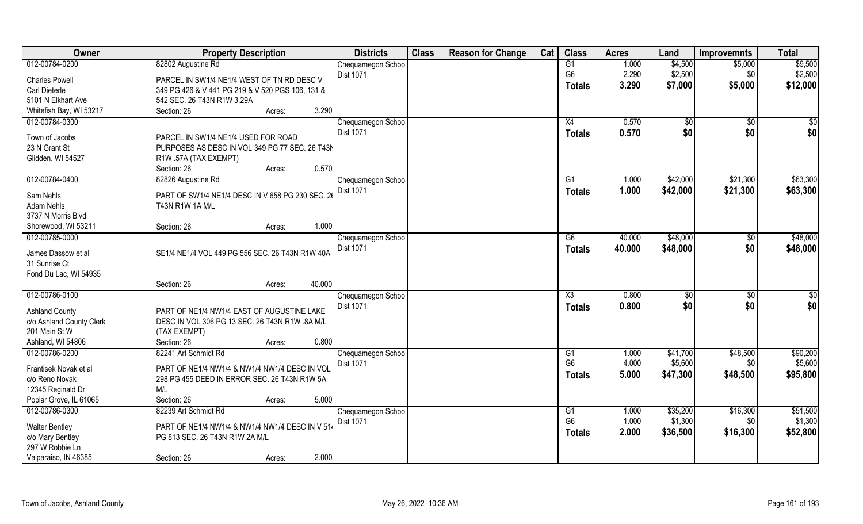| Owner                    | <b>Property Description</b>                         |        |        | <b>Districts</b>               | <b>Class</b> | <b>Reason for Change</b> | Cat | <b>Class</b>           | <b>Acres</b> | Land         | <b>Improvemnts</b> | <b>Total</b>    |
|--------------------------|-----------------------------------------------------|--------|--------|--------------------------------|--------------|--------------------------|-----|------------------------|--------------|--------------|--------------------|-----------------|
| 012-00784-0200           | 82802 Augustine Rd                                  |        |        | Chequamegon Schoo              |              |                          |     | G1                     | 1.000        | \$4,500      | \$5,000            | \$9,500         |
| <b>Charles Powell</b>    | PARCEL IN SW1/4 NE1/4 WEST OF TN RD DESC V          |        |        | <b>Dist 1071</b>               |              |                          |     | G <sub>6</sub>         | 2.290        | \$2,500      | \$0                | \$2,500         |
| Carl Dieterle            | 349 PG 426 & V 441 PG 219 & V 520 PGS 106, 131 &    |        |        |                                |              |                          |     | Totals                 | 3.290        | \$7,000      | \$5,000            | \$12,000        |
| 5101 N Elkhart Ave       | 542 SEC. 26 T43N R1W 3.29A                          |        |        |                                |              |                          |     |                        |              |              |                    |                 |
| Whitefish Bay, WI 53217  | Section: 26                                         | Acres: | 3.290  |                                |              |                          |     |                        |              |              |                    |                 |
| 012-00784-0300           |                                                     |        |        | Chequamegon Schoo              |              |                          |     | X4                     | 0.570        | $\sqrt[6]{}$ | $\sqrt{$0}$        | $\sqrt{50}$     |
|                          |                                                     |        |        | <b>Dist 1071</b>               |              |                          |     | <b>Totals</b>          | 0.570        | \$0          | \$0                | \$0             |
| Town of Jacobs           | PARCEL IN SW1/4 NE1/4 USED FOR ROAD                 |        |        |                                |              |                          |     |                        |              |              |                    |                 |
| 23 N Grant St            | PURPOSES AS DESC IN VOL 349 PG 77 SEC. 26 T43N      |        |        |                                |              |                          |     |                        |              |              |                    |                 |
| Glidden, WI 54527        | R1W .57A (TAX EXEMPT)                               |        |        |                                |              |                          |     |                        |              |              |                    |                 |
|                          | Section: 26                                         | Acres: | 0.570  |                                |              |                          |     |                        |              |              |                    |                 |
| 012-00784-0400           | 82826 Augustine Rd                                  |        |        | Chequamegon Schoo              |              |                          |     | G1                     | 1.000        | \$42,000     | \$21,300           | \$63,300        |
| Sam Nehls                | PART OF SW1/4 NE1/4 DESC IN V 658 PG 230 SEC. 26    |        |        | <b>Dist 1071</b>               |              |                          |     | <b>Totals</b>          | 1.000        | \$42,000     | \$21,300           | \$63,300        |
| <b>Adam Nehls</b>        | T43N R1W 1A M/L                                     |        |        |                                |              |                          |     |                        |              |              |                    |                 |
| 3737 N Morris Blvd       |                                                     |        |        |                                |              |                          |     |                        |              |              |                    |                 |
| Shorewood, WI 53211      | Section: 26                                         | Acres: | 1.000  |                                |              |                          |     |                        |              |              |                    |                 |
| 012-00785-0000           |                                                     |        |        | Chequamegon Schoo              |              |                          |     | G6                     | 40.000       | \$48,000     | \$0                | \$48,000        |
|                          |                                                     |        |        | Dist 1071                      |              |                          |     | <b>Totals</b>          | 40.000       | \$48,000     | \$0                | \$48,000        |
| James Dassow et al       | SE1/4 NE1/4 VOL 449 PG 556 SEC. 26 T43N R1W 40A     |        |        |                                |              |                          |     |                        |              |              |                    |                 |
| 31 Sunrise Ct            |                                                     |        |        |                                |              |                          |     |                        |              |              |                    |                 |
| Fond Du Lac, WI 54935    |                                                     |        | 40.000 |                                |              |                          |     |                        |              |              |                    |                 |
|                          | Section: 26                                         | Acres: |        |                                |              |                          |     |                        |              |              |                    |                 |
| 012-00786-0100           |                                                     |        |        | Chequamegon Schoo              |              |                          |     | $\overline{\text{X3}}$ | 0.800        | \$0          | \$0                | $\overline{50}$ |
| <b>Ashland County</b>    | PART OF NE1/4 NW1/4 EAST OF AUGUSTINE LAKE          |        |        | <b>Dist 1071</b>               |              |                          |     | <b>Totals</b>          | 0.800        | \$0          | \$0                | \$0             |
| c/o Ashland County Clerk | DESC IN VOL 306 PG 13 SEC. 26 T43N R1W .8A M/L      |        |        |                                |              |                          |     |                        |              |              |                    |                 |
| 201 Main St W            | (TAX EXEMPT)                                        |        |        |                                |              |                          |     |                        |              |              |                    |                 |
| Ashland, WI 54806        | Section: 26                                         | Acres: | 0.800  |                                |              |                          |     |                        |              |              |                    |                 |
| 012-00786-0200           | 82241 Art Schmidt Rd                                |        |        | Chequamegon Schoo              |              |                          |     | G1                     | 1.000        | \$41,700     | \$48,500           | \$90,200        |
| Frantisek Novak et al    | PART OF NE1/4 NW1/4 & NW1/4 NW1/4 DESC IN VOL       |        |        | <b>Dist 1071</b>               |              |                          |     | G <sub>6</sub>         | 4.000        | \$5,600      | \$0                | \$5,600         |
| c/o Reno Novak           |                                                     |        |        |                                |              |                          |     | <b>Totals</b>          | 5.000        | \$47,300     | \$48,500           | \$95,800        |
| 12345 Reginald Dr        | 298 PG 455 DEED IN ERROR SEC. 26 T43N R1W 5A<br>M/L |        |        |                                |              |                          |     |                        |              |              |                    |                 |
| Poplar Grove, IL 61065   | Section: 26                                         | Acres: | 5.000  |                                |              |                          |     |                        |              |              |                    |                 |
| 012-00786-0300           | 82239 Art Schmidt Rd                                |        |        |                                |              |                          |     | $\overline{G1}$        | 1.000        | \$35,200     | \$16,300           | \$51,500        |
|                          |                                                     |        |        | Chequamegon Schoo<br>Dist 1071 |              |                          |     | G <sub>6</sub>         | 1.000        | \$1,300      | \$0                | \$1,300         |
| <b>Walter Bentley</b>    | PART OF NE1/4 NW1/4 & NW1/4 NW1/4 DESC IN V 514     |        |        |                                |              |                          |     |                        | 2.000        |              |                    |                 |
| c/o Mary Bentley         | PG 813 SEC. 26 T43N R1W 2A M/L                      |        |        |                                |              |                          |     | <b>Totals</b>          |              | \$36,500     | \$16,300           | \$52,800        |
| 297 W Robbie Ln          |                                                     |        |        |                                |              |                          |     |                        |              |              |                    |                 |
| Valparaiso, IN 46385     | Section: 26                                         | Acres: | 2.000  |                                |              |                          |     |                        |              |              |                    |                 |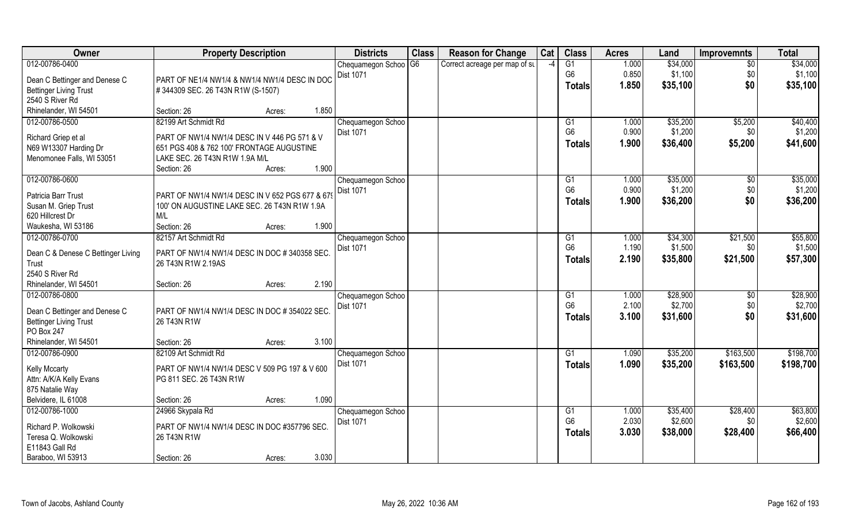| Owner                                        | <b>Property Description</b>                                                               | <b>Districts</b>  | <b>Class</b>   | <b>Reason for Change</b>      | Cat  | <b>Class</b>   | <b>Acres</b> | Land     | <b>Improvemnts</b> | <b>Total</b> |
|----------------------------------------------|-------------------------------------------------------------------------------------------|-------------------|----------------|-------------------------------|------|----------------|--------------|----------|--------------------|--------------|
| 012-00786-0400                               |                                                                                           | Chequamegon Schoo | G <sub>6</sub> | Correct acreage per map of st | $-4$ | G1             | 1.000        | \$34,000 | $\overline{30}$    | \$34,000     |
| Dean C Bettinger and Denese C                | PART OF NE1/4 NW1/4 & NW1/4 NW1/4 DESC IN DOC                                             | Dist 1071         |                |                               |      | G <sub>6</sub> | 0.850        | \$1,100  | \$0                | \$1,100      |
| <b>Bettinger Living Trust</b>                | #344309 SEC. 26 T43N R1W (S-1507)                                                         |                   |                |                               |      | <b>Totals</b>  | 1.850        | \$35,100 | \$0                | \$35,100     |
| 2540 S River Rd                              |                                                                                           |                   |                |                               |      |                |              |          |                    |              |
| Rhinelander, WI 54501                        | 1.850<br>Section: 26<br>Acres:                                                            |                   |                |                               |      |                |              |          |                    |              |
| 012-00786-0500                               | 82199 Art Schmidt Rd                                                                      | Chequamegon Schoo |                |                               |      | G1             | 1.000        | \$35,200 | \$5,200            | \$40,400     |
|                                              |                                                                                           | <b>Dist 1071</b>  |                |                               |      | G <sub>6</sub> | 0.900        | \$1,200  | \$0                | \$1,200      |
| Richard Griep et al<br>N69 W13307 Harding Dr | PART OF NW1/4 NW1/4 DESC IN V 446 PG 571 & V<br>651 PGS 408 & 762 100' FRONTAGE AUGUSTINE |                   |                |                               |      | <b>Totals</b>  | 1.900        | \$36,400 | \$5,200            | \$41,600     |
| Menomonee Falls, WI 53051                    | LAKE SEC. 26 T43N R1W 1.9A M/L                                                            |                   |                |                               |      |                |              |          |                    |              |
|                                              | 1.900<br>Section: 26<br>Acres:                                                            |                   |                |                               |      |                |              |          |                    |              |
| 012-00786-0600                               |                                                                                           | Chequamegon Schoo |                |                               |      | G1             | 1.000        | \$35,000 | $\sqrt[6]{30}$     | \$35,000     |
|                                              |                                                                                           | <b>Dist 1071</b>  |                |                               |      | G <sub>6</sub> | 0.900        | \$1,200  | \$0                | \$1,200      |
| Patricia Barr Trust                          | PART OF NW1/4 NW1/4 DESC IN V 652 PGS 677 & 679                                           |                   |                |                               |      | <b>Totals</b>  | 1.900        | \$36,200 | \$0                | \$36,200     |
| Susan M. Griep Trust                         | 100' ON AUGUSTINE LAKE SEC. 26 T43N R1W 1.9A                                              |                   |                |                               |      |                |              |          |                    |              |
| 620 Hillcrest Dr                             | M/L                                                                                       |                   |                |                               |      |                |              |          |                    |              |
| Waukesha, WI 53186                           | 1.900<br>Section: 26<br>Acres:                                                            |                   |                |                               |      |                |              |          |                    |              |
| 012-00786-0700                               | 82157 Art Schmidt Rd                                                                      | Chequamegon Schoo |                |                               |      | G1             | 1.000        | \$34,300 | \$21,500           | \$55,800     |
| Dean C & Denese C Bettinger Living           | PART OF NW1/4 NW1/4 DESC IN DOC #340358 SEC                                               | Dist 1071         |                |                               |      | G <sub>6</sub> | 1.190        | \$1,500  | \$0                | \$1,500      |
| Trust                                        | 26 T43N R1W 2.19AS                                                                        |                   |                |                               |      | <b>Totals</b>  | 2.190        | \$35,800 | \$21,500           | \$57,300     |
| 2540 S River Rd                              |                                                                                           |                   |                |                               |      |                |              |          |                    |              |
| Rhinelander, WI 54501                        | 2.190<br>Section: 26<br>Acres:                                                            |                   |                |                               |      |                |              |          |                    |              |
| 012-00786-0800                               |                                                                                           | Chequamegon Schoo |                |                               |      | G1             | 1.000        | \$28,900 | $\overline{50}$    | \$28,900     |
| Dean C Bettinger and Denese C                | PART OF NW1/4 NW1/4 DESC IN DOC #354022 SEC                                               | Dist 1071         |                |                               |      | G <sub>6</sub> | 2.100        | \$2,700  | \$0                | \$2,700      |
| <b>Bettinger Living Trust</b>                | 26 T43N R1W                                                                               |                   |                |                               |      | <b>Totals</b>  | 3.100        | \$31,600 | \$0                | \$31,600     |
| PO Box 247                                   |                                                                                           |                   |                |                               |      |                |              |          |                    |              |
| Rhinelander, WI 54501                        | 3.100<br>Section: 26<br>Acres:                                                            |                   |                |                               |      |                |              |          |                    |              |
| 012-00786-0900                               | 82109 Art Schmidt Rd                                                                      | Chequamegon Schoo |                |                               |      | G <sub>1</sub> | 1.090        | \$35,200 | \$163,500          | \$198,700    |
|                                              |                                                                                           | Dist 1071         |                |                               |      | <b>Totals</b>  | 1.090        | \$35,200 | \$163,500          | \$198,700    |
| <b>Kelly Mccarty</b>                         | PART OF NW1/4 NW1/4 DESC V 509 PG 197 & V 600                                             |                   |                |                               |      |                |              |          |                    |              |
| Attn: A/K/A Kelly Evans                      | PG 811 SEC. 26 T43N R1W                                                                   |                   |                |                               |      |                |              |          |                    |              |
| 875 Natalie Way<br>Belvidere, IL 61008       | 1.090<br>Section: 26                                                                      |                   |                |                               |      |                |              |          |                    |              |
| 012-00786-1000                               | Acres:<br>24966 Skypala Rd                                                                | Chequamegon Schoo |                |                               |      | G1             | 1.000        | \$35,400 | \$28,400           | \$63,800     |
|                                              |                                                                                           | Dist 1071         |                |                               |      | G <sub>6</sub> | 2.030        | \$2,600  | \$0                | \$2,600      |
| Richard P. Wolkowski                         | PART OF NW1/4 NW1/4 DESC IN DOC #357796 SEC.                                              |                   |                |                               |      | <b>Totals</b>  | 3.030        | \$38,000 | \$28,400           | \$66,400     |
| Teresa Q. Wolkowski                          | 26 T43N R1W                                                                               |                   |                |                               |      |                |              |          |                    |              |
| E11843 Gall Rd                               |                                                                                           |                   |                |                               |      |                |              |          |                    |              |
| Baraboo, WI 53913                            | 3.030<br>Section: 26<br>Acres:                                                            |                   |                |                               |      |                |              |          |                    |              |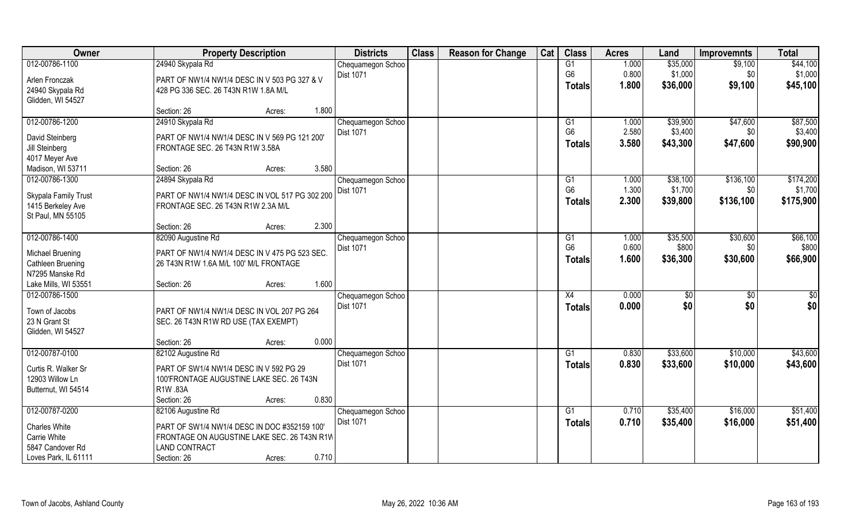| Owner                | <b>Property Description</b>                    | <b>Districts</b>  | <b>Class</b> | <b>Reason for Change</b> | Cat | <b>Class</b>   | <b>Acres</b> | Land     | <b>Improvemnts</b> | <b>Total</b> |
|----------------------|------------------------------------------------|-------------------|--------------|--------------------------|-----|----------------|--------------|----------|--------------------|--------------|
| 012-00786-1100       | 24940 Skypala Rd                               | Chequamegon Schoo |              |                          |     | G1             | 1.000        | \$35,000 | \$9,100            | \$44,100     |
| Arlen Fronczak       | PART OF NW1/4 NW1/4 DESC IN V 503 PG 327 & V   | Dist 1071         |              |                          |     | G <sub>6</sub> | 0.800        | \$1,000  | \$0                | \$1,000      |
| 24940 Skypala Rd     | 428 PG 336 SEC. 26 T43N R1W 1.8A M/L           |                   |              |                          |     | <b>Totals</b>  | 1.800        | \$36,000 | \$9,100            | \$45,100     |
| Glidden, WI 54527    |                                                |                   |              |                          |     |                |              |          |                    |              |
|                      | 1.800<br>Section: 26<br>Acres:                 |                   |              |                          |     |                |              |          |                    |              |
| 012-00786-1200       | 24910 Skypala Rd                               | Chequamegon Schoo |              |                          |     | G1             | 1.000        | \$39,900 | \$47,600           | \$87,500     |
| David Steinberg      | PART OF NW1/4 NW1/4 DESC IN V 569 PG 121 200'  | <b>Dist 1071</b>  |              |                          |     | G <sub>6</sub> | 2.580        | \$3,400  | \$0                | \$3,400      |
| Jill Steinberg       | FRONTAGE SEC. 26 T43N R1W 3.58A                |                   |              |                          |     | <b>Totals</b>  | 3.580        | \$43,300 | \$47,600           | \$90,900     |
| 4017 Meyer Ave       |                                                |                   |              |                          |     |                |              |          |                    |              |
| Madison, WI 53711    | 3.580<br>Section: 26<br>Acres:                 |                   |              |                          |     |                |              |          |                    |              |
| 012-00786-1300       | 24894 Skypala Rd                               | Chequamegon Schoo |              |                          |     | G1             | 1.000        | \$38,100 | \$136,100          | \$174,200    |
| Skypala Family Trust | PART OF NW1/4 NW1/4 DESC IN VOL 517 PG 302 200 | Dist 1071         |              |                          |     | G <sub>6</sub> | 1.300        | \$1,700  | \$0                | \$1,700      |
| 1415 Berkeley Ave    | FRONTAGE SEC. 26 T43N R1W 2.3A M/L             |                   |              |                          |     | Totals         | 2.300        | \$39,800 | \$136,100          | \$175,900    |
| St Paul, MN 55105    |                                                |                   |              |                          |     |                |              |          |                    |              |
|                      | 2.300<br>Section: 26<br>Acres:                 |                   |              |                          |     |                |              |          |                    |              |
| 012-00786-1400       | 82090 Augustine Rd                             | Chequamegon Schoo |              |                          |     | G1             | 1.000        | \$35,500 | \$30,600           | \$66,100     |
| Michael Bruening     | PART OF NW1/4 NW1/4 DESC IN V 475 PG 523 SEC.  | <b>Dist 1071</b>  |              |                          |     | G <sub>6</sub> | 0.600        | \$800    | \$0                | \$800        |
| Cathleen Bruening    | 26 T43N R1W 1.6A M/L 100' M/L FRONTAGE         |                   |              |                          |     | <b>Totals</b>  | 1.600        | \$36,300 | \$30,600           | \$66,900     |
| N7295 Manske Rd      |                                                |                   |              |                          |     |                |              |          |                    |              |
| Lake Mills, WI 53551 | 1.600<br>Section: 26<br>Acres:                 |                   |              |                          |     |                |              |          |                    |              |
| 012-00786-1500       |                                                | Chequamegon Schoo |              |                          |     | X4             | 0.000        | \$0      | \$0                | \$0          |
| Town of Jacobs       | PART OF NW1/4 NW1/4 DESC IN VOL 207 PG 264     | Dist 1071         |              |                          |     | <b>Totals</b>  | 0.000        | \$0      | \$0                | \$0          |
| 23 N Grant St        | SEC. 26 T43N R1W RD USE (TAX EXEMPT)           |                   |              |                          |     |                |              |          |                    |              |
| Glidden, WI 54527    |                                                |                   |              |                          |     |                |              |          |                    |              |
|                      | 0.000<br>Section: 26<br>Acres:                 |                   |              |                          |     |                |              |          |                    |              |
| 012-00787-0100       | 82102 Augustine Rd                             | Chequamegon Schoo |              |                          |     | G1             | 0.830        | \$33,600 | \$10,000           | \$43,600     |
| Curtis R. Walker Sr  | PART OF SW1/4 NW1/4 DESC IN V 592 PG 29        | Dist 1071         |              |                          |     | <b>Totals</b>  | 0.830        | \$33,600 | \$10,000           | \$43,600     |
| 12903 Willow Ln      | 100'FRONTAGE AUGUSTINE LAKE SEC. 26 T43N       |                   |              |                          |     |                |              |          |                    |              |
| Butternut, WI 54514  | R1W .83A                                       |                   |              |                          |     |                |              |          |                    |              |
|                      | 0.830<br>Section: 26<br>Acres:                 |                   |              |                          |     |                |              |          |                    |              |
| 012-00787-0200       | 82106 Augustine Rd                             | Chequamegon Schoo |              |                          |     | G1             | 0.710        | \$35,400 | \$16,000           | \$51,400     |
| Charles White        | PART OF SW1/4 NW1/4 DESC IN DOC #352159 100'   | <b>Dist 1071</b>  |              |                          |     | <b>Totals</b>  | 0.710        | \$35,400 | \$16,000           | \$51,400     |
| Carrie White         | FRONTAGE ON AUGUSTINE LAKE SEC. 26 T43N R1W    |                   |              |                          |     |                |              |          |                    |              |
| 5847 Candover Rd     | <b>LAND CONTRACT</b>                           |                   |              |                          |     |                |              |          |                    |              |
| Loves Park, IL 61111 | 0.710<br>Section: 26<br>Acres:                 |                   |              |                          |     |                |              |          |                    |              |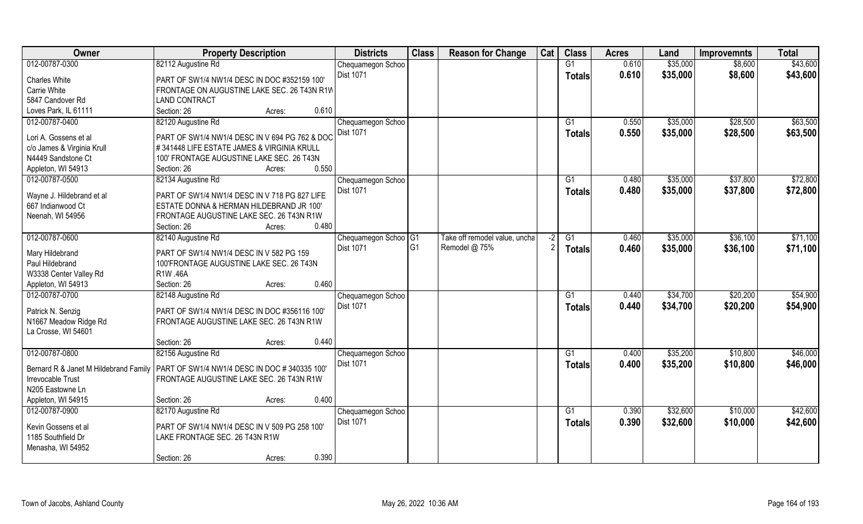| Owner                                 | <b>Property Description</b>                          |        |       | <b>Districts</b>     | <b>Class</b>   | <b>Reason for Change</b>      | Cat | <b>Class</b>    | <b>Acres</b> | Land     | <b>Improvemnts</b> | <b>Total</b> |
|---------------------------------------|------------------------------------------------------|--------|-------|----------------------|----------------|-------------------------------|-----|-----------------|--------------|----------|--------------------|--------------|
| 012-00787-0300                        | 82112 Augustine Rd                                   |        |       | Chequamegon Schoo    |                |                               |     | G1              | 0.610        | \$35,000 | \$8,600            | \$43,600     |
| <b>Charles White</b>                  | PART OF SW1/4 NW1/4 DESC IN DOC #352159 100'         |        |       | <b>Dist 1071</b>     |                |                               |     | <b>Totals</b>   | 0.610        | \$35,000 | \$8,600            | \$43,600     |
| Carrie White                          | FRONTAGE ON AUGUSTINE LAKE SEC. 26 T43N R1W          |        |       |                      |                |                               |     |                 |              |          |                    |              |
| 5847 Candover Rd                      | <b>LAND CONTRACT</b>                                 |        |       |                      |                |                               |     |                 |              |          |                    |              |
| Loves Park, IL 61111                  | Section: 26                                          | Acres: | 0.610 |                      |                |                               |     |                 |              |          |                    |              |
| 012-00787-0400                        | 82120 Augustine Rd                                   |        |       | Chequamegon Schoo    |                |                               |     | G1              | 0.550        | \$35,000 | \$28,500           | \$63,500     |
| Lori A. Gossens et al                 | PART OF SW1/4 NW1/4 DESC IN V 694 PG 762 & DOC       |        |       | <b>Dist 1071</b>     |                |                               |     | Totals          | 0.550        | \$35,000 | \$28,500           | \$63,500     |
| c/o James & Virginia Krull            | #341448 LIFE ESTATE JAMES & VIRGINIA KRULL           |        |       |                      |                |                               |     |                 |              |          |                    |              |
| N4449 Sandstone Ct                    | 100' FRONTAGE AUGUSTINE LAKE SEC. 26 T43N            |        |       |                      |                |                               |     |                 |              |          |                    |              |
| Appleton, WI 54913                    | Section: 26                                          | Acres: | 0.550 |                      |                |                               |     |                 |              |          |                    |              |
| 012-00787-0500                        | 82134 Augustine Rd                                   |        |       | Chequamegon Schoo    |                |                               |     | G1              | 0.480        | \$35,000 | \$37,800           | \$72,800     |
| Wayne J. Hildebrand et al             | PART OF SW1/4 NW1/4 DESC IN V 718 PG 827 LIFE        |        |       | Dist 1071            |                |                               |     | <b>Totals</b>   | 0.480        | \$35,000 | \$37,800           | \$72,800     |
| 667 Indianwood Ct                     | ESTATE DONNA & HERMAN HILDEBRAND JR 100'             |        |       |                      |                |                               |     |                 |              |          |                    |              |
| Neenah, WI 54956                      | FRONTAGE AUGUSTINE LAKE SEC. 26 T43N R1W             |        |       |                      |                |                               |     |                 |              |          |                    |              |
|                                       | Section: 26                                          | Acres: | 0.480 |                      |                |                               |     |                 |              |          |                    |              |
| 012-00787-0600                        | 82140 Augustine Rd                                   |        |       | Chequamegon Schoo G1 |                | Take off remodel value, uncha | -2  | G1              | 0.460        | \$35,000 | \$36,100           | \$71,100     |
|                                       |                                                      |        |       | <b>Dist 1071</b>     | G <sub>1</sub> | Remodel @ 75%                 |     | Totals          | 0.460        | \$35,000 | \$36,100           | \$71,100     |
| Mary Hildebrand<br>Paul Hildebrand    | PART OF SW1/4 NW1/4 DESC IN V 582 PG 159             |        |       |                      |                |                               |     |                 |              |          |                    |              |
| W3338 Center Valley Rd                | 100'FRONTAGE AUGUSTINE LAKE SEC. 26 T43N<br>R1W .46A |        |       |                      |                |                               |     |                 |              |          |                    |              |
| Appleton, WI 54913                    | Section: 26                                          | Acres: | 0.460 |                      |                |                               |     |                 |              |          |                    |              |
| 012-00787-0700                        | 82148 Augustine Rd                                   |        |       | Chequamegon Schoo    |                |                               |     | $\overline{G1}$ | 0.440        | \$34,700 | \$20,200           | \$54,900     |
|                                       |                                                      |        |       | <b>Dist 1071</b>     |                |                               |     | <b>Totals</b>   | 0.440        | \$34,700 | \$20,200           | \$54,900     |
| Patrick N. Senzig                     | PART OF SW1/4 NW1/4 DESC IN DOC #356116 100'         |        |       |                      |                |                               |     |                 |              |          |                    |              |
| N1667 Meadow Ridge Rd                 | FRONTAGE AUGUSTINE LAKE SEC. 26 T43N R1W             |        |       |                      |                |                               |     |                 |              |          |                    |              |
| La Crosse, WI 54601                   |                                                      |        |       |                      |                |                               |     |                 |              |          |                    |              |
|                                       | Section: 26                                          | Acres: | 0.440 |                      |                |                               |     |                 |              |          |                    |              |
| 012-00787-0800                        | 82156 Augustine Rd                                   |        |       | Chequamegon Schoo    |                |                               |     | G1              | 0.400        | \$35,200 | \$10,800           | \$46,000     |
| Bernard R & Janet M Hildebrand Family | PART OF SW1/4 NW1/4 DESC IN DOC # 340335 100'        |        |       | Dist 1071            |                |                               |     | <b>Totals</b>   | 0.400        | \$35,200 | \$10,800           | \$46,000     |
| <b>Irrevocable Trust</b>              | FRONTAGE AUGUSTINE LAKE SEC. 26 T43N R1W             |        |       |                      |                |                               |     |                 |              |          |                    |              |
| N205 Eastowne Ln                      |                                                      |        |       |                      |                |                               |     |                 |              |          |                    |              |
| Appleton, WI 54915                    | Section: 26                                          | Acres: | 0.400 |                      |                |                               |     |                 |              |          |                    |              |
| 012-00787-0900                        | 82170 Augustine Rd                                   |        |       | Chequamegon Schoo    |                |                               |     | $\overline{G1}$ | 0.390        | \$32,600 | \$10,000           | \$42,600     |
| Kevin Gossens et al                   | PART OF SW1/4 NW1/4 DESC IN V 509 PG 258 100'        |        |       | <b>Dist 1071</b>     |                |                               |     | Totals          | 0.390        | \$32,600 | \$10,000           | \$42,600     |
| 1185 Southfield Dr                    | LAKE FRONTAGE SEC. 26 T43N R1W                       |        |       |                      |                |                               |     |                 |              |          |                    |              |
| Menasha, WI 54952                     |                                                      |        |       |                      |                |                               |     |                 |              |          |                    |              |
|                                       | Section: 26                                          | Acres: | 0.390 |                      |                |                               |     |                 |              |          |                    |              |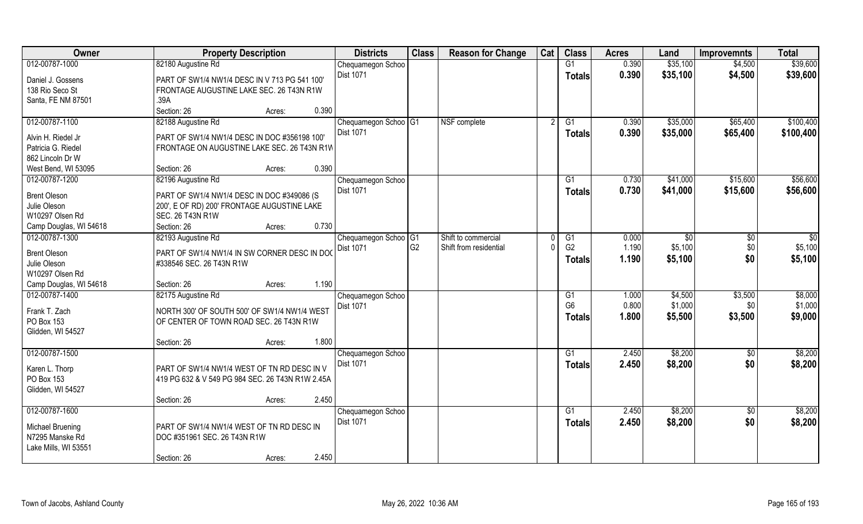| 0.390<br>\$35,100<br>\$39,600<br>82180 Augustine Rd<br>G1<br>\$4,500<br>Chequamegon Schoo<br>Dist 1071<br>0.390<br>\$35,100<br>\$4,500<br>\$39,600<br><b>Totals</b><br>Daniel J. Gossens<br>PART OF SW1/4 NW1/4 DESC IN V 713 PG 541 100<br>138 Rio Seco St<br>FRONTAGE AUGUSTINE LAKE SEC. 26 T43N R1W<br>Santa, FE NM 87501<br>.39A<br>Section: 26<br>0.390<br>Acres:<br>82188 Augustine Rd<br>NSF complete<br>\$35,000<br>\$65,400<br>Chequamegon Schoo <sup>OG1</sup><br>G1<br>0.390<br><b>Dist 1071</b><br>0.390<br>\$35,000<br>\$65,400<br>Totals<br>Alvin H. Riedel Jr<br>PART OF SW1/4 NW1/4 DESC IN DOC #356198 100<br>Patricia G. Riedel<br>FRONTAGE ON AUGUSTINE LAKE SEC. 26 T43N R1W<br>862 Lincoln Dr W<br>0.390<br>West Bend, WI 53095<br>Section: 26<br>Acres:<br>012-00787-1200<br>\$15,600<br>82196 Augustine Rd<br>G1<br>0.730<br>\$41,000<br>Chequamegon Schoo<br>Dist 1071<br>\$41,000<br>0.730<br>\$15,600<br><b>Totals</b><br><b>Brent Oleson</b><br>PART OF SW1/4 NW1/4 DESC IN DOC #349086 (S<br>Julie Oleson<br>200', E OF RD) 200' FRONTAGE AUGUSTINE LAKE<br>W10297 Olsen Rd<br>SEC. 26 T43N R1W<br>0.730<br>Camp Douglas, WI 54618<br>Section: 26<br>Acres:<br>012-00787-1300<br>82193 Augustine Rd<br>Chequamegon Schoo G1<br>Shift to commercial<br>0.000<br>$\sqrt[6]{3}$<br>G1<br>\$0<br>G <sub>2</sub><br>G <sub>2</sub><br>1.190<br>\$5,100<br>\$0<br>Shift from residential<br><b>Dist 1071</b><br><b>Brent Oleson</b><br>PART OF SW1/4 NW1/4 IN SW CORNER DESC IN DOC<br>\$0<br>1.190<br>\$5,100<br><b>Totals</b><br>Julie Oleson<br>#338546 SEC. 26 T43N R1W<br>W10297 Olsen Rd<br>1.190<br>Camp Douglas, WI 54618<br>Section: 26<br>Acres:<br>012-00787-1400<br>\$4,500<br>82175 Augustine Rd<br>G1<br>1.000<br>\$3,500<br>Chequamegon Schoo<br>G <sub>6</sub><br>0.800<br>\$1,000<br>\$0<br>Dist 1071<br>Frank T. Zach<br>NORTH 300' OF SOUTH 500' OF SW1/4 NW1/4 WEST<br>1.800<br>\$5,500<br>\$3,500<br>Totals<br>PO Box 153<br>OF CENTER OF TOWN ROAD SEC. 26 T43N R1W<br>Glidden, WI 54527<br>1.800<br>Section: 26<br>Acres:<br>\$8,200<br>G1<br>2.450<br>\$0<br>Chequamegon Schoo<br>\$0<br>Dist 1071<br>2.450<br>\$8,200<br><b>Totals</b><br>Karen L. Thorp<br>PART OF SW1/4 NW1/4 WEST OF TN RD DESC IN V<br>PO Box 153<br>419 PG 632 & V 549 PG 984 SEC. 26 T43N R1W 2.45A<br>Glidden, WI 54527<br>Section: 26<br>2.450<br>Acres:<br>012-00787-1600<br>$\overline{G1}$<br>2.450<br>\$8,200<br>$\overline{50}$<br>Chequamegon Schoo<br><b>Dist 1071</b><br>2.450<br>\$8,200<br>\$0<br>Totals<br>Michael Bruening<br>PART OF SW1/4 NW1/4 WEST OF TN RD DESC IN<br>N7295 Manske Rd<br>DOC #351961 SEC. 26 T43N R1W<br>Lake Mills, WI 53551<br>2.450 | Owner          | <b>Property Description</b> |        | <b>Districts</b> | <b>Class</b> | <b>Reason for Change</b> | Cat | <b>Class</b> | <b>Acres</b> | Land | <b>Improvemnts</b> | <b>Total</b> |
|-------------------------------------------------------------------------------------------------------------------------------------------------------------------------------------------------------------------------------------------------------------------------------------------------------------------------------------------------------------------------------------------------------------------------------------------------------------------------------------------------------------------------------------------------------------------------------------------------------------------------------------------------------------------------------------------------------------------------------------------------------------------------------------------------------------------------------------------------------------------------------------------------------------------------------------------------------------------------------------------------------------------------------------------------------------------------------------------------------------------------------------------------------------------------------------------------------------------------------------------------------------------------------------------------------------------------------------------------------------------------------------------------------------------------------------------------------------------------------------------------------------------------------------------------------------------------------------------------------------------------------------------------------------------------------------------------------------------------------------------------------------------------------------------------------------------------------------------------------------------------------------------------------------------------------------------------------------------------------------------------------------------------------------------------------------------------------------------------------------------------------------------------------------------------------------------------------------------------------------------------------------------------------------------------------------------------------------------------------------------------------------------------------------------------------------------------------------------------------------------------------------------------------------------------------------------------------------------------------------------------------------------------------------------------------------------------|----------------|-----------------------------|--------|------------------|--------------|--------------------------|-----|--------------|--------------|------|--------------------|--------------|
|                                                                                                                                                                                                                                                                                                                                                                                                                                                                                                                                                                                                                                                                                                                                                                                                                                                                                                                                                                                                                                                                                                                                                                                                                                                                                                                                                                                                                                                                                                                                                                                                                                                                                                                                                                                                                                                                                                                                                                                                                                                                                                                                                                                                                                                                                                                                                                                                                                                                                                                                                                                                                                                                                                 | 012-00787-1000 |                             |        |                  |              |                          |     |              |              |      |                    |              |
| \$100,400<br>\$100,400<br>\$56,600<br>\$56,600<br>$\overline{50}$<br>\$5,100<br>\$5,100<br>\$8,000<br>\$1,000<br>\$9,000<br>\$8,200<br>\$8,200<br>\$8,200<br>\$8,200                                                                                                                                                                                                                                                                                                                                                                                                                                                                                                                                                                                                                                                                                                                                                                                                                                                                                                                                                                                                                                                                                                                                                                                                                                                                                                                                                                                                                                                                                                                                                                                                                                                                                                                                                                                                                                                                                                                                                                                                                                                                                                                                                                                                                                                                                                                                                                                                                                                                                                                            |                |                             |        |                  |              |                          |     |              |              |      |                    |              |
|                                                                                                                                                                                                                                                                                                                                                                                                                                                                                                                                                                                                                                                                                                                                                                                                                                                                                                                                                                                                                                                                                                                                                                                                                                                                                                                                                                                                                                                                                                                                                                                                                                                                                                                                                                                                                                                                                                                                                                                                                                                                                                                                                                                                                                                                                                                                                                                                                                                                                                                                                                                                                                                                                                 |                |                             |        |                  |              |                          |     |              |              |      |                    |              |
|                                                                                                                                                                                                                                                                                                                                                                                                                                                                                                                                                                                                                                                                                                                                                                                                                                                                                                                                                                                                                                                                                                                                                                                                                                                                                                                                                                                                                                                                                                                                                                                                                                                                                                                                                                                                                                                                                                                                                                                                                                                                                                                                                                                                                                                                                                                                                                                                                                                                                                                                                                                                                                                                                                 |                |                             |        |                  |              |                          |     |              |              |      |                    |              |
|                                                                                                                                                                                                                                                                                                                                                                                                                                                                                                                                                                                                                                                                                                                                                                                                                                                                                                                                                                                                                                                                                                                                                                                                                                                                                                                                                                                                                                                                                                                                                                                                                                                                                                                                                                                                                                                                                                                                                                                                                                                                                                                                                                                                                                                                                                                                                                                                                                                                                                                                                                                                                                                                                                 |                |                             |        |                  |              |                          |     |              |              |      |                    |              |
|                                                                                                                                                                                                                                                                                                                                                                                                                                                                                                                                                                                                                                                                                                                                                                                                                                                                                                                                                                                                                                                                                                                                                                                                                                                                                                                                                                                                                                                                                                                                                                                                                                                                                                                                                                                                                                                                                                                                                                                                                                                                                                                                                                                                                                                                                                                                                                                                                                                                                                                                                                                                                                                                                                 | 012-00787-1100 |                             |        |                  |              |                          |     |              |              |      |                    |              |
|                                                                                                                                                                                                                                                                                                                                                                                                                                                                                                                                                                                                                                                                                                                                                                                                                                                                                                                                                                                                                                                                                                                                                                                                                                                                                                                                                                                                                                                                                                                                                                                                                                                                                                                                                                                                                                                                                                                                                                                                                                                                                                                                                                                                                                                                                                                                                                                                                                                                                                                                                                                                                                                                                                 |                |                             |        |                  |              |                          |     |              |              |      |                    |              |
|                                                                                                                                                                                                                                                                                                                                                                                                                                                                                                                                                                                                                                                                                                                                                                                                                                                                                                                                                                                                                                                                                                                                                                                                                                                                                                                                                                                                                                                                                                                                                                                                                                                                                                                                                                                                                                                                                                                                                                                                                                                                                                                                                                                                                                                                                                                                                                                                                                                                                                                                                                                                                                                                                                 |                |                             |        |                  |              |                          |     |              |              |      |                    |              |
|                                                                                                                                                                                                                                                                                                                                                                                                                                                                                                                                                                                                                                                                                                                                                                                                                                                                                                                                                                                                                                                                                                                                                                                                                                                                                                                                                                                                                                                                                                                                                                                                                                                                                                                                                                                                                                                                                                                                                                                                                                                                                                                                                                                                                                                                                                                                                                                                                                                                                                                                                                                                                                                                                                 |                |                             |        |                  |              |                          |     |              |              |      |                    |              |
|                                                                                                                                                                                                                                                                                                                                                                                                                                                                                                                                                                                                                                                                                                                                                                                                                                                                                                                                                                                                                                                                                                                                                                                                                                                                                                                                                                                                                                                                                                                                                                                                                                                                                                                                                                                                                                                                                                                                                                                                                                                                                                                                                                                                                                                                                                                                                                                                                                                                                                                                                                                                                                                                                                 |                |                             |        |                  |              |                          |     |              |              |      |                    |              |
|                                                                                                                                                                                                                                                                                                                                                                                                                                                                                                                                                                                                                                                                                                                                                                                                                                                                                                                                                                                                                                                                                                                                                                                                                                                                                                                                                                                                                                                                                                                                                                                                                                                                                                                                                                                                                                                                                                                                                                                                                                                                                                                                                                                                                                                                                                                                                                                                                                                                                                                                                                                                                                                                                                 |                |                             |        |                  |              |                          |     |              |              |      |                    |              |
|                                                                                                                                                                                                                                                                                                                                                                                                                                                                                                                                                                                                                                                                                                                                                                                                                                                                                                                                                                                                                                                                                                                                                                                                                                                                                                                                                                                                                                                                                                                                                                                                                                                                                                                                                                                                                                                                                                                                                                                                                                                                                                                                                                                                                                                                                                                                                                                                                                                                                                                                                                                                                                                                                                 |                |                             |        |                  |              |                          |     |              |              |      |                    |              |
|                                                                                                                                                                                                                                                                                                                                                                                                                                                                                                                                                                                                                                                                                                                                                                                                                                                                                                                                                                                                                                                                                                                                                                                                                                                                                                                                                                                                                                                                                                                                                                                                                                                                                                                                                                                                                                                                                                                                                                                                                                                                                                                                                                                                                                                                                                                                                                                                                                                                                                                                                                                                                                                                                                 |                |                             |        |                  |              |                          |     |              |              |      |                    |              |
|                                                                                                                                                                                                                                                                                                                                                                                                                                                                                                                                                                                                                                                                                                                                                                                                                                                                                                                                                                                                                                                                                                                                                                                                                                                                                                                                                                                                                                                                                                                                                                                                                                                                                                                                                                                                                                                                                                                                                                                                                                                                                                                                                                                                                                                                                                                                                                                                                                                                                                                                                                                                                                                                                                 |                |                             |        |                  |              |                          |     |              |              |      |                    |              |
|                                                                                                                                                                                                                                                                                                                                                                                                                                                                                                                                                                                                                                                                                                                                                                                                                                                                                                                                                                                                                                                                                                                                                                                                                                                                                                                                                                                                                                                                                                                                                                                                                                                                                                                                                                                                                                                                                                                                                                                                                                                                                                                                                                                                                                                                                                                                                                                                                                                                                                                                                                                                                                                                                                 |                |                             |        |                  |              |                          |     |              |              |      |                    |              |
|                                                                                                                                                                                                                                                                                                                                                                                                                                                                                                                                                                                                                                                                                                                                                                                                                                                                                                                                                                                                                                                                                                                                                                                                                                                                                                                                                                                                                                                                                                                                                                                                                                                                                                                                                                                                                                                                                                                                                                                                                                                                                                                                                                                                                                                                                                                                                                                                                                                                                                                                                                                                                                                                                                 |                |                             |        |                  |              |                          |     |              |              |      |                    |              |
|                                                                                                                                                                                                                                                                                                                                                                                                                                                                                                                                                                                                                                                                                                                                                                                                                                                                                                                                                                                                                                                                                                                                                                                                                                                                                                                                                                                                                                                                                                                                                                                                                                                                                                                                                                                                                                                                                                                                                                                                                                                                                                                                                                                                                                                                                                                                                                                                                                                                                                                                                                                                                                                                                                 |                |                             |        |                  |              |                          |     |              |              |      |                    |              |
|                                                                                                                                                                                                                                                                                                                                                                                                                                                                                                                                                                                                                                                                                                                                                                                                                                                                                                                                                                                                                                                                                                                                                                                                                                                                                                                                                                                                                                                                                                                                                                                                                                                                                                                                                                                                                                                                                                                                                                                                                                                                                                                                                                                                                                                                                                                                                                                                                                                                                                                                                                                                                                                                                                 |                |                             |        |                  |              |                          |     |              |              |      |                    |              |
|                                                                                                                                                                                                                                                                                                                                                                                                                                                                                                                                                                                                                                                                                                                                                                                                                                                                                                                                                                                                                                                                                                                                                                                                                                                                                                                                                                                                                                                                                                                                                                                                                                                                                                                                                                                                                                                                                                                                                                                                                                                                                                                                                                                                                                                                                                                                                                                                                                                                                                                                                                                                                                                                                                 |                |                             |        |                  |              |                          |     |              |              |      |                    |              |
|                                                                                                                                                                                                                                                                                                                                                                                                                                                                                                                                                                                                                                                                                                                                                                                                                                                                                                                                                                                                                                                                                                                                                                                                                                                                                                                                                                                                                                                                                                                                                                                                                                                                                                                                                                                                                                                                                                                                                                                                                                                                                                                                                                                                                                                                                                                                                                                                                                                                                                                                                                                                                                                                                                 |                |                             |        |                  |              |                          |     |              |              |      |                    |              |
|                                                                                                                                                                                                                                                                                                                                                                                                                                                                                                                                                                                                                                                                                                                                                                                                                                                                                                                                                                                                                                                                                                                                                                                                                                                                                                                                                                                                                                                                                                                                                                                                                                                                                                                                                                                                                                                                                                                                                                                                                                                                                                                                                                                                                                                                                                                                                                                                                                                                                                                                                                                                                                                                                                 |                |                             |        |                  |              |                          |     |              |              |      |                    |              |
|                                                                                                                                                                                                                                                                                                                                                                                                                                                                                                                                                                                                                                                                                                                                                                                                                                                                                                                                                                                                                                                                                                                                                                                                                                                                                                                                                                                                                                                                                                                                                                                                                                                                                                                                                                                                                                                                                                                                                                                                                                                                                                                                                                                                                                                                                                                                                                                                                                                                                                                                                                                                                                                                                                 |                |                             |        |                  |              |                          |     |              |              |      |                    |              |
|                                                                                                                                                                                                                                                                                                                                                                                                                                                                                                                                                                                                                                                                                                                                                                                                                                                                                                                                                                                                                                                                                                                                                                                                                                                                                                                                                                                                                                                                                                                                                                                                                                                                                                                                                                                                                                                                                                                                                                                                                                                                                                                                                                                                                                                                                                                                                                                                                                                                                                                                                                                                                                                                                                 |                |                             |        |                  |              |                          |     |              |              |      |                    |              |
|                                                                                                                                                                                                                                                                                                                                                                                                                                                                                                                                                                                                                                                                                                                                                                                                                                                                                                                                                                                                                                                                                                                                                                                                                                                                                                                                                                                                                                                                                                                                                                                                                                                                                                                                                                                                                                                                                                                                                                                                                                                                                                                                                                                                                                                                                                                                                                                                                                                                                                                                                                                                                                                                                                 |                |                             |        |                  |              |                          |     |              |              |      |                    |              |
|                                                                                                                                                                                                                                                                                                                                                                                                                                                                                                                                                                                                                                                                                                                                                                                                                                                                                                                                                                                                                                                                                                                                                                                                                                                                                                                                                                                                                                                                                                                                                                                                                                                                                                                                                                                                                                                                                                                                                                                                                                                                                                                                                                                                                                                                                                                                                                                                                                                                                                                                                                                                                                                                                                 |                |                             |        |                  |              |                          |     |              |              |      |                    |              |
|                                                                                                                                                                                                                                                                                                                                                                                                                                                                                                                                                                                                                                                                                                                                                                                                                                                                                                                                                                                                                                                                                                                                                                                                                                                                                                                                                                                                                                                                                                                                                                                                                                                                                                                                                                                                                                                                                                                                                                                                                                                                                                                                                                                                                                                                                                                                                                                                                                                                                                                                                                                                                                                                                                 |                |                             |        |                  |              |                          |     |              |              |      |                    |              |
|                                                                                                                                                                                                                                                                                                                                                                                                                                                                                                                                                                                                                                                                                                                                                                                                                                                                                                                                                                                                                                                                                                                                                                                                                                                                                                                                                                                                                                                                                                                                                                                                                                                                                                                                                                                                                                                                                                                                                                                                                                                                                                                                                                                                                                                                                                                                                                                                                                                                                                                                                                                                                                                                                                 | 012-00787-1500 |                             |        |                  |              |                          |     |              |              |      |                    |              |
|                                                                                                                                                                                                                                                                                                                                                                                                                                                                                                                                                                                                                                                                                                                                                                                                                                                                                                                                                                                                                                                                                                                                                                                                                                                                                                                                                                                                                                                                                                                                                                                                                                                                                                                                                                                                                                                                                                                                                                                                                                                                                                                                                                                                                                                                                                                                                                                                                                                                                                                                                                                                                                                                                                 |                |                             |        |                  |              |                          |     |              |              |      |                    |              |
|                                                                                                                                                                                                                                                                                                                                                                                                                                                                                                                                                                                                                                                                                                                                                                                                                                                                                                                                                                                                                                                                                                                                                                                                                                                                                                                                                                                                                                                                                                                                                                                                                                                                                                                                                                                                                                                                                                                                                                                                                                                                                                                                                                                                                                                                                                                                                                                                                                                                                                                                                                                                                                                                                                 |                |                             |        |                  |              |                          |     |              |              |      |                    |              |
|                                                                                                                                                                                                                                                                                                                                                                                                                                                                                                                                                                                                                                                                                                                                                                                                                                                                                                                                                                                                                                                                                                                                                                                                                                                                                                                                                                                                                                                                                                                                                                                                                                                                                                                                                                                                                                                                                                                                                                                                                                                                                                                                                                                                                                                                                                                                                                                                                                                                                                                                                                                                                                                                                                 |                |                             |        |                  |              |                          |     |              |              |      |                    |              |
|                                                                                                                                                                                                                                                                                                                                                                                                                                                                                                                                                                                                                                                                                                                                                                                                                                                                                                                                                                                                                                                                                                                                                                                                                                                                                                                                                                                                                                                                                                                                                                                                                                                                                                                                                                                                                                                                                                                                                                                                                                                                                                                                                                                                                                                                                                                                                                                                                                                                                                                                                                                                                                                                                                 |                |                             |        |                  |              |                          |     |              |              |      |                    |              |
|                                                                                                                                                                                                                                                                                                                                                                                                                                                                                                                                                                                                                                                                                                                                                                                                                                                                                                                                                                                                                                                                                                                                                                                                                                                                                                                                                                                                                                                                                                                                                                                                                                                                                                                                                                                                                                                                                                                                                                                                                                                                                                                                                                                                                                                                                                                                                                                                                                                                                                                                                                                                                                                                                                 |                |                             |        |                  |              |                          |     |              |              |      |                    |              |
|                                                                                                                                                                                                                                                                                                                                                                                                                                                                                                                                                                                                                                                                                                                                                                                                                                                                                                                                                                                                                                                                                                                                                                                                                                                                                                                                                                                                                                                                                                                                                                                                                                                                                                                                                                                                                                                                                                                                                                                                                                                                                                                                                                                                                                                                                                                                                                                                                                                                                                                                                                                                                                                                                                 |                |                             |        |                  |              |                          |     |              |              |      |                    |              |
|                                                                                                                                                                                                                                                                                                                                                                                                                                                                                                                                                                                                                                                                                                                                                                                                                                                                                                                                                                                                                                                                                                                                                                                                                                                                                                                                                                                                                                                                                                                                                                                                                                                                                                                                                                                                                                                                                                                                                                                                                                                                                                                                                                                                                                                                                                                                                                                                                                                                                                                                                                                                                                                                                                 |                |                             |        |                  |              |                          |     |              |              |      |                    |              |
|                                                                                                                                                                                                                                                                                                                                                                                                                                                                                                                                                                                                                                                                                                                                                                                                                                                                                                                                                                                                                                                                                                                                                                                                                                                                                                                                                                                                                                                                                                                                                                                                                                                                                                                                                                                                                                                                                                                                                                                                                                                                                                                                                                                                                                                                                                                                                                                                                                                                                                                                                                                                                                                                                                 |                |                             |        |                  |              |                          |     |              |              |      |                    |              |
|                                                                                                                                                                                                                                                                                                                                                                                                                                                                                                                                                                                                                                                                                                                                                                                                                                                                                                                                                                                                                                                                                                                                                                                                                                                                                                                                                                                                                                                                                                                                                                                                                                                                                                                                                                                                                                                                                                                                                                                                                                                                                                                                                                                                                                                                                                                                                                                                                                                                                                                                                                                                                                                                                                 |                | Section: 26                 | Acres: |                  |              |                          |     |              |              |      |                    |              |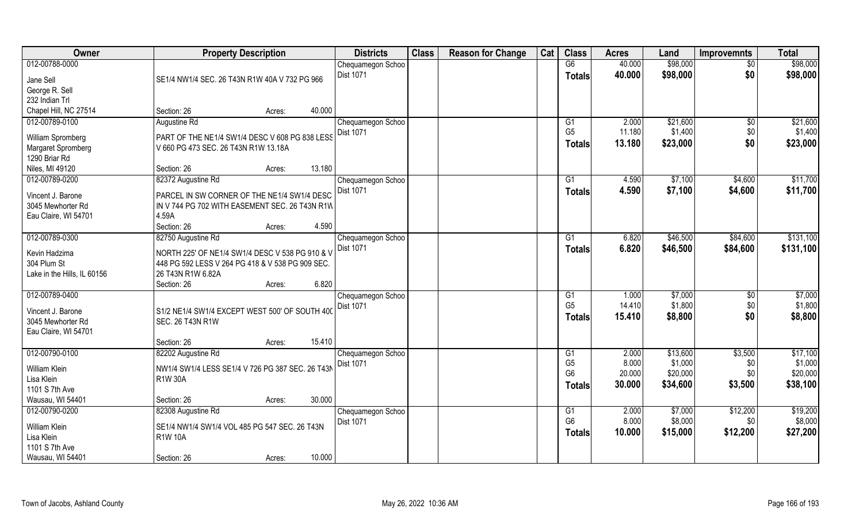| Owner                            | <b>Property Description</b>                      | <b>Districts</b>               | <b>Class</b> | <b>Reason for Change</b> | Cat | <b>Class</b>         | <b>Acres</b>   | Land                | <b>Improvemnts</b> | <b>Total</b>        |
|----------------------------------|--------------------------------------------------|--------------------------------|--------------|--------------------------|-----|----------------------|----------------|---------------------|--------------------|---------------------|
| 012-00788-0000                   |                                                  | Chequamegon Schoo              |              |                          |     | G6                   | 40.000         | \$98,000            | $\sqrt{50}$        | \$98,000            |
| Jane Sell                        | SE1/4 NW1/4 SEC. 26 T43N R1W 40A V 732 PG 966    | Dist 1071                      |              |                          |     | <b>Totals</b>        | 40.000         | \$98,000            | \$0                | \$98,000            |
| George R. Sell                   |                                                  |                                |              |                          |     |                      |                |                     |                    |                     |
| 232 Indian Trl                   |                                                  |                                |              |                          |     |                      |                |                     |                    |                     |
| Chapel Hill, NC 27514            | 40.000<br>Section: 26<br>Acres:                  |                                |              |                          |     |                      |                |                     |                    |                     |
| 012-00789-0100                   | Augustine Rd                                     | Chequamegon Schoo              |              |                          |     | G1                   | 2.000          | \$21,600            | \$0                | \$21,600            |
|                                  |                                                  | <b>Dist 1071</b>               |              |                          |     | G <sub>5</sub>       | 11.180         | \$1,400             | \$0                | \$1,400             |
| William Spromberg                | PART OF THE NE1/4 SW1/4 DESC V 608 PG 838 LESS   |                                |              |                          |     | <b>Totals</b>        | 13.180         | \$23,000            | \$0                | \$23,000            |
| Margaret Spromberg               | V 660 PG 473 SEC. 26 T43N R1W 13.18A             |                                |              |                          |     |                      |                |                     |                    |                     |
| 1290 Briar Rd<br>Niles, MI 49120 | 13.180<br>Section: 26                            |                                |              |                          |     |                      |                |                     |                    |                     |
| 012-00789-0200                   | Acres:<br>82372 Augustine Rd                     |                                |              |                          |     | G1                   | 4.590          | \$7,100             | \$4,600            | \$11,700            |
|                                  |                                                  | Chequamegon Schoo<br>Dist 1071 |              |                          |     |                      |                |                     |                    |                     |
| Vincent J. Barone                | PARCEL IN SW CORNER OF THE NE1/4 SW1/4 DESC      |                                |              |                          |     | <b>Totals</b>        | 4.590          | \$7,100             | \$4,600            | \$11,700            |
| 3045 Mewhorter Rd                | IN V 744 PG 702 WITH EASEMENT SEC. 26 T43N R1W   |                                |              |                          |     |                      |                |                     |                    |                     |
| Eau Claire, WI 54701             | 4.59A                                            |                                |              |                          |     |                      |                |                     |                    |                     |
|                                  | 4.590<br>Section: 26<br>Acres:                   |                                |              |                          |     |                      |                |                     |                    |                     |
| 012-00789-0300                   | 82750 Augustine Rd                               | Chequamegon Schoo              |              |                          |     | G1                   | 6.820          | \$46,500            | \$84,600           | \$131,100           |
| Kevin Hadzima                    | NORTH 225' OF NE1/4 SW1/4 DESC V 538 PG 910 & V  | <b>Dist 1071</b>               |              |                          |     | <b>Totals</b>        | 6.820          | \$46,500            | \$84,600           | \$131,100           |
| 304 Plum St                      | 448 PG 592 LESS V 264 PG 418 & V 538 PG 909 SEC. |                                |              |                          |     |                      |                |                     |                    |                     |
| Lake in the Hills, IL 60156      | 26 T43N R1W 6.82A                                |                                |              |                          |     |                      |                |                     |                    |                     |
|                                  | 6.820<br>Section: 26<br>Acres:                   |                                |              |                          |     |                      |                |                     |                    |                     |
| 012-00789-0400                   |                                                  | Chequamegon Schoo              |              |                          |     | G1                   | 1.000          | \$7,000             | \$0                | \$7,000             |
|                                  |                                                  | Dist 1071                      |              |                          |     | G <sub>5</sub>       | 14.410         | \$1,800             | \$0                | \$1,800             |
| Vincent J. Barone                | S1/2 NE1/4 SW1/4 EXCEPT WEST 500' OF SOUTH 400   |                                |              |                          |     | <b>Totals</b>        | 15.410         | \$8,800             | \$0                | \$8,800             |
| 3045 Mewhorter Rd                | <b>SEC. 26 T43N R1W</b>                          |                                |              |                          |     |                      |                |                     |                    |                     |
| Eau Claire, WI 54701             |                                                  |                                |              |                          |     |                      |                |                     |                    |                     |
|                                  | 15.410<br>Section: 26<br>Acres:                  |                                |              |                          |     |                      |                |                     |                    |                     |
| 012-00790-0100                   | 82202 Augustine Rd                               | Chequamegon Schoo              |              |                          |     | G1<br>G <sub>5</sub> | 2.000<br>8.000 | \$13,600<br>\$1,000 | \$3,500            | \$17,100<br>\$1,000 |
| <b>William Klein</b>             | NW1/4 SW1/4 LESS SE1/4 V 726 PG 387 SEC. 26 T43N | Dist 1071                      |              |                          |     | G <sub>6</sub>       | 20.000         | \$20,000            | \$0<br>\$0         | \$20,000            |
| Lisa Klein                       | <b>R1W30A</b>                                    |                                |              |                          |     |                      | 30.000         | \$34,600            | \$3,500            | \$38,100            |
| 1101 S 7th Ave                   |                                                  |                                |              |                          |     | <b>Totals</b>        |                |                     |                    |                     |
| Wausau, WI 54401                 | 30.000<br>Section: 26<br>Acres:                  |                                |              |                          |     |                      |                |                     |                    |                     |
| 012-00790-0200                   | 82308 Augustine Rd                               | Chequamegon Schoo              |              |                          |     | G1                   | 2.000          | \$7,000             | \$12,200           | \$19,200            |
| William Klein                    | SE1/4 NW1/4 SW1/4 VOL 485 PG 547 SEC. 26 T43N    | <b>Dist 1071</b>               |              |                          |     | G <sub>6</sub>       | 8.000          | \$8,000             | \$0                | \$8,000             |
| Lisa Klein                       | <b>R1W 10A</b>                                   |                                |              |                          |     | <b>Totals</b>        | 10.000         | \$15,000            | \$12,200           | \$27,200            |
| 1101 S 7th Ave                   |                                                  |                                |              |                          |     |                      |                |                     |                    |                     |
| Wausau, WI 54401                 | 10.000<br>Section: 26<br>Acres:                  |                                |              |                          |     |                      |                |                     |                    |                     |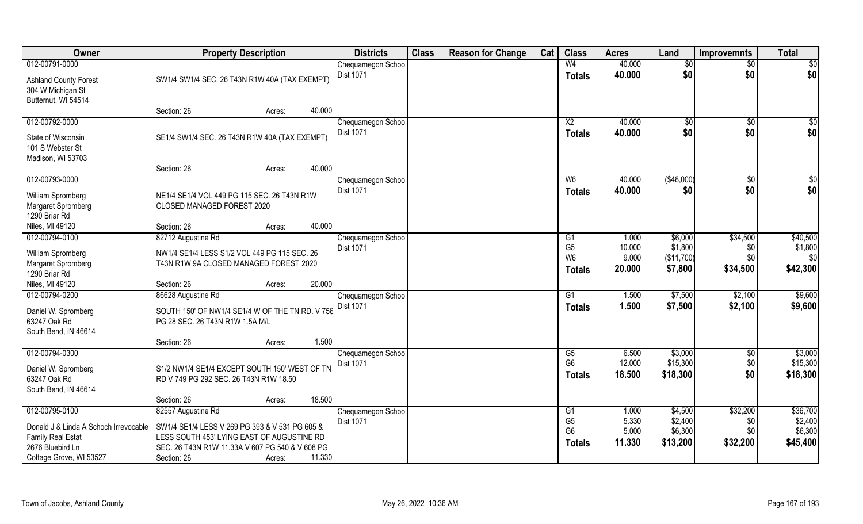| Owner                                                                                                                              | <b>Property Description</b>                                                                                                                                                          |                  | <b>Districts</b>                      | <b>Class</b> | <b>Reason for Change</b> | Cat | <b>Class</b>                                      | <b>Acres</b>                      | Land                                      | <b>Improvemnts</b>                 | <b>Total</b>                               |
|------------------------------------------------------------------------------------------------------------------------------------|--------------------------------------------------------------------------------------------------------------------------------------------------------------------------------------|------------------|---------------------------------------|--------------|--------------------------|-----|---------------------------------------------------|-----------------------------------|-------------------------------------------|------------------------------------|--------------------------------------------|
| 012-00791-0000<br><b>Ashland County Forest</b><br>304 W Michigan St                                                                | SW1/4 SW1/4 SEC. 26 T43N R1W 40A (TAX EXEMPT)                                                                                                                                        |                  | Chequamegon Schoo<br>Dist 1071        |              |                          |     | W <sub>4</sub><br><b>Totals</b>                   | 40.000<br>40.000                  | \$0<br>\$0                                | $\sqrt{$0}$<br>\$0                 | $\sqrt{50}$<br>\$0                         |
| Butternut, WI 54514                                                                                                                | Section: 26                                                                                                                                                                          | 40.000<br>Acres: |                                       |              |                          |     |                                                   |                                   |                                           |                                    |                                            |
| 012-00792-0000<br>State of Wisconsin<br>101 S Webster St<br>Madison, WI 53703                                                      | SE1/4 SW1/4 SEC. 26 T43N R1W 40A (TAX EXEMPT)                                                                                                                                        |                  | Chequamegon Schoo<br><b>Dist 1071</b> |              |                          |     | $\overline{X2}$<br>Totals                         | 40.000<br>40.000                  | \$0<br>\$0                                | \$0<br>\$0                         | $\sqrt{50}$<br>\$0                         |
|                                                                                                                                    | Section: 26                                                                                                                                                                          | 40.000<br>Acres: |                                       |              |                          |     |                                                   |                                   |                                           |                                    |                                            |
| 012-00793-0000<br>William Spromberg<br>Margaret Spromberg<br>1290 Briar Rd                                                         | NE1/4 SE1/4 VOL 449 PG 115 SEC. 26 T43N R1W<br>CLOSED MANAGED FOREST 2020                                                                                                            |                  | Chequamegon Schoo<br>Dist 1071        |              |                          |     | W <sub>6</sub><br><b>Totals</b>                   | 40.000<br>40.000                  | ( \$48,000)<br>\$0                        | $\sqrt[6]{3}$<br>\$0               | \$0<br>\$0                                 |
| Niles, MI 49120                                                                                                                    | Section: 26                                                                                                                                                                          | 40.000<br>Acres: |                                       |              |                          |     |                                                   |                                   |                                           |                                    |                                            |
| 012-00794-0100                                                                                                                     | 82712 Augustine Rd                                                                                                                                                                   |                  | Chequamegon Schoo                     |              |                          |     | G1                                                | 1.000                             | \$6,000                                   | \$34,500                           | \$40,500                                   |
| William Spromberg<br>Margaret Spromberg<br>1290 Briar Rd                                                                           | NW1/4 SE1/4 LESS S1/2 VOL 449 PG 115 SEC. 26<br>T43N R1W 9A CLOSED MANAGED FOREST 2020                                                                                               |                  | <b>Dist 1071</b>                      |              |                          |     | G <sub>5</sub><br>W <sub>6</sub><br><b>Totals</b> | 10.000<br>9.000<br>20.000         | \$1,800<br>(\$11,700)<br>\$7,800          | \$0<br>\$0<br>\$34,500             | \$1,800<br>\$0<br>\$42,300                 |
| Niles, MI 49120                                                                                                                    | Section: 26                                                                                                                                                                          | 20.000<br>Acres: |                                       |              |                          |     |                                                   |                                   |                                           |                                    |                                            |
| 012-00794-0200<br>Daniel W. Spromberg<br>63247 Oak Rd<br>South Bend, IN 46614                                                      | 86628 Augustine Rd<br>SOUTH 150' OF NW1/4 SE1/4 W OF THE TN RD. V 756<br>PG 28 SEC. 26 T43N R1W 1.5A M/L                                                                             |                  | Chequamegon Schoo<br><b>Dist 1071</b> |              |                          |     | $\overline{G1}$<br><b>Totals</b>                  | 1.500<br>1.500                    | \$7,500<br>\$7,500                        | \$2,100<br>\$2,100                 | \$9,600<br>\$9,600                         |
|                                                                                                                                    | Section: 26                                                                                                                                                                          | 1.500<br>Acres:  |                                       |              |                          |     |                                                   |                                   |                                           |                                    |                                            |
| 012-00794-0300<br>Daniel W. Spromberg<br>63247 Oak Rd<br>South Bend, IN 46614                                                      | S1/2 NW1/4 SE1/4 EXCEPT SOUTH 150' WEST OF TN<br>RD V 749 PG 292 SEC. 26 T43N R1W 18.50                                                                                              |                  | Chequamegon Schoo<br>Dist 1071        |              |                          |     | G5<br>G <sub>6</sub><br>Totals                    | 6.500<br>12.000<br>18.500         | \$3,000<br>\$15,300<br>\$18,300           | $\sqrt{$0}$<br>\$0<br>\$0          | \$3,000<br>\$15,300<br>\$18,300            |
|                                                                                                                                    | Section: 26                                                                                                                                                                          | 18.500<br>Acres: |                                       |              |                          |     |                                                   |                                   |                                           |                                    |                                            |
| 012-00795-0100<br>Donald J & Linda A Schoch Irrevocable<br><b>Family Real Estat</b><br>2676 Bluebird Ln<br>Cottage Grove, WI 53527 | 82557 Augustine Rd<br>SW1/4 SE1/4 LESS V 269 PG 393 & V 531 PG 605 &<br>LESS SOUTH 453' LYING EAST OF AUGUSTINE RD<br>SEC. 26 T43N R1W 11.33A V 607 PG 540 & V 608 PG<br>Section: 26 | 11.330<br>Acres: | Chequamegon Schoo<br><b>Dist 1071</b> |              |                          |     | G1<br>G <sub>5</sub><br>G <sub>6</sub><br>Totals  | 1.000<br>5.330<br>5.000<br>11.330 | \$4,500<br>\$2,400<br>\$6,300<br>\$13,200 | \$32,200<br>\$0<br>\$0<br>\$32,200 | \$36,700<br>\$2,400<br>\$6,300<br>\$45,400 |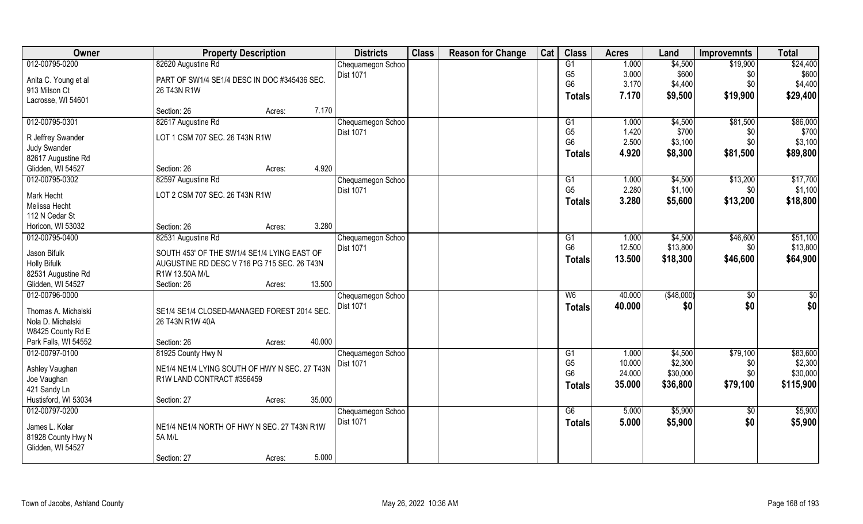| 012-00795-0200<br>G1<br>\$24,400<br>82620 Augustine Rd<br>1.000<br>\$4,500<br>\$19,900<br>Chequamegon Schoo<br>\$600<br>G <sub>5</sub><br>3.000<br>\$600<br>Dist 1071<br>\$0<br>Anita C. Young et al<br>PART OF SW1/4 SE1/4 DESC IN DOC #345436 SEC.<br>G <sub>6</sub><br>3.170<br>\$4,400<br>\$0<br>\$4,400<br>913 Milson Ct<br>26 T43N R1W<br>7.170<br>\$9,500<br>\$19,900<br>\$29,400<br>Totals<br>Lacrosse, WI 54601<br>7.170<br>Section: 26<br>Acres:<br>82617 Augustine Rd<br>\$81,500<br>Chequamegon Schoo<br>G1<br>1.000<br>\$4,500<br>G <sub>5</sub><br>1.420<br>\$700<br>Dist 1071<br>\$0<br>LOT 1 CSM 707 SEC. 26 T43N R1W<br>R Jeffrey Swander<br>G <sub>6</sub><br>2.500<br>\$3,100<br>\$0<br><b>Judy Swander</b><br>4.920<br>\$8,300<br>\$81,500<br>Totals<br>82617 Augustine Rd<br>4.920<br>Glidden, WI 54527<br>Section: 26<br>Acres:<br>012-00795-0302<br>82597 Augustine Rd<br>\$4,500<br>\$13,200<br>Chequamegon Schoo<br>G1<br>1.000<br>G <sub>5</sub><br>2.280<br>\$1,100<br>\$0<br>Dist 1071<br>LOT 2 CSM 707 SEC. 26 T43N R1W<br>Mark Hecht<br>3.280<br>\$5,600<br>\$13,200<br><b>Totals</b><br>Melissa Hecht<br>112 N Cedar St<br>3.280<br>Horicon, WI 53032<br>Section: 26<br>Acres:<br>012-00795-0400<br>82531 Augustine Rd<br>\$4,500<br>\$46,600<br>Chequamegon Schoo<br>G1<br>1.000<br>G <sub>6</sub><br>12.500<br>\$13,800<br><b>Dist 1071</b><br>\$0<br>Jason Bifulk<br>SOUTH 453' OF THE SW1/4 SE1/4 LYING EAST OF<br>13.500<br>\$18,300<br>\$46,600<br>Totals<br><b>Holly Bifulk</b><br>AUGUSTINE RD DESC V 716 PG 715 SEC. 26 T43N<br>82531 Augustine Rd<br>R1W 13.50A M/L<br>13.500<br>Glidden, WI 54527<br>Section: 26<br>Acres:<br>(\$48,000)<br>W6<br>40.000<br>\$0<br>Chequamegon Schoo<br>\$0<br><b>Dist 1071</b><br>40.000<br>\$0<br><b>Totals</b><br>Thomas A. Michalski<br>SE1/4 SE1/4 CLOSED-MANAGED FOREST 2014 SEC.<br>Nola D. Michalski<br>26 T43N R1W 40A<br>W8425 County Rd E<br>40.000<br>Park Falls, WI 54552<br>Section: 26<br>Acres:<br>012-00797-0100<br>\$79,100<br>81925 County Hwy N<br>Chequamegon Schoo<br>G1<br>1.000<br>\$4,500 | Owner          | <b>Property Description</b> | <b>Districts</b> | <b>Class</b> | <b>Reason for Change</b> | Cat | <b>Class</b>   | <b>Acres</b> | Land    | <b>Improvemnts</b> | <b>Total</b> |
|----------------------------------------------------------------------------------------------------------------------------------------------------------------------------------------------------------------------------------------------------------------------------------------------------------------------------------------------------------------------------------------------------------------------------------------------------------------------------------------------------------------------------------------------------------------------------------------------------------------------------------------------------------------------------------------------------------------------------------------------------------------------------------------------------------------------------------------------------------------------------------------------------------------------------------------------------------------------------------------------------------------------------------------------------------------------------------------------------------------------------------------------------------------------------------------------------------------------------------------------------------------------------------------------------------------------------------------------------------------------------------------------------------------------------------------------------------------------------------------------------------------------------------------------------------------------------------------------------------------------------------------------------------------------------------------------------------------------------------------------------------------------------------------------------------------------------------------------------------------------------------------------------------------------------------------------------------------------------------------------------------------------------------------------------------------------------------------------|----------------|-----------------------------|------------------|--------------|--------------------------|-----|----------------|--------------|---------|--------------------|--------------|
|                                                                                                                                                                                                                                                                                                                                                                                                                                                                                                                                                                                                                                                                                                                                                                                                                                                                                                                                                                                                                                                                                                                                                                                                                                                                                                                                                                                                                                                                                                                                                                                                                                                                                                                                                                                                                                                                                                                                                                                                                                                                                              |                |                             |                  |              |                          |     |                |              |         |                    |              |
| \$86,000<br>\$700<br>\$3,100<br>\$89,800<br>\$17,700<br>\$1,100<br>\$18,800<br>\$51,100<br>\$13,800<br>\$64,900<br>$\overline{50}$<br>\$0 <br>\$83,600                                                                                                                                                                                                                                                                                                                                                                                                                                                                                                                                                                                                                                                                                                                                                                                                                                                                                                                                                                                                                                                                                                                                                                                                                                                                                                                                                                                                                                                                                                                                                                                                                                                                                                                                                                                                                                                                                                                                       |                |                             |                  |              |                          |     |                |              |         |                    |              |
|                                                                                                                                                                                                                                                                                                                                                                                                                                                                                                                                                                                                                                                                                                                                                                                                                                                                                                                                                                                                                                                                                                                                                                                                                                                                                                                                                                                                                                                                                                                                                                                                                                                                                                                                                                                                                                                                                                                                                                                                                                                                                              |                |                             |                  |              |                          |     |                |              |         |                    |              |
|                                                                                                                                                                                                                                                                                                                                                                                                                                                                                                                                                                                                                                                                                                                                                                                                                                                                                                                                                                                                                                                                                                                                                                                                                                                                                                                                                                                                                                                                                                                                                                                                                                                                                                                                                                                                                                                                                                                                                                                                                                                                                              |                |                             |                  |              |                          |     |                |              |         |                    |              |
|                                                                                                                                                                                                                                                                                                                                                                                                                                                                                                                                                                                                                                                                                                                                                                                                                                                                                                                                                                                                                                                                                                                                                                                                                                                                                                                                                                                                                                                                                                                                                                                                                                                                                                                                                                                                                                                                                                                                                                                                                                                                                              |                |                             |                  |              |                          |     |                |              |         |                    |              |
|                                                                                                                                                                                                                                                                                                                                                                                                                                                                                                                                                                                                                                                                                                                                                                                                                                                                                                                                                                                                                                                                                                                                                                                                                                                                                                                                                                                                                                                                                                                                                                                                                                                                                                                                                                                                                                                                                                                                                                                                                                                                                              | 012-00795-0301 |                             |                  |              |                          |     |                |              |         |                    |              |
|                                                                                                                                                                                                                                                                                                                                                                                                                                                                                                                                                                                                                                                                                                                                                                                                                                                                                                                                                                                                                                                                                                                                                                                                                                                                                                                                                                                                                                                                                                                                                                                                                                                                                                                                                                                                                                                                                                                                                                                                                                                                                              |                |                             |                  |              |                          |     |                |              |         |                    |              |
|                                                                                                                                                                                                                                                                                                                                                                                                                                                                                                                                                                                                                                                                                                                                                                                                                                                                                                                                                                                                                                                                                                                                                                                                                                                                                                                                                                                                                                                                                                                                                                                                                                                                                                                                                                                                                                                                                                                                                                                                                                                                                              |                |                             |                  |              |                          |     |                |              |         |                    |              |
|                                                                                                                                                                                                                                                                                                                                                                                                                                                                                                                                                                                                                                                                                                                                                                                                                                                                                                                                                                                                                                                                                                                                                                                                                                                                                                                                                                                                                                                                                                                                                                                                                                                                                                                                                                                                                                                                                                                                                                                                                                                                                              |                |                             |                  |              |                          |     |                |              |         |                    |              |
|                                                                                                                                                                                                                                                                                                                                                                                                                                                                                                                                                                                                                                                                                                                                                                                                                                                                                                                                                                                                                                                                                                                                                                                                                                                                                                                                                                                                                                                                                                                                                                                                                                                                                                                                                                                                                                                                                                                                                                                                                                                                                              |                |                             |                  |              |                          |     |                |              |         |                    |              |
|                                                                                                                                                                                                                                                                                                                                                                                                                                                                                                                                                                                                                                                                                                                                                                                                                                                                                                                                                                                                                                                                                                                                                                                                                                                                                                                                                                                                                                                                                                                                                                                                                                                                                                                                                                                                                                                                                                                                                                                                                                                                                              |                |                             |                  |              |                          |     |                |              |         |                    |              |
|                                                                                                                                                                                                                                                                                                                                                                                                                                                                                                                                                                                                                                                                                                                                                                                                                                                                                                                                                                                                                                                                                                                                                                                                                                                                                                                                                                                                                                                                                                                                                                                                                                                                                                                                                                                                                                                                                                                                                                                                                                                                                              |                |                             |                  |              |                          |     |                |              |         |                    |              |
|                                                                                                                                                                                                                                                                                                                                                                                                                                                                                                                                                                                                                                                                                                                                                                                                                                                                                                                                                                                                                                                                                                                                                                                                                                                                                                                                                                                                                                                                                                                                                                                                                                                                                                                                                                                                                                                                                                                                                                                                                                                                                              |                |                             |                  |              |                          |     |                |              |         |                    |              |
|                                                                                                                                                                                                                                                                                                                                                                                                                                                                                                                                                                                                                                                                                                                                                                                                                                                                                                                                                                                                                                                                                                                                                                                                                                                                                                                                                                                                                                                                                                                                                                                                                                                                                                                                                                                                                                                                                                                                                                                                                                                                                              |                |                             |                  |              |                          |     |                |              |         |                    |              |
|                                                                                                                                                                                                                                                                                                                                                                                                                                                                                                                                                                                                                                                                                                                                                                                                                                                                                                                                                                                                                                                                                                                                                                                                                                                                                                                                                                                                                                                                                                                                                                                                                                                                                                                                                                                                                                                                                                                                                                                                                                                                                              |                |                             |                  |              |                          |     |                |              |         |                    |              |
|                                                                                                                                                                                                                                                                                                                                                                                                                                                                                                                                                                                                                                                                                                                                                                                                                                                                                                                                                                                                                                                                                                                                                                                                                                                                                                                                                                                                                                                                                                                                                                                                                                                                                                                                                                                                                                                                                                                                                                                                                                                                                              |                |                             |                  |              |                          |     |                |              |         |                    |              |
|                                                                                                                                                                                                                                                                                                                                                                                                                                                                                                                                                                                                                                                                                                                                                                                                                                                                                                                                                                                                                                                                                                                                                                                                                                                                                                                                                                                                                                                                                                                                                                                                                                                                                                                                                                                                                                                                                                                                                                                                                                                                                              |                |                             |                  |              |                          |     |                |              |         |                    |              |
|                                                                                                                                                                                                                                                                                                                                                                                                                                                                                                                                                                                                                                                                                                                                                                                                                                                                                                                                                                                                                                                                                                                                                                                                                                                                                                                                                                                                                                                                                                                                                                                                                                                                                                                                                                                                                                                                                                                                                                                                                                                                                              |                |                             |                  |              |                          |     |                |              |         |                    |              |
|                                                                                                                                                                                                                                                                                                                                                                                                                                                                                                                                                                                                                                                                                                                                                                                                                                                                                                                                                                                                                                                                                                                                                                                                                                                                                                                                                                                                                                                                                                                                                                                                                                                                                                                                                                                                                                                                                                                                                                                                                                                                                              |                |                             |                  |              |                          |     |                |              |         |                    |              |
|                                                                                                                                                                                                                                                                                                                                                                                                                                                                                                                                                                                                                                                                                                                                                                                                                                                                                                                                                                                                                                                                                                                                                                                                                                                                                                                                                                                                                                                                                                                                                                                                                                                                                                                                                                                                                                                                                                                                                                                                                                                                                              |                |                             |                  |              |                          |     |                |              |         |                    |              |
|                                                                                                                                                                                                                                                                                                                                                                                                                                                                                                                                                                                                                                                                                                                                                                                                                                                                                                                                                                                                                                                                                                                                                                                                                                                                                                                                                                                                                                                                                                                                                                                                                                                                                                                                                                                                                                                                                                                                                                                                                                                                                              |                |                             |                  |              |                          |     |                |              |         |                    |              |
|                                                                                                                                                                                                                                                                                                                                                                                                                                                                                                                                                                                                                                                                                                                                                                                                                                                                                                                                                                                                                                                                                                                                                                                                                                                                                                                                                                                                                                                                                                                                                                                                                                                                                                                                                                                                                                                                                                                                                                                                                                                                                              | 012-00796-0000 |                             |                  |              |                          |     |                |              |         |                    |              |
|                                                                                                                                                                                                                                                                                                                                                                                                                                                                                                                                                                                                                                                                                                                                                                                                                                                                                                                                                                                                                                                                                                                                                                                                                                                                                                                                                                                                                                                                                                                                                                                                                                                                                                                                                                                                                                                                                                                                                                                                                                                                                              |                |                             |                  |              |                          |     |                |              |         |                    |              |
|                                                                                                                                                                                                                                                                                                                                                                                                                                                                                                                                                                                                                                                                                                                                                                                                                                                                                                                                                                                                                                                                                                                                                                                                                                                                                                                                                                                                                                                                                                                                                                                                                                                                                                                                                                                                                                                                                                                                                                                                                                                                                              |                |                             |                  |              |                          |     |                |              |         |                    |              |
|                                                                                                                                                                                                                                                                                                                                                                                                                                                                                                                                                                                                                                                                                                                                                                                                                                                                                                                                                                                                                                                                                                                                                                                                                                                                                                                                                                                                                                                                                                                                                                                                                                                                                                                                                                                                                                                                                                                                                                                                                                                                                              |                |                             |                  |              |                          |     |                |              |         |                    |              |
|                                                                                                                                                                                                                                                                                                                                                                                                                                                                                                                                                                                                                                                                                                                                                                                                                                                                                                                                                                                                                                                                                                                                                                                                                                                                                                                                                                                                                                                                                                                                                                                                                                                                                                                                                                                                                                                                                                                                                                                                                                                                                              |                |                             |                  |              |                          |     |                |              |         |                    |              |
|                                                                                                                                                                                                                                                                                                                                                                                                                                                                                                                                                                                                                                                                                                                                                                                                                                                                                                                                                                                                                                                                                                                                                                                                                                                                                                                                                                                                                                                                                                                                                                                                                                                                                                                                                                                                                                                                                                                                                                                                                                                                                              |                |                             |                  |              |                          |     |                |              |         |                    |              |
|                                                                                                                                                                                                                                                                                                                                                                                                                                                                                                                                                                                                                                                                                                                                                                                                                                                                                                                                                                                                                                                                                                                                                                                                                                                                                                                                                                                                                                                                                                                                                                                                                                                                                                                                                                                                                                                                                                                                                                                                                                                                                              |                |                             |                  |              |                          |     | G <sub>5</sub> | 10.000       | \$2,300 |                    | \$2,300      |
| \$0<br><b>Dist 1071</b><br>Ashley Vaughan<br>NE1/4 NE1/4 LYING SOUTH OF HWY N SEC. 27 T43N<br>G <sub>6</sub><br>\$30,000<br>24.000<br>\$30,000<br>\$0                                                                                                                                                                                                                                                                                                                                                                                                                                                                                                                                                                                                                                                                                                                                                                                                                                                                                                                                                                                                                                                                                                                                                                                                                                                                                                                                                                                                                                                                                                                                                                                                                                                                                                                                                                                                                                                                                                                                        |                |                             |                  |              |                          |     |                |              |         |                    |              |
| Joe Vaughan<br>R1W LAND CONTRACT #356459                                                                                                                                                                                                                                                                                                                                                                                                                                                                                                                                                                                                                                                                                                                                                                                                                                                                                                                                                                                                                                                                                                                                                                                                                                                                                                                                                                                                                                                                                                                                                                                                                                                                                                                                                                                                                                                                                                                                                                                                                                                     |                |                             |                  |              |                          |     |                |              |         |                    |              |
| \$36,800<br>\$79,100<br>\$115,900<br>35.000<br><b>Totals</b><br>421 Sandy Ln                                                                                                                                                                                                                                                                                                                                                                                                                                                                                                                                                                                                                                                                                                                                                                                                                                                                                                                                                                                                                                                                                                                                                                                                                                                                                                                                                                                                                                                                                                                                                                                                                                                                                                                                                                                                                                                                                                                                                                                                                 |                |                             |                  |              |                          |     |                |              |         |                    |              |
| 35.000<br>Hustisford, WI 53034<br>Section: 27<br>Acres:                                                                                                                                                                                                                                                                                                                                                                                                                                                                                                                                                                                                                                                                                                                                                                                                                                                                                                                                                                                                                                                                                                                                                                                                                                                                                                                                                                                                                                                                                                                                                                                                                                                                                                                                                                                                                                                                                                                                                                                                                                      |                |                             |                  |              |                          |     |                |              |         |                    |              |
| 012-00797-0200<br>\$5,900<br>\$5,900<br>G6<br>5.000<br>$\sqrt[6]{}$<br>Chequamegon Schoo                                                                                                                                                                                                                                                                                                                                                                                                                                                                                                                                                                                                                                                                                                                                                                                                                                                                                                                                                                                                                                                                                                                                                                                                                                                                                                                                                                                                                                                                                                                                                                                                                                                                                                                                                                                                                                                                                                                                                                                                     |                |                             |                  |              |                          |     |                |              |         |                    |              |
| <b>Dist 1071</b><br>5.000<br>\$5,900<br>\$0<br>\$5,900<br><b>Totals</b><br>James L. Kolar<br>NE1/4 NE1/4 NORTH OF HWY N SEC. 27 T43N R1W                                                                                                                                                                                                                                                                                                                                                                                                                                                                                                                                                                                                                                                                                                                                                                                                                                                                                                                                                                                                                                                                                                                                                                                                                                                                                                                                                                                                                                                                                                                                                                                                                                                                                                                                                                                                                                                                                                                                                     |                |                             |                  |              |                          |     |                |              |         |                    |              |
| 81928 County Hwy N<br><b>5A M/L</b>                                                                                                                                                                                                                                                                                                                                                                                                                                                                                                                                                                                                                                                                                                                                                                                                                                                                                                                                                                                                                                                                                                                                                                                                                                                                                                                                                                                                                                                                                                                                                                                                                                                                                                                                                                                                                                                                                                                                                                                                                                                          |                |                             |                  |              |                          |     |                |              |         |                    |              |
| Glidden, WI 54527                                                                                                                                                                                                                                                                                                                                                                                                                                                                                                                                                                                                                                                                                                                                                                                                                                                                                                                                                                                                                                                                                                                                                                                                                                                                                                                                                                                                                                                                                                                                                                                                                                                                                                                                                                                                                                                                                                                                                                                                                                                                            |                |                             |                  |              |                          |     |                |              |         |                    |              |
| 5.000<br>Section: 27<br>Acres:                                                                                                                                                                                                                                                                                                                                                                                                                                                                                                                                                                                                                                                                                                                                                                                                                                                                                                                                                                                                                                                                                                                                                                                                                                                                                                                                                                                                                                                                                                                                                                                                                                                                                                                                                                                                                                                                                                                                                                                                                                                               |                |                             |                  |              |                          |     |                |              |         |                    |              |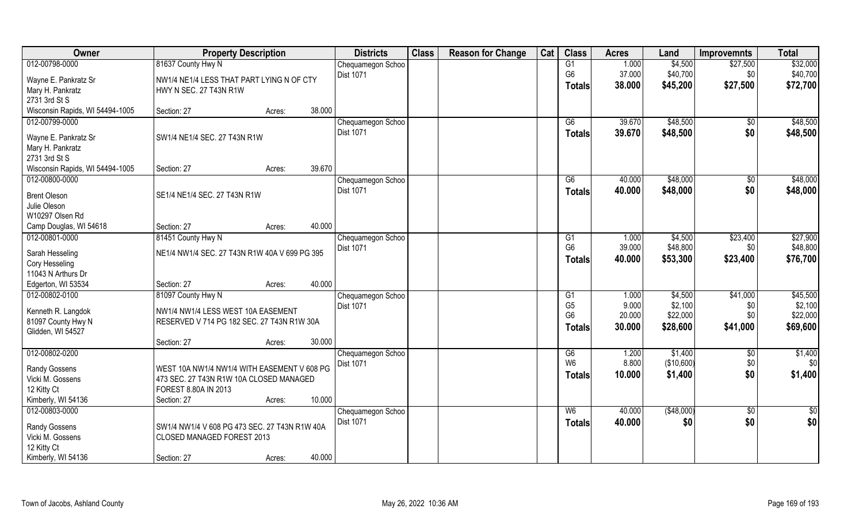| Owner                                    | <b>Property Description</b>                   |        |        | <b>Districts</b>  | <b>Class</b> | <b>Reason for Change</b> | Cat | <b>Class</b>         | <b>Acres</b>    | Land                | <b>Improvemnts</b> | <b>Total</b>         |
|------------------------------------------|-----------------------------------------------|--------|--------|-------------------|--------------|--------------------------|-----|----------------------|-----------------|---------------------|--------------------|----------------------|
| 012-00798-0000                           | 81637 County Hwy N                            |        |        | Chequamegon Schoo |              |                          |     | G1                   | 1.000           | \$4,500             | \$27,500           | \$32,000             |
| Wayne E. Pankratz Sr                     | NW1/4 NE1/4 LESS THAT PART LYING N OF CTY     |        |        | <b>Dist 1071</b>  |              |                          |     | G <sub>6</sub>       | 37.000          | \$40,700            | \$0                | \$40,700             |
| Mary H. Pankratz                         | HWY N SEC. 27 T43N R1W                        |        |        |                   |              |                          |     | <b>Totals</b>        | 38.000          | \$45,200            | \$27,500           | \$72,700             |
| 2731 3rd St S                            |                                               |        |        |                   |              |                          |     |                      |                 |                     |                    |                      |
| Wisconsin Rapids, WI 54494-1005          | Section: 27                                   | Acres: | 38.000 |                   |              |                          |     |                      |                 |                     |                    |                      |
| 012-00799-0000                           |                                               |        |        | Chequamegon Schoo |              |                          |     | G6                   | 39.670          | \$48,500            | $\overline{50}$    | \$48,500             |
|                                          | SW1/4 NE1/4 SEC. 27 T43N R1W                  |        |        | <b>Dist 1071</b>  |              |                          |     | Totals               | 39.670          | \$48,500            | \$0                | \$48,500             |
| Wayne E. Pankratz Sr<br>Mary H. Pankratz |                                               |        |        |                   |              |                          |     |                      |                 |                     |                    |                      |
| 2731 3rd St S                            |                                               |        |        |                   |              |                          |     |                      |                 |                     |                    |                      |
| Wisconsin Rapids, WI 54494-1005          | Section: 27                                   | Acres: | 39.670 |                   |              |                          |     |                      |                 |                     |                    |                      |
| 012-00800-0000                           |                                               |        |        | Chequamegon Schoo |              |                          |     | G6                   | 40.000          | \$48,000            | \$0                | \$48,000             |
|                                          |                                               |        |        | Dist 1071         |              |                          |     | <b>Totals</b>        | 40.000          | \$48,000            | \$0                | \$48,000             |
| <b>Brent Oleson</b>                      | SE1/4 NE1/4 SEC. 27 T43N R1W                  |        |        |                   |              |                          |     |                      |                 |                     |                    |                      |
| Julie Oleson                             |                                               |        |        |                   |              |                          |     |                      |                 |                     |                    |                      |
| W10297 Olsen Rd                          |                                               |        |        |                   |              |                          |     |                      |                 |                     |                    |                      |
| Camp Douglas, WI 54618                   | Section: 27                                   | Acres: | 40.000 |                   |              |                          |     |                      |                 |                     |                    |                      |
| 012-00801-0000                           | 81451 County Hwy N                            |        |        | Chequamegon Schoo |              |                          |     | G1<br>G <sub>6</sub> | 1.000<br>39.000 | \$4,500<br>\$48,800 | \$23,400           | \$27,900<br>\$48,800 |
| Sarah Hesseling                          | NE1/4 NW1/4 SEC. 27 T43N R1W 40A V 699 PG 395 |        |        | Dist 1071         |              |                          |     |                      |                 |                     | \$0                |                      |
| Cory Hesseling                           |                                               |        |        |                   |              |                          |     | <b>Totals</b>        | 40.000          | \$53,300            | \$23,400           | \$76,700             |
| 11043 N Arthurs Dr                       |                                               |        |        |                   |              |                          |     |                      |                 |                     |                    |                      |
| Edgerton, WI 53534                       | Section: 27                                   | Acres: | 40.000 |                   |              |                          |     |                      |                 |                     |                    |                      |
| 012-00802-0100                           | 81097 County Hwy N                            |        |        | Chequamegon Schoo |              |                          |     | G <sub>1</sub>       | 1.000           | \$4,500             | \$41,000           | \$45,500             |
| Kenneth R. Langdok                       | NW1/4 NW1/4 LESS WEST 10A EASEMENT            |        |        | <b>Dist 1071</b>  |              |                          |     | G <sub>5</sub>       | 9.000           | \$2,100             | \$0                | \$2,100              |
| 81097 County Hwy N                       | RESERVED V 714 PG 182 SEC. 27 T43N R1W 30A    |        |        |                   |              |                          |     | G <sub>6</sub>       | 20.000          | \$22,000            | \$0                | \$22,000             |
| Glidden, WI 54527                        |                                               |        |        |                   |              |                          |     | <b>Totals</b>        | 30.000          | \$28,600            | \$41,000           | \$69,600             |
|                                          | Section: 27                                   | Acres: | 30.000 |                   |              |                          |     |                      |                 |                     |                    |                      |
| 012-00802-0200                           |                                               |        |        | Chequamegon Schoo |              |                          |     | G6                   | 1.200           | \$1,400             | \$0                | \$1,400              |
| Randy Gossens                            | WEST 10A NW1/4 NW1/4 WITH EASEMENT V 608 PG   |        |        | Dist 1071         |              |                          |     | W <sub>6</sub>       | 8.800           | (\$10,600)          | \$0                | \$0                  |
| Vicki M. Gossens                         | 473 SEC. 27 T43N R1W 10A CLOSED MANAGED       |        |        |                   |              |                          |     | <b>Totals</b>        | 10.000          | \$1,400             | \$0                | \$1,400              |
| 12 Kitty Ct                              | FOREST 8.80A IN 2013                          |        |        |                   |              |                          |     |                      |                 |                     |                    |                      |
| Kimberly, WI 54136                       | Section: 27                                   | Acres: | 10.000 |                   |              |                          |     |                      |                 |                     |                    |                      |
| 012-00803-0000                           |                                               |        |        | Chequamegon Schoo |              |                          |     | W <sub>6</sub>       | 40.000          | (\$48,000)          | $\sqrt{$0}$        | $\overline{50}$      |
|                                          |                                               |        |        | Dist 1071         |              |                          |     | <b>Totals</b>        | 40.000          | \$0                 | \$0                | \$0                  |
| Randy Gossens                            | SW1/4 NW1/4 V 608 PG 473 SEC. 27 T43N R1W 40A |        |        |                   |              |                          |     |                      |                 |                     |                    |                      |
| Vicki M. Gossens                         | CLOSED MANAGED FOREST 2013                    |        |        |                   |              |                          |     |                      |                 |                     |                    |                      |
| 12 Kitty Ct                              |                                               |        |        |                   |              |                          |     |                      |                 |                     |                    |                      |
| Kimberly, WI 54136                       | Section: 27                                   | Acres: | 40.000 |                   |              |                          |     |                      |                 |                     |                    |                      |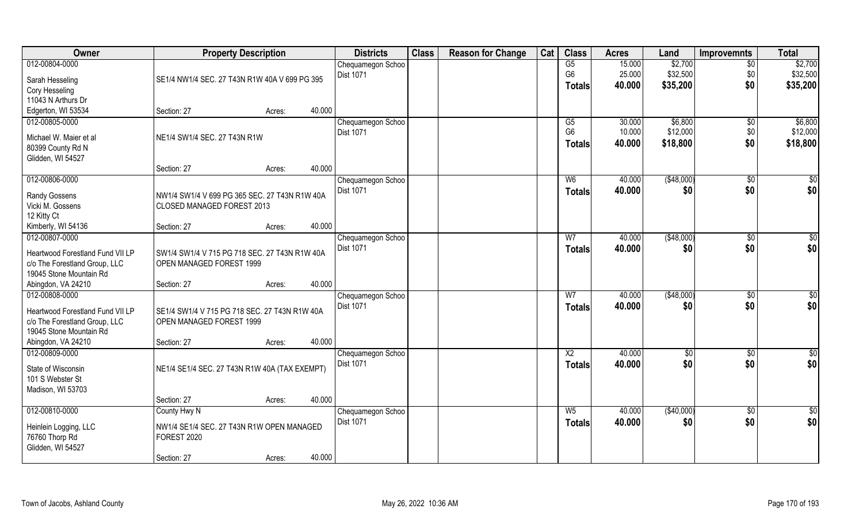| Owner                            | <b>Property Description</b>                   |                  | <b>Districts</b>  | <b>Class</b> | <b>Reason for Change</b> | Cat | <b>Class</b>    | <b>Acres</b> | Land        | <b>Improvemnts</b> | <b>Total</b>    |
|----------------------------------|-----------------------------------------------|------------------|-------------------|--------------|--------------------------|-----|-----------------|--------------|-------------|--------------------|-----------------|
| 012-00804-0000                   |                                               |                  | Chequamegon Schoo |              |                          |     | G5              | 15.000       | \$2,700     | $\overline{50}$    | \$2,700         |
| Sarah Hesseling                  | SE1/4 NW1/4 SEC. 27 T43N R1W 40A V 699 PG 395 |                  | <b>Dist 1071</b>  |              |                          |     | G <sub>6</sub>  | 25.000       | \$32,500    | \$0                | \$32,500        |
| Cory Hesseling                   |                                               |                  |                   |              |                          |     | <b>Totals</b>   | 40.000       | \$35,200    | \$0                | \$35,200        |
| 11043 N Arthurs Dr               |                                               |                  |                   |              |                          |     |                 |              |             |                    |                 |
| Edgerton, WI 53534               | Section: 27                                   | 40.000<br>Acres: |                   |              |                          |     |                 |              |             |                    |                 |
| 012-00805-0000                   |                                               |                  | Chequamegon Schoo |              |                          |     | G5              | 30.000       | \$6,800     | $\sqrt{6}$         | \$6,800         |
| Michael W. Maier et al           | NE1/4 SW1/4 SEC. 27 T43N R1W                  |                  | Dist 1071         |              |                          |     | G <sub>6</sub>  | 10.000       | \$12,000    | \$0                | \$12,000        |
| 80399 County Rd N                |                                               |                  |                   |              |                          |     | <b>Totals</b>   | 40.000       | \$18,800    | \$0                | \$18,800        |
| Glidden, WI 54527                |                                               |                  |                   |              |                          |     |                 |              |             |                    |                 |
|                                  | Section: 27                                   | 40.000<br>Acres: |                   |              |                          |     |                 |              |             |                    |                 |
| 012-00806-0000                   |                                               |                  | Chequamegon Schoo |              |                          |     | W <sub>6</sub>  | 40.000       | ( \$48,000) | $\sqrt{6}$         | \$0             |
| <b>Randy Gossens</b>             | NW1/4 SW1/4 V 699 PG 365 SEC. 27 T43N R1W 40A |                  | Dist 1071         |              |                          |     | <b>Totals</b>   | 40.000       | \$0         | \$0                | \$0             |
| Vicki M. Gossens                 | CLOSED MANAGED FOREST 2013                    |                  |                   |              |                          |     |                 |              |             |                    |                 |
| 12 Kitty Ct                      |                                               |                  |                   |              |                          |     |                 |              |             |                    |                 |
| Kimberly, WI 54136               | Section: 27                                   | 40.000<br>Acres: |                   |              |                          |     |                 |              |             |                    |                 |
| 012-00807-0000                   |                                               |                  | Chequamegon Schoo |              |                          |     | W7              | 40.000       | (\$48,000)  | \$0                | \$0             |
| Heartwood Forestland Fund VII LP | SW1/4 SW1/4 V 715 PG 718 SEC. 27 T43N R1W 40A |                  | Dist 1071         |              |                          |     | <b>Totals</b>   | 40.000       | \$0         | \$0                | \$0             |
| c/o The Forestland Group, LLC    | OPEN MANAGED FOREST 1999                      |                  |                   |              |                          |     |                 |              |             |                    |                 |
| 19045 Stone Mountain Rd          |                                               |                  |                   |              |                          |     |                 |              |             |                    |                 |
| Abingdon, VA 24210               | Section: 27                                   | 40.000<br>Acres: |                   |              |                          |     |                 |              |             |                    |                 |
| 012-00808-0000                   |                                               |                  | Chequamegon Schoo |              |                          |     | $\overline{W}$  | 40.000       | (\$48,000)  | $\overline{60}$    | \$0             |
| Heartwood Forestland Fund VII LP | SE1/4 SW1/4 V 715 PG 718 SEC. 27 T43N R1W 40A |                  | Dist 1071         |              |                          |     | <b>Totals</b>   | 40.000       | \$0         | \$0                | \$0             |
| c/o The Forestland Group, LLC    | OPEN MANAGED FOREST 1999                      |                  |                   |              |                          |     |                 |              |             |                    |                 |
| 19045 Stone Mountain Rd          |                                               |                  |                   |              |                          |     |                 |              |             |                    |                 |
| Abingdon, VA 24210               | Section: 27                                   | 40.000<br>Acres: |                   |              |                          |     |                 |              |             |                    |                 |
| 012-00809-0000                   |                                               |                  | Chequamegon Schoo |              |                          |     | $\overline{X2}$ | 40.000       | \$0         | \$0                | \$0             |
| State of Wisconsin               | NE1/4 SE1/4 SEC. 27 T43N R1W 40A (TAX EXEMPT) |                  | Dist 1071         |              |                          |     | <b>Totals</b>   | 40.000       | \$0         | \$0                | \$0             |
| 101 S Webster St                 |                                               |                  |                   |              |                          |     |                 |              |             |                    |                 |
| Madison, WI 53703                |                                               |                  |                   |              |                          |     |                 |              |             |                    |                 |
|                                  | Section: 27                                   | 40.000<br>Acres: |                   |              |                          |     |                 |              |             |                    |                 |
| 012-00810-0000                   | County Hwy N                                  |                  | Chequamegon Schoo |              |                          |     | $W_5$           | 40.000       | (\$40,000)  | $\sqrt{$0}$        | $\overline{50}$ |
| Heinlein Logging, LLC            | NW1/4 SE1/4 SEC. 27 T43N R1W OPEN MANAGED     |                  | <b>Dist 1071</b>  |              |                          |     | <b>Totals</b>   | 40.000       | \$0         | \$0                | \$0             |
| 76760 Thorp Rd                   | FOREST 2020                                   |                  |                   |              |                          |     |                 |              |             |                    |                 |
| Glidden, WI 54527                |                                               |                  |                   |              |                          |     |                 |              |             |                    |                 |
|                                  | Section: 27                                   | 40.000<br>Acres: |                   |              |                          |     |                 |              |             |                    |                 |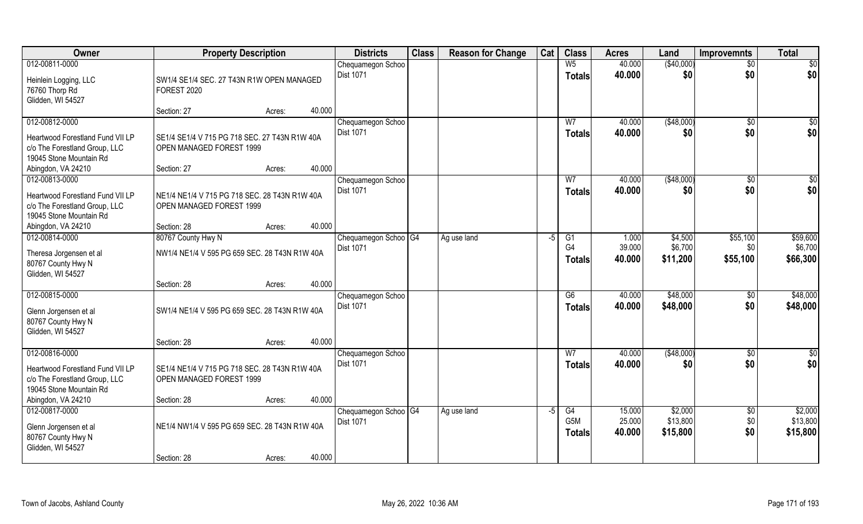| Owner                            | <b>Property Description</b>                   |        |        | <b>Districts</b>                  | <b>Class</b> | <b>Reason for Change</b> | Cat  | <b>Class</b>    | <b>Acres</b> | Land        | <b>Improvemnts</b> | <b>Total</b>    |
|----------------------------------|-----------------------------------------------|--------|--------|-----------------------------------|--------------|--------------------------|------|-----------------|--------------|-------------|--------------------|-----------------|
| 012-00811-0000                   |                                               |        |        | Chequamegon Schoo                 |              |                          |      | W <sub>5</sub>  | 40.000       | (\$40,000)  | $\sqrt{$0}$        | $\overline{50}$ |
| Heinlein Logging, LLC            | SW1/4 SE1/4 SEC. 27 T43N R1W OPEN MANAGED     |        |        | <b>Dist 1071</b>                  |              |                          |      | <b>Totals</b>   | 40.000       | \$0         | \$0                | \$0             |
| 76760 Thorp Rd                   | FOREST 2020                                   |        |        |                                   |              |                          |      |                 |              |             |                    |                 |
| Glidden, WI 54527                |                                               |        |        |                                   |              |                          |      |                 |              |             |                    |                 |
|                                  | Section: 27                                   | Acres: | 40.000 |                                   |              |                          |      |                 |              |             |                    |                 |
| 012-00812-0000                   |                                               |        |        | Chequamegon Schoo                 |              |                          |      | W <sub>7</sub>  | 40.000       | ( \$48,000) | $\overline{60}$    | \$0             |
| Heartwood Forestland Fund VII LP | SE1/4 SE1/4 V 715 PG 718 SEC. 27 T43N R1W 40A |        |        | <b>Dist 1071</b>                  |              |                          |      | Totals          | 40.000       | \$0         | \$0                | \$0             |
| c/o The Forestland Group, LLC    | OPEN MANAGED FOREST 1999                      |        |        |                                   |              |                          |      |                 |              |             |                    |                 |
| 19045 Stone Mountain Rd          |                                               |        |        |                                   |              |                          |      |                 |              |             |                    |                 |
| Abingdon, VA 24210               | Section: 27                                   | Acres: | 40.000 |                                   |              |                          |      |                 |              |             |                    |                 |
| 012-00813-0000                   |                                               |        |        | Chequamegon Schoo                 |              |                          |      | W <sub>7</sub>  | 40.000       | ( \$48,000) | \$0                | \$0             |
| Heartwood Forestland Fund VII LP | NE1/4 NE1/4 V 715 PG 718 SEC. 28 T43N R1W 40A |        |        | <b>Dist 1071</b>                  |              |                          |      | <b>Totals</b>   | 40.000       | \$0         | \$0                | \$0             |
| c/o The Forestland Group, LLC    | OPEN MANAGED FOREST 1999                      |        |        |                                   |              |                          |      |                 |              |             |                    |                 |
| 19045 Stone Mountain Rd          |                                               |        |        |                                   |              |                          |      |                 |              |             |                    |                 |
| Abingdon, VA 24210               | Section: 28                                   | Acres: | 40.000 |                                   |              |                          |      |                 |              |             |                    |                 |
| 012-00814-0000                   | 80767 County Hwy N                            |        |        | Chequamegon Schoo <sup>1</sup> G4 |              | Ag use land              | -5   | G1              | 1.000        | \$4,500     | \$55,100           | \$59,600        |
| Theresa Jorgensen et al          | NW1/4 NE1/4 V 595 PG 659 SEC. 28 T43N R1W 40A |        |        | <b>Dist 1071</b>                  |              |                          |      | G4              | 39.000       | \$6,700     | \$0                | \$6,700         |
| 80767 County Hwy N               |                                               |        |        |                                   |              |                          |      | <b>Totals</b>   | 40.000       | \$11,200    | \$55,100           | \$66,300        |
| Glidden, WI 54527                |                                               |        |        |                                   |              |                          |      |                 |              |             |                    |                 |
|                                  | Section: 28                                   | Acres: | 40.000 |                                   |              |                          |      |                 |              |             |                    |                 |
| 012-00815-0000                   |                                               |        |        | Chequamegon Schoo                 |              |                          |      | $\overline{G6}$ | 40.000       | \$48,000    | $\sqrt[6]{30}$     | \$48,000        |
| Glenn Jorgensen et al            | SW1/4 NE1/4 V 595 PG 659 SEC. 28 T43N R1W 40A |        |        | Dist 1071                         |              |                          |      | <b>Totals</b>   | 40.000       | \$48,000    | \$0                | \$48,000        |
| 80767 County Hwy N               |                                               |        |        |                                   |              |                          |      |                 |              |             |                    |                 |
| Glidden, WI 54527                |                                               |        |        |                                   |              |                          |      |                 |              |             |                    |                 |
|                                  | Section: 28                                   | Acres: | 40.000 |                                   |              |                          |      |                 |              |             |                    |                 |
| 012-00816-0000                   |                                               |        |        | Chequamegon Schoo                 |              |                          |      | W <sub>7</sub>  | 40.000       | ( \$48,000) | \$0                | \$0             |
| Heartwood Forestland Fund VII LP | SE1/4 NE1/4 V 715 PG 718 SEC. 28 T43N R1W 40A |        |        | <b>Dist 1071</b>                  |              |                          |      | <b>Totals</b>   | 40.000       | \$0         | \$0                | \$0             |
| c/o The Forestland Group, LLC    | OPEN MANAGED FOREST 1999                      |        |        |                                   |              |                          |      |                 |              |             |                    |                 |
| 19045 Stone Mountain Rd          |                                               |        |        |                                   |              |                          |      |                 |              |             |                    |                 |
| Abingdon, VA 24210               | Section: 28                                   | Acres: | 40.000 |                                   |              |                          |      |                 |              |             |                    |                 |
| 012-00817-0000                   |                                               |        |        | Chequamegon Schoo G4              |              | Ag use land              | $-5$ | G4              | 15.000       | \$2,000     | $\sqrt[6]{}$       | \$2,000         |
| Glenn Jorgensen et al            | NE1/4 NW1/4 V 595 PG 659 SEC. 28 T43N R1W 40A |        |        | <b>Dist 1071</b>                  |              |                          |      | G5M             | 25.000       | \$13,800    | \$0                | \$13,800        |
| 80767 County Hwy N               |                                               |        |        |                                   |              |                          |      | Totals          | 40.000       | \$15,800    | \$0                | \$15,800        |
| Glidden, WI 54527                |                                               |        |        |                                   |              |                          |      |                 |              |             |                    |                 |
|                                  | Section: 28                                   | Acres: | 40.000 |                                   |              |                          |      |                 |              |             |                    |                 |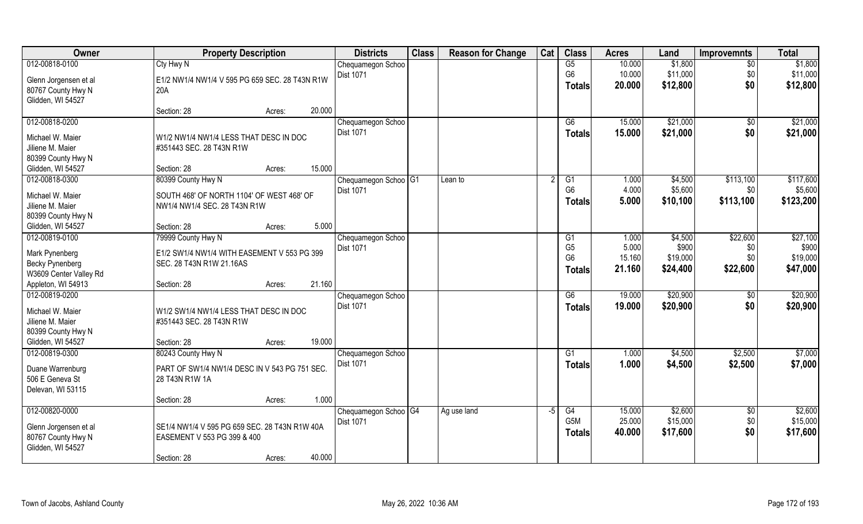| Owner                               | <b>Property Description</b>                    | <b>Districts</b>                | <b>Class</b> | <b>Reason for Change</b> | Cat  | <b>Class</b>                     | <b>Acres</b> | Land     | <b>Improvemnts</b> | <b>Total</b> |
|-------------------------------------|------------------------------------------------|---------------------------------|--------------|--------------------------|------|----------------------------------|--------------|----------|--------------------|--------------|
| 012-00818-0100                      | Cty Hwy N                                      | Chequamegon Schoo               |              |                          |      | G5                               | 10.000       | \$1,800  | \$0                | \$1,800      |
| Glenn Jorgensen et al               | E1/2 NW1/4 NW1/4 V 595 PG 659 SEC. 28 T43N R1W | Dist 1071                       |              |                          |      | G <sub>6</sub>                   | 10.000       | \$11,000 | \$0                | \$11,000     |
| 80767 County Hwy N                  | 20A                                            |                                 |              |                          |      | <b>Totals</b>                    | 20.000       | \$12,800 | \$0                | \$12,800     |
| Glidden, WI 54527                   |                                                |                                 |              |                          |      |                                  |              |          |                    |              |
|                                     | 20.000<br>Section: 28<br>Acres:                |                                 |              |                          |      |                                  |              |          |                    |              |
| 012-00818-0200                      |                                                | Chequamegon Schoo               |              |                          |      | G6                               | 15.000       | \$21,000 | $\sqrt{$0}$        | \$21,000     |
| Michael W. Maier                    | W1/2 NW1/4 NW1/4 LESS THAT DESC IN DOC         | <b>Dist 1071</b>                |              |                          |      | Totals                           | 15.000       | \$21,000 | \$0                | \$21,000     |
| Jiliene M. Maier                    | #351443 SEC. 28 T43N R1W                       |                                 |              |                          |      |                                  |              |          |                    |              |
| 80399 County Hwy N                  |                                                |                                 |              |                          |      |                                  |              |          |                    |              |
| Glidden, WI 54527                   | 15.000<br>Section: 28<br>Acres:                |                                 |              |                          |      |                                  |              |          |                    |              |
| 012-00818-0300                      | 80399 County Hwy N                             | Chequamegon Schoo <sup>G1</sup> |              | Lean to                  | 2    | G1                               | 1.000        | \$4,500  | \$113,100          | \$117,600    |
|                                     |                                                | <b>Dist 1071</b>                |              |                          |      | G <sub>6</sub>                   | 4.000        | \$5,600  | \$0                | \$5,600      |
| Michael W. Maier                    | SOUTH 468' OF NORTH 1104' OF WEST 468' OF      |                                 |              |                          |      | <b>Totals</b>                    | 5.000        | \$10,100 | \$113,100          | \$123,200    |
| Jiliene M. Maier                    | NW1/4 NW1/4 SEC. 28 T43N R1W                   |                                 |              |                          |      |                                  |              |          |                    |              |
| 80399 County Hwy N                  | 5.000<br>Section: 28                           |                                 |              |                          |      |                                  |              |          |                    |              |
| Glidden, WI 54527<br>012-00819-0100 | Acres:<br>79999 County Hwy N                   |                                 |              |                          |      |                                  | 1.000        | \$4,500  | \$22,600           | \$27,100     |
|                                     |                                                | Chequamegon Schoo<br>Dist 1071  |              |                          |      | G <sub>1</sub><br>G <sub>5</sub> | 5.000        | \$900    | \$0                | \$900        |
| Mark Pynenberg                      | E1/2 SW1/4 NW1/4 WITH EASEMENT V 553 PG 399    |                                 |              |                          |      | G <sub>6</sub>                   | 15.160       | \$19,000 | \$0                | \$19,000     |
| <b>Becky Pynenberg</b>              | SEC. 28 T43N R1W 21.16AS                       |                                 |              |                          |      | <b>Totals</b>                    | 21.160       | \$24,400 | \$22,600           | \$47,000     |
| W3609 Center Valley Rd              |                                                |                                 |              |                          |      |                                  |              |          |                    |              |
| Appleton, WI 54913                  | 21.160<br>Section: 28<br>Acres:                |                                 |              |                          |      |                                  |              |          |                    |              |
| 012-00819-0200                      |                                                | Chequamegon Schoo               |              |                          |      | G6                               | 19.000       | \$20,900 | \$0                | \$20,900     |
| Michael W. Maier                    | W1/2 SW1/4 NW1/4 LESS THAT DESC IN DOC         | <b>Dist 1071</b>                |              |                          |      | <b>Totals</b>                    | 19,000       | \$20,900 | \$0                | \$20,900     |
| Jiliene M. Maier                    | #351443 SEC. 28 T43N R1W                       |                                 |              |                          |      |                                  |              |          |                    |              |
| 80399 County Hwy N                  |                                                |                                 |              |                          |      |                                  |              |          |                    |              |
| Glidden, WI 54527                   | 19.000<br>Section: 28<br>Acres:                |                                 |              |                          |      |                                  |              |          |                    |              |
| 012-00819-0300                      | 80243 County Hwy N                             | Chequamegon Schoo               |              |                          |      | G1                               | 1.000        | \$4,500  | \$2,500            | \$7,000      |
| Duane Warrenburg                    | PART OF SW1/4 NW1/4 DESC IN V 543 PG 751 SEC.  | Dist 1071                       |              |                          |      | <b>Totals</b>                    | 1.000        | \$4,500  | \$2,500            | \$7,000      |
| 506 E Geneva St                     | 28 T43N R1W 1A                                 |                                 |              |                          |      |                                  |              |          |                    |              |
| Delevan, WI 53115                   |                                                |                                 |              |                          |      |                                  |              |          |                    |              |
|                                     | 1.000<br>Section: 28<br>Acres:                 |                                 |              |                          |      |                                  |              |          |                    |              |
| 012-00820-0000                      |                                                | Chequamegon Schoo G4            |              | Ag use land              | $-5$ | G4                               | 15.000       | \$2,600  | $\sqrt{$0}$        | \$2,600      |
| Glenn Jorgensen et al               | SE1/4 NW1/4 V 595 PG 659 SEC. 28 T43N R1W 40A  | <b>Dist 1071</b>                |              |                          |      | G5M                              | 25.000       | \$15,000 | \$0                | \$15,000     |
| 80767 County Hwy N                  | EASEMENT V 553 PG 399 & 400                    |                                 |              |                          |      | <b>Totals</b>                    | 40.000       | \$17,600 | \$0                | \$17,600     |
| Glidden, WI 54527                   |                                                |                                 |              |                          |      |                                  |              |          |                    |              |
|                                     | 40.000<br>Section: 28<br>Acres:                |                                 |              |                          |      |                                  |              |          |                    |              |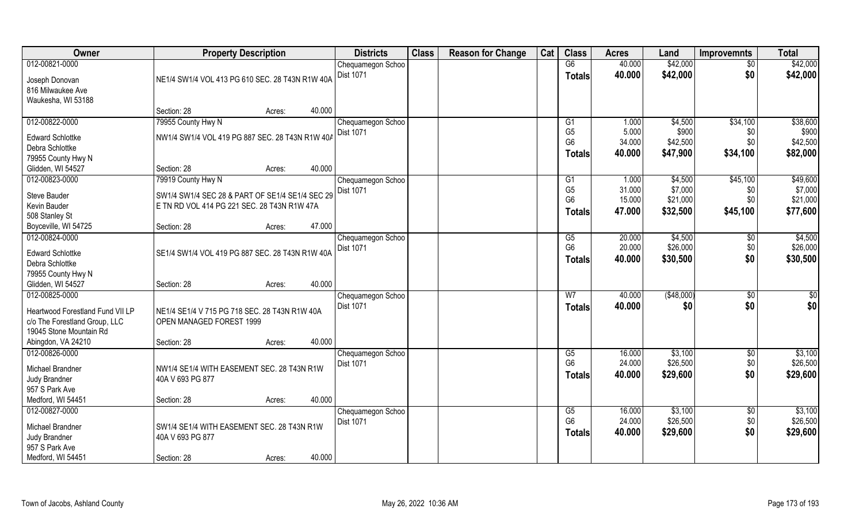| Owner                            | <b>Property Description</b>                     | <b>Districts</b>               | <b>Class</b> | <b>Reason for Change</b> | Cat | <b>Class</b>    | <b>Acres</b> | Land       | <b>Improvemnts</b> | <b>Total</b> |
|----------------------------------|-------------------------------------------------|--------------------------------|--------------|--------------------------|-----|-----------------|--------------|------------|--------------------|--------------|
| 012-00821-0000                   |                                                 | Chequamegon Schoo              |              |                          |     | G6              | 40.000       | \$42,000   | $\overline{50}$    | \$42,000     |
| Joseph Donovan                   | NE1/4 SW1/4 VOL 413 PG 610 SEC. 28 T43N R1W 40A | <b>Dist 1071</b>               |              |                          |     | <b>Totals</b>   | 40.000       | \$42,000   | \$0                | \$42,000     |
| 816 Milwaukee Ave                |                                                 |                                |              |                          |     |                 |              |            |                    |              |
| Waukesha, WI 53188               |                                                 |                                |              |                          |     |                 |              |            |                    |              |
|                                  | 40.000<br>Section: 28<br>Acres:                 |                                |              |                          |     |                 |              |            |                    |              |
| 012-00822-0000                   | 79955 County Hwy N                              | Chequamegon Schoo              |              |                          |     | G <sub>1</sub>  | 1.000        | \$4,500    | \$34,100           | \$38,600     |
| <b>Edward Schlottke</b>          | NW1/4 SW1/4 VOL 419 PG 887 SEC. 28 T43N R1W 40A | Dist 1071                      |              |                          |     | G <sub>5</sub>  | 5.000        | \$900      | \$0                | \$900        |
| Debra Schlottke                  |                                                 |                                |              |                          |     | G <sub>6</sub>  | 34.000       | \$42,500   | \$0                | \$42,500     |
| 79955 County Hwy N               |                                                 |                                |              |                          |     | <b>Totals</b>   | 40.000       | \$47,900   | \$34,100           | \$82,000     |
| Glidden, WI 54527                | 40.000<br>Section: 28<br>Acres:                 |                                |              |                          |     |                 |              |            |                    |              |
| 012-00823-0000                   | 79919 County Hwy N                              | Chequamegon Schoo              |              |                          |     | G <sub>1</sub>  | 1.000        | \$4,500    | \$45,100           | \$49,600     |
|                                  |                                                 | Dist 1071                      |              |                          |     | G <sub>5</sub>  | 31.000       | \$7,000    | \$0                | \$7,000      |
| Steve Bauder                     | SW1/4 SW1/4 SEC 28 & PART OF SE1/4 SE1/4 SEC 29 |                                |              |                          |     | G <sub>6</sub>  | 15.000       | \$21,000   | \$0                | \$21,000     |
| Kevin Bauder<br>508 Stanley St   | E TN RD VOL 414 PG 221 SEC. 28 T43N R1W 47A     |                                |              |                          |     | <b>Totals</b>   | 47.000       | \$32,500   | \$45,100           | \$77,600     |
| Boyceville, WI 54725             | 47.000<br>Section: 28<br>Acres:                 |                                |              |                          |     |                 |              |            |                    |              |
| 012-00824-0000                   |                                                 | Chequamegon Schoo              |              |                          |     | G5              | 20.000       | \$4,500    | \$0                | \$4,500      |
|                                  |                                                 | Dist 1071                      |              |                          |     | G <sub>6</sub>  | 20.000       | \$26,000   | \$0                | \$26,000     |
| <b>Edward Schlottke</b>          | SE1/4 SW1/4 VOL 419 PG 887 SEC. 28 T43N R1W 40A |                                |              |                          |     | <b>Totals</b>   | 40.000       | \$30,500   | \$0                | \$30,500     |
| Debra Schlottke                  |                                                 |                                |              |                          |     |                 |              |            |                    |              |
| 79955 County Hwy N               | 40.000                                          |                                |              |                          |     |                 |              |            |                    |              |
| Glidden, WI 54527                | Section: 28<br>Acres:                           |                                |              |                          |     |                 |              |            |                    |              |
| 012-00825-0000                   |                                                 | Chequamegon Schoo<br>Dist 1071 |              |                          |     | $\overline{W}$  | 40.000       | (\$48,000) | \$0                | \$0          |
| Heartwood Forestland Fund VII LP | NE1/4 SE1/4 V 715 PG 718 SEC. 28 T43N R1W 40A   |                                |              |                          |     | <b>Totals</b>   | 40.000       | \$0        | \$0                | \$0          |
| c/o The Forestland Group, LLC    | OPEN MANAGED FOREST 1999                        |                                |              |                          |     |                 |              |            |                    |              |
| 19045 Stone Mountain Rd          |                                                 |                                |              |                          |     |                 |              |            |                    |              |
| Abingdon, VA 24210               | 40.000<br>Section: 28<br>Acres:                 |                                |              |                          |     |                 |              |            |                    |              |
| 012-00826-0000                   |                                                 | Chequamegon Schoo              |              |                          |     | G5              | 16.000       | \$3,100    | \$0                | \$3,100      |
| Michael Brandner                 | NW1/4 SE1/4 WITH EASEMENT SEC. 28 T43N R1W      | <b>Dist 1071</b>               |              |                          |     | G <sub>6</sub>  | 24.000       | \$26,500   | \$0                | \$26,500     |
| Judy Brandner                    | 40A V 693 PG 877                                |                                |              |                          |     | <b>Totals</b>   | 40.000       | \$29,600   | \$0                | \$29,600     |
| 957 S Park Ave                   |                                                 |                                |              |                          |     |                 |              |            |                    |              |
| Medford, WI 54451                | 40.000<br>Section: 28<br>Acres:                 |                                |              |                          |     |                 |              |            |                    |              |
| 012-00827-0000                   |                                                 | Chequamegon Schoo              |              |                          |     | $\overline{G5}$ | 16.000       | \$3,100    | $\overline{50}$    | \$3,100      |
| Michael Brandner                 | SW1/4 SE1/4 WITH EASEMENT SEC. 28 T43N R1W      | <b>Dist 1071</b>               |              |                          |     | G <sub>6</sub>  | 24.000       | \$26,500   | \$0                | \$26,500     |
| Judy Brandner                    | 40A V 693 PG 877                                |                                |              |                          |     | <b>Totals</b>   | 40.000       | \$29,600   | \$0                | \$29,600     |
| 957 S Park Ave                   |                                                 |                                |              |                          |     |                 |              |            |                    |              |
| Medford, WI 54451                | 40.000<br>Section: 28<br>Acres:                 |                                |              |                          |     |                 |              |            |                    |              |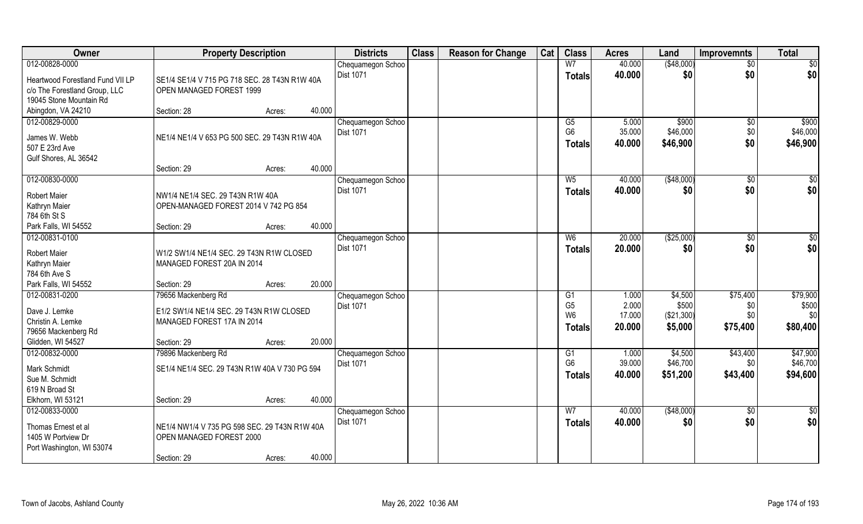| Owner                                                                                        | <b>Property Description</b>                                                                   |        |        | <b>Districts</b>                      | <b>Class</b> | <b>Reason for Change</b> | Cat | <b>Class</b>                                            | <b>Acres</b>                       | Land                                      | <b>Improvemnts</b>                 | <b>Total</b>                         |
|----------------------------------------------------------------------------------------------|-----------------------------------------------------------------------------------------------|--------|--------|---------------------------------------|--------------|--------------------------|-----|---------------------------------------------------------|------------------------------------|-------------------------------------------|------------------------------------|--------------------------------------|
| 012-00828-0000                                                                               |                                                                                               |        |        | Chequamegon Schoo                     |              |                          |     | W <sub>7</sub>                                          | 40.000                             | ( \$48,000)                               | $\sqrt{50}$                        | \$0                                  |
| Heartwood Forestland Fund VII LP<br>c/o The Forestland Group, LLC<br>19045 Stone Mountain Rd | SE1/4 SE1/4 V 715 PG 718 SEC, 28 T43N R1W 40A<br>OPEN MANAGED FOREST 1999                     |        |        | <b>Dist 1071</b>                      |              |                          |     | <b>Totals</b>                                           | 40.000                             | \$0                                       | \$0                                | \$0                                  |
| Abingdon, VA 24210                                                                           | Section: 28                                                                                   | Acres: | 40.000 |                                       |              |                          |     |                                                         |                                    |                                           |                                    |                                      |
| 012-00829-0000<br>James W. Webb<br>507 E 23rd Ave<br>Gulf Shores, AL 36542                   | NE1/4 NE1/4 V 653 PG 500 SEC. 29 T43N R1W 40A                                                 |        |        | Chequamegon Schoo<br><b>Dist 1071</b> |              |                          |     | G5<br>G <sub>6</sub><br><b>Totals</b>                   | 5.000<br>35.000<br>40.000          | \$900<br>\$46,000<br>\$46,900             | \$0<br>\$0<br>\$0                  | \$900<br>\$46,000<br>\$46,900        |
|                                                                                              | Section: 29                                                                                   | Acres: | 40.000 |                                       |              |                          |     |                                                         |                                    |                                           |                                    |                                      |
| 012-00830-0000<br><b>Robert Maier</b><br>Kathryn Maier<br>784 6th St S                       | NW1/4 NE1/4 SEC. 29 T43N R1W 40A<br>OPEN-MANAGED FOREST 2014 V 742 PG 854                     |        |        | Chequamegon Schoo<br>Dist 1071        |              |                          |     | $W_5$<br><b>Totals</b>                                  | 40.000<br>40.000                   | ( \$48,000)<br>\$0                        | \$0<br>\$0                         | \$0<br>\$0                           |
| Park Falls, WI 54552                                                                         | Section: 29                                                                                   | Acres: | 40.000 |                                       |              |                          |     |                                                         |                                    |                                           |                                    |                                      |
| 012-00831-0100<br>Robert Maier                                                               | W1/2 SW1/4 NE1/4 SEC. 29 T43N R1W CLOSED                                                      |        |        | Chequamegon Schoo<br><b>Dist 1071</b> |              |                          |     | W <sub>6</sub><br><b>Totals</b>                         | 20.000<br>20.000                   | (\$25,000)<br>\$0                         | \$0<br>\$0                         | \$0<br>\$0                           |
| Kathryn Maier<br>784 6th Ave S                                                               | MANAGED FOREST 20A IN 2014                                                                    |        |        |                                       |              |                          |     |                                                         |                                    |                                           |                                    |                                      |
| Park Falls, WI 54552                                                                         | Section: 29                                                                                   | Acres: | 20.000 |                                       |              |                          |     |                                                         |                                    |                                           |                                    |                                      |
| 012-00831-0200<br>Dave J. Lemke<br>Christin A. Lemke<br>79656 Mackenberg Rd                  | 79656 Mackenberg Rd<br>E1/2 SW1/4 NE1/4 SEC. 29 T43N R1W CLOSED<br>MANAGED FOREST 17A IN 2014 |        | 20.000 | Chequamegon Schoo<br>Dist 1071        |              |                          |     | G1<br>G <sub>5</sub><br>W <sub>6</sub><br><b>Totals</b> | 1.000<br>2.000<br>17.000<br>20.000 | \$4,500<br>\$500<br>(\$21,300)<br>\$5,000 | \$75,400<br>\$0<br>\$0<br>\$75,400 | \$79,900<br>\$500<br>\$0<br>\$80,400 |
| Glidden, WI 54527<br>012-00832-0000                                                          | Section: 29<br>79896 Mackenberg Rd                                                            | Acres: |        | Chequamegon Schoo                     |              |                          |     | G1                                                      | 1.000                              | \$4,500                                   | \$43,400                           | \$47,900                             |
| Mark Schmidt<br>Sue M. Schmidt<br>619 N Broad St                                             | SE1/4 NE1/4 SEC. 29 T43N R1W 40A V 730 PG 594                                                 |        |        | Dist 1071                             |              |                          |     | G <sub>6</sub><br><b>Totals</b>                         | 39.000<br>40.000                   | \$46,700<br>\$51,200                      | \$0<br>\$43,400                    | \$46,700<br>\$94,600                 |
| Elkhorn, WI 53121                                                                            | Section: 29                                                                                   | Acres: | 40.000 |                                       |              |                          |     |                                                         |                                    |                                           |                                    |                                      |
| 012-00833-0000<br>Thomas Ernest et al<br>1405 W Portview Dr<br>Port Washington, WI 53074     | NE1/4 NW1/4 V 735 PG 598 SEC. 29 T43N R1W 40A<br>OPEN MANAGED FOREST 2000<br>Section: 29      | Acres: | 40.000 | Chequamegon Schoo<br><b>Dist 1071</b> |              |                          |     | W <sub>7</sub><br><b>Totals</b>                         | 40.000<br>40.000                   | (\$48,000)<br>\$0                         | $\overline{50}$<br>\$0             | $\frac{1}{2}$<br>\$0                 |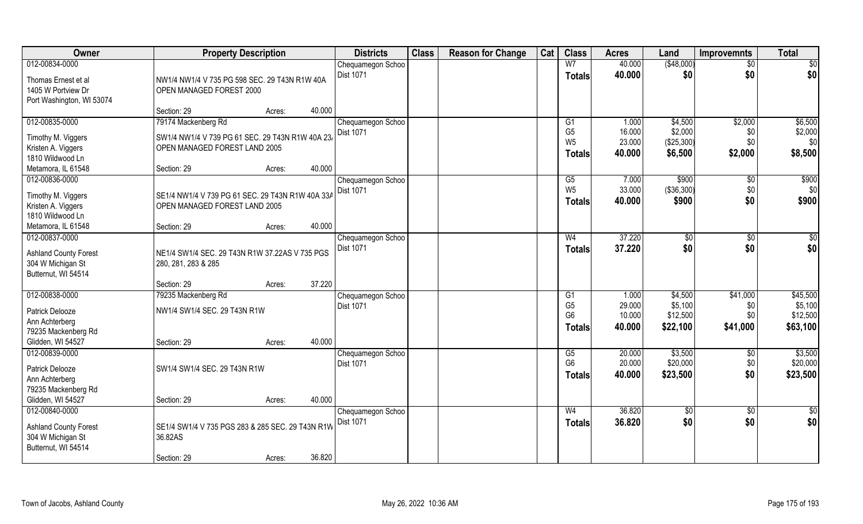| Owner                                  | <b>Property Description</b>                                                       |        |        | <b>Districts</b>                      | <b>Class</b> | <b>Reason for Change</b> | Cat | <b>Class</b>    | <b>Acres</b> | Land       | <b>Improvemnts</b> | <b>Total</b> |
|----------------------------------------|-----------------------------------------------------------------------------------|--------|--------|---------------------------------------|--------------|--------------------------|-----|-----------------|--------------|------------|--------------------|--------------|
| 012-00834-0000                         |                                                                                   |        |        | Chequamegon Schoo                     |              |                          |     | W <sub>7</sub>  | 40.000       | (\$48,000) | $\sqrt{$0}$        | $\sqrt{50}$  |
| Thomas Ernest et al                    | NW1/4 NW1/4 V 735 PG 598 SEC. 29 T43N R1W 40A                                     |        |        | <b>Dist 1071</b>                      |              |                          |     | <b>Totals</b>   | 40.000       | \$0        | \$0                | \$0          |
| 1405 W Portview Dr                     | OPEN MANAGED FOREST 2000                                                          |        |        |                                       |              |                          |     |                 |              |            |                    |              |
| Port Washington, WI 53074              |                                                                                   |        |        |                                       |              |                          |     |                 |              |            |                    |              |
|                                        | Section: 29                                                                       | Acres: | 40.000 |                                       |              |                          |     |                 |              |            |                    |              |
| 012-00835-0000                         | 79174 Mackenberg Rd                                                               |        |        | Chequamegon Schoo                     |              |                          |     | G1              | 1.000        | \$4,500    | \$2,000            | \$6,500      |
| Timothy M. Viggers                     | SW1/4 NW1/4 V 739 PG 61 SEC. 29 T43N R1W 40A 23                                   |        |        | <b>Dist 1071</b>                      |              |                          |     | G <sub>5</sub>  | 16.000       | \$2,000    | \$0                | \$2,000      |
| Kristen A. Viggers                     | OPEN MANAGED FOREST LAND 2005                                                     |        |        |                                       |              |                          |     | W <sub>5</sub>  | 23.000       | (\$25,300) | \$0                | \$0          |
| 1810 Wildwood Ln                       |                                                                                   |        |        |                                       |              |                          |     | <b>Totals</b>   | 40.000       | \$6,500    | \$2,000            | \$8,500      |
| Metamora, IL 61548                     | Section: 29                                                                       | Acres: | 40.000 |                                       |              |                          |     |                 |              |            |                    |              |
| 012-00836-0000                         |                                                                                   |        |        | Chequamegon Schoo                     |              |                          |     | G5              | 7.000        | \$900      | \$0                | \$900        |
|                                        |                                                                                   |        |        | Dist 1071                             |              |                          |     | W <sub>5</sub>  | 33.000       | (\$36,300) | \$0                | \$0          |
| Timothy M. Viggers                     | SE1/4 NW1/4 V 739 PG 61 SEC. 29 T43N R1W 40A 33A<br>OPEN MANAGED FOREST LAND 2005 |        |        |                                       |              |                          |     | Totals          | 40.000       | \$900      | \$0                | \$900        |
| Kristen A. Viggers<br>1810 Wildwood Ln |                                                                                   |        |        |                                       |              |                          |     |                 |              |            |                    |              |
| Metamora, IL 61548                     | Section: 29                                                                       | Acres: | 40.000 |                                       |              |                          |     |                 |              |            |                    |              |
| 012-00837-0000                         |                                                                                   |        |        |                                       |              |                          |     | W <sub>4</sub>  | 37.220       |            |                    | $\sqrt{50}$  |
|                                        |                                                                                   |        |        | Chequamegon Schoo<br><b>Dist 1071</b> |              |                          |     |                 |              | \$0        | $\sqrt[6]{3}$      |              |
| <b>Ashland County Forest</b>           | NE1/4 SW1/4 SEC. 29 T43N R1W 37.22AS V 735 PGS                                    |        |        |                                       |              |                          |     | <b>Totals</b>   | 37.220       | \$0        | \$0                | \$0          |
| 304 W Michigan St                      | 280, 281, 283 & 285                                                               |        |        |                                       |              |                          |     |                 |              |            |                    |              |
| Butternut, WI 54514                    |                                                                                   |        |        |                                       |              |                          |     |                 |              |            |                    |              |
|                                        | Section: 29                                                                       | Acres: | 37.220 |                                       |              |                          |     |                 |              |            |                    |              |
| 012-00838-0000                         | 79235 Mackenberg Rd                                                               |        |        | Chequamegon Schoo                     |              |                          |     | $\overline{G1}$ | 1.000        | \$4,500    | \$41,000           | \$45,500     |
| Patrick Delooze                        | NW1/4 SW1/4 SEC. 29 T43N R1W                                                      |        |        | Dist 1071                             |              |                          |     | G <sub>5</sub>  | 29.000       | \$5,100    | \$0                | \$5,100      |
| Ann Achterberg                         |                                                                                   |        |        |                                       |              |                          |     | G <sub>6</sub>  | 10.000       | \$12,500   | \$0                | \$12,500     |
| 79235 Mackenberg Rd                    |                                                                                   |        |        |                                       |              |                          |     | <b>Totals</b>   | 40.000       | \$22,100   | \$41,000           | \$63,100     |
| Glidden, WI 54527                      | Section: 29                                                                       | Acres: | 40.000 |                                       |              |                          |     |                 |              |            |                    |              |
| 012-00839-0000                         |                                                                                   |        |        | Chequamegon Schoo                     |              |                          |     | G5              | 20.000       | \$3,500    | \$0                | \$3,500      |
|                                        |                                                                                   |        |        | Dist 1071                             |              |                          |     | G <sub>6</sub>  | 20.000       | \$20,000   | \$0                | \$20,000     |
| Patrick Delooze                        | SW1/4 SW1/4 SEC. 29 T43N R1W                                                      |        |        |                                       |              |                          |     | <b>Totals</b>   | 40.000       | \$23,500   | \$0                | \$23,500     |
| Ann Achterberg                         |                                                                                   |        |        |                                       |              |                          |     |                 |              |            |                    |              |
| 79235 Mackenberg Rd                    |                                                                                   |        |        |                                       |              |                          |     |                 |              |            |                    |              |
| Glidden, WI 54527                      | Section: 29                                                                       | Acres: | 40.000 |                                       |              |                          |     |                 |              |            |                    |              |
| 012-00840-0000                         |                                                                                   |        |        | Chequamegon Schoo                     |              |                          |     | W <sub>4</sub>  | 36.820       | $\sqrt{6}$ | $\sqrt{$0}$        | \$0          |
| <b>Ashland County Forest</b>           | SE1/4 SW1/4 V 735 PGS 283 & 285 SEC. 29 T43N R1W                                  |        |        | Dist 1071                             |              |                          |     | <b>Totals</b>   | 36.820       | \$0        | \$0                | \$0          |
| 304 W Michigan St                      | 36.82AS                                                                           |        |        |                                       |              |                          |     |                 |              |            |                    |              |
| Butternut, WI 54514                    |                                                                                   |        |        |                                       |              |                          |     |                 |              |            |                    |              |
|                                        | Section: 29                                                                       | Acres: | 36.820 |                                       |              |                          |     |                 |              |            |                    |              |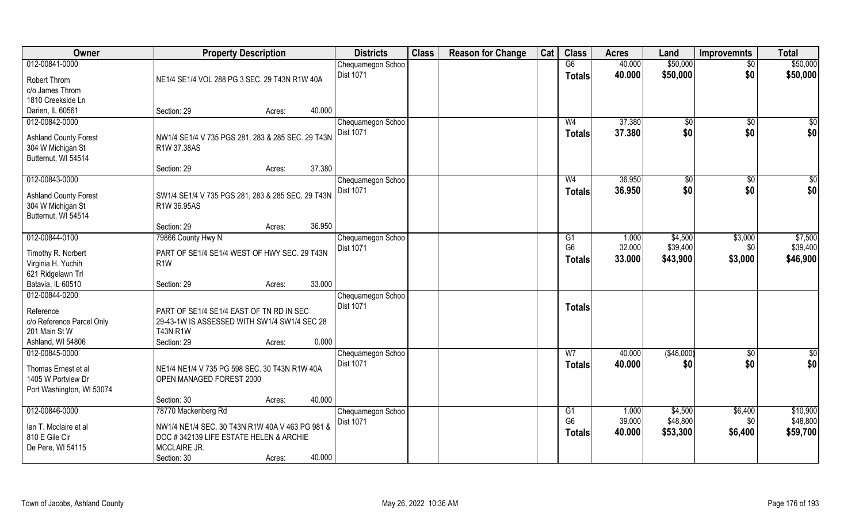| Owner                                      | <b>Property Description</b>                                     | <b>Districts</b>                      | <b>Class</b> | <b>Reason for Change</b> | Cat | <b>Class</b>   | <b>Acres</b>     | Land               | <b>Improvemnts</b> | <b>Total</b>         |
|--------------------------------------------|-----------------------------------------------------------------|---------------------------------------|--------------|--------------------------|-----|----------------|------------------|--------------------|--------------------|----------------------|
| 012-00841-0000                             |                                                                 | Chequamegon Schoo                     |              |                          |     | G6             | 40.000           | \$50,000           | $\overline{50}$    | \$50,000             |
| Robert Throm                               | NE1/4 SE1/4 VOL 288 PG 3 SEC. 29 T43N R1W 40A                   | <b>Dist 1071</b>                      |              |                          |     | <b>Totals</b>  | 40.000           | \$50,000           | \$0                | \$50,000             |
| c/o James Throm                            |                                                                 |                                       |              |                          |     |                |                  |                    |                    |                      |
| 1810 Creekside Ln                          |                                                                 |                                       |              |                          |     |                |                  |                    |                    |                      |
| Darien, IL 60561                           | 40.000<br>Section: 29<br>Acres:                                 |                                       |              |                          |     |                |                  |                    |                    |                      |
| 012-00842-0000                             |                                                                 | Chequamegon Schoo                     |              |                          |     | W <sub>4</sub> | 37.380           | \$0                | \$0                | \$0                  |
|                                            |                                                                 | <b>Dist 1071</b>                      |              |                          |     | <b>Totals</b>  | 37.380           | \$0                | \$0                | \$0                  |
| <b>Ashland County Forest</b>               | NW1/4 SE1/4 V 735 PGS 281, 283 & 285 SEC. 29 T43N               |                                       |              |                          |     |                |                  |                    |                    |                      |
| 304 W Michigan St                          | R1W 37.38AS                                                     |                                       |              |                          |     |                |                  |                    |                    |                      |
| Butternut, WI 54514                        | 37.380<br>Section: 29                                           |                                       |              |                          |     |                |                  |                    |                    |                      |
|                                            | Acres:                                                          |                                       |              |                          |     | W <sub>4</sub> | 36.950           |                    |                    |                      |
| 012-00843-0000                             |                                                                 | Chequamegon Schoo<br>Dist 1071        |              |                          |     |                |                  | $\sqrt[6]{3}$      | $\sqrt[6]{30}$     | \$0                  |
| <b>Ashland County Forest</b>               | SW1/4 SE1/4 V 735 PGS 281, 283 & 285 SEC. 29 T43N               |                                       |              |                          |     | <b>Totals</b>  | 36.950           | \$0                | \$0                | \$0                  |
| 304 W Michigan St                          | R1W 36.95AS                                                     |                                       |              |                          |     |                |                  |                    |                    |                      |
| Butternut, WI 54514                        |                                                                 |                                       |              |                          |     |                |                  |                    |                    |                      |
|                                            | 36.950<br>Section: 29<br>Acres:                                 |                                       |              |                          |     |                |                  |                    |                    |                      |
| 012-00844-0100                             | 79866 County Hwy N                                              | Chequamegon Schoo                     |              |                          |     | G <sub>1</sub> | 1.000            | \$4,500            | \$3,000            | \$7,500              |
| Timothy R. Norbert                         | PART OF SE1/4 SE1/4 WEST OF HWY SEC. 29 T43N                    | Dist 1071                             |              |                          |     | G <sub>6</sub> | 32.000           | \$39,400           | \$0                | \$39,400             |
| Virginia H. Yuchih                         | R1W                                                             |                                       |              |                          |     | <b>Totals</b>  | 33.000           | \$43,900           | \$3,000            | \$46,900             |
| 621 Ridgelawn Trl                          |                                                                 |                                       |              |                          |     |                |                  |                    |                    |                      |
| Batavia, IL 60510                          | 33.000<br>Section: 29<br>Acres:                                 |                                       |              |                          |     |                |                  |                    |                    |                      |
| 012-00844-0200                             |                                                                 | Chequamegon Schoo                     |              |                          |     |                |                  |                    |                    |                      |
|                                            |                                                                 | <b>Dist 1071</b>                      |              |                          |     | <b>Totals</b>  |                  |                    |                    |                      |
| Reference                                  | PART OF SE1/4 SE1/4 EAST OF TN RD IN SEC                        |                                       |              |                          |     |                |                  |                    |                    |                      |
| c/o Reference Parcel Only<br>201 Main St W | 29-43-1W IS ASSESSED WITH SW1/4 SW1/4 SEC 28<br><b>T43N R1W</b> |                                       |              |                          |     |                |                  |                    |                    |                      |
| Ashland, WI 54806                          | 0.000<br>Section: 29                                            |                                       |              |                          |     |                |                  |                    |                    |                      |
| 012-00845-0000                             | Acres:                                                          |                                       |              |                          |     | W <sub>7</sub> |                  |                    |                    |                      |
|                                            |                                                                 | Chequamegon Schoo<br><b>Dist 1071</b> |              |                          |     |                | 40.000<br>40.000 | ( \$48,000)<br>\$0 | \$0<br>\$0         | $\frac{6}{3}$<br>\$0 |
| Thomas Ernest et al                        | NE1/4 NE1/4 V 735 PG 598 SEC. 30 T43N R1W 40A                   |                                       |              |                          |     | <b>Totals</b>  |                  |                    |                    |                      |
| 1405 W Portview Dr                         | OPEN MANAGED FOREST 2000                                        |                                       |              |                          |     |                |                  |                    |                    |                      |
| Port Washington, WI 53074                  |                                                                 |                                       |              |                          |     |                |                  |                    |                    |                      |
|                                            | 40.000<br>Section: 30<br>Acres:                                 |                                       |              |                          |     |                |                  |                    |                    |                      |
| 012-00846-0000                             | 78770 Mackenberg Rd                                             | Chequamegon Schoo                     |              |                          |     | G1             | 1.000            | \$4,500            | \$6,400            | \$10,900             |
| Ian T. Mcclaire et al                      | NW1/4 NE1/4 SEC. 30 T43N R1W 40A V 463 PG 981 &                 | <b>Dist 1071</b>                      |              |                          |     | G <sub>6</sub> | 39.000           | \$48,800           | \$0                | \$48,800             |
| 810 E Gile Cir                             | DOC #342139 LIFE ESTATE HELEN & ARCHIE                          |                                       |              |                          |     | <b>Totals</b>  | 40.000           | \$53,300           | \$6,400            | \$59,700             |
| De Pere, WI 54115                          | MCCLAIRE JR.                                                    |                                       |              |                          |     |                |                  |                    |                    |                      |
|                                            | 40.000<br>Section: 30<br>Acres:                                 |                                       |              |                          |     |                |                  |                    |                    |                      |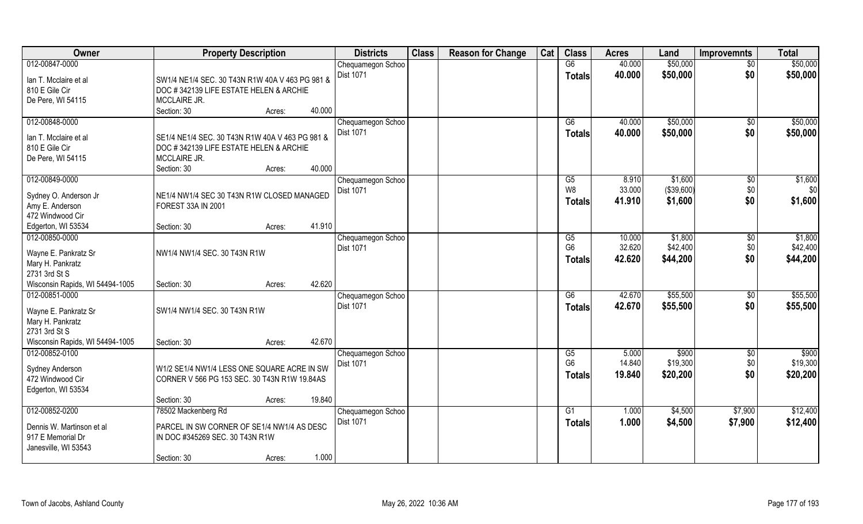| Owner                                   | <b>Property Description</b>                                                               | <b>Districts</b>  | <b>Class</b> | <b>Reason for Change</b> | Cat | <b>Class</b>    | <b>Acres</b> | Land       | <b>Improvemnts</b> | <b>Total</b> |
|-----------------------------------------|-------------------------------------------------------------------------------------------|-------------------|--------------|--------------------------|-----|-----------------|--------------|------------|--------------------|--------------|
| 012-00847-0000                          |                                                                                           | Chequamegon Schoo |              |                          |     | G6              | 40.000       | \$50,000   | $\overline{50}$    | \$50,000     |
| lan T. Mcclaire et al                   | SW1/4 NE1/4 SEC. 30 T43N R1W 40A V 463 PG 981 &                                           | <b>Dist 1071</b>  |              |                          |     | <b>Totals</b>   | 40.000       | \$50,000   | \$0                | \$50,000     |
| 810 E Gile Cir                          | DOC #342139 LIFE ESTATE HELEN & ARCHIE                                                    |                   |              |                          |     |                 |              |            |                    |              |
| De Pere, WI 54115                       | MCCLAIRE JR.                                                                              |                   |              |                          |     |                 |              |            |                    |              |
|                                         | Section: 30<br>40.000<br>Acres:                                                           |                   |              |                          |     |                 |              |            |                    |              |
| 012-00848-0000                          |                                                                                           | Chequamegon Schoo |              |                          |     | G6              | 40.000       | \$50,000   | \$0                | \$50,000     |
|                                         |                                                                                           | Dist 1071         |              |                          |     | <b>Totals</b>   | 40.000       | \$50,000   | \$0                | \$50,000     |
| lan T. Mcclaire et al<br>810 E Gile Cir | SE1/4 NE1/4 SEC. 30 T43N R1W 40A V 463 PG 981 &<br>DOC #342139 LIFE ESTATE HELEN & ARCHIE |                   |              |                          |     |                 |              |            |                    |              |
| De Pere, WI 54115                       | MCCLAIRE JR.                                                                              |                   |              |                          |     |                 |              |            |                    |              |
|                                         | 40.000<br>Section: 30<br>Acres:                                                           |                   |              |                          |     |                 |              |            |                    |              |
| 012-00849-0000                          |                                                                                           | Chequamegon Schoo |              |                          |     | G5              | 8.910        | \$1,600    | $\sqrt[6]{30}$     | \$1,600      |
|                                         |                                                                                           | Dist 1071         |              |                          |     | W <sub>8</sub>  | 33.000       | (\$39,600) | \$0                | \$0          |
| Sydney O. Anderson Jr                   | NE1/4 NW1/4 SEC 30 T43N R1W CLOSED MANAGED                                                |                   |              |                          |     | <b>Totals</b>   | 41.910       | \$1,600    | \$0                | \$1,600      |
| Amy E. Anderson                         | FOREST 33A IN 2001                                                                        |                   |              |                          |     |                 |              |            |                    |              |
| 472 Windwood Cir                        |                                                                                           |                   |              |                          |     |                 |              |            |                    |              |
| Edgerton, WI 53534                      | 41.910<br>Section: 30<br>Acres:                                                           |                   |              |                          |     |                 |              |            |                    |              |
| 012-00850-0000                          |                                                                                           | Chequamegon Schoo |              |                          |     | G5              | 10.000       | \$1,800    | \$0                | \$1,800      |
| Wayne E. Pankratz Sr                    | NW1/4 NW1/4 SEC. 30 T43N R1W                                                              | <b>Dist 1071</b>  |              |                          |     | G <sub>6</sub>  | 32.620       | \$42,400   | \$0                | \$42,400     |
| Mary H. Pankratz                        |                                                                                           |                   |              |                          |     | <b>Totals</b>   | 42.620       | \$44,200   | \$0                | \$44,200     |
| 2731 3rd St S                           |                                                                                           |                   |              |                          |     |                 |              |            |                    |              |
| Wisconsin Rapids, WI 54494-1005         | 42.620<br>Section: 30<br>Acres:                                                           |                   |              |                          |     |                 |              |            |                    |              |
| 012-00851-0000                          |                                                                                           | Chequamegon Schoo |              |                          |     | $\overline{G6}$ | 42.670       | \$55,500   | $\sqrt[6]{3}$      | \$55,500     |
| Wayne E. Pankratz Sr                    | SW1/4 NW1/4 SEC. 30 T43N R1W                                                              | Dist 1071         |              |                          |     | <b>Totals</b>   | 42.670       | \$55,500   | \$0                | \$55,500     |
| Mary H. Pankratz                        |                                                                                           |                   |              |                          |     |                 |              |            |                    |              |
| 2731 3rd St S                           |                                                                                           |                   |              |                          |     |                 |              |            |                    |              |
| Wisconsin Rapids, WI 54494-1005         | 42.670<br>Section: 30<br>Acres:                                                           |                   |              |                          |     |                 |              |            |                    |              |
| 012-00852-0100                          |                                                                                           | Chequamegon Schoo |              |                          |     | G5              | 5.000        | \$900      | \$0                | \$900        |
|                                         | W1/2 SE1/4 NW1/4 LESS ONE SQUARE ACRE IN SW                                               | Dist 1071         |              |                          |     | G <sub>6</sub>  | 14.840       | \$19,300   | \$0                | \$19,300     |
| Sydney Anderson<br>472 Windwood Cir     | CORNER V 566 PG 153 SEC. 30 T43N R1W 19.84AS                                              |                   |              |                          |     | <b>Totals</b>   | 19.840       | \$20,200   | \$0                | \$20,200     |
| Edgerton, WI 53534                      |                                                                                           |                   |              |                          |     |                 |              |            |                    |              |
|                                         | 19.840<br>Section: 30<br>Acres:                                                           |                   |              |                          |     |                 |              |            |                    |              |
| 012-00852-0200                          | 78502 Mackenberg Rd                                                                       | Chequamegon Schoo |              |                          |     | G1              | 1.000        | \$4,500    | \$7,900            | \$12,400     |
|                                         |                                                                                           | Dist 1071         |              |                          |     | <b>Totals</b>   | 1.000        | \$4,500    | \$7,900            | \$12,400     |
| Dennis W. Martinson et al               | PARCEL IN SW CORNER OF SE1/4 NW1/4 AS DESC                                                |                   |              |                          |     |                 |              |            |                    |              |
| 917 E Memorial Dr                       | IN DOC #345269 SEC. 30 T43N R1W                                                           |                   |              |                          |     |                 |              |            |                    |              |
| Janesville, WI 53543                    |                                                                                           |                   |              |                          |     |                 |              |            |                    |              |
|                                         | 1.000<br>Section: 30<br>Acres:                                                            |                   |              |                          |     |                 |              |            |                    |              |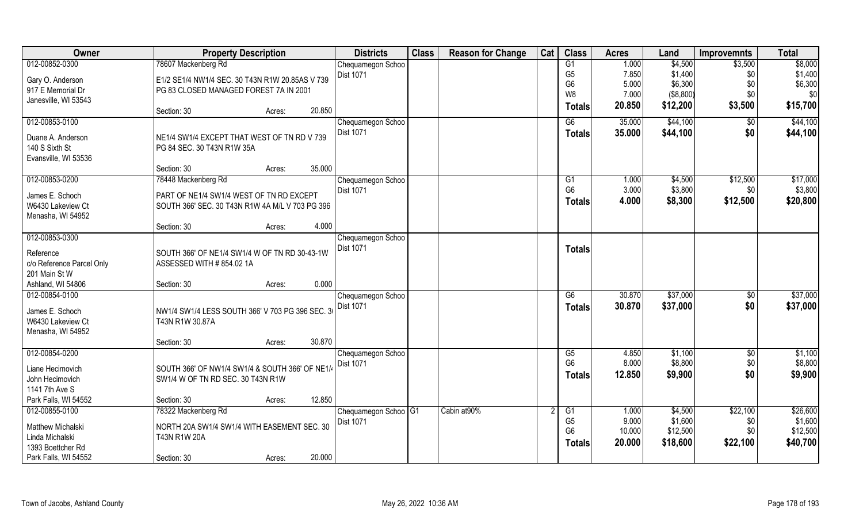| Owner                                      | <b>Property Description</b>                     |        |        | <b>Districts</b>                  | <b>Class</b> | <b>Reason for Change</b> | Cat | <b>Class</b>         | <b>Acres</b>   | Land               | <b>Improvemnts</b> | <b>Total</b>       |
|--------------------------------------------|-------------------------------------------------|--------|--------|-----------------------------------|--------------|--------------------------|-----|----------------------|----------------|--------------------|--------------------|--------------------|
| 012-00852-0300                             | 78607 Mackenberg Rd                             |        |        | Chequamegon Schoo                 |              |                          |     | G1                   | 1.000          | \$4,500            | \$3,500            | \$8,000            |
| Gary O. Anderson                           | E1/2 SE1/4 NW1/4 SEC. 30 T43N R1W 20.85AS V 739 |        |        | <b>Dist 1071</b>                  |              |                          |     | G <sub>5</sub>       | 7.850          | \$1,400            | \$0                | \$1,400            |
| 917 E Memorial Dr                          | PG 83 CLOSED MANAGED FOREST 7A IN 2001          |        |        |                                   |              |                          |     | G <sub>6</sub>       | 5.000          | \$6,300            | \$0                | \$6,300            |
| Janesville, WI 53543                       |                                                 |        |        |                                   |              |                          |     | W8                   | 7.000          | (\$8,800)          | \$0                | \$0                |
|                                            | Section: 30                                     | Acres: | 20.850 |                                   |              |                          |     | Totals               | 20.850         | \$12,200           | \$3,500            | \$15,700           |
| 012-00853-0100                             |                                                 |        |        | Chequamegon Schoo                 |              |                          |     | G6                   | 35.000         | \$44,100           | \$0                | \$44,100           |
| Duane A. Anderson                          | NE1/4 SW1/4 EXCEPT THAT WEST OF TN RD V 739     |        |        | Dist 1071                         |              |                          |     | Totals               | 35.000         | \$44,100           | \$0                | \$44,100           |
| 140 S Sixth St                             | PG 84 SEC. 30 T43N R1W 35A                      |        |        |                                   |              |                          |     |                      |                |                    |                    |                    |
| Evansville, WI 53536                       |                                                 |        |        |                                   |              |                          |     |                      |                |                    |                    |                    |
|                                            | Section: 30                                     | Acres: | 35.000 |                                   |              |                          |     |                      |                |                    |                    |                    |
| 012-00853-0200                             | 78448 Mackenberg Rd                             |        |        | Chequamegon Schoo                 |              |                          |     | G1                   | 1.000          | \$4,500            | \$12,500           | \$17,000           |
| James E. Schoch                            | PART OF NE1/4 SW1/4 WEST OF TN RD EXCEPT        |        |        | Dist 1071                         |              |                          |     | G <sub>6</sub>       | 3.000          | \$3,800            | \$0                | \$3,800            |
| W6430 Lakeview Ct                          | SOUTH 366' SEC. 30 T43N R1W 4A M/L V 703 PG 396 |        |        |                                   |              |                          |     | <b>Totals</b>        | 4.000          | \$8,300            | \$12,500           | \$20,800           |
| Menasha, WI 54952                          |                                                 |        |        |                                   |              |                          |     |                      |                |                    |                    |                    |
|                                            | Section: 30                                     | Acres: | 4.000  |                                   |              |                          |     |                      |                |                    |                    |                    |
| 012-00853-0300                             |                                                 |        |        | Chequamegon Schoo                 |              |                          |     |                      |                |                    |                    |                    |
|                                            |                                                 |        |        | <b>Dist 1071</b>                  |              |                          |     | <b>Totals</b>        |                |                    |                    |                    |
| Reference                                  | SOUTH 366' OF NE1/4 SW1/4 W OF TN RD 30-43-1W   |        |        |                                   |              |                          |     |                      |                |                    |                    |                    |
| c/o Reference Parcel Only<br>201 Main St W | ASSESSED WITH #854.02 1A                        |        |        |                                   |              |                          |     |                      |                |                    |                    |                    |
| Ashland, WI 54806                          | Section: 30                                     | Acres: | 0.000  |                                   |              |                          |     |                      |                |                    |                    |                    |
| 012-00854-0100                             |                                                 |        |        | Chequamegon Schoo                 |              |                          |     | G6                   | 30.870         | \$37,000           | $\sqrt[6]{}$       | \$37,000           |
|                                            |                                                 |        |        | <b>Dist 1071</b>                  |              |                          |     | <b>Totals</b>        | 30.870         | \$37,000           | \$0                | \$37,000           |
| James E. Schoch                            | NW1/4 SW1/4 LESS SOUTH 366' V 703 PG 396 SEC. 3 |        |        |                                   |              |                          |     |                      |                |                    |                    |                    |
| W6430 Lakeview Ct                          | T43N R1W 30.87A                                 |        |        |                                   |              |                          |     |                      |                |                    |                    |                    |
| Menasha, WI 54952                          |                                                 |        |        |                                   |              |                          |     |                      |                |                    |                    |                    |
|                                            | Section: 30                                     | Acres: | 30.870 |                                   |              |                          |     |                      |                |                    |                    |                    |
| 012-00854-0200                             |                                                 |        |        | Chequamegon Schoo                 |              |                          |     | G5<br>G <sub>6</sub> | 4.850<br>8.000 | \$1,100<br>\$8,800 | \$0<br>\$0         | \$1,100<br>\$8,800 |
| Liane Hecimovich                           | SOUTH 366' OF NW1/4 SW1/4 & SOUTH 366' OF NE1/4 |        |        | Dist 1071                         |              |                          |     |                      |                |                    |                    |                    |
| John Hecimovich                            | SW1/4 W OF TN RD SEC. 30 T43N R1W               |        |        |                                   |              |                          |     | <b>Totals</b>        | 12.850         | \$9,900            | \$0                | \$9,900            |
| 1141 7th Ave S                             |                                                 |        |        |                                   |              |                          |     |                      |                |                    |                    |                    |
| Park Falls, WI 54552                       | Section: 30                                     | Acres: | 12.850 |                                   |              |                          |     |                      |                |                    |                    |                    |
| 012-00855-0100                             | 78322 Mackenberg Rd                             |        |        | Chequamegon Schoo <sup>1</sup> G1 |              | Cabin at 90%             |     | G1                   | 1.000          | \$4,500            | \$22,100           | \$26,600           |
| Matthew Michalski                          | NORTH 20A SW1/4 SW1/4 WITH EASEMENT SEC. 30     |        |        | <b>Dist 1071</b>                  |              |                          |     | G <sub>5</sub>       | 9.000          | \$1,600            | \$0                | \$1,600            |
| Linda Michalski                            | T43N R1W 20A                                    |        |        |                                   |              |                          |     | G <sub>6</sub>       | 10.000         | \$12,500           | \$0                | \$12,500           |
| 1393 Boettcher Rd                          |                                                 |        |        |                                   |              |                          |     | <b>Totals</b>        | 20.000         | \$18,600           | \$22,100           | \$40,700           |
| Park Falls, WI 54552                       | Section: 30                                     | Acres: | 20.000 |                                   |              |                          |     |                      |                |                    |                    |                    |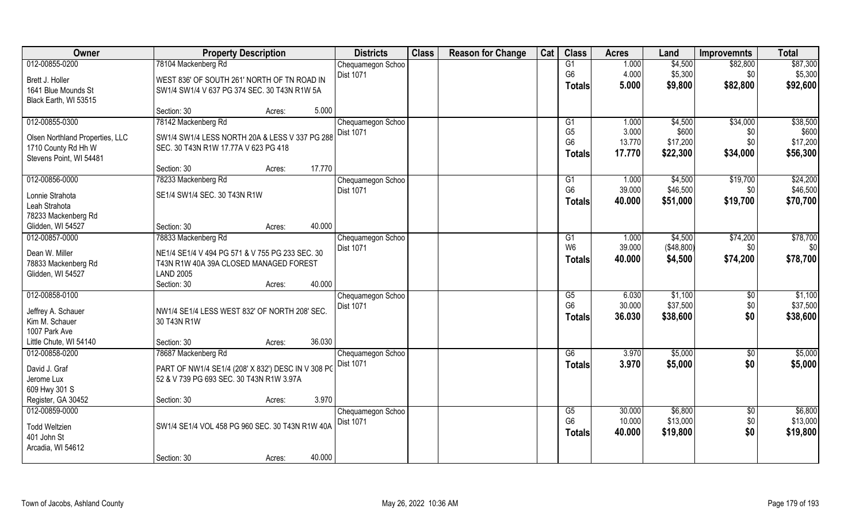| Owner                               | <b>Property Description</b>                                                                    |        | <b>Districts</b>  | <b>Class</b> | <b>Reason for Change</b> | Cat | <b>Class</b>    | <b>Acres</b> | Land         | Improvemnts     | <b>Total</b> |
|-------------------------------------|------------------------------------------------------------------------------------------------|--------|-------------------|--------------|--------------------------|-----|-----------------|--------------|--------------|-----------------|--------------|
| 012-00855-0200                      | 78104 Mackenberg Rd                                                                            |        | Chequamegon Schoo |              |                          |     | G1              | 1.000        | \$4,500      | \$82,800        | \$87,300     |
| Brett J. Holler                     | WEST 836' OF SOUTH 261' NORTH OF TN ROAD IN                                                    |        | Dist 1071         |              |                          |     | G <sub>6</sub>  | 4.000        | \$5,300      | \$0             | \$5,300      |
| 1641 Blue Mounds St                 | SW1/4 SW1/4 V 637 PG 374 SEC. 30 T43N R1W 5A                                                   |        |                   |              |                          |     | <b>Totals</b>   | 5.000        | \$9,800      | \$82,800        | \$92,600     |
| Black Earth, WI 53515               |                                                                                                |        |                   |              |                          |     |                 |              |              |                 |              |
|                                     | Section: 30<br>Acres:                                                                          | 5.000  |                   |              |                          |     |                 |              |              |                 |              |
| 012-00855-0300                      | 78142 Mackenberg Rd                                                                            |        | Chequamegon Schoo |              |                          |     | G <sub>1</sub>  | 1.000        | \$4,500      | \$34,000        | \$38,500     |
| Olsen Northland Properties, LLC     | SW1/4 SW1/4 LESS NORTH 20A & LESS V 337 PG 288                                                 |        | <b>Dist 1071</b>  |              |                          |     | G <sub>5</sub>  | 3.000        | \$600        | \$0             | \$600        |
| 1710 County Rd Hh W                 | SEC. 30 T43N R1W 17.77A V 623 PG 418                                                           |        |                   |              |                          |     | G <sub>6</sub>  | 13.770       | \$17,200     | \$0             | \$17,200     |
| Stevens Point, WI 54481             |                                                                                                |        |                   |              |                          |     | <b>Totals</b>   | 17.770       | \$22,300     | \$34,000        | \$56,300     |
|                                     | Section: 30<br>Acres:                                                                          | 17.770 |                   |              |                          |     |                 |              |              |                 |              |
| 012-00856-0000                      | 78233 Mackenberg Rd                                                                            |        | Chequamegon Schoo |              |                          |     | G <sub>1</sub>  | 1.000        | \$4,500      | \$19,700        | \$24,200     |
| Lonnie Strahota                     | SE1/4 SW1/4 SEC. 30 T43N R1W                                                                   |        | Dist 1071         |              |                          |     | G <sub>6</sub>  | 39.000       | \$46,500     | \$0             | \$46,500     |
| Leah Strahota                       |                                                                                                |        |                   |              |                          |     | <b>Totals</b>   | 40.000       | \$51,000     | \$19,700        | \$70,700     |
| 78233 Mackenberg Rd                 |                                                                                                |        |                   |              |                          |     |                 |              |              |                 |              |
| Glidden, WI 54527                   | Section: 30<br>Acres:                                                                          | 40.000 |                   |              |                          |     |                 |              |              |                 |              |
| 012-00857-0000                      | 78833 Mackenberg Rd                                                                            |        | Chequamegon Schoo |              |                          |     | G <sub>1</sub>  | 1.000        | \$4,500      | \$74,200        | \$78,700     |
| Dean W. Miller                      | NE1/4 SE1/4 V 494 PG 571 & V 755 PG 233 SEC. 30                                                |        | <b>Dist 1071</b>  |              |                          |     | W <sub>6</sub>  | 39.000       | ( \$48, 800) | \$0             | \$0          |
| 78833 Mackenberg Rd                 | T43N R1W 40A 39A CLOSED MANAGED FOREST                                                         |        |                   |              |                          |     | <b>Totals</b>   | 40.000       | \$4,500      | \$74,200        | \$78,700     |
| Glidden, WI 54527                   | <b>LAND 2005</b>                                                                               |        |                   |              |                          |     |                 |              |              |                 |              |
|                                     | Section: 30<br>Acres:                                                                          | 40.000 |                   |              |                          |     |                 |              |              |                 |              |
| 012-00858-0100                      |                                                                                                |        | Chequamegon Schoo |              |                          |     | $\overline{G5}$ | 6.030        | \$1,100      | \$0             | \$1,100      |
| Jeffrey A. Schauer                  | NW1/4 SE1/4 LESS WEST 832' OF NORTH 208' SEC.                                                  |        | Dist 1071         |              |                          |     | G <sub>6</sub>  | 30.000       | \$37,500     | \$0             | \$37,500     |
| Kim M. Schauer                      | 30 T43N R1W                                                                                    |        |                   |              |                          |     | <b>Totals</b>   | 36.030       | \$38,600     | \$0             | \$38,600     |
| 1007 Park Ave                       |                                                                                                |        |                   |              |                          |     |                 |              |              |                 |              |
| Little Chute, WI 54140              | Section: 30<br>Acres:                                                                          | 36.030 |                   |              |                          |     |                 |              |              |                 |              |
| 012-00858-0200                      | 78687 Mackenberg Rd                                                                            |        | Chequamegon Schoo |              |                          |     | G6              | 3.970        | \$5,000      | \$0             | \$5,000      |
| David J. Graf                       |                                                                                                |        | Dist 1071         |              |                          |     | <b>Totals</b>   | 3.970        | \$5,000      | \$0             | \$5,000      |
| Jerome Lux                          | PART OF NW1/4 SE1/4 (208' X 832') DESC IN V 308 PG<br>52 & V 739 PG 693 SEC. 30 T43N R1W 3.97A |        |                   |              |                          |     |                 |              |              |                 |              |
| 609 Hwy 301 S                       |                                                                                                |        |                   |              |                          |     |                 |              |              |                 |              |
| Register, GA 30452                  | Section: 30<br>Acres:                                                                          | 3.970  |                   |              |                          |     |                 |              |              |                 |              |
| 012-00859-0000                      |                                                                                                |        | Chequamegon Schoo |              |                          |     | $\overline{G5}$ | 30.000       | \$6,800      | $\overline{50}$ | \$6,800      |
|                                     | SW1/4 SE1/4 VOL 458 PG 960 SEC. 30 T43N R1W 40A                                                |        | Dist 1071         |              |                          |     | G <sub>6</sub>  | 10.000       | \$13,000     | \$0             | \$13,000     |
| <b>Todd Weltzien</b><br>401 John St |                                                                                                |        |                   |              |                          |     | Totals          | 40.000       | \$19,800     | \$0             | \$19,800     |
| Arcadia, WI 54612                   |                                                                                                |        |                   |              |                          |     |                 |              |              |                 |              |
|                                     | Section: 30<br>Acres:                                                                          | 40.000 |                   |              |                          |     |                 |              |              |                 |              |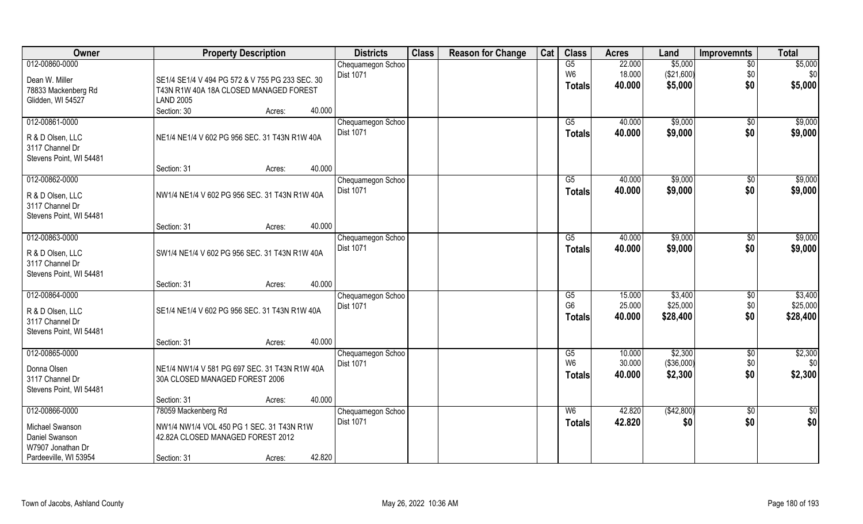| \$5,000<br>012-00860-0000<br>G5<br>22.000<br>Chequamegon Schoo<br>$\overline{50}$<br>W <sub>6</sub><br>18.000<br>(\$21,600)<br>Dist 1071<br>\$0<br>Dean W. Miller<br>SE1/4 SE1/4 V 494 PG 572 & V 755 PG 233 SEC. 30<br>\$0<br>\$5,000<br>40.000<br><b>Totals</b><br>T43N R1W 40A 18A CLOSED MANAGED FOREST<br>78833 Mackenberg Rd<br><b>LAND 2005</b><br>Glidden, WI 54527<br>Section: 30<br>40.000<br>Acres:<br>012-00861-0000<br>\$9,000<br>$\overline{G5}$<br>40.000<br>Chequamegon Schoo<br>$\sqrt{6}$<br><b>Dist 1071</b><br>40.000<br>\$9,000<br>\$0<br>Totals<br>NE1/4 NE1/4 V 602 PG 956 SEC. 31 T43N R1W 40A<br>R & D Olsen, LLC<br>3117 Channel Dr | <b>Total</b>    |
|---------------------------------------------------------------------------------------------------------------------------------------------------------------------------------------------------------------------------------------------------------------------------------------------------------------------------------------------------------------------------------------------------------------------------------------------------------------------------------------------------------------------------------------------------------------------------------------------------------------------------------------------------------------|-----------------|
|                                                                                                                                                                                                                                                                                                                                                                                                                                                                                                                                                                                                                                                               | \$5,000         |
|                                                                                                                                                                                                                                                                                                                                                                                                                                                                                                                                                                                                                                                               | \$0             |
|                                                                                                                                                                                                                                                                                                                                                                                                                                                                                                                                                                                                                                                               | \$5,000         |
|                                                                                                                                                                                                                                                                                                                                                                                                                                                                                                                                                                                                                                                               |                 |
|                                                                                                                                                                                                                                                                                                                                                                                                                                                                                                                                                                                                                                                               |                 |
|                                                                                                                                                                                                                                                                                                                                                                                                                                                                                                                                                                                                                                                               | \$9,000         |
|                                                                                                                                                                                                                                                                                                                                                                                                                                                                                                                                                                                                                                                               | \$9,000         |
|                                                                                                                                                                                                                                                                                                                                                                                                                                                                                                                                                                                                                                                               |                 |
|                                                                                                                                                                                                                                                                                                                                                                                                                                                                                                                                                                                                                                                               |                 |
| Stevens Point, WI 54481<br>40.000<br>Section: 31<br>Acres:                                                                                                                                                                                                                                                                                                                                                                                                                                                                                                                                                                                                    |                 |
| 012-00862-0000<br>G5<br>40.000<br>\$9,000<br>Chequamegon Schoo<br>\$0                                                                                                                                                                                                                                                                                                                                                                                                                                                                                                                                                                                         | \$9,000         |
| Dist 1071<br>\$0<br>\$9,000<br>40.000<br><b>Totals</b>                                                                                                                                                                                                                                                                                                                                                                                                                                                                                                                                                                                                        | \$9,000         |
| R & D Olsen, LLC<br>NW1/4 NE1/4 V 602 PG 956 SEC. 31 T43N R1W 40A                                                                                                                                                                                                                                                                                                                                                                                                                                                                                                                                                                                             |                 |
| 3117 Channel Dr                                                                                                                                                                                                                                                                                                                                                                                                                                                                                                                                                                                                                                               |                 |
| Stevens Point, WI 54481<br>40.000                                                                                                                                                                                                                                                                                                                                                                                                                                                                                                                                                                                                                             |                 |
| Section: 31<br>Acres:<br>012-00863-0000<br>40.000<br>\$9,000<br>G5                                                                                                                                                                                                                                                                                                                                                                                                                                                                                                                                                                                            | \$9,000         |
| Chequamegon Schoo<br>\$0<br><b>Dist 1071</b><br>\$0<br>40.000<br>\$9,000                                                                                                                                                                                                                                                                                                                                                                                                                                                                                                                                                                                      |                 |
| <b>Totals</b><br>SW1/4 NE1/4 V 602 PG 956 SEC. 31 T43N R1W 40A<br>R & D Olsen, LLC                                                                                                                                                                                                                                                                                                                                                                                                                                                                                                                                                                            | \$9,000         |
| 3117 Channel Dr                                                                                                                                                                                                                                                                                                                                                                                                                                                                                                                                                                                                                                               |                 |
| Stevens Point, WI 54481                                                                                                                                                                                                                                                                                                                                                                                                                                                                                                                                                                                                                                       |                 |
| 40.000<br>Section: 31<br>Acres:                                                                                                                                                                                                                                                                                                                                                                                                                                                                                                                                                                                                                               |                 |
| 012-00864-0000<br>$\overline{G5}$<br>15.000<br>\$3,400<br>\$0<br>Chequamegon Schoo                                                                                                                                                                                                                                                                                                                                                                                                                                                                                                                                                                            | \$3,400         |
| G <sub>6</sub><br>25.000<br>\$25,000<br>\$0<br><b>Dist 1071</b><br>R & D Olsen, LLC<br>SE1/4 NE1/4 V 602 PG 956 SEC. 31 T43N R1W 40A                                                                                                                                                                                                                                                                                                                                                                                                                                                                                                                          | \$25,000        |
| \$0<br>\$28,400<br>40.000<br>Totals<br>3117 Channel Dr                                                                                                                                                                                                                                                                                                                                                                                                                                                                                                                                                                                                        | \$28,400        |
| Stevens Point, WI 54481                                                                                                                                                                                                                                                                                                                                                                                                                                                                                                                                                                                                                                       |                 |
| 40.000<br>Section: 31<br>Acres:                                                                                                                                                                                                                                                                                                                                                                                                                                                                                                                                                                                                                               |                 |
| 012-00865-0000<br>\$2,300<br>10.000<br>Chequamegon Schoo<br>G5<br>\$0                                                                                                                                                                                                                                                                                                                                                                                                                                                                                                                                                                                         | \$2,300         |
| W <sub>6</sub><br>30.000<br>(\$36,000)<br>\$0<br>Dist 1071<br>Donna Olsen<br>NE1/4 NW1/4 V 581 PG 697 SEC. 31 T43N R1W 40A                                                                                                                                                                                                                                                                                                                                                                                                                                                                                                                                    | \$0             |
| \$0<br>\$2,300<br>40.000<br><b>Totals</b><br>3117 Channel Dr<br>30A CLOSED MANAGED FOREST 2006                                                                                                                                                                                                                                                                                                                                                                                                                                                                                                                                                                | \$2,300         |
| Stevens Point, WI 54481                                                                                                                                                                                                                                                                                                                                                                                                                                                                                                                                                                                                                                       |                 |
| 40.000<br>Section: 31<br>Acres:                                                                                                                                                                                                                                                                                                                                                                                                                                                                                                                                                                                                                               |                 |
| 012-00866-0000<br>78059 Mackenberg Rd<br>(\$42,800)<br>W6<br>42.820<br>$\sqrt{$0}$<br>Chequamegon Schoo                                                                                                                                                                                                                                                                                                                                                                                                                                                                                                                                                       | $\overline{50}$ |
| Dist 1071<br>\$0<br>42.820<br>\$0<br><b>Totals</b>                                                                                                                                                                                                                                                                                                                                                                                                                                                                                                                                                                                                            | \$0             |
| Michael Swanson<br>NW1/4 NW1/4 VOL 450 PG 1 SEC. 31 T43N R1W<br>Daniel Swanson<br>42.82A CLOSED MANAGED FOREST 2012                                                                                                                                                                                                                                                                                                                                                                                                                                                                                                                                           |                 |
| W7907 Jonathan Dr                                                                                                                                                                                                                                                                                                                                                                                                                                                                                                                                                                                                                                             |                 |
| 42.820<br>Pardeeville, WI 53954<br>Section: 31<br>Acres:                                                                                                                                                                                                                                                                                                                                                                                                                                                                                                                                                                                                      |                 |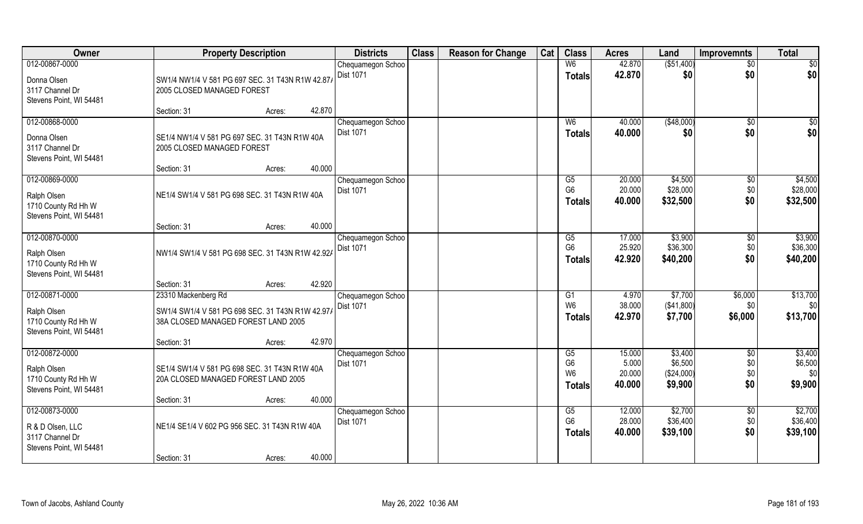| Owner                                                                            |                                                                                                                | <b>Property Description</b><br><b>Districts</b> |                                       |  | <b>Reason for Change</b> | Cat | <b>Class</b>                                            | <b>Acres</b>                        | Land                                        | <b>Improvemnts</b>                   | <b>Total</b>                         |
|----------------------------------------------------------------------------------|----------------------------------------------------------------------------------------------------------------|-------------------------------------------------|---------------------------------------|--|--------------------------|-----|---------------------------------------------------------|-------------------------------------|---------------------------------------------|--------------------------------------|--------------------------------------|
| 012-00867-0000<br>Donna Olsen<br>3117 Channel Dr<br>Stevens Point, WI 54481      | SW1/4 NW1/4 V 581 PG 697 SEC. 31 T43N R1W 42.87/<br>2005 CLOSED MANAGED FOREST                                 |                                                 | Chequamegon Schoo<br>Dist 1071        |  |                          |     | W <sub>6</sub><br><b>Totals</b>                         | 42.870<br>42.870                    | ( \$51,400)<br>\$0                          | $\sqrt{$0}$<br>\$0                   | $\sqrt{50}$<br> \$0                  |
|                                                                                  | Section: 31                                                                                                    | 42.870<br>Acres:                                |                                       |  |                          |     |                                                         |                                     |                                             |                                      |                                      |
| 012-00868-0000<br>Donna Olsen<br>3117 Channel Dr<br>Stevens Point, WI 54481      | SE1/4 NW1/4 V 581 PG 697 SEC. 31 T43N R1W 40A<br>2005 CLOSED MANAGED FOREST                                    |                                                 | Chequamegon Schoo<br>Dist 1071        |  |                          |     | W <sub>6</sub><br>Totals                                | 40.000<br>40.000                    | (\$48,000)<br>\$0                           | \$0<br>\$0                           | $\sqrt{50}$<br>\$0                   |
| 012-00869-0000                                                                   | Section: 31                                                                                                    | 40.000<br>Acres:                                | Chequamegon Schoo                     |  |                          |     | G5                                                      | 20.000                              | \$4,500                                     | \$0                                  | \$4,500                              |
| Ralph Olsen<br>1710 County Rd Hh W<br>Stevens Point, WI 54481                    | NE1/4 SW1/4 V 581 PG 698 SEC. 31 T43N R1W 40A                                                                  |                                                 | Dist 1071                             |  |                          |     | G <sub>6</sub><br><b>Totals</b>                         | 20.000<br>40.000                    | \$28,000<br>\$32,500                        | \$0<br>\$0                           | \$28,000<br>\$32,500                 |
|                                                                                  | Section: 31                                                                                                    | 40.000<br>Acres:                                |                                       |  |                          |     |                                                         |                                     |                                             |                                      |                                      |
| 012-00870-0000<br>Ralph Olsen<br>1710 County Rd Hh W<br>Stevens Point, WI 54481  | NW1/4 SW1/4 V 581 PG 698 SEC. 31 T43N R1W 42.92/                                                               |                                                 | Chequamegon Schoo<br>Dist 1071        |  |                          |     | G5<br>G <sub>6</sub><br><b>Totals</b>                   | 17.000<br>25.920<br>42.920          | \$3,900<br>\$36,300<br>\$40,200             | $\sqrt[6]{3}$<br>\$0<br>\$0          | \$3,900<br>\$36,300<br>\$40,200      |
|                                                                                  | Section: 31                                                                                                    | 42.920<br>Acres:                                |                                       |  |                          |     |                                                         |                                     |                                             |                                      |                                      |
| 012-00871-0000<br>Ralph Olsen<br>1710 County Rd Hh W                             | 23310 Mackenberg Rd<br>SW1/4 SW1/4 V 581 PG 698 SEC. 31 T43N R1W 42.97/<br>38A CLOSED MANAGED FOREST LAND 2005 |                                                 | Chequamegon Schoo<br>Dist 1071        |  |                          |     | G1<br>W <sub>6</sub><br><b>Totals</b>                   | 4.970<br>38.000<br>42.970           | \$7,700<br>(\$41,800)<br>\$7,700            | \$6,000<br>\$0<br>\$6,000            | \$13,700<br>\$0<br>\$13,700          |
| Stevens Point, WI 54481                                                          | Section: 31                                                                                                    | 42.970<br>Acres:                                |                                       |  |                          |     |                                                         |                                     |                                             |                                      |                                      |
| 012-00872-0000<br>Ralph Olsen<br>1710 County Rd Hh W<br>Stevens Point, WI 54481  | SE1/4 SW1/4 V 581 PG 698 SEC. 31 T43N R1W 40A<br>20A CLOSED MANAGED FOREST LAND 2005                           |                                                 | Chequamegon Schoo<br><b>Dist 1071</b> |  |                          |     | G5<br>G <sub>6</sub><br>W <sub>6</sub><br><b>Totals</b> | 15.000<br>5.000<br>20.000<br>40.000 | \$3,400<br>\$6,500<br>(\$24,000)<br>\$9,900 | $\overline{50}$<br>\$0<br>\$0<br>\$0 | \$3,400<br>\$6,500<br>\$0<br>\$9,900 |
|                                                                                  | Section: 31                                                                                                    | 40.000<br>Acres:                                |                                       |  |                          |     |                                                         |                                     |                                             |                                      |                                      |
| 012-00873-0000<br>R & D Olsen, LLC<br>3117 Channel Dr<br>Stevens Point, WI 54481 | NE1/4 SE1/4 V 602 PG 956 SEC. 31 T43N R1W 40A                                                                  |                                                 | Chequamegon Schoo<br>Dist 1071        |  |                          |     | G5<br>G <sub>6</sub><br>Totals                          | 12.000<br>28.000<br>40.000          | \$2,700<br>\$36,400<br>\$39,100             | $\sqrt{$0}$<br>\$0<br>\$0            | \$2,700<br>\$36,400<br>\$39,100      |
|                                                                                  | Section: 31                                                                                                    | 40.000<br>Acres:                                |                                       |  |                          |     |                                                         |                                     |                                             |                                      |                                      |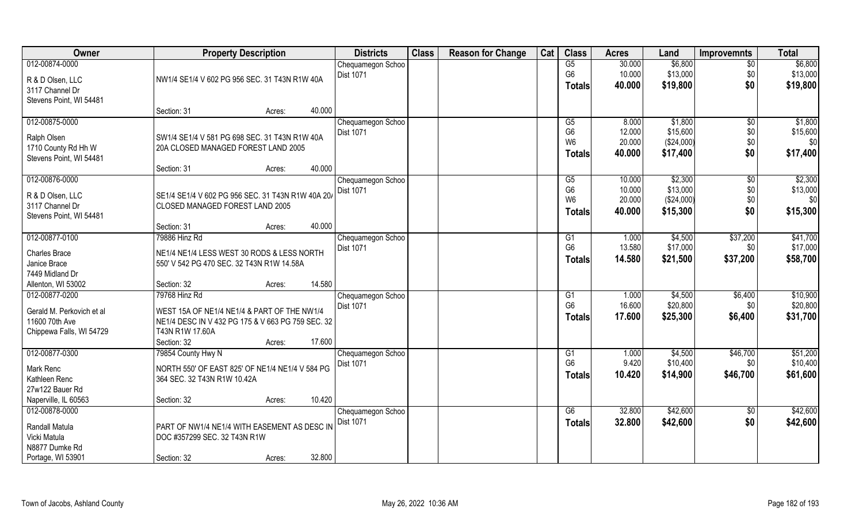| Owner                     | <b>Property Description</b>                       | <b>Districts</b>  | <b>Class</b> | <b>Reason for Change</b> | Cat | <b>Class</b>   | <b>Acres</b> | Land       | <b>Improvemnts</b> | <b>Total</b> |
|---------------------------|---------------------------------------------------|-------------------|--------------|--------------------------|-----|----------------|--------------|------------|--------------------|--------------|
| 012-00874-0000            |                                                   | Chequamegon Schoo |              |                          |     | G5             | 30.000       | \$6,800    | \$0                | \$6,800      |
| R & D Olsen, LLC          | NW1/4 SE1/4 V 602 PG 956 SEC. 31 T43N R1W 40A     | Dist 1071         |              |                          |     | G <sub>6</sub> | 10.000       | \$13,000   | \$0                | \$13,000     |
| 3117 Channel Dr           |                                                   |                   |              |                          |     | <b>Totals</b>  | 40.000       | \$19,800   | \$0                | \$19,800     |
| Stevens Point, WI 54481   |                                                   |                   |              |                          |     |                |              |            |                    |              |
|                           | 40.000<br>Section: 31<br>Acres:                   |                   |              |                          |     |                |              |            |                    |              |
| 012-00875-0000            |                                                   | Chequamegon Schoo |              |                          |     | G5             | 8.000        | \$1,800    | $\overline{50}$    | \$1,800      |
| Ralph Olsen               | SW1/4 SE1/4 V 581 PG 698 SEC. 31 T43N R1W 40A     | <b>Dist 1071</b>  |              |                          |     | G <sub>6</sub> | 12.000       | \$15,600   | \$0                | \$15,600     |
| 1710 County Rd Hh W       | 20A CLOSED MANAGED FOREST LAND 2005               |                   |              |                          |     | W <sub>6</sub> | 20.000       | (\$24,000) | \$0                | \$0          |
| Stevens Point, WI 54481   |                                                   |                   |              |                          |     | <b>Totals</b>  | 40.000       | \$17,400   | \$0                | \$17,400     |
|                           | 40.000<br>Section: 31<br>Acres:                   |                   |              |                          |     |                |              |            |                    |              |
| 012-00876-0000            |                                                   | Chequamegon Schoo |              |                          |     | G5             | 10.000       | \$2,300    | \$0                | \$2,300      |
| R & D Olsen, LLC          | SE1/4 SE1/4 V 602 PG 956 SEC. 31 T43N R1W 40A 20/ | <b>Dist 1071</b>  |              |                          |     | G <sub>6</sub> | 10.000       | \$13,000   | \$0                | \$13,000     |
| 3117 Channel Dr           | CLOSED MANAGED FOREST LAND 2005                   |                   |              |                          |     | W <sub>6</sub> | 20.000       | (\$24,000) | \$0                | \$0          |
| Stevens Point, WI 54481   |                                                   |                   |              |                          |     | Totals         | 40.000       | \$15,300   | \$0                | \$15,300     |
|                           | 40.000<br>Section: 31<br>Acres:                   |                   |              |                          |     |                |              |            |                    |              |
| 012-00877-0100            | 79886 Hinz Rd                                     | Chequamegon Schoo |              |                          |     | G <sub>1</sub> | 1.000        | \$4,500    | \$37,200           | \$41,700     |
| <b>Charles Brace</b>      | NE1/4 NE1/4 LESS WEST 30 RODS & LESS NORTH        | Dist 1071         |              |                          |     | G <sub>6</sub> | 13.580       | \$17,000   | \$0                | \$17,000     |
| Janice Brace              | 550' V 542 PG 470 SEC. 32 T43N R1W 14.58A         |                   |              |                          |     | <b>Totals</b>  | 14.580       | \$21,500   | \$37,200           | \$58,700     |
| 7449 Midland Dr           |                                                   |                   |              |                          |     |                |              |            |                    |              |
| Allenton, WI 53002        | 14.580<br>Section: 32<br>Acres:                   |                   |              |                          |     |                |              |            |                    |              |
| 012-00877-0200            | 79768 Hinz Rd                                     | Chequamegon Schoo |              |                          |     | G1             | 1.000        | \$4,500    | \$6,400            | \$10,900     |
| Gerald M. Perkovich et al | WEST 15A OF NE1/4 NE1/4 & PART OF THE NW1/4       | Dist 1071         |              |                          |     | G <sub>6</sub> | 16.600       | \$20,800   | \$0                | \$20,800     |
| 11600 70th Ave            | NE1/4 DESC IN V 432 PG 175 & V 663 PG 759 SEC. 32 |                   |              |                          |     | Totals         | 17.600       | \$25,300   | \$6,400            | \$31,700     |
| Chippewa Falls, WI 54729  | T43N R1W 17,60A                                   |                   |              |                          |     |                |              |            |                    |              |
|                           | 17.600<br>Section: 32<br>Acres:                   |                   |              |                          |     |                |              |            |                    |              |
| 012-00877-0300            | 79854 County Hwy N                                | Chequamegon Schoo |              |                          |     | G <sub>1</sub> | 1.000        | \$4,500    | \$46,700           | \$51,200     |
| Mark Renc                 | NORTH 550' OF EAST 825' OF NE1/4 NE1/4 V 584 PG   | Dist 1071         |              |                          |     | G <sub>6</sub> | 9.420        | \$10,400   | \$0                | \$10,400     |
| Kathleen Renc             | 364 SEC. 32 T43N R1W 10.42A                       |                   |              |                          |     | <b>Totals</b>  | 10.420       | \$14,900   | \$46,700           | \$61,600     |
| 27w122 Bauer Rd           |                                                   |                   |              |                          |     |                |              |            |                    |              |
| Naperville, IL 60563      | 10.420<br>Section: 32<br>Acres:                   |                   |              |                          |     |                |              |            |                    |              |
| 012-00878-0000            |                                                   | Chequamegon Schoo |              |                          |     | G6             | 32.800       | \$42,600   | $\overline{50}$    | \$42,600     |
| Randall Matula            | PART OF NW1/4 NE1/4 WITH EASEMENT AS DESC IN      | Dist 1071         |              |                          |     | <b>Totals</b>  | 32.800       | \$42,600   | \$0                | \$42,600     |
| Vicki Matula              | DOC #357299 SEC. 32 T43N R1W                      |                   |              |                          |     |                |              |            |                    |              |
| N8877 Dumke Rd            |                                                   |                   |              |                          |     |                |              |            |                    |              |
| Portage, WI 53901         | 32.800<br>Section: 32<br>Acres:                   |                   |              |                          |     |                |              |            |                    |              |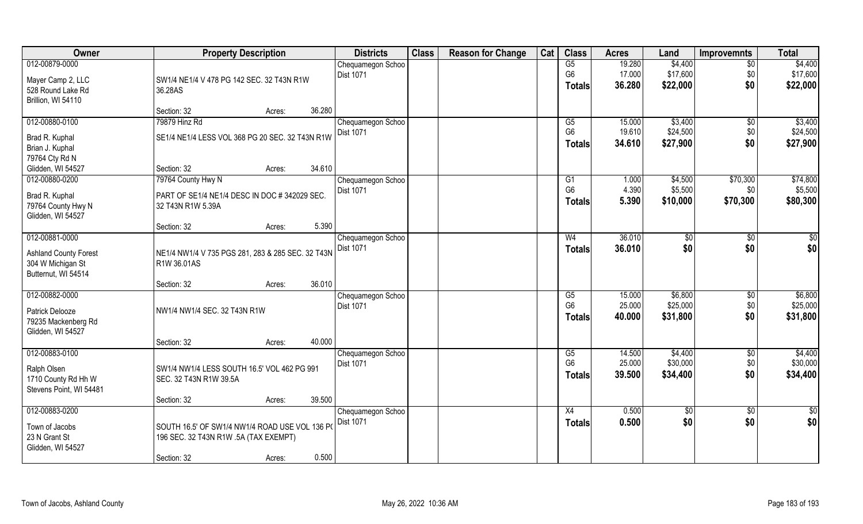| Owner                        |                                                   | <b>Property Description</b>                    |        |                                       | <b>Class</b> | <b>Reason for Change</b> | Cat | <b>Class</b>    | <b>Acres</b> | Land            | <b>Improvemnts</b> | <b>Total</b>    |
|------------------------------|---------------------------------------------------|------------------------------------------------|--------|---------------------------------------|--------------|--------------------------|-----|-----------------|--------------|-----------------|--------------------|-----------------|
| 012-00879-0000               |                                                   |                                                |        | Chequamegon Schoo                     |              |                          |     | G5              | 19.280       | \$4,400         | $\overline{50}$    | \$4,400         |
| Mayer Camp 2, LLC            | SW1/4 NE1/4 V 478 PG 142 SEC. 32 T43N R1W         |                                                |        | <b>Dist 1071</b>                      |              |                          |     | G <sub>6</sub>  | 17.000       | \$17,600        | \$0                | \$17,600        |
| 528 Round Lake Rd            | 36.28AS                                           |                                                |        |                                       |              |                          |     | <b>Totals</b>   | 36.280       | \$22,000        | \$0                | \$22,000        |
| Brillion, WI 54110           |                                                   |                                                |        |                                       |              |                          |     |                 |              |                 |                    |                 |
|                              | Section: 32                                       | Acres:                                         | 36.280 |                                       |              |                          |     |                 |              |                 |                    |                 |
| 012-00880-0100               | 79879 Hinz Rd                                     |                                                |        | Chequamegon Schoo                     |              |                          |     | G5              | 15.000       | \$3,400         | $\sqrt{6}$         | \$3,400         |
| Brad R. Kuphal               | SE1/4 NE1/4 LESS VOL 368 PG 20 SEC. 32 T43N R1W   |                                                |        | <b>Dist 1071</b>                      |              |                          |     | G <sub>6</sub>  | 19.610       | \$24,500        | \$0                | \$24,500        |
| Brian J. Kuphal              |                                                   |                                                |        |                                       |              |                          |     | <b>Totals</b>   | 34.610       | \$27,900        | \$0                | \$27,900        |
| 79764 Cty Rd N               |                                                   |                                                |        |                                       |              |                          |     |                 |              |                 |                    |                 |
| Glidden, WI 54527            | Section: 32                                       | Acres:                                         | 34.610 |                                       |              |                          |     |                 |              |                 |                    |                 |
| 012-00880-0200               | 79764 County Hwy N                                |                                                |        | Chequamegon Schoo                     |              |                          |     | G <sub>1</sub>  | 1.000        | \$4,500         | \$70,300           | \$74,800        |
| Brad R. Kuphal               | PART OF SE1/4 NE1/4 DESC IN DOC # 342029 SEC.     |                                                |        | Dist 1071                             |              |                          |     | G <sub>6</sub>  | 4.390        | \$5,500         | \$0\$              | \$5,500         |
| 79764 County Hwy N           | 32 T43N R1W 5.39A                                 |                                                |        |                                       |              |                          |     | <b>Totals</b>   | 5.390        | \$10,000        | \$70,300           | \$80,300        |
| Glidden, WI 54527            |                                                   |                                                |        |                                       |              |                          |     |                 |              |                 |                    |                 |
|                              | Section: 32                                       | Acres:                                         | 5.390  |                                       |              |                          |     |                 |              |                 |                    |                 |
| 012-00881-0000               |                                                   |                                                |        | Chequamegon Schoo                     |              |                          |     | W <sub>4</sub>  | 36.010       | \$0             | \$0                | \$              |
| <b>Ashland County Forest</b> | NE1/4 NW1/4 V 735 PGS 281, 283 & 285 SEC. 32 T43N |                                                |        | Dist 1071                             |              |                          |     | <b>Totals</b>   | 36.010       | \$0             | \$0                | \$0             |
| 304 W Michigan St            | R1W 36.01AS                                       |                                                |        |                                       |              |                          |     |                 |              |                 |                    |                 |
| Butternut, WI 54514          |                                                   |                                                |        |                                       |              |                          |     |                 |              |                 |                    |                 |
|                              | Section: 32                                       | Acres:                                         | 36.010 |                                       |              |                          |     |                 |              |                 |                    |                 |
| 012-00882-0000               |                                                   |                                                |        | Chequamegon Schoo                     |              |                          |     | $\overline{G5}$ | 15.000       | \$6,800         | \$0                | \$6,800         |
| Patrick Delooze              | NW1/4 NW1/4 SEC. 32 T43N R1W                      |                                                |        | <b>Dist 1071</b>                      |              |                          |     | G <sub>6</sub>  | 25.000       | \$25,000        | \$0                | \$25,000        |
| 79235 Mackenberg Rd          |                                                   |                                                |        |                                       |              |                          |     | Totals          | 40.000       | \$31,800        | \$0                | \$31,800        |
| Glidden, WI 54527            |                                                   |                                                |        |                                       |              |                          |     |                 |              |                 |                    |                 |
|                              | Section: 32                                       | Acres:                                         | 40.000 |                                       |              |                          |     |                 |              |                 |                    |                 |
| 012-00883-0100               |                                                   |                                                |        | Chequamegon Schoo                     |              |                          |     | G5              | 14.500       | \$4,400         | \$0                | \$4,400         |
| Ralph Olsen                  | SW1/4 NW1/4 LESS SOUTH 16.5' VOL 462 PG 991       |                                                |        | Dist 1071                             |              |                          |     | G <sub>6</sub>  | 25.000       | \$30,000        | \$0                | \$30,000        |
| 1710 County Rd Hh W          | SEC. 32 T43N R1W 39.5A                            |                                                |        |                                       |              |                          |     | <b>Totals</b>   | 39.500       | \$34,400        | \$0                | \$34,400        |
| Stevens Point, WI 54481      |                                                   |                                                |        |                                       |              |                          |     |                 |              |                 |                    |                 |
|                              | Section: 32                                       | Acres:                                         | 39.500 |                                       |              |                          |     |                 |              |                 |                    |                 |
| 012-00883-0200               |                                                   |                                                |        | Chequamegon Schoo<br><b>Dist 1071</b> |              |                          |     | X4              | 0.500        | $\overline{50}$ | $\sqrt{$0}$        | $\overline{50}$ |
| Town of Jacobs               |                                                   | SOUTH 16.5' OF SW1/4 NW1/4 ROAD USE VOL 136 PO |        |                                       |              |                          |     | <b>Totals</b>   | 0.500        | \$0             | \$0                | \$0             |
| 23 N Grant St                |                                                   | 196 SEC. 32 T43N R1W .5A (TAX EXEMPT)          |        |                                       |              |                          |     |                 |              |                 |                    |                 |
| Glidden, WI 54527            |                                                   |                                                |        |                                       |              |                          |     |                 |              |                 |                    |                 |
|                              | Section: 32                                       | Acres:                                         | 0.500  |                                       |              |                          |     |                 |              |                 |                    |                 |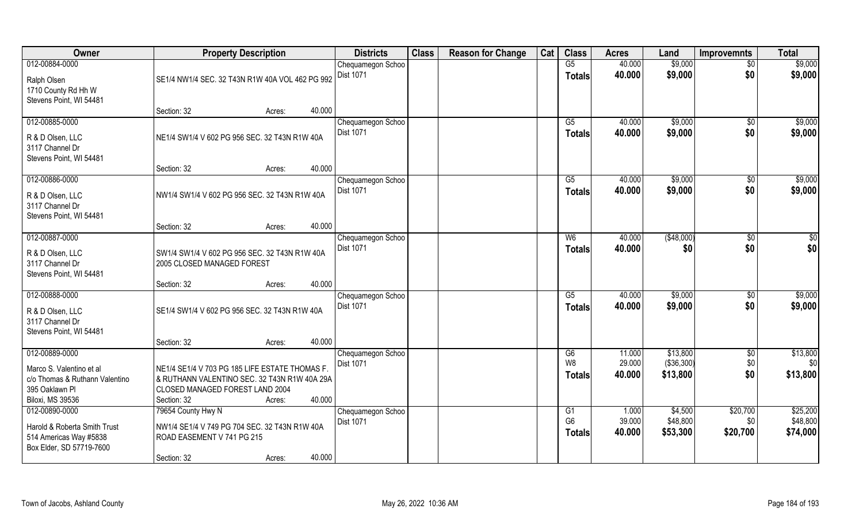| Owner                                                                              | <b>Property Description</b>                                                 |                  |        | <b>Districts</b>                      | <b>Class</b> | <b>Reason for Change</b>        | Cat              | <b>Class</b>              | <b>Acres</b>     | Land                 | <b>Improvemnts</b> | <b>Total</b>       |
|------------------------------------------------------------------------------------|-----------------------------------------------------------------------------|------------------|--------|---------------------------------------|--------------|---------------------------------|------------------|---------------------------|------------------|----------------------|--------------------|--------------------|
| 012-00884-0000<br>Ralph Olsen                                                      | SE1/4 NW1/4 SEC. 32 T43N R1W 40A VOL 462 PG 992                             |                  |        | Chequamegon Schoo<br><b>Dist 1071</b> |              |                                 |                  | G5<br><b>Totals</b>       | 40.000<br>40.000 | \$9,000<br>\$9,000   | $\sqrt{$0}$<br>\$0 | \$9,000<br>\$9,000 |
| 1710 County Rd Hh W<br>Stevens Point, WI 54481                                     | Section: 32                                                                 | Acres:           | 40.000 |                                       |              |                                 |                  |                           |                  |                      |                    |                    |
| 012-00885-0000                                                                     |                                                                             |                  |        | Chequamegon Schoo<br><b>Dist 1071</b> |              |                                 |                  | $\overline{G5}$<br>Totals | 40.000<br>40.000 | \$9,000<br>\$9,000   | \$0<br>\$0         | \$9,000<br>\$9,000 |
| R & D Olsen, LLC<br>3117 Channel Dr<br>Stevens Point, WI 54481                     | NE1/4 SW1/4 V 602 PG 956 SEC. 32 T43N R1W 40A                               |                  |        |                                       |              |                                 |                  |                           |                  |                      |                    |                    |
|                                                                                    | Section: 32                                                                 | Acres:           | 40.000 |                                       |              |                                 |                  |                           |                  |                      |                    |                    |
| 012-00886-0000                                                                     |                                                                             |                  |        | Chequamegon Schoo                     |              |                                 |                  | G5                        | 40.000           | \$9,000              | \$0                | \$9,000            |
| R & D Olsen, LLC<br>3117 Channel Dr<br>Stevens Point, WI 54481                     | NW1/4 SW1/4 V 602 PG 956 SEC. 32 T43N R1W 40A                               |                  |        | Dist 1071                             |              |                                 |                  | <b>Totals</b>             | 40.000           | \$9,000              | \$0                | \$9,000            |
|                                                                                    | Section: 32                                                                 | Acres:           | 40.000 |                                       |              |                                 |                  |                           |                  |                      |                    |                    |
| 012-00887-0000                                                                     |                                                                             |                  |        | Chequamegon Schoo                     |              |                                 |                  | W <sub>6</sub>            | 40.000           | ( \$48,000)          | \$0                | \$0                |
| R & D Olsen, LLC<br>3117 Channel Dr<br>Stevens Point, WI 54481                     | SW1/4 SW1/4 V 602 PG 956 SEC. 32 T43N R1W 40A<br>2005 CLOSED MANAGED FOREST |                  |        | <b>Dist 1071</b>                      |              |                                 |                  | <b>Totals</b>             | 40.000           | \$0                  | \$0                | \$0                |
|                                                                                    | Section: 32                                                                 | Acres:           | 40.000 |                                       |              |                                 |                  |                           |                  |                      |                    |                    |
| 012-00888-0000<br>R & D Olsen, LLC<br>3117 Channel Dr                              | SE1/4 SW1/4 V 602 PG 956 SEC. 32 T43N R1W 40A                               |                  |        | Chequamegon Schoo<br><b>Dist 1071</b> |              |                                 |                  | $\overline{G5}$<br>Totals | 40.000<br>40.000 | \$9,000<br>\$9,000   | \$0<br>\$0         | \$9,000<br>\$9,000 |
| Stevens Point, WI 54481                                                            |                                                                             |                  |        |                                       |              |                                 |                  |                           |                  |                      |                    |                    |
|                                                                                    | Section: 32                                                                 | Acres:           | 40.000 |                                       |              |                                 |                  |                           |                  |                      |                    |                    |
| 012-00889-0000                                                                     |                                                                             |                  |        | Chequamegon Schoo                     |              |                                 |                  | G6                        | 11.000           | \$13,800             | $\sqrt{$0}$        | \$13,800           |
| Marco S. Valentino et al                                                           | NE1/4 SE1/4 V 703 PG 185 LIFE ESTATE THOMAS F.                              |                  |        | <b>Dist 1071</b>                      |              |                                 |                  | W <sub>8</sub>            | 29.000           | (\$36,300)           | \$0                | \$0                |
| c/o Thomas & Ruthann Valentino                                                     | & RUTHANN VALENTINO SEC. 32 T43N R1W 40A 29A                                |                  |        |                                       |              |                                 |                  | <b>Totals</b>             | 40.000           | \$13,800             | \$0                | \$13,800           |
| 395 Oaklawn Pl                                                                     | CLOSED MANAGED FOREST LAND 2004                                             |                  |        |                                       |              |                                 |                  |                           |                  |                      |                    |                    |
| <b>Biloxi, MS 39536</b>                                                            | Section: 32                                                                 | Acres:           | 40.000 |                                       |              |                                 |                  |                           |                  |                      |                    |                    |
| 012-00890-0000                                                                     | 79654 County Hwy N                                                          |                  |        | Chequamegon Schoo                     |              |                                 |                  | G1                        | 1.000            | \$4,500              | \$20,700           | \$25,200           |
| Harold & Roberta Smith Trust<br>514 Americas Way #5838<br>Box Elder, SD 57719-7600 | NW1/4 SE1/4 V 749 PG 704 SEC. 32 T43N R1W 40A<br>ROAD EASEMENT V 741 PG 215 | <b>Dist 1071</b> |        |                                       |              | G <sub>6</sub><br><b>Totals</b> | 39.000<br>40.000 | \$48,800<br>\$53,300      | \$0<br>\$20,700  | \$48,800<br>\$74,000 |                    |                    |
|                                                                                    | Section: 32                                                                 | Acres:           | 40.000 |                                       |              |                                 |                  |                           |                  |                      |                    |                    |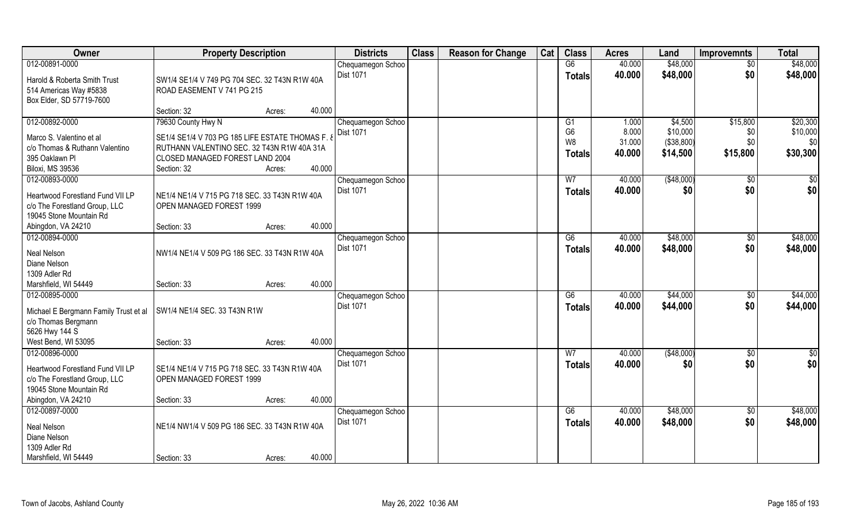| Owner                                 | <b>Property Description</b>                      | <b>Districts</b> | <b>Class</b>      | <b>Reason for Change</b> | Cat | <b>Class</b> | <b>Acres</b>    | Land   | <b>Improvemnts</b> | <b>Total</b>    |               |
|---------------------------------------|--------------------------------------------------|------------------|-------------------|--------------------------|-----|--------------|-----------------|--------|--------------------|-----------------|---------------|
| 012-00891-0000                        |                                                  |                  | Chequamegon Schoo |                          |     |              | G6              | 40.000 | \$48,000           | $\overline{50}$ | \$48,000      |
| Harold & Roberta Smith Trust          | SW1/4 SE1/4 V 749 PG 704 SEC. 32 T43N R1W 40A    |                  | <b>Dist 1071</b>  |                          |     |              | <b>Totals</b>   | 40.000 | \$48,000           | \$0             | \$48,000      |
| 514 Americas Way #5838                | ROAD EASEMENT V 741 PG 215                       |                  |                   |                          |     |              |                 |        |                    |                 |               |
| Box Elder, SD 57719-7600              |                                                  |                  |                   |                          |     |              |                 |        |                    |                 |               |
|                                       | Section: 32                                      | 40.000<br>Acres: |                   |                          |     |              |                 |        |                    |                 |               |
| 012-00892-0000                        | 79630 County Hwy N                               |                  | Chequamegon Schoo |                          |     |              | G <sub>1</sub>  | 1.000  | \$4,500            | \$15,800        | \$20,300      |
| Marco S. Valentino et al              | SE1/4 SE1/4 V 703 PG 185 LIFE ESTATE THOMAS F. 8 |                  | <b>Dist 1071</b>  |                          |     |              | G <sub>6</sub>  | 8.000  | \$10,000           | \$0             | \$10,000      |
| c/o Thomas & Ruthann Valentino        | RUTHANN VALENTINO SEC. 32 T43N R1W 40A 31A       |                  |                   |                          |     |              | W <sub>8</sub>  | 31.000 | ( \$38, 800)       | \$0             | \$0           |
| 395 Oaklawn Pl                        | CLOSED MANAGED FOREST LAND 2004                  |                  |                   |                          |     |              | <b>Totals</b>   | 40.000 | \$14,500           | \$15,800        | \$30,300      |
| <b>Biloxi, MS 39536</b>               | Section: 32                                      | 40.000<br>Acres: |                   |                          |     |              |                 |        |                    |                 |               |
| 012-00893-0000                        |                                                  |                  | Chequamegon Schoo |                          |     |              | W <sub>7</sub>  | 40.000 | ( \$48,000)        | $\sqrt[6]{30}$  | \$0           |
| Heartwood Forestland Fund VII LP      | NE1/4 NE1/4 V 715 PG 718 SEC. 33 T43N R1W 40A    |                  | <b>Dist 1071</b>  |                          |     |              | <b>Totals</b>   | 40.000 | \$0                | \$0             | \$0           |
| c/o The Forestland Group, LLC         | OPEN MANAGED FOREST 1999                         |                  |                   |                          |     |              |                 |        |                    |                 |               |
| 19045 Stone Mountain Rd               |                                                  |                  |                   |                          |     |              |                 |        |                    |                 |               |
| Abingdon, VA 24210                    | Section: 33                                      | 40.000<br>Acres: |                   |                          |     |              |                 |        |                    |                 |               |
| 012-00894-0000                        |                                                  |                  | Chequamegon Schoo |                          |     |              | G6              | 40.000 | \$48,000           | \$0             | \$48,000      |
| Neal Nelson                           | NW1/4 NE1/4 V 509 PG 186 SEC. 33 T43N R1W 40A    |                  | <b>Dist 1071</b>  |                          |     |              | <b>Totals</b>   | 40.000 | \$48,000           | \$0             | \$48,000      |
| Diane Nelson                          |                                                  |                  |                   |                          |     |              |                 |        |                    |                 |               |
| 1309 Adler Rd                         |                                                  |                  |                   |                          |     |              |                 |        |                    |                 |               |
| Marshfield, WI 54449                  | Section: 33                                      | 40.000<br>Acres: |                   |                          |     |              |                 |        |                    |                 |               |
| 012-00895-0000                        |                                                  |                  | Chequamegon Schoo |                          |     |              | $\overline{G6}$ | 40.000 | \$44,000           | $\sqrt[6]{30}$  | \$44,000      |
| Michael E Bergmann Family Trust et al | SW1/4 NE1/4 SEC. 33 T43N R1W                     |                  | Dist 1071         |                          |     |              | <b>Totals</b>   | 40.000 | \$44,000           | \$0             | \$44,000      |
| c/o Thomas Bergmann                   |                                                  |                  |                   |                          |     |              |                 |        |                    |                 |               |
| 5626 Hwy 144 S                        |                                                  |                  |                   |                          |     |              |                 |        |                    |                 |               |
| West Bend, WI 53095                   | Section: 33                                      | 40.000<br>Acres: |                   |                          |     |              |                 |        |                    |                 |               |
| 012-00896-0000                        |                                                  |                  | Chequamegon Schoo |                          |     |              | W <sub>7</sub>  | 40.000 | (\$48,000)         | \$0             | $\frac{6}{3}$ |
| Heartwood Forestland Fund VII LP      | SE1/4 NE1/4 V 715 PG 718 SEC. 33 T43N R1W 40A    |                  | <b>Dist 1071</b>  |                          |     |              | <b>Totals</b>   | 40.000 | \$0                | \$0             | \$0           |
| c/o The Forestland Group, LLC         | OPEN MANAGED FOREST 1999                         |                  |                   |                          |     |              |                 |        |                    |                 |               |
| 19045 Stone Mountain Rd               |                                                  |                  |                   |                          |     |              |                 |        |                    |                 |               |
| Abingdon, VA 24210                    | Section: 33                                      | 40.000<br>Acres: |                   |                          |     |              |                 |        |                    |                 |               |
| 012-00897-0000                        |                                                  |                  | Chequamegon Schoo |                          |     |              | G6              | 40.000 | \$48,000           | $\overline{50}$ | \$48,000      |
|                                       |                                                  |                  | Dist 1071         |                          |     |              | <b>Totals</b>   | 40.000 | \$48,000           | \$0             | \$48,000      |
| Neal Nelson<br>Diane Nelson           | NE1/4 NW1/4 V 509 PG 186 SEC. 33 T43N R1W 40A    |                  |                   |                          |     |              |                 |        |                    |                 |               |
| 1309 Adler Rd                         |                                                  |                  |                   |                          |     |              |                 |        |                    |                 |               |
| Marshfield, WI 54449                  | Section: 33                                      | 40.000<br>Acres: |                   |                          |     |              |                 |        |                    |                 |               |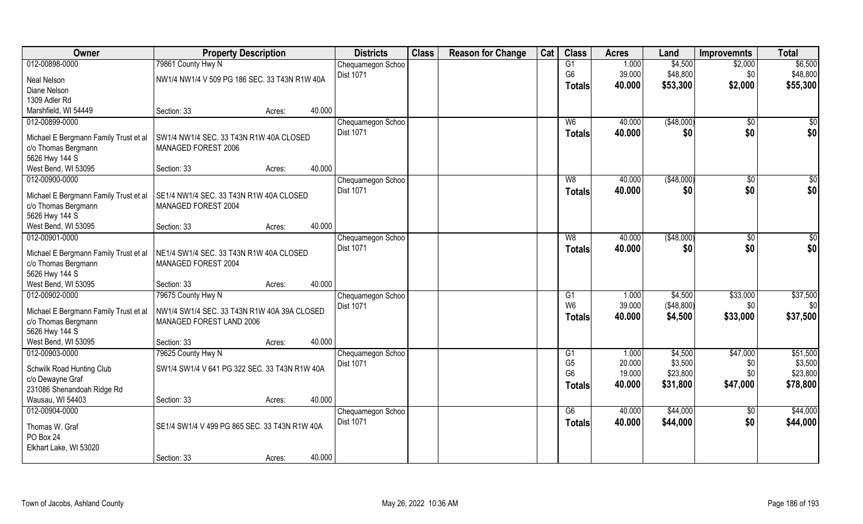| \$6,500<br>012-00898-0000<br>79861 County Hwy N<br>G1<br>1.000<br>\$4,500<br>\$2,000<br>Chequamegon Schoo<br>G <sub>6</sub><br>39.000<br>\$48,800<br><b>Dist 1071</b><br>\$48,800<br>\$0<br>NW1/4 NW1/4 V 509 PG 186 SEC. 33 T43N R1W 40A<br>Neal Nelson<br>40.000<br>\$53,300<br>\$2,000<br>\$55,300<br>Totals<br>Diane Nelson<br>1309 Adler Rd<br>Marshfield, WI 54449<br>40.000<br>Section: 33<br>Acres:<br>012-00899-0000<br>40.000<br>( \$48,000)<br>\$0<br>Chequamegon Schoo<br>W <sub>6</sub><br><b>Dist 1071</b><br>40.000<br>\$0<br>\$0<br>Totals<br>SW1/4 NW1/4 SEC, 33 T43N R1W 40A CLOSED<br>Michael E Bergmann Family Trust et al<br>c/o Thomas Bergmann<br>MANAGED FOREST 2006<br>5626 Hwy 144 S<br>40.000<br>West Bend, WI 53095<br>Section: 33<br>Acres:<br>012-00900-0000<br>W8<br>40.000<br>(\$48,000)<br>$\sqrt{6}$<br>Chequamegon Schoo<br>\$0<br>Dist 1071<br>40.000<br>\$0<br><b>Totals</b><br>SE1/4 NW1/4 SEC. 33 T43N R1W 40A CLOSED<br>Michael E Bergmann Family Trust et al<br>MANAGED FOREST 2004<br>c/o Thomas Bergmann<br>5626 Hwy 144 S<br>40.000<br>West Bend, WI 53095<br>Section: 33<br>Acres:<br>012-00901-0000<br>40.000<br>( \$48,000)<br>Chequamegon Schoo<br>W8<br>\$0<br><b>Dist 1071</b><br>\$0<br>40.000<br>\$0<br><b>Totals</b><br>Michael E Bergmann Family Trust et al<br>NE1/4 SW1/4 SEC. 33 T43N R1W 40A CLOSED<br>c/o Thomas Bergmann<br>MANAGED FOREST 2004<br>5626 Hwy 144 S<br>40.000<br>West Bend, WI 53095<br>Section: 33<br>Acres:<br>012-00902-0000<br>79675 County Hwy N<br>1.000<br>\$4,500<br>\$33,000<br>Chequamegon Schoo<br>G1<br>W <sub>6</sub><br>39.000<br>(\$48,800)<br>\$0<br><b>Dist 1071</b><br>NW1/4 SW1/4 SEC. 33 T43N R1W 40A 39A CLOSED<br>Michael E Bergmann Family Trust et al<br>\$33,000<br>40.000<br>\$4,500<br>Totals<br>c/o Thomas Bergmann<br>MANAGED FOREST LAND 2006<br>5626 Hwy 144 S<br>West Bend, WI 53095<br>40.000<br>Section: 33<br>Acres:<br>012-00903-0000<br>\$47,000<br>79625 County Hwy N<br>1.000<br>\$4,500<br>Chequamegon Schoo<br>G1<br>20.000<br>\$3,500<br>G <sub>5</sub><br>\$0<br>Dist 1071<br>SW1/4 SW1/4 V 641 PG 322 SEC. 33 T43N R1W 40A<br>Schwilk Road Hunting Club<br>G <sub>6</sub><br>19.000<br>\$23,800<br>\$0<br>c/o Dewayne Graf<br>\$31,800<br>\$47,000<br>\$78,800<br>40.000<br><b>Totals</b><br>231086 Shenandoah Ridge Rd<br>40.000<br>Wausau, WI 54403<br>Section: 33<br>Acres:<br>012-00904-0000<br>\$44,000<br>G6<br>40.000<br>Chequamegon Schoo<br>$\sqrt{$0}$<br><b>Dist 1071</b><br>40.000<br>\$44,000<br>\$0<br><b>Totals</b><br>SE1/4 SW1/4 V 499 PG 865 SEC. 33 T43N R1W 40A<br>Thomas W. Graf<br>PO Box 24<br>Elkhart Lake, WI 53020 | Owner | <b>Property Description</b> |        |        | <b>Districts</b> | <b>Class</b> | <b>Reason for Change</b> | Cat | <b>Class</b> | <b>Acres</b> | Land | <b>Improvemnts</b> | <b>Total</b> |
|--------------------------------------------------------------------------------------------------------------------------------------------------------------------------------------------------------------------------------------------------------------------------------------------------------------------------------------------------------------------------------------------------------------------------------------------------------------------------------------------------------------------------------------------------------------------------------------------------------------------------------------------------------------------------------------------------------------------------------------------------------------------------------------------------------------------------------------------------------------------------------------------------------------------------------------------------------------------------------------------------------------------------------------------------------------------------------------------------------------------------------------------------------------------------------------------------------------------------------------------------------------------------------------------------------------------------------------------------------------------------------------------------------------------------------------------------------------------------------------------------------------------------------------------------------------------------------------------------------------------------------------------------------------------------------------------------------------------------------------------------------------------------------------------------------------------------------------------------------------------------------------------------------------------------------------------------------------------------------------------------------------------------------------------------------------------------------------------------------------------------------------------------------------------------------------------------------------------------------------------------------------------------------------------------------------------------------------------------------------------------------------------------------------------------------------------------------------------------------------------------------------------------------------------------------------------------------------------------------------------------------------------------------------------|-------|-----------------------------|--------|--------|------------------|--------------|--------------------------|-----|--------------|--------------|------|--------------------|--------------|
|                                                                                                                                                                                                                                                                                                                                                                                                                                                                                                                                                                                                                                                                                                                                                                                                                                                                                                                                                                                                                                                                                                                                                                                                                                                                                                                                                                                                                                                                                                                                                                                                                                                                                                                                                                                                                                                                                                                                                                                                                                                                                                                                                                                                                                                                                                                                                                                                                                                                                                                                                                                                                                                                    |       |                             |        |        |                  |              |                          |     |              |              |      |                    |              |
| \$0<br>\$0 <br>\$0<br>\$0 <br>\$0<br>\$0 <br>\$37,500<br>\$0<br>\$37,500<br>\$51,500<br>\$3,500<br>\$23,800<br>\$44,000<br>\$44,000                                                                                                                                                                                                                                                                                                                                                                                                                                                                                                                                                                                                                                                                                                                                                                                                                                                                                                                                                                                                                                                                                                                                                                                                                                                                                                                                                                                                                                                                                                                                                                                                                                                                                                                                                                                                                                                                                                                                                                                                                                                                                                                                                                                                                                                                                                                                                                                                                                                                                                                                |       |                             |        |        |                  |              |                          |     |              |              |      |                    |              |
|                                                                                                                                                                                                                                                                                                                                                                                                                                                                                                                                                                                                                                                                                                                                                                                                                                                                                                                                                                                                                                                                                                                                                                                                                                                                                                                                                                                                                                                                                                                                                                                                                                                                                                                                                                                                                                                                                                                                                                                                                                                                                                                                                                                                                                                                                                                                                                                                                                                                                                                                                                                                                                                                    |       |                             |        |        |                  |              |                          |     |              |              |      |                    |              |
|                                                                                                                                                                                                                                                                                                                                                                                                                                                                                                                                                                                                                                                                                                                                                                                                                                                                                                                                                                                                                                                                                                                                                                                                                                                                                                                                                                                                                                                                                                                                                                                                                                                                                                                                                                                                                                                                                                                                                                                                                                                                                                                                                                                                                                                                                                                                                                                                                                                                                                                                                                                                                                                                    |       |                             |        |        |                  |              |                          |     |              |              |      |                    |              |
|                                                                                                                                                                                                                                                                                                                                                                                                                                                                                                                                                                                                                                                                                                                                                                                                                                                                                                                                                                                                                                                                                                                                                                                                                                                                                                                                                                                                                                                                                                                                                                                                                                                                                                                                                                                                                                                                                                                                                                                                                                                                                                                                                                                                                                                                                                                                                                                                                                                                                                                                                                                                                                                                    |       |                             |        |        |                  |              |                          |     |              |              |      |                    |              |
|                                                                                                                                                                                                                                                                                                                                                                                                                                                                                                                                                                                                                                                                                                                                                                                                                                                                                                                                                                                                                                                                                                                                                                                                                                                                                                                                                                                                                                                                                                                                                                                                                                                                                                                                                                                                                                                                                                                                                                                                                                                                                                                                                                                                                                                                                                                                                                                                                                                                                                                                                                                                                                                                    |       |                             |        |        |                  |              |                          |     |              |              |      |                    |              |
|                                                                                                                                                                                                                                                                                                                                                                                                                                                                                                                                                                                                                                                                                                                                                                                                                                                                                                                                                                                                                                                                                                                                                                                                                                                                                                                                                                                                                                                                                                                                                                                                                                                                                                                                                                                                                                                                                                                                                                                                                                                                                                                                                                                                                                                                                                                                                                                                                                                                                                                                                                                                                                                                    |       |                             |        |        |                  |              |                          |     |              |              |      |                    |              |
|                                                                                                                                                                                                                                                                                                                                                                                                                                                                                                                                                                                                                                                                                                                                                                                                                                                                                                                                                                                                                                                                                                                                                                                                                                                                                                                                                                                                                                                                                                                                                                                                                                                                                                                                                                                                                                                                                                                                                                                                                                                                                                                                                                                                                                                                                                                                                                                                                                                                                                                                                                                                                                                                    |       |                             |        |        |                  |              |                          |     |              |              |      |                    |              |
|                                                                                                                                                                                                                                                                                                                                                                                                                                                                                                                                                                                                                                                                                                                                                                                                                                                                                                                                                                                                                                                                                                                                                                                                                                                                                                                                                                                                                                                                                                                                                                                                                                                                                                                                                                                                                                                                                                                                                                                                                                                                                                                                                                                                                                                                                                                                                                                                                                                                                                                                                                                                                                                                    |       |                             |        |        |                  |              |                          |     |              |              |      |                    |              |
|                                                                                                                                                                                                                                                                                                                                                                                                                                                                                                                                                                                                                                                                                                                                                                                                                                                                                                                                                                                                                                                                                                                                                                                                                                                                                                                                                                                                                                                                                                                                                                                                                                                                                                                                                                                                                                                                                                                                                                                                                                                                                                                                                                                                                                                                                                                                                                                                                                                                                                                                                                                                                                                                    |       |                             |        |        |                  |              |                          |     |              |              |      |                    |              |
|                                                                                                                                                                                                                                                                                                                                                                                                                                                                                                                                                                                                                                                                                                                                                                                                                                                                                                                                                                                                                                                                                                                                                                                                                                                                                                                                                                                                                                                                                                                                                                                                                                                                                                                                                                                                                                                                                                                                                                                                                                                                                                                                                                                                                                                                                                                                                                                                                                                                                                                                                                                                                                                                    |       |                             |        |        |                  |              |                          |     |              |              |      |                    |              |
|                                                                                                                                                                                                                                                                                                                                                                                                                                                                                                                                                                                                                                                                                                                                                                                                                                                                                                                                                                                                                                                                                                                                                                                                                                                                                                                                                                                                                                                                                                                                                                                                                                                                                                                                                                                                                                                                                                                                                                                                                                                                                                                                                                                                                                                                                                                                                                                                                                                                                                                                                                                                                                                                    |       |                             |        |        |                  |              |                          |     |              |              |      |                    |              |
|                                                                                                                                                                                                                                                                                                                                                                                                                                                                                                                                                                                                                                                                                                                                                                                                                                                                                                                                                                                                                                                                                                                                                                                                                                                                                                                                                                                                                                                                                                                                                                                                                                                                                                                                                                                                                                                                                                                                                                                                                                                                                                                                                                                                                                                                                                                                                                                                                                                                                                                                                                                                                                                                    |       |                             |        |        |                  |              |                          |     |              |              |      |                    |              |
|                                                                                                                                                                                                                                                                                                                                                                                                                                                                                                                                                                                                                                                                                                                                                                                                                                                                                                                                                                                                                                                                                                                                                                                                                                                                                                                                                                                                                                                                                                                                                                                                                                                                                                                                                                                                                                                                                                                                                                                                                                                                                                                                                                                                                                                                                                                                                                                                                                                                                                                                                                                                                                                                    |       |                             |        |        |                  |              |                          |     |              |              |      |                    |              |
|                                                                                                                                                                                                                                                                                                                                                                                                                                                                                                                                                                                                                                                                                                                                                                                                                                                                                                                                                                                                                                                                                                                                                                                                                                                                                                                                                                                                                                                                                                                                                                                                                                                                                                                                                                                                                                                                                                                                                                                                                                                                                                                                                                                                                                                                                                                                                                                                                                                                                                                                                                                                                                                                    |       |                             |        |        |                  |              |                          |     |              |              |      |                    |              |
|                                                                                                                                                                                                                                                                                                                                                                                                                                                                                                                                                                                                                                                                                                                                                                                                                                                                                                                                                                                                                                                                                                                                                                                                                                                                                                                                                                                                                                                                                                                                                                                                                                                                                                                                                                                                                                                                                                                                                                                                                                                                                                                                                                                                                                                                                                                                                                                                                                                                                                                                                                                                                                                                    |       |                             |        |        |                  |              |                          |     |              |              |      |                    |              |
|                                                                                                                                                                                                                                                                                                                                                                                                                                                                                                                                                                                                                                                                                                                                                                                                                                                                                                                                                                                                                                                                                                                                                                                                                                                                                                                                                                                                                                                                                                                                                                                                                                                                                                                                                                                                                                                                                                                                                                                                                                                                                                                                                                                                                                                                                                                                                                                                                                                                                                                                                                                                                                                                    |       |                             |        |        |                  |              |                          |     |              |              |      |                    |              |
|                                                                                                                                                                                                                                                                                                                                                                                                                                                                                                                                                                                                                                                                                                                                                                                                                                                                                                                                                                                                                                                                                                                                                                                                                                                                                                                                                                                                                                                                                                                                                                                                                                                                                                                                                                                                                                                                                                                                                                                                                                                                                                                                                                                                                                                                                                                                                                                                                                                                                                                                                                                                                                                                    |       |                             |        |        |                  |              |                          |     |              |              |      |                    |              |
|                                                                                                                                                                                                                                                                                                                                                                                                                                                                                                                                                                                                                                                                                                                                                                                                                                                                                                                                                                                                                                                                                                                                                                                                                                                                                                                                                                                                                                                                                                                                                                                                                                                                                                                                                                                                                                                                                                                                                                                                                                                                                                                                                                                                                                                                                                                                                                                                                                                                                                                                                                                                                                                                    |       |                             |        |        |                  |              |                          |     |              |              |      |                    |              |
|                                                                                                                                                                                                                                                                                                                                                                                                                                                                                                                                                                                                                                                                                                                                                                                                                                                                                                                                                                                                                                                                                                                                                                                                                                                                                                                                                                                                                                                                                                                                                                                                                                                                                                                                                                                                                                                                                                                                                                                                                                                                                                                                                                                                                                                                                                                                                                                                                                                                                                                                                                                                                                                                    |       |                             |        |        |                  |              |                          |     |              |              |      |                    |              |
|                                                                                                                                                                                                                                                                                                                                                                                                                                                                                                                                                                                                                                                                                                                                                                                                                                                                                                                                                                                                                                                                                                                                                                                                                                                                                                                                                                                                                                                                                                                                                                                                                                                                                                                                                                                                                                                                                                                                                                                                                                                                                                                                                                                                                                                                                                                                                                                                                                                                                                                                                                                                                                                                    |       |                             |        |        |                  |              |                          |     |              |              |      |                    |              |
|                                                                                                                                                                                                                                                                                                                                                                                                                                                                                                                                                                                                                                                                                                                                                                                                                                                                                                                                                                                                                                                                                                                                                                                                                                                                                                                                                                                                                                                                                                                                                                                                                                                                                                                                                                                                                                                                                                                                                                                                                                                                                                                                                                                                                                                                                                                                                                                                                                                                                                                                                                                                                                                                    |       |                             |        |        |                  |              |                          |     |              |              |      |                    |              |
|                                                                                                                                                                                                                                                                                                                                                                                                                                                                                                                                                                                                                                                                                                                                                                                                                                                                                                                                                                                                                                                                                                                                                                                                                                                                                                                                                                                                                                                                                                                                                                                                                                                                                                                                                                                                                                                                                                                                                                                                                                                                                                                                                                                                                                                                                                                                                                                                                                                                                                                                                                                                                                                                    |       |                             |        |        |                  |              |                          |     |              |              |      |                    |              |
|                                                                                                                                                                                                                                                                                                                                                                                                                                                                                                                                                                                                                                                                                                                                                                                                                                                                                                                                                                                                                                                                                                                                                                                                                                                                                                                                                                                                                                                                                                                                                                                                                                                                                                                                                                                                                                                                                                                                                                                                                                                                                                                                                                                                                                                                                                                                                                                                                                                                                                                                                                                                                                                                    |       |                             |        |        |                  |              |                          |     |              |              |      |                    |              |
|                                                                                                                                                                                                                                                                                                                                                                                                                                                                                                                                                                                                                                                                                                                                                                                                                                                                                                                                                                                                                                                                                                                                                                                                                                                                                                                                                                                                                                                                                                                                                                                                                                                                                                                                                                                                                                                                                                                                                                                                                                                                                                                                                                                                                                                                                                                                                                                                                                                                                                                                                                                                                                                                    |       |                             |        |        |                  |              |                          |     |              |              |      |                    |              |
|                                                                                                                                                                                                                                                                                                                                                                                                                                                                                                                                                                                                                                                                                                                                                                                                                                                                                                                                                                                                                                                                                                                                                                                                                                                                                                                                                                                                                                                                                                                                                                                                                                                                                                                                                                                                                                                                                                                                                                                                                                                                                                                                                                                                                                                                                                                                                                                                                                                                                                                                                                                                                                                                    |       |                             |        |        |                  |              |                          |     |              |              |      |                    |              |
|                                                                                                                                                                                                                                                                                                                                                                                                                                                                                                                                                                                                                                                                                                                                                                                                                                                                                                                                                                                                                                                                                                                                                                                                                                                                                                                                                                                                                                                                                                                                                                                                                                                                                                                                                                                                                                                                                                                                                                                                                                                                                                                                                                                                                                                                                                                                                                                                                                                                                                                                                                                                                                                                    |       |                             |        |        |                  |              |                          |     |              |              |      |                    |              |
|                                                                                                                                                                                                                                                                                                                                                                                                                                                                                                                                                                                                                                                                                                                                                                                                                                                                                                                                                                                                                                                                                                                                                                                                                                                                                                                                                                                                                                                                                                                                                                                                                                                                                                                                                                                                                                                                                                                                                                                                                                                                                                                                                                                                                                                                                                                                                                                                                                                                                                                                                                                                                                                                    |       |                             |        |        |                  |              |                          |     |              |              |      |                    |              |
|                                                                                                                                                                                                                                                                                                                                                                                                                                                                                                                                                                                                                                                                                                                                                                                                                                                                                                                                                                                                                                                                                                                                                                                                                                                                                                                                                                                                                                                                                                                                                                                                                                                                                                                                                                                                                                                                                                                                                                                                                                                                                                                                                                                                                                                                                                                                                                                                                                                                                                                                                                                                                                                                    |       |                             |        |        |                  |              |                          |     |              |              |      |                    |              |
|                                                                                                                                                                                                                                                                                                                                                                                                                                                                                                                                                                                                                                                                                                                                                                                                                                                                                                                                                                                                                                                                                                                                                                                                                                                                                                                                                                                                                                                                                                                                                                                                                                                                                                                                                                                                                                                                                                                                                                                                                                                                                                                                                                                                                                                                                                                                                                                                                                                                                                                                                                                                                                                                    |       |                             |        |        |                  |              |                          |     |              |              |      |                    |              |
|                                                                                                                                                                                                                                                                                                                                                                                                                                                                                                                                                                                                                                                                                                                                                                                                                                                                                                                                                                                                                                                                                                                                                                                                                                                                                                                                                                                                                                                                                                                                                                                                                                                                                                                                                                                                                                                                                                                                                                                                                                                                                                                                                                                                                                                                                                                                                                                                                                                                                                                                                                                                                                                                    |       |                             |        |        |                  |              |                          |     |              |              |      |                    |              |
|                                                                                                                                                                                                                                                                                                                                                                                                                                                                                                                                                                                                                                                                                                                                                                                                                                                                                                                                                                                                                                                                                                                                                                                                                                                                                                                                                                                                                                                                                                                                                                                                                                                                                                                                                                                                                                                                                                                                                                                                                                                                                                                                                                                                                                                                                                                                                                                                                                                                                                                                                                                                                                                                    |       |                             |        |        |                  |              |                          |     |              |              |      |                    |              |
|                                                                                                                                                                                                                                                                                                                                                                                                                                                                                                                                                                                                                                                                                                                                                                                                                                                                                                                                                                                                                                                                                                                                                                                                                                                                                                                                                                                                                                                                                                                                                                                                                                                                                                                                                                                                                                                                                                                                                                                                                                                                                                                                                                                                                                                                                                                                                                                                                                                                                                                                                                                                                                                                    |       |                             |        |        |                  |              |                          |     |              |              |      |                    |              |
|                                                                                                                                                                                                                                                                                                                                                                                                                                                                                                                                                                                                                                                                                                                                                                                                                                                                                                                                                                                                                                                                                                                                                                                                                                                                                                                                                                                                                                                                                                                                                                                                                                                                                                                                                                                                                                                                                                                                                                                                                                                                                                                                                                                                                                                                                                                                                                                                                                                                                                                                                                                                                                                                    |       |                             |        |        |                  |              |                          |     |              |              |      |                    |              |
|                                                                                                                                                                                                                                                                                                                                                                                                                                                                                                                                                                                                                                                                                                                                                                                                                                                                                                                                                                                                                                                                                                                                                                                                                                                                                                                                                                                                                                                                                                                                                                                                                                                                                                                                                                                                                                                                                                                                                                                                                                                                                                                                                                                                                                                                                                                                                                                                                                                                                                                                                                                                                                                                    |       |                             |        |        |                  |              |                          |     |              |              |      |                    |              |
|                                                                                                                                                                                                                                                                                                                                                                                                                                                                                                                                                                                                                                                                                                                                                                                                                                                                                                                                                                                                                                                                                                                                                                                                                                                                                                                                                                                                                                                                                                                                                                                                                                                                                                                                                                                                                                                                                                                                                                                                                                                                                                                                                                                                                                                                                                                                                                                                                                                                                                                                                                                                                                                                    |       |                             |        |        |                  |              |                          |     |              |              |      |                    |              |
|                                                                                                                                                                                                                                                                                                                                                                                                                                                                                                                                                                                                                                                                                                                                                                                                                                                                                                                                                                                                                                                                                                                                                                                                                                                                                                                                                                                                                                                                                                                                                                                                                                                                                                                                                                                                                                                                                                                                                                                                                                                                                                                                                                                                                                                                                                                                                                                                                                                                                                                                                                                                                                                                    |       | Section: 33                 | Acres: | 40.000 |                  |              |                          |     |              |              |      |                    |              |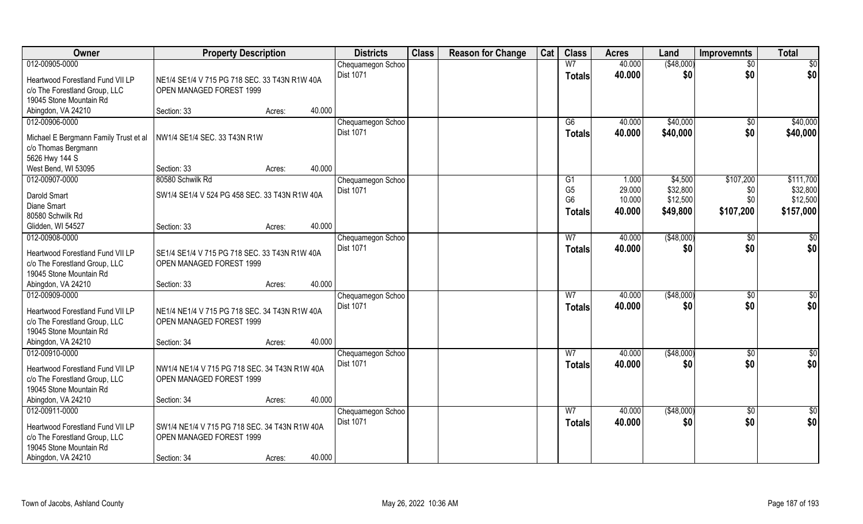| Owner                                                    | <b>Property Description</b>                   |        |        | <b>Districts</b>                      | <b>Class</b> | <b>Reason for Change</b> | Cat | <b>Class</b>    | <b>Acres</b> | Land        | <b>Improvemnts</b> | <b>Total</b>  |
|----------------------------------------------------------|-----------------------------------------------|--------|--------|---------------------------------------|--------------|--------------------------|-----|-----------------|--------------|-------------|--------------------|---------------|
| 012-00905-0000                                           |                                               |        |        | Chequamegon Schoo                     |              |                          |     | W <sub>7</sub>  | 40.000       | ( \$48,000) | $\sqrt{6}$         | \$0           |
| Heartwood Forestland Fund VII LP                         | NE1/4 SE1/4 V 715 PG 718 SEC, 33 T43N R1W 40A |        |        | Dist 1071                             |              |                          |     | <b>Totals</b>   | 40.000       | \$0         | \$0                | \$0           |
| c/o The Forestland Group, LLC                            | OPEN MANAGED FOREST 1999                      |        |        |                                       |              |                          |     |                 |              |             |                    |               |
| 19045 Stone Mountain Rd                                  |                                               |        |        |                                       |              |                          |     |                 |              |             |                    |               |
| Abingdon, VA 24210                                       | Section: 33                                   | Acres: | 40.000 |                                       |              |                          |     |                 |              |             |                    |               |
| 012-00906-0000                                           |                                               |        |        | Chequamegon Schoo                     |              |                          |     | $\overline{G6}$ | 40.000       | \$40,000    | \$0                | \$40,000      |
| Michael E Bergmann Family Trust et al                    | NW1/4 SE1/4 SEC. 33 T43N R1W                  |        |        | <b>Dist 1071</b>                      |              |                          |     | <b>Totals</b>   | 40.000       | \$40,000    | \$0                | \$40,000      |
| c/o Thomas Bergmann                                      |                                               |        |        |                                       |              |                          |     |                 |              |             |                    |               |
| 5626 Hwy 144 S                                           |                                               |        |        |                                       |              |                          |     |                 |              |             |                    |               |
| West Bend, WI 53095                                      | Section: 33                                   | Acres: | 40.000 |                                       |              |                          |     |                 |              |             |                    |               |
| 012-00907-0000                                           | 80580 Schwilk Rd                              |        |        | Chequamegon Schoo                     |              |                          |     | G1              | 1.000        | \$4,500     | \$107,200          | \$111,700     |
| Darold Smart                                             | SW1/4 SE1/4 V 524 PG 458 SEC. 33 T43N R1W 40A |        |        | Dist 1071                             |              |                          |     | G <sub>5</sub>  | 29.000       | \$32,800    | \$0                | \$32,800      |
| Diane Smart                                              |                                               |        |        |                                       |              |                          |     | G <sub>6</sub>  | 10.000       | \$12,500    | \$0                | \$12,500      |
| 80580 Schwilk Rd                                         |                                               |        |        |                                       |              |                          |     | Totals          | 40.000       | \$49,800    | \$107,200          | \$157,000     |
| Glidden, WI 54527                                        | Section: 33                                   | Acres: | 40.000 |                                       |              |                          |     |                 |              |             |                    |               |
| 012-00908-0000                                           |                                               |        |        | Chequamegon Schoo                     |              |                          |     | W <sub>7</sub>  | 40.000       | (\$48,000)  | \$0                | $\frac{6}{3}$ |
|                                                          |                                               |        |        | Dist 1071                             |              |                          |     | <b>Totals</b>   | 40.000       | \$0         | \$0                | \$0           |
| Heartwood Forestland Fund VII LP                         | SE1/4 SE1/4 V 715 PG 718 SEC. 33 T43N R1W 40A |        |        |                                       |              |                          |     |                 |              |             |                    |               |
| c/o The Forestland Group, LLC<br>19045 Stone Mountain Rd | OPEN MANAGED FOREST 1999                      |        |        |                                       |              |                          |     |                 |              |             |                    |               |
| Abingdon, VA 24210                                       | Section: 33                                   | Acres: | 40.000 |                                       |              |                          |     |                 |              |             |                    |               |
| 012-00909-0000                                           |                                               |        |        | Chequamegon Schoo                     |              |                          |     | W <sub>7</sub>  | 40.000       | ( \$48,000) | $\overline{50}$    | \$0           |
|                                                          |                                               |        |        | Dist 1071                             |              |                          |     | <b>Totals</b>   | 40.000       | \$0         | \$0                | \$0           |
| Heartwood Forestland Fund VII LP                         | NE1/4 NE1/4 V 715 PG 718 SEC. 34 T43N R1W 40A |        |        |                                       |              |                          |     |                 |              |             |                    |               |
| c/o The Forestland Group, LLC                            | OPEN MANAGED FOREST 1999                      |        |        |                                       |              |                          |     |                 |              |             |                    |               |
| 19045 Stone Mountain Rd<br>Abingdon, VA 24210            | Section: 34                                   |        | 40.000 |                                       |              |                          |     |                 |              |             |                    |               |
| 012-00910-0000                                           |                                               | Acres: |        | Chequamegon Schoo                     |              |                          |     | W <sub>7</sub>  | 40.000       | (\$48,000)  | $\sqrt{6}$         | $\frac{1}{2}$ |
|                                                          |                                               |        |        | Dist 1071                             |              |                          |     | <b>Totals</b>   | 40.000       | \$0         | \$0                | \$0           |
| Heartwood Forestland Fund VII LP                         | NW1/4 NE1/4 V 715 PG 718 SEC. 34 T43N R1W 40A |        |        |                                       |              |                          |     |                 |              |             |                    |               |
| c/o The Forestland Group, LLC                            | OPEN MANAGED FOREST 1999                      |        |        |                                       |              |                          |     |                 |              |             |                    |               |
| 19045 Stone Mountain Rd                                  |                                               |        |        |                                       |              |                          |     |                 |              |             |                    |               |
| Abingdon, VA 24210                                       | Section: 34                                   | Acres: | 40.000 |                                       |              |                          |     |                 |              |             |                    |               |
| 012-00911-0000                                           |                                               |        |        | Chequamegon Schoo<br><b>Dist 1071</b> |              |                          |     | W <sub>7</sub>  | 40.000       | (\$48,000)  | $\overline{50}$    | $\frac{1}{2}$ |
| Heartwood Forestland Fund VII LP                         | SW1/4 NE1/4 V 715 PG 718 SEC. 34 T43N R1W 40A |        |        |                                       |              |                          |     | <b>Totals</b>   | 40.000       | \$0         | \$0                | \$0           |
| c/o The Forestland Group, LLC                            | OPEN MANAGED FOREST 1999                      |        |        |                                       |              |                          |     |                 |              |             |                    |               |
| 19045 Stone Mountain Rd                                  |                                               |        |        |                                       |              |                          |     |                 |              |             |                    |               |
| Abingdon, VA 24210                                       | Section: 34                                   | Acres: | 40.000 |                                       |              |                          |     |                 |              |             |                    |               |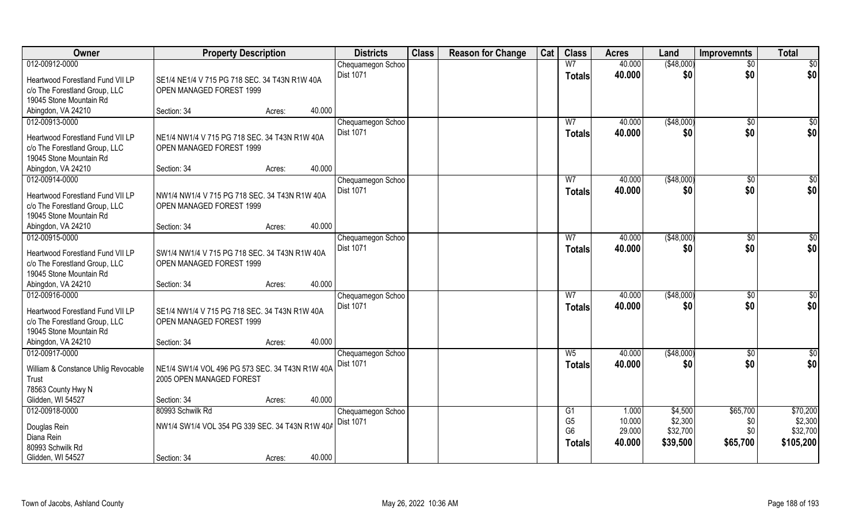| Owner                               | <b>Property Description</b>                     |                  | <b>Districts</b>  | <b>Class</b> | <b>Reason for Change</b> | Cat | <b>Class</b>   | <b>Acres</b> | Land        | <b>Improvemnts</b> | <b>Total</b>    |
|-------------------------------------|-------------------------------------------------|------------------|-------------------|--------------|--------------------------|-----|----------------|--------------|-------------|--------------------|-----------------|
| 012-00912-0000                      |                                                 |                  | Chequamegon Schoo |              |                          |     | W <sub>7</sub> | 40.000       | ( \$48,000) | $\overline{30}$    | $\overline{50}$ |
| Heartwood Forestland Fund VII LP    | SE1/4 NE1/4 V 715 PG 718 SEC, 34 T43N R1W 40A   |                  | <b>Dist 1071</b>  |              |                          |     | <b>Totals</b>  | 40.000       | \$0         | \$0                | \$0             |
| c/o The Forestland Group, LLC       | OPEN MANAGED FOREST 1999                        |                  |                   |              |                          |     |                |              |             |                    |                 |
| 19045 Stone Mountain Rd             |                                                 |                  |                   |              |                          |     |                |              |             |                    |                 |
| Abingdon, VA 24210                  | Section: 34                                     | 40.000<br>Acres: |                   |              |                          |     |                |              |             |                    |                 |
| 012-00913-0000                      |                                                 |                  | Chequamegon Schoo |              |                          |     | W <sub>7</sub> | 40.000       | ( \$48,000) | $\overline{50}$    | \$0             |
| Heartwood Forestland Fund VII LP    | NE1/4 NW1/4 V 715 PG 718 SEC, 34 T43N R1W 40A   |                  | <b>Dist 1071</b>  |              |                          |     | Totals         | 40.000       | \$0         | \$0                | \$0             |
| c/o The Forestland Group, LLC       | OPEN MANAGED FOREST 1999                        |                  |                   |              |                          |     |                |              |             |                    |                 |
| 19045 Stone Mountain Rd             |                                                 |                  |                   |              |                          |     |                |              |             |                    |                 |
| Abingdon, VA 24210                  | Section: 34                                     | 40.000<br>Acres: |                   |              |                          |     |                |              |             |                    |                 |
| 012-00914-0000                      |                                                 |                  | Chequamegon Schoo |              |                          |     | W7             | 40.000       | ( \$48,000) | $\sqrt{6}$         | \$0             |
| Heartwood Forestland Fund VII LP    | NW1/4 NW1/4 V 715 PG 718 SEC. 34 T43N R1W 40A   |                  | Dist 1071         |              |                          |     | <b>Totals</b>  | 40.000       | \$0         | \$0                | \$0             |
| c/o The Forestland Group, LLC       | OPEN MANAGED FOREST 1999                        |                  |                   |              |                          |     |                |              |             |                    |                 |
| 19045 Stone Mountain Rd             |                                                 |                  |                   |              |                          |     |                |              |             |                    |                 |
| Abingdon, VA 24210                  | Section: 34                                     | 40.000<br>Acres: |                   |              |                          |     |                |              |             |                    |                 |
| 012-00915-0000                      |                                                 |                  | Chequamegon Schoo |              |                          |     | W7             | 40.000       | (\$48,000)  | \$0                | \$0             |
| Heartwood Forestland Fund VII LP    | SW1/4 NW1/4 V 715 PG 718 SEC. 34 T43N R1W 40A   |                  | <b>Dist 1071</b>  |              |                          |     | <b>Totals</b>  | 40.000       | \$0         | \$0                | \$0             |
| c/o The Forestland Group, LLC       | OPEN MANAGED FOREST 1999                        |                  |                   |              |                          |     |                |              |             |                    |                 |
| 19045 Stone Mountain Rd             |                                                 |                  |                   |              |                          |     |                |              |             |                    |                 |
| Abingdon, VA 24210                  | Section: 34                                     | 40.000<br>Acres: |                   |              |                          |     |                |              |             |                    |                 |
| 012-00916-0000                      |                                                 |                  | Chequamegon Schoo |              |                          |     | $\overline{W}$ | 40.000       | (\$48,000)  | $\overline{60}$    | \$0             |
| Heartwood Forestland Fund VII LP    | SE1/4 NW1/4 V 715 PG 718 SEC. 34 T43N R1W 40A   |                  | <b>Dist 1071</b>  |              |                          |     | <b>Totals</b>  | 40.000       | \$0         | \$0                | \$0             |
| c/o The Forestland Group, LLC       | OPEN MANAGED FOREST 1999                        |                  |                   |              |                          |     |                |              |             |                    |                 |
| 19045 Stone Mountain Rd             |                                                 |                  |                   |              |                          |     |                |              |             |                    |                 |
| Abingdon, VA 24210                  | Section: 34                                     | 40.000<br>Acres: |                   |              |                          |     |                |              |             |                    |                 |
| 012-00917-0000                      |                                                 |                  | Chequamegon Schoo |              |                          |     | $W_5$          | 40.000       | (\$48,000)  | \$0                | $\frac{6}{3}$   |
| William & Constance Uhlig Revocable | NE1/4 SW1/4 VOL 496 PG 573 SEC. 34 T43N R1W 40A |                  | Dist 1071         |              |                          |     | <b>Totals</b>  | 40.000       | \$0         | \$0                | \$0             |
| Trust                               | 2005 OPEN MANAGED FOREST                        |                  |                   |              |                          |     |                |              |             |                    |                 |
| 78563 County Hwy N                  |                                                 |                  |                   |              |                          |     |                |              |             |                    |                 |
| Glidden, WI 54527                   | Section: 34                                     | 40.000<br>Acres: |                   |              |                          |     |                |              |             |                    |                 |
| 012-00918-0000                      | 80993 Schwilk Rd                                |                  | Chequamegon Schoo |              |                          |     | G1             | 1.000        | \$4,500     | \$65,700           | \$70,200        |
|                                     | NW1/4 SW1/4 VOL 354 PG 339 SEC. 34 T43N R1W 40A |                  | Dist 1071         |              |                          |     | G <sub>5</sub> | 10.000       | \$2,300     | \$0                | \$2,300         |
| Douglas Rein<br>Diana Rein          |                                                 |                  |                   |              |                          |     | G <sub>6</sub> | 29.000       | \$32,700    | \$0                | \$32,700        |
| 80993 Schwilk Rd                    |                                                 |                  |                   |              |                          |     | <b>Totals</b>  | 40.000       | \$39,500    | \$65,700           | \$105,200       |
| Glidden, WI 54527                   | Section: 34                                     | 40.000<br>Acres: |                   |              |                          |     |                |              |             |                    |                 |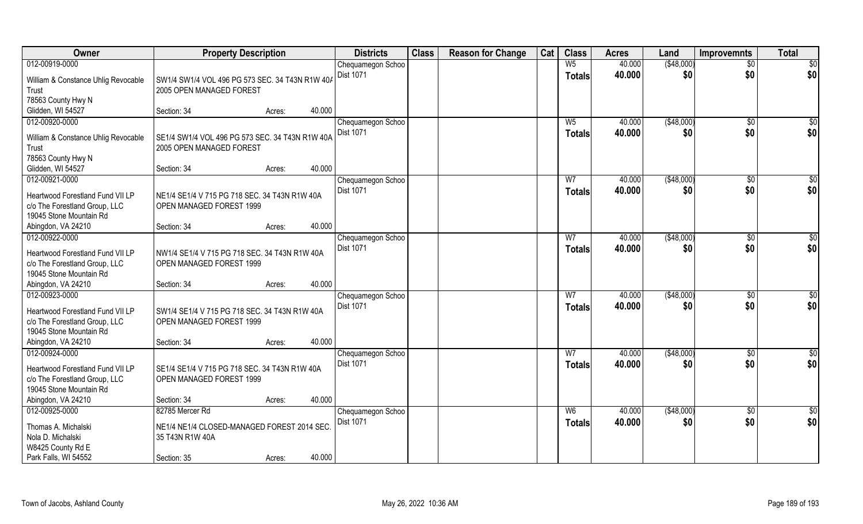| <b>Owner</b>                                                      | <b>Property Description</b>                                                 |                  | <b>Districts</b>  | <b>Class</b> | <b>Reason for Change</b> | Cat | <b>Class</b>   | <b>Acres</b> | Land        | <b>Improvemnts</b> | <b>Total</b>    |
|-------------------------------------------------------------------|-----------------------------------------------------------------------------|------------------|-------------------|--------------|--------------------------|-----|----------------|--------------|-------------|--------------------|-----------------|
| 012-00919-0000                                                    |                                                                             |                  | Chequamegon Schoo |              |                          |     | W <sub>5</sub> | 40.000       | ( \$48,000) | $\overline{50}$    | $\overline{50}$ |
| William & Constance Uhlig Revocable<br>Trust                      | SW1/4 SW1/4 VOL 496 PG 573 SEC, 34 T43N R1W 40A<br>2005 OPEN MANAGED FOREST |                  | <b>Dist 1071</b>  |              |                          |     | <b>Totals</b>  | 40.000       | \$0         | \$0                | \$0             |
| 78563 County Hwy N                                                |                                                                             |                  |                   |              |                          |     |                |              |             |                    |                 |
| Glidden, WI 54527                                                 | Section: 34                                                                 | 40.000<br>Acres: |                   |              |                          |     |                |              |             |                    |                 |
| 012-00920-0000                                                    |                                                                             |                  | Chequamegon Schoo |              |                          |     | $W_5$          | 40.000       | ( \$48,000) | $\overline{50}$    | \$0             |
| William & Constance Uhlig Revocable                               | SE1/4 SW1/4 VOL 496 PG 573 SEC, 34 T43N R1W 40A                             |                  | <b>Dist 1071</b>  |              |                          |     | Totals         | 40.000       | \$0         | \$0                | \$0             |
| Trust                                                             | 2005 OPEN MANAGED FOREST                                                    |                  |                   |              |                          |     |                |              |             |                    |                 |
| 78563 County Hwy N                                                |                                                                             |                  |                   |              |                          |     |                |              |             |                    |                 |
| Glidden, WI 54527                                                 | Section: 34                                                                 | 40.000<br>Acres: |                   |              |                          |     |                |              |             |                    |                 |
| 012-00921-0000                                                    |                                                                             |                  | Chequamegon Schoo |              |                          |     | W7             | 40.000       | ( \$48,000) | $\sqrt{6}$         | \$0             |
| Heartwood Forestland Fund VII LP                                  | NE1/4 SE1/4 V 715 PG 718 SEC. 34 T43N R1W 40A                               |                  | Dist 1071         |              |                          |     | <b>Totals</b>  | 40.000       | \$0         | \$0                | \$0             |
| c/o The Forestland Group, LLC                                     | OPEN MANAGED FOREST 1999                                                    |                  |                   |              |                          |     |                |              |             |                    |                 |
| 19045 Stone Mountain Rd                                           |                                                                             |                  |                   |              |                          |     |                |              |             |                    |                 |
| Abingdon, VA 24210                                                | Section: 34                                                                 | 40.000<br>Acres: |                   |              |                          |     |                |              |             |                    |                 |
| 012-00922-0000                                                    |                                                                             |                  | Chequamegon Schoo |              |                          |     | W7             | 40.000       | (\$48,000)  | \$0                | \$              |
|                                                                   |                                                                             |                  | Dist 1071         |              |                          |     | <b>Totals</b>  | 40.000       | \$0         | \$0                | \$0             |
| Heartwood Forestland Fund VII LP<br>c/o The Forestland Group, LLC | NW1/4 SE1/4 V 715 PG 718 SEC. 34 T43N R1W 40A<br>OPEN MANAGED FOREST 1999   |                  |                   |              |                          |     |                |              |             |                    |                 |
| 19045 Stone Mountain Rd                                           |                                                                             |                  |                   |              |                          |     |                |              |             |                    |                 |
| Abingdon, VA 24210                                                | Section: 34                                                                 | 40.000<br>Acres: |                   |              |                          |     |                |              |             |                    |                 |
| 012-00923-0000                                                    |                                                                             |                  | Chequamegon Schoo |              |                          |     | $\overline{W}$ | 40.000       | (\$48,000)  | $\overline{60}$    | \$0             |
|                                                                   |                                                                             |                  | Dist 1071         |              |                          |     | <b>Totals</b>  | 40.000       | \$0         | \$0                | \$0             |
| Heartwood Forestland Fund VII LP                                  | SW1/4 SE1/4 V 715 PG 718 SEC. 34 T43N R1W 40A                               |                  |                   |              |                          |     |                |              |             |                    |                 |
| c/o The Forestland Group, LLC                                     | OPEN MANAGED FOREST 1999                                                    |                  |                   |              |                          |     |                |              |             |                    |                 |
| 19045 Stone Mountain Rd                                           |                                                                             |                  |                   |              |                          |     |                |              |             |                    |                 |
| Abingdon, VA 24210                                                | Section: 34                                                                 | 40.000<br>Acres: |                   |              |                          |     |                |              |             |                    |                 |
| 012-00924-0000                                                    |                                                                             |                  | Chequamegon Schoo |              |                          |     | W <sub>7</sub> | 40.000       | (\$48,000)  | \$0                | \$0             |
| Heartwood Forestland Fund VII LP                                  | SE1/4 SE1/4 V 715 PG 718 SEC. 34 T43N R1W 40A                               |                  | Dist 1071         |              |                          |     | <b>Totals</b>  | 40.000       | \$0         | \$0                | \$0             |
| c/o The Forestland Group, LLC                                     | OPEN MANAGED FOREST 1999                                                    |                  |                   |              |                          |     |                |              |             |                    |                 |
| 19045 Stone Mountain Rd                                           |                                                                             |                  |                   |              |                          |     |                |              |             |                    |                 |
| Abingdon, VA 24210                                                | Section: 34                                                                 | 40.000<br>Acres: |                   |              |                          |     |                |              |             |                    |                 |
| 012-00925-0000                                                    | 82785 Mercer Rd                                                             |                  | Chequamegon Schoo |              |                          |     | W <sub>6</sub> | 40.000       | (\$48,000)  | $\overline{50}$    | $\overline{50}$ |
| Thomas A. Michalski                                               | NE1/4 NE1/4 CLOSED-MANAGED FOREST 2014 SEC                                  |                  | <b>Dist 1071</b>  |              |                          |     | <b>Totals</b>  | 40.000       | \$0         | \$0                | \$0             |
| Nola D. Michalski                                                 | 35 T43N R1W 40A                                                             |                  |                   |              |                          |     |                |              |             |                    |                 |
| W8425 County Rd E                                                 |                                                                             |                  |                   |              |                          |     |                |              |             |                    |                 |
| Park Falls, WI 54552                                              | Section: 35                                                                 | 40.000<br>Acres: |                   |              |                          |     |                |              |             |                    |                 |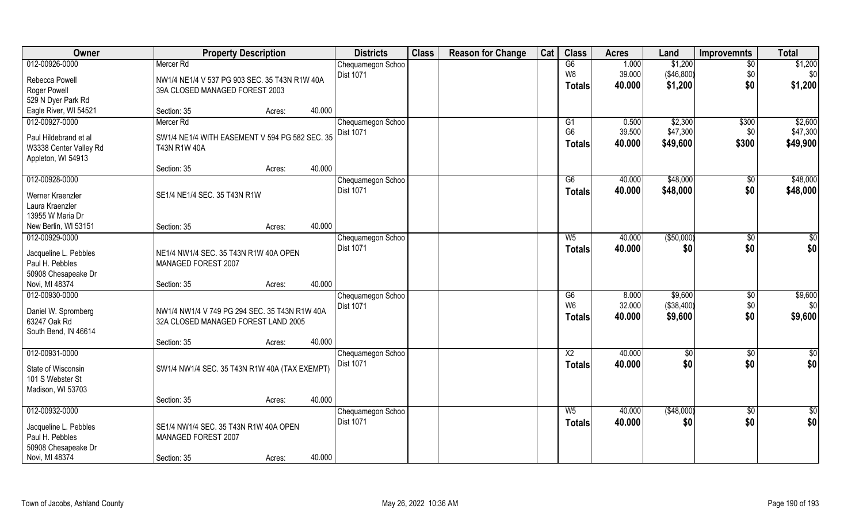| Owner                                        | <b>Property Description</b>                                    |        | <b>Districts</b>  | <b>Class</b> | <b>Reason for Change</b> | Cat | <b>Class</b>    | <b>Acres</b> | Land       | <b>Improvemnts</b> | <b>Total</b>    |
|----------------------------------------------|----------------------------------------------------------------|--------|-------------------|--------------|--------------------------|-----|-----------------|--------------|------------|--------------------|-----------------|
| 012-00926-0000                               | Mercer Rd                                                      |        | Chequamegon Schoo |              |                          |     | G6              | 1.000        | \$1,200    | $\overline{50}$    | \$1,200         |
| Rebecca Powell                               | NW1/4 NE1/4 V 537 PG 903 SEC, 35 T43N R1W 40A                  |        | Dist 1071         |              |                          |     | W <sub>8</sub>  | 39.000       | (\$46,800) | \$0                | \$0             |
| Roger Powell                                 | 39A CLOSED MANAGED FOREST 2003                                 |        |                   |              |                          |     | <b>Totals</b>   | 40.000       | \$1,200    | \$0                | \$1,200         |
| 529 N Dyer Park Rd                           |                                                                |        |                   |              |                          |     |                 |              |            |                    |                 |
| Eagle River, WI 54521                        | Section: 35<br>Acres:                                          | 40.000 |                   |              |                          |     |                 |              |            |                    |                 |
| 012-00927-0000                               | Mercer Rd                                                      |        | Chequamegon Schoo |              |                          |     | G1              | 0.500        | \$2,300    | \$300              | \$2,600         |
|                                              |                                                                |        | <b>Dist 1071</b>  |              |                          |     | G <sub>6</sub>  | 39.500       | \$47,300   | \$0                | \$47,300        |
| Paul Hildebrand et al                        | SW1/4 NE1/4 WITH EASEMENT V 594 PG 582 SEC, 35<br>T43N R1W 40A |        |                   |              |                          |     | <b>Totals</b>   | 40.000       | \$49,600   | \$300              | \$49,900        |
| W3338 Center Valley Rd<br>Appleton, WI 54913 |                                                                |        |                   |              |                          |     |                 |              |            |                    |                 |
|                                              | Section: 35<br>Acres:                                          | 40.000 |                   |              |                          |     |                 |              |            |                    |                 |
| 012-00928-0000                               |                                                                |        | Chequamegon Schoo |              |                          |     | G6              | 40.000       | \$48,000   | \$0                | \$48,000        |
|                                              |                                                                |        | Dist 1071         |              |                          |     | <b>Totals</b>   | 40.000       | \$48,000   | \$0                | \$48,000        |
| Werner Kraenzler                             | SE1/4 NE1/4 SEC. 35 T43N R1W                                   |        |                   |              |                          |     |                 |              |            |                    |                 |
| Laura Kraenzler<br>13955 W Maria Dr          |                                                                |        |                   |              |                          |     |                 |              |            |                    |                 |
| New Berlin, WI 53151                         | Section: 35<br>Acres:                                          | 40.000 |                   |              |                          |     |                 |              |            |                    |                 |
| 012-00929-0000                               |                                                                |        | Chequamegon Schoo |              |                          |     | $W_5$           | 40.000       | (\$50,000) | \$0                | \$0             |
|                                              |                                                                |        | Dist 1071         |              |                          |     | <b>Totals</b>   | 40.000       | \$0        | \$0                | \$0             |
| Jacqueline L. Pebbles                        | NE1/4 NW1/4 SEC. 35 T43N R1W 40A OPEN                          |        |                   |              |                          |     |                 |              |            |                    |                 |
| Paul H. Pebbles                              | MANAGED FOREST 2007                                            |        |                   |              |                          |     |                 |              |            |                    |                 |
| 50908 Chesapeake Dr                          |                                                                |        |                   |              |                          |     |                 |              |            |                    |                 |
| Novi, MI 48374                               | Section: 35<br>Acres:                                          | 40.000 |                   |              |                          |     |                 |              |            |                    |                 |
| 012-00930-0000                               |                                                                |        | Chequamegon Schoo |              |                          |     | $\overline{G6}$ | 8.000        | \$9,600    | \$0                | \$9,600         |
| Daniel W. Spromberg                          | NW1/4 NW1/4 V 749 PG 294 SEC. 35 T43N R1W 40A                  |        | Dist 1071         |              |                          |     | W <sub>6</sub>  | 32.000       | (\$38,400) | \$0                | \$0             |
| 63247 Oak Rd                                 | 32A CLOSED MANAGED FOREST LAND 2005                            |        |                   |              |                          |     | <b>Totals</b>   | 40.000       | \$9,600    | \$0                | \$9,600         |
| South Bend, IN 46614                         |                                                                |        |                   |              |                          |     |                 |              |            |                    |                 |
|                                              | Section: 35<br>Acres:                                          | 40.000 |                   |              |                          |     |                 |              |            |                    |                 |
| 012-00931-0000                               |                                                                |        | Chequamegon Schoo |              |                          |     | $\overline{X2}$ | 40.000       | \$0        | \$0                | \$0             |
| State of Wisconsin                           | SW1/4 NW1/4 SEC. 35 T43N R1W 40A (TAX EXEMPT)                  |        | Dist 1071         |              |                          |     | <b>Totals</b>   | 40.000       | \$0        | \$0                | \$0             |
| 101 S Webster St                             |                                                                |        |                   |              |                          |     |                 |              |            |                    |                 |
| Madison, WI 53703                            |                                                                |        |                   |              |                          |     |                 |              |            |                    |                 |
|                                              | Section: 35<br>Acres:                                          | 40.000 |                   |              |                          |     |                 |              |            |                    |                 |
| 012-00932-0000                               |                                                                |        | Chequamegon Schoo |              |                          |     | $W_5$           | 40.000       | (\$48,000) | $\sqrt{$0}$        | $\overline{50}$ |
| Jacqueline L. Pebbles                        | SE1/4 NW1/4 SEC. 35 T43N R1W 40A OPEN                          |        | <b>Dist 1071</b>  |              |                          |     | <b>Totals</b>   | 40.000       | \$0        | \$0                | \$0             |
| Paul H. Pebbles                              | MANAGED FOREST 2007                                            |        |                   |              |                          |     |                 |              |            |                    |                 |
| 50908 Chesapeake Dr                          |                                                                |        |                   |              |                          |     |                 |              |            |                    |                 |
| Novi, MI 48374                               | Section: 35<br>Acres:                                          | 40.000 |                   |              |                          |     |                 |              |            |                    |                 |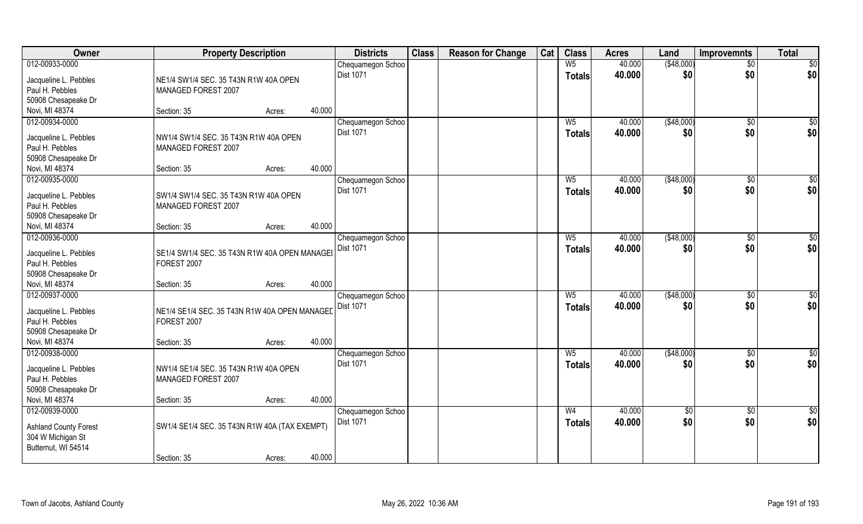| Owner                        | <b>Property Description</b>                   | <b>Districts</b> | <b>Class</b>      | <b>Reason for Change</b> | Cat | <b>Class</b> | <b>Acres</b>   | Land   | <b>Improvemnts</b> | <b>Total</b>  |                  |
|------------------------------|-----------------------------------------------|------------------|-------------------|--------------------------|-----|--------------|----------------|--------|--------------------|---------------|------------------|
| 012-00933-0000               |                                               |                  | Chequamegon Schoo |                          |     |              | W <sub>5</sub> | 40.000 | ( \$48,000)        | $\sqrt{$0}$   | \$0              |
| Jacqueline L. Pebbles        | NE1/4 SW1/4 SEC. 35 T43N R1W 40A OPEN         |                  | Dist 1071         |                          |     |              | <b>Totals</b>  | 40.000 | \$0                | \$0           | \$0              |
| Paul H. Pebbles              | MANAGED FOREST 2007                           |                  |                   |                          |     |              |                |        |                    |               |                  |
| 50908 Chesapeake Dr          |                                               |                  |                   |                          |     |              |                |        |                    |               |                  |
| Novi, MI 48374               | Section: 35                                   | 40.000<br>Acres: |                   |                          |     |              |                |        |                    |               |                  |
| 012-00934-0000               |                                               |                  | Chequamegon Schoo |                          |     |              | $W_5$          | 40.000 | (\$48,000)         | $\sqrt{6}$    | $\overline{\$0}$ |
|                              |                                               |                  | Dist 1071         |                          |     |              |                | 40.000 |                    | \$0           |                  |
| Jacqueline L. Pebbles        | NW1/4 SW1/4 SEC. 35 T43N R1W 40A OPEN         |                  |                   |                          |     |              | <b>Totals</b>  |        | \$0                |               | \$0              |
| Paul H. Pebbles              | MANAGED FOREST 2007                           |                  |                   |                          |     |              |                |        |                    |               |                  |
| 50908 Chesapeake Dr          |                                               |                  |                   |                          |     |              |                |        |                    |               |                  |
| Novi, MI 48374               | Section: 35                                   | 40.000<br>Acres: |                   |                          |     |              |                |        |                    |               |                  |
| 012-00935-0000               |                                               |                  | Chequamegon Schoo |                          |     |              | W <sub>5</sub> | 40.000 | ( \$48,000)        | $\sqrt[6]{3}$ | \$0              |
|                              |                                               |                  | Dist 1071         |                          |     |              | <b>Totals</b>  | 40.000 | \$0                | \$0           | \$0              |
| Jacqueline L. Pebbles        | SW1/4 SW1/4 SEC. 35 T43N R1W 40A OPEN         |                  |                   |                          |     |              |                |        |                    |               |                  |
| Paul H. Pebbles              | MANAGED FOREST 2007                           |                  |                   |                          |     |              |                |        |                    |               |                  |
| 50908 Chesapeake Dr          |                                               | 40.000           |                   |                          |     |              |                |        |                    |               |                  |
| Novi, MI 48374               | Section: 35                                   | Acres:           |                   |                          |     |              |                |        |                    |               |                  |
| 012-00936-0000               |                                               |                  | Chequamegon Schoo |                          |     |              | W <sub>5</sub> | 40.000 | ( \$48,000)        | $\sqrt[6]{3}$ | \$0              |
| Jacqueline L. Pebbles        | SE1/4 SW1/4 SEC. 35 T43N R1W 40A OPEN MANAGEI |                  | Dist 1071         |                          |     |              | <b>Totals</b>  | 40.000 | \$0                | \$0           | \$0              |
| Paul H. Pebbles              | FOREST 2007                                   |                  |                   |                          |     |              |                |        |                    |               |                  |
| 50908 Chesapeake Dr          |                                               |                  |                   |                          |     |              |                |        |                    |               |                  |
| Novi, MI 48374               | Section: 35                                   | 40.000<br>Acres: |                   |                          |     |              |                |        |                    |               |                  |
| 012-00937-0000               |                                               |                  | Chequamegon Schoo |                          |     |              | $W_5$          | 40.000 | (\$48,000)         | $\sqrt[6]{3}$ | $\overline{50}$  |
|                              |                                               |                  | Dist 1071         |                          |     |              | <b>Totals</b>  | 40.000 | \$0                | \$0           | \$0              |
| Jacqueline L. Pebbles        | NE1/4 SE1/4 SEC. 35 T43N R1W 40A OPEN MANAGEI |                  |                   |                          |     |              |                |        |                    |               |                  |
| Paul H. Pebbles              | FOREST 2007                                   |                  |                   |                          |     |              |                |        |                    |               |                  |
| 50908 Chesapeake Dr          |                                               |                  |                   |                          |     |              |                |        |                    |               |                  |
| Novi, MI 48374               | Section: 35                                   | 40.000<br>Acres: |                   |                          |     |              |                |        |                    |               |                  |
| 012-00938-0000               |                                               |                  | Chequamegon Schoo |                          |     |              | W <sub>5</sub> | 40.000 | (\$48,000)         | $\sqrt{$0}$   | \$0              |
| Jacqueline L. Pebbles        | NW1/4 SE1/4 SEC. 35 T43N R1W 40A OPEN         |                  | Dist 1071         |                          |     |              | <b>Totals</b>  | 40.000 | \$0                | \$0           | \$0              |
| Paul H. Pebbles              | MANAGED FOREST 2007                           |                  |                   |                          |     |              |                |        |                    |               |                  |
| 50908 Chesapeake Dr          |                                               |                  |                   |                          |     |              |                |        |                    |               |                  |
| Novi, MI 48374               | Section: 35                                   | 40.000<br>Acres: |                   |                          |     |              |                |        |                    |               |                  |
| 012-00939-0000               |                                               |                  | Chequamegon Schoo |                          |     |              | W <sub>4</sub> | 40.000 | $\overline{50}$    | $\sqrt{$0}$   | $\overline{\$0}$ |
|                              |                                               |                  | <b>Dist 1071</b>  |                          |     |              | <b>Totals</b>  | 40.000 | \$0                | \$0           | \$0              |
| <b>Ashland County Forest</b> | SW1/4 SE1/4 SEC. 35 T43N R1W 40A (TAX EXEMPT) |                  |                   |                          |     |              |                |        |                    |               |                  |
| 304 W Michigan St            |                                               |                  |                   |                          |     |              |                |        |                    |               |                  |
| Butternut, WI 54514          |                                               |                  |                   |                          |     |              |                |        |                    |               |                  |
|                              | Section: 35                                   | 40.000<br>Acres: |                   |                          |     |              |                |        |                    |               |                  |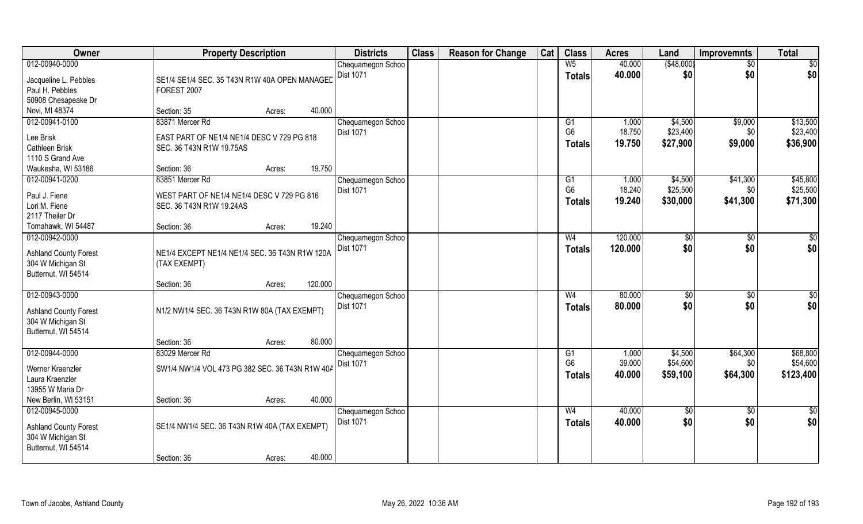| Owner                                                                                      |                                                                | <b>Property Description</b> |         |                                       | <b>Class</b> | <b>Reason for Change</b> | Cat | <b>Class</b>                    | <b>Acres</b>     | Land                 | <b>Improvemnts</b> | <b>Total</b>          |
|--------------------------------------------------------------------------------------------|----------------------------------------------------------------|-----------------------------|---------|---------------------------------------|--------------|--------------------------|-----|---------------------------------|------------------|----------------------|--------------------|-----------------------|
| 012-00940-0000                                                                             |                                                                |                             |         | Chequamegon Schoo                     |              |                          |     | W <sub>5</sub>                  | 40.000           | ( \$48,000)          | $\sqrt{50}$        | \$0                   |
| Jacqueline L. Pebbles<br>Paul H. Pebbles                                                   | SE1/4 SE1/4 SEC. 35 T43N R1W 40A OPEN MANAGED<br>FOREST 2007   |                             |         | <b>Dist 1071</b>                      |              |                          |     | <b>Totals</b>                   | 40.000           | \$0                  | \$0                | \$0                   |
| 50908 Chesapeake Dr                                                                        |                                                                |                             |         |                                       |              |                          |     |                                 |                  |                      |                    |                       |
| Novi, MI 48374                                                                             | Section: 35                                                    | Acres:                      | 40.000  |                                       |              |                          |     |                                 |                  |                      |                    |                       |
| 012-00941-0100                                                                             | 83871 Mercer Rd                                                |                             |         | Chequamegon Schoo                     |              |                          |     | G1<br>G <sub>6</sub>            | 1.000            | \$4,500              | \$9,000            | \$13,500              |
| Lee Brisk                                                                                  | EAST PART OF NE1/4 NE1/4 DESC V 729 PG 818                     |                             |         | Dist 1071                             |              |                          |     |                                 | 18.750           | \$23,400             | \$0                | \$23,400              |
| Cathleen Brisk                                                                             | SEC. 36 T43N R1W 19.75AS                                       |                             |         |                                       |              |                          |     | <b>Totals</b>                   | 19.750           | \$27,900             | \$9,000            | \$36,900              |
| 1110 S Grand Ave                                                                           |                                                                |                             |         |                                       |              |                          |     |                                 |                  |                      |                    |                       |
| Waukesha, WI 53186                                                                         | Section: 36                                                    | Acres:                      | 19.750  |                                       |              |                          |     |                                 |                  |                      |                    |                       |
| 012-00941-0200                                                                             | 83851 Mercer Rd                                                |                             |         | Chequamegon Schoo                     |              |                          |     | G1                              | 1.000            | \$4,500              | \$41,300           | \$45,800              |
| Paul J. Fiene                                                                              | WEST PART OF NE1/4 NE1/4 DESC V 729 PG 816                     |                             |         | Dist 1071                             |              |                          |     | G <sub>6</sub>                  | 18.240           | \$25,500             | \$0                | \$25,500              |
| Lori M. Fiene                                                                              | SEC. 36 T43N R1W 19.24AS                                       |                             |         |                                       |              |                          |     | <b>Totals</b>                   | 19.240           | \$30,000             | \$41,300           | \$71,300              |
| 2117 Theiler Dr                                                                            |                                                                |                             |         |                                       |              |                          |     |                                 |                  |                      |                    |                       |
| Tomahawk, WI 54487                                                                         | Section: 36                                                    | Acres:                      | 19.240  |                                       |              |                          |     |                                 |                  |                      |                    |                       |
| 012-00942-0000                                                                             |                                                                |                             |         | Chequamegon Schoo                     |              |                          |     | W <sub>4</sub>                  | 120.000          | \$0                  | $\sqrt[6]{}$       | \$0                   |
| <b>Ashland County Forest</b><br>304 W Michigan St<br>Butternut, WI 54514                   | NE1/4 EXCEPT NE1/4 NE1/4 SEC. 36 T43N R1W 120A<br>(TAX EXEMPT) |                             |         | Dist 1071                             |              |                          |     | <b>Totals</b>                   | 120.000          | \$0                  | \$0                | \$0                   |
|                                                                                            | Section: 36                                                    | Acres:                      | 120.000 |                                       |              |                          |     |                                 |                  |                      |                    |                       |
| 012-00943-0000<br><b>Ashland County Forest</b><br>304 W Michigan St<br>Butternut, WI 54514 | N1/2 NW1/4 SEC. 36 T43N R1W 80A (TAX EXEMPT)                   |                             |         | Chequamegon Schoo<br><b>Dist 1071</b> |              |                          |     | W <sub>4</sub><br><b>Totals</b> | 80.000<br>80.000 | \$0<br>\$0           | \$0<br>\$0         | \$0<br>\$0            |
|                                                                                            | Section: 36                                                    | Acres:                      | 80.000  |                                       |              |                          |     |                                 |                  |                      |                    |                       |
| 012-00944-0000                                                                             | 83029 Mercer Rd                                                |                             |         | Chequamegon Schoo                     |              |                          |     | G1                              | 1.000            | \$4,500              | \$64,300           | \$68,800              |
| Werner Kraenzler<br>Laura Kraenzler<br>13955 W Maria Dr                                    | SW1/4 NW1/4 VOL 473 PG 382 SEC. 36 T43N R1W 40A                |                             |         | <b>Dist 1071</b>                      |              |                          |     | G <sub>6</sub><br><b>Totals</b> | 39.000<br>40.000 | \$54,600<br>\$59,100 | \$0<br>\$64,300    | \$54,600<br>\$123,400 |
| New Berlin, WI 53151                                                                       | Section: 36                                                    | Acres:                      | 40.000  |                                       |              |                          |     |                                 |                  |                      |                    |                       |
| 012-00945-0000                                                                             |                                                                |                             |         | Chequamegon Schoo                     |              |                          |     | W <sub>4</sub>                  | 40.000           | $\sqrt{6}$           | $\overline{50}$    | $\frac{1}{2}$         |
| <b>Ashland County Forest</b><br>304 W Michigan St<br>Butternut, WI 54514                   | SE1/4 NW1/4 SEC. 36 T43N R1W 40A (TAX EXEMPT)                  |                             |         | <b>Dist 1071</b>                      |              |                          |     | Totals                          | 40.000           | \$0                  | \$0                | \$0                   |
|                                                                                            | Section: 36                                                    | Acres:                      | 40.000  |                                       |              |                          |     |                                 |                  |                      |                    |                       |